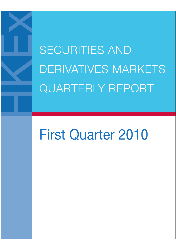SECURITIES AND DERIVATIVES MARKETS QUARTERLY REPORT

# First Quarter 2010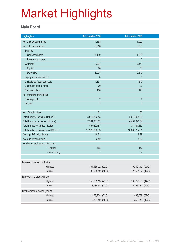#### **Main Board**

| <b>Highlights</b>                       | 1st Quarter 2010   | 1st Quarter 2009   |                 |
|-----------------------------------------|--------------------|--------------------|-----------------|
| No. of listed companies                 | 1,158              | 1,092              |                 |
| No. of listed securities                | 6,716              | 5,353              |                 |
| Equities                                |                    |                    |                 |
| Ordinary shares                         | 1,159              | 1,093              |                 |
| Preference shares                       | $\overline{2}$     | $\overline{2}$     |                 |
| Warrants                                | 3,994              | 2,541              |                 |
| <b>Equity</b>                           | 20                 | 31                 |                 |
| Derivative                              | 3,974              | 2,510              |                 |
| Equity linked instrument                | $\theta$           | $\mathbf 0$        |                 |
| Callable bull/bear contracts            | 1,331              | 1513               |                 |
| Unit trusts/mutual funds                | 70                 | 33                 |                 |
| Debt securities                         | 160                | 171                |                 |
| No. of trading only stocks              |                    |                    |                 |
| Nasdaq stocks                           | $\overline{7}$     | $\overline{7}$     |                 |
| <b>iShares</b>                          | $\overline{2}$     | $\overline{2}$     |                 |
|                                         |                    |                    |                 |
| No. of trading days                     | 61                 | 60                 |                 |
| Total turnover in value (HK\$ mil.)     | 3,918,852.43       | 2,679,064.53       |                 |
| Total turnover in shares (Mil. shs)     | 7,331,961.62       | 4,492,698.64       |                 |
| Total number of trades (deals)          | 45,632,481         | 31,884,432         |                 |
| Total market capitalisation (HK\$ mil.) | 17,920,896.03      | 10,080,762.91      |                 |
| Average P/E ratio (times)               | 16.71              | 8.99               |                 |
| Average dividend yield (%)              | 2.42               | 4.90               |                 |
| Number of exchange participants         |                    |                    |                 |
| $-$ Trading                             | 468                | 452                |                 |
| - Non-trading                           | 31                 | 37                 |                 |
|                                         |                    |                    |                 |
| Turnover in value (HK\$ mil.)           |                    |                    |                 |
| Highest                                 | 104,166.72 (22/01) | 90,021.72 (07/01)  |                 |
| Lowest                                  | 33,995.19 (18/02)  | 28,531.97 (12/03)  |                 |
| Turnover in shares (Mil. shs)           |                    |                    |                 |
| Highest                                 | 158,295.13 (21/01) | 109,278.63 (14/01) |                 |
| Lowest                                  | 78,786.54 (17/02)  | 50,263.87 (29/01)  |                 |
| Total number of trades (deals)          |                    |                    |                 |
| Highest                                 | 1,163,728 (22/01)  |                    | 833,038 (07/01) |
| Lowest                                  |                    | 432,540 (18/02)    | 362,849 (12/03) |
|                                         |                    |                    |                 |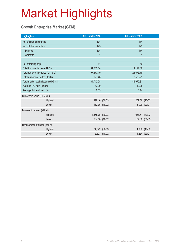#### **Growth Enterprise Market (GEM)**

| <b>Highlights</b>                       |         | 1st Quarter 2010 |                | 1st Quarter 2009 |                |
|-----------------------------------------|---------|------------------|----------------|------------------|----------------|
| No. of listed companies                 |         | 174              |                | 174              |                |
| No. of listed securities                |         | 175              |                | 175              |                |
| Equities                                |         | 174              |                | 174              |                |
| Warrants                                |         | 1                |                | $\mathbf{1}$     |                |
|                                         |         |                  |                |                  |                |
| No. of trading days                     |         | 61               |                | 60               |                |
| Total turnover in value (HK\$ mil.)     |         | 31,502.84        |                | 4,192.38         |                |
| Total turnover in shares (Mil. shs)     |         | 97,877.19        |                | 23,073.79        |                |
| Total number of trades (deals)          |         | 762,648          |                | 153,521          |                |
| Total market capitalisation (HK\$ mil.) |         | 134,742.28       |                | 46,972.81        |                |
| Average P/E ratio (times)               |         | 43.09            |                | 13.25            |                |
| Average dividend yield (%)              |         | 0.63             |                | 3.14             |                |
| Turnover in value (HK\$ mil.)           |         |                  |                |                  |                |
|                                         | Highest |                  | 998.46 (30/03) |                  | 209.86 (23/03) |
|                                         | Lowest  |                  | 182.75 (18/02) |                  | 31.09 (20/01)  |
| Turnover in shares (Mil. shs)           |         |                  |                |                  |                |
|                                         | Highest | 4,358.75 (30/03) |                |                  | 968.51 (30/03) |
|                                         | Lowest  |                  | 504.58 (18/02) |                  | 182.88 (06/03) |
| Total number of trades (deals)          |         |                  |                |                  |                |
|                                         | Highest |                  | 24,572 (30/03) |                  | 4,600 (10/02)  |
|                                         | Lowest  |                  | 5,503 (18/02)  |                  | 1,254 (29/01)  |
|                                         |         |                  |                |                  |                |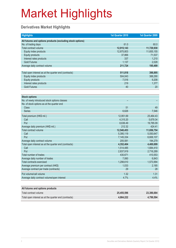#### **Derivatives Market Highlights**

| <b>Highlights</b>                                          | 1st Quarter 2010 | 1st Quarter 2009 |
|------------------------------------------------------------|------------------|------------------|
| All futures and options products (excluding stock options) |                  |                  |
| No. of trading days                                        | 61.0             | 60.0             |
| Total contract volume                                      | 12,915,143       | 11,729,930       |
| Equity index products                                      | 12,875,803       | 11,655,155       |
| <b>Equity products</b>                                     | 37,866           | 71,537           |
| Interest rates products                                    | 337              | 1,210            |
| <b>Gold Futures</b>                                        | 1,137            | 2,028            |
| Average daily contract volume                              | 211,724          | 195,499          |
|                                                            |                  |                  |
| Total open interest as at the quarter end (contracts)      | 511,818          | 398,895          |
| Equity index products                                      | 504,043          | 388,290          |
| <b>Equity products</b>                                     | 7,516            | 9,208            |
| Interest rates products                                    | 219              | 1,377            |
| <b>Gold Futures</b>                                        | 40               | 20               |
|                                                            |                  |                  |
| <b>Stock options</b>                                       |                  |                  |
| No. of newly introduced stock options classes              |                  |                  |
| No. of stock options as at the quarter end                 |                  |                  |
| <b>Class</b>                                               | 51               | 49               |
| <b>Series</b>                                              | 6,626            | 7,546            |
| Total premium (HK\$ mil.)                                  | 12,951.69        | 25,464.43        |
| Call                                                       | 4,315.20         | 5,679.34         |
| Put                                                        | 8,636.49         | 19,785.09        |
| Average daily premium (HK\$ mil.)                          | 212.32           | 424.41           |
| Total contract volume                                      | 12,540,453       | 11,656,754       |
| Call                                                       | 5,395,119        | 5,050,647        |
| Put                                                        | 7,145,334        | 6,606,107        |
| Average daily contract volume                              | 205,581          | 194,279          |
| Total open interest as at the quarter end (contracts)      | 4,352,404        | 4,400,699        |
| Call                                                       | 1,514,485        | 1,684,410        |
| Put                                                        | 2,837,919        | 2,716,289        |
| Total number of trades                                     | 430,671          | 410,553          |
| Average daily number of trades                             | 7,060            | 6,843            |
| <b>Total contracts exercised</b>                           | 1,298,610        | 1,573,994        |
| Average premium per contract (HK\$)                        | 1,033            | 2,185            |
| Average contract per trade (contracts)                     | 29               | 28               |
| Put volume/call volume                                     | 1.32             | 1.31             |
| Average daily contract volume/open interest                | 4.7%             | 4.4%             |
|                                                            |                  |                  |

| All futures and options products                      |            |            |
|-------------------------------------------------------|------------|------------|
| Total contract volume                                 | 25.455.596 | 23.386.684 |
| Total open interest as at the quarter end (contracts) | 4.864.222  | 4.799.594  |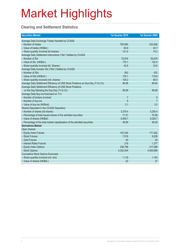#### **Clearing and Settlement Statistics**

| <b>Securities Market</b>                                                        | 1st Quarter 2010 | 1st Quarter 2009 |
|---------------------------------------------------------------------------------|------------------|------------------|
| Average Daily Exchange Trades Handled by CCASS                                  |                  |                  |
| - Number of trades                                                              | 760,565          | 533,958          |
| - Value of trades (HK\$bil.)                                                    | 64.8             | 44.7             |
| - Share quantity Involved (bil shares)                                          | 121.8            | 75.3             |
| Average Daily Settlement Instructions ("SIs") Settled by CCASS                  |                  |                  |
| - Number of SIs                                                                 | 75,816           | 55,676           |
| - Value of SIs (HK\$bil.)                                                       | 170.1            | 122.4            |
| - Share quantity involved (bil. Shares)                                         | 42.8             | 33.6             |
| Average Daily Investor SIs ("ISIs") Settled by CCASS                            |                  |                  |
| - Number of ISIs                                                                | 542              | 432              |
| - Value of ISIs (HK\$mil.)                                                      | 176.1            | 119.6            |
| - Share quantity involved (mil. shares)                                         | 104.2            | 68.4             |
| Average Daily Settlement Efficiency of CNS Stock Positions on Due Day (T+2) (%) | 99.88            | 99.84            |
| Average Daily Settlement Efficiency of CNS Stock Positions                      |                  |                  |
| on the Day following the Due Day (T+3) (%)                                      | 99.99            | 99.99            |
| Average Daily Buy-ins Executed on T+3                                           |                  |                  |
| - Number of brokers involved                                                    | 7                | 6                |
| - Number of buy-ins                                                             | 9                | $\overline{7}$   |
| - Value of buy-ins (HK\$mil)                                                    | 3.1              | 3.0              |
| Shares Deposited in the CCASS Depository                                        |                  |                  |
| - Number of shares (bil shares)                                                 | 3,379.4          | 3,255.4          |
| - Percentage of total issued shares of the admitted securities                  | 71.01            | 70.99            |
| - Value of shares (HK\$bil)                                                     | 9,509.7          | 5,026.7          |
| - Percentage of the total market capitalisation of the admitted securities      | 49.89            | 46.29            |
| <b>Derivatives Market</b>                                                       |                  |                  |
| Open Interest                                                                   |                  |                  |
| - Equity Index Futures                                                          | 167,245          | 171,202          |
| - Stock Futures                                                                 | 7,516            | 9,208            |
| - Gold Futures                                                                  | 40               | 20               |
| - Interest Rates Futures                                                        | 219              | 1,377            |
| - Equity Index Options                                                          | 336,798          | 217,088          |
| - Stock Options                                                                 | 4,352,404        | 4,400,699        |
| <b>Cumulative Stock Options Exercised</b>                                       |                  |                  |
| - Share quantity involved (mil. shs)                                            | 1,119            | 1,163            |
| - Value of shares (HK\$bil.)                                                    | 22               | 27               |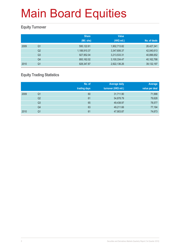#### **Equity Turnover**

|      |                | <b>Share</b> | <b>Value</b> |              |
|------|----------------|--------------|--------------|--------------|
|      |                | (Mil. shs)   | (HK\$ mil.)  | No. of deals |
| 2009 | Q <sub>1</sub> | 595,122.61   | 1,902,713.82 | 26,427,341   |
|      | Q <sub>2</sub> | 1,188,910.37 | 3,347,606.37 | 42,040,613   |
|      | Q <sub>3</sub> | 927,952.04   | 3,213,533.31 | 40,896,652   |
|      | Q4             | 893,162.02   | 3,100,334.47 | 40,162,798   |
| 2010 | Q <sub>1</sub> | 828,347.87   | 2,922,136.26 | 39, 132, 197 |

#### **Equity Trading Statistics**

|      |                | No. of<br>trading days | <b>Average daily</b><br>turnover (HK\$ mil.) | Average<br>value per deal |
|------|----------------|------------------------|----------------------------------------------|---------------------------|
| 2009 | Q <sub>1</sub> | 60                     | 31,711.90                                    | 71,998                    |
|      | Q2             | 61                     | 54,878.79                                    | 79,628                    |
|      | Q <sub>3</sub> | 65                     | 49,438.97                                    | 78,577                    |
|      | Q4             | 63                     | 49,211.66                                    | 77,194                    |
| 2010 | Q1             | 61                     | 47,903.87                                    | 74,673                    |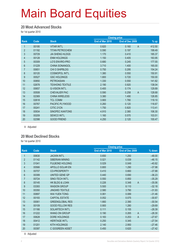#### **20 Most Advanced Stocks**

for 1st quarter 2010

|                |       |                        | <b>Closing price</b> |                 |                          |
|----------------|-------|------------------------|----------------------|-----------------|--------------------------|
| Rank           | Code  | <b>Stock</b>           | End of Mar 2010      | End of Dec 2009 | $%$ up                   |
| 1              | 00195 | <b>VITAR INT'L</b>     | 0.820                | 0.160           | $\mathsf{A}$<br>412.50   |
| $\overline{2}$ | 01192 | <b>TITAN PETROCHEM</b> | 0.590                | 0.197           | 199.49                   |
| 3              | 00729 | <b>JIA SHENG HLDGS</b> | 1.170                | 0.410           | 185.37                   |
| 4              | 00128 | <b>ENM HOLDINGS</b>    | 1.150                | 0.405           | 183.95                   |
| $\overline{5}$ | 00309 | LO'S ENVIRO-PRO        | 0.680                | 0.245           | 177.55                   |
| 6              | 01229 | <b>CHINA SONANGOL</b>  | 3.710                | 1.400           | 165.00                   |
| $\overline{7}$ | 00651 | <b>CHI O SHIPBLDG</b>  | 0.750                | 0.295           | 154.24                   |
| 8              | 00120 | <b>COSMOPOL INT'L</b>  | 1.380                | 0.550           | 150.91                   |
| 9              | 00527 | <b>GSC HOLDINGS</b>    | 1.800                | 0.720           | 150.00                   |
| 10             | 00850 | <b>PETROASIAN</b>      | 1.330                | 0.550           | 141.82                   |
| 11             | 02678 | <b>TEXHONG TEXTILE</b> | 2.190                | 0.920           | 138.04                   |
| 12             | 00657 | <b>G-VISION INT'L</b>  | 0.400                | 0.174           | 129.89                   |
| 13             | 00508 | <b>CHEVALIER PAC</b>   | 0.590                | 0.258           | $\overline{A}$<br>128.68 |
| 14             | 02369 | <b>CHINA WIRELESS</b>  | 3.380                | 1.490           | 126.85                   |
| 15             | 02618 | <b>TCL COMM</b>        | 3.900                | 1.780           | 119.10                   |
| 16             | 00767 | PACIFIC PLYWOOD        | 0.260                | 0.120           | 116.67                   |
| 17             | 00241 | CITIC 21CN             | 1.750                | 0.820           | 113.41                   |
| 18             | 00934 | <b>SINOPEC KANTONS</b> | 4.910                | 2.380           | 106.30                   |
| 19             | 00209 | <b>SEWCO INT'L</b>     | 1.160                | 0.570           | 103.51                   |
| 20             | 02398 | <b>GOOD FRIEND</b>     | 4.250                | 2.120           | 100.47                   |

A Adjusted

#### **20 Most Declined Stocks**

for 1st quarter 2010

|                |       |                           | <b>Closing price</b> |                         |          |
|----------------|-------|---------------------------|----------------------|-------------------------|----------|
| Rank           | Code  | <b>Stock</b>              | End of Mar 2010      | End of Dec 2009         | % down   |
| $\mathbf{1}$   | 00630 | <b>JACKIN INT'L</b>       | 0.650                | 1.250                   | $-48.00$ |
| $\overline{2}$ | 01142 | <b>SIBERIAN MINING</b>    | 0.021                | 0.039                   | $-46.15$ |
| 3              | 01041 | <b>FULBOND HOLDING</b>    | 0.029                | 0.049                   | $-40.82$ |
| $\overline{4}$ | 00566 | APOLLO SOLAR EN           | 0.800                | 1.290                   | $-37.98$ |
| $\overline{5}$ | 00707 | <b>CO-PROSPERITY</b>      | 0.410                | 0.660                   | $-37.88$ |
| 6              | 00399 | UNITED GENE GP            | 0.440                | 0.690                   | $-36.23$ |
| $\overline{7}$ | 00724 | SINO-TECH INT'L           | 0.550                | 0.850                   | $-35.29$ |
| 8              | 00145 | <b>HK BLDG &amp; LOAN</b> | 0.226                | 0.348<br>$\overline{A}$ | $-35.06$ |
| 9              | 03393 | <b>WASION GROUP</b>       | 5.500                | 8.110                   | $-32.18$ |
| 10             | 00350 | <b>JINGWEI TEXTILE</b>    | 2.580                | 3.790                   | $-31.93$ |
| 11             | 00897 | <b>WAI YUEN TONG</b>      | 0.061                | 0.089                   | $-31.46$ |
| 12             | 00193 | <b>CAPITAL ESTATE</b>     | 0.052                | 0.075                   | $-30.67$ |
| 13             | 00061 | <b>GREENGLOBAL RES</b>    | 1.660                | 2.390                   | $-30.54$ |
| 14             | 00109 | <b>GOOD FELLOW RES</b>    | 0.900                | 1.280                   | $-29.69$ |
| 15             | 01166 | SOLARTECH INT'L           | 0.111                | 0.155                   | $-28.39$ |
| 16             | 01222 | <b>WANG ON GROUP</b>      | 0.190                | $\overline{A}$<br>0.265 | $-28.30$ |
| 17             | 00628 | DORE HOLDINGS             | 0.183                | 0.253<br>A              | $-27.67$ |
| 18             | 00412 | <b>HERITAGE INT'L</b>     | 0.250                | 0.345                   | $-27.54$ |
| 19             | 01201 | <b>KITH HOLDINGS</b>      | 2.140                | 2.950                   | $-27.46$ |
| 20             | 00397 | C GOGREEN ASSET           | 0.450                | 0.620                   | $-27.42$ |
|                |       |                           |                      |                         |          |

A Adjusted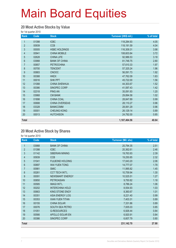#### **20 Most Active Stocks by Value**

for 1st quarter 2010

| Rank           | Code  | <b>Stock</b>         | Turnover (HK\$ mil.) | % of total |
|----------------|-------|----------------------|----------------------|------------|
| 1              | 01398 | <b>ICBC</b>          | 118,284.93           | 4.05       |
| $\overline{2}$ | 00939 | <b>CCB</b>           | 118,191.59           | 4.04       |
| 3              | 00005 | <b>HSBC HOLDINGS</b> | 116,309.31           | 3.98       |
| 4              | 00941 | <b>CHINA MOBILE</b>  | 108,603.84           | 3.72       |
| $\overline{5}$ | 02628 | <b>CHINA LIFE</b>    | 92,986.53            | 3.18       |
| 6              | 03988 | <b>BANK OF CHINA</b> | 81,748.75            | 2.80       |
| $\overline{7}$ | 00857 | <b>PETROCHINA</b>    | 57,610.33            | 1.97       |
| 8              | 00700 | <b>TENCENT</b>       | 57,325.24            | 1.96       |
| 9              | 00883 | <b>CNOOC</b>         | 56,091.73            | 1.92       |
| 10             | 00388 | <b>HKEX</b>          | 47,762.09            | 1.63       |
| 11             | 00016 | <b>SHK PPT</b>       | 45,722.00            | 1.56       |
| 12             | 01088 | <b>CHINA SHENHUA</b> | 44,303.67            | 1.52       |
| 13             | 00386 | SINOPEC CORP         | 41,597.43            | 1.42       |
| 14             | 02318 | <b>PING AN</b>       | 35,091.93            | 1.20       |
| 15             | 03968 | <b>CM BANK</b>       | 29,894.58            | 1.02       |
| 16             | 01898 | <b>CHINA COAL</b>    | 28,847.89            | 0.99       |
| 17             | 00688 | CHINA OVERSEAS       | 28,110.27            | 0.96       |
| 18             | 03328 | <b>BANKCOMM</b>      | 28,061.29            | 0.96       |
| 19             | 00001 | <b>CHEUNG KONG</b>   | 26,129.14            | 0.89       |
| 20             | 00013 | <b>HUTCHISON</b>     | 24,792.00            | 0.85       |
| <b>Total</b>   |       |                      | 1,187,464.56         | 40.64      |

#### **20 Most Active Stock by Shares**

| Rank           | Code  | <b>Stock</b>           | <b>Turnover (Mil. shs)</b> | % of total |
|----------------|-------|------------------------|----------------------------|------------|
| 1              | 03988 | <b>BANK OF CHINA</b>   | 20,794.35                  | 2.51       |
| $\overline{2}$ | 01398 | <b>ICBC</b>            | 20,362.61                  | 2.46       |
| 3              | 01142 | <b>SIBERIAN MINING</b> | 19,763.93                  | 2.39       |
| 4              | 00939 | <b>CCB</b>             | 19,250.85                  | 2.32       |
| 5              | 01041 | <b>FULBOND HOLDING</b> | 17,043.20                  | 2.06       |
| 6              | 00897 | <b>WAI YUEN TONG</b>   | 14,777.07                  | 1.78       |
| $\overline{7}$ | 00981 | <b>SMIC</b>            | 11,995.82                  | 1.45       |
| 8              | 00261 | <b>CCT TECH INT'L</b>  | 10,759.94                  | 1.30       |
| 9              | 00091 | <b>NEWSMART ENERGY</b> | 10,525.51                  | 1.27       |
| 10             | 00850 | <b>PETROASIAN</b>      | 9,750.82                   | 1.18       |
| 11             | 00585 | <b>IMAGI INT'L</b>     | 8,786.24                   | 1.06       |
| 12             | 00202 | <b>INTERCHINA HOLD</b> | 8,554.93                   | 1.03       |
| 13             | 00663 | <b>KING STONE ENGY</b> | 8,360.67                   | 1.01       |
| 14             | 00351 | ASIA ENERGY LOG        | 8,221.40                   | 0.99       |
| 15             | 00353 | <b>XIAN YUEN TITAN</b> | 7,403.31                   | 0.89       |
| 16             | 00155 | <b>CHINA SOLAR</b>     | 7,331.86                   | 0.89       |
| 17             | 00076 | SOUTH SEA PETRO        | 7,005.03                   | 0.85       |
| 18             | 01051 | <b>G-RESOURCES</b>     | 6,926.44                   | 0.84       |
| 19             | 00566 | APOLLO SOLAR EN        | 6,920.91                   | 0.84       |
| 20             | 00386 | SINOPEC CORP           | 6,607.79                   | 0.80       |
| <b>Total</b>   |       |                        | 231,142.70                 | 27.90      |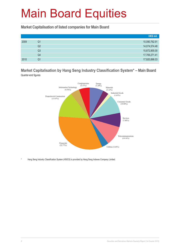**Market Capitalisation of listed companies for Main Board**

|      |                | HK\$ mil.     |
|------|----------------|---------------|
| 2009 | Q1             | 10,080,762.91 |
|      | Q2             | 14,074,574.48 |
|      | Q <sub>3</sub> | 15,872,855.00 |
|      | Q4             | 17,769,271.41 |
| 2010 | Q1             | 17,920,896.03 |

**Market Capitalisation by Hang Seng Industry Classification System\* – Main Board** Quarter-end figures



Hang Seng Industry Classification System (HSICS) is provided by Hang Seng Indexes Company Limited.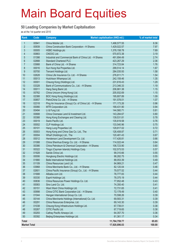#### **50 Leading Companies by Market Capitalisation**

as at the 1st quarter end 2010

| Rank                    | Code           | <b>Company</b>                                                    | <b>Market capitalisation (HK\$ mil.)</b> | % of market total |
|-------------------------|----------------|-------------------------------------------------------------------|------------------------------------------|-------------------|
| $\mathbf{1}$            | 00941          | China Mobile Ltd.                                                 | 1,498,577.55                             | 8.36              |
| $\overline{2}$          | 00939          | China Construction Bank Corporation - H Shares                    | 1,429,022.57                             | 7.97              |
| $\mathfrak{S}$          | 00005          | <b>HSBC Holdings plc</b>                                          | 1,378,158.78                             | 7.69              |
| $\overline{\mathbf{4}}$ | 00883          | CNOOC Ltd.                                                        | 570,872.38                               | 3.19              |
| 5                       | 01398          | Industrial and Commercial Bank of China Ltd. - H Shares           | 491,694.49                               | 2.74              |
| $6\,$                   | 02888          | <b>Standard Chartered PLC</b>                                     | 423,267.29                               | 2.36              |
| $\overline{7}$          | 03988          | Bank of China Ltd. - H Shares                                     | 314,723.84                               | 1.76              |
| 8                       | 00016          | Sun Hung Kai Properties Ltd.                                      | 299,514.14                               | 1.67              |
| 9                       | 00700          | Tencent Holdings Ltd.                                             | 284,035.93                               | 1.58              |
| 10                      | 02628          | China Life Insurance Co. Ltd. - H Shares                          | 276,811.71                               | 1.54              |
| 11                      | 00013          | Hutchison Whampoa Ltd.                                            | 242,159.46                               | 1.35              |
| 12                      | 00001          | Cheung Kong (Holdings) Ltd.                                       | 231,616.43                               | 1.29              |
| 13                      | 03328          | Bank of Communications Co., Ltd. - H Shares                       | 213,346.33                               | 1.19              |
| 14                      | 00011          | Hang Seng Bank Ltd.                                               | 206,861.38                               | 1.15              |
| 15                      | 00762          | China Unicom (Hong Kong) Ltd.                                     | 205,932.69                               | 1.15              |
| 16                      | 02388          | BOC Hong Kong (Holdings) Ltd.                                     | 195,807.89                               | 1.09              |
| 17                      | 00857          | PetroChina Co. Ltd. - H Shares                                    | 191,578.01                               | 1.07              |
| 18                      | 02318          | Ping An Insurance (Group) Co. of China Ltd. - H Shares            | 171,173.26                               | 0.96              |
| 19                      | 00066          | MTR Corporation Ltd.                                              | 168,431.90                               | 0.94              |
| 20                      | 00494          | Li & Fung Ltd.                                                    | 144,560.71                               | 0.81              |
| 21                      | 00688          | China Overseas Land & Investment Ltd.                             | 143,284.67                               | 0.80              |
| 22                      | 00388          | Hong Kong Exchanges and Clearing Ltd.                             | 139,531.81                               | 0.78              |
| 23                      | 00019          | Swire Pacific Ltd.                                                | 135,619.58                               | 0.76              |
| 24                      | 00002          | CLP Holdings Ltd.                                                 | 133,540.96                               | 0.75              |
| 25                      | 00101          | Hang Lung Properties Ltd.                                         | 129,817.02                               | 0.72              |
| 26<br>27                | 00003<br>00004 | Hong Kong and China Gas Co. Ltd., The                             | 126,408.87                               | 0.71<br>0.67      |
| 28                      | 00012          | Wharf (Holdings) Ltd., The<br>Henderson Land Development Co. Ltd. | 120,481.43<br>117,426.81                 | 0.66              |
| 29                      | 01088          | China Shenhua Energy Co. Ltd. - H Shares                          | 114,022.44                               | 0.64              |
| 30                      | 00386          | China Petroleum & Chemical Corporation - H Shares                 | 106,723.90                               | 0.60              |
| 31                      | 00322          | Tingyi (Cayman Islands) Holdings Corp.                            | 102,573.53                               | 0.57              |
| 32                      | 01928          | Sands China Ltd.                                                  | 99,310.66                                | 0.55              |
| 33                      | 00006          | Hongkong Electric Holdings Ltd.                                   | 98,282.75                                | 0.55              |
| 34                      | 01880          | Belle International Holdings Ltd.                                 | 88,053.39                                | 0.49              |
| 35                      | 01109          | China Resources Land Ltd.                                         | 84,969.21                                | 0.47              |
| 36                      | 03968          | China Merchants Bank Co., Ltd. - H Shares                         | 82,120.04                                | 0.46              |
| 37                      | 02601          | China Pacific Insurance (Group) Co., Ltd. - H Shares              | 79,577.52                                | 0.44              |
| 38                      | 01688          | Alibaba.com Ltd.                                                  | 78,777.83                                | 0.44              |
| 39                      | 00330          | Esprit Holdings Ltd.                                              | 78,375.19                                | 0.44              |
| 40                      | 00836          | China Resources Power Holdings Co. Ltd.                           | 77,952.48                                | 0.43              |
| 41                      | 00083          | Sino Land Co. Ltd.                                                | 74,350.40                                | 0.41              |
| 42                      | 00151          | Want Want China Holdings Ltd.                                     | 72,731.65                                | 0.41              |
| 43                      | 00998          | China CITIC Bank Corporation Ltd. - H Shares                      | 72,178.49                                | 0.40              |
| 44                      | 01044          | Hengan International Group Co. Ltd.                               | 70,598.26                                | 0.39              |
| 45                      | 00144          | China Merchants Holdings (International) Co. Ltd.                 | 69,583.31                                | 0.39              |
| 46                      | 00291          | China Resources Enterprise, Ltd.                                  | 69,143.30                                | 0.39              |
| 47                      | 01038          | Cheung Kong Infrastructure Holdings Ltd.                          | 67,739.01                                | 0.38              |
| 48                      | 00267          | CITIC Pacific Ltd.                                                | 67,719.65                                | 0.38              |
| 49                      | 00293          | Cathay Pacific Airways Ltd.                                       | 64,357.70                                | 0.36              |
| 50                      | 00392          | Beijing Enterprises Holdings Ltd.                                 | 61,361.17                                | 0.34              |
| <b>Total</b>            |                |                                                                   | 11,764,759.77                            | 65.65             |
| <b>Market Total</b>     |                |                                                                   | 17,920,896.03                            | 100.00            |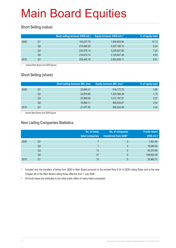#### **Short Selling (value)**

|      |    | Short selling turnover (HK\$ mil.) | Equity turnover (HK\$ mil.) * | % of equity total |
|------|----|------------------------------------|-------------------------------|-------------------|
| 2009 | Q1 | 193,237.79                         | 1,906,905.94                  | 10.13             |
|      | Q2 | 210,086.20                         | 3,367,168.10                  | 6.24              |
|      | Q3 | 234,578.14                         | 3,239,927.90                  | 7.24              |
|      | Q4 | 216,473.14                         | 3,125,947.48                  | 6.93              |
| 2010 | Ο1 | 254,445.78                         | 2,953,639.11                  | 8.61              |

include Main Board and GEM figures

#### **Short Selling (share)**

|      |    | <b>Short selling turnover (Mil. shs)</b> | Equity turnover (Mil. shs) * | % of equity total |
|------|----|------------------------------------------|------------------------------|-------------------|
| 2009 | Q1 | 23,846.47                                | 618,173.72                   | 3.86              |
|      | Q2 | 22,870.86                                | 1,305,366.29                 | 1.75              |
|      | Q3 | 20,969.48                                | 1,012,187.21                 | 2.07              |
|      | Q4 | 19,660.11                                | 965,635.67                   | 2.04              |
| 2010 | Q1 | 21,677.84                                | 926,224.94                   | 2.34              |

include Main Board and GEM figures

#### **New Listing Companies Statistics**

|      |                | No. of newly<br>listed companies | No. of companies<br>transferred from GEM* | <b>Funds raised</b><br>(HK\$ mil.) $#$ |
|------|----------------|----------------------------------|-------------------------------------------|----------------------------------------|
| 2009 | Q1             |                                  |                                           | 1,561.65                               |
|      | Q <sub>2</sub> |                                  | 4                                         | 16,085.94                              |
|      | Q <sub>3</sub> | 13                               | 0                                         | 45,370.96                              |
|      | Q4             | 37                               |                                           | 184,852.28                             |
| 2010 | Q1             | 13                               |                                           | 33,962.31                              |

Included only the transfers of listing from GEM to Main Board pursuant to the revised Rule 9.24 of GEM Listing Rules and to the new Chapter 9A of the Main Board Listing Rules effective from 1 July 2008

# All funds raised are attributed to the initial public offers of newly listed companies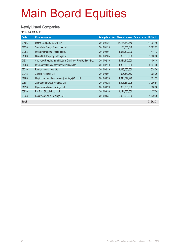#### **Newly Listed Companies**

| Code         | <b>Company name</b>                                         |            |                | Listing date No. of issued shares Funds raised (HK\$ mil.) |
|--------------|-------------------------------------------------------------|------------|----------------|------------------------------------------------------------|
| 00486        | United Company RUSAL Plc                                    | 2010/01/27 | 15,136,363,646 | 17,391.16                                                  |
| 01878        | SouthGobi Energy Resources Ltd.                             | 2010/01/29 | 183,658,648    | 3,062.77                                                   |
| 00953        | Meike International Holdings Ltd.                           | 2010/02/01 | 1,037,500,000  | 411.13                                                     |
| 01966        | China SCE Property Holdings Ltd.                            | 2010/02/05 | 2,853,200,000  | 1,560.00                                                   |
| 01938        | Chu Kong Petroleum and Natural Gas Steel Pipe Holdings Ltd. | 2010/02/10 | 1,011,142,000  | 1,400.14                                                   |
| 01683        | International Mining Machinery Holdings Ltd.                | 2010/02/10 | 1,300,000,000  | 2,537.60                                                   |
| 02010        | Ruinian International Ltd.                                  | 2010/02/19 | 1,045,000,000  | 1,035.00                                                   |
| 00948        | Z-Obee Holdings Ltd.                                        | 2010/03/01 | 595,573,662    | 205.20                                                     |
| 01280        | Huiyin Household Appliances (Holdings) Co., Ltd.            | 2010/03/25 | 1,048,342,290  | 621.53                                                     |
| 00881        | Zhongsheng Group Holdings Ltd.                              | 2010/03/26 | 1,908,481,295  | 3,290.84                                                   |
| 01998        | Flyke International Holdings Ltd.                           | 2010/03/29 | 800,000,000    | 380.00                                                     |
| 00830        | Far East Global Group Ltd.                                  | 2010/03/30 | 1,121,750,000  | 427.04                                                     |
| 00923        | Fook Woo Group Holdings Ltd.                                | 2010/03/31 | 2,093,000,000  | 1,639.90                                                   |
| <b>Total</b> |                                                             |            |                | 33,962.31                                                  |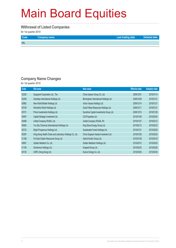#### **Withrawal of Listed Companies**

for 1st quarter 2010

| Code       | Company name | Last trading date | Delisted date |
|------------|--------------|-------------------|---------------|
| <b>NIL</b> |              |                   |               |

#### **Company Name Changes**

| Code  | Old name                                                | New name                                | <b>Effective date</b> | <b>Adoption date</b> |
|-------|---------------------------------------------------------|-----------------------------------------|-----------------------|----------------------|
| 02330 | Quaypoint Corporation Ltd., The                         | China Uptown Group Co. Ltd.             | 2009/12/01            | 2010/01/14           |
| 02309 | Grandtop International Holdings Ltd.                    | Birmingham International Holdings Ltd.  | 2009/12/09            | 2010/01/21           |
| 00862 | New World Mobile Holdings Ltd.                          | Vision Values Holdings Ltd.             | 2009/12/14            | 2010/01/21           |
| 00109 | Wonderful World Holdings Ltd.                           | Good Fellow Resources Holdings Ltd.     | 2009/12/11            | 2010/01/21           |
| 00721 | Prime Investments Holdings Ltd.                         | Sunshine Capital Investments Group Ltd. | 2009/12/10            | 2010/01/28           |
| 00497 | Capital Strategic Investment Ltd.                       | CSI Properties Ltd.                     | 2010/01/08            | 2010/02/04           |
| 00486 | United Company RUSAL Ltd.                               | United Company RUSAL Plc                | 2010/01/27            | 2010/02/12           |
| 00663 | Yun Sky Chemical (International) Holdings Ltd.          | King Stone Energy Group Ltd.            | 2010/02/12            | 2010/02/23           |
| 00723 | Bright Prosperous Holdings Ltd.                         | Sustainable Forest Holdings Ltd.        | 2010/01/21            | 2010/02/26           |
| 00397 | Hong Kong Health Check and Laboratory Holdings Co. Ltd. | China Gogreen Assets Investment Ltd.    | 2010/01/26            | 2010/03/03           |
| 01188 | Far East Golden Resources Group Ltd.                    | Hybrid Kinetic Group Ltd.               | 2010/01/29            | 2010/03/18           |
| 00801 | Golden Meditech Co. Ltd.                                | Golden Meditech Holdings Ltd.           | 2010/03/15            | 2010/03/25           |
| 01195 | Sinotronics Holdings Ltd.                               | Kingwell Group Ltd.                     | 2010/02/25            | 2010/03/26           |
| 00135 | CNPC (Hong Kong) Ltd.                                   | Kunlun Energy Co. Ltd.                  | 2010/03/05            | 2010/03/30           |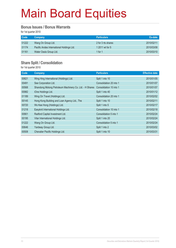#### **Bonus Issues / Bonus Warrants**

for 1st quarter 2010

| <b>Code</b> | <b>Company</b>                            | <b>Particulars</b> | Ex-date    |
|-------------|-------------------------------------------|--------------------|------------|
| 01222       | Wang On Group Ltd.                        | 2 for 3 rts shares | 2010/02/11 |
| 01174       | Pacific Andes International Holdings Ltd. | 1 2011 wt for 5    | 2010/03/08 |
| 01161       | Water Oasis Group Ltd.                    | 1 for 1            | 2010/03/10 |

#### **Share Split / Consolidation**

| Code  | Company                                                 | <b>Particulars</b>      | <b>Effective date</b> |
|-------|---------------------------------------------------------|-------------------------|-----------------------|
| 00621 | Wing Hing International (Holdings) Ltd.                 | Split 1 into 10         | 2010/01/05            |
| 00491 | See Corporation Ltd.                                    | Consolidation 20 into 1 | 2010/01/07            |
| 00568 | Shandong Molong Petroleum Machinery Co. Ltd. - H Shares | Consolidation 10 into 1 | 2010/01/07            |
| 00982 | iOne Holdings Ltd.                                      | Split 1 into 40         | 2010/01/12            |
| 01189 | Wing On Travel (Holdings) Ltd.                          | Consolidation 20 into 1 | 2010/02/02            |
| 00145 | Hong Kong Building and Loan Agency Ltd., The            | Split 1 into 10         | 2010/02/11            |
| 00720 | Wo Kee Hong (Holdings) Ltd.                             | Split 1 into 5          | 2010/02/17            |
| 01218 | Easyknit International Holdings Ltd.                    | Consolidation 10 into 1 | 2010/02/18            |
| 00901 | Radford Capital Investment Ltd.                         | Consolidation 5 into 1  | 2010/02/24            |
| 00195 | Vitar International Holdings Ltd.                       | Split 1 into 20         | 2010/02/24            |
| 01222 | Wang On Group Ltd.                                      | Consolidation 5 into 1  | 2010/02/24            |
| 00646 | Yardway Group Ltd.                                      | Split 1 into 2          | 2010/03/02            |
| 00508 | Chevalier Pacific Holdings Ltd.                         | Split 1 into 10         | 2010/03/31            |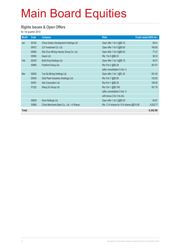#### **Rights Issues & Open Offers**

| <b>Month</b> | Code  | <b>Company</b>                            | <b>Ratio</b>                              | Funds raised (HK\$ mil.) |
|--------------|-------|-------------------------------------------|-------------------------------------------|--------------------------|
| Jan          | 00162 | China Golden Development Holdings Ltd.    | Open offer 1 for 2 @\$0.10                | 58.41                    |
|              | 00472 | JLF Investment Co. Ltd.                   | Open offer 1 for 5 @\$0.60                | 166.85                   |
|              | 00660 | Wai Chun Mining Industry Group Co. Ltd.   | Open offer 1 for 5 @\$0.03                | 77.27                    |
|              | 00952 | Quam Ltd.                                 | Rts 1 for 5 @\$0.23                       | 36.33                    |
| Feb          | 00240 | Build King Holdings Ltd.                  | Open offer 1 for 3 @\$0.15                | 46.57                    |
|              | 00885 | Forefront Group Ltd.                      | Rts 5 for 2 @\$0.28                       | 307.57                   |
|              |       |                                           | (after consolidation 5 into 1)            |                          |
| Mar          | 00629 | Yue Da Mining Holdings Ltd.               | Open offer 1 for 1 @\$1.20                | 391.04                   |
|              | 00040 | Gold Peak Industries (Holdings) Ltd.      | Rts 3 for 7 @\$0.65                       | 153.02                   |
|              | 00491 | See Corporation Ltd.                      | Rts 8 for 1 @\$0.20                       | 185.50                   |
|              | 01222 | Wang On Group Ltd.                        | Rts 3 for 1 @\$0.185                      | 301.78                   |
|              |       |                                           | (after consolidation 5 into 1)            |                          |
|              |       |                                           | with bonus 2 for 3 rts shs                |                          |
|              | 00628 | Dore Holdings Ltd.                        | Open offer 1 for 2 @\$0.20                | 92.87                    |
|              | 03968 | China Merchants Bank Co., Ltd. - H Shares | Rts 1.3 H shares for 10 H shares @\$10.06 | 4,525.77                 |
| <b>Total</b> |       |                                           |                                           | 6,342.98                 |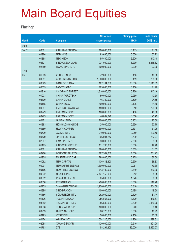#### **Placing\***

|              |                   |                                               | No. of new                | <b>Placing price</b> | <b>Funds raised</b> |
|--------------|-------------------|-----------------------------------------------|---------------------------|----------------------|---------------------|
| <b>Month</b> | $\overline{Code}$ | <b>Company</b>                                | shares placed             | (HK\$)               | (HK\$ mil.)         |
| 2009         |                   |                                               |                           |                      |                     |
| Dec**        | 00381             | KIU HUNG ENERGY                               | 100,000,000               | 0.415                | 41.50               |
|              | 00986             | <b>NAM HING</b>                               | 83,685,000                | 0.630                | 52.72               |
|              | 01868             | NEO-NEON                                      | 55,400,000                | 6.200                | 343.48              |
|              | 03377             | SINO-OCEAN LAND                               | 934,000,000               | 6.230                | 5,818.82            |
|              | 02389             | <b>WANG SING INT'L</b>                        | 100,000,000               | 0.230                | 23.00               |
| 2010         |                   |                                               |                           |                      |                     |
| Jan          | 01003             | 21 HOLDINGS                                   | 72,000,000                | 0.150                | 10.80               |
|              | 00351             | ASIA ENERGY LOG                               | 1,500,000,000             | 0.159                | 238.50              |
|              | 00023             | <b>BANK OF E ASIA</b>                         | 167,104,200               | 30.600               | 5,113.39            |
|              | 00039             | <b>BIO-DYNAMIC</b>                            | 103,000,000               | 0.400                | 41.20               |
|              | 00910             | CH GRAND FOREST                               | 1,316,000,000             | 0.260                | 342.16              |
|              | 01073             | CHINA AGROTECH                                | 50,000,000                | 0.950                | 47.50               |
|              | 03300             | <b>CHINA GLASS</b>                            | 46,330,000                | 0.530                | 24.55               |
|              | 00155             | <b>CHINA SOLAR</b>                            | 600,000,000               | 0.136                | 81.60               |
|              | 00887             | <b>EMPEROR WATCH&amp;J</b>                    | 450,000,000               | 0.510                | 229.50              |
|              | 00279             | <b>FREEMAN CORP</b>                           | 100,000,000               | 0.480                | 48.00               |
|              | 00279             | <b>FREEMAN CORP</b>                           | 46,892,699                | 0.550                | 25.79               |
|              | 00471             | <b>GLOBAL FLEX</b>                            | 200,000,000               | 0.103                | 20.60               |
|              | 01383             | <b>HONG LONG HLDGS</b>                        | 25,000,000                | 0.950                | 23.75               |
|              | 00559             | <b>HUA YI COPPER</b>                          | 390,000,000               | 0.131                | 51.09               |
|              | 00630             | <b>JACKIN INT'L</b>                           | 210,000,000               | 0.950                | 199.50              |
|              | 00729             | <b>JIA SHENG HLDGS</b>                        | 366,084,242               | 0.730                | 267.24              |
|              | 02307             | <b>KAM HING INT'L</b>                         | 30,000,000                | 2.300                | 69.00               |
|              | 01195             | KINGWELL GROUP                                | 111,793,000               | 0.380                | 42.48               |
|              | 00381             | KIU HUNG ENERGY                               | 180,000,000               | 0.339                | 61.02               |
|              | 00988             | <b>LOUDONG GN RES</b>                         | 167,502,000               | 1.500                | 251.25              |
|              | 00905             | <b>MASTERMIND CAP</b>                         | 288,000,000               | 0.125                | 36.00               |
|              | 01062             | <b>NEW CAPITAL</b>                            | 136,418,800               | 0.270                | 36.83               |
|              | 00091             | NEWSMART ENERGY                               | 1,300,000,000             | 0.061                | 79.30               |
|              | 00166             | <b>NEWTIMES ENERGY</b>                        | 743,100,000               | 0.310                | 230.36              |
|              | 00332             | <b>NGAI LIK IND</b>                           | 7,137,150,000             | 0.012                | 85.65               |
|              | 00632             | PEARL ORIENTAL                                | 65,000,000                | 1.020                | 66.30               |
|              | 00850             | <b>PETROASIAN</b>                             | 220,000,000               | 0.510                | 112.20              |
|              | 00755             | SHANGHAI ZENDAI                               | 1,950,000,000             | 0.310                | 604.50              |
|              | 00395             | SINO DRAGON                                   | 100,000,000               | 0.495                | 49.50               |
|              | 01166             | SOLARTECH INT'L                               | 262,000,000               | 0.120                | 31.44               |
|              | 01136             | <b>TCC INT'L HOLD</b>                         | 256,568,000               | 3.300                | 846.67              |
|              | 03382<br>00698    | <b>TIANJINPORT DEV</b><br><b>TONGDA GROUP</b> | 986,502,000               | 2.500                | 2,466.26<br>38.40   |
|              | 00913             | UNITY INV HOLD                                | 160,000,000<br>28,770,000 | 0.240                |                     |
|              |                   |                                               |                           | 0.380                | 10.93               |
|              | 00195<br>00474    | <b>VITAR INT'L</b><br><b>WINBOX INT'L</b>     | 20,000,000<br>554,216,000 | 2.150                | 43.00<br>698.31     |
|              | 02088             | <b>XIWANG SUGAR</b>                           | 120,000,000               | 1.260<br>2.510       | 301.20              |
|              |                   |                                               |                           |                      |                     |
|              | 00763             | <b>ZTE</b>                                    | 58,294,800                | 45.000               | 2,623.27            |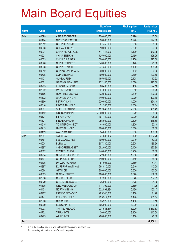|              |             |                            | No. of new    | <b>Placing price</b> | <b>Funds raised</b> |
|--------------|-------------|----------------------------|---------------|----------------------|---------------------|
| <b>Month</b> | <b>Code</b> | <b>Company</b>             | shares placed | (HK\$)               | $(HK$$ mil.)        |
| Feb          | 00899       | <b>ASIA RESOURCES</b>      | 250,000,000   | 0.190                | 47.50               |
|              | 01194       | C PRECIOUSMETAL            | 90,000,000    | 1.940                | 174.60              |
|              | 02312       | CH FIN LEASING             | 67,455,000    | 0.086                | 5.80                |
|              | 00508       | <b>CHEVALIER PAC</b>       | 10,000,000    | 2.300                | 23.00               |
|              | 00031       | CHINA AEROSPACE            | 514,118,000   | 1.130                | 580.95              |
|              | 00228       | <b>CHINA ENERGY</b>        | 725,000,000   | 0.450                | 326.25              |
|              | 00603       | CHINA OIL & GAS            | 500,000,000   | 1.250                | 625.00              |
|              | 00326       | <b>CHINA STAR ENT</b>      | 540,000,000   | 0.140                | 75.60               |
|              | 03838       | <b>CHINA STARCH</b>        | 277,340,000   | 1.400                | 388.28              |
|              | 00512       | CHINAGRANDPHARM            | 200,000,000   | 0.432                | 86.36               |
|              | 00705       | <b>CVM MINERALS</b>        | 360,000,000   | 0.360                | 129.60              |
|              | 00471       | <b>GLOBAL FLEX</b>         | 165,945,000   | 0.108                | 17.92               |
|              | 00061       | <b>GREENGLOBAL RES</b>     | 232,140,000   | 1.680                | 390.00              |
|              | 00295       | KONG SUN HOLD              | 60,400,000    | 0.400                | 24.16               |
|              | 02362       | <b>MACAU INV HOLD</b>      | 97,000,000    | 0.250                | 24.25               |
|              | 00166       | <b>NEWTIMES ENERGY</b>     | 322,582,000   | 0.310                | 100.00              |
|              | 01132       | ORANGE SKY G H             | 340,000,000   | 0.970                | 329.80              |
|              | 00850       | <b>PETROASIAN</b>          | 220,000,000   | 1.020                | 224.40              |
|              | 00310       | PROSP INV HOLD             | 21,300,000    | 1.800                | 38.34               |
|              | 00081       | SHELL ELECTRIC             | 157,045,368   | 2.900                | 455.43              |
|              | 01142       | SIBERIAN MINING            | 2,000,000,000 | 0.029                | 58.00               |
|              | 00171       | <b>SILVER GRANT</b>        | 364,140,000   | 2.000                | 728.28              |
|              | 01177       | <b>SINO BIOPHARM</b>       | 255,000,000   | 2.100                | 535.50              |
|              | 00515       | TC INTERCONNECT            | 48,000,000    | 1.300                | 62.40               |
|              | 00913       | <b>UNITY INV HOLD</b>      | 100,000,000   | 0.380                | 38.00               |
|              | 00159       | WAH NAM INT'L              | 334,000,000   | 0.900                | 300.60              |
| Mar          | 02357       | <b>AVICHINA</b>            | 334,633,402   | 3.400                | 1,137.75            |
|              | 00761       | <b>BEL GLOBAL RES</b>      | 300,000,000   | 0.210                | 63.00               |
|              | 00024       | <b>BURWILL</b>             | 307,380,000   | 0.605                | 185.96              |
|              | 00397       | C GOGREEN ASSET            | 552,000,000   | 0.400                | 220.80              |
|              | 00362       | C ZENITH CHEM              | 440,000,000   | 0.200                | 88.00               |
|              | 00794       | COME SURE GROUP            | 42,000,000    | 1.200                | 50.40               |
|              | 00707       | <b>CO-PROSPERITY</b>       | 110,000,000   | 0.410                | 45.10               |
|              | 00305       | DH WULING AUTO             | 84,008,000    | 0.850                | 71.41               |
|              | 00887       | <b>EMPEROR WATCH&amp;J</b> | 264,810,000   | 0.540                | 143.00              |
|              | 00064       | <b>GET NICE</b>            | 300,000,000   | 0.500                | 150.00              |
|              | 03889       | <b>GLOBAL SWEET</b>        | 100,000,000   | 1.890                | 189.00              |
|              | 02398       | <b>GOOD FRIEND</b>         | 67,200,000    | 3.540                | 237.89              |
|              | 00979       | <b>GREEN ENERGY GP</b>     | 36,000,000    | 0.675                | 24.30               |
|              | 01195       | KINGWELL GROUP             | 111,792,000   | 0.369                | 41.25               |
|              | 00433       | <b>NORTH MINING</b>        | 222,591,284   | 0.450                | 100.17              |
|              | 00767       | PACIFIC PLYWOOD            | 265,540,000   | 0.158                | 41.96               |
|              | 01141       | POLY DEV HOLD              | 425,912,000   | 1.140                | 485.54              |
|              | 02366       | <b>QJY MEDIA</b>           | 35,922,000    | 1.480                | 53.16               |
|              | 00209       | SEWCO INT'L                | 106,000,000   | 1.000                | 106.00              |
|              | 00903       | TPV TECHNOLOGY             | 234,583,614   | 5.200                | 1,219.83            |
|              | 00732       | <b>TRULY INT'L</b>         | 30,000,000    | 8.100                | 243.00              |
|              | 00273       | <b>WILLIE INT'L</b>        | 200,000,000   | 0.450                | 90.00               |
| <b>Total</b> |             |                            |               |                      | 32,606.11           |

\* Due to the reporting time-lag, placing figures for the quarter are provisional.

\*\* Supplementary information update for previous quarters.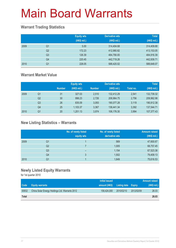#### **Warrant Trading Statistics**

|      |                | <b>Equity wts</b><br>(HK\$ mil.) | <b>Derivative wts</b><br>(HK\$ mil.) | <b>Total</b><br>(HK\$ mil.) |
|------|----------------|----------------------------------|--------------------------------------|-----------------------------|
| 2009 | Q <sub>1</sub> | 5.00                             | 314,404.68                           | 314,409.68                  |
|      | Q <sub>2</sub> | 172.23                           | 412,980.82                           | 413,153.05                  |
|      | Q <sub>3</sub> | 126.39                           | 484,790.00                           | 484,916.39                  |
|      | Q4             | 220.45                           | 442,719.26                           | 442,939.71                  |
| 2010 | Q <sub>1</sub> | 228.05                           | 588,420.02                           | 588,648.07                  |

#### **Warrant Market Value**

|      |                |               | <b>Equity wts</b> |               | <b>Derivative wts</b> |           | <b>Total</b> |
|------|----------------|---------------|-------------------|---------------|-----------------------|-----------|--------------|
|      |                | <b>Number</b> | (HK\$ mil.)       | <b>Number</b> | (HK\$ mil.)           | Total no. | (HK\$ mil.)  |
| 2009 | Q1             | 31            | 327.03            | 2.510         | 132,412.29            | 2.541     | 132,739.32   |
|      | Q <sub>2</sub> | 30            | 998.23            | 2.726         | 208,964.75            | 2,756     | 209,962.98   |
|      | Q3             | 26            | 835.09            | 3.093         | 190.077.28            | 3.119     | 190.912.38   |
|      | Q4             | 25            | 1,103.37          | 3.367         | 136,441.34            | 3,392     | 137,544.71   |
| 2010 | Q1             | 20            | 1,201.13          | 3.974         | 106,176.30            | 3,994     | 107,377.43   |

#### **New Listing Statistics – Warrants**

|      |                | No. of newly listed<br>equity wts | No. of newly listed<br>derivative wts | <b>Amount raised</b><br>(HK\$ mil.) |
|------|----------------|-----------------------------------|---------------------------------------|-------------------------------------|
| 2009 | Q1             |                                   | 569                                   | 47,600.67                           |
|      | Q <sub>2</sub> |                                   | 1,005                                 | 68,757.45                           |
|      | Q <sub>3</sub> | -                                 | 1,154                                 | 67,523.38                           |
|      | Q4             | 3                                 | 1,502                                 | 79,409.13                           |
| 2010 | Q1             |                                   | 1,649                                 | 75,616.53                           |

#### **Newly Listed Equity Warrants**

|              |                                                | Initial issued |                            |            | <b>Amount raised</b> |
|--------------|------------------------------------------------|----------------|----------------------------|------------|----------------------|
| Code         | <b>Equity warrants</b>                         | amount (HK\$)  | <b>Listing date Expiry</b> |            | (HK\$ mil.)          |
| 00932        | China Solar Energy Holdings Ltd. Warrants 2012 | 158.424.000    | 2010/02/10                 | 2012/02/09 | 26.03                |
| <b>Total</b> |                                                |                |                            |            | 26.03                |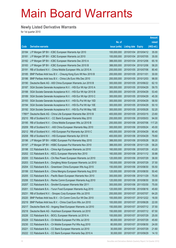#### **Newly Listed Derivative Warrants**

|       |                                                                   |               |                            |                       | <b>Amount</b> |
|-------|-------------------------------------------------------------------|---------------|----------------------------|-----------------------|---------------|
|       |                                                                   | No. of        |                            |                       | raised        |
| Code  | <b>Derivative warrants</b>                                        | issue (units) | <b>Listing date Expiry</b> |                       | (HK\$ mil.)   |
| 20184 | J P Morgan SP BV - ICBC European Warrants Apr 2010                | 100,000,000   | 2010/01/04                 | 2010/04/12            | 35.00         |
| 20181 | J P Morgan SP BV - ICBC European Warrants Jul 2010                | 100,000,000   |                            | 2010/01/04 2010/07/05 | 35.00         |
| 20182 | J P Morgan SP BV - ICBC European Warrants Dec 2010 A              | 388,000,000   |                            | 2010/01/04 2010/12/06 | 65.18         |
| 20183 | J P Morgan SP BV - ICBC European Warrants Dec 2010 B              | 388,000,000   |                            | 2010/01/04 2010/12/06 | 58.20         |
| 20191 | RB of Scotland N.V. - China Mobile European Wts Jul 2010 A        | 200,000,000   |                            | 2010/01/05 2010/07/06 | 80.40         |
| 20185 | BNP Paribas Arbit Issu B.V. - Cheung Kong Euro Wt Nov 2010 B      | 200,000,000   | 2010/01/05 2010/11/01      |                       | 30.00         |
| 20186 | BNP Paribas Arbit Issu B.V. - China Life Euro Wts Dec 2010        | 200,000,000   |                            | 2010/01/05 2010/12/03 | 98.00         |
| 20190 | Deutsche Bank AG - A50 China European Warrants Jun 2010 B         | 300,000,000   |                            | 2010/01/05 2010/06/22 | 62.10         |
| 20187 | SGA Societe Generale Acceptance N.V. - HSI Eur Wt Apr 2010 A      | 300,000,000   |                            | 2010/01/05 2010/04/29 | 59.70         |
| 20188 | SGA Societe Generale Acceptance N.V. - HSI Eur Wt Apr 2010 B      | 300,000,000   |                            | 2010/01/05 2010/04/29 | 53.40         |
| 20189 | SGA Societe Generale Acceptance N.V. - HSI Eur Wt Apr 2010 C      | 300,000,000   |                            | 2010/01/05 2010/04/29 | 45.30         |
| 20193 | SGA Societe Generale Acceptance N.V. - HSI Eu Put Wt Apr 10D      | 300,000,000   |                            | 2010/01/05 2010/04/29 | 58.50         |
| 20194 | SGA Societe Generale Acceptance N.V. - HSI Eu Put Wt Apr 10E      | 300,000,000   |                            | 2010/01/05 2010/04/29 | 50.10         |
| 20192 | SGA Societe Generale Acceptance N.V. - HSI Eu Put Wt May 10E      | 300,000,000   |                            | 2010/01/05 2010/05/28 | 52.20         |
|       | 17891# Deutsche Bank AG - China Life European Warrants Mar 2010 B | 400,000,000   |                            | 2010/01/05 2010/03/15 | 23.60         |
| 20210 | RB of Scotland N.V. - CC Bank European Warrants May 2010          | 200,000,000   |                            | 2010/01/06 2010/05/03 | 94.00         |
| 20195 | RB of Scotland N.V. - China Mobile European Wts Jul 2010 B        | 200,000,000   |                            | 2010/01/06 2010/07/06 | 117.20        |
| 20209 | RB of Scotland N.V. - A50 China European Warrants May 2010        | 300,000,000   |                            | 2010/01/06 2010/05/24 | 45.00         |
| 20212 | RB of Scotland N.V. - HSI European Put Warrants Apr 2010 C        | 400,000,000   |                            | 2010/01/06 2010/04/29 | 90.40         |
| 20208 | RB of Scotland N.V. - HSI European Warrants Apr 2010 B            | 400,000,000   |                            | 2010/01/06 2010/04/29 | 79.60         |
| 20196 | J P Morgan SP BV - HSBC European Put Warrants May 2010            | 388,000,000   |                            | 2010/01/06 2010/05/28 | 58.20         |
| 20197 | J P Morgan SP BV - HSBC European Put Warrants Nov 2010            | 388,000,000   |                            | 2010/01/06 2010/11/29 | 58.20         |
| 20198 | CC Rabobank B.A. - China Agri European Warrants Jul 2010          | 160,000,000   |                            | 2010/01/06 2010/07/29 | 43.20         |
| 20202 | CC Rabobank B.A. - KECL European Warrants Nov 2010                | 160,000,000   |                            | 2010/01/06 2010/11/12 | 30.88         |
| 20200 | CC Rabobank B.A. - Chi Res Power European Warrants Jul 2010       | 120,000,000   |                            | 2010/01/06 2010/07/29 | 36.00         |
| 20203 | CC Rabobank B.A. - Dongfeng Motor European Warrants Jul 2010      | 150,000,000   |                            | 2010/01/06 2010/07/29 | 37.50         |
| 20204 | CC Rabobank B.A. - Greentown China European Wts Aug 2010          | 150,000,000   |                            | 2010/01/06 2010/08/30 | 55.50         |
| 20199 | CC Rabobank B.A. - China Mengniu European Warrants Aug 2010       | 120,000,000   |                            | 2010/01/06 2010/08/30 | 50.40         |
| 20205 | CC Rabobank B.A. - Pacific Basin European Warrants Nov 2010       | 300,000,000   |                            | 2010/01/06 2010/11/29 | 75.00         |
| 20206 | CC Rabobank B.A. - Renhe Comm European Warrants Aug 2010          | 120,000,000   |                            | 2010/01/06 2010/08/30 | 30.00         |
| 20207 | CC Rabobank B.A. - Sinofert European Warrants Mar 2011            | 300,000,000   | 2010/01/06                 | 2011/03/30            | 75.00         |
| 20201 | CC Rabobank B.A. - Yurun Food European Warrants Aug 2010          | 120,000,000   |                            | 2010/01/06 2010/08/16 | 45.60         |
| 20231 | RB of Scotland N.V. - Sinopec Corp European Wts Jul 2010          | 200,000,000   |                            | 2010/01/07 2010/07/07 | 64.20         |
| 20220 | BNP Paribas Arbit Issu B.V. - Ch Comm Cons Eur Wt Dec 2010        | 100,000,000   |                            | 2010/01/07 2010/12/22 | 16.00         |
| 20219 | BNP Paribas Arbit Issu B.V. - China Coal Euro Wts Jun 2010        | 100,000,000   | 2010/01/07                 | 2010/06/28            | 22.00         |
| 20217 | Deutsche Bank AG - Angang Steel European Warrants Jul 2010        | 150,000,000   |                            | 2010/01/07 2010/07/12 | 37.50         |
| 20218 | Deutsche Bank AG - Hutchison European Warrants Jul 2010           | 150,000,000   | 2010/01/07                 | 2010/07/12            | 67.50         |
| 20226 | CC Rabobank B.A. - BOCL European Warrants Jul 2010 A              | 100,000,000   | 2010/01/07 2010/07/29      |                       | 25.00         |
| 20229 | CC Rabobank B.A. - Ch Mobile European Put Wts Jul 2010            | 80,000,000    | 2010/01/07                 | 2010/07/29            | 45.60         |
| 20230 | CC Rabobank B.A. - Ch Mobile European Put Wts Aug 2010            | 80,000,000    |                            | 2010/01/07 2010/08/30 | 24.00         |
| 20221 | CC Rabobank B.A. - CC Bank European Warrants Jul 2010             | 30,000,000    | 2010/01/07                 | 2010/07/29            | 21.60         |
| 20222 | CC Rabobank B.A. - CC Bank European Warrants Sep 2010 A           | 30,000,000    | 2010/01/07 2010/09/29      |                       | 14.10         |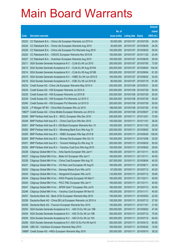|        |                                                              |               |                            |            | <b>Amount</b> |
|--------|--------------------------------------------------------------|---------------|----------------------------|------------|---------------|
|        |                                                              | No. of        |                            |            | raised        |
| Code   | <b>Derivative warrants</b>                                   | issue (units) | <b>Listing date Expiry</b> |            | (HK\$ mil.)   |
| 20223  | CC Rabobank B.A. - China Life European Warrants Jul 2010 A   | 50,000,000    | 2010/01/07 2010/07/29      |            | 24.00         |
| 20224  | CC Rabobank B.A. - China Life European Warrants Aug 2010     | 50,000,000    | 2010/01/07 2010/08/30      |            | 24.00         |
| 20228  | CC Rabobank B.A. - China Life European Put Warrants Aug 2010 | 100,000,000   | 2010/01/07 2010/08/30      |            | 55.00         |
| 20225  | CC Rabobank B.A. - CNOOC European Warrants Nov 2010 B        | 150,000,000   | 2010/01/07 2010/11/22      |            | 24.45         |
| 20227  | CC Rabobank B.A. - Hutchison European Warrants Aug 2010      | 100,000,000   | 2010/01/07 2010/08/30      |            | 55.00         |
| 20211  | SGA Societe Generale Acceptance N.V. - CLife Eu Wt Jul 2010  | 200,000,000   | 2010/01/07 2010/07/05      |            | 73.00         |
| 20213  | SGA Societe Generale Acceptance N.V. - CLife Eu Wt Aug 2010A | 200,000,000   | 2010/01/07 2010/08/04      |            | 104.00        |
| 20214  | SGA Societe Generale Acceptance N.V. - CLife Eu Wt Aug 2010B | 200,000,000   | 2010/01/07 2010/08/04      |            | 61.00         |
| 20215  | SGA Societe Generale Acceptance N.V. - HSBC Eu Wt Jun 2010 E | 100,000,000   | 2010/01/07 2010/06/02      |            | 24.00         |
| 20216  | SGA Societe Generale Acceptance N.V. - ICBC Eu Wt Jul 2010 B | 80,000,000    | 2010/01/07 2010/07/19      |            | 61.60         |
| 20233  | Credit Suisse AG - China Life European Warrants May 2010 A   | 200,000,000   | 2010/01/08 2010/05/31      |            | 30.00         |
| 20234  | Credit Suisse AG - HSI European Warrants Jul 2010 A          | 200,000,000   | 2010/01/08 2010/07/29      |            | 50.00         |
| 20235  | Credit Suisse AG - HSI European Warrants Jul 2010 B          | 200,000,000   | 2010/01/08 2010/07/29      |            | 50.00         |
| 20239  | Credit Suisse AG - HSI European Put Warrants Jul 2010 C      | 200,000,000   | 2010/01/08 2010/07/29      |            | 50.00         |
| 20240  | Credit Suisse AG - HSI European Put Warrants Jul 2010 D      | 200,000,000   | 2010/01/08 2010/07/29      |            | 50.00         |
| 20232  | J P Morgan SP BV - China Mob European Wts Jul 2010           | 188,000,000   | 2010/01/08 2010/07/26      |            | 47.00         |
| 19827# | Credit Suisse AG - China Mobile European Warrants Jun 2010 A | 200,000,000   | 2010/01/08 2010/06/07      |            | 21.80         |
| 20260  | BNP Paribas Arbit Issu B.V. - BOCL European Wts Dec 2010     | 200,000,000   | 2010/01/11 2010/12/01      |            | 72.00         |
| 20249  | BNP Paribas Arbit Issu B.V. - China Coal Euro Wts Nov 2010   | 100,000,000   | 2010/01/11                 | 2010/11/01 | 26.00         |
| 20261  | BNP Paribas Arbit Issu B.V.-CM Bank European Warrants Nov 10 | 100,000,000   | 2010/01/11                 | 2010/11/02 | 25.00         |
| 20262  | BNP Paribas Arbit Issu B.V. - Minsheng Bank Euro Wts Aug 10  | 200,000,000   | 2010/01/11                 | 2010/08/02 | 30.00         |
| 20250  | BNP Paribas Arbit Issu B.V. - HSBC European Wts Sep 2010 B   | 200,000,000   | 2010/01/11                 | 2010/09/30 | 136.00        |
| 20263  | BNP Paribas Arbit Issu B.V. - Shimao Ppt European Wts Oct 10 | 100,000,000   | 2010/01/11                 | 2010/10/06 | 25.00         |
| 20251  | BNP Paribas Arbit Issu B.V. - Tencent Holdings Eu Wts Aug 10 | 200,000,000   | 2010/01/11                 | 2010/08/30 | 50.00         |
| 20252  | BNP Paribas Arbit Issu B.V. - Yanzhou Coal Euro Wts Aug 2010 | 100,000,000   | 2010/01/11                 | 2010/08/02 | 29.00         |
| 20236  | Citigroup Global Mkt H Inc. - Anta Sports European Wts Jan11 | 160,000,000   | 2010/01/11                 | 2011/01/11 | 40.00         |
| 20237  | Citigroup Global Mkt H Inc. - Belle Int'l European Wts Jan11 | 160,000,000   | 2010/01/11                 | 2011/01/11 | 40.00         |
| 20238  | Citigroup Global Mkt H Inc. - China Coal European Wts Aug 10 | 267,000,000   | 2010/01/11                 | 2010/08/04 | 40.05         |
| 20241  | Citigroup Global Mkt H Inc. - Chi Res Land European Wt Aug10 | 160,000,000   | 2010/01/11                 | 2010/08/11 | 40.00         |
| 20242  | Citigroup Global Mkt H Inc. - Denway Motors Euro Wts Jul10   | 67,000,000    | 2010/01/11                 | 2010/07/12 | 40.20         |
| 20243  | Citigroup Global Mkt H Inc. - Henganintl European Wts Jul10  | 133,000,000   | 2010/01/11                 | 2010/07/12 | 39.90         |
| 20244  | Citigroup Global Mkt H Inc. - KWG Property European Wt Mar11 | 160,000,000   | 2010/01/11                 | 2011/03/11 | 40.00         |
| 20245  | Citigroup Global Mkt H Inc. - PICC P&C European Wts Jan11    | 160,000,000   | 2010/01/11                 | 2011/01/11 | 40.00         |
| 20247  | Citigroup Global Mkt H Inc. - SPDR Gold T European Wts Jul10 | 160,000,000   | 2010/01/11                 | 2010/07/12 | 40.00         |
| 20246  | Citigroup Global Mkt H Inc. - Yanzhou Coal European Wt Nov10 | 160,000,000   | 2010/01/11                 | 2010/11/11 | 40.00         |
| 20257  | Deutsche Bank AG - Bank of EA European Warrants May 2010     | 150,000,000   | 2010/01/11                 | 2010/05/03 | 22.50         |
| 20258  | Deutsche Bank AG - China EB Ltd European Warrants Jul 2010 A | 150,000,000   | 2010/01/11                 | 2010/07/12 | 37.50         |
| 20259  | Deutsche Bank AG - Foxconn European Warrants Nov 2010        | 150,000,000   | 2010/01/11                 | 2010/11/01 | 31.50         |
| 20253  | SGA Societe Generale Acceptance N.V. - A50 Ch Eu Wt Jun 10B  | 300,000,000   | 2010/01/11                 | 2010/06/02 | 47.40         |
| 20254  | SGA Societe Generale Acceptance N.V. - A50 Ch Eu Wt Jul 10B  | 300,000,000   | 2010/01/11                 | 2010/07/12 | 75.00         |
| 20255  | SGA Societe Generale Acceptance N.V. - A50 Ch Eu Wt Jul 10C  | 300,000,000   | 2010/01/11                 | 2010/07/12 | 64.50         |
| 20256  | SGA Societe Generale Acceptance N.V.-A50 Ch Eu Put Wt Apr10  | 300,000,000   | 2010/01/11                 | 2010/04/12 | 60.90         |
| 20248  | UBS AG - Hutchison European Warrants May 2010                | 100,000,000   | 2010/01/11                 | 2010/05/24 | 15.00         |
| 19888# | Credit Suisse AG - HKEx European Warrants May 2010           | 200,000,000   | 2010/01/11                 | 2010/05/10 | 38.20         |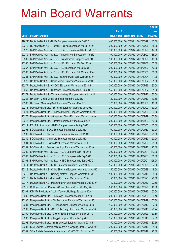| raised<br>No. of<br>(HK\$ mil.)<br>issue (units)<br><b>Derivative warrants</b><br><b>Listing date Expiry</b><br>Code<br>400,000,000<br>43.60<br>19021# Deutsche Bank AG - HKEx European Warrants Mar 2010 D<br>2010/01/11 2010/03/29<br>300,000,000<br>2010/01/12 2010/07/26<br>45.00<br>20272<br>RB of Scotland N.V. - Tencent Holdings European Wts Jul 2010<br>17.00<br>20278<br>BNP Paribas Arbit Issu B.V. - CHALCO European Wts Jun 2010 B<br>100,000,000<br>2010/01/12 2010/06/29<br>20279<br>2010/01/12 2010/08/02<br>38.00<br>BNP Paribas Arbit Issu B.V. - Angang Steel European Wt Aug10<br>100,000,000<br>20280<br>100,000,000<br>2010/01/12 2010/10/28<br>16.00<br>BNP Paribas Arbit Issu B.V. - China Unicom European Wt Oct10<br>52.00<br>20266<br>200,000,000<br>2010/01/12 2010/12/02<br>BNP Paribas Arbit Issu B.V. - HKEx European Wts Dec 2010<br>60.00<br>20267<br>BNP Paribas Arbit Issu B.V. - HKEx European Wts Jun 2011<br>200,000,000<br>2010/01/12 2011/06/02<br>20268<br>2010/01/12 2010/08/03<br>52.00<br>BNP Paribas Arbit Issu B.V. - HKEx European Put Wts Aug 10A<br>200,000,000<br>20281<br>BNP Paribas Arbit Issu B.V. - Yanzhou Coal Euro Wts Oct 2010<br>100,000,000<br>2010/01/12 2010/10/04<br>41.00<br>81.00<br>20270<br>2010/01/12 2010/06/22<br>Deutsche Bank AG - China Mobile European Warrants Jun 2010 D<br>150,000,000<br>30.00<br>20277<br>Deutsche Bank AG - CNOOC European Warrants Jul 2010 B<br>200,000,000<br>2010/01/12 2010/07/26<br>20269<br>2010/01/12 2010/06/07<br>31.50<br>Deutsche Bank AG - Hutchison European Warrants Jun 2010 A<br>150,000,000<br>20271<br>200,000,000<br>2010/01/12 2010/07/26<br>30.00<br>Deutsche Bank AG - Tencent Holdings European Warrants Jul 10<br>39.60<br>20264<br>2010/01/12 2010/07/12<br>HK Bank - China Mobile European Warrants Jul 2010<br>120,000,000<br>18.00<br>20265<br>HK Bank - Minsheng Bank European Warrants Mar 2011<br>120,000,000<br>2010/01/12 2011/03/30<br>20273<br>200,000,000<br>2010/01/12 2010/12/02<br>50.00<br>Macquarie Bank Ltd. - Belle Int'l European Warrants Dec 2010<br>200,000,000<br>2010/01/12 2010/07/29<br>50.00<br>20274<br>Macquarie Bank Ltd. - Chaoda Modern European Warrants Jul 10<br>50.80<br>20275<br>2010/01/12 2010/07/29<br>Macquarie Bank Ltd. - Greentown China European Warrants Jul10<br>200,000,000<br>50.00<br>20276<br>Macquarie Bank Ltd. - Sinofert European Warrants Jan 2011<br>200,000,000<br>2010/01/12 2011/01/03<br>20311<br>300,000,000<br>2010/01/13 2010/08/03<br>45.00<br>RB of Scotland N.V. - HKEx European Warrants Aug 2010<br>2010/01/13 2010/07/30<br>50.00<br>20293<br>BOCI Asia Ltd. - BOCL European Put Warrants Jul 2010<br>100,000,000<br>20290<br>25.00<br>BOCI Asia Ltd. - Ch Overseas European Warrants Jul 2010<br>100,000,000<br>2010/01/13 2010/07/23<br>50.00<br>20289<br>100,000,000<br>2010/01/13 2010/07/30<br>BOCI Asia Ltd. - China Life European Warrants Jul 2010<br>20291<br>100,000,000<br>2010/01/13 2010/07/30<br>25.00<br>BOCI Asia Ltd. - Shimao Ppt European Warrants Jul 2010<br>100,000,000<br>2010/01/13 2010/07/16<br>25.00<br>20292<br>BOCI Asia Ltd. - Tencent Holdings European Warrants Jul 2010<br>20309<br>BNP Paribas Arbit Issu B.V. - HSBC European Wts Feb 2011<br>200,000,000<br>2010/01/13 2011/02/01<br>142.00<br>BNP Paribas Arbit Issu B.V. - HSBC European Wts Sep 2011<br>200,000,000<br>2010/01/13 2011/09/01<br>50.00<br>20307<br>20308<br>BNP Paribas Arbit Issu B.V. - HSBC European Wts Sep 2010 C<br>200,000,000<br>2010/01/13 2010/09/01<br>156.00<br>20314<br>Deutsche Bank AG - KECL European Warrants Sep 2010 B<br>150,000,000<br>2010/01/13 2010/09/28<br>37.50<br>20313<br>Deutsche Bank AG - China Shenhua European Warrants May 2010<br>150,000,000<br>2010/01/13 2010/05/28<br>49.50<br>Deutsche Bank AG - Denway Motors European Warrants Jul 2010<br>100,000,000<br>85.00<br>20315<br>2010/01/13 2010/07/19<br>20316<br>Deutsche Bank AG - Lenovo European Warrants Jun 2010<br>22.50<br>150,000,000<br>2010/01/13 2010/06/21<br>22.50<br>20317<br>Deutsche Bank AG - Maanshan Iron European Warrants Dec 2010<br>150,000,000<br>2010/01/13 2010/12/30<br>20312<br>Goldman Sachs SP (Asia) - China Shenhua Euro Wts May 2010<br>200,000,000<br>2010/01/13 2010/05/28<br>40.00<br>20301<br>KBC Fin Products Int'l Ltd. - Tencent Holdings Eu Wt Jul 10A<br>200,000,000<br>50.00<br>2010/01/13 2010/07/15<br>Macquarie Bank Ltd. - China Agri European Warrants Jul 2010<br>200,000,000<br>50.40<br>20295<br>2010/01/13 2010/07/29<br>52.80<br>20296<br>Macquarie Bank Ltd. - Chi Resources European Warrants Jul 10<br>200,000,000<br>2010/01/13 2010/07/19<br>20294<br>Macquarie Bank Ltd. - C Transmission European Warrants Jul10<br>150,000,000<br>2010/01/13 2010/07/13<br>37.80<br>Macquarie Bank Ltd. - GCL-Poly Energy European Warrants Jul10<br>80,000,000<br>20.24<br>20299<br>2010/01/13 2010/07/13 |  |  | <b>Amount</b> |
|---------------------------------------------------------------------------------------------------------------------------------------------------------------------------------------------------------------------------------------------------------------------------------------------------------------------------------------------------------------------------------------------------------------------------------------------------------------------------------------------------------------------------------------------------------------------------------------------------------------------------------------------------------------------------------------------------------------------------------------------------------------------------------------------------------------------------------------------------------------------------------------------------------------------------------------------------------------------------------------------------------------------------------------------------------------------------------------------------------------------------------------------------------------------------------------------------------------------------------------------------------------------------------------------------------------------------------------------------------------------------------------------------------------------------------------------------------------------------------------------------------------------------------------------------------------------------------------------------------------------------------------------------------------------------------------------------------------------------------------------------------------------------------------------------------------------------------------------------------------------------------------------------------------------------------------------------------------------------------------------------------------------------------------------------------------------------------------------------------------------------------------------------------------------------------------------------------------------------------------------------------------------------------------------------------------------------------------------------------------------------------------------------------------------------------------------------------------------------------------------------------------------------------------------------------------------------------------------------------------------------------------------------------------------------------------------------------------------------------------------------------------------------------------------------------------------------------------------------------------------------------------------------------------------------------------------------------------------------------------------------------------------------------------------------------------------------------------------------------------------------------------------------------------------------------------------------------------------------------------------------------------------------------------------------------------------------------------------------------------------------------------------------------------------------------------------------------------------------------------------------------------------------------------------------------------------------------------------------------------------------------------------------------------------------------------------------------------------------------------------------------------------------------------------------------------------------------------------------------------------------------------------------------------------------------------------------------------------------------------------------------------------------------------------------------------------------------------------------------------------------------------------------------------------------------------------------------------------------------------------------------------------------------------------------------------------------------------------------------------------------------------------------------------------------------------------------------------------------------------------------------------------------------------------------------------------------------------------------------------------------------------------------------------------------------------------------------------------------------------------------------------------------------------------------------------------------------------------------------------------------------------------------------------------------------------------------------|--|--|---------------|
|                                                                                                                                                                                                                                                                                                                                                                                                                                                                                                                                                                                                                                                                                                                                                                                                                                                                                                                                                                                                                                                                                                                                                                                                                                                                                                                                                                                                                                                                                                                                                                                                                                                                                                                                                                                                                                                                                                                                                                                                                                                                                                                                                                                                                                                                                                                                                                                                                                                                                                                                                                                                                                                                                                                                                                                                                                                                                                                                                                                                                                                                                                                                                                                                                                                                                                                                                                                                                                                                                                                                                                                                                                                                                                                                                                                                                                                                                                                                                                                                                                                                                                                                                                                                                                                                                                                                                                                                                                                                                                                                                                                                                                                                                                                                                                                                                                                                                                                                                         |  |  |               |
|                                                                                                                                                                                                                                                                                                                                                                                                                                                                                                                                                                                                                                                                                                                                                                                                                                                                                                                                                                                                                                                                                                                                                                                                                                                                                                                                                                                                                                                                                                                                                                                                                                                                                                                                                                                                                                                                                                                                                                                                                                                                                                                                                                                                                                                                                                                                                                                                                                                                                                                                                                                                                                                                                                                                                                                                                                                                                                                                                                                                                                                                                                                                                                                                                                                                                                                                                                                                                                                                                                                                                                                                                                                                                                                                                                                                                                                                                                                                                                                                                                                                                                                                                                                                                                                                                                                                                                                                                                                                                                                                                                                                                                                                                                                                                                                                                                                                                                                                                         |  |  |               |
|                                                                                                                                                                                                                                                                                                                                                                                                                                                                                                                                                                                                                                                                                                                                                                                                                                                                                                                                                                                                                                                                                                                                                                                                                                                                                                                                                                                                                                                                                                                                                                                                                                                                                                                                                                                                                                                                                                                                                                                                                                                                                                                                                                                                                                                                                                                                                                                                                                                                                                                                                                                                                                                                                                                                                                                                                                                                                                                                                                                                                                                                                                                                                                                                                                                                                                                                                                                                                                                                                                                                                                                                                                                                                                                                                                                                                                                                                                                                                                                                                                                                                                                                                                                                                                                                                                                                                                                                                                                                                                                                                                                                                                                                                                                                                                                                                                                                                                                                                         |  |  |               |
|                                                                                                                                                                                                                                                                                                                                                                                                                                                                                                                                                                                                                                                                                                                                                                                                                                                                                                                                                                                                                                                                                                                                                                                                                                                                                                                                                                                                                                                                                                                                                                                                                                                                                                                                                                                                                                                                                                                                                                                                                                                                                                                                                                                                                                                                                                                                                                                                                                                                                                                                                                                                                                                                                                                                                                                                                                                                                                                                                                                                                                                                                                                                                                                                                                                                                                                                                                                                                                                                                                                                                                                                                                                                                                                                                                                                                                                                                                                                                                                                                                                                                                                                                                                                                                                                                                                                                                                                                                                                                                                                                                                                                                                                                                                                                                                                                                                                                                                                                         |  |  |               |
|                                                                                                                                                                                                                                                                                                                                                                                                                                                                                                                                                                                                                                                                                                                                                                                                                                                                                                                                                                                                                                                                                                                                                                                                                                                                                                                                                                                                                                                                                                                                                                                                                                                                                                                                                                                                                                                                                                                                                                                                                                                                                                                                                                                                                                                                                                                                                                                                                                                                                                                                                                                                                                                                                                                                                                                                                                                                                                                                                                                                                                                                                                                                                                                                                                                                                                                                                                                                                                                                                                                                                                                                                                                                                                                                                                                                                                                                                                                                                                                                                                                                                                                                                                                                                                                                                                                                                                                                                                                                                                                                                                                                                                                                                                                                                                                                                                                                                                                                                         |  |  |               |
|                                                                                                                                                                                                                                                                                                                                                                                                                                                                                                                                                                                                                                                                                                                                                                                                                                                                                                                                                                                                                                                                                                                                                                                                                                                                                                                                                                                                                                                                                                                                                                                                                                                                                                                                                                                                                                                                                                                                                                                                                                                                                                                                                                                                                                                                                                                                                                                                                                                                                                                                                                                                                                                                                                                                                                                                                                                                                                                                                                                                                                                                                                                                                                                                                                                                                                                                                                                                                                                                                                                                                                                                                                                                                                                                                                                                                                                                                                                                                                                                                                                                                                                                                                                                                                                                                                                                                                                                                                                                                                                                                                                                                                                                                                                                                                                                                                                                                                                                                         |  |  |               |
|                                                                                                                                                                                                                                                                                                                                                                                                                                                                                                                                                                                                                                                                                                                                                                                                                                                                                                                                                                                                                                                                                                                                                                                                                                                                                                                                                                                                                                                                                                                                                                                                                                                                                                                                                                                                                                                                                                                                                                                                                                                                                                                                                                                                                                                                                                                                                                                                                                                                                                                                                                                                                                                                                                                                                                                                                                                                                                                                                                                                                                                                                                                                                                                                                                                                                                                                                                                                                                                                                                                                                                                                                                                                                                                                                                                                                                                                                                                                                                                                                                                                                                                                                                                                                                                                                                                                                                                                                                                                                                                                                                                                                                                                                                                                                                                                                                                                                                                                                         |  |  |               |
|                                                                                                                                                                                                                                                                                                                                                                                                                                                                                                                                                                                                                                                                                                                                                                                                                                                                                                                                                                                                                                                                                                                                                                                                                                                                                                                                                                                                                                                                                                                                                                                                                                                                                                                                                                                                                                                                                                                                                                                                                                                                                                                                                                                                                                                                                                                                                                                                                                                                                                                                                                                                                                                                                                                                                                                                                                                                                                                                                                                                                                                                                                                                                                                                                                                                                                                                                                                                                                                                                                                                                                                                                                                                                                                                                                                                                                                                                                                                                                                                                                                                                                                                                                                                                                                                                                                                                                                                                                                                                                                                                                                                                                                                                                                                                                                                                                                                                                                                                         |  |  |               |
|                                                                                                                                                                                                                                                                                                                                                                                                                                                                                                                                                                                                                                                                                                                                                                                                                                                                                                                                                                                                                                                                                                                                                                                                                                                                                                                                                                                                                                                                                                                                                                                                                                                                                                                                                                                                                                                                                                                                                                                                                                                                                                                                                                                                                                                                                                                                                                                                                                                                                                                                                                                                                                                                                                                                                                                                                                                                                                                                                                                                                                                                                                                                                                                                                                                                                                                                                                                                                                                                                                                                                                                                                                                                                                                                                                                                                                                                                                                                                                                                                                                                                                                                                                                                                                                                                                                                                                                                                                                                                                                                                                                                                                                                                                                                                                                                                                                                                                                                                         |  |  |               |
|                                                                                                                                                                                                                                                                                                                                                                                                                                                                                                                                                                                                                                                                                                                                                                                                                                                                                                                                                                                                                                                                                                                                                                                                                                                                                                                                                                                                                                                                                                                                                                                                                                                                                                                                                                                                                                                                                                                                                                                                                                                                                                                                                                                                                                                                                                                                                                                                                                                                                                                                                                                                                                                                                                                                                                                                                                                                                                                                                                                                                                                                                                                                                                                                                                                                                                                                                                                                                                                                                                                                                                                                                                                                                                                                                                                                                                                                                                                                                                                                                                                                                                                                                                                                                                                                                                                                                                                                                                                                                                                                                                                                                                                                                                                                                                                                                                                                                                                                                         |  |  |               |
|                                                                                                                                                                                                                                                                                                                                                                                                                                                                                                                                                                                                                                                                                                                                                                                                                                                                                                                                                                                                                                                                                                                                                                                                                                                                                                                                                                                                                                                                                                                                                                                                                                                                                                                                                                                                                                                                                                                                                                                                                                                                                                                                                                                                                                                                                                                                                                                                                                                                                                                                                                                                                                                                                                                                                                                                                                                                                                                                                                                                                                                                                                                                                                                                                                                                                                                                                                                                                                                                                                                                                                                                                                                                                                                                                                                                                                                                                                                                                                                                                                                                                                                                                                                                                                                                                                                                                                                                                                                                                                                                                                                                                                                                                                                                                                                                                                                                                                                                                         |  |  |               |
|                                                                                                                                                                                                                                                                                                                                                                                                                                                                                                                                                                                                                                                                                                                                                                                                                                                                                                                                                                                                                                                                                                                                                                                                                                                                                                                                                                                                                                                                                                                                                                                                                                                                                                                                                                                                                                                                                                                                                                                                                                                                                                                                                                                                                                                                                                                                                                                                                                                                                                                                                                                                                                                                                                                                                                                                                                                                                                                                                                                                                                                                                                                                                                                                                                                                                                                                                                                                                                                                                                                                                                                                                                                                                                                                                                                                                                                                                                                                                                                                                                                                                                                                                                                                                                                                                                                                                                                                                                                                                                                                                                                                                                                                                                                                                                                                                                                                                                                                                         |  |  |               |
|                                                                                                                                                                                                                                                                                                                                                                                                                                                                                                                                                                                                                                                                                                                                                                                                                                                                                                                                                                                                                                                                                                                                                                                                                                                                                                                                                                                                                                                                                                                                                                                                                                                                                                                                                                                                                                                                                                                                                                                                                                                                                                                                                                                                                                                                                                                                                                                                                                                                                                                                                                                                                                                                                                                                                                                                                                                                                                                                                                                                                                                                                                                                                                                                                                                                                                                                                                                                                                                                                                                                                                                                                                                                                                                                                                                                                                                                                                                                                                                                                                                                                                                                                                                                                                                                                                                                                                                                                                                                                                                                                                                                                                                                                                                                                                                                                                                                                                                                                         |  |  |               |
|                                                                                                                                                                                                                                                                                                                                                                                                                                                                                                                                                                                                                                                                                                                                                                                                                                                                                                                                                                                                                                                                                                                                                                                                                                                                                                                                                                                                                                                                                                                                                                                                                                                                                                                                                                                                                                                                                                                                                                                                                                                                                                                                                                                                                                                                                                                                                                                                                                                                                                                                                                                                                                                                                                                                                                                                                                                                                                                                                                                                                                                                                                                                                                                                                                                                                                                                                                                                                                                                                                                                                                                                                                                                                                                                                                                                                                                                                                                                                                                                                                                                                                                                                                                                                                                                                                                                                                                                                                                                                                                                                                                                                                                                                                                                                                                                                                                                                                                                                         |  |  |               |
|                                                                                                                                                                                                                                                                                                                                                                                                                                                                                                                                                                                                                                                                                                                                                                                                                                                                                                                                                                                                                                                                                                                                                                                                                                                                                                                                                                                                                                                                                                                                                                                                                                                                                                                                                                                                                                                                                                                                                                                                                                                                                                                                                                                                                                                                                                                                                                                                                                                                                                                                                                                                                                                                                                                                                                                                                                                                                                                                                                                                                                                                                                                                                                                                                                                                                                                                                                                                                                                                                                                                                                                                                                                                                                                                                                                                                                                                                                                                                                                                                                                                                                                                                                                                                                                                                                                                                                                                                                                                                                                                                                                                                                                                                                                                                                                                                                                                                                                                                         |  |  |               |
|                                                                                                                                                                                                                                                                                                                                                                                                                                                                                                                                                                                                                                                                                                                                                                                                                                                                                                                                                                                                                                                                                                                                                                                                                                                                                                                                                                                                                                                                                                                                                                                                                                                                                                                                                                                                                                                                                                                                                                                                                                                                                                                                                                                                                                                                                                                                                                                                                                                                                                                                                                                                                                                                                                                                                                                                                                                                                                                                                                                                                                                                                                                                                                                                                                                                                                                                                                                                                                                                                                                                                                                                                                                                                                                                                                                                                                                                                                                                                                                                                                                                                                                                                                                                                                                                                                                                                                                                                                                                                                                                                                                                                                                                                                                                                                                                                                                                                                                                                         |  |  |               |
|                                                                                                                                                                                                                                                                                                                                                                                                                                                                                                                                                                                                                                                                                                                                                                                                                                                                                                                                                                                                                                                                                                                                                                                                                                                                                                                                                                                                                                                                                                                                                                                                                                                                                                                                                                                                                                                                                                                                                                                                                                                                                                                                                                                                                                                                                                                                                                                                                                                                                                                                                                                                                                                                                                                                                                                                                                                                                                                                                                                                                                                                                                                                                                                                                                                                                                                                                                                                                                                                                                                                                                                                                                                                                                                                                                                                                                                                                                                                                                                                                                                                                                                                                                                                                                                                                                                                                                                                                                                                                                                                                                                                                                                                                                                                                                                                                                                                                                                                                         |  |  |               |
|                                                                                                                                                                                                                                                                                                                                                                                                                                                                                                                                                                                                                                                                                                                                                                                                                                                                                                                                                                                                                                                                                                                                                                                                                                                                                                                                                                                                                                                                                                                                                                                                                                                                                                                                                                                                                                                                                                                                                                                                                                                                                                                                                                                                                                                                                                                                                                                                                                                                                                                                                                                                                                                                                                                                                                                                                                                                                                                                                                                                                                                                                                                                                                                                                                                                                                                                                                                                                                                                                                                                                                                                                                                                                                                                                                                                                                                                                                                                                                                                                                                                                                                                                                                                                                                                                                                                                                                                                                                                                                                                                                                                                                                                                                                                                                                                                                                                                                                                                         |  |  |               |
|                                                                                                                                                                                                                                                                                                                                                                                                                                                                                                                                                                                                                                                                                                                                                                                                                                                                                                                                                                                                                                                                                                                                                                                                                                                                                                                                                                                                                                                                                                                                                                                                                                                                                                                                                                                                                                                                                                                                                                                                                                                                                                                                                                                                                                                                                                                                                                                                                                                                                                                                                                                                                                                                                                                                                                                                                                                                                                                                                                                                                                                                                                                                                                                                                                                                                                                                                                                                                                                                                                                                                                                                                                                                                                                                                                                                                                                                                                                                                                                                                                                                                                                                                                                                                                                                                                                                                                                                                                                                                                                                                                                                                                                                                                                                                                                                                                                                                                                                                         |  |  |               |
|                                                                                                                                                                                                                                                                                                                                                                                                                                                                                                                                                                                                                                                                                                                                                                                                                                                                                                                                                                                                                                                                                                                                                                                                                                                                                                                                                                                                                                                                                                                                                                                                                                                                                                                                                                                                                                                                                                                                                                                                                                                                                                                                                                                                                                                                                                                                                                                                                                                                                                                                                                                                                                                                                                                                                                                                                                                                                                                                                                                                                                                                                                                                                                                                                                                                                                                                                                                                                                                                                                                                                                                                                                                                                                                                                                                                                                                                                                                                                                                                                                                                                                                                                                                                                                                                                                                                                                                                                                                                                                                                                                                                                                                                                                                                                                                                                                                                                                                                                         |  |  |               |
|                                                                                                                                                                                                                                                                                                                                                                                                                                                                                                                                                                                                                                                                                                                                                                                                                                                                                                                                                                                                                                                                                                                                                                                                                                                                                                                                                                                                                                                                                                                                                                                                                                                                                                                                                                                                                                                                                                                                                                                                                                                                                                                                                                                                                                                                                                                                                                                                                                                                                                                                                                                                                                                                                                                                                                                                                                                                                                                                                                                                                                                                                                                                                                                                                                                                                                                                                                                                                                                                                                                                                                                                                                                                                                                                                                                                                                                                                                                                                                                                                                                                                                                                                                                                                                                                                                                                                                                                                                                                                                                                                                                                                                                                                                                                                                                                                                                                                                                                                         |  |  |               |
|                                                                                                                                                                                                                                                                                                                                                                                                                                                                                                                                                                                                                                                                                                                                                                                                                                                                                                                                                                                                                                                                                                                                                                                                                                                                                                                                                                                                                                                                                                                                                                                                                                                                                                                                                                                                                                                                                                                                                                                                                                                                                                                                                                                                                                                                                                                                                                                                                                                                                                                                                                                                                                                                                                                                                                                                                                                                                                                                                                                                                                                                                                                                                                                                                                                                                                                                                                                                                                                                                                                                                                                                                                                                                                                                                                                                                                                                                                                                                                                                                                                                                                                                                                                                                                                                                                                                                                                                                                                                                                                                                                                                                                                                                                                                                                                                                                                                                                                                                         |  |  |               |
|                                                                                                                                                                                                                                                                                                                                                                                                                                                                                                                                                                                                                                                                                                                                                                                                                                                                                                                                                                                                                                                                                                                                                                                                                                                                                                                                                                                                                                                                                                                                                                                                                                                                                                                                                                                                                                                                                                                                                                                                                                                                                                                                                                                                                                                                                                                                                                                                                                                                                                                                                                                                                                                                                                                                                                                                                                                                                                                                                                                                                                                                                                                                                                                                                                                                                                                                                                                                                                                                                                                                                                                                                                                                                                                                                                                                                                                                                                                                                                                                                                                                                                                                                                                                                                                                                                                                                                                                                                                                                                                                                                                                                                                                                                                                                                                                                                                                                                                                                         |  |  |               |
|                                                                                                                                                                                                                                                                                                                                                                                                                                                                                                                                                                                                                                                                                                                                                                                                                                                                                                                                                                                                                                                                                                                                                                                                                                                                                                                                                                                                                                                                                                                                                                                                                                                                                                                                                                                                                                                                                                                                                                                                                                                                                                                                                                                                                                                                                                                                                                                                                                                                                                                                                                                                                                                                                                                                                                                                                                                                                                                                                                                                                                                                                                                                                                                                                                                                                                                                                                                                                                                                                                                                                                                                                                                                                                                                                                                                                                                                                                                                                                                                                                                                                                                                                                                                                                                                                                                                                                                                                                                                                                                                                                                                                                                                                                                                                                                                                                                                                                                                                         |  |  |               |
|                                                                                                                                                                                                                                                                                                                                                                                                                                                                                                                                                                                                                                                                                                                                                                                                                                                                                                                                                                                                                                                                                                                                                                                                                                                                                                                                                                                                                                                                                                                                                                                                                                                                                                                                                                                                                                                                                                                                                                                                                                                                                                                                                                                                                                                                                                                                                                                                                                                                                                                                                                                                                                                                                                                                                                                                                                                                                                                                                                                                                                                                                                                                                                                                                                                                                                                                                                                                                                                                                                                                                                                                                                                                                                                                                                                                                                                                                                                                                                                                                                                                                                                                                                                                                                                                                                                                                                                                                                                                                                                                                                                                                                                                                                                                                                                                                                                                                                                                                         |  |  |               |
|                                                                                                                                                                                                                                                                                                                                                                                                                                                                                                                                                                                                                                                                                                                                                                                                                                                                                                                                                                                                                                                                                                                                                                                                                                                                                                                                                                                                                                                                                                                                                                                                                                                                                                                                                                                                                                                                                                                                                                                                                                                                                                                                                                                                                                                                                                                                                                                                                                                                                                                                                                                                                                                                                                                                                                                                                                                                                                                                                                                                                                                                                                                                                                                                                                                                                                                                                                                                                                                                                                                                                                                                                                                                                                                                                                                                                                                                                                                                                                                                                                                                                                                                                                                                                                                                                                                                                                                                                                                                                                                                                                                                                                                                                                                                                                                                                                                                                                                                                         |  |  |               |
|                                                                                                                                                                                                                                                                                                                                                                                                                                                                                                                                                                                                                                                                                                                                                                                                                                                                                                                                                                                                                                                                                                                                                                                                                                                                                                                                                                                                                                                                                                                                                                                                                                                                                                                                                                                                                                                                                                                                                                                                                                                                                                                                                                                                                                                                                                                                                                                                                                                                                                                                                                                                                                                                                                                                                                                                                                                                                                                                                                                                                                                                                                                                                                                                                                                                                                                                                                                                                                                                                                                                                                                                                                                                                                                                                                                                                                                                                                                                                                                                                                                                                                                                                                                                                                                                                                                                                                                                                                                                                                                                                                                                                                                                                                                                                                                                                                                                                                                                                         |  |  |               |
|                                                                                                                                                                                                                                                                                                                                                                                                                                                                                                                                                                                                                                                                                                                                                                                                                                                                                                                                                                                                                                                                                                                                                                                                                                                                                                                                                                                                                                                                                                                                                                                                                                                                                                                                                                                                                                                                                                                                                                                                                                                                                                                                                                                                                                                                                                                                                                                                                                                                                                                                                                                                                                                                                                                                                                                                                                                                                                                                                                                                                                                                                                                                                                                                                                                                                                                                                                                                                                                                                                                                                                                                                                                                                                                                                                                                                                                                                                                                                                                                                                                                                                                                                                                                                                                                                                                                                                                                                                                                                                                                                                                                                                                                                                                                                                                                                                                                                                                                                         |  |  |               |
|                                                                                                                                                                                                                                                                                                                                                                                                                                                                                                                                                                                                                                                                                                                                                                                                                                                                                                                                                                                                                                                                                                                                                                                                                                                                                                                                                                                                                                                                                                                                                                                                                                                                                                                                                                                                                                                                                                                                                                                                                                                                                                                                                                                                                                                                                                                                                                                                                                                                                                                                                                                                                                                                                                                                                                                                                                                                                                                                                                                                                                                                                                                                                                                                                                                                                                                                                                                                                                                                                                                                                                                                                                                                                                                                                                                                                                                                                                                                                                                                                                                                                                                                                                                                                                                                                                                                                                                                                                                                                                                                                                                                                                                                                                                                                                                                                                                                                                                                                         |  |  |               |
|                                                                                                                                                                                                                                                                                                                                                                                                                                                                                                                                                                                                                                                                                                                                                                                                                                                                                                                                                                                                                                                                                                                                                                                                                                                                                                                                                                                                                                                                                                                                                                                                                                                                                                                                                                                                                                                                                                                                                                                                                                                                                                                                                                                                                                                                                                                                                                                                                                                                                                                                                                                                                                                                                                                                                                                                                                                                                                                                                                                                                                                                                                                                                                                                                                                                                                                                                                                                                                                                                                                                                                                                                                                                                                                                                                                                                                                                                                                                                                                                                                                                                                                                                                                                                                                                                                                                                                                                                                                                                                                                                                                                                                                                                                                                                                                                                                                                                                                                                         |  |  |               |
|                                                                                                                                                                                                                                                                                                                                                                                                                                                                                                                                                                                                                                                                                                                                                                                                                                                                                                                                                                                                                                                                                                                                                                                                                                                                                                                                                                                                                                                                                                                                                                                                                                                                                                                                                                                                                                                                                                                                                                                                                                                                                                                                                                                                                                                                                                                                                                                                                                                                                                                                                                                                                                                                                                                                                                                                                                                                                                                                                                                                                                                                                                                                                                                                                                                                                                                                                                                                                                                                                                                                                                                                                                                                                                                                                                                                                                                                                                                                                                                                                                                                                                                                                                                                                                                                                                                                                                                                                                                                                                                                                                                                                                                                                                                                                                                                                                                                                                                                                         |  |  |               |
|                                                                                                                                                                                                                                                                                                                                                                                                                                                                                                                                                                                                                                                                                                                                                                                                                                                                                                                                                                                                                                                                                                                                                                                                                                                                                                                                                                                                                                                                                                                                                                                                                                                                                                                                                                                                                                                                                                                                                                                                                                                                                                                                                                                                                                                                                                                                                                                                                                                                                                                                                                                                                                                                                                                                                                                                                                                                                                                                                                                                                                                                                                                                                                                                                                                                                                                                                                                                                                                                                                                                                                                                                                                                                                                                                                                                                                                                                                                                                                                                                                                                                                                                                                                                                                                                                                                                                                                                                                                                                                                                                                                                                                                                                                                                                                                                                                                                                                                                                         |  |  |               |
|                                                                                                                                                                                                                                                                                                                                                                                                                                                                                                                                                                                                                                                                                                                                                                                                                                                                                                                                                                                                                                                                                                                                                                                                                                                                                                                                                                                                                                                                                                                                                                                                                                                                                                                                                                                                                                                                                                                                                                                                                                                                                                                                                                                                                                                                                                                                                                                                                                                                                                                                                                                                                                                                                                                                                                                                                                                                                                                                                                                                                                                                                                                                                                                                                                                                                                                                                                                                                                                                                                                                                                                                                                                                                                                                                                                                                                                                                                                                                                                                                                                                                                                                                                                                                                                                                                                                                                                                                                                                                                                                                                                                                                                                                                                                                                                                                                                                                                                                                         |  |  |               |
|                                                                                                                                                                                                                                                                                                                                                                                                                                                                                                                                                                                                                                                                                                                                                                                                                                                                                                                                                                                                                                                                                                                                                                                                                                                                                                                                                                                                                                                                                                                                                                                                                                                                                                                                                                                                                                                                                                                                                                                                                                                                                                                                                                                                                                                                                                                                                                                                                                                                                                                                                                                                                                                                                                                                                                                                                                                                                                                                                                                                                                                                                                                                                                                                                                                                                                                                                                                                                                                                                                                                                                                                                                                                                                                                                                                                                                                                                                                                                                                                                                                                                                                                                                                                                                                                                                                                                                                                                                                                                                                                                                                                                                                                                                                                                                                                                                                                                                                                                         |  |  |               |
|                                                                                                                                                                                                                                                                                                                                                                                                                                                                                                                                                                                                                                                                                                                                                                                                                                                                                                                                                                                                                                                                                                                                                                                                                                                                                                                                                                                                                                                                                                                                                                                                                                                                                                                                                                                                                                                                                                                                                                                                                                                                                                                                                                                                                                                                                                                                                                                                                                                                                                                                                                                                                                                                                                                                                                                                                                                                                                                                                                                                                                                                                                                                                                                                                                                                                                                                                                                                                                                                                                                                                                                                                                                                                                                                                                                                                                                                                                                                                                                                                                                                                                                                                                                                                                                                                                                                                                                                                                                                                                                                                                                                                                                                                                                                                                                                                                                                                                                                                         |  |  |               |
|                                                                                                                                                                                                                                                                                                                                                                                                                                                                                                                                                                                                                                                                                                                                                                                                                                                                                                                                                                                                                                                                                                                                                                                                                                                                                                                                                                                                                                                                                                                                                                                                                                                                                                                                                                                                                                                                                                                                                                                                                                                                                                                                                                                                                                                                                                                                                                                                                                                                                                                                                                                                                                                                                                                                                                                                                                                                                                                                                                                                                                                                                                                                                                                                                                                                                                                                                                                                                                                                                                                                                                                                                                                                                                                                                                                                                                                                                                                                                                                                                                                                                                                                                                                                                                                                                                                                                                                                                                                                                                                                                                                                                                                                                                                                                                                                                                                                                                                                                         |  |  |               |
|                                                                                                                                                                                                                                                                                                                                                                                                                                                                                                                                                                                                                                                                                                                                                                                                                                                                                                                                                                                                                                                                                                                                                                                                                                                                                                                                                                                                                                                                                                                                                                                                                                                                                                                                                                                                                                                                                                                                                                                                                                                                                                                                                                                                                                                                                                                                                                                                                                                                                                                                                                                                                                                                                                                                                                                                                                                                                                                                                                                                                                                                                                                                                                                                                                                                                                                                                                                                                                                                                                                                                                                                                                                                                                                                                                                                                                                                                                                                                                                                                                                                                                                                                                                                                                                                                                                                                                                                                                                                                                                                                                                                                                                                                                                                                                                                                                                                                                                                                         |  |  |               |
|                                                                                                                                                                                                                                                                                                                                                                                                                                                                                                                                                                                                                                                                                                                                                                                                                                                                                                                                                                                                                                                                                                                                                                                                                                                                                                                                                                                                                                                                                                                                                                                                                                                                                                                                                                                                                                                                                                                                                                                                                                                                                                                                                                                                                                                                                                                                                                                                                                                                                                                                                                                                                                                                                                                                                                                                                                                                                                                                                                                                                                                                                                                                                                                                                                                                                                                                                                                                                                                                                                                                                                                                                                                                                                                                                                                                                                                                                                                                                                                                                                                                                                                                                                                                                                                                                                                                                                                                                                                                                                                                                                                                                                                                                                                                                                                                                                                                                                                                                         |  |  |               |
|                                                                                                                                                                                                                                                                                                                                                                                                                                                                                                                                                                                                                                                                                                                                                                                                                                                                                                                                                                                                                                                                                                                                                                                                                                                                                                                                                                                                                                                                                                                                                                                                                                                                                                                                                                                                                                                                                                                                                                                                                                                                                                                                                                                                                                                                                                                                                                                                                                                                                                                                                                                                                                                                                                                                                                                                                                                                                                                                                                                                                                                                                                                                                                                                                                                                                                                                                                                                                                                                                                                                                                                                                                                                                                                                                                                                                                                                                                                                                                                                                                                                                                                                                                                                                                                                                                                                                                                                                                                                                                                                                                                                                                                                                                                                                                                                                                                                                                                                                         |  |  |               |
|                                                                                                                                                                                                                                                                                                                                                                                                                                                                                                                                                                                                                                                                                                                                                                                                                                                                                                                                                                                                                                                                                                                                                                                                                                                                                                                                                                                                                                                                                                                                                                                                                                                                                                                                                                                                                                                                                                                                                                                                                                                                                                                                                                                                                                                                                                                                                                                                                                                                                                                                                                                                                                                                                                                                                                                                                                                                                                                                                                                                                                                                                                                                                                                                                                                                                                                                                                                                                                                                                                                                                                                                                                                                                                                                                                                                                                                                                                                                                                                                                                                                                                                                                                                                                                                                                                                                                                                                                                                                                                                                                                                                                                                                                                                                                                                                                                                                                                                                                         |  |  |               |
| 20300<br>Macquarie Bank Ltd. - Golden Eagle European Warrants Jul 10<br>200,000,000<br>50.80<br>2010/01/13 2010/07/29                                                                                                                                                                                                                                                                                                                                                                                                                                                                                                                                                                                                                                                                                                                                                                                                                                                                                                                                                                                                                                                                                                                                                                                                                                                                                                                                                                                                                                                                                                                                                                                                                                                                                                                                                                                                                                                                                                                                                                                                                                                                                                                                                                                                                                                                                                                                                                                                                                                                                                                                                                                                                                                                                                                                                                                                                                                                                                                                                                                                                                                                                                                                                                                                                                                                                                                                                                                                                                                                                                                                                                                                                                                                                                                                                                                                                                                                                                                                                                                                                                                                                                                                                                                                                                                                                                                                                                                                                                                                                                                                                                                                                                                                                                                                                                                                                                   |  |  |               |
| 37.65<br>20297<br>Macquarie Bank Ltd. - Tingyi European Warrants Sep 2010<br>150,000,000<br>2010/01/13 2010/09/13                                                                                                                                                                                                                                                                                                                                                                                                                                                                                                                                                                                                                                                                                                                                                                                                                                                                                                                                                                                                                                                                                                                                                                                                                                                                                                                                                                                                                                                                                                                                                                                                                                                                                                                                                                                                                                                                                                                                                                                                                                                                                                                                                                                                                                                                                                                                                                                                                                                                                                                                                                                                                                                                                                                                                                                                                                                                                                                                                                                                                                                                                                                                                                                                                                                                                                                                                                                                                                                                                                                                                                                                                                                                                                                                                                                                                                                                                                                                                                                                                                                                                                                                                                                                                                                                                                                                                                                                                                                                                                                                                                                                                                                                                                                                                                                                                                       |  |  |               |
| 20298<br>Macquarie Bank Ltd. - Yanzhou Coal European Wts Jul 2010 B<br>150,000,000<br>2010/01/13 2010/07/13<br>37.65                                                                                                                                                                                                                                                                                                                                                                                                                                                                                                                                                                                                                                                                                                                                                                                                                                                                                                                                                                                                                                                                                                                                                                                                                                                                                                                                                                                                                                                                                                                                                                                                                                                                                                                                                                                                                                                                                                                                                                                                                                                                                                                                                                                                                                                                                                                                                                                                                                                                                                                                                                                                                                                                                                                                                                                                                                                                                                                                                                                                                                                                                                                                                                                                                                                                                                                                                                                                                                                                                                                                                                                                                                                                                                                                                                                                                                                                                                                                                                                                                                                                                                                                                                                                                                                                                                                                                                                                                                                                                                                                                                                                                                                                                                                                                                                                                                    |  |  |               |
| SGA Societe Generale Acceptance N.V-Angang Steel Eu Wt Jul10<br>300,000,000<br>84.00<br>20283<br>2010/01/13 2010/07/19                                                                                                                                                                                                                                                                                                                                                                                                                                                                                                                                                                                                                                                                                                                                                                                                                                                                                                                                                                                                                                                                                                                                                                                                                                                                                                                                                                                                                                                                                                                                                                                                                                                                                                                                                                                                                                                                                                                                                                                                                                                                                                                                                                                                                                                                                                                                                                                                                                                                                                                                                                                                                                                                                                                                                                                                                                                                                                                                                                                                                                                                                                                                                                                                                                                                                                                                                                                                                                                                                                                                                                                                                                                                                                                                                                                                                                                                                                                                                                                                                                                                                                                                                                                                                                                                                                                                                                                                                                                                                                                                                                                                                                                                                                                                                                                                                                  |  |  |               |
| SGA Societe Generale Acceptance N.V. - CCCCL Eu Wt Jan 2011<br>80,000,000<br>20.00<br>20302<br>2010/01/13 2011/01/17                                                                                                                                                                                                                                                                                                                                                                                                                                                                                                                                                                                                                                                                                                                                                                                                                                                                                                                                                                                                                                                                                                                                                                                                                                                                                                                                                                                                                                                                                                                                                                                                                                                                                                                                                                                                                                                                                                                                                                                                                                                                                                                                                                                                                                                                                                                                                                                                                                                                                                                                                                                                                                                                                                                                                                                                                                                                                                                                                                                                                                                                                                                                                                                                                                                                                                                                                                                                                                                                                                                                                                                                                                                                                                                                                                                                                                                                                                                                                                                                                                                                                                                                                                                                                                                                                                                                                                                                                                                                                                                                                                                                                                                                                                                                                                                                                                    |  |  |               |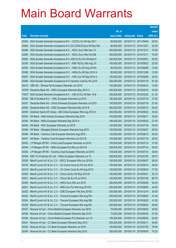|        |                                                                     |               |                            |                       | <b>Amount</b> |
|--------|---------------------------------------------------------------------|---------------|----------------------------|-----------------------|---------------|
|        |                                                                     | No. of        |                            |                       | raised        |
| Code   | <b>Derivative warrants</b>                                          | issue (units) | <b>Listing date Expiry</b> |                       | (HK\$ mil.)   |
| 20303  | SGA Societe Generale Acceptance N.V. - CCCCL Eu Wt Apr 2011         | 80,000,000    | 2010/01/13 2011/04/04      |                       | 20.00         |
| 20284  | SGA Societe Generale Acceptance N.V-Chi COSCO Euro Wt Dec10A        | 80,000,000    | 2010/01/13 2010/12/01      |                       | 20.00         |
| 20286  | SGA Societe Generale Acceptance N.V. - KECL Euro Wts Dec 10         | 300,000,000   | 2010/01/13 2010/12/13      |                       | 75.00         |
| 20285  | SGA Societe Generale Acceptance N.V. - KECL Euro Wts Oct10B         | 300,000,000   | 2010/01/13 2010/10/11      |                       | 75.00         |
| 20282  | SGA Societe Generale Acceptance N.V.-A50 Ch Eu Put Wt Sep10         | 300,000,000   | 2010/01/13 2010/09/01      |                       | 55.50         |
| 20304  | SGA Societe Generale Acceptance N.V. - R&F Ppt Eu Wts Aug 10        | 100,000,000   |                            | 2010/01/13 2010/08/23 | 25.00         |
| 20305  | SGA Societe Generale Acceptance N.V. - HKEx Eu Wt Aug 2010A         | 80,000,000    | 2010/01/13 2010/08/09      |                       | 12.00         |
| 20306  | SGA Societe Generale Acceptance N.V. - HKEx Eu Wt Dec 2010 A        | 80,000,000    |                            | 2010/01/13 2010/12/06 | 12.00         |
| 20287  | SGA Societe Generale Acceptance N.V. - HWL Eur Wt Sep 2010 A        | 100,000,000   |                            | 2010/01/13 2010/09/06 | 25.00         |
| 20288  | SGA Societe Generale Acceptance N.V-Yanzhou Coal Eu Wt Jul10        | 300,000,000   |                            | 2010/01/13 2010/07/19 | 81.00         |
| 20310  | UBS AG - Shimao Ppt European Warrants Jun 2010                      | 100,000,000   | 2010/01/13 2010/06/14      |                       | 15.00         |
| 19790# | Deutsche Bank AG - HKEx European Warrants May 2010 C                | 400,000,000   |                            | 2010/01/13 2010/05/10 | 42.80         |
|        | 17621# SGA Societe Generale Acceptance N.V. - A50 Ch Eu Wt Mar 10 B | 300,000,000   |                            | 2010/01/13 2010/03/22 | 21.30         |
| 20356  | RB of Scotland N.V. - HWL European Warrants Jul 2010                | 150,000,000   |                            | 2010/01/14 2010/07/19 | 37.50         |
| 20357  | Deutsche Bank AG - China Overseas European Warrants Jul 2010        | 150,000,000   | 2010/01/14 2010/07/19      |                       | 37.50         |
| 20358  | Deutsche Bank AG - ICBC European Warrants May 2010 B                | 200,000,000   |                            | 2010/01/14 2010/05/10 | 62.00         |
| 20355  | Goldman Sachs SP (Asia) - A50 China European Wts Aug 2010 A         | 200,000,000   |                            | 2010/01/14 2010/08/02 | 30.00         |
| 20343  | HK Bank - Hidili Industry European Warrants Sep 2010                | 100,000,000   |                            | 2010/01/14 2010/09/17 | 25.00         |
| 20345  | HK Bank - HKEx European Warrants Sep 2010 A                         | 180,000,000   | 2010/01/14                 | 2010/09/22            | 27.00         |
| 20344  | HK Bank - HWL European Warrants Jul 2010                            | 120,000,000   |                            | 2010/01/14 2010/07/16 | 30.00         |
| 20346  | HK Bank - Shanghai Electric European Warrants Aug 2010              | 100,000,000   | 2010/01/14 2010/08/27      |                       | 28.00         |
| 20348  | HK Bank - Yanzhou Coal European Warrants Aug 2010                   | 120,000,000   |                            | 2010/01/14 2010/08/12 | 30.00         |
| 20347  | HK Bank - Yanzhou Coal European Warrants Jul 2010 B                 | 120,000,000   | 2010/01/14                 | 2010/07/16            | 30.00         |
| 20352  | J P Morgan SP BV - China Coal European Warrants Jul 2010            | 150,000,000   | 2010/01/14 2010/07/14      |                       | 37.50         |
| 20354  | J P Morgan SP BV - HKEx European Put Wts Jul 2010 B                 | 200,000,000   | 2010/01/14 2010/07/14      |                       | 50.00         |
| 20353  | J P Morgan SP BV - Yanzhou Coal European Warrants Jul 2010          | 138,000,000   | 2010/01/14 2010/07/14      |                       | 38.64         |
| 20349  | KBC Fin Products Int'l Ltd. - HKEx European Warrants Jul 10         | 258,000,000   |                            | 2010/01/14 2010/07/05 | 38.70         |
| 20326  | Merrill Lynch Int'l & Co. C.V. - BOCL European Wts Jun 2010A        | 100,000,000   | 2010/01/14 2010/06/07      |                       | 38.00         |
| 20318  | Merrill Lynch Int'l & Co. C.V. - Ch Comm Cons Eu Wt Jun 2010        | 100,000,000   | 2010/01/14                 | 2010/06/14            | 38.00         |
| 20319  | Merrill Lynch Int'l & Co. C.V. - Ch Comm Cons Eu Wt Aug 2010        | 100,000,000   | 2010/01/14                 | 2010/08/24            | 77.00         |
| 20320  | Merrill Lynch Int'l & Co. C.V. - China Life Eu Wt May 2010 B        | 150,000,000   | 2010/01/14                 | 2010/05/31            | 30.75         |
| 20321  | Merrill Lynch Int'l & Co. C.V. - China Life Eu Wt Jul 2010          | 150,000,000   | 2010/01/14                 | 2010/07/26            | 66.75         |
| 20350  | Merrill Lynch Int'l & Co. C.V. - HKEx Euro Wts Jun 2010             | 200,000,000   | 2010/01/14                 | 2010/06/28            | 30.40         |
| 20351  | Merrill Lynch Int'l & Co. C.V. - HKEx Eur Put Wts Aug 2010 B        | 200,000,000   | 2010/01/14                 | 2010/08/09            | 44.00         |
| 20322  | Merrill Lynch Int'l & Co. C.V. - ICBC European Wts Dec 2010C        | 200,000,000   | 2010/01/14                 | 2010/12/14            | 30.00         |
| 20323  | Merrill Lynch Int'l & Co. C.V. - Tencent European Wts Aug10A        | 200,000,000   | 2010/01/14                 | 2010/08/02            | 41.40         |
| 20324  | Merrill Lynch Int'l & Co. C.V. - Tencent European Wts Aug10B        | 200,000,000   | 2010/01/14                 | 2010/08/23            | 41.80         |
| 20325  | Merrill Lynch Int'l & Co. C.V. - Tencent European Wts Aug10C        | 200,000,000   | 2010/01/14                 | 2010/08/30            | 38.60         |
| 20337  | Nomura Int'l plc - China Mobile European Warrants Jun 2010          | 75,000,000    | 2010/01/14                 | 2010/06/30            | 30.00         |
| 20338  | Nomura Int'l plc - China Mobile European Warrants Sep 2010          | 75,000,000    | 2010/01/14                 | 2010/09/30            | 27.00         |
| 20339  | Nomura Int'l plc - China Mobile European Put Warrants Jun 10        | 150,000,000   | 2010/01/14                 | 2010/06/30            | 22.65         |
| 20341  | Nomura Int'l plc - CC Bank European Warrants May 2010               | 200,000,000   | 2010/01/14                 | 2010/05/11            | 45.60         |
| 20342  | Nomura Int'l plc - CC Bank European Warrants Jul 2010               | 100,000,000   | 2010/01/14                 | 2010/07/30            | 76.90         |
| 20340  | Nomura Int'l plc - CC Bank European Warrants Sep 2010               | 200,000,000   | 2010/01/14 2010/09/30      |                       | 70.20         |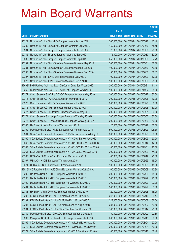|        |                                                                  |               |                            |                       | <b>Amount</b> |
|--------|------------------------------------------------------------------|---------------|----------------------------|-----------------------|---------------|
|        |                                                                  | No. of        |                            |                       | raised        |
| Code   | <b>Derivative warrants</b>                                       | issue (units) | <b>Listing date Expiry</b> |                       | (HK\$ mil.)   |
| 20329  | Nomura Int'l plc - China Life European Warrants May 2010         | 200,000,000   | 2010/01/14 2010/05/28      |                       | 43.40         |
| 20330  | Nomura Int'l plc - China Life European Warrants Sep 2010 B       | 150,000,000   |                            | 2010/01/14 2010/09/30 | 68.55         |
| 20334  | Nomura Int'l plc - Sinopec European Warrants Jun 2010 A          | 75,000,000    | 2010/01/14 2010/06/30      |                       | 28.50         |
| 20335  | Nomura Int'l plc - Sinopec European Warrants Sep 2010            | 75,000,000    |                            | 2010/01/14 2010/09/30 | 32.25         |
| 20336  | Nomura Int'l plc - Sinopec European Warrants Sep 2011            | 250,000,000   |                            | 2010/01/14 2011/09/30 | 37.75         |
| 20332  | Nomura Int'l plc - China Shenhua European Warrants May 2010      | 200,000,000   | 2010/01/14 2010/05/31      |                       | 36.80         |
| 20331  | Nomura Int'l plc - China Shenhua European Warrants Jul 2010      | 100,000,000   | 2010/01/14 2010/07/30      |                       | 59.80         |
| 20333  | Nomura Int'l plc - China Shenhua European Warrants Sep 2010      | 150,000,000   |                            | 2010/01/14 2010/09/30 | 58.35         |
| 20327  | Nomura Int'l plc - JIANC European Warrants Jun 2010 C            | 100,000,000   |                            | 2010/01/14 2010/06/09 | 17.00         |
| 20328  | Nomura Int'l plc - JIANC European Warrants Sep 2010 C            | 100,000,000   |                            | 2010/01/14 2010/09/30 | 25.50         |
| 17693# | BNP Paribas Arbit Issu B.V. - Ch Comm Cons Eur Wt Jun 2010       | 200,000,000   | 2010/01/14 2010/06/21      |                       | 11.40         |
| 20366  | BNP Paribas Arbit Issu B.V. - Agile Ppt European Wts Nov10       | 100,000,000   |                            | 2010/01/15 2010/11/02 | 25.00         |
| 20372  | Credit Suisse AG - China COSCO European Warrants May 2010        | 200,000,000   | 2010/01/15 2010/05/17      |                       | 30.00         |
| 20373  | Credit Suisse AG - CNOOC European Warrants Jul 2010              | 200,000,000   |                            | 2010/01/15 2010/07/26 | 30.00         |
| 20376  | Credit Suisse AG - HKEx European Warrants Jun 2010               | 200,000,000   | 2010/01/15 2010/06/28      |                       | 30.00         |
| 20375  | Credit Suisse AG - HSI European Warrants May 2010 A              | 200,000,000   |                            | 2010/01/15 2010/05/28 | 30.00         |
| 20377  | Credit Suisse AG - Hutchison European Warrants May 2010          | 200,000,000   | 2010/01/15 2010/05/31      |                       | 30.00         |
| 20374  | Credit Suisse AG - Jiangxi Copper European Wts May 2010 B        | 200,000,000   |                            | 2010/01/15 2010/05/03 | 30.00         |
| 20378  | Credit Suisse AG - Tencent Holdings European Wts Aug 2010 A      | 200,000,000   | 2010/01/15 2010/08/30      |                       | 50.00         |
| 20365  | HK Bank - Alibaba European Warrants Aug 2010                     | 120,000,000   | 2010/01/15 2010/08/27      |                       | 30.00         |
| 20359  | Macquarie Bank Ltd. - HKEx European Put Warrants Aug 2010        | 500,000,000   |                            | 2010/01/15 2010/08/03 | 128.50        |
| 20361  | SGA Societe Generale Acceptance N.V.-Ch Overseas Eu Wt Aug10     | 200,000,000   | 2010/01/15 2010/08/23      |                       | 50.00         |
| 20360  | SGA Societe Generale Acceptance N.V. - CCoal Eur Wt Aug 2010     | 200,000,000   | 2010/01/15 2010/08/09      |                       | 50.00         |
| 20362  | SGA Societe Generale Acceptance N.V. - CNOOC Eu Wt Jun 2010B     | 80,000,000    | 2010/01/15 2010/06/14      |                       | 12.00         |
| 20363  | SGA Societe Generale Acceptance N.V. - CNOOC Eu Wt Nov 2010A     | 80,000,000    | 2010/01/15 2010/11/01      |                       | 12.00         |
| 20364  | SGA Societe Generale Acceptance N.V. - JIANC Eu Wts Aug 2010     | 200,000,000   | 2010/01/15 2010/08/09      |                       | 54.00         |
| 20368  | UBS AG - Ch Comm Cons European Warrants Jul 2010                 | 100,000,000   | 2010/01/15 2010/07/19      |                       | 25.00         |
| 20367  | UBS AG - HSCEI European Warrants Jun 2010                        | 100,000,000   | 2010/01/15 2010/06/29      |                       | 15.00         |
| 20371  | UBS AG - HSCEI European Put Warrants Jun 2010                    | 100,000,000   | 2010/01/15 2010/06/29      |                       | 15.00         |
|        | 17515# CC Rabobank B.A. - A50 China European Warrants Oct 2010 A | 100,000,000   | 2010/01/15 2010/10/08      |                       | 12.30         |
| 20395  | Deutsche Bank AG - HSI European Warrants Jul 2010 A              | 300,000,000   | 2010/01/18 2010/07/29      |                       | 75.00         |
| 20396  | Deutsche Bank AG - HSI European Warrants Jul 2010 B              | 300,000,000   | 2010/01/18 2010/07/29      |                       | 75.00         |
| 20400  | Deutsche Bank AG - HSI European Put Warrants Jul 2010 C          | 300,000,000   | 2010/01/18 2010/07/29      |                       | 93.00         |
| 20401  | Deutsche Bank AG - HSI European Put Warrants Jul 2010 D          | 300,000,000   | 2010/01/18 2010/07/29      |                       | 81.00         |
| 20388  | HK Bank - China Overseas European Warrants May 2010              | 120,000,000   | 2010/01/18 2010/05/28      |                       | 18.00         |
| 20392  | KBC Fin Products Int'l Ltd. - Ch Mobile Euro Wt Jul 2010 A       | 248,000,000   | 2010/01/18 2010/07/19      |                       | 69.44         |
| 20391  | KBC Fin Products Int'l Ltd. - Ch Mobile Euro Wt Jun 2010 D       | 228,000,000   | 2010/01/18 2010/06/08      |                       | 86.64         |
| 20393  | KBC Fin Products Int'l Ltd. - Ch Mobile Euro Wt Aug 2010 B       | 238,000,000   |                            | 2010/01/18 2010/08/02 | 59.50         |
| 20394  | KBC Fin Products Int'l Ltd. - China Shenhua Eur Wts Jun 10A      | 100,000,000   | 2010/01/18 2010/06/14      |                       | 25.00         |
| 20389  | Macquarie Bank Ltd. - CHALCO European Warrants Dec 2010          | 150,000,000   |                            | 2010/01/18 2010/12/02 | 22.80         |
| 20390  | Macquarie Bank Ltd. - China EB Ltd European Warrants Jul 10B     | 200,000,000   | 2010/01/18 2010/07/19      |                       | 50.60         |
| 20369  | SGA Societe Generale Acceptance N.V. - Alibaba Eu Wts Aug 10     | 200,000,000   | 2010/01/18 2010/08/04      |                       | 57.00         |
| 20370  | SGA Societe Generale Acceptance N.V. - Alibaba Eu Wts Sep10A     | 200,000,000   | 2010/01/18 2010/09/01      |                       | 50.00         |
| 20379  | SGA Societe Generale Acceptance N.V. - CCB Eur Wt Aug 2010 A     | 80,000,000    | 2010/01/18 2010/08/16      |                       | 66.40         |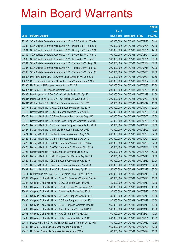|        |                                                                    |               |                            |            | <b>Amount</b> |
|--------|--------------------------------------------------------------------|---------------|----------------------------|------------|---------------|
|        |                                                                    | No. of        |                            |            | raised        |
| Code   | <b>Derivative warrants</b>                                         | issue (units) | <b>Listing date Expiry</b> |            | (HK\$ mil.)   |
| 20387  | SGA Societe Generale Acceptance N.V. - CCB Eur Wt Jul 2010 B       | 80,000,000    | 2010/01/18 2010/07/26      |            | 54.40         |
| 20380  | SGA Societe Generale Acceptance N.V. - Datang Eu Wt Aug 2010       | 100,000,000   | 2010/01/18 2010/08/04      |            | 50.00         |
| 20381  | SGA Societe Generale Acceptance N.V. - Datang Eu Wt Sep 2010       | 100,000,000   | 2010/01/18 2010/09/01      |            | 44.00         |
| 20382  | SGA Societe Generale Acceptance N.V. - Lenovo Eur Wts Aug 10       | 100,000,000   | 2010/01/18 2010/08/04      |            | 93.00         |
| 20383  | SGA Societe Generale Acceptance N.V. - Lenovo Eur Wts Sep 10       | 100,000,000   | 2010/01/18 2010/09/01      |            | 86.00         |
| 20384  | SGA Societe Generale Acceptance N.V. - Tencent Eu Wt Aug 10A       | 200,000,000   | 2010/01/18 2010/08/04      |            | 57.00         |
| 20385  | SGA Societe Generale Acceptance N.V. - Tencent Eu Wt Aug 10B       | 200,000,000   | 2010/01/18 2010/08/18      |            | 50.00         |
| 20386  | SGA Societe Generale Acceptance N.V. - Tencent Eu Wt Sep 10B       | 200,000,000   | 2010/01/18 2010/09/01      |            | 77.00         |
| 16532# | Macquarie Bank Ltd. - Ch Comm Cons European Wts Jun 2010           | 250,000,000   | 2010/01/18 2010/06/29      |            | 10.50         |
| 19827# | Credit Suisse AG - China Mobile European Warrants Jun 2010 A       | 200,000,000   | 2010/01/18 2010/06/07      |            | 26.80         |
|        | 17335# HK Bank - HSI European Warrants Mar 2010 B                  | 200,000,000   | 2010/01/18 2010/03/30      |            | 23.80         |
|        | 17336# HK Bank - HSI European Warrants Mar 2010 C                  | 200,000,000   | 2010/01/18 2010/03/30      |            | 11.00         |
|        | 16893# Merrill Lynch Int'l & Co. C.V. - Ch Mobile Eu Put Wt Apr 10 | 1,000,000,000 | 2010/01/18 2010/04/19      |            | 11.00         |
| 14831# | Merrill Lynch Int'l & Co. C.V. - Ch Mobile Eur Wt Aug 2010 A       | 1,200,000,000 | 2010/01/18 2010/08/09      |            | 88.80         |
| 17401# | CC Rabobank B.A. - CC Bank European Warrants Dec 2011              | 100,000,000   | 2010/01/18 2011/12/12      |            | 13.50         |
| 20417  | Barclays Bank plc - CHALCO European Warrants Nov 2010              | 200,000,000   | 2010/01/19 2010/11/01      |            | 50.00         |
| 20418  | Barclays Bank plc - BOCL European Warrants Sep 2010 B              | 150,000,000   | 2010/01/19 2010/09/06      |            | 55.50         |
| 20426  | Barclays Bank plc - CC Bank European Put Warrants Aug 2010         | 100,000,000   | 2010/01/19 2010/08/02      |            | 45.00         |
| 20419  | Barclays Bank plc - Ch Comm Cons European Warrants Sep 2010        | 50,000,000    | 2010/01/19 2010/09/06      |            | 51.00         |
| 20420  | Barclays Bank plc - Ch Comm Cons European Warrants Jun 2011        | 150,000,000   | 2010/01/19 2011/06/20      |            | 37.50         |
| 20427  | Barclays Bank plc - China Life European Put Wts Aug 2010           | 150,000,000   | 2010/01/19 2010/08/02      |            | 49.50         |
| 20421  | Barclays Bank plc - CM Bank European Warrants Aug 2010             | 200,000,000   | 2010/01/19 2010/08/30      |            | 54.00         |
| 20422  | Barclays Bank plc - CM Bank European Warrants Oct 2010             | 200,000,000   | 2010/01/19                 | 2010/10/04 | 52.00         |
| 20423  | Barclays Bank plc - CNOOC European Warrants Dec 2010 A             | 200,000,000   | 2010/01/19 2010/12/06      |            | 52.00         |
| 20428  | Barclays Bank plc - CNOOC European Put Warrants Nov 2010           | 150,000,000   | 2010/01/19 2010/11/08      |            | 37.50         |
| 20424  | Barclays Bank plc - HKEx European Warrants Oct 2010 A              | 200,000,000   | 2010/01/19 2010/10/04      |            | 52.00         |
| 20430  | Barclays Bank plc - HKEx European Put Warrants Sep 2010 A          | 150,000,000   | 2010/01/19 2010/09/13      |            | 39.00         |
| 20429  | Barclays Bank plc - ICBC European Put Warrants Aug 2010            | 100,000,000   | 2010/01/19 2010/08/30      |            | 60.00         |
| 20425  | Barclays Bank plc - PetroChina European Warrants Apr 2011          | 200,000,000   | 2010/01/19 2011/04/18      |            | 52.00         |
| 20431  | Barclays Bank plc - PetroChina European Put Wts Apr 2011           | 150,000,000   | 2010/01/19 2011/04/18      |            | 37.50         |
| 20411  | BNP Paribas Arbit Issu B.V. - Ch Comm Cons Eur Wt Jul 2011         | 200,000,000   | 2010/01/19 2011/07/18      |            | 50.00         |
| 20397  | Citigroup Global Mkt H Inc. - CHALCO European Warrants Sep10       | 160,000,000   | 2010/01/19 2010/09/20      |            | 40.00         |
| 20398  | Citigroup Global Mkt H Inc. - BOCL European Wts Nov 2010           | 80,000,000    | 2010/01/19 2010/11/19      |            | 40.00         |
| 20399  | Citigroup Global Mkt H Inc. - BYD European Warrants Jan 2011       | 160,000,000   | 2010/01/19 2011/01/19      |            | 40.00         |
| 20404  | Citigroup Global Mkt H Inc. - China Mobile Eur Wt Sep 2010         | 80,000,000    | 2010/01/19 2010/09/20      |            | 40.00         |
| 20402  | Citigroup Global Mkt H Inc. - CC Bank European Wts Jul 2010        | 80,000,000    | 2010/01/19 2010/07/19      |            | 40.00         |
| 20403  | Citigroup Global Mkt H Inc. - CC Bank European Wts Jan 2011        | 80,000,000    | 2010/01/19 2011/01/19      |            | 40.00         |
| 20405  | Citigroup Global Mkt H Inc. - KECL European Warrants Jan2011       | 160,000,000   | 2010/01/19 2011/01/19      |            | 40.00         |
| 20407  | Citigroup Global Mkt H Inc. - A50 China Euro Wts Jan 2011 A        | 160,000,000   | 2010/01/19 2011/01/19      |            | 40.00         |
| 20408  | Citigroup Global Mkt H Inc. - A50 China Euro Wts Mar 2011          | 160,000,000   | 2010/01/19 2011/03/21      |            | 40.00         |
| 20406  | Citigroup Global Mkt H Inc. - HSBC European Wts Dec 2010           | 267,000,000   | 2010/01/19 2010/12/01      |            | 40.05         |
| 20414  | Deutsche Bank AG - China EB Ltd European Warrants Jul 2010 B       | 150,000,000   | 2010/01/19 2010/07/19      |            | 49.50         |
| 20409  | HK Bank - China Life European Warrants Jul 2010 A                  | 160,000,000   | 2010/01/19 2010/07/23      |            | 40.00         |
| 20410  | HK Bank - China Life European Warrants Sep 2010 A                  | 160,000,000   | 2010/01/19 2010/09/24      |            | 40.00         |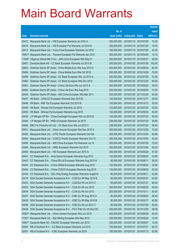|        |                                                              |               |                            |                       | <b>Amount</b> |
|--------|--------------------------------------------------------------|---------------|----------------------------|-----------------------|---------------|
|        |                                                              | No. of        |                            |                       | raised        |
| Code   | <b>Derivative warrants</b>                                   | issue (units) | <b>Listing date Expiry</b> |                       | (HK\$ mil.)   |
| 20412  | Macquarie Bank Ltd. - HSI European Warrants Jul 2010 A       | 300,000,000   | 2010/01/19 2010/07/29      |                       | 75.00         |
| 20416  | Macquarie Bank Ltd. - HSI European Put Warrants Jul 2010 E   | 300,000,000   |                            | 2010/01/19 2010/07/29 | 75.00         |
| 20413  | Macquarie Bank Ltd. - Yurun Food European Warrants Jul 2010  | 100,000,000   | 2010/01/19 2010/07/29      |                       | 30.00         |
| 19001# | Macquarie Bank Ltd. - Tencent European Put Warrants Apr 2010 | 300,000,000   |                            | 2010/01/19 2010/04/29 | 14.70         |
| 17549# | Citigroup Global Mkt H Inc. - A50 China European Wts May10   | 500,000,000   | 2010/01/19 2010/05/31      |                       | 40.00         |
| 20457  | Deutsche Bank AG - CC Bank European Warrants Jul 2010 B      | 200,000,000   |                            | 2010/01/20 2010/07/26 | 102.00        |
| 20463  | Goldman Sachs SP (Asia) - China Mobile Euro Wts Aug 2010 A   | 200,000,000   | 2010/01/20 2010/08/30      |                       | 94.00         |
| 20464  | Goldman Sachs SP (Asia) - China Mobile Euro Wts Oct 2010     | 200,000,000   |                            | 2010/01/20 2010/10/28 | 70.00         |
| 20459  | Goldman Sachs SP (Asia) - CC Bank European Wts Jul 2010 A    | 200,000,000   |                            | 2010/01/20 2010/07/29 | 72.00         |
| 20460  | Goldman Sachs SP (Asia) - CC Bank European Wts Dec 2010      | 200,000,000   |                            | 2010/01/20 2010/12/30 | 90.00         |
| 20461  | Goldman Sachs SP (Asia) - China Life Euro Wts Jun 2010 A     | 200,000,000   | 2010/01/20 2010/06/03      |                       | 30.00         |
| 20462  | Goldman Sachs SP (Asia) - China Life Euro Wts Aug 2010       | 200,000,000   |                            | 2010/01/20 2010/08/30 | 74.00         |
| 20458  | Goldman Sachs SP (Asia) - A50 China European Wts Mar 2011    | 200,000,000   |                            | 2010/01/20 2011/03/30 | 54.00         |
| 20447  | HK Bank - CHALCO European Warrants Dec 2010 B                | 120,000,000   |                            | 2010/01/20 2010/12/17 | 30.00         |
| 20448  | HK Bank - R&F Ppt European Warrants Oct 2010 B               | 120,000,000   | 2010/01/20 2010/10/13      |                       | 30.00         |
| 20449  | HK Bank - Shimao Ppt European Warrants Jul 2010              | 120,000,000   |                            | 2010/01/20 2010/07/20 | 30.00         |
| 20450  | HK Bank - Shimao Ppt European Warrants Aug 2010              | 120,000,000   |                            | 2010/01/20 2010/08/30 | 30.00         |
| 20439  | J P Morgan SP BV - China Everbright European Wts Jul 2010 B  | 100,000,000   |                            | 2010/01/20 2010/07/20 | 30.50         |
| 20440  | J P Morgan SP BV - HKEx European Warrants Jul 2010           | 238,000,000   | 2010/01/20 2010/07/29      |                       | 36.89         |
| 20446  | KBC Fin Products Int'l Ltd. - CC Bank Euro Wts Jul 2010 C    | 238,000,000   |                            | 2010/01/20 2010/07/20 | 59.50         |
| 20451  | Macquarie Bank Ltd. - China Unicom European Wts Dec 2010 A   | 300,000,000   |                            | 2010/01/20 2010/12/30 | 75.00         |
| 20452  | Macquarie Bank Ltd. - CITIC Pacific European Warrants Oct10A | 200,000,000   |                            | 2010/01/20 2010/10/04 | 50.80         |
| 20453  | Macquarie Bank Ltd. - COSCO Pacific European Warrants Oct 10 | 200,000,000   | 2010/01/20 2010/10/04      |                       | 50.00         |
| 20456  | Macquarie Bank Ltd. - A50 China European Put Warrants Jul 10 | 300,000,000   |                            | 2010/01/20 2010/07/29 | 75.00         |
| 20454  | Macquarie Bank Ltd. - HKEx European Warrants Oct 2010        | 200,000,000   | 2010/01/20 2010/10/04      |                       | 50.20         |
| 20455  | Macquarie Bank Ltd. - HSI European Warrants Jun 2010 A       | 300,000,000   | 2010/01/20 2010/06/29      |                       | 57.00         |
| 20441  | CC Rabobank B.A. - Anta Sports European Warrants Aug 2010    | 130,000,000   |                            | 2010/01/20 2010/08/30 | 33.80         |
| 20443  | CC Rabobank B.A. - China EB Ltd European Warrants Aug 2010 A | 80,000,000    | 2010/01/20 2010/08/11      |                       | 36.00         |
| 20444  | CC Rabobank B.A. - China Oilfield European Warrants Aug 2010 | 130,000,000   | 2010/01/20 2010/08/30      |                       | 32.50         |
| 20442  | CC Rabobank B.A. - China COSCO European Warrants Aug 2010    | 130,000,000   |                            | 2010/01/20 2010/08/30 | 32.50         |
| 20445  | CC Rabobank B.A. - GCL-Poly Energy European Warrants Aug2010 | 80,000,000    | 2010/01/20 2010/08/11      |                       | 33.60         |
| 20415  | SGA Societe Generale Acceptance N.V. - CCB Eur Wt May 2010 B | 80,000,000    | 2010/01/20 2010/05/31      |                       | 24.00         |
| 20432  | SGA Societe Generale Acceptance N.V. - CCB Eur Wt Jul 2010 C | 80,000,000    | 2010/01/20 2010/07/21      |                       | 68.00         |
| 20433  | SGA Societe Generale Acceptance N.V. - CLife Eu Wt Jun 2010  | 200,000,000   | 2010/01/20                 | 2010/06/30            | 40.00         |
| 20434  | SGA Societe Generale Acceptance N.V. - CLife Eu Wt Oct 2010  | 200,000,000   | 2010/01/20 2010/10/11      |                       | 50.00         |
| 20437  | SGA Societe Generale Acceptance N.V. - ICBC Eu Wt Aug 2010 A | 80,000,000    |                            | 2010/01/20 2010/08/02 | 38.40         |
| 20435  | SGA Societe Generale Acceptance N.V. - ICBC Eu Wt May 2010 B | 80,000,000    | 2010/01/20 2010/05/17      |                       | 40.80         |
| 20436  | SGA Societe Generale Acceptance N.V. - ICBC Eu Wt Jul 2010 C | 80,000,000    | 2010/01/20 2010/07/26      |                       | 60.00         |
| 20438  | SGA Societe Generale Acceptance N.V. - PICC P&C Eu Wt Dec10C | 200,000,000   | 2010/01/20 2010/12/29      |                       | 38.00         |
| 16567# | Macquarie Bank Ltd. - China Unicom European Wts Jun 2010     | 400,000,000   | 2010/01/20 2010/06/29      |                       | 40.00         |
| 17391# | Macquarie Bank Ltd. - Zijin Mining European Wts May 2010     | 300,000,000   | 2010/01/20                 | 2010/05/28            | 12.00         |
|        | 19081# Deutsche Bank AG - CNOOC European Warrants Jun 2010   | 200,000,000   | 2010/01/20                 | 2010/06/07            | 12.40         |
| 20500  | RB of Scotland N.V. - CC Bank European Warrants Jul 2010     | 150,000,000   | 2010/01/21                 | 2010/07/21            | 60.75         |
| 20501  | RB of Scotland N.V. - ICBC European Warrants Jul 2010        | 150,000,000   | 2010/01/21                 | 2010/07/12            | 52.95         |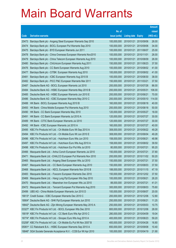|                |                                                                                                                     |                            |                          |                       | <b>Amount</b>  |
|----------------|---------------------------------------------------------------------------------------------------------------------|----------------------------|--------------------------|-----------------------|----------------|
|                |                                                                                                                     | No. of                     |                          |                       | raised         |
| Code           | <b>Derivative warrants</b>                                                                                          | issue (units)              | <b>Listing date</b>      | <b>Expiry</b>         | (HK\$ mil.)    |
| 20473          | Barclays Bank plc - Angang Steel European Warrants Sep 2010                                                         | 100,000,000                | 2010/01/21               | 2010/09/06            | 26.00          |
| 20474          | Barclays Bank plc - BOCL European Put Warrants Sep 2010                                                             | 100,000,000                |                          | 2010/01/21 2010/09/06 | 34.00          |
| 20475          | Barclays Bank plc - BYD European Warrants Jun 2011                                                                  | 100,000,000                | 2010/01/21               | 2011/06/07            | 25.00          |
| 20478          | Barclays Bank plc - China Overseas European Warrants Nov2010                                                        | 100,000,000                | 2010/01/21               | 2010/11/01            | 26.00          |
| 20479          | Barclays Bank plc - China Telecom European Warrants Aug 2010                                                        | 100,000,000                | 2010/01/21               | 2010/08/09            | 26.00          |
| 20480          | Barclays Bank plc - ChiUnicom European Warrants Aug 2011                                                            | 150,000,000                | 2010/01/21               | 2011/08/23            | 37.50          |
| 20476          | Barclays Bank plc - CC Bank European Warrants Aug 2010                                                              | 100,000,000                | 2010/01/21               | 2010/08/02            | 41.00          |
| 20477          | Barclays Bank plc - CITBK European Warrants Aug 2010                                                                | 100,000,000                | 2010/01/21               | 2010/08/02            | 41.00          |
| 20481          | Barclays Bank plc - ICBC European Warrants Aug 2010 B                                                               | 100,000,000                | 2010/01/21               | 2010/08/30            | 38.00          |
| 20482          | Barclays Bank plc - PICC P&C European Warrants Mar 2011                                                             | 150,000,000                | 2010/01/21               | 2011/03/21            | 37.50          |
| 20487          | Deutsche Bank AG - BOCL European Warrants Jul 2010                                                                  | 200,000,000                | 2010/01/21               | 2010/07/26            | 86.00          |
| 20484          | Deutsche Bank AG - HSBC European Warrants May 2010 B                                                                | 200,000,000                | 2010/01/21               | 2010/05/31            | 106.00         |
| 20485          | Deutsche Bank AG - HSBC European Warrants Jun 2010 E                                                                | 200,000,000                | 2010/01/21               | 2010/06/21            | 70.00          |
| 20486          | Deutsche Bank AG - ICBC European Warrants May 2010 C                                                                | 200,000,000                | 2010/01/21               | 2010/05/10            | 114.00         |
| 20488          | HK Bank - BOCL European Warrants Aug 2010 B                                                                         | 160,000,000                | 2010/01/21               | 2010/08/18            | 40.00          |
| 20493          | HK Bank - China Mobile European Put Warrants Aug 2010                                                               | 200,000,000                | 2010/01/21               | 2010/08/18            | 50.00          |
| 20490          | HK Bank - CC Bank European Warrants May 2010                                                                        | 120,000,000                | 2010/01/21               | 2010/05/27            | 18.00          |
| 20491          | HK Bank - CC Bank European Warrants Jul 2010 A                                                                      | 120,000,000                | 2010/01/21               | 2010/07/27            | 30.00          |
| 20489          | HK Bank - CITIC Bank European Warrants Jul 2010                                                                     | 120,000,000                | 2010/01/21               | 2010/07/27            | 30.00          |
| 20492          | HK Bank - ICBC European Warrants Jul 2010 A                                                                         | 160,000,000                | 2010/01/21               | 2010/07/27            | 40.00          |
| 20495          | KBC Fin Products Int'l Ltd. - Ch Mobile Euro Wt Sep 2010 A                                                          | 308,000,000                | 2010/01/21               | 2010/09/22            | 49.28          |
| 20494          | KBC Fin Products Int'l Ltd. - Ch Mobile Euro Wt Jun 2010 E                                                          | 308,000,000                | 2010/01/21               | 2010/06/04            | 49.28          |
| 20496          | KBC Fin Products Int'l Ltd. - Hutchison Euro Wts Jun 2010                                                           | 158,000,000                | 2010/01/21               | 2010/06/21            | 48.98          |
| 20497          | KBC Fin Products Int'l Ltd. - Hutchison Euro Wts Aug 2010 A                                                         | 158,000,000                | 2010/01/21               | 2010/08/02            | 39.50          |
| 20498          | KBC Fin Products Int'l Ltd. - Hutchison Eur Put Wts Jul 2010                                                        | 80,000,000                 | 2010/01/21<br>2010/01/21 | 2010/07/21            | 95.20          |
| 20466          | Macquarie Bank Ltd. - Anhui Conch European Warrants Jul 2010                                                        | 150,000,000                | 2010/01/21               | 2010/07/21            | 37.80          |
| 20471          | Macquarie Bank Ltd. - CHALCO European Put Warrants Nov 2010                                                         | 200,000,000                | 2010/01/21 2010/07/21    | 2010/11/02            | 50.20          |
| 20465<br>20467 | Macquarie Bank Ltd. - Angang Steel European Wts Jul 2010                                                            | 150,000,000<br>150,000,000 | 2010/01/21               | 2010/08/03            | 37.50<br>37.50 |
| 20468          | Macquarie Bank Ltd. - CC Bank European Warrants Aug 2010<br>Macquarie Bank Ltd. - KECL European Warrants Nov 2010 B | 188,000,000                | 2010/01/21               | 2010/11/15            | 47.19          |
| 20483          | Macquarie Bank Ltd. - Foxconn European Warrants Dec 2010                                                            | 150,000,000                | 2010/01/21               | 2010/12/02            | 37.50          |
| 20469          | Macquarie Bank Ltd. - Hang Lung Ppt European Wts Sep 2010                                                           | 100,000,000                | 2010/01/21               | 2010/09/21            | 26.20          |
| 20470          | Macquarie Bank Ltd. - Maanshan Iron European Wts Jul 2010                                                           | 88,000,000                 | 2010/01/21               | 2010/07/21            | 41.01          |
| 20472          | Macquarie Bank Ltd. - Tencent European Put Warrants Aug 2010                                                        | 300,000,000                | 2010/01/21               | 2010/08/03            | 75.60          |
| 20499          | UBS AG - China Mobile European Warrants Jun 2010 D                                                                  | 100,000,000                | 2010/01/21               | 2010/06/07            | 20.00          |
| 19013#         | Credit Suisse - ICBC European Warrants Dec 2010 C                                                                   | 200,000,000                | 2010/01/21               | 2010/12/06            | 12.80          |
|                | 18904# Deutsche Bank AG - SHK Ppt European Warrants Jun 2010                                                        | 250,000,000                | 2010/01/21               | 2010/06/21            | 11.25          |
|                | 18842# Deutsche Bank AG - Zijin Mining European Warrants May 2010 A                                                 | 250,000,000                | 2010/01/21               | 2010/05/03            | 10.75          |
|                | 03327# KBC Fin Products Int'l Ltd. - BOCL European Wts Dec 2010                                                     | 800,000,000                | 2010/01/21               | 2010/12/06            | 28.00          |
| 19019#         | KBC Fin Products Int'l Ltd. - CC Bank Euro Wts Apr 2010 C                                                           | 280,000,000                | 2010/01/21               | 2010/04/09            | 19.04          |
|                | 16774# KBC Fin Products Int'l Ltd. - Sinopec Euro Wts Aug 2010 A                                                    | 400,000,000                | 2010/01/21               | 2010/08/23            | 59.20          |
|                | 03258# KBC Fin Products Int'l Ltd. - Ch Mobile Eu Put Wt Nov 2007 B                                                 | 400,000,000                | 2010/01/21               | 2010/04/26            | 16.80          |
|                | 05061# CC Rabobank B.A. - HSBC European Warrants Sep 2010 A                                                         | 650,000,000                | 2010/01/21               | 2010/09/08            | 10.40          |
| 18846#         | SGA Societe Generale Acceptance N.V. - CCB Eur Wt Apr 2010                                                          | 100,000,000                | 2010/01/21               | 2010/04/19            | 21.90          |
|                |                                                                                                                     |                            |                          |                       |                |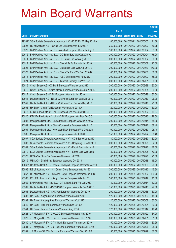|                |                                                                                                                    |                           |                            |                                                | <b>Amount</b>  |
|----------------|--------------------------------------------------------------------------------------------------------------------|---------------------------|----------------------------|------------------------------------------------|----------------|
|                |                                                                                                                    | No. of                    |                            |                                                | raised         |
| Code           | <b>Derivative warrants</b>                                                                                         | issue (units)             | <b>Listing date Expiry</b> |                                                | (HK\$ mil.)    |
|                | 19202# SGA Societe Generale Acceptance N.V. - ICBC Eu Wt May 2010 A                                                | 80,000,000                |                            | 2010/01/21 2010/05/05                          | 11.68          |
| 20525          | RB of Scotland N.V. - China Life European Wts Jul 2010 A                                                           | 250,000,000               |                            | 2010/01/22 2010/07/22                          | 76.25          |
| 20522          | BNP Paribas Arbit Issu B.V. - Alibaba European Warrants Aug10                                                      | 100,000,000               |                            | 2010/01/22 2010/08/02                          | 33.00          |
| 20512          | BNP Paribas Arbit Issu B.V. - CC Bank Euro Wts Oct 2010 A                                                          | 200,000,000               |                            | 2010/01/22 2010/10/04                          | 76.00          |
| 20511          | BNP Paribas Arbit Issu B.V. - CC Bank Euro Wts Aug 2010 B                                                          | 200,000,000               |                            | 2010/01/22 2010/08/02                          | 80.00          |
| 20514          | BNP Paribas Arbit Issu B.V. - China Life Eu Put Wts Jun 2010                                                       | 100,000,000               |                            | 2010/01/22 2010/06/07                          | 23.00          |
| 20524          | BNP Paribas Arbit Issu B.V. - Ch Mobile Euro Wts Aug 2010 B                                                        | 300,000,000               |                            | 2010/01/22 2010/08/30                          | 150.00         |
| 20523          | BNP Paribas Arbit Issu B.V. - China Tel Euro Wts Sep 2010 B                                                        | 100,000,000               |                            | 2010/01/22 2010/09/30                          | 38.00          |
| 20513          | BNP Paribas Arbit Issu B.V. - ICBC European Wts Aug 2010                                                           | 200,000,000               |                            | 2010/01/22 2010/08/02                          | 68.00          |
| 20521          | BNP Paribas Arbit Issu B.V. - Tencent Holdings Eu Wts Dec 10                                                       | 200,000,000               | 2010/01/22 2010/12/01      |                                                | 50.00          |
| 20515          | Credit Suisse AG - CC Bank European Warrants Jun 2010                                                              | 200,000,000               | 2010/01/22 2010/06/28      |                                                | 30.00          |
| 20516          | Credit Suisse AG - China Mobile European Warrants Jun 2010 B                                                       | 200,000,000               |                            | 2010/01/22 2010/06/04                          | 30.00          |
| 20517          | Credit Suisse AG - ICBC European Warrants Jun 2010                                                                 | 200,000,000               |                            | 2010/01/22 2010/06/28                          | 30.00          |
| 10944          | Deutsche Bank AG - Nikkei 225 Index European Wts Sep 2010                                                          | 100,000,000               |                            | 2010/01/22 2010/09/10                          | 26.00          |
| 10949          | Deutsche Bank AG - Nikkei 225 Index Euro Put Wts Sep 2010                                                          | 100,000,000               |                            | 2010/01/22 2010/09/10                          | 25.00          |
| 20506          | HK Bank - China Tel European Warrants Jul 2010 A                                                                   | 120,000,000               |                            | 2010/01/22 2010/07/22                          | 30.00          |
| 20518          | KBC Fin Products Int'l Ltd. - Sinopec Euro Wts Jun 2010 C                                                          | 208,000,000               |                            | 2010/01/22 2010/06/22                          | 79.04          |
| 20520          | KBC Fin Products Int'l Ltd. - HSBC European Wts May 2010 C                                                         | 300,000,000               |                            | 2010/01/22 2010/05/10                          | 78.00          |
| 20503          | Macquarie Bank Ltd. - China Mobile European Wts Jun 2010 A                                                         | 300,000,000               |                            | 2010/01/22 2010/06/14                          | 45.30          |
| 20502          | Macquarie Bank Ltd. - China Comservice European Wts Jul10                                                          | 150,000,000               |                            | 2010/01/22 2010/07/22                          | 38.40          |
| 20504<br>20505 | Macquarie Bank Ltd. - New World Dev European Wts Dec 2010                                                          | 100,000,000               |                            | 2010/01/22 2010/12/30                          | 25.10<br>38.40 |
| 20507          | Macquarie Bank Ltd. - ZTE European Warrants Jul 2010<br>SGA Societe Generale Acceptance N.V. - CCB Eur Wt Jun 2010 | 150,000,000<br>80,000,000 |                            | 2010/01/22 2010/07/22<br>2010/01/22 2010/06/30 | 32.00          |
| 20508          | SGA Societe Generale Acceptance N.V. - Dongfeng Eu Wt Oct 10                                                       | 200,000,000               |                            | 2010/01/22 2010/10/25                          | 54.00          |
| 20509          | SGA Societe Generale Acceptance N.V. - Esprit Euro Wts Jul10                                                       | 80,000,000                |                            | 2010/01/22 2010/07/26                          | 48.00          |
| 20510          | SGA Societe Generale Acceptance N.V. - Esprit Euro Wts Oct10                                                       | 80,000,000                |                            | 2010/01/22 2010/10/25                          | 50.00          |
| 20526          | UBS AG - China Tel European Warrants Jul 2010                                                                      | 100,000,000               | 2010/01/22 2010/07/26      |                                                | 25.00          |
| 20519          | UBS AG - Zijin Mining European Warrants Oct 2010                                                                   | 100,000,000               | 2010/01/22 2010/10/18      |                                                | 15.00          |
| 19068#         | Deutsche Bank AG - Tencent Holdings European Warrants May 10                                                       | 200,000,000               | 2010/01/22 2010/05/03      |                                                | 26.00          |
| 20566          | RB of Scotland N.V. - Ch Comm Cons European Wts Jan 2011                                                           | 300,000,000               |                            | 2010/01/25 2011/01/10                          | 45.60          |
| 20567          | RB of Scotland N.V. - Sinopec Corp European Warrants Jun 10B                                                       | 200,000,000               |                            | 2010/01/25 2010/06/22                          | 100.20         |
| 20568          | RB of Scotland N.V. - Jiangxi Copper European Wts Jul10B                                                           | 300,000,000               | 2010/01/25 2010/07/19      |                                                | 45.00          |
| 20562          | BNP Paribas Arbit Issu B.V. - CITIC Bank Euro Wts Jun 2010                                                         | 80,000,000                | 2010/01/25 2010/06/14      |                                                | 12.00          |
| 20569          | Deutsche Bank AG - PICC P&C European Warrants Dec 2010 B                                                           | 150,000,000               |                            | 2010/01/25 2010/12/13                          | 27.00          |
| 20561          | Deutsche Bank AG - SHK Ppt European Warrants Oct 2010                                                              | 200,000,000               | 2010/01/25 2010/10/18      |                                                | 30.00          |
| 20538          | HK Bank - Angang Steel European Warrants Jun 2010                                                                  | 120,000,000               |                            | 2010/01/25 2010/06/23                          | 18.00          |
| 20539          | HK Bank - Angang Steel European Warrants Oct 2010                                                                  | 120,000,000               | 2010/01/25 2010/10/08      |                                                | 30.00          |
| 20540          | HK Bank - R&F Ppt European Warrants Sep 2010 A                                                                     | 120,000,000               | 2010/01/25                 | 2010/09/24                                     | 30.00          |
| 20541          | HK Bank - Lenovo European Warrants Aug 2010                                                                        | 120,000,000               |                            | 2010/01/25 2010/08/12                          | 49.20          |
| 20528          | J P Morgan SP BV - CHALCO European Warrants Nov 2010                                                               | 200,000,000               |                            | 2010/01/25 2010/11/22                          | 34.00          |
| 20529          | J P Morgan SP BV - CHALCO European Warrants Dec 2010                                                               | 200,000,000               | 2010/01/25 2010/12/01      |                                                | 31.00          |
| 20530          | J P Morgan SP BV - CITIC Bank European Warrants Jul 2010                                                           | 50,000,000                | 2010/01/25 2010/07/26      |                                                | 30.95          |
| 20531          | J P Morgan SP BV - Chi Res Land European Warrants Jul 2010                                                         | 100,000,000               | 2010/01/25 2010/07/26      |                                                | 25.30          |
| 20532          | J P Morgan SP BV - Foxconn European Warrants Sep 2010 B                                                            | 150,000,000               | 2010/01/25 2010/09/29      |                                                | 37.50          |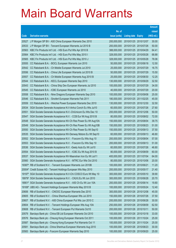|        |                                                                     |               |                            |                       | <b>Amount</b> |
|--------|---------------------------------------------------------------------|---------------|----------------------------|-----------------------|---------------|
|        |                                                                     | No. of        |                            |                       | raised        |
| Code   | <b>Derivative warrants</b>                                          | issue (units) | <b>Listing date Expiry</b> |                       | (HK\$ mil.)   |
| 20527  | J P Morgan SP BV - A50 China European Warrants Dec 2010             | 200,000,000   | 2010/01/25 2010/12/07      |                       | 30.00         |
| 20533  | J P Morgan SP BV - Tencent European Warrants Jul 2010 B             | 200,000,000   | 2010/01/25 2010/07/26      |                       | 50.00         |
| 20563  | KBC Fin Products Int'l Ltd. - HSI Euro Put Wts Apr 2010 B           | 388,000,000   | 2010/01/25 2010/04/29      |                       | 64.41         |
| 20564  | KBC Fin Products Int'l Ltd. - HSI Euro Put Wts May 2010 I           | 328,000,000   | 2010/01/25 2010/05/28      |                       | 68.88         |
| 20565  | KBC Fin Products Int'l Ltd. - HSI Euro Put Wts May 2010 J           | 328,000,000   | 2010/01/25 2010/05/28      |                       | 78.06         |
| 20555  | CC Rabobank B.A. - BOCL European Warrants Jun 2010                  | 50,000,000    | 2010/01/25 2010/06/18      |                       | 12.50         |
| 20542  | CC Rabobank B.A. - Ch Mobile European Warrants Jul 2010             | 25,000,000    | 2010/01/25 2010/07/29      |                       | 16.75         |
| 20556  | CC Rabobank B.A. - China Life European Warrants Jul 2010 B          | 50,000,000    | 2010/01/25 2010/07/29      |                       | 15.50         |
| 20557  | CC Rabobank B.A. - Ch Mobile European Warrants Aug 2010 B           | 25,000,000    |                            | 2010/01/25 2010/08/30 | 12.25         |
| 20544  | CC Rabobank B.A. - KECL European Warrants Sep 2010                  | 130,000,000   | 2010/01/25 2010/09/29      |                       | 32.50         |
| 20543  | CC Rabobank B.A. - China Ship Dev European Warrants Jul 2010        | 100,000,000   | 2010/01/25 2010/07/29      |                       | 34.00         |
| 20545  | CC Rabobank B.A. - ICBC European Warrants Jul 2010                  | 40,000,000    | 2010/01/25 2010/07/29      |                       | 20.00         |
| 20558  | CC Rabobank B.A. - Nine Dragons European Warrants Sep 2010          | 100,000,000   | 2010/01/25 2010/09/08      |                       | 25.00         |
| 20546  | CC Rabobank B.A. - Sinofert European Warrants Feb 2011              | 180,000,000   |                            | 2010/01/25 2011/02/25 | 45.00         |
| 20559  | CC Rabobank B.A. - Weichai Power European Warrants Dec 2010         | 130,000,000   |                            | 2010/01/25 2010/12/30 | 32.50         |
| 20534  | SGA Societe Generale Acceptance N.V-Anhui Conch Eu Wts Jul10        | 60,000,000    |                            | 2010/01/25 2010/07/26 | 27.60         |
| 20551  | SGA Societe Generale Acceptance N.V.-ChiUnicom Eu Wts Dec 10        | 200,000,000   |                            | 2010/01/25 2010/12/06 | 50.00         |
| 20547  | SGA Societe Generale Acceptance N.V. - CCB Eur Wt Aug 2010 B        | 80,000,000    |                            | 2010/01/25 2010/08/02 | 72.00         |
| 20548  | SGA Societe Generale Acceptance NV-Ch Res Power Eu Wt Aug10A        | 150,000,000   | 2010/01/25 2010/08/04      |                       | 39.75         |
| 20549  | SGA Societe Generale Acceptance NV-Ch Res Power Eu Wt Aug10B        | 150,000,000   | 2010/01/25 2010/08/23      |                       | 51.00         |
| 20550  | SGA Societe Generale Acceptance NV-Ch Res Power Eu Wt Sep10         | 150,000,000   | 2010/01/25 2010/09/13      |                       | 37.50         |
| 20535  | SGA Societe Generale Acceptance NV-Denway Motors Eu Wt Sep10        | 60,000,000    | 2010/01/25 2010/09/13      |                       | 46.80         |
| 20552  | SGA Societe Generale Acceptance N.V. - Foxconn Eu Wts Aug 10        | 200,000,000   | 2010/01/25 2010/08/04      |                       | 57.00         |
| 20553  | SGA Societe Generale Acceptance N.V. - Foxconn Eu Wts Sep 10        | 200,000,000   | 2010/01/25 2010/09/13      |                       | 51.00         |
| 20536  | SGA Societe Generale Acceptance N.V. - Geely Auto Eu Wt Jul10       | 60,000,000    | 2010/01/25 2010/07/26      |                       | 46.80         |
| 20554  | SGA Societe Generale Acceptance N.V. - ICBC Eu Wt Aug 2010 B        | 80,000,000    | 2010/01/25 2010/08/09      |                       | 60.00         |
| 20537  | SGA Societe Generale Acceptance NV-Maanshan Iron Eu Wt Jul11        | 400,000,000   | 2010/01/25 2011/07/04      |                       | 64.00         |
|        | 20560 SGA Societe Generale Acceptance N.V. - MTRC Eur Wts Oct 2010  | 80,000,000    | 2010/01/25 2010/10/06      |                       | 20.00         |
|        | 19387# RB of Scotland N.V. - Tencent European Warrants Jun 2010B    | 100,000,000   | 2010/01/25 2010/06/21      |                       | 11.20         |
|        | 20004# Credit Suisse AG - Tencent Holdings European Wts May 2010    | 200,000,000   | 2010/01/25 2010/05/17      |                       | 21.40         |
|        | 19197# SGA Societe Generale Acceptance N.V-Chi COSCO Euro Wt May 10 | 300,000,000   | 2010/01/25 2010/05/10      |                       | 39.90         |
| 18979# | SGA Societe Generale Acceptance N.V. - CK(H) Eu Wt Jun 2010         | 300,000,000   | 2010/01/25 2010/06/28      |                       | 20.70         |
|        | 18901# SGA Societe Generale Acceptance N.V. - A50 Ch Eu Wt Jun 10A  | 200,000,000   | 2010/01/25 2010/06/14      |                       | 19.80         |
|        | 19169# UBS AG - Tencent Holdings European Warrants May 2010 B       | 100,000,000   | 2010/01/25 2010/05/24      |                       | 12.40         |
| 20606  | RB of Scotland N.V. - CNOOC European Warrants Dec 2010              | 300,000,000   | 2010/01/26 2010/12/08      |                       | 45.00         |
| 20605  | RB of Scotland N.V. - China Shenhua European Wts Jul 2010           | 150,000,000   | 2010/01/26 2010/07/26      |                       | 37.50         |
| 20607  | RB of Scotland N.V. - A50 China European Put Wts Jun 2010 C         | 200,000,000   | 2010/01/26 2010/06/28      |                       | 30.00         |
| 20604  | RB of Scotland N.V. - Tencent Holdings European Wts Aug 10A         | 250,000,000   | 2010/01/26 2010/08/09      |                       | 62.50         |
| 20608  | RB of Scotland N.V. - Tencent European Put Warrants Oct10           | 200,000,000   | 2010/01/26 2010/10/11      |                       | 50.00         |
| 20579  | Barclays Bank plc - China EB Ltd European Warrants Oct 2010         | 100,000,000   | 2010/01/26 2010/10/18      |                       | 33.00         |
| 20576  | Barclays Bank plc - Cheung Kong European Warrants Oct 2011          | 100,000,000   | 2010/01/26 2011/10/24      |                       | 25.00         |
| 20587  | Barclays Bank plc - Cheung Kong European Put Warrants Oct 11        | 100,000,000   | 2010/01/26 2011/10/24      |                       | 25.00         |
| 20581  | Barclays Bank plc - China Shenhua European Warrants Aug 2010        | 100,000,000   | 2010/01/26 2010/08/23      |                       | 30.00         |
| 20583  | Barclays Bank plc - Foxconn European Warrants Sep 2010              | 100,000,000   | 2010/01/26 2010/09/20      |                       | 25.00         |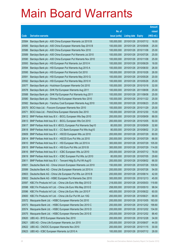|                |                                                                                                                        |                           |                            |                       | <b>Amount</b>  |
|----------------|------------------------------------------------------------------------------------------------------------------------|---------------------------|----------------------------|-----------------------|----------------|
|                |                                                                                                                        | No. of                    |                            |                       | raised         |
| Code           | <b>Derivative warrants</b>                                                                                             | issue (units)             | <b>Listing date Expiry</b> |                       | (HK\$ mil.)    |
| 20584          | Barclays Bank plc - A50 China European Warrants Jul 2010 B                                                             | 100,000,000               |                            | 2010/01/26 2010/07/12 | 16.00          |
| 20585          | Barclays Bank plc - A50 China European Warrants Sep 2010 B                                                             | 100,000,000               |                            | 2010/01/26 2010/09/06 | 25.00          |
| 20586          | Barclays Bank plc - A50 China European Warrants Nov 2010                                                               | 100,000,000               | 2010/01/26 2010/11/08      |                       | 25.00          |
| 20589          | Barclays Bank plc - A50 China European Put Warrants Jul 2010                                                           | 100,000,000               |                            | 2010/01/26 2010/07/26 | 25.00          |
| 20590          | Barclays Bank plc - A50 China European Put Warrants Nov 2010                                                           | 100,000,000               |                            | 2010/01/26 2010/11/08 | 25.00          |
| 20593          | Barclays Bank plc - HSI European Put Warrants Jun 2010 H                                                               | 100,000,000               |                            | 2010/01/26 2010/06/29 | 18.00          |
| 20594          | Barclays Bank plc - HSI European Put Warrants Aug 2010 A                                                               | 100,000,000               |                            | 2010/01/26 2010/08/30 | 26.00          |
| 20595          | Barclays Bank plc - HSI European Put Warrants Oct 2010                                                                 | 100,000,000               |                            | 2010/01/26 2010/10/28 | 26.00          |
| 20591          | Barclays Bank plc - HSI European Put Warrants May 2010 G                                                               | 100,000,000               |                            | 2010/01/26 2010/05/28 | 20.00          |
| 20592          | Barclays Bank plc - HSI European Put Warrants May 2010 H                                                               | 100,000,000               |                            | 2010/01/26 2010/05/28 | 25.00          |
| 20577          | Barclays Bank plc - Hutchison European Warrants Oct 2010                                                               | 100,000,000               | 2010/01/26 2010/10/18      |                       | 32.00          |
| 20578          | Barclays Bank plc - SHK Ppt European Warrants Aug 2011                                                                 | 100,000,000               |                            | 2010/01/26 2011/08/08 | 25.00          |
| 20588          | Barclays Bank plc - SHK Ppt European Put Warrants Aug 2011                                                             | 100,000,000               |                            | 2010/01/26 2011/08/08 | 25.00          |
| 20580          | Barclays Bank plc - Shimao Ppt European Warrants Nov 2010                                                              | 100,000,000               |                            | 2010/01/26 2010/11/22 | 25.00          |
| 20582          | Barclays Bank plc - Yanzhou Coal European Warrants Aug 2010                                                            | 100,000,000               |                            | 2010/01/26 2010/08/23 | 25.00          |
| 20570          | BOCI Asia Ltd. - Foxconn European Warrants Nov 2010                                                                    | 100,000,000               |                            | 2010/01/26 2010/11/29 | 25.00          |
| 20571          | BOCI Asia Ltd. - PetroChina European Warrants Dec 2010                                                                 | 100,000,000               |                            | 2010/01/26 2010/12/30 | 15.00          |
| 20612          | BNP Paribas Arbit Issu B.V. - BOCL European Wts Sep 2010                                                               | 200,000,000               |                            | 2010/01/26 2010/09/09 | 88.00          |
| 20613          | BNP Paribas Arbit Issu B.V. - BOCL European Wts Oct 2010                                                               | 200,000,000               | 2010/01/26 2010/10/05      |                       | 50.00          |
| 20617          | BNP Paribas Arbit Issu B.V.-BOCL European Put Warrants Sep10                                                           | 80,000,000                |                            | 2010/01/26 2010/09/09 | 32.80          |
| 20618<br>20609 | BNP Paribas Arbit Issu B.V. - CC Bank European Put Wts Aug10                                                           | 80,000,000<br>200,000,000 |                            | 2010/01/26 2010/08/02 | 31.20<br>60.00 |
| 20614          | BNP Paribas Arbit Issu B.V. - HSCEI European Wts Jul 2010<br>BNP Paribas Arbit Issu B.V. - HSCEI Euro Put Wts Jul 2010 | 200,000,000               | 2010/01/26 2010/07/29      | 2010/01/26 2010/07/29 | 66.00          |
| 20610          | BNP Paribas Arbit Issu B.V. - HSI European Wts Jul 2010 A                                                              | 300,000,000               |                            | 2010/01/26 2010/07/29 | 105.00         |
| 20615          | BNP Paribas Arbit Issu B.V. - HSI Euro Put Wts Jul 2010 B                                                              | 300,000,000               |                            | 2010/01/26 2010/07/29 | 114.00         |
| 20616          | BNP Paribas Arbit Issu B.V. - ICBC European Wts Jul 2010                                                               | 200,000,000               |                            | 2010/01/26 2010/07/12 | 78.00          |
| 20619          | BNP Paribas Arbit Issu B.V. - ICBC European Put Wts Jul 2010                                                           | 80,000,000                | 2010/01/26 2010/07/05      |                       | 29.60          |
| 20611          | BNP Paribas Arbit Issu B.V. - Tencent HIdg Eu Put Wt Aug10                                                             | 200,000,000               |                            | 2010/01/26 2010/08/02 | 66.00          |
| 20601          | Deutsche Bank AG - China Unicom European Warrants Jul 2010                                                             | 150,000,000               | 2010/01/26 2010/07/26      |                       | 109.50         |
| 20599          | Deutsche Bank AG - China Life European Warrants Jul 2010 A                                                             | 200,000,000               | 2010/01/26 2010/07/26      |                       | 54.00          |
| 20603          | Deutsche Bank AG - China Life European Put Wts Jun 2010 B                                                              | 200,000,000               | 2010/01/26 2010/06/14      |                       | 42.00          |
| 20602          | Deutsche Bank AG - HSBC European Put Warrants Dec 2010                                                                 | 300,000,000               |                            | 2010/01/26 2010/12/13 | 45.00          |
| 20597          | KBC Fin Products Int'l Ltd. - China Life Euro Wts May 2010 D                                                           | 218,000,000               |                            | 2010/01/26 2010/05/03 | 119.90         |
| 20598          | KBC Fin Products Int'l Ltd. - China Life Euro Wts May 2010 E                                                           | 258,000,000               |                            | 2010/01/26 2010/05/10 | 98.04          |
| 20596          | KBC Fin Products Int'l Ltd. - China Life Euro Wts Jun 2010 F                                                           | 400,000,000               |                            | 2010/01/26 2010/06/22 | 60.00          |
| 20600          | KBC Fin Products Int'l Ltd. - China Life Eur Put Wt Jun 10G                                                            | 200,000,000               | 2010/01/26 2010/06/21      |                       | 68.00          |
| 20572          | Macquarie Bank Ltd. - HSBC European Warrants Oct 2010                                                                  | 200,000,000               | 2010/01/26 2010/10/05      |                       | 183.00         |
| 20573          | Macquarie Bank Ltd. - HSBC European Warrants Dec 2010 C                                                                | 200,000,000               |                            | 2010/01/26 2010/12/02 | 199.80         |
| 20574          | Macquarie Bank Ltd. - HSBC European Warrants Dec 2010 D                                                                | 200,000,000               |                            | 2010/01/26 2010/12/02 | 134.00         |
| 20575          | Macquarie Bank Ltd. - HSBC European Warrants Dec 2010 E                                                                | 200,000,000               |                            | 2010/01/26 2010/12/02 | 88.40          |
| 20620          | UBS AG - BYD European Warrants Dec 2010                                                                                | 200,000,000               | 2010/01/26 2010/12/28      |                       | 34.00          |
| 20621          | UBS AG - China Life European Warrants Jun 2010                                                                         | 200,000,000               | 2010/01/26 2010/06/07      |                       | 44.00          |
| 20622          | UBS AG - CNOOC European Warrants Nov 2010                                                                              | 200,000,000               | 2010/01/26 2010/11/15      |                       | 30.00          |
| 20623          | UBS AG - ICBC European Warrants Jul 2010 A                                                                             | 100,000,000               |                            | 2010/01/26 2010/07/12 | 28.00          |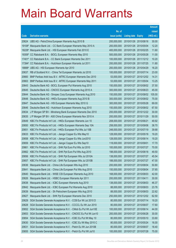|        |                                                                   |               |                            |                       | <b>Amount</b> |
|--------|-------------------------------------------------------------------|---------------|----------------------------|-----------------------|---------------|
|        |                                                                   | No. of        |                            |                       | raised        |
| Code   | <b>Derivative warrants</b>                                        | issue (units) | <b>Listing date Expiry</b> |                       | (HK\$ mil.)   |
| 20624  | UBS AG - PetroChina European Warrants Aug 2010 B                  | 200,000,000   | 2010/01/26 2010/08/16      |                       | 30.00         |
|        | 19108# Macquarie Bank Ltd. - CC Bank European Warrants May 2010 A | 200,000,000   |                            | 2010/01/26 2010/05/04 | 12.20         |
| 18228# | Macquarie Bank Ltd. - HSI European Warrants Feb 2010 E            | 400,000,000   |                            | 2010/01/26 2010/02/25 | 11.60         |
|        | 19359# CC Rabobank B.A. - BOCL European Warrants May 2010         | 500,000,000   |                            | 2010/01/26 2010/05/28 | 11.00         |
|        | 17401# CC Rabobank B.A. - CC Bank European Warrants Dec 2011      | 100,000,000   |                            | 2010/01/26 2011/12/12 | 10.20         |
|        | 17394# CC Rabobank B.A. - Hutchison European Warrants Jul 2011    | 200,000,000   |                            | 2010/01/26 2011/07/25 | 11.80         |
|        | 18888# UBS AG - HSI European Warrants Apr 2010                    | 200,000,000   | 2010/01/26 2010/04/29      |                       | 16.20         |
| 20637  | RB of Scotland N.V. - China Tel European Warrants Jul 2010        | 100,000,000   | 2010/01/27 2010/07/14      |                       | 23.00         |
| 20660  | BNP Paribas Arbit Issu B.V. - MTRC European Warrants Dec 2010     | 53,000,000    |                            | 2010/01/27 2010/12/02 | 14.31         |
| 20663  | BNP Paribas Arbit Issu B.V. - MTRC European Warrants May 2011     | 53,000,000    |                            | 2010/01/27 2011/05/04 | 13.25         |
| 20643  | Deutsche Bank AG - BOCL European Put Warrants Aug 2010            | 150,000,000   |                            | 2010/01/27 2010/08/02 | 37.50         |
| 20645  | Deutsche Bank AG - CNOOC European Warrants Aug 2010 A             | 300,000,000   |                            | 2010/01/27 2010/08/23 | 45.00         |
| 20644  | Deutsche Bank AG - Sinopec Corp European Warrants Aug 2010        | 150,000,000   |                            | 2010/01/27 2010/08/02 | 105.00        |
| 20648  | Deutsche Bank AG - HKEx European Warrants Aug 2010 B              | 300,000,000   |                            | 2010/01/27 2010/08/02 | 75.00         |
| 20647  | Deutsche Bank AG - HSI European Warrants May 2010 G               | 300,000,000   | 2010/01/27 2010/05/28      |                       | 69.00         |
| 20646  | Deutsche Bank AG - Hutchison European Warrants Aug 2010           | 150,000,000   |                            | 2010/01/27 2010/08/02 | 67.50         |
| 20634  | J P Morgan SP BV - Minsheng Bank European Warrants Dec 2010       | 200,000,000   |                            | 2010/01/27 2010/12/22 | 30.00         |
| 20635  | J P Morgan SP BV - A50 China European Warrants Nov 2010 A         | 200,000,000   |                            | 2010/01/27 2010/11/29 | 50.00         |
| 20649  | KBC Fin Products Int'l Ltd. - HKEx European Warrants Jun 10       | 208,000,000   | 2010/01/27 2010/06/21      |                       | 49.92         |
| 20650  | KBC Fin Products Int'l Ltd. - HKEx European Warrants Sep 10A      | 258,000,000   |                            | 2010/01/27 2010/09/06 | 38.70         |
| 20651  | KBC Fin Products Int'l Ltd. - HKEx European Put Wts Jul 10B       | 248,000,000   |                            | 2010/01/27 2010/07/19 | 39.68         |
| 20633  | KBC Fin Products Int'l Ltd. - Jiangxi Copper Eu Wts May10         | 128,000,000   |                            | 2010/01/27 2010/05/18 | 19.20         |
| 20658  | KBC Fin Products Int'l Ltd. - Jiangxi Copper Eu Wts Jun2010       | 128,000,000   | 2010/01/27 2010/06/14      |                       | 19.20         |
| 20659  | KBC Fin Products Int'l Ltd. - Jiangxi Copper Eu Wts Sep10         | 118,000,000   | 2010/01/27 2010/09/01      |                       | 17.70         |
| 20661  | KBC Fin Products Int'l Ltd. - SHK Ppt Euro Put Wts Jul 2010       | 100,000,000   | 2010/01/27 2010/07/27      |                       | 70.00         |
| 20662  | KBC Fin Products Int'l Ltd. - SHK Ppt Euro Put Wts Aug 2010       | 198,000,000   | 2010/01/27 2010/08/18      |                       | 49.50         |
| 20656  | KBC Fin Products Int'l Ltd. - SHK Ppt European Wts Jul 2010A      | 138,000,000   | 2010/01/27 2010/07/27      |                       | 45.54         |
| 20657  | KBC Fin Products Int'l Ltd. - SHK Ppt European Wts Jul 2010B      | 188,000,000   | 2010/01/27 2010/07/27      |                       | 47.00         |
| 20636  | Macquarie Bank Ltd. - China Life European Wts Aug 2010            | 200,000,000   | 2010/01/27 2010/08/04      |                       | 50.80         |
| 20641  | Macquarie Bank Ltd. - China Life European Put Wts Aug 2010        | 150,000,000   | 2010/01/27 2010/08/04      |                       | 37.65         |
| 20640  | Macquarie Bank Ltd. - WISE CSI European Warrants Aug 2010         | 168,000,000   | 2010/01/27 2010/08/03      |                       | 42.00         |
| 20626  | Macquarie Bank Ltd. - HSBC European Warrants Apr 2011             | 200,000,000   | 2010/01/27 2011/04/11      |                       | 30.00         |
| 20638  | Macquarie Bank Ltd. - ICBC European Warrants Aug 2010             | 138,000,000   | 2010/01/27                 | 2010/08/03            | 46.37         |
| 20642  | Macquarie Bank Ltd. - ICBC European Put Warrants Aug 2010         | 88,000,000    | 2010/01/27 2010/08/03      |                       | 23.76         |
| 20639  | Macquarie Bank Ltd. - Sh Petrochem European Wts Aug 2010          | 88,000,000    | 2010/01/27 2010/08/03      |                       | 22.62         |
| 20627  | Macquarie Bank Ltd. - SHK Ppt European Warrants Dec 2010          | 250,000,000   |                            | 2010/01/27 2010/12/02 | 62.50         |
| 20629  | SGA Societe Generale Acceptance N.V. - CCB Eur Wt Jul 2010 D      | 80,000,000    | 2010/01/27 2010/07/14      |                       | 19.20         |
| 20628  | SGA Societe Generale Acceptance N.V. - CCCCL Eu Wt Jun 2010       | 80,000,000    | 2010/01/27 2010/06/07      |                       | 17.60         |
| 20652  | SGA Societe Generale Acceptance N.V. - CMob Eu Put Wt Jun10E      | 100,000,000   | 2010/01/27 2010/06/14      |                       | 44.00         |
| 20653  | SGA Societe Generale Acceptance N.V. - CNOOC Eu Put Wt Jun10      | 200,000,000   | 2010/01/27                 | 2010/06/28            | 30.00         |
| 20654  | SGA Societe Generale Acceptance N.V. - ICBC Eu Put Wt May 10      | 80,000,000    | 2010/01/27                 | 2010/05/10            | 33.60         |
| 20630  | SGA Societe Generale Acceptance N.V. - ICBC Eu Wt May 2010 C      | 80,000,000    | 2010/01/27                 | 2010/05/24            | 16.00         |
| 20631  | SGA Societe Generale Acceptance N.V. - Petch Eu Wt Jun 2010B      | 80,000,000    | 2010/01/27                 | 2010/06/07            | 18.40         |
| 20655  | SGA Societe Generale Acceptance N.V. - Petch Eu Put Wt Jul10      | 100,000,000   | 2010/01/27 2010/07/28      |                       | 75.00         |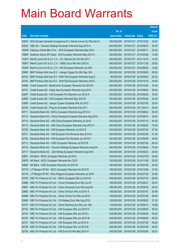|        |                                                                    |               |                            |            | <b>Amount</b> |
|--------|--------------------------------------------------------------------|---------------|----------------------------|------------|---------------|
|        |                                                                    | No. of        |                            |            | raised        |
| Code   | <b>Derivative warrants</b>                                         | issue (units) | <b>Listing date Expiry</b> |            | (HK\$ mil.)   |
| 20632  | SGA Societe Generale Acceptance N.V.-Renhe Comm Eu Wts Dec10       | 100,000,000   | 2010/01/27 2010/12/22      |            | 42.00         |
| 20625  | UBS AG - Tencent Holdings European Warrants Aug 2010 A             | 200,000,000   | 2010/01/27 2010/08/23      |            | 30.00         |
| 18946# | Citigroup Global Mkt H Inc. - BYD European Warrants May 2010       | 500,000,000   | 2010/01/27 2010/05/11      |            | 20.00         |
| 19884# | Goldman Sachs SP (Asia) - HSI European Warrants May 2010 A         | 200,000,000   | 2010/01/27                 | 2010/05/28 | 12.80         |
|        | 14381# Merrill Lynch Int'l & Co. C.V. - Ch Telecom Eur Wt Dec 2011 | 300,000,000   | 2010/01/27 2011/12/19      |            | 10.20         |
| 18581# | Merrill Lynch Int'l & Co. C.V. - HSBC Euro Wts Nov 2010 A          | 400,000,000   | 2010/01/27 2010/11/29      |            | 26.80         |
| 18304# | Merrill Lynch Int'l & Co. C.V. - HSI European Warrants Jun10D      | 300,000,000   | 2010/01/27 2010/06/29      |            | 12.60         |
| 20690  | BNP Paribas Arbit Issu B.V. - Jiangxi Copper Eu Wts Sep 10A        | 200,000,000   | 2010/01/28 2010/09/29      |            | 50.00         |
| 20702  | BNP Paribas Arbit Issu B.V. - SHK Ppt European Warrants Aug10      | 90,000,000    | 2010/01/28 2010/08/03      |            | 25.20         |
| 20703  | BNP Paribas Arbit Issu B.V. - SHK Ppt European Warrants Oct10      | 200,000,000   | 2010/01/28 2010/10/18      |            | 30.00         |
| 20698  | Credit Suisse AG - BankComm European Warrants Oct 2010 B           | 200,000,000   | 2010/01/28 2010/10/25      |            | 30.00         |
| 20701  | Credit Suisse AG - Geely Auto European Warrants Aug 2010           | 200,000,000   | 2010/01/28 2010/08/02      |            | 50.00         |
| 20697  | Credit Suisse AG - HSI European Put Warrants Jun 2010 A            | 200,000,000   | 2010/01/28 2010/06/29      |            | 30.00         |
| 20696  | Credit Suisse AG - HSI European Warrants May 2010 B                | 200,000,000   | 2010/01/28 2010/05/28      |            | 30.00         |
| 20699  | Credit Suisse AG - Jiangxi Copper European Wts Jul 2010            | 200,000,000   | 2010/01/28 2010/07/05      |            | 30.00         |
| 20700  | Credit Suisse AG - Ping An European Warrants Feb 2011              | 200,000,000   | 2010/01/28 2011/02/14      |            | 30.00         |
| 20711  | Deutsche Bank AG - BOCL European Warrants Aug 2010 A               | 200,000,000   | 2010/01/28 2010/08/02      |            | 50.00         |
| 20712  | Deutsche Bank AG - China Overseas European Warrants Aug 2010       | 200,000,000   | 2010/01/28 2010/08/16      |            | 30.00         |
| 20714  | Deutsche Bank AG - A50 China European Warrants Jul 2010            | 300,000,000   | 2010/01/28 2010/07/12      |            | 45.00         |
| 20715  | Deutsche Bank AG - A50 China European Warrants Aug 2010 A          | 300,000,000   | 2010/01/28 2010/08/02      |            | 75.00         |
| 20720  | Deutsche Bank AG - HSI European Warrants Jul 2010 E                | 300,000,000   | 2010/01/28 2010/07/29      |            | 87.00         |
| 20721  | Deutsche Bank AG - HSI European Put Warrants May 2010 H            | 300,000,000   | 2010/01/28 2010/05/28      |            | 51.00         |
| 20722  | Deutsche Bank AG - HSI European Put Warrants Jun 2010 F            | 300,000,000   | 2010/01/28                 | 2010/06/29 | 45.00         |
| 20713  | Deutsche Bank AG - ICBC European Warrants Jul 2010 B               | 200,000,000   | 2010/01/28 2010/07/26      |            | 60.00         |
| 20716  | Deutsche Bank AG - Tencent Holdings European Warrants Aug10A       | 300,000,000   | 2010/01/28 2010/08/02      |            | 75.00         |
| 20717  | Deutsche Bank AG - Zijin Mining European Warrants Aug 2010         | 200,000,000   | 2010/01/28 2010/08/23      |            | 30.00         |
| 20681  | HK Bank - BOCL European Warrants Jul 2010                          | 160,000,000   | 2010/01/28 2010/07/29      |            | 40.00         |
| 20679  | HK Bank - KECL European Warrants Nov 2010                          | 120,000,000   | 2010/01/28 2010/11/08      |            | 30.00         |
| 20680  | HK Bank - ICBC European Warrants Jul 2010 B                        | 160,000,000   | 2010/01/28 2010/07/29      |            | 40.00         |
| 20718  | J P Morgan SP BV - KECL European Warrants Oct 2010 B               | 188,000,000   | 2010/01/28 2010/10/28      |            | 47.00         |
| 20719  | J P Morgan SP BV - Nine Dragons European Warrants Jul 2010         | 138,000,000   | 2010/01/28 2010/07/29      |            | 34.50         |
| 20706  | KBC Fin Products Int'l Ltd. - BOCL European Wts Jul 2010 B         | 238,000,000   | 2010/01/28                 | 2010/07/19 | 59.50         |
| 20686  | KBC Fin Products Int'l Ltd. - China Overseas Euro Wts Jun10        | 188,000,000   | 2010/01/28                 | 2010/06/21 | 28.20         |
| 20687  | KBC Fin Products Int'l Ltd. - China Overseas Euro Wts Aug10A       | 188,000,000   | 2010/01/28                 | 2010/08/16 | 28.20         |
| 20685  | KBC Fin Products Int'l Ltd. - China Tel Euro Wts Jul 2010 A        | 168,000,000   | 2010/01/28 2010/07/07      |            | 36.96         |
| 20689  | KBC Fin Products Int'l Ltd. - China Tel Eur Put Wts Jul 2010       | 108,000,000   | 2010/01/28                 | 2010/07/28 | 59.40         |
| 20688  | KBC Fin Products Int'l Ltd. - Ch Railway Euro Wts Aug 2010         | 108,000,000   | 2010/01/28                 | 2010/08/02 | 27.00         |
| 20707  | KBC Fin Products Int'l Ltd. - China Shenhua Eur Wts Jun 10B        | 118,000,000   | 2010/01/28                 | 2010/06/15 | 18.88         |
| 20723  | KBC Fin Products Int'l Ltd. - HSI European Wts Jun 2010 K          | 328,000,000   | 2010/01/28                 | 2010/06/29 | 49.20         |
| 20724  | KBC Fin Products Int'l Ltd. - HSI European Wts Jun 2010 L          | 328,000,000   | 2010/01/28                 | 2010/06/29 | 49.20         |
| 20725  | KBC Fin Products Int'l Ltd. - HSI European Wts Jun 2010 M          | 328,000,000   | 2010/01/28                 | 2010/06/29 | 49.20         |
| 20727  | KBC Fin Products Int'l Ltd. - HSI European Wts Jul 2010 A          | 328,000,000   | 2010/01/28                 | 2010/07/29 | 49.20         |
| 20728  | KBC Fin Products Int'l Ltd. - HSI European Wts Jul 2010 B          | 328,000,000   | 2010/01/28                 | 2010/07/29 | 49.20         |
| 20726  | KBC Fin Products Int'l Ltd. - HSI Euro Put Wts May 2010 K          | 348,000,000   | 2010/01/28 2010/05/28      |            | 59.51         |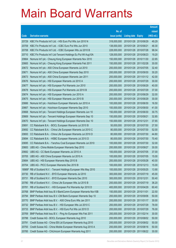|        |                                                              |               |                            |                       | <b>Amount</b> |
|--------|--------------------------------------------------------------|---------------|----------------------------|-----------------------|---------------|
|        |                                                              | No. of        |                            |                       | raised        |
| Code   | <b>Derivative warrants</b>                                   | issue (units) | <b>Listing date Expiry</b> |                       | (HK\$ mil.)   |
| 20729  | KBC Fin Products Int'l Ltd. - HSI Euro Put Wts Jun 2010 N    | 318,000,000   | 2010/01/28 2010/06/29      |                       | 49.29         |
| 20709  | KBC Fin Products Int'l Ltd. - ICBC Euro Put Wts Jun 2010     | 138,000,000   | 2010/01/28 2010/06/21      |                       | 48.30         |
| 20708  | KBC Fin Products Int'l Ltd. - ICBC European Wts Jul 2010 B   | 228,000,000   | 2010/01/28 2010/07/28      |                       | 98.04         |
| 20710  | KBC Fin Products Int'l Ltd-Tencent Holdings Eu Put Wt Aug10A | 128,000,000   |                            | 2010/01/28 2010/08/23 | 19.20         |
| 20664  | Nomura Int'l plc - Cheung Kong European Warrants Nov 2010    | 150,000,000   |                            | 2010/01/28 2010/11/30 | 22.65         |
| 20665  | Nomura Int'l plc - Cheung Kong European Warrants Feb 2011    | 150,000,000   |                            | 2010/01/28 2011/02/28 | 30.00         |
| 20672  | Nomura Int'l plc - A50 China European Warrants Jul 2010      | 200,000,000   | 2010/01/28 2010/07/05      |                       | 32.40         |
| 20671  | Nomura Int'l plc - A50 China European Warrants Sep 2010      | 200,000,000   |                            | 2010/01/28 2010/09/30 | 30.20         |
| 20673  | Nomura Int'l plc - A50 China European Warrants Jan 2011      | 200,000,000   |                            | 2010/01/28 2011/01/12 | 42.00         |
| 20676  | Nomura Int'l plc - HSI European Warrants Jul 2010 A          | 200,000,000   |                            | 2010/01/28 2010/07/29 | 30.00         |
| 20677  | Nomura Int'l plc - HSI European Put Warrants Jun 2010        | 200,000,000   | 2010/01/28 2010/06/29      |                       | 40.00         |
| 20678  | Nomura Int'l plc - HSI European Put Warrants Jul 2010 B      | 200,000,000   | 2010/01/28 2010/07/29      |                       | 37.00         |
| 20674  | Nomura Int'l plc - HSI European Warrants Jun 2010 A          | 200,000,000   |                            | 2010/01/28 2010/06/29 | 32.00         |
| 20675  | Nomura Int'l plc - HSI European Warrants Jun 2010 B          | 200,000,000   |                            | 2010/01/28 2010/06/29 | 30.00         |
| 20666  | Nomura Int'l plc - Hutchison European Warrants Jun 2010 A    | 100,000,000   |                            | 2010/01/28 2010/06/30 | 16.50         |
| 20667  | Nomura Int'l plc - Hutchison European Warrants Sep 2010      | 100,000,000   |                            | 2010/01/28 2010/09/30 | 41.00         |
| 20668  | Nomura Int'l plc - Tencent Holdings European Warrants Jun 10 | 150,000,000   |                            | 2010/01/28 2010/06/30 | 30.75         |
| 20669  | Nomura Int'l plc - Tencent Holdings European Warrants Sep 10 | 150,000,000   | 2010/01/28 2010/09/21      |                       | 32.85         |
| 20670  | Nomura Int'l plc - Tencent Holdings European Warrants Dec 10 | 150,000,000   | 2010/01/28 2010/12/31      |                       | 37.65         |
| 20691  | CC Rabobank B.A. - BOCL European Warrants Jul 2010 B         | 50,000,000    |                            | 2010/01/28 2010/07/30 | 27.50         |
| 20692  | CC Rabobank B.A. - China Life European Warrants Jul 2010 C   | 80,000,000    |                            | 2010/01/28 2010/07/30 | 52.00         |
| 20693  | CC Rabobank B.A. - China Life European Warrants Jul 2010 D   | 80,000,000    |                            | 2010/01/28 2010/07/30 | 44.80         |
| 20694  | CC Rabobank B.A. - HSBC European Warrants Jul 2010 D         | 80,000,000    | 2010/01/28 2010/07/30      |                       | 70.40         |
| 20695  | CC Rabobank B.A. - Yanzhou Coal European Warrants Jul 2010   | 100,000,000   |                            | 2010/01/28 2010/07/30 | 32.00         |
| 20683  | UBS AG - China Mobile European Warrants Sep 2010             | 200,000,000   | 2010/01/28 2010/09/27      |                       | 30.00         |
| 20682  | UBS AG - CC Bank European Warrants Jul 2010 A                | 100,000,000   | 2010/01/28 2010/07/05      |                       | 37.00         |
| 20705  | UBS AG - A50 China European Warrants Jul 2010 A              | 100,000,000   |                            | 2010/01/28 2010/07/05 | 15.00         |
| 20684  | UBS AG - HSI European Warrants May 2010 B                    | 200,000,000   | 2010/01/28 2010/05/28      |                       | 40.00         |
| 20704  | UBS AG - PICC European Warrants Dec 2010 B                   | 100,000,000   | 2010/01/28 2010/12/13      |                       | 15.00         |
| 18989# | RB of Scotland N.V. - Tencent Holdings European Wts May 2010 | 100,000,000   |                            | 2010/01/28 2010/05/25 | 13.90         |
| 20730  | RB of Scotland N.V. - BYD European Warrants Jul 2010         | 300,000,000   | 2010/01/29 2010/07/19      |                       | 45.00         |
| 20731  | RB of Scotland N.V. - BYD European Warrants Dec 2010         | 300,000,000   | 2010/01/29                 | 2010/12/31            | 50.40         |
| 20780  | RB of Scotland N.V. - China Life European Wts Jul 2010 B     | 200,000,000   | 2010/01/29                 | 2010/07/19            | 36.20         |
| 20781  | RB of Scotland N.V. - HSI European Put Warrants Apr 2010 D   | 400,000,000   | 2010/01/29                 | 2010/04/29            | 60.40         |
| 20768  | BNP Paribas Arbit Issu B.V-BankComm European Warrants Nov10B | 150,000,000   | 2010/01/29 2010/11/01      |                       | 22.50         |
| 20794  | BNP Paribas Arbit Issu B.V.-CM Bank European Warrants Sep 10 | 200,000,000   | 2010/01/29                 | 2010/09/06            | 50.00         |
| 20770  | BNP Paribas Arbit Issu B.V. - A50 China Euro Wts Jan 2011    | 200,000,000   | 2010/01/29                 | 2011/01/17            | 30.00         |
| 20732  | BNP Paribas Arbit Issu B.V. - HSI European Wts Jul 2010 C    | 200,000,000   | 2010/01/29                 | 2010/07/29            | 78.00         |
| 20733  | BNP Paribas Arbit Issu B.V. - HSI Euro Put Wts Jul 2010 D    | 200,000,000   | 2010/01/29 2010/07/29      |                       | 76.00         |
| 20769  | BNP Paribas Arbit Issu B.V. - Ping An European Wts Feb 2011  | 200,000,000   | 2010/01/29                 | 2011/02/14            | 30.00         |
| 20788  | Credit Suisse AG - BOCL European Warrants Aug 2010           | 200,000,000   | 2010/01/29                 | 2010/08/02            | 50.00         |
| 20791  | Credit Suisse AG - China EB Ltd European Warrants Aug 2010   | 200,000,000   | 2010/01/29                 | 2010/08/02            | 50.00         |
| 20793  | Credit Suisse AG - China Mobile European Warrants Aug 2010 A | 200,000,000   | 2010/01/29                 | 2010/08/16            | 50.00         |
| 20785  | Credit Suisse AG - ChiUnicom European Warrants Aug 2011      | 200,000,000   | 2010/01/29 2011/08/22      |                       | 30.00         |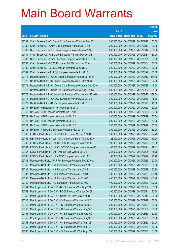|       |                                                               |               |                            |            | <b>Amount</b> |
|-------|---------------------------------------------------------------|---------------|----------------------------|------------|---------------|
|       |                                                               | No. of        |                            |            | raised        |
| Code  | <b>Derivative warrants</b>                                    | issue (units) | <b>Listing date Expiry</b> |            | (HK\$ mil.)   |
| 20792 | Credit Suisse AG - Ch Comm Cons European Warrants Feb 2011    | 200,000,000   | 2010/01/29 2011/02/17      |            | 50.00         |
| 20782 | Credit Suisse AG - China Coal European Warrants Jul 2010      | 200,000,000   | 2010/01/29 2010/07/19      |            | 30.00         |
| 20783 | Credit Suisse AG - CITIC Bank European Warrants May 2010      | 200,000,000   | 2010/01/29                 | 2010/05/17 | 30.00         |
| 20784 | Credit Suisse AG - China Life European Warrants May 2010 B    | 200,000,000   | 2010/01/29                 | 2010/05/31 | 30.00         |
| 20786 | Credit Suisse AG - China Shenhua European Warrants Jun 2010   | 200,000,000   | 2010/01/29                 | 2010/06/21 | 30.00         |
| 20787 | Credit Suisse AG - HSBC European Put Warrants Jun 2010        | 200,000,000   | 2010/01/29                 | 2010/06/04 | 30.00         |
| 20790 | Credit Suisse AG - ICBC European Warrants May 2010 C          | 200,000,000   | 2010/01/29                 | 2010/05/03 | 30.00         |
| 20789 | Credit Suisse AG - SHK Ppt European Warrants Jun 2010         | 200,000,000   | 2010/01/29                 | 2010/06/29 | 30.00         |
| 20774 | Deutsche Bank AG - China Mobile European Warrants Jul 2010    | 300,000,000   | 2010/01/29                 | 2010/07/12 | 234.00        |
| 20772 | Deutsche Bank AG - CC Bank European Warrants Jul 2010 C       | 200,000,000   | 2010/01/29                 | 2010/07/26 | 64.00         |
| 20771 | Deutsche Bank AG - Ch Comm Cons European Warrants Dec 2010    | 300,000,000   | 2010/01/29                 | 2010/12/28 | 45.00         |
| 20773 | Deutsche Bank AG - China Life European Warrants Aug 2010 A    | 300,000,000   | 2010/01/29                 | 2010/08/02 | 84.00         |
| 20775 | Deutsche Bank AG - China Mobile European Warrants Aug 2010 B  | 300,000,000   | 2010/01/29                 | 2010/08/23 | 138.00        |
| 20776 | Deutsche Bank AG - CNOOC European Warrants Aug 2010 B         | 300,000,000   | 2010/01/29                 | 2010/08/30 | 45.00         |
| 20777 | Deutsche Bank AG - HKEx European Warrants Jun 2010            | 300,000,000   | 2010/01/29                 | 2010/06/21 | 45.00         |
| 20747 | HK Bank - HSI European Put Warrants Jul 2010                  | 200,000,000   | 2010/01/29                 | 2010/07/29 | 50.00         |
| 20746 | HK Bank - HSI European Warrants Jun 2010 G                    | 200,000,000   | 2010/01/29                 | 2010/06/29 | 30.00         |
| 20742 | HK Bank - HSI European Warrants Jul 2010 A                    | 200,000,000   | 2010/01/29                 | 2010/07/29 | 50.00         |
| 20743 | HK Bank - HSI European Warrants Jul 2010 B                    | 200,000,000   | 2010/01/29                 | 2010/07/29 | 50.00         |
| 20744 | HK Bank - HSI European Warrants Jul 2010 C                    | 200,000,000   | 2010/01/29                 | 2010/07/29 | 50.00         |
| 20745 | HK Bank - PetroChina European Warrants May 2010               | 200,000,000   | 2010/01/29                 | 2010/05/24 | 30.00         |
| 20762 | KBC Fin Products Int'l Ltd. - BOCL European Wts Jul 2010 C    | 168,000,000   | 2010/01/29                 | 2010/07/29 | 77.28         |
| 20765 | KBC Fin Products Int'l Ltd. - Ch Comm Cons Euro Wts Dec 2010  | 128,000,000   | 2010/01/29                 | 2010/12/22 | 19.20         |
| 20763 | KBC Fin Products Int'l Ltd.-Ch COSCO European Warrants Jul10  | 138,000,000   | 2010/01/29                 | 2010/07/20 | 28.98         |
| 20764 | KBC Fin Products Int'l Ltd.-Ch COSCO European Warrants Nov10  | 108,000,000   | 2010/01/29                 | 2010/11/24 | 19.01         |
| 20767 | KBC Fin Products Int'l Ltd. - A50 Ch Euro Wts Jul 2010 B      | 258,000,000   | 2010/01/29                 | 2010/07/05 | 38.70         |
| 20766 | KBC Fin Products Int'l Ltd. - ICBC European Wts Jul 2010 C    | 168,000,000   | 2010/01/29                 | 2010/07/29 | 78.96         |
| 20741 | Macquarie Bank Ltd. - R&F Ppt European Warrants Sep 2010 A    | 200,000,000   | 2010/01/29 2010/09/29      |            | 50.20         |
| 20740 | Macquarie Bank Ltd. - HSI European Put Warrants Jun 2010      | 400,000,000   | 2010/01/29                 | 2010/06/29 | 60.00         |
| 20736 | Macquarie Bank Ltd. - HSI European Warrants Jun 2010 B        | 400,000,000   | 2010/01/29                 | 2010/06/29 | 60.80         |
| 20737 | Macquarie Bank Ltd. - HSI European Warrants Jul 2010 B        | 400,000,000   | 2010/01/29                 | 2010/07/29 | 100.40        |
| 20738 | Macquarie Bank Ltd. - HSI European Warrants Jul 2010 C        | 400,000,000   | 2010/01/29                 | 2010/07/29 | 100.40        |
| 20739 | Macquarie Bank Ltd. - HSI European Warrants Jul 2010 D        | 400,000,000   | 2010/01/29                 | 2010/07/29 | 100.00        |
| 20754 | Merrill Lynch Int'l & Co. C.V. - BOCL European Wts Aug 2010   | 100,000,000   | 2010/01/29                 | 2010/08/02 | 31.50         |
| 20753 | Merrill Lynch Int'l & Co. C.V. - BOCL European Wts Jun 2010B  | 100,000,000   | 2010/01/29                 | 2010/06/21 | 22.60         |
| 20755 | Merrill Lynch Int'l & Co. C.V. - China Life Eu Wt May 2010 C  | 100,000,000   | 2010/01/29                 | 2010/05/10 | 25.50         |
| 20748 | Merrill Lynch Int'l & Co. C.V. - HSI European Warrants Jul10C | 200,000,000   | 2010/01/29                 | 2010/07/29 | 30.20         |
| 20749 | Merrill Lynch Int'l & Co. C.V. - HSI European Warrants Jul10D | 200,000,000   | 2010/01/29                 | 2010/07/29 | 30.00         |
| 20750 | Merrill Lynch Int'l & Co. C.V. - HSI European Warrants Aug10B | 200,000,000   | 2010/01/29                 | 2010/08/30 | 50.00         |
| 20751 | Merrill Lynch Int'l & Co. C.V. - HSI European Warrants Aug10C | 200,000,000   | 2010/01/29                 | 2010/08/30 | 50.00         |
| 20752 | Merrill Lynch Int'l & Co. C.V. - HSI European Warrants Aug10D | 200,000,000   | 2010/01/29                 | 2010/08/30 | 51.00         |
| 20758 | Merrill Lynch Int'l & Co. C.V. - HSI European Put Wts Aug 10E | 200,000,000   | 2010/01/29                 | 2010/08/30 | 50.00         |
| 20759 | Merrill Lynch Int'l & Co. C.V. - HSI European Put Wts Aug 10F | 200,000,000   | 2010/01/29                 | 2010/08/30 | 52.00         |
| 20760 | Merrill Lynch Int'l & Co. C.V. - HSI European Put Wts Aug 10G | 200,000,000   | 2010/01/29                 | 2010/08/30 | 51.00         |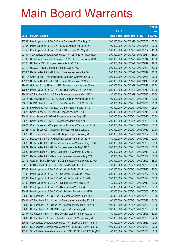|        |                                                                     |               |                       |               | <b>Amount</b> |
|--------|---------------------------------------------------------------------|---------------|-----------------------|---------------|---------------|
|        |                                                                     | No. of        |                       |               | raised        |
| Code   | <b>Derivative warrants</b>                                          | issue (units) | <b>Listing date</b>   | <b>Expiry</b> | (HK\$ mil.)   |
| 20761  | Merrill Lynch Int'l & Co. C.V. - HSI European Put Wts Aug 10H       | 200,000,000   | 2010/01/29            | 2010/08/30    | 52.00         |
| 20757  | Merrill Lynch Int'l & Co. C.V. - ICBC European Wts Jul 2010         | 100,000,000   | 2010/01/29            | 2010/07/05    | 27.00         |
| 20756  | Merrill Lynch Int'l & Co. C.V. - ICBC European Wts May 2010B        | 100,000,000   | 2010/01/29            | 2010/05/07    | 41.50         |
| 20734  | SGA Societe Generale Acceptance N.V. - CLife Eu Put Wt Jun10A       | 200,000,000   | 2010/01/29            | 2010/06/14    | 36.00         |
| 20735  | SGA Societe Generale Acceptance N.V. - CLife Eu Put Wt Jun10B       | 200,000,000   | 2010/01/29            | 2010/06/14    | 48.00         |
| 20778  | UBS AG - BOCL European Warrants Jul 2010 A                          | 100,000,000   | 2010/01/29            | 2010/07/19    | 19.00         |
| 20779  | UBS AG - HKEx European Warrants Aug 2010 A                          | 200,000,000   | 2010/01/29            | 2010/08/09    | 50.00         |
|        | 18903# Deutsche Bank AG - Hutchison European Warrants Apr 2010      | 300,000,000   | 2010/01/29            | 2010/04/19    | 48.60         |
|        | 18470# Credit Suisse - Tencent Holdings European Warrants Jun 2010  | 200,000,000   | 2010/01/29            | 2010/06/28    | 26.00         |
| 18273# | Deutsche Bank AG - ICBC European Warrants Apr 2010 A                | 400,000,000   | 2010/01/29            | 2010/04/19    | 21.20         |
|        | 19884# Goldman Sachs SP (Asia) - HSI European Warrants May 2010 A   | 400,000,000   | 2010/01/29            | 2010/05/28    | 17.20         |
|        | 17838# Merrill Lynch Int'l & Co. C.V. - CK(H) European Wts Dec 2010 | 200,000,000   | 2010/01/29            | 2010/12/13    | 13.20         |
| 18424# | CC Rabobank B.A. - CC Bank European Warrants Mar 2010 A             | 80,000,000    | 2010/01/29            | 2010/03/30    | 17.60         |
| 20815  | RB of Scotland N.V. - CITIC Bank European Warrants Oct 2010         | 100,000,000   | 2010/02/01 2010/10/11 |               | 49.20         |
| 20817  | BNP Paribas Arbit Issu B.V. - BankComm Euro Put Wts Dec10           | 100,000,000   | 2010/02/01            | 2010/12/06    | 25.00         |
| 20818  | BNP Paribas Arbit Issu B.V. - CM Bank Euro Put Wts Nov10            | 100,000,000   | 2010/02/01            | 2010/11/01    | 25.00         |
| 20825  | Credit Suisse AG - CHALCO European Wts Sep 2010                     | 200,000,000   | 2010/02/01            | 2010/09/13    | 30.00         |
| 20824  | Credit Suisse AG - BBMG European Warrants Aug 2010                  | 200,000,000   | 2010/02/01            | 2010/08/16    | 50.00         |
| 20826  | Credit Suisse AG - KECL European Warrants Aug 2010                  | 200,000,000   | 2010/02/01            | 2010/08/23    | 50.00         |
| 20827  | Credit Suisse AG - Dongfeng Motor European Warrants Jul 2010        | 200,000,000   | 2010/02/01            | 2010/07/26    | 30.00         |
| 20828  | Credit Suisse AG - Sinopharm European Warrants Jul 2012             | 200,000,000   | 2010/02/01            | 2012/07/30    | 50.00         |
| 20829  | Credit Suisse AG - Tencent Holdings European Wts Aug 2010 B         | 200,000,000   | 2010/02/01            | 2010/08/02    | 50.00         |
| 20819  | Deutsche Bank AG - CM Bank European Warrants Jul 2010               | 150,000,000   | 2010/02/01            | 2010/07/12    | 27.00         |
| 20820  | Deutsche Bank AG - China Mobile European Warrants Aug 2010 C        | 200,000,000   | 2010/02/01            | 2010/08/23    | 50.00         |
| 20821  | Deutsche Bank AG - HKEx European Warrants Aug 2010 C                | 200,000,000   | 2010/02/01            | 2010/08/02    | 50.00         |
| 20822  | Deutsche Bank AG - HKEx European Put Warrants Jul 2010 B            | 200,000,000   | 2010/02/01            | 2010/07/19    | 42.00         |
| 20823  | Deutsche Bank AG - Sinopharm European Warrants Aug 2010             | 150,000,000   | 2010/02/01            | 2010/08/02    | 60.00         |
| 20816  | Goldman Sachs SP (Asia) - BOCL European Warrants Aug 2010 A         | 200,000,000   | 2010/02/01            | 2010/08/02    | 88.00         |
| 20810  | KBC Fin Products Int'l Ltd. - HSI Euro Put Wts Jun 2010 O           | 400,000,000   | 2010/02/01            | 2010/06/29    | 60.00         |
| 20798  | Merrill Lynch Int'l & Co. C.V. - Ch Mobile Eu Put Wt Jul 10         | 200,000,000   | 2010/02/01            | 2010/07/26    | 76.00         |
| 20796  | Merrill Lynch Int'l & Co. C.V. - Ch Mobile Eur Wt Jun 2010 A        | 200,000,000   | 2010/02/01            | 2010/06/07    | 71.00         |
| 20797  | Merrill Lynch Int'l & Co. C.V. - Ch Mobile Eur Wt Jun 2010 B        | 200,000,000   | 2010/02/01            | 2010/06/24    | 52.00         |
| 20799  | Merrill Lynch Int'l & Co. C.V. - Sinopec Euro Wts May 2010          | 150,000,000   | 2010/02/01            | 2010/05/10    | 39.00         |
| 20800  | Merrill Lynch Int'l & Co. C.V. - Sinopec Euro Wts Jun 2010          | 150,000,000   | 2010/02/01            | 2010/06/28    | 37.35         |
| 20801  | Merrill Lynch Int'l & Co. C.V. - Ch Telecom Eur Wt May 2010B        | 150,000,000   | 2010/02/01            | 2010/05/03    | 25.50         |
| 20803  | CC Rabobank B.A. - CC Bank European Warrants Aug 2010 A             | 30,000,000    | 2010/02/01            | 2010/08/03    | 29.10         |
| 20804  | CC Rabobank B.A. - China Life European Warrants May 2010 B          | 100,000,000   | 2010/02/01            | 2010/05/28    | 34.00         |
| 20805  | CC Rabobank B.A. - China Life European Put Warrants Jul 2010        | 100,000,000   | 2010/02/01            | 2010/07/02    | 26.00         |
| 20806  | CC Rabobank B.A. - CNBM European Warrants Aug 2010                  | 100,000,000   | 2010/02/01            | 2010/08/30    | 28.00         |
| 20807  | CC Rabobank B.A. - Ch Ship Cont European Warrants Aug 2010          | 50,000,000    | 2010/02/01            | 2010/08/03    | 37.50         |
| 20802  | CC Rabobank B.A. - A50 China European Put Warrants Aug 2010B        | 150,000,000   | 2010/02/01            | 2010/08/03    | 22.50         |
| 10945  | SGA Societe Generale Acceptance N.V. - EUR/USD Eu Wt Aug 10A        | 100,000,000   | 2010/02/01            | 2010/08/30    | 42.00         |
| 10946  | SGA Societe Generale Acceptance N.V. - EUR/USD Eu Wt Aug 10B        | 100,000,000   | 2010/02/01            | 2010/08/30    | 27.00         |
| 10950  | SGA Societe Generale Acceptance N.V-EUR/USD Eu Put Wt Aug10C        | 100,000,000   | 2010/02/01            | 2010/08/30    | 32.00         |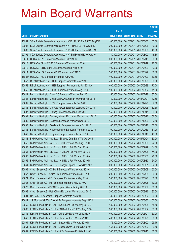|       |                                                              |               |                            |                       | <b>Amount</b> |
|-------|--------------------------------------------------------------|---------------|----------------------------|-----------------------|---------------|
|       |                                                              | No. of        |                            |                       | raised        |
| Code  | <b>Derivative warrants</b>                                   | issue (units) | <b>Listing date Expiry</b> |                       | (HK\$ mil.)   |
| 10951 | SGA Societe Generale Acceptance N.V-EUR/USD Eu Put Wt Aug10D | 100,000,000   |                            | 2010/02/01 2010/08/30 | 65.00         |
| 20808 | SGA Societe Generale Acceptance N.V. - HKEx Eu Put Wt Jul 10 | 200,000,000   |                            | 2010/02/01 2010/07/26 | 30.00         |
| 20809 | SGA Societe Generale Acceptance N.V. - HKEx Eu Put Wt Sep 10 | 200,000,000   | 2010/02/01                 | 2010/09/06            | 46.00         |
| 20795 | SGA Societe Generale Acceptance N.V.-Sh Electric Eu Wt Aug10 | 80,000,000    | 2010/02/01                 | 2010/08/02            | 48.80         |
| 20811 | UBS AG - BYD European Warrants Jul 2010 B                    | 200,000,000   | 2010/02/01                 | 2010/07/19            | 30.00         |
| 20813 | UBS AG - China COSCO European Warrants Jul 2010              | 100,000,000   |                            | 2010/02/01 2010/07/19 | 16.50         |
| 20812 | UBS AG - CITIC Bank European Warrants Aug 2010               | 100,000,000   | 2010/02/01                 | 2010/08/09            | 33.00         |
| 20814 | UBS AG - HSI European Put Warrants Jun 2010 C                | 200,000,000   | 2010/02/01                 | 2010/06/29            | 30.00         |
|       | 18888# UBS AG - HSI European Warrants Apr 2010               | 400,000,000   |                            | 2010/02/01 2010/04/29 | 19.60         |
| 20857 | RB of Scotland N.V. - HSI European Warrants May 2010         | 400,000,000   |                            | 2010/02/02 2010/05/28 | 60.00         |
| 20858 | RB of Scotland N.V. - HSI European Put Warrants Jun 2010 A   | 400,000,000   |                            | 2010/02/02 2010/06/29 | 73.20         |
| 20855 | RB of Scotland N.V. - ICBC European Warrants Aug 2010        | 100,000,000   |                            | 2010/02/02 2010/08/02 | 41.90         |
| 20841 | Barclays Bank plc - CHALCO European Warrants Feb 2011        | 150,000,000   |                            | 2010/02/02 2011/02/28 | 37.50         |
| 20838 | Barclays Bank plc - China COSCO European Warrants Feb 2011   | 150,000,000   |                            | 2010/02/02 2011/02/21 | 37.50         |
| 20832 | Barclays Bank plc - KECL European Warrants Dec 2010          | 150,000,000   |                            | 2010/02/02 2010/12/20 | 37.50         |
| 20835 | Barclays Bank plc - Chi Res Power European Warrants Oct 2010 | 150,000,000   |                            | 2010/02/02 2010/10/25 | 37.50         |
| 20837 | Barclays Bank plc - Datang European Warrants Oct 2010        | 150,000,000   |                            | 2010/02/02 2010/10/11 | 39.00         |
| 20834 | Barclays Bank plc - Denway Motors European Warrants Aug 2010 | 100,000,000   |                            | 2010/02/02 2010/08/16 | 66.00         |
| 20839 | Barclays Bank plc - Foxconn European Warrants Dec 2010       | 150,000,000   |                            | 2010/02/02 2010/12/20 | 37.50         |
| 20833 | Barclays Bank plc - Geely Auto European Warrants Oct 2010    | 100,000,000   |                            | 2010/02/02 2010/10/18 | 57.00         |
| 20836 | Barclays Bank plc - HuanengPower European Warrants Sep 2010  | 100,000,000   |                            | 2010/02/02 2010/09/13 | 31.00         |
| 20840 | Barclays Bank plc - Ping An European Warrants Oct 2010       | 100,000,000   |                            | 2010/02/02 2010/10/18 | 43.00         |
| 20843 | BNP Paribas Arbit Issu B.V. - Sinopec Corp Euro Wts Oct 2011 | 200,000,000   |                            | 2010/02/02 2011/10/04 | 30.00         |
| 20852 | BNP Paribas Arbit Issu B.V. - HSI European Wts Aug 2010 E    | 200,000,000   |                            | 2010/02/02 2010/08/30 | 74.00         |
| 20853 | BNP Paribas Arbit Issu B.V. - HSI Euro Put Wts Sep 2010      | 200,000,000   |                            | 2010/02/02 2010/09/29 | 64.00         |
| 20854 | BNP Paribas Arbit Issu B.V. - HSI Euro Put Wts May 2010 B    | 200,000,000   |                            | 2010/02/02 2010/05/28 | 54.00         |
| 20830 | BNP Paribas Arbit Issu B.V. - HSI Euro Put Wts Aug 2010 A    | 200,000,000   |                            | 2010/02/02 2010/08/30 | 92.00         |
| 20856 | BNP Paribas Arbit Issu B.V. - HSI Euro Put Wts Aug 2010 B    | 200,000,000   |                            | 2010/02/02 2010/08/30 | 64.00         |
| 20844 | BNP Paribas Arbit Issu B.V. - Jiangxi Copper Eu Wts Sep 10B  | 200,000,000   | 2010/02/02 2010/09/01      |                       | 54.00         |
| 20869 | Credit Suisse AG - CC Bank European Warrants Aug 2010        | 200,000,000   |                            | 2010/02/02 2010/08/09 | 50.00         |
| 20867 | Credit Suisse AG - China Life European Warrants Jul 2010     | 200,000,000   |                            | 2010/02/02 2010/07/05 | 30.00         |
| 20871 | Credit Suisse AG - HSI European Put Warrants May 2010        | 200,000,000   |                            | 2010/02/02 2010/05/28 | 30.00         |
| 20866 | Credit Suisse AG - HSI European Warrants May 2010 C          | 200,000,000   |                            | 2010/02/02 2010/05/28 | 30.00         |
| 20870 | Credit Suisse AG - ICBC European Warrants Aug 2010 A         | 200,000,000   |                            | 2010/02/02 2010/08/09 | 50.00         |
| 20868 | Credit Suisse AG - PetroChina European Warrants Aug 2010     | 200,000,000   |                            | 2010/02/02 2010/08/16 | 30.00         |
| 20831 | HK Bank - Sinopharm European Warrants Aug 2010               | 80,000,000    |                            | 2010/02/02 2010/08/02 | 20.00         |
| 20842 | J P Morgan SP BV - China Life European Warrants Aug 2010 A   | 200,000,000   |                            | 2010/02/02 2010/08/30 | 60.00         |
| 20859 | KBC Fin Products Int'l Ltd. - BOCL Euro Put Wts May 2010 E   | 130,000,000   |                            | 2010/02/02 2010/05/25 | 58.50         |
| 20860 | KBC Fin Products Int'l Ltd. - CC Bank Euro Put Wts Aug 2010  | 200,000,000   |                            | 2010/02/02 2010/08/02 | 50.00         |
| 20845 | KBC Fin Products Int'l Ltd. - China Life Euro Wts Jun 2010 H | 400,000,000   |                            | 2010/02/02 2010/06/01 | 60.00         |
| 20846 | KBC Fin Products Int'l Ltd. - China Life Euro Wts Jun 2010 I | 400,000,000   |                            | 2010/02/02 2010/06/25 | 60.00         |
| 20864 | KBC Fin Products Int'l Ltd. - Sinopec Euro Wts Aug 2010 B    | 175,000,000   |                            | 2010/02/02 2010/08/02 | 99.75         |
| 20861 | KBC Fin Products Int'l Ltd. - Sinopec Corp Eu Put Wt Aug 10  | 158,000,000   |                            | 2010/02/02 2010/08/02 | 39.50         |
| 20862 | KBC Fin Products Int'l Ltd. - HKEx European Put Wts Jul 10C  | 200,000,000   |                            | 2010/02/02 2010/07/15 | 30.00         |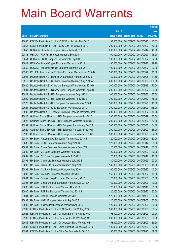|       |                                                              |               |                            | <b>Amount</b> |
|-------|--------------------------------------------------------------|---------------|----------------------------|---------------|
|       |                                                              | No. of        |                            | raised        |
| Code  | <b>Derivative warrants</b>                                   | issue (units) | <b>Listing date Expiry</b> | (HK\$ mil.)   |
| 20865 | KBC Fin Products Int'l Ltd. - HSBC Euro Put Wts May 2010     | 138,000,000   | 2010/02/02 2010/05/25      | 40.02         |
| 20863 | KBC Fin Products Int'l Ltd. - ICBC Euro Put Wts Aug 2010     | 200,000,000   | 2010/02/02 2010/08/02      | 50.00         |
| 20847 | UBS AG - China Life European Warrants Jul 2010 A             | 200,000,000   | 2010/02/02 2010/07/12      | 40.00         |
| 20848 | UBS AG - R&F Ppt European Warrants Sep 2010                  | 100,000,000   | 2010/02/02 2010/09/27      | 15.00         |
| 20851 | UBS AG - HSBC European Put Warrants Sep 2010 B               | 100,000,000   | 2010/02/02 2010/09/27      | 32.00         |
| 20849 | UBS AG - Jiangxi Copper European Warrants Jul 2010           | 100,000,000   | 2010/02/02 2010/07/12      | 19.70         |
| 20850 | UBS AG - Tencent Holdings European Warrants Jun 2010 C       | 100,000,000   | 2010/02/02 2010/06/07      | 23.10         |
| 20906 | RB of Scotland N.V. - A50 China European Warrants Jun 2010 B | 300,000,000   | 2010/02/03 2010/06/29      | 45.30         |
| 20903 | Deutsche Bank AG - Bank of EA European Warrants Jun 2010     | 150,000,000   | 2010/02/03 2010/06/28      | 31.50         |
| 20919 | Deutsche Bank AG - CC Bank European Warrants Aug 2010 A      | 200,000,000   | 2010/02/03 2010/08/09      | 138.00        |
| 20920 | Deutsche Bank AG - China Life European Warrants Aug 2010 B   | 200,000,000   | 2010/02/03 2010/08/16      | 70.00         |
| 20904 | Deutsche Bank AG - Sinopec Corp European Warrants Sep 2010   | 200,000,000   | 2010/02/03 2010/09/27      | 30.00         |
| 20921 | Deutsche Bank AG - HSI European Warrants Aug 2010 A          | 300,000,000   | 2010/02/03 2010/08/30      | 87.00         |
| 20922 | Deutsche Bank AG - HSI European Warrants Aug 2010 B          | 300,000,000   | 2010/02/03 2010/08/30      | 75.00         |
| 20923 | Deutsche Bank AG - HSI European Put Warrants May 2010 I      | 300,000,000   | 2010/02/03 2010/05/28      | 45.00         |
| 20924 | Deutsche Bank AG - ICBC European Warrants Aug 2010           | 200,000,000   | 2010/02/03 2010/08/09      | 118.00        |
| 20905 | Deutsche Bank AG - Tencent Holdings European Warrants Jun10D | 200,000,000   | 2010/02/03 2010/06/07      | 40.00         |
| 20925 | Goldman Sachs SP (Asia) - HSI European Warrants Jun 2010     | 200,000,000   | 2010/02/03 2010/06/29      | 30.00         |
| 20926 | Goldman Sachs SP (Asia) - HSI European Warrants Aug 2010 E   | 200,000,000   | 2010/02/03 2010/08/30      | 50.00         |
| 20931 | Goldman Sachs SP (Asia) - HSI European Put Wts Aug 2010 A    | 200,000,000   | 2010/02/03 2010/08/30      | 54.00         |
| 20929 | Goldman Sachs SP (Asia) - HSI European Put Wts Jun 2010 B    | 200,000,000   | 2010/02/03 2010/06/29      | 36.00         |
| 20930 | Goldman Sachs SP (Asia) - HSI European Put Wts Jun 2010 C    | 200,000,000   | 2010/02/03 2010/06/29      | 32.00         |
| 20887 | HK Bank - Angang Steel European Warrants Aug 2010 B          | 120,000,000   | 2010/02/03 2010/08/03      | 30.00         |
| 20888 | HK Bank - BOCL European Warrants Aug 2010 C                  | 120,000,000   | 2010/02/03 2010/08/12      | 30.00         |
| 20899 | HK Bank - China Overseas European Warrants Sep 2010          | 120,000,000   | 2010/02/03 2010/09/17      | 30.00         |
| 20890 | HK Bank - CC Bank European Warrants Aug 2010                 | 120,000,000   | 2010/02/03 2010/08/03      | 30.00         |
| 20889 | HK Bank - CC Bank European Warrants Jul 2010 B               | 120,000,000   | 2010/02/03 2010/07/12      | 18.00         |
| 20891 | HK Bank - China Life European Warrants Jul 2010 B            | 180,000,000   | 2010/02/03 2010/07/23      | 27.00         |
| 20892 | HK Bank - China Life European Warrants Aug 2010              | 180,000,000   | 2010/02/03 2010/08/03      | 45.00         |
| 20898 | HK Bank - CM Bank European Warrants Aug 2010                 | 160,000,000   | 2010/02/03 2010/08/23      | 40.00         |
| 20893 | HK Bank - CM Bank European Warrants Oct 2010                 | 160,000,000   | 2010/02/03 2010/10/22      | 40.00         |
| 20894 | HK Bank - Sinopec Corp European Warrants Aug 2010            | 120,000,000   | 2010/02/03 2010/08/03      | 30.00         |
| 20895 | HK Bank - China Shenhua European Warrants Aug 2010 A         | 160,000,000   | 2010/02/03 2010/08/03      | 40.00         |
| 20896 | HK Bank - R&F Ppt European Warrants Nov 2010                 | 120,000,000   | 2010/02/03 2010/11/18      | 30.00         |
| 20900 | HK Bank - R&F Ppt European Warrants Sep 2010 B               | 120,000,000   | 2010/02/03 2010/09/20      | 30.00         |
| 20901 | HK Bank - HKEx European Warrants Nov 2010                    | 120,000,000   | 2010/02/03 2010/11/08      | 30.00         |
| 20897 | HK Bank - HKEx European Warrants Sep 2010 B                  | 120,000,000   | 2010/02/03 2010/09/02      | 30.00         |
| 20902 | HK Bank - Shimao Ppt European Warrants Sep 2010              | 120,000,000   | 2010/02/03 2010/09/20      | 30.00         |
| 20939 | KBC Fin Products Int'l Ltd. - Ch Mobile Eu Put Wt Aug 2010   | 208,000,000   | 2010/02/03 2010/08/03      | 68.64         |
| 20928 | KBC Fin Products Int'l Ltd. - CC Bank Euro Wts Aug 2010 A    | 198,000,000   | 2010/02/03 2010/08/03      | 99.00         |
| 20938 | KBC Fin Products Int'l Ltd. - China Life Eur Put Wt Aug 2010 | 200,000,000   | 2010/02/03 2010/08/03      | 50.00         |
| 20932 | KBC Fin Products Int'l Ltd. - Ch Overseas Euro Wts Aug10 B   | 158,000,000   | 2010/02/03 2010/08/03      | 39.50         |
| 20933 | KBC Fin Products Int'l Ltd. - China Shenhua Eur Wts Aug 2010 | 100,000,000   | 2010/02/03 2010/08/03      | 30.00         |
| 20934 | KBC Fin Products Int'l Ltd. - China Tel Euro Wts Jul 2010 B  | 180,000,000   | 2010/02/03 2010/07/20      | 39.60         |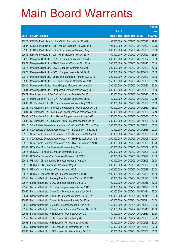|                |                                                                                                                        |                            |                                     |                                     | <b>Amount</b>  |
|----------------|------------------------------------------------------------------------------------------------------------------------|----------------------------|-------------------------------------|-------------------------------------|----------------|
|                |                                                                                                                        | No. of                     |                                     |                                     | raised         |
| Code           | <b>Derivative warrants</b>                                                                                             | issue (units)              | <b>Listing date Expiry</b>          |                                     | (HK\$ mil.)    |
| 20927          | KBC Fin Products Int'l Ltd. - A50 Ch Euro Wts Jun 2010 B                                                               | 198,000,000                |                                     | 2010/02/03 2010/06/22               | 29.70          |
| 20937          | KBC Fin Products Int'l Ltd. - A50 Ch European Put Wts Jun 10                                                           | 198,000,000                |                                     | 2010/02/03 2010/06/22               | 29.70          |
| 20935          | KBC Fin Products Int'l Ltd. - HKEx European Warrants Aug 10                                                            | 200,000,000                | 2010/02/03 2010/08/03               |                                     | 50.00          |
| 20936          | KBC Fin Products Int'l Ltd. - HSBC European Wts Jul 2010                                                               | 160,000,000                |                                     | 2010/02/03 2010/07/22               | 68.80          |
| 20875          | Macquarie Bank Ltd. - CHALCO European Warrants Jun 2010                                                                | 200,000,000                |                                     | 2010/02/03 2010/06/02               | 30.00          |
| 20879          | Macquarie Bank Ltd. - BBMG European Warrants Nov 2010                                                                  | 200,000,000                |                                     | 2010/02/03 2010/11/15               | 50.40          |
| 20876          | Macquarie Bank Ltd. - BOCL European Warrants Aug 2010                                                                  | 200,000,000                | 2010/02/03 2010/08/03               |                                     | 50.20          |
| 20877          | Macquarie Bank Ltd. - BOCL European Warrants Feb 2011                                                                  | 200,000,000                |                                     | 2010/02/03 2011/02/02               | 50.00          |
| 20878          | Macquarie Bank Ltd. - BankComm European Warrants Aug 2010                                                              | 200,000,000                |                                     | 2010/02/03 2010/08/03               | 30.00          |
| 20909          | Macquarie Bank Ltd. - CC Bank European Warrants May 2010 B                                                             | 150,000,000                |                                     | 2010/02/03 2010/05/05               | 23.10          |
| 20880          | Macquarie Bank Ltd. - Jiangxi Copper European Wts Jun 2010                                                             | 200,000,000                |                                     | 2010/02/03 2010/06/30               | 30.60          |
| 20881          | Macquarie Bank Ltd. - Sinopharm European Warrants Aug 2010                                                             | 200,000,000                | 2010/02/03 2010/08/03               |                                     | 51.20          |
| 20872          | Merrill Lynch Int'l & Co. C.V. - ChiUnicom Euro Wts Dec10                                                              | 150,000,000                |                                     | 2010/02/03 2010/12/13               | 22.50          |
| 20873          | Merrill Lynch Int'l & Co. C.V. - ChiUnicom Eu Put Wts Sep10                                                            | 150,000,000                |                                     | 2010/02/03 2010/09/22               | 23.55          |
| 20882          | CC Rabobank B.A. - CC Bank European Warrants Aug 2010 B                                                                | 100,000,000                |                                     | 2010/02/03 2010/08/30               | 55.00          |
| 20883          | CC Rabobank B.A. - Sinopec Corp European Warrants Aug 2010 B                                                           | 100,000,000                | 2010/02/03 2010/08/30               |                                     | 55.00          |
| 20884          | CC Rabobank B.A. - Lee & Man Paper European Warrants Aug 10                                                            | 80,000,000                 |                                     | 2010/02/03 2010/08/30               | 62.40          |
| 20885          | CC Rabobank B.A. - Poly HK Inv European Warrants Aug 2010                                                              | 250,000,000                |                                     | 2010/02/03 2010/08/30               | 62.50          |
| 20886          | CC Rabobank B.A. - Skyworth Digital European Warrants Oct 10                                                           | 280,000,000                | 2010/02/03 2010/10/28               |                                     | 70.00          |
| 20910          | SGA Societe Generale Acceptance N.V. - CHALCO Eu Wt Nov 2010                                                           | 200,000,000                | 2010/02/03 2010/11/01               |                                     | 30.00          |
| 20911          | SGA Societe Generale Acceptance N.V. - BOCL Eu Wt Aug 2010 B                                                           | 80,000,000                 |                                     | 2010/02/03 2010/08/16               | 20.00          |
| 20912          | SGA Societe Generale Acceptance N.V. - Shenhua Eu Wt Aug 10                                                            | 80,000,000                 |                                     | 2010/02/03 2010/08/23               | 29.60          |
| 20874          | SGA Societe Generale Acceptance N.V. - HKEx Eu Wt Dec 2010 B                                                           | 200,000,000                |                                     | 2010/02/03 2010/12/06               | 50.00          |
| 20913          | SGA Societe Generale Acceptance N.V. - HWL Eur Wt Jun 2010 C                                                           | 80,000,000                 |                                     | 2010/02/03 2010/06/23               | 19.20          |
| 20908          | UBS AG - China Tel European Warrants Aug 2010                                                                          | 100,000,000                |                                     | 2010/02/03 2010/08/09               | 25.00          |
| 20915          | UBS AG - China Life European Warrants Jul 2010 B                                                                       | 200,000,000                | 2010/02/03 2010/07/26               |                                     | 30.00          |
| 20907          | UBS AG - Sinopec Corp European Warrants Jul 2010 B                                                                     | 100,000,000                |                                     | 2010/02/03 2010/07/26               | 41.00          |
| 20916          | UBS AG - China Shenhua European Warrants Aug 2010                                                                      | 100,000,000                | 2010/02/03 2010/08/09               |                                     | 25.00          |
| 20918          | UBS AG - HSI European Put Warrants May 2010                                                                            | 200,000,000                | 2010/02/03 2010/05/28               |                                     | 30.00          |
| 20914          | UBS AG - HSI European Warrants Jun 2010 E                                                                              | 200,000,000                | 2010/02/03 2010/06/29               |                                     | 30.00          |
| 20917          | UBS AG - Tencent Holdings European Warrants Jul 2010                                                                   | 100,000,000                |                                     | 2010/02/03 2010/07/26               | 15.00          |
| 20946          | Barclays Bank plc - Angang Steel European Warrants Oct 2010                                                            | 150,000,000                |                                     | 2010/02/04 2010/10/25               | 37.50          |
| 20947          | Barclays Bank plc - BOCL European Warrants Oct 2010                                                                    | 100,000,000<br>100,000,000 | 2010/02/04<br>2010/02/04 2010/11/29 | 2010/10/18                          | 30.00<br>58.00 |
| 20948<br>20950 | Barclays Bank plc - CC Bank European Warrants Nov 2010<br>Barclays Bank plc - China Coal European Warrants Jan 2011    | 100,000,000                | 2010/02/04                          | 2011/01/24                          | 25.00          |
| 20951          |                                                                                                                        | 100,000,000                | 2010/02/04 2010/10/11               |                                     | 33.00          |
|                | Barclays Bank plc - China Life European Warrants Oct 2010 A                                                            |                            |                                     |                                     | 31.00          |
| 20957          | Barclays Bank plc - China Life European Put Wts Oct 2010                                                               | 100,000,000                | 2010/02/04                          | 2010/10/11                          |                |
| 20949<br>20952 | Barclays Bank plc - CM Bank European Warrants Dec 2010<br>Barclays Bank plc - China Shenhua European Warrants Sep 2010 | 150,000,000<br>150,000,000 | 2010/02/04                          | 2010/02/04 2010/12/20<br>2010/09/13 | 39.00<br>43.50 |
| 20955          |                                                                                                                        | 150,000,000                |                                     | 2010/02/04 2010/08/30               |                |
| 20956          | Barclays Bank plc - HSI European Warrants Aug 2010 C<br>Barclays Bank plc - HSI European Warrants Aug 2010 D           | 150,000,000                | 2010/02/04                          | 2010/08/30                          | 37.50<br>37.50 |
| 20958          | Barclays Bank plc - HSI European Put Warrants May 2010 I                                                               | 150,000,000                | 2010/02/04 2010/05/28               |                                     | 30.00          |
| 20959          | Barclays Bank plc - HSI European Put Warrants Jun 2010 I                                                               | 150,000,000                | 2010/02/04                          | 2010/06/29                          | 27.00          |
| 20960          | Barclays Bank plc - HSI European Put Warrants Aug 2010 B                                                               | 150,000,000                | 2010/02/04 2010/08/30               |                                     | 37.50          |
|                |                                                                                                                        |                            |                                     |                                     |                |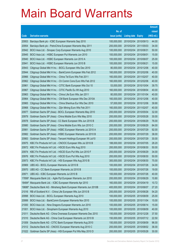|        |                                                                     |               |                            |                       | <b>Amount</b> |
|--------|---------------------------------------------------------------------|---------------|----------------------------|-----------------------|---------------|
|        |                                                                     | No. of        |                            |                       | raised        |
| Code   | <b>Derivative warrants</b>                                          | issue (units) | <b>Listing date Expiry</b> |                       | (HK\$ mil.)   |
| 20953  | Barclays Bank plc - ICBC European Warrants Sep 2010                 | 100,000,000   | 2010/02/04                 | 2010/09/13            | 44.00         |
| 20954  | Barclays Bank plc - PetroChina European Warrants May 2011           | 200,000,000   | 2010/02/04                 | 2011/05/03            | 34.00         |
| 20942  | BOCI Asia Ltd. - Sinopec Corp European Warrants Aug 2010            | 100,000,000   | 2010/02/04                 | 2010/08/31            | 50.00         |
| 20945  | BOCI Asia Ltd. - HSBC European Put Warrants Jun 2010                | 100,000,000   | 2010/02/04                 | 2010/06/01            | 15.00         |
| 20940  | BOCI Asia Ltd. - HSBC European Warrants Jun 2010 A                  | 100,000,000   | 2010/02/04                 | 2010/06/07            | 25.00         |
| 20941  | BOCI Asia Ltd. - HSBC European Warrants Jun 2010 B                  | 100,000,000   | 2010/02/04                 | 2010/06/21            | 15.00         |
| 20943  | Citigroup Global Mkt H Inc. - BOCL European Wts Dec 2010            | 80,000,000    | 2010/02/04                 | 2010/12/06            | 40.00         |
| 20944  | Citigroup Global Mkt H Inc. - BankComm European Wts Feb 2012        | 160,000,000   |                            | 2010/02/04 2012/02/06 | 40.00         |
| 20966  | Citigroup Global Mkt H Inc. - China Tel Euro Wts Feb 2011           | 160,000,000   | 2010/02/04                 | 2011/02/07            | 40.00         |
| 20962  | Citigroup Global Mkt H Inc. - Ch Comm Cons Euro Wts Feb 2012        | 160,000,000   | 2010/02/04                 | 2012/02/06            | 40.00         |
| 20961  | Citigroup Global Mkt H Inc. - CITIC Bank European Wts Oct 10        | 53,000,000    | 2010/02/04                 | 2010/10/04            | 39.75         |
| 20967  | Citigroup Global Mkt H Inc. - CITIC Pacific Eu Wt Aug 2010          | 160,000,000   | 2010/02/04                 | 2010/08/04            | 40.00         |
| 20963  | Citigroup Global Mkt H Inc. - China Life Euro Wts Jan 2011          | 80,000,000    | 2010/02/04                 | 2011/01/04            | 40.00         |
| 20964  | Citigroup Global Mkt H Inc. - CM Bank European Wts Dec 2010A        | 160,000,000   | 2010/02/04                 | 2010/12/06            | 40.00         |
| 20965  | Citigroup Global Mkt H Inc. - China Shenhua Eur Wts Dec 2010        | 57,000,000    | 2010/02/04                 | 2010/12/06            | 39.90         |
| 20968  | Citigroup Global Mkt H Inc. - Zijin Mining Euro Wts Feb 2011        | 160,000,000   | 2010/02/04                 | 2011/02/07            | 40.00         |
| 20977  | Goldman Sachs SP (Asia) - BOCL European Warrants May 2010           | 200,000,000   | 2010/02/04                 | 2010/05/04            | 32.00         |
| 20979  | Goldman Sachs SP (Asia) - China Mobile Euro Wts May 2010            | 200,000,000   | 2010/02/04                 | 2010/05/28            | 30.00         |
| 20978  | Goldman Sachs SP (Asia) - CC Bank European Wts Jun 2010 B           | 200,000,000   | 2010/02/04                 | 2010/06/29            | 76.00         |
| 20980  | Goldman Sachs SP (Asia) - China Mobile Euro Wts Jun 2010 C          | 200,000,000   | 2010/02/04                 | 2010/06/29            | 84.00         |
| 20981  | Goldman Sachs SP (Asia) - HSBC European Warrants Jul 2010 A         | 200,000,000   | 2010/02/04                 | 2010/07/29            | 92.00         |
| 20982  | Goldman Sachs SP (Asia) - HSBC European Warrants Jul 2010 B         | 200,000,000   | 2010/02/04                 | 2010/07/29            | 38.00         |
| 20983  | Goldman Sachs SP (Asia) - Tencent Holdings European Wt Jul10        | 200,000,000   | 2010/02/04                 | 2010/07/29            | 30.00         |
| 20975  | KBC Fin Products Int'l Ltd. - CNOOC European Wts Jul 2010 B         | 188,000,000   | 2010/02/04                 | 2010/07/05            | 28.20         |
| 20972  | KBC Fin Products Int'l Ltd. - HSCEI Euro Wts Aug 2010               | 200,000,000   | 2010/02/04                 | 2010/08/30            | 50.00         |
| 20974  | KBC Fin Products Int'l Ltd. - HSCEI Euro Put Wts Jun 2010 F         | 200,000,000   | 2010/02/04                 | 2010/06/29            | 34.00         |
| 20976  | KBC Fin Products Int'l Ltd. - HSCEI Euro Put Wts Aug 2010           | 200,000,000   |                            | 2010/02/04 2010/08/30 | 50.00         |
| 20973  | KBC Fin Products Int'l Ltd. - HSI European Wts Aug 2010 B           | 300,000,000   | 2010/02/04 2010/08/30      |                       | 75.00         |
| 20969  | UBS AG - BOCL European Warrants Jul 2010 B                          | 100,000,000   | 2010/02/04                 | 2010/07/26            | 34.00         |
| 20970  | UBS AG - CC Bank European Warrants Jul 2010 B                       | 100,000,000   | 2010/02/04                 | 2010/07/26            | 19.00         |
| 20971  | UBS AG - ICBC European Warrants Jul 2010 B                          | 100,000,000   | 2010/02/04                 | 2010/07/26            | 40.00         |
| 17856# | Macquarie Bank Ltd. - Agile Ppt European Warrants Jun 2010          | 200,000,000   | 2010/02/04                 | 2010/06/29            | 10.80         |
| 18484# | Macquarie Bank Ltd. - ICBC European Warrants Apr 2010               | 160,000,000   | 2010/02/04                 | 2010/04/19            | 10.72         |
|        | 19686# Deutsche Bank AG - Minsheng Bank European Warrants Jun 2010B | 400,000,000   | 2010/02/04                 | 2010/06/07            | 27.20         |
| 21016  | RB of Scotland N.V. - China Life European Wts Jun 2010 B            | 200,000,000   | 2010/02/05 2010/06/28      |                       | 54.20         |
| 20998  | BOCI Asia Ltd. - BOCL European Warrants Aug 2010                    | 100,000,000   | 2010/02/05 2010/08/09      |                       | 25.00         |
| 20999  | BOCI Asia Ltd. - BankComm European Warrants Nov 2010                | 100,000,000   | 2010/02/05                 | 2010/11/04            | 15.00         |
| 21000  | BOCI Asia Ltd. - Nine Dragons European Warrants Jun 2010            | 100,000,000   | 2010/02/05 2010/06/14      |                       | 15.00         |
| 21001  | BOCI Asia Ltd. - Sinopharm European Warrants Aug 2010               | 100,000,000   | 2010/02/05 2010/08/09      |                       | 40.00         |
| 21011  | Deutsche Bank AG - China Overseas European Warrants Dec 2010        | 150,000,000   | 2010/02/05 2010/12/28      |                       | 37.50         |
| 21010  | Deutsche Bank AG - China Coal European Warrants Jul 2010 B          | 150,000,000   | 2010/02/05                 | 2010/07/12            | 22.50         |
| 21009  | Deutsche Bank AG - CITIC Bank European Warrants Aug 2010            | 150,000,000   | 2010/02/05 2010/08/09      |                       | 96.00         |
| 21012  | Deutsche Bank AG - CNOOC European Warrants Aug 2010 C               | 200,000,000   |                            | 2010/02/05 2010/08/02 | 36.00         |
| 21022  | Goldman Sachs SP (Asia) - HSI European Put Wts May 2010 D           | 200,000,000   | 2010/02/05 2010/05/28      |                       | 30.00         |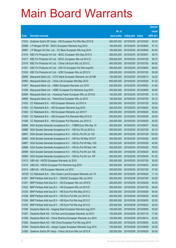|                |                                                                                          |                            |                                                | <b>Amount</b>  |
|----------------|------------------------------------------------------------------------------------------|----------------------------|------------------------------------------------|----------------|
|                |                                                                                          | No. of                     |                                                | raised         |
| Code           | <b>Derivative warrants</b>                                                               | issue (units)              | <b>Listing date Expiry</b>                     | (HK\$ mil.)    |
| 21023          | Goldman Sachs SP (Asia) - HSI European Put Wts May 2010 E                                | 200,000,000                | 2010/02/05 2010/05/28                          | 30.00          |
| 20996          | J P Morgan SP BV - BOCL European Warrants Aug 2010                                       | 150,000,000                | 2010/02/05 2010/08/05                          | 47.10          |
| 20997          | J P Morgan Int'l Der. Ltd. - CC Bank European Wts Aug 2010                               | 100,000,000                | 2010/02/05 2010/08/05                          | 63.00          |
| 21018          | KBC Fin Products Int'l Ltd. - BOCL European Wts Sep 2010 A                               | 258,000,000                | 2010/02/05 2010/09/01                          | 38.70          |
| 21017          | KBC Fin Products Int'l Ltd. - BOCL European Wts Jul 2010 D                               | 258,000,000                | 2010/02/05 2010/07/26                          | 38.70          |
| 21019          | KBC Fin Products Int'l Ltd. - China Life Euro Wts Jul 2010 C                             | 400,000,000                | 2010/02/05 2010/07/05                          | 60.00          |
| 21021          | KBC Fin Products Int'l Ltd. - A50 Ch European Put Wts Aug10C                             | 200,000,000                | 2010/02/05 2010/08/05                          | 58.00          |
| 21020          | KBC Fin Products Int'l Ltd. - ICBC European Wts Jul 2010 D                               | 228,000,000                | 2010/02/05 2010/07/20                          | 59.28          |
| 20992          | Macquarie Bank Ltd. - CITIC Bank European Warrants Jun 2010B                             | 100,000,000                | 2010/02/05 2010/06/14                          | 32.20          |
| 20993          | Macquarie Bank Ltd. - China Life European Wts May 2010                                   | 600,000,000                | 2010/02/05 2010/05/26                          | 91.20          |
| 21007          | Macquarie Bank Ltd. - HSBC European Warrants Jun 2010                                    | 200,000,000                | 2010/02/05 2010/06/02                          | 41.80          |
| 21008          | Macquarie Bank Ltd. - HSBC European Put Warrants Aug 2010                                | 200,000,000                | 2010/02/05 2010/08/05                          | 50.80          |
| 20994          | Macquarie Bank Ltd. - Huaneng Power European Wts Jul 2010 B                              | 100,000,000                | 2010/02/05 2010/07/06                          | 31.10          |
| 20995          | Macquarie Bank Ltd. - PetroChina European Wts Jul 2010                                   | 150,000,000                | 2010/02/05 2010/07/05                          | 53.10          |
| 21003          | CC Rabobank B.A. - HSI European Warrants Jul 2010 A                                      | 200,000,000                | 2010/02/05 2010/07/29                          | 34.00          |
| 21004          | CC Rabobank B.A. - HSI European Warrants Aug 2010                                        | 200,000,000                | 2010/02/05 2010/08/30                          | 50.00          |
| 21002          | CC Rabobank B.A. - HSI European Warrants Jun 2010 F                                      | 200,000,000                | 2010/02/05 2010/06/29                          | 30.00          |
| 21005          | CC Rabobank B.A. - HSI European Put Warrants May 2010 D                                  | 200,000,000                | 2010/02/05 2010/05/28                          | 30.00          |
| 21006          | CC Rabobank B.A. - HSI European Put Warrants Jun 2010 G                                  | 200,000,000                | 2010/02/05 2010/06/29                          | 40.00          |
| 20984          | SGA Societe Generale Acceptance N.V. - CNBM Euro Wts Sep 10                              | 200,000,000                | 2010/02/05 2010/09/27                          | 50.00          |
| 20986          | SGA Societe Generale Acceptance N.V. - HSI Eur Wt Jul 2010 A                             | 300,000,000                | 2010/02/05 2010/07/29                          | 50.10          |
| 20991          | SGA Societe Generale Acceptance N.V. - HSI Eu Put Wt Jul 10C                             | 300,000,000                | 2010/02/05 2010/07/29                          | 120.00         |
| 20985          | SGA Societe Generale Acceptance N.V. - HSI Eur Wt May 2010 F                             | 300,000,000                | 2010/02/05 2010/05/28                          | 48.00          |
| 20987          | SGA Societe Generale Acceptance N.V. - HSI Eu Put Wt May 10G                             | 300,000,000                | 2010/02/05 2010/05/28                          | 45.90          |
| 20988          | SGA Societe Generale Acceptance N.V. - HSI Eu Put Wt May 10H                             | 300,000,000                | 2010/02/05 2010/05/28                          | 78.00          |
| 20989          | SGA Societe Generale Acceptance N.V. - HSI Eu Put Wt Jun 10E                             | 300,000,000                | 2010/02/05 2010/06/29                          | 49.50<br>61.20 |
| 20990          | SGA Societe Generale Acceptance N.V. - HSI Eu Put Wt Jun 10F                             | 300,000,000                | 2010/02/05 2010/06/29<br>2010/02/05 2010/07/29 |                |
| 21013<br>21015 | UBS AG - HSCEI European Warrants Jul 2010                                                | 200,000,000<br>200,000,000 | 2010/02/05 2010/08/30                          | 30.00<br>50.00 |
| 21014          | UBS AG - HSCEI European Put Warrants Aug 2010<br>UBS AG - HSI European Warrants Jul 2010 | 200,000,000                | 2010/02/05 2010/07/29                          | 47.00          |
|                | 19722# CC Rabobank B.A. - Sino Ocean Land European Warrants Jun 10                       | 300,000,000                | 2010/02/05 2010/06/24                          | 11.10          |
| 21061          | BNP Paribas Arbit Issu B.V. - CNOOC European Wts Jul 2010                                | 200,000,000                | 2010/02/08 2010/07/05                          | 30.00          |
| 21031          | BNP Paribas Arbit Issu B.V. - HSI European Wts Jun 2010 E                                | 200,000,000                | 2010/02/08 2010/06/29                          | 44.00          |
| 21032          | BNP Paribas Arbit Issu B.V. - HSI European Wts Jul 2010 E                                | 200,000,000                | 2010/02/08 2010/07/29                          | 54.00          |
| 21033          | BNP Paribas Arbit Issu B.V. - HSI Euro Put Wts May 2010 C                                | 200,000,000                | 2010/02/08 2010/05/28                          | 54.00          |
| 21036          | BNP Paribas Arbit Issu B.V. - HSI Euro Put Wts Jun 2010 G                                | 200,000,000                | 2010/02/08 2010/06/29                          | 54.00          |
| 21034          | BNP Paribas Arbit Issu B.V. - HSI Euro Put Wts Aug 2010 C                                | 200,000,000                | 2010/02/08 2010/08/30                          | 52.00          |
| 21035          | BNP Paribas Arbit Issu B.V. - HSI Euro Put Wts Aug 2010 D                                | 200,000,000                | 2010/02/08 2010/08/30                          | 52.00          |
| 21056          | Deutsche Bank AG - Angang Steel European Warrants Aug 2010                               | 100,000,000                | 2010/02/08 2010/08/09                          | 25.00          |
| 21057          | Deutsche Bank AG - Chi Res Land European Warrants Jul 2010                               | 100,000,000                | 2010/02/08 2010/07/19                          | 17.00          |
| 21058          | Deutsche Bank AG - China Shenhua European Warrants Jun 2010                              | 100,000,000                | 2010/02/08 2010/06/14                          | 22.00          |
| 21062          | Deutsche Bank AG - A50 China European Put Wts Aug 2010                                   | 200,000,000                | 2010/02/08 2010/08/09                          | 32.00          |
| 21059          | Deutsche Bank AG - Jiangxi Copper European Warrants Aug 2010                             | 100,000,000                | 2010/02/08 2010/08/09                          | 25.00          |
| 21063          | Goldman Sachs SP (Asia) - China Life Euro Wts Jun 2010 B                                 | 200,000,000                | 2010/02/08 2010/06/29                          | 50.00          |
|                |                                                                                          |                            |                                                |                |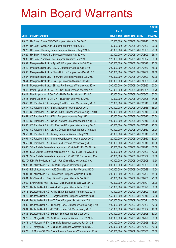|       |                                                                     |               |                            |            | <b>Amount</b> |
|-------|---------------------------------------------------------------------|---------------|----------------------------|------------|---------------|
|       |                                                                     | No. of        |                            |            | raised        |
| Code  | <b>Derivative warrants</b>                                          | issue (units) | <b>Listing date Expiry</b> |            | (HK\$ mil.)   |
| 21026 | HK Bank - China COSCO European Warrants Dec 2010                    | 120,000,000   | 2010/02/08 2010/12/13      |            | 30.00         |
| 21027 | HK Bank - Geely Auto European Warrants Aug 2010 B                   | 80,000,000    | 2010/02/08 2010/08/09      |            | 20.00         |
| 21028 | HK Bank - Huaneng Power European Warrants Aug 2010 B                | 80,000,000    | 2010/02/08 2010/08/09      |            | 20.00         |
| 21029 | HK Bank - PetroChina European Warrants Aug 2010 A                   | 120,000,000   | 2010/02/08 2010/08/09      |            | 68.40         |
| 21030 | HK Bank - Yanzhou Coal European Warrants Sep 2010                   | 120,000,000   | 2010/02/08 2010/09/27      |            | 30.00         |
| 21039 | Macquarie Bank Ltd. - Agile Ppt European Warrants Oct 2010          | 300,000,000   | 2010/02/08 2010/10/28      |            | 75.00         |
| 21040 | Macquarie Bank Ltd. - CNBM European Warrants Aug 2010               | 300,000,000   | 2010/02/08 2010/08/30      |            | 75.30         |
| 21038 | Macquarie Bank Ltd. - China Unicom European Wts Dec 2010 B          | 300,000,000   | 2010/02/08 2010/12/02      |            | 49.50         |
| 21037 | Macquarie Bank Ltd. - A50 China European Warrants Jun 2010          | 400,000,000   | 2010/02/08 2010/06/29      |            | 60.00         |
| 21041 | Macquarie Bank Ltd. - R&F Ppt European Warrants Oct 2010            | 200,000,000   | 2010/02/08 2010/10/05      |            | 50.20         |
| 21042 | Macquarie Bank Ltd. - Shimao Ppt European Warrants Aug 2010         | 200,000,000   | 2010/02/08 2010/08/30      |            | 50.00         |
| 21043 | Merrill Lynch Int'l & Co. C.V. - CNOOC European Wts Mar 2011        | 150,000,000   | 2010/02/08 2011/03/21      |            | 24.75         |
| 21044 | Merrill Lynch Int'l & Co. C.V. - HKEx Eur Put Wts Aug 2010 C        | 150,000,000   | 2010/02/08 2010/08/03      |            | 32.55         |
| 21045 | Merrill Lynch Int'l & Co. C.V. - Hutchison Euro Wts Jul 2010        | 150,000,000   | 2010/02/08 2010/07/05      |            | 34.35         |
| 21046 | CC Rabobank B.A. - Angang Steel European Warrants Aug 2010          | 120,000,000   | 2010/02/08 2010/08/10      |            | 32.40         |
| 21047 | CC Rabobank B.A. - BBMG European Warrants Aug 2010                  | 200,000,000   | 2010/02/08 2010/08/16      |            | 35.00         |
| 21048 | CC Rabobank B.A. - China EB Ltd European Warrants Aug 2010 B        | 100,000,000   | 2010/02/08 2010/08/10      |            | 36.00         |
| 21051 | CC Rabobank B.A. - KECL European Warrants Aug 2010                  | 150,000,000   | 2010/02/08 2010/08/10      |            | 37.50         |
| 21049 | CC Rabobank B.A. - China Overseas European Warrants Aug 10B         | 100,000,000   | 2010/02/08 2010/08/10      |            | 25.00         |
| 21050 | CC Rabobank B.A. - Chi Res Land European Warrants Aug 2010          | 100,000,000   | 2010/02/08 2010/08/10      |            | 25.00         |
| 21052 | CC Rabobank B.A. - Jiangxi Copper European Warrants Aug 2010        | 100,000,000   | 2010/02/08 2010/08/10      |            | 25.00         |
| 21053 | CC Rabobank B.A. - Li Ning European Warrants Aug 2010               | 80,000,000    | 2010/02/08 2010/08/10      |            | 28.00         |
| 21054 | CC Rabobank B.A. - Shimao Ppt European Warrants Aug 2010            | 120,000,000   | 2010/02/08 2010/08/10      |            | 30.00         |
| 21055 | CC Rabobank B.A. - Xinao Gas European Warrants Aug 2010             | 100,000,000   | 2010/02/08 2010/08/10      |            | 40.00         |
| 21060 | SGA Societe Generale Acceptance N.V. - Agile Ppt Eu Wts Nov10       | 150,000,000   | 2010/02/08 2010/11/10      |            | 37.50         |
| 21025 | SGA Societe Generale Acceptance N.V. - CCB Euro Put Wt Aug10        | 80,000,000    | 2010/02/08 2010/08/09      |            | 67.20         |
| 21024 | SGA Societe Generale Acceptance N.V. - CITBK Euro Wt Aug 10A        | 100,000,000   | 2010/02/08 2010/08/09      |            | 67.00         |
|       | 17270# KBC Fin Products Int'l Ltd. - PetroChina Euro Wts Jun 2010 A | 1,100,000,000 | 2010/02/08 2010/06/08      |            | 49.50         |
| 21083 | RB of Scotland N.V. - BBMG European Warrants Aug 2010               | 200,000,000   | 2010/02/09                 | 2010/08/09 | 30.80         |
| 21085 | RB of Scotland N.V. - A50 China European Put Wts Jun 2010 D         | 300,000,000   | 2010/02/09 2010/06/29      |            | 45.00         |
| 21084 | RB of Scotland N.V. - Sinopharm European Warrants Jul 2012          | 300,000,000   | 2010/02/09 2012/07/23      |            | 45.00         |
| 21064 | BOCI Asia Ltd. - Poly HK Inv European Warrants Dec 2010             | 100,000,000   | 2010/02/09 2010/12/30      |            | 25.00         |
| 21069 | BNP Paribas Arbit Issu B.V. - China Overseas Euro Wts Nov10         | 100,000,000   | 2010/02/09                 | 2010/11/01 | 25.00         |
| 21077 | Deutsche Bank AG - Alibaba European Warrants Jun 2010               | 150,000,000   | 2010/02/09 2010/06/28      |            | 39.00         |
| 21078 | Deutsche Bank AG - China EB Ltd European Warrants Aug 2010          | 150,000,000   | 2010/02/09                 | 2010/08/09 | 46.50         |
| 21079 | Deutsche Bank AG - Dongfeng Motor European Warrants Aug10           | 150,000,000   | 2010/02/09 2010/08/16      |            | 37.50         |
| 21082 | Deutsche Bank AG - A50 China European Put Wts Jun 2010              | 200,000,000   | 2010/02/09                 | 2010/06/21 | 36.00         |
| 21080 | Deutsche Bank AG - Huaneng Power European Warrants Aug 2010         | 100,000,000   | 2010/02/09 2010/08/09      |            | 57.00         |
| 21081 | Deutsche Bank AG - ICBC European Put Warrants Aug 2010              | 150,000,000   | 2010/02/09                 | 2010/08/02 | 49.50         |
| 21086 | Deutsche Bank AG - Ping An European Warrants Jun 2010               | 200,000,000   | 2010/02/09 2010/06/28      |            | 30.00         |
| 21070 | J P Morgan SP BV - Air China European Warrants Dec 2010 B           | 200,000,000   | 2010/02/09                 | 2010/12/20 | 50.00         |
| 21071 | J P Morgan SP BV - China Life European Warrants Jun 2010 B          | 200,000,000   | 2010/02/09 2010/06/28      |            | 30.00         |
| 21072 | J P Morgan SP BV - China Life European Warrants Aug 2010 B          | 200,000,000   | 2010/02/09                 | 2010/08/23 | 50.00         |
| 21073 | J P Morgan SP BV - China Shenhua European Warrants Aug 2010         | 200,000,000   | 2010/02/09 2010/08/30      |            | 50.00         |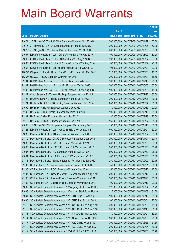|        |                                                               |               |                            |            | <b>Amount</b> |
|--------|---------------------------------------------------------------|---------------|----------------------------|------------|---------------|
|        |                                                               | No. of        |                            |            | raised        |
| Code   | <b>Derivative warrants</b>                                    | issue (units) | <b>Listing date Expiry</b> |            | (HK\$ mil.)   |
| 21074  | J P Morgan SP BV - A50 China European Warrants Nov 2010 B     | 200,000,000   | 2010/02/09 2010/11/29      |            | 50.00         |
| 21075  | J P Morgan SP BV - JX Copper European Warrants Oct 2010       | 200,000,000   | 2010/02/09 2010/10/25      |            | 50.00         |
| 21076  | J P Morgan SP BV - Shimao Property European Wts Oct 2010      | 200,000,000   | 2010/02/09                 | 2010/10/25 | 50.00         |
| 21067  | KBC Fin Products Int'l Ltd. - China Unicom Euro Wts Aug 2010  | 100,000,000   | 2010/02/09 2010/08/09      |            | 30.00         |
| 21066  | KBC Fin Products Int'l Ltd. - CC Bank Euro Wts Aug 2010 B     | 198,000,000   | 2010/02/09                 | 2010/08/02 | 39.60         |
| 21065  | KBC Fin Products Int'l Ltd. - Ch Comm Cons Euro Wts Aug 2010  | 80,000,000    | 2010/02/09 2010/08/09      |            | 20.00         |
| 21068  | KBC Fin Products Int'l Ltd-Tencent Holdings Eu Put Wt Aug10B  | 108,000,000   | 2010/02/09                 | 2010/08/09 | 29.16         |
| 17679# | Citigroup Global Mkt H Inc. - BankComm European Wts May 2010  | 313,000,000   | 2010/02/09 2010/05/03      |            | 10.02         |
| 18266# | UBS AG - HSBC European Warrants Nov 2010                      | 300,000,000   | 2010/02/09 2010/11/29      |            | 15.60         |
| 21104  | BNP Paribas Arbit Issu B.V. - Chi Res Land Euro Wts Dec10     | 100,000,000   | 2010/02/10 2010/12/10      |            | 25.00         |
| 21102  | BNP Paribas Arbit Issu B.V. - HKEx European Wts Oct 2010      | 200,000,000   | 2010/02/10 2010/10/05      |            | 50.00         |
| 21103  | BNP Paribas Arbit Issu B.V. - HKEx European Put Wts Aug 10B   | 100,000,000   | 2010/02/10 2010/08/03      |            | 15.00         |
| 21122  | Credit Suisse AG - Tencent Holdings European Wts Jul 2010 B   | 200,000,000   | 2010/02/10 2010/07/26      |            | 30.00         |
| 21123  | Deutsche Bank AG - HSBC European Warrants Jul 2010 A          | 200,000,000   | 2010/02/10 2010/07/26      |            | 146.00        |
| 21124  | Deutsche Bank AG - Zijin Mining European Warrants Sep 2010    | 200,000,000   | 2010/02/10 2010/09/27      |            | 30.00         |
| 21099  | HK Bank - Agile Ppt European Warrants Dec 2010                | 80,000,000    | 2010/02/10 2010/12/10      |            | 20.00         |
| 21100  | HK Bank - China Unicom European Warrants Aug 2010             | 100,000,000   | 2010/02/10 2010/08/10      |            | 25.00         |
| 21101  | HK Bank - CNBM European Warrants Sep 2010                     | 80,000,000    | 2010/02/10 2010/09/28      |            | 20.00         |
| 21112  | HK Bank - CNOOC European Warrants Sep 2010                    | 160,000,000   | 2010/02/10 2010/09/27      |            | 24.00         |
| 21098  | J P Morgan SP BV - Sinopharm European Warrants Aug 2010       | 150,000,000   | 2010/02/10 2010/08/10      |            | 60.00         |
| 21121  | KBC Fin Products Int'l Ltd. - PetroChina Euro Wts Jun 2010 B  | 400,000,000   | 2010/02/10 2010/06/01      |            | 60.00         |
| 21088  | Macquarie Bank Ltd. - Alibaba European Warrants Jun 2010      | 200,000,000   | 2010/02/10 2010/06/22      |            | 36.60         |
| 21110  | Macquarie Bank Ltd. - CNOOC European Put Warrants Jan 2011    | 200,000,000   | 2010/02/10 2011/01/04      |            | 50.40         |
| 21089  | Macquarie Bank Ltd. - HSCEI European Warrants Oct 2010        | 200,000,000   | 2010/02/10 2010/10/28      |            | 50.00         |
| 21090  | Macquarie Bank Ltd. - HSCEI European Put Warrants Aug 2010    | 200,000,000   | 2010/02/10 2010/08/30      |            | 50.20         |
| 21087  | Macquarie Bank Ltd. - HSI European Warrants Aug 2010 A        | 500,000,000   | 2010/02/10 2010/08/30      |            | 125.00        |
| 21091  | Macquarie Bank Ltd. - HSI European Put Warrants Aug 2010 C    | 400,000,000   | 2010/02/10 2010/08/30      |            | 100.00        |
| 21111  | Macquarie Bank Ltd. - Tencent European Put Warrants Sep 2010  | 250,000,000   | 2010/02/10 2010/09/02      |            | 62.75         |
| 21105  | CC Rabobank B.A. - Anhui Conch European Warrants Jul 2010     | 50,000,000    | 2010/02/10 2010/07/21      |            | 25.00         |
| 21106  | CC Rabobank B.A. - BOCL European Warrants Aug 2010            | 50,000,000    | 2010/02/10 2010/08/12      |            | 15.00         |
| 21107  | CC Rabobank B.A. - Chaoda Modern European Warrants Aug 2010   | 200,000,000   | 2010/02/10 2010/08/12      |            | 50.00         |
| 21108  | CC Rabobank B.A. - Fushan Energy European Warrants Jan 2011   | 200,000,000   | 2010/02/10 2011/01/28      |            | 50.00         |
| 21109  | CC Rabobank B.A. - Zhaojin Mining European Warrants Aug 2010  | 100,000,000   | 2010/02/10 2010/08/12      |            | 29.00         |
| 21092  | SGA Societe Generale Acceptance N.V-Angang Steel Eu Wt Oct10  | 125,000,000   | 2010/02/10 2010/10/04      |            | 31.25         |
| 21093  | SGA Societe Generale Acceptance N.V-Angang Steel Eu Wt Nov10  | 125,000,000   | 2010/02/10 2010/11/08      |            | 31.25         |
| 21094  | SGA Societe Generale Acceptance N.V. - CITIC Pac Eu Wts Aug10 | 100,000,000   | 2010/02/10 2010/08/16      |            | 25.00         |
| 21095  | SGA Societe Generale Acceptance N.V. - CITIC Pac Eu Wts Oct10 | 100,000,000   | 2010/02/10 2010/10/04      |            | 25.00         |
| 21115  | SGA Societe Generale Acceptance N.V. - CNOOC Eu Wt Aug 2010C  | 300,000,000   | 2010/02/10 2010/08/30      |            | 45.00         |
| 21116  | SGA Societe Generale Acceptance N.V. - CNOOC Eu Wt Nov 2010B  | 300,000,000   | 2010/02/10 2010/11/15      |            | 51.00         |
| 21113  | SGA Societe Generale Acceptance N.V. - CP&CC Eur Wt Sep 10C   | 80,000,000    | 2010/02/10 2010/09/01      |            | 39.20         |
| 21114  | SGA Societe Generale Acceptance N.V. - CP&CC Eur Wt Dec 10C   | 500,000,000   | 2010/02/10 2010/12/08      |            | 75.00         |
| 21117  | SGA Societe Generale Acceptance N.V. - A50 Ch Eu Wt Jun 10C   | 300,000,000   | 2010/02/10 2010/06/23      |            | 51.60         |
| 21118  | SGA Societe Generale Acceptance N.V. - A50 Ch Eu Wt Aug 10A   | 300,000,000   | 2010/02/10 2010/08/04      |            | 48.00         |
| 21119  | SGA Societe Generale Acceptance N.V.-A50 Ch Eu Put Wt Jul 10  | 300,000,000   | 2010/02/10 2010/07/05      |            | 56.70         |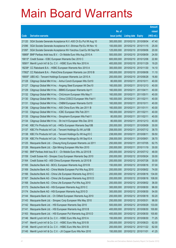|                |                                                                                                                        |                            |                                                |            | <b>Amount</b>   |
|----------------|------------------------------------------------------------------------------------------------------------------------|----------------------------|------------------------------------------------|------------|-----------------|
|                |                                                                                                                        | No. of                     |                                                |            | raised          |
| Code           | <b>Derivative warrants</b>                                                                                             | issue (units)              | <b>Listing date Expiry</b>                     |            | (HK\$ mil.)     |
| 21120          | SGA Societe Generale Acceptance N.V.-A50 Ch Eu Put Wt Aug 10                                                           | 300,000,000                | 2010/02/10 2010/08/04                          |            | 47.40           |
| 21096          | SGA Societe Generale Acceptance N.V.-Shimao Ppt Eu Wt Nov 10                                                           | 100,000,000                | 2010/02/10 2010/11/15                          |            | 25.00           |
| 21097          | SGA Societe Generale Acceptance NV-Yanzhou Coal Eu Wt Sep10A                                                           | 125,000,000                | 2010/02/10                                     | 2010/09/06 | 20.00           |
| 18869#         | BNP Paribas Arbit Issu B.V. - Ch Mobile Euro Wts Aug 2010 A                                                            | 500,000,000                | 2010/02/10                                     | 2010/08/09 | 24.50           |
|                | 19013# Credit Suisse - ICBC European Warrants Dec 2010 C                                                               | 600,000,000                | 2010/02/10 2010/12/06                          |            | 22.80           |
|                | 18581# Merrill Lynch Int'l & Co. C.V. - HSBC Euro Wts Nov 2010 A                                                       | 400,000,000                | 2010/02/10 2010/11/29                          |            | 19.20           |
| 18238#         | CC Rabobank B.A. - HSBC European Warrants Nov 2010 A                                                                   | 300,000,000                | 2010/02/10 2010/11/30                          |            | 14.10           |
| 17952#         | CC Rabobank B.A. - PetroChina European Warrants Jun 2010 B                                                             | 300,000,000                | 2010/02/10                                     | 2010/06/08 | 11.10           |
|                | 19005# UBS AG - Tencent Holdings European Warrants Jun 2010 A                                                          | 200,000,000                | 2010/02/10 2010/06/28                          |            | 16.80           |
| 21128          | Citigroup Global Mkt H Inc. - Anhui Conch European Wts Oct10                                                           | 80,000,000                 | 2010/02/11                                     | 2010/10/11 | 40.00           |
| 21127          | Citigroup Global Mkt H Inc. - Angang Steel European Wt Dec10                                                           | 160,000,000                | 2010/02/11                                     | 2010/12/13 | 40.00           |
| 21129          | Citigroup Global Mkt H Inc. - BBMG European Warrants Apr11                                                             | 160,000,000                | 2010/02/11                                     | 2011/04/11 | 40.00           |
| 21132          | Citigroup Global Mkt H Inc. - ChiUnicom European Wts May11                                                             | 160,000,000                | 2010/02/11                                     | 2011/05/11 | 40.00           |
| 21130          | Citigroup Global Mkt H Inc. - China COSCO European Wts Feb11                                                           | 160,000,000                | 2010/02/11                                     | 2011/02/11 | 40.00           |
| 21131          | Citigroup Global Mkt H Inc. - CNBM European Warrants Oct10                                                             | 160,000,000                | 2010/02/11                                     | 2010/10/11 | 40.00           |
| 21136          | Citigroup Global Mkt H Inc. - A50 China Euro Wts Jan 2011 B                                                            | 160,000,000                | 2010/02/11                                     | 2011/01/11 | 40.00           |
| 21133          | Citigroup Global Mkt H Inc. - ICBC European Wts Feb 2011                                                               | 160,000,000                | 2010/02/11                                     | 2011/02/11 | 40.00           |
| 21135          | Citigroup Global Mkt H Inc. - Sinopharm European Wts Feb11                                                             | 80,000,000                 | 2010/02/11                                     | 2011/02/11 | 40.00           |
| 21134          | Citigroup Global Mkt H Inc. - Sh Ind H European Wts Dec 2010                                                           | 80,000,000                 | 2010/02/11                                     | 2010/12/13 | 40.00           |
| 21140          | KBC Fin Products Int'l Ltd. - HKEx European Warrants Sep10B                                                            | 200,000,000                | 2010/02/11                                     | 2010/09/09 | 30.00           |
| 21137          | KBC Fin Products Int'l Ltd. - Tencent Holdings Eu Wt Jul10B                                                            | 258,000,000                | 2010/02/11                                     | 2010/07/12 | 38.70           |
| 21138          | KBC Fin Products Int'l Ltd. - Tencent Holdings Eu Wt Aug10 C                                                           | 238,000,000                | 2010/02/11                                     | 2010/08/11 | 59.50           |
| 21139          | KBC Fin Products Int'l Ltd. - Tencent Holdings Eu Wt Sep10 A                                                           | 258,000,000                | 2010/02/11                                     | 2010/09/01 | 38.70           |
| 21125          | Macquarie Bank Ltd. - Cheung Kong European Warrants Jul 2011                                                           | 250,000,000                | 2010/02/11                                     | 2011/07/05 | 62.75           |
| 21126          | Macquarie Bank Ltd. - Zijin Mining European Wts Nov 2010                                                               | 200,000,000                | 2010/02/11                                     | 2010/11/19 | 30.00           |
| 21160          | BNP Paribas Arbit Issu B.V. - Ch Mobile Euro Wts Jul 2010 B                                                            | 200,000,000                | 2010/02/12                                     | 2010/07/12 | 48.00           |
| 21159          | Credit Suisse AG - Sinopec Corp European Warrants Sep 2010                                                             | 200,000,000                | 2010/02/12 2010/09/24                          |            | 30.00           |
| 21164          | Credit Suisse AG - A50 China European Warrants Jul 2010 B                                                              | 200,000,000                | 2010/02/12 2010/07/26                          |            | 30.00           |
| 21165          | Deutsche Bank AG - BOCL European Warrants Aug 2010 B                                                                   | 150,000,000                | 2010/02/12 2010/08/16                          |            | 57.00           |
| 21169          | Deutsche Bank AG - China Mobile European Put Wts Aug 2010                                                              | 200,000,000                | 2010/02/12 2010/08/02                          |            | 74.00           |
| 21166          | Deutsche Bank AG - China Life European Warrants Aug 2010 C                                                             | 200,000,000                | 2010/02/12 2010/08/16                          |            | 134.00          |
| 21167          | Deutsche Bank AG - China Life European Warrants Aug 2010 D                                                             | 200,000,000                | 2010/02/12 2010/08/16                          |            | 108.00          |
| 21168          | Deutsche Bank AG - China Life European Put Wts Aug 2010                                                                | 200,000,000                | 2010/02/12 2010/08/02                          |            | 36.00           |
| 21173          | Deutsche Bank AG - HSI European Warrants Aug 2010 C                                                                    | 300,000,000                | 2010/02/12 2010/08/30                          |            | 96.00           |
| 21174          | Deutsche Bank AG - HSI European Warrants Aug 2010 D                                                                    | 300,000,000                | 2010/02/12 2010/08/30                          |            | 54.00           |
| 21144          | Macquarie Bank Ltd. - Ch Oilfield European Warrants Aug 2010                                                           | 200,000,000                | 2010/02/12 2010/08/18                          |            | 50.20           |
| 21143<br>21142 | Macquarie Bank Ltd. - Sinopec Corp European Wts May 2010                                                               | 250,000,000<br>500,000,000 | 2010/02/12 2010/05/31<br>2010/02/12 2010/09/29 |            | 98.00<br>133.00 |
| 21141          | Macquarie Bank Ltd. - HSI European Warrants Sep 2010<br>Macquarie Bank Ltd. - HSI European Warrants Aug 2010 B         | 400,000,000                | 2010/02/12 2010/08/30                          |            | 100.80          |
| 21163          |                                                                                                                        | 400,000,000                |                                                |            |                 |
|                | Macquarie Bank Ltd. - HSI European Put Warrants Aug 2010 D                                                             |                            | 2010/02/12 2010/08/30                          |            | 100.80<br>71.25 |
| 21146<br>21147 | Merrill Lynch Int'l & Co. C.V. - HSBC Euro Wts Aug 2010 A                                                              | 150,000,000<br>200,000,000 | 2010/02/12 2010/08/30<br>2010/02/12 2010/08/23 |            | 62.00           |
|                | Merrill Lynch Int'l & Co. C.V. - HSBC Euro Wts Aug 2010 B<br>Merrill Lynch Int'l & Co. C.V. - HSBC Euro Wts Nov 2010 B | 200,000,000                |                                                |            |                 |
| 21148          |                                                                                                                        |                            | 2010/02/12 2010/11/22                          |            | 62.00           |
| 21145          | Merrill Lynch Int'l & Co. C.V. - JX Copper Euro Wts Nov 2010                                                           | 150,000,000                | 2010/02/12 2010/11/01                          |            | 41.25           |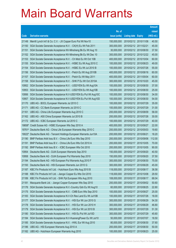|                 |                                                                                                                                   |                            |                                                |            | <b>Amount</b>  |
|-----------------|-----------------------------------------------------------------------------------------------------------------------------------|----------------------------|------------------------------------------------|------------|----------------|
|                 |                                                                                                                                   | No. of                     |                                                |            | raised         |
| Code            | <b>Derivative warrants</b>                                                                                                        | issue (units)              | <b>Listing date Expiry</b>                     |            | (HK\$ mil.)    |
| 21149           | Merrill Lynch Int'l & Co. C.V. - JX Copper Euro Put Wt Nov10                                                                      | 150,000,000                | 2010/02/12 2010/11/08                          |            | 40.50          |
| 21150           | SGA Societe Generale Acceptance N.V. - CK(H) Eu Wt Feb 2011                                                                       | 300,000,000                | 2010/02/12 2011/02/21                          |            | 45.00          |
| 21151           | SGA Societe Generale Acceptance NV-Minsheng Bk Eu Wt Aug 10                                                                       | 30,000,000                 | 2010/02/12 2010/08/30                          |            | 37.50          |
| 21152           | SGA Societe Generale Acceptance NV-Minsheng Bk Eu Wt Dec 10                                                                       | 300,000,000                | 2010/02/12 2010/12/22                          |            | 45.00          |
| 21153           | SGA Societe Generale Acceptance N.V. - Ch Mob Eu Wt Oct 10B                                                                       | 400,000,000                | 2010/02/12 2010/10/04                          |            | 60.00          |
| 21155           | SGA Societe Generale Acceptance N.V. - HSBC Eu Wt Aug 2010 C                                                                      | 100,000,000                | 2010/02/12 2010/08/23                          |            | 49.00          |
| 21154           | SGA Societe Generale Acceptance N.V. - HSBC Eu Wt Jul 2010 B                                                                      | 100,000,000                | 2010/02/12 2010/07/26                          |            | 55.00          |
| 21156           | SGA Societe Generale Acceptance N.V. - Petch Eu Wt Aug 2010B                                                                      | 400,000,000                | 2010/02/12 2010/08/16                          |            | 60.00          |
| 21157           | SGA Societe Generale Acceptance N.V. - Petch Eu Wt May 2011                                                                       | 400,000,000                | 2010/02/12 2011/05/04                          |            | 60.00          |
| 21158           | SGA Societe Generale Acceptance N.V. - SHK P Eu Wt Oct 2010A                                                                      | 300,000,000                | 2010/02/12 2010/10/20                          |            | 45.00          |
| 10952           | SGA Societe Generale Acceptance N.V. - USD/YEN Eu Wt Aug10A                                                                       | 100,000,000                | 2010/02/12 2010/08/30                          |            | 37.00          |
| 10953           | SGA Societe Generale Acceptance N.V. - USD/YEN Eu Wt Aug10B                                                                       | 100,000,000                | 2010/02/12 2010/08/30                          |            | 25.00          |
| 10956           | SGA Societe Generale Acceptance N.V-USD/YEN Eu Put Wt Aug10C                                                                      | 100,000,000                | 2010/02/12 2010/08/30                          |            | 34.00          |
| 10957           | SGA Societe Generale Acceptance N.V-USD/YEN Eu Put Wt Aug10D                                                                      | 100,000,000                | 2010/02/12 2010/08/30                          |            | 54.00          |
| 21170           | UBS AG - BOCL European Warrants Jul 2010 C                                                                                        | 100,000,000                | 2010/02/12 2010/07/29                          |            | 35.00          |
| 21171           | UBS AG - CC Bank European Warrants Jul 2010 C                                                                                     | 100,000,000                | 2010/02/12 2010/07/29                          |            | 31.00          |
| 21161           | UBS AG - China Life European Warrants Aug 2010 C                                                                                  | 200,000,000                | 2010/02/12 2010/08/09                          |            | 58.00          |
| 21162           | UBS AG - A50 China European Warrants Jul 2010 B                                                                                   | 200,000,000                | 2010/02/12 2010/07/26                          |            | 30.00          |
| 21172           | UBS AG - ICBC European Warrants Jul 2010 C                                                                                        | 100,000,000                | 2010/02/12 2010/07/29                          |            | 40.00          |
|                 | 19858# Credit Suisse AG - HSBC European Wts Sep 2010 A                                                                            | 400,000,000                | 2010/02/12 2010/09/27                          |            | 22.00          |
|                 | 19761# Deutsche Bank AG - China Life European Warrants May 2010 C<br>Deutsche Bank AG - Tencent Holdings European Warrants Jun10A | 200,000,000<br>200,000,000 | 2010/02/12 2010/05/03<br>2010/02/12 2010/06/21 |            | 19.60<br>18.20 |
| 19022#<br>21190 | BNP Paribas Arbit Issu B.V. - China Life Euro Wts Sep 2010                                                                        | 200,000,000                | 2010/02/17 2010/09/06                          |            | 112.00         |
| 21191           | BNP Paribas Arbit Issu B.V. - China Life Euro Wts Oct 2010 A                                                                      | 200,000,000                | 2010/02/17 2010/10/05                          |            | 70.00          |
| 21192           | BNP Paribas Arbit Issu B.V. - ICBC European Wts Oct 2010                                                                          | 200,000,000                | 2010/02/17 2010/10/05                          |            | 90.00          |
| 10954           | Deutsche Bank AG - DJIA European Warrants Sep 2010                                                                                | 150,000,000                | 2010/02/17 2010/09/20                          |            | 40.50          |
| 10958           | Deutsche Bank AG - DJIA European Put Warrants Sep 2010                                                                            | 150,000,000                | 2010/02/17 2010/09/20                          |            | 37.50          |
| 21194           | Deutsche Bank AG - HSI European Put Warrants Aug 2010 F                                                                           | 300,000,000                | 2010/02/17 2010/08/30                          |            | 75.00          |
| 21193           | Deutsche Bank AG - HSI European Warrants Jun 2010 G                                                                               | 300,000,000                | 2010/02/17 2010/06/29                          |            | 45.00          |
| 21187           | KBC Fin Products Int'l Ltd. - Hutchison Euro Wts Aug 2010 B                                                                       | 118,000,000                | 2010/02/17 2010/08/17                          |            | 36.58          |
| 21188           | KBC Fin Products Int'l Ltd. - Jiangxi Copper Eu Wts Oct 2010                                                                      | 118,000,000                | 2010/02/17 2010/10/08                          |            | 29.50          |
| 21189           | KBC Fin Products Int'l Ltd. - SHK Ppt European Wts Aug 2010                                                                       | 108,000,000                | 2010/02/17                                     | 2010/08/17 | 68.04          |
| 21181           | Macquarie Bank Ltd. - Jiangxi Copper European Wts Sep 2010                                                                        | 200,000,000                | 2010/02/17                                     | 2010/09/02 | 50.60          |
| 21176           | SGA Societe Generale Acceptance N.V.-Country Gdn Eu Wt Aug10                                                                      | 60,000,000                 | 2010/02/17 2010/08/25                          |            | 22.80          |
| 21175           | SGA Societe Generale Acceptance N.V. - CMB Euro Wts Sep 2010                                                                      | 100,000,000                | 2010/02/17 2010/09/27                          |            | 25.00          |
| 21183           | SGA Societe Generale Acceptance N.V-Ch Res Land Eu Wt Jul10B                                                                      | 100,000,000                | 2010/02/17 2010/07/26                          |            | 18.00          |
| 21177           | SGA Societe Generale Acceptance N.V. - HSI Eur Wt Jun 2010 G                                                                      | 300,000,000                | 2010/02/17                                     | 2010/06/29 | 54.30          |
| 21178           | SGA Societe Generale Acceptance N.V. - HSI Eur Wt Jun 2010 H                                                                      | 300,000,000                | 2010/02/17                                     | 2010/06/29 | 46.80          |
| 21179           | SGA Societe Generale Acceptance N.V. - HSI Eur Wt Jul 2010 B                                                                      | 300,000,000                | 2010/02/17 2010/07/29                          |            | 51.30          |
| 21180           | SGA Societe Generale Acceptance N.V. - HSI Eu Put Wt Jul10D                                                                       | 300,000,000                | 2010/02/17                                     | 2010/07/29 | 45.60          |
| 21184           | SGA Societe Generale Acceptance N.V-HuanengPower Eu Wt Jul10                                                                      | 50,000,000                 | 2010/02/17                                     | 2010/07/07 | 18.50          |
| 21185           | SGA Societe Generale Acceptance N.V. - HWL Eur Wt Aug 2010                                                                        | 80,000,000                 | 2010/02/17                                     | 2010/08/30 | 37.60          |
| 21186           | UBS AG - HSI European Warrants Aug 2010 A                                                                                         | 200,000,000                | 2010/02/17                                     | 2010/08/30 | 50.00          |
| 21182           | UBS AG - Hutchison European Warrants Aug 2010                                                                                     | 100,000,000                | 2010/02/17                                     | 2010/08/23 | 25.00          |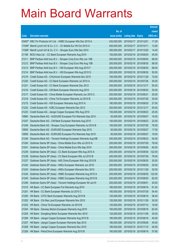|        |                                                                     |               |                            | <b>Amount</b> |
|--------|---------------------------------------------------------------------|---------------|----------------------------|---------------|
|        |                                                                     | No. of        |                            | raised        |
| Code   | <b>Derivative warrants</b>                                          | issue (units) | <b>Listing date Expiry</b> | (HK\$ mil.)   |
|        | 03487# KBC Fin Products Int'l Ltd. - HSBC European Wts Dec 2010 A   | 432,000,000   | 2010/02/17 2010/12/01      | 17.28         |
|        | 17446# Merrill Lynch Int'l & Co. C.V. - Ch Mobile Eur Wt Oct 2010 A | 400,000,000   | 2010/02/17 2010/10/11      | 12.80         |
| 17286# | Merrill Lynch Int'l & Co. C.V. - Sinopec Euro Wts Dec 2010          | 300,000,000   | 2010/02/17 2010/12/20      | 14.40         |
| 21199  | BOCI Asia Ltd. - CC Bank European Warrants Aug 2010                 | 100,000,000   | 2010/02/18 2010/08/30      | 45.00         |
| 21211  | BNP Paribas Arbit Issu B.V. - Sinopec Corp Euro Wts Jun 10B         | 200,000,000   | 2010/02/18 2010/06/04      | 68.00         |
| 21212  | BNP Paribas Arbit Issu B.V. - Sinopec Corp Euro Wts Aug 10B         | 200,000,000   | 2010/02/18 2010/08/30      | 68.00         |
| 21213  | BNP Paribas Arbit Issu B.V. - HSI European Wts Aug 2010 F           | 200,000,000   | 2010/02/18 2010/08/30      | 68.00         |
| 21214  | BNP Paribas Arbit Issu B.V. - HSI European Wts Aug 2010 G           | 200,000,000   | 2010/02/18 2010/08/30      | 50.00         |
| 21219  | Credit Suisse AG - ChiUnicom European Warrants Nov 2010             | 100,000,000   | 2010/02/18 2010/11/29      | 15.00         |
| 21220  | Credit Suisse AG - CC Bank European Warrants Jul 2010 A             | 200,000,000   | 2010/02/18 2010/07/26      | 30.00         |
| 21221  | Credit Suisse AG - CC Bank European Warrants Dec 2012               | 200,000,000   | 2010/02/18 2012/12/17      | 50.00         |
| 21216  | Credit Suisse AG - CM Bank European Warrants Aug 2010               | 200,000,000   | 2010/02/18 2010/08/30      | 30.00         |
| 21217  | Credit Suisse AG - China Mobile European Warrants Jun 2010 C        | 200,000,000   | 2010/02/18 2010/06/21      | 30.00         |
| 21218  | Credit Suisse AG - China Tel European Warrants Jul 2010 B           | 200,000,000   | 2010/02/18 2010/07/26      | 30.00         |
| 21215  | Credit Suisse AG - HSI European Warrants Aug 2010 A                 | 180,000,000   | 2010/02/18 2010/08/30      | 27.00         |
| 21222  | Credit Suisse AG - ICBC European Warrants Dec 2012                  | 200,000,000   | 2010/02/18 2012/12/17      | 50.00         |
| 21223  | Credit Suisse AG - Jiangxi Copper European Wts Aug 2010             | 100,000,000   | 2010/02/18 2010/08/23      | 25.00         |
| 10960  | Deutsche Bank AG - AUD/USD European Put Warrants Sep 2010           | 50,000,000    | 2010/02/18 2010/09/27      | 16.00         |
| 21247  | Deutsche Bank AG - CM Bank European Warrants Aug 2010               | 150,000,000   | 2010/02/18 2010/08/23      | 22.50         |
| 21248  | Deutsche Bank AG - Sinopec Corp European Warrants Jul 2010 B        | 150,000,000   | 2010/02/18 2010/07/26      | 78.00         |
| 10955  | Deutsche Bank AG - EUR/USD European Warrants Sep 2010               | 50,000,000    | 2010/02/18 2010/09/27      | 17.50         |
| 10959  | Deutsche Bank AG - EUR/USD European Put Warrants Sep 2010           | 50,000,000    | 2010/02/18 2010/09/27      | 19.00         |
| 21249  | Deutsche Bank AG - Tencent Holdings European Warrants Aug10B        | 200,000,000   | 2010/02/18 2010/08/23      | 54.00         |
| 21240  | Goldman Sachs SP (Asia) - China Mobile Euro Wts Jul 2010 A          | 200,000,000   | 2010/02/18 2010/07/29      | 76.00         |
| 21241  | Goldman Sachs SP (Asia) - China Mobile Euro Wts Sep 2010            | 200,000,000   | 2010/02/18 2010/09/29      | 62.00         |
| 21239  | Goldman Sachs SP (Asia) - CC Bank European Wts Aug 2010 A           | 200,000,000   | 2010/02/18 2010/08/30      | 122.00        |
| 21238  | Goldman Sachs SP (Asia) - CC Bank European Wts Jul 2010 B           | 200,000,000   | 2010/02/18 2010/07/29      | 76.00         |
| 21237  | Goldman Sachs SP (Asia) - A50 China European Wts Aug 2010 B         | 200,000,000   | 2010/02/18 2010/08/30      | 30.00         |
| 21242  | Goldman Sachs SP (Asia) - HKEx European Warrants Jun 2010           | 200,000,000   | 2010/02/18 2010/06/29      | 30.00         |
| 21243  | Goldman Sachs SP (Asia) - HKEx European Warrants Nov 2010           | 200,000,000   | 2010/02/18 2010/11/29      | 30.00         |
| 21244  | Goldman Sachs SP (Asia) - HSBC European Warrants Aug 2010 A         | 200,000,000   | 2010/02/18 2010/08/30      | 122.00        |
| 21245  | Goldman Sachs SP (Asia) - HSBC European Warrants Aug 2010 B         | 200,000,000   | 2010/02/18 2010/08/30      | 82.00         |
| 21246  | Goldman Sachs SP (Asia) - Tencent Holdings European Wt Jun10        | 200,000,000   | 2010/02/18 2010/06/01      | 30.00         |
| 21210  | HK Bank - CC Bank European Put Warrants Aug 2010                    | 180,000,000   | 2010/02/18 2010/08/18      | 61.20         |
| 21201  | HK Bank - CC Bank European Warrants Jul 2010 C                      | 160,000,000   | 2010/02/18 2010/07/29      | 54.40         |
| 21200  | HK Bank - CITIC Bank European Warrants Aug 2010 B                   | 120,000,000   | 2010/02/18 2010/08/18      | 38.40         |
| 21202  | HK Bank - Chi Res Land European Warrants Nov 2010                   | 120,000,000   | 2010/02/18 2010/11/29      | 30.00         |
| 21203  | HK Bank - China Tel European Warrants Jul 2010 B                    | 120,000,000   | 2010/02/18 2010/07/14      | 18.00         |
| 21204  | HK Bank - Denway Motors European Warrants Aug 2010                  | 160,000,000   | 2010/02/18 2010/08/18      | 62.40         |
| 21205  | HK Bank - Dongfeng Motor European Warrants Nov 2010                 | 120,000,000   | 2010/02/18 2010/11/08      | 30.00         |
| 21206  | HK Bank - Jiangxi Copper European Warrants Aug 2010 B               | 180,000,000   | 2010/02/18 2010/08/18      | 45.00         |
| 21207  | HK Bank - Jiangxi Copper European Warrants Sep 2010                 | 180,000,000   | 2010/02/18 2010/09/28      | 45.00         |
| 21208  | HK Bank - Jiangxi Copper European Warrants Nov 2010                 | 180,000,000   | 2010/02/18 2010/11/15      | 45.00         |
| 21209  | HK Bank - PetroChina European Warrants Aug 2010 B                   | 160,000,000   | 2010/02/18 2010/08/18      | 57.60         |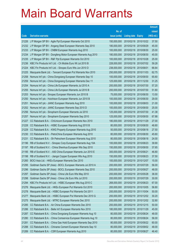|       |                                                              |               |                            |            | <b>Amount</b> |
|-------|--------------------------------------------------------------|---------------|----------------------------|------------|---------------|
|       |                                                              | No. of        |                            |            | raised        |
| Code  | <b>Derivative warrants</b>                                   | issue (units) | <b>Listing date Expiry</b> |            | (HK\$ mil.)   |
| 21226 | J P Morgan SP BV - Agile Ppt European Warrants Oct 2010      | 150,000,000   | 2010/02/18 2010/10/22      |            | 37.50         |
| 21232 | J P Morgan SP BV - Angang Steel European Warrants Sep 2010   | 180,000,000   | 2010/02/18 2010/09/29      |            | 45.00         |
| 21233 | J P Morgan SP BV - CNBM European Warrants Aug 2010           | 100,000,000   | 2010/02/18 2010/08/30      |            | 25.00         |
| 21234 | J P Morgan SP BV - Dongfeng Motor European Warrants Aug 2010 | 180,000,000   | 2010/02/18 2010/08/30      |            | 45.00         |
| 21235 | J P Morgan SP BV - R&F Ppt European Warrants Oct 2010        | 100,000,000   | 2010/02/18 2010/10/28      |            | 25.00         |
| 21236 | KBC Fin Products Int'l Ltd. - Ch Mobile Euro Wt Jul 2010 B   | 228,000,000   | 2010/02/18 2010/07/02      |            | 59.28         |
| 21224 | KBC Fin Products Int'l Ltd. - Sinopec Euro Wts Jun 2010 D    | 238,000,000   | 2010/02/18 2010/06/01      |            | 66.64         |
| 21225 | Macquarie Bank Ltd. - Tencent European Put Warrants Nov 2010 | 250,000,000   | 2010/02/18 2010/11/03      |            | 62.75         |
| 21258 | Nomura Int'l plc - China Dongxiang European Warrants Sep 10  | 100,000,000   | 2010/02/18 2010/09/30      |            | 65.60         |
| 21259 | Nomura Int'l plc - China Dongxiang European Warrants Dec 11  | 125,000,000   | 2010/02/18 2011/12/30      |            | 31.25         |
| 21254 | Nomura Int'l plc - China Life European Warrants Jul 2010 A   | 200,000,000   | 2010/02/18 2010/07/30      |            | 57.20         |
| 21255 | Nomura Int'l plc - China Life European Warrants Jul 2010 B   | 200,000,000   | 2010/02/18 2010/07/30      |            | 51.80         |
| 21253 | Nomura Int'l plc - Sinopec European Warrants Jun 2010 B      | 75,000,000    | 2010/02/18 2010/06/30      |            | 13.50         |
| 21250 | Nomura Int'l plc - Hutchison European Warrants Jun 2010 B    | 100,000,000   | 2010/02/18 2010/06/30      |            | 29.00         |
| 21251 | Nomura Int'l plc - JIANC European Warrants Aug 2010          | 100,000,000   | 2010/02/18 2010/08/03      |            | 21.00         |
| 21252 | Nomura Int'l plc - JIANC European Warrants Sep 2010 D        | 100,000,000   | 2010/02/18 2010/09/30      |            | 25.00         |
| 21256 | Nomura Int'l plc - Sinopharm European Warrants Jul 2010      | 125,000,000   | 2010/02/18 2010/07/30      |            | 41.38         |
| 21257 | Nomura Int'l plc - Sinopharm European Warrants Sep 2010      | 125,000,000   | 2010/02/18 2010/09/30      |            | 67.88         |
| 21227 | CC Rabobank B.A. - ChiUnicom European Warrants Nov 2010      | 180,000,000   | 2010/02/18 2010/11/29      |            | 27.00         |
| 21228 | CC Rabobank B.A. - HSBC European Warrants Aug 2010 B         | 80,000,000    | 2010/02/18 2010/08/30      |            | 48.80         |
| 21229 | CC Rabobank B.A. - KWG Property European Warrants Aug 2010   | 50,000,000    | 2010/02/18 2010/08/18      |            | 27.50         |
| 21230 | CC Rabobank B.A. - PetroChina European Warrants Aug 2010     | 80,000,000    | 2010/02/18 2010/08/30      |            | 45.60         |
| 21231 | CC Rabobank B.A. - Sh Petrochem European Warrants Aug 2010   | 80,000,000    | 2010/02/18 2010/08/18      |            | 24.00         |
| 21196 | RB of Scotland N.V. - Sinopec Corp European Warrants Aug 10A | 100,000,000   | 2010/02/18 2010/08/23      |            | 39.90         |
| 21197 | RB of Scotland N.V. - China Shenhua European Wts Sep 2010    | 150,000,000   | 2010/02/18 2010/09/30      |            | 37.65         |
| 21195 | RB of Scotland N.V. - A50 China European Warrants Jun 2010 E | 300,000,000   | 2010/02/18 2010/06/21      |            | 46.80         |
| 21198 | RB of Scotland N.V. - Jiangxi Copper European Wts Aug 2010   | 150,000,000   | 2010/02/18 2010/08/23      |            | 37.50         |
| 21260 | BOCI Asia Ltd. - HKEx European Warrants Dec 2010             | 100,000,000   | 2010/02/19 2010/12/07      |            | 15.00         |
| 21295 | Goldman Sachs SP (Asia) - BOCL European Warrants Jul 2010 A  | 200,000,000   | 2010/02/19                 | 2010/07/29 | 56.00         |
| 21296 | Goldman Sachs SP (Asia) - BOCL European Warrants Sep 2010    | 200,000,000   | 2010/02/19 2010/09/27      |            | 48.00         |
| 21297 | Goldman Sachs SP (Asia) - China Life Euro Wts May 2010       | 200,000,000   | 2010/02/19                 | 2010/05/28 | 36.00         |
| 21298 | Goldman Sachs SP (Asia) - China Life Euro Wts Jul 2010       | 200,000,000   | 2010/02/19                 | 2010/07/29 | 30.00         |
| 21294 | KBC Fin Products Int'l Ltd. - HSBC European Wts Aug 2010 C   | 268,000,000   | 2010/02/19                 | 2010/08/23 | 67.00         |
| 21276 | Macquarie Bank Ltd. - HKEx European Put Warrants Oct 2010    | 200,000,000   | 2010/02/19                 | 2010/10/05 | 56.80         |
| 21278 | Macquarie Bank Ltd. - HSBC European Put Warrants Oct 2011    | 200,000,000   | 2010/02/19                 | 2011/10/04 | 50.00         |
| 21277 | Macquarie Bank Ltd. - HSBC European Put Warrants Dec 2010 G  | 200,000,000   | 2010/02/19 2010/12/02      |            | 30.20         |
| 21275 | Macquarie Bank Ltd. - MTRC European Warrants Dec 2010        | 200,000,000   | 2010/02/19                 | 2010/12/02 | 32.80         |
| 21285 | CC Rabobank B.A. - Air China European Warrants Dec 2010      | 200,000,000   | 2010/02/19                 | 2010/12/15 | 50.00         |
| 21286 | CC Rabobank B.A. - Belle Int'l European Warrants Nov 2010    | 180,000,000   | 2010/02/19                 | 2010/11/29 | 45.00         |
| 21287 | CC Rabobank B.A. - China Dongxiang European Warrants Aug 10  | 80,000,000    | 2010/02/19                 | 2010/08/24 | 48.00         |
| 21280 | CC Rabobank B.A. - China Comservice European Warrants Aug 10 | 80,000,000    | 2010/02/19                 | 2010/08/24 | 56.00         |
| 21281 | CC Rabobank B.A. - China Gas Hold European Warrants Sep 2010 | 80,000,000    | 2010/02/19                 | 2010/09/22 | 60.00         |
| 21288 | CC Rabobank B.A. - Chinares Cement European Warrants Sep 10  | 80,000,000    | 2010/02/19                 | 2010/09/02 | 48.00         |
| 21289 | CC Rabobank B.A. - CSR European Warrants Aug 2010            | 80,000,000    | 2010/02/19 2010/08/27      |            | 46.40         |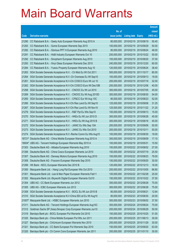|        |                                                                     |               |                            |            | <b>Amount</b> |
|--------|---------------------------------------------------------------------|---------------|----------------------------|------------|---------------|
|        |                                                                     | No. of        |                            |            | raised        |
| Code   | <b>Derivative warrants</b>                                          | issue (units) | <b>Listing date Expiry</b> |            | (HK\$ mil.)   |
| 21290  | CC Rabobank B.A. - Geely Auto European Warrants Aug 2010 A          | 80,000,000    | 2010/02/19 2010/08/19      |            | 50.40         |
| 21283  | CC Rabobank B.A. - Gome European Warrants Sep 2010                  | 100,000,000   | 2010/02/19 2010/09/29      |            | 50.00         |
| 21282  | CC Rabobank B.A. - Glorious PPT H European Warrants Aug 2010        | 80,000,000    | 2010/02/19                 | 2010/08/24 | 48.00         |
| 21291  | CC Rabobank B.A. - Hidili Industry European Warrants Oct 10         | 200,000,000   | 2010/02/19 2010/10/22      |            | 50.00         |
| 21292  | CC Rabobank B.A. - Sinopharm European Warrants Aug 2010             | 100,000,000   | 2010/02/19                 | 2010/08/20 | 37.00         |
| 21293  | CC Rabobank B.A. - Xinyi Glass European Warrants Dec 2010           | 240,000,000   | 2010/02/19 2010/12/20      |            | 60.00         |
| 21284  | CC Rabobank B.A. - Yuexiu Property European Warrants Aug 10         | 120,000,000   | 2010/02/19                 | 2010/08/24 | 38.40         |
| 21263  | SGA Societe Generale Acceptance N.V. - Ch Mob Eu Wt Oct 2011        | 500,000,000   | 2010/02/19 2011/10/17      |            | 80.00         |
| 21264  | SGA Societe Generale Acceptance N.V.-Ch Overseas Eu Wt Sep10        | 100,000,000   | 2010/02/19 2010/09/13      |            | 19.00         |
| 21261  | SGA Societe Generale Acceptance N.V-Chi COSCO Euro Wt Jul 10        | 200,000,000   | 2010/02/19 2010/07/19      |            | 32.00         |
| 21262  | SGA Societe Generale Acceptance N.V-Chi COSCO Euro Wt Dec10B        | 200,000,000   | 2010/02/19                 | 2010/12/06 | 40.00         |
| 21268  | SGA Societe Generale Acceptance N.V. - CNOOC Eu Wt Jul 2010         | 300,000,000   | 2010/02/19 2010/07/05      |            | 45.00         |
| 21269  | SGA Societe Generale Acceptance N.V. - CNOOC Eu Wt Aug 2010D        | 300,000,000   | 2010/02/19                 | 2010/08/30 | 54.00         |
| 21265  | SGA Societe Generale Acceptance N.V. - CP&CC Eur Wt Aug 10C         | 80,000,000    | 2010/02/19 2010/08/23      |            | 52.00         |
| 21266  | SGA Societe Generale Acceptance N.V-Chi Res Land Eu Wt Sep10        | 125,000,000   | 2010/02/19                 | 2010/09/06 | 31.25         |
| 21267  | SGA Societe Generale Acceptance N.V-Chi Res Land Eu Wt Nov10        | 125,000,000   | 2010/02/19 2010/11/22      |            | 31.25         |
| 21279  | SGA Societe Generale Acceptance N.V. - R&F Ppt Eu Wts Sep10         | 100,000,000   | 2010/02/19 2010/09/13      |            | 15.00         |
| 21270  | SGA Societe Generale Acceptance N.V. - HKEx Eu Wt Jun 2010 D        | 300,000,000   | 2010/02/19 2010/06/28      |            | 45.00         |
| 21271  | SGA Societe Generale Acceptance N.V. - HKEx Eu Wt Aug 2010 B        | 300,000,000   | 2010/02/19                 | 2010/08/16 | 45.00         |
| 21272  | SGA Societe Generale Acceptance N.V. - JIANC Eu Wts Sep 10A         | 200,000,000   | 2010/02/19 2010/09/06      |            | 50.00         |
| 21273  | SGA Societe Generale Acceptance N.V. - JIANC Eu Wts Oct 2010        | 200,000,000   | 2010/02/19                 | 2010/10/11 | 50.00         |
| 21274  | SGA Societe Generale Acceptance N.V.-Renhe Comm Eu Wts Aug10        | 100,000,000   | 2010/02/19 2010/08/30      |            | 19.00         |
|        | 18721# Deutsche Bank AG - China Mobile European Warrants Aug 2010 A | 300,000,000   | 2010/02/19                 | 2010/08/09 | 17.10         |
|        | 19004# UBS AG - Tencent Holdings European Warrants May 2010 A       | 100,000,000   | 2010/02/19 2010/05/31      |            | 15.50         |
| 21303  | Deutsche Bank AG - Alibaba European Warrants Aug 2010               | 150,000,000   | 2010/02/22 2010/08/02      |            | 27.00         |
| 21306  | Deutsche Bank AG - China Cosco European Warrants Jul 2010           | 150,000,000   | 2010/02/22 2010/07/19      |            | 25.50         |
| 21307  | Deutsche Bank AG - Denway Motors European Warrants Aug 2010         | 100,000,000   | 2010/02/22 2010/08/23      |            | 79.00         |
| 21308  | Deutsche Bank AG - Foxconn European Warrants Sep 2010               | 150,000,000   | 2010/02/22 2010/09/20      |            | 30.00         |
| 21299  | HK Bank - KECL European Warrants Dec 2010 B                         | 120,000,000   | 2010/02/22 2010/12/13      |            | 18.00         |
| 21300  | Macquarie Bank Ltd. - Hang Lung Ppt European Wts Oct 2010           | 200,000,000   | 2010/02/22 2010/10/05      |            | 66.80         |
| 21301  | Macquarie Bank Ltd. - Lee & Man Paper European Warrants Feb11       | 100,000,000   | 2010/02/22 2011/02/28      |            | 25.00         |
| 21302  | Macquarie Bank Ltd.-Skyworth Digital European Warrants Oct10        | 150,000,000   | 2010/02/22 2010/10/22      |            | 37.50         |
| 21304  | UBS AG - CC Bank European Warrants Jun 2012                         | 300,000,000   | 2010/02/22 2012/06/28      |            | 75.00         |
| 21305  | UBS AG - ICBC European Warrants Jun 2012                            | 300,000,000   | 2010/02/22 2012/06/28      |            | 75.00         |
| 21309  | SGA Societe Generale Acceptance N.V. - BOCL Eu Wt Jun 2010 B        | 80,000,000    | 2010/02/23 2010/06/21      |            | 12.64         |
| 21310  | SGA Societe Generale Acceptance N.V-China EB Ltd Eu Wt Aug10        | 80,000,000    | 2010/02/23 2010/08/30      |            | 20.00         |
| 21007# | Macquarie Bank Ltd. - HSBC European Warrants Jun 2010               | 300,000,000   | 2010/02/23 2010/06/02      |            | 37.50         |
| 21311  | Deutsche Bank AG - Tencent Holdings European Warrants Aug10C        | 300,000,000   | 2010/02/24 2010/08/24      |            | 75.00         |
| 21312  | Goldman Sachs SP (Asia)-Sinopec Corp European Warrants Jun10        | 200,000,000   | 2010/02/24 2010/06/29      |            | 50.00         |
| 21319  | Barclays Bank plc - BOCL European Put Warrants Oct 2010             | 150,000,000   | 2010/02/25 2010/10/25      |            | 51.00         |
| 21325  | Barclays Bank plc - China Mobile European Put Wts Jun 2011          | 200,000,000   | 2010/02/25 2011/06/13      |            | 30.00         |
| 21327  | Barclays Bank plc - ChiUnicom European Warrants Nov 2010            | 200,000,000   | 2010/02/25 2010/11/29      |            | 30.00         |
| 21321  | Barclays Bank plc - CC Bank European Put Warrants Sep 2010          | 150,000,000   | 2010/02/25 2010/09/20      |            | 63.00         |
| 21320  | Barclays Bank plc - Ch Comm Cons European Warrants Jan 2011         | 200,000,000   | 2010/02/25 2011/01/10      |            | 30.00         |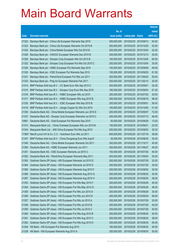|        |                                                              |               |                            |            | <b>Amount</b> |
|--------|--------------------------------------------------------------|---------------|----------------------------|------------|---------------|
|        |                                                              | No. of        |                            |            | raised        |
| Code   | <b>Derivative warrants</b>                                   | issue (units) | <b>Listing date Expiry</b> |            | (HK\$ mil.)   |
| 21322  | Barclays Bank plc - China Life European Warrants Sep 2010    | 200,000,000   | 2010/02/25 2010/09/13      |            | 54.00         |
| 21323  | Barclays Bank plc - China Life European Warrants Oct 2010 B  | 200,000,000   | 2010/02/25 2010/10/25      |            | 52.00         |
| 21324  | Barclays Bank plc - China Mobile European Wts Oct 2010 B     | 200,000,000   | 2010/02/25 2010/10/04      |            | 32.00         |
| 21328  | Barclays Bank plc - CNOOC European Warrants Dec 2010 B       | 200,000,000   | 2010/02/25 2010/12/13      |            | 30.00         |
| 21326  | Barclays Bank plc - Sinopec Corp European Wts Oct 2010 B     | 150,000,000   | 2010/02/25 2010/10/04      |            | 60.00         |
| 21332  | Barclays Bank plc - Sinopec Corp European Put Wts Oct 2010 C | 200,000,000   | 2010/02/25 2010/10/04      |            | 30.00         |
| 21329  | Barclays Bank plc - HSBC European Put Warrants Sep 2010      | 150,000,000   | 2010/02/25 2010/09/06      |            | 49.50         |
| 21330  | Barclays Bank plc - ICBC European Put Warrants Sep 2010      | 150,000,000   | 2010/02/25 2010/09/20      |            | 61.50         |
| 21331  | Barclays Bank plc - PetroChina European Put Wts Jun 2011     | 200,000,000   | 2010/02/25 2011/06/20      |            | 50.00         |
| 21333  | Barclays Bank plc - Ping An European Warrants Feb 2011       | 200,000,000   | 2010/02/25 2011/02/14      |            | 30.00         |
| 21314  | BNP Paribas Arbit Issu B.V. - CC Bank Euro Wts Sep 2010 C    | 200,000,000   | 2010/02/25 2010/09/01      |            | 52.00         |
| 21315  | BNP Paribas Arbit Issu B.V. - Sinopec Corp Euro Wts Sep 2010 | 180,000,000   | 2010/02/25 2010/09/03      |            | 61.20         |
| 21316  | BNP Paribas Arbit Issu B.V. - HSBC European Wts Jul 2010     | 200,000,000   | 2010/02/25 2010/07/02      |            | 30.00         |
| 21317  | BNP Paribas Arbit Issu B.V. - HSBC European Wts Aug 2010 B   | 200,000,000   | 2010/02/25 2010/08/16      |            | 96.00         |
| 21335  | BNP Paribas Arbit Issu B.V. - ICBC European Wts Sep 2010 B   | 200,000,000   | 2010/02/25 2010/09/01      |            | 56.00         |
| 21318  | BNP Paribas Arbit Issu B.V. - Jiangxi Copper Eu Wts Oct 2010 | 150,000,000   | 2010/02/25 2010/10/05      |            | 51.00         |
| 21336  | Deutsche Bank AG - China Mobile European Warrants Jun 2010 E | 200,000,000   | 2010/02/25 2010/06/07      |            | 72.00         |
| 21337  | Deutsche Bank AG - Sinopec Corp European Warrants Jul 2010 C | 200,000,000   | 2010/02/25 2010/07/12      |            | 46.00         |
| 10961  | Deutsche Bank AG - Gold European Put Warrants Sep 2010       | 50,000,000    | 2010/02/25 2010/09/28      |            | 13.00         |
| 21313  | Macquarie Bank Ltd. - China Overseas European Wts Jun 2010 B | 150,000,000   | 2010/02/25 2010/06/21      |            | 22.50         |
| 21334  | Macquarie Bank Ltd. - A50 China European Put Wts Aug 2010    | 200,000,000   | 2010/02/25 2010/08/03      |            | 30.20         |
| 17360# | Merrill Lynch Int'l & Co. C.V. - Hutchison Euro Wts Jul 2011 | 600,000,000   | 2010/02/25 2011/07/18      |            | 39.60         |
| 21347  | BNP Paribas Arbit Issu B.V. - China Dongxiang Euro Wts Aug10 | 35,000,000    | 2010/02/26 2010/08/30      |            | 30.45         |
| 21349  | Deutsche Bank AG - China Mobile European Warrants Oct 2011   | 300,000,000   | 2010/02/26 2011/10/17      |            | 45.00         |
| 21350  | Deutsche Bank AG - HSBC European Warrants Jun 2011           | 300,000,000   | 2010/02/26 2011/06/27      |            | 45.00         |
| 21351  | Deutsche Bank AG - ICBC European Warrants Jul 2010 C         | 150,000,000   | 2010/02/26 2010/07/26      |            | 46.50         |
| 21352  | Deutsche Bank AG - PetroChina European Warrants May 2011     | 200,000,000   | 2010/02/26                 | 2011/05/04 | 30.00         |
| 21363  | Goldman Sachs SP (Asia) - HSI European Warrants Jul 2010 D   | 200,000,000   | 2010/02/26 2010/07/29      |            | 32.00         |
| 21364  | Goldman Sachs SP (Asia) - HSI European Warrants Jul 2010 E   | 200,000,000   | 2010/02/26 2010/07/29      |            | 30.00         |
| 21365  | Goldman Sachs SP (Asia) - HSI European Warrants Aug 2010 F   | 200,000,000   | 2010/02/26 2010/08/30      |            | 30.00         |
| 21366  | Goldman Sachs SP (Asia) - HSI European Warrants Aug 2010 G   | 200,000,000   | 2010/02/26 2010/08/30      |            | 30.00         |
| 21367  | Goldman Sachs SP (Asia) - HSI European Warrants Aug 2010 H   | 200,000,000   | 2010/02/26 2010/08/30      |            | 36.00         |
| 21353  | Goldman Sachs SP (Asia) - HSI European Put Wts May 2010 F    | 200,000,000   | 2010/02/26 2010/05/28      |            | 40.00         |
| 21354  | Goldman Sachs SP (Asia) - HSI European Put Wts May 2010 G    | 200,000,000   | 2010/02/26 2010/05/28      |            | 46.00         |
| 21355  | Goldman Sachs SP (Asia) - HSI European Put Wts Jun 2010 D    | 200,000,000   | 2010/02/26 2010/06/29      |            | 30.00         |
| 21356  | Goldman Sachs SP (Asia) - HSI European Put Wts Jun 2010 E    | 200,000,000   | 2010/02/26 2010/06/29      |            | 56.00         |
| 21357  | Goldman Sachs SP (Asia) - HSI European Put Wts Jul 2010 A    | 200,000,000   | 2010/02/26 2010/07/29      |            | 30.00         |
| 21358  | Goldman Sachs SP (Asia) - HSI European Put Wts Jul 2010 B    | 200,000,000   | 2010/02/26 2010/07/29      |            | 40.00         |
| 21359  | Goldman Sachs SP (Asia) - HSI European Put Wts Jul 2010 C    | 200,000,000   | 2010/02/26 2010/07/29      |            | 50.00         |
| 21360  | Goldman Sachs SP (Asia) - HSI European Put Wts Aug 2010 B    | 200,000,000   | 2010/02/26 2010/08/30      |            | 50.00         |
| 21361  | Goldman Sachs SP (Asia) - HSI European Put Wts Aug 2010 C    | 200,000,000   | 2010/02/26 2010/08/30      |            | 38.00         |
| 21362  | Goldman Sachs SP (Asia) - HSI European Put Wts Aug 2010 D    | 200,000,000   | 2010/02/26 2010/08/30      |            | 50.00         |
| 21344  | HK Bank - HSI European Put Warrants Aug 2010                 | 180,000,000   | 2010/02/26 2010/08/30      |            | 45.00         |
| 21339  | HK Bank - HSI European Warrants Aug 2010 A                   | 200,000,000   | 2010/02/26 2010/08/30      |            | 50.00         |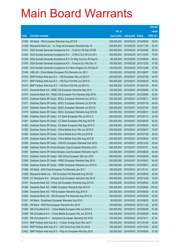|        |                                                              |               |                            |                       | <b>Amount</b> |
|--------|--------------------------------------------------------------|---------------|----------------------------|-----------------------|---------------|
|        |                                                              | No. of        |                            |                       | raised        |
| Code   | <b>Derivative warrants</b>                                   | issue (units) | <b>Listing date Expiry</b> |                       | (HK\$ mil.)   |
| 21340  | HK Bank - HSI European Warrants Aug 2010 B                   | 238,000,000   |                            | 2010/02/26 2010/08/30 | 59.50         |
| 21338  | Macquarie Bank Ltd. - Ju Teng Intl European Warrants Nov 10  | 200,000,000   |                            | 2010/02/26 2010/11/29 | 50.00         |
| 21341  | SGA Societe Generale Acceptance N.V. - CLife Eu Wt Sep 2010B | 200,000,000   |                            | 2010/02/26 2010/09/06 | 50.00         |
| 21342  | SGA Societe Generale Acceptance N.V. - CP&CC Eur Wt Oct 2011 | 500,000,000   |                            | 2010/02/26 2011/10/03 | 75.00         |
| 21343  | SGA Societe Generale Acceptance N.V-Ch Ship Cont Eu Wt Sep10 | 80,000,000    |                            | 2010/02/26 2010/09/06 | 66.40         |
| 21345  | SGA Societe Generale Acceptance N.V. - Foxconn Eu Wts Dec 10 | 150,000,000   |                            | 2010/02/26 2010/12/20 | 37.50         |
| 21346  | SGA Societe Generale Acceptance N.V-Nine Dragons Eu Wt Dec10 | 150,000,000   |                            | 2010/02/26 2010/12/06 | 37.50         |
| 21348  | UBS AG - China Mobile European Put Warrants Jun 2011         | 100,000,000   |                            | 2010/02/26 2011/06/07 | 15.00         |
| 21370  | BNP Paribas Arbit Issu B.V. - HSI European Wts Jul 2010 F    | 200,000,000   |                            | 2010/03/01 2010/07/29 | 34.00         |
| 21371  | BNP Paribas Arbit Issu B.V. - HSI Euro Put Wts Jun 2010 H    | 200,000,000   |                            | 2010/03/01 2010/06/29 | 46.00         |
| 21374  | BNP Paribas Arbit Issu B.V. - HSI Euro Put Wts Jul 2010 G    | 200,000,000   | 2010/03/01                 | 2010/07/29            | 46.00         |
| 21372  | Deutsche Bank AG - WISE CSI European Warrants Sep 2010       | 100,000,000   |                            | 2010/03/01 2010/09/06 | 27.00         |
| 21376  | Deutsche Bank AG - WISE CSI European Put Warrants Sep 2010   | 100,000,000   |                            | 2010/03/01 2010/09/06 | 25.00         |
| 21375  | Goldman Sachs SP (Asia) - BOCL European Warrants Jun 2010 C  | 200,000,000   | 2010/03/01 2010/06/11      |                       | 30.00         |
| 21377  | Goldman Sachs SP (Asia) - BOCL European Warrants Jul 2010 B  | 200,000,000   | 2010/03/01                 | 2010/07/19            | 54.00         |
| 21378  | Goldman Sachs SP (Asia) - BOCL European Warrants Jul 2010 C  | 200,000,000   |                            | 2010/03/01 2010/07/29 | 32.00         |
| 21379  | Goldman Sachs SP (Asia) - BOCL European Warrants Aug 2010 B  | 200,000,000   |                            | 2010/03/01 2010/08/31 | 30.00         |
| 21380  | Goldman Sachs SP (Asia) - CC Bank European Wts Jul 2010 C    | 200,000,000   |                            | 2010/03/01 2010/07/12 | 34.00         |
| 21381  | Goldman Sachs SP (Asia) - CC Bank European Wts Aug 2010 B    | 200,000,000   | 2010/03/01                 | 2010/08/30            | 62.00         |
| 21382  | Goldman Sachs SP (Asia) - CC Bank European Wts Aug 2010 C    | 200,000,000   |                            | 2010/03/01 2010/08/30 | 30.00         |
| 21383  | Goldman Sachs SP (Asia) - China Mobile Euro Wts Jun 2010 D   | 200,000,000   | 2010/03/01                 | 2010/06/07            | 74.00         |
| 21384  | Goldman Sachs SP (Asia) - China Mobile Euro Wts Jul 2010 B   | 200,000,000   |                            | 2010/03/01 2010/07/29 | 30.00         |
| 21385  | Goldman Sachs SP (Asia) - China Mobile Euro Wts Aug 2010 B   | 200,000,000   | 2010/03/01                 | 2010/08/30            | 42.00         |
| 21388  | Goldman Sachs SP (Asia) - CNOOC European Warrants Dec 2010   | 200,000,000   |                            | 2010/03/01 2010/12/22 | 30.00         |
| 21386  | Goldman Sachs SP (Asia)-Sinopec Corp European Warrants Jul10 | 200,000,000   | 2010/03/01                 | 2010/07/21            | 42.00         |
| 21387  | Goldman Sachs SP (Asia)-Sinopec Corp European Warrants Aug10 | 200,000,000   | 2010/03/01                 | 2010/08/30            | 54.00         |
| 21373  | Goldman Sachs SP (Asia) - A50 China European Wts Jun 2010    | 200,000,000   | 2010/03/01                 | 2010/06/29            | 38.00         |
| 21390  | Goldman Sachs SP (Asia) - HSBC European Warrants Sep 2010    | 200,000,000   | 2010/03/01 2010/09/01      |                       | 54.00         |
| 21389  | Goldman Sachs SP (Asia) - HSBC European Warrants Jun 2010 C  | 200,000,000   | 2010/03/01                 | 2010/06/01            | 32.00         |
| 21368  | HK Bank - A50 China European Put Warrants Jan 2011           | 180,000,000   | 2010/03/01 2011/01/31      |                       | 45.00         |
| 21369  | Macquarie Bank Ltd. - HSI European Put Warrants Aug 2010 E   | 300,000,000   | 2010/03/01                 | 2010/08/30            | 45.00         |
| 17365# | CC Rabobank B.A. - Sinopec Corp European Warrants Dec 2010   | 200,000,000   | 2010/03/01                 | 2010/12/28            | 10.40         |
| 21397  | Deutsche Bank AG - China Life European Warrants Aug 2010 E   | 300,000,000   |                            | 2010/03/02 2010/08/02 | 45.00         |
| 21398  | Deutsche Bank AG - HSBC European Warrants Sep 2010 B         | 200,000,000   |                            | 2010/03/02 2010/09/06 | 102.00        |
| 21396  | Deutsche Bank AG - HSI European Warrants Aug 2010 E          | 300,000,000   |                            | 2010/03/02 2010/08/30 | 51.00         |
| 21400  | Deutsche Bank AG - HSI European Put Warrants Aug 2010 G      | 300,000,000   |                            | 2010/03/02 2010/08/30 | 63.00         |
| 21391  | HK Bank - Sinopharm European Warrants Sep 2010               | 80,000,000    |                            | 2010/03/02 2010/09/02 | 20.00         |
| 21392  | HK Bank - SHK Ppt European Warrants Nov 2010                 | 150,000,000   |                            | 2010/03/02 2010/11/22 | 22.50         |
| 21394  | RB of Scotland N.V. - China Mobile European Wts Jun 2010 A   | 200,000,000   |                            | 2010/03/02 2010/06/28 | 61.40         |
| 21395  | RB of Scotland N.V. - China Mobile European Wts Jun 2010 B   | 200,000,000   |                            | 2010/03/02 2010/06/28 | 40.40         |
| 21393  | RB of Scotland N.V. - Sinopharm European Warrants Oct 2010   | 100,000,000   | 2010/03/02 2010/10/11      |                       | 57.40         |
| 21415  | BNP Paribas Arbit Issu B.V. - Fushan Energy Euro Wts Jan11   | 100,000,000   |                            | 2010/03/03 2011/01/04 | 25.00         |
| 21403  | BNP Paribas Arbit Issu B.V. - A50 China Euro Wts Oct 2010    | 100,000,000   |                            | 2010/03/03 2010/10/05 | 25.00         |
| 21402  | BNP Paribas Arbit Issu B.V. - Ping An European Wts Sep 2010  | 100,000,000   |                            | 2010/03/03 2010/09/06 | 27.00         |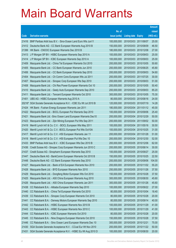|        |                                                               |               |                            | <b>Amount</b> |
|--------|---------------------------------------------------------------|---------------|----------------------------|---------------|
|        |                                                               | No. of        |                            | raised        |
| Code   | <b>Derivative warrants</b>                                    | issue (units) | <b>Listing date Expiry</b> | (HK\$ mil.)   |
| 21416  | BNP Paribas Arbit Issu B.V. - Sino-Ocean Land Euro Wts Jun11  | 100,000,000   | 2010/03/03 2011/06/07      | 25.00         |
| 21412  | Deutsche Bank AG - CC Bank European Warrants Aug 2010 B       | 150,000,000   | 2010/03/03 2010/08/09      | 46.50         |
| 21399  | HK Bank - CNOOC European Warrants Dec 2010 B                  | 180,000,000   | 2010/03/03 2010/12/08      | 27.00         |
| 21413  | J P Morgan SP BV - HSBC European Warrants Sep 2010 A          | 100,000,000   | 2010/03/03 2010/09/03      | 25.00         |
| 21414  | J P Morgan SP BV - ICBC European Warrants Sep 2010 A          | 100,000,000   | 2010/03/03 2010/09/03      | 25.00         |
| 21409  | Macquarie Bank Ltd. - China Tel European Warrants Oct 2010    | 200,000,000   | 2010/03/03 2010/10/05      | 50.60         |
| 21405  | Macquarie Bank Ltd. - CC Bank European Warrants Jun 2010      | 200,000,000   | 2010/03/03 2010/06/25      | 45.80         |
| 21406  | Macquarie Bank Ltd. - CC Bank European Warrants Sep 2010      | 200,000,000   | 2010/03/03 2010/09/03      | 54.60         |
| 21404  | Macquarie Bank Ltd. - Ch Comm Cons European Wts Jul 2011      | 200,000,000   | 2010/03/03 2011/07/25      | 30.00         |
| 21407  | Macquarie Bank Ltd. - Sinopec Corp European Wts Sep 2010      | 200,000,000   | 2010/03/03 2010/09/03      | 51.00         |
| 21408  | Macquarie Bank Ltd. - Chi Res Power European Warrants Oct 10  | 200,000,000   | 2010/03/03 2010/10/05      | 50.40         |
| 21410  | Macquarie Bank Ltd. - Geely Auto European Warrants Sep 2010   | 200,000,000   | 2010/03/03 2010/09/03      | 85.20         |
| 21411  | Macquarie Bank Ltd. - Tencent European Warrants Oct 2010      | 300,000,000   | 2010/03/03 2010/10/05      | 75.30         |
| 21401  | UBS AG - HSBC European Warrants Aug 2010 A                    | 80,000,000    | 2010/03/03 2010/08/16      | 24.00         |
| 20216# | SGA Societe Generale Acceptance N.V. - ICBC Eu Wt Jul 2010 B  | 120,000,000   | 2010/03/03 2010/07/19      | 14.28         |
| 21424  | HK Bank - Fushan Energy European Warrants Jan 2011            | 180,000,000   | 2010/03/04 2011/01/12      | 45.00         |
| 21422  | Macquarie Bank Ltd. - BOCL European Put Warrants Sep 2010     | 100,000,000   | 2010/03/04 2010/09/06      | 25.40         |
| 21421  | Macquarie Bank Ltd. - Sino Ocean Land European Warrants Dec10 | 200,000,000   | 2010/03/04 2010/12/29      | 50.00         |
| 21423  | Macquarie Bank Ltd. - Zijin Mining European Put Wts Sep 2011  | 200,000,000   | 2010/03/04 2011/09/02      | 50.00         |
| 21419  | Merrill Lynch Int'l & Co. C.V. - BOCL European Wts May 2011   | 100,000,000   | 2010/03/04 2011/05/16      | 30.50         |
| 21420  | Merrill Lynch Int'l & Co. C.V. - BOCL European Put Wts Oct10A | 100,000,000   | 2010/03/04 2010/10/25      | 31.00         |
| 21417  | Merrill Lynch Int'l & Co. C.V. - HSI European Warrants Jan 11 | 200,000,000   | 2010/03/04 2011/01/28      | 51.00         |
| 21418  | Merrill Lynch Int'l & Co. C.V. - HSI European Put Wts Dec 10  | 200,000,000   | 2010/03/04 2010/12/30      | 52.00         |
| 21433  | BNP Paribas Arbit Issu B.V. - ICBC European Wts Dec 2010 B    | 200,000,000   | 2010/03/05 2010/12/06      | 62.00         |
| 21436  | Credit Suisse AG - Sinopec Corp European Warrants Jun 2010 C  | 200,000,000   | 2010/03/05 2010/06/14      | 30.00         |
| 21437  | Credit Suisse AG - Sinopharm European Warrants Sep 2010       | 100,000,000   | 2010/03/05 2010/09/27      | 25.00         |
| 21447  | Deutsche Bank AG - BankComm European Warrants Oct 2010 B      | 150,000,000   | 2010/03/05 2010/10/25      | 22.50         |
| 21448  | Deutsche Bank AG - CC Bank European Warrants Sep 2010         | 200,000,000   | 2010/03/05 2010/09/06      | 104.00        |
| 21427  | Macquarie Bank Ltd. - Bank of EA European Warrants Nov 2010   | 200,000,000   | 2010/03/05 2010/11/02      | 55.20         |
| 21428  | Macquarie Bank Ltd. - BYD European Warrants Nov 2010          | 250,000,000   | 2010/03/05 2010/11/26      | 37.50         |
| 21429  | Macquarie Bank Ltd. - Dongfeng Motor European Wts Oct 2010    | 150,000,000   | 2010/03/05 2010/10/28      | 37.50         |
| 21425  | Macquarie Bank Ltd. - A50 China European Warrants Aug 2010    | 300,000,000   | 2010/03/05 2010/08/30      | 45.60         |
| 21426  | Macquarie Bank Ltd. - A50 China European Warrants Jan 2011    | 300,000,000   | 2010/03/05 2011/01/26      | 45.60         |
| 21438  | CC Rabobank B.A. - Alibaba European Warrants Sep 2010         | 100,000,000   | 2010/03/05 2010/09/22      | 27.00         |
| 21440  | CC Rabobank B.A. - China Tel European Warrants Oct 2010       | 80,000,000    | 2010/03/05 2010/10/04      | 18.40         |
| 21439  | CC Rabobank B.A. - Sinopec Corp European Warrants Oct 2010    | 80,000,000    | 2010/03/05 2010/10/28      | 20.00         |
| 21441  | CC Rabobank B.A. - Denway Motors European Warrants Sep 2010   | 80,000,000    | 2010/03/05 2010/09/14      | 40.00         |
| 21442  | CC Rabobank B.A. - HSBC European Warrants Nov 2010 B          | 100,000,000   | 2010/03/05 2010/11/29      | 41.00         |
| 21443  | CC Rabobank B.A. - HSBC European Warrants Nov 2010 C          | 100,000,000   | 2010/03/05 2010/11/29      | 41.00         |
| 21444  | CC Rabobank B.A. - ICBC European Warrants Oct 2010            | 80,000,000    | 2010/03/05 2010/10/28      | 20.00         |
| 21445  | CC Rabobank B.A. - Nine Dragons European Warrants Oct 2010    | 150,000,000   | 2010/03/05 2010/10/28      | 37.50         |
| 21446  | CC Rabobank B.A. - Sino Ocean Land European Warrants Dec 10   | 300,000,000   | 2010/03/05 2010/12/21      | 75.00         |
| 21430  | SGA Societe Generale Acceptance N.V. - CCoal Eur Wt Nov 2010  | 200,000,000   | 2010/03/05 2010/11/22      | 50.00         |
| 21431  | SGA Societe Generale Acceptance N.V. - HSBC Eu Wt Aug 2010 D  | 100,000,000   | 2010/03/05 2010/08/30      | 20.00         |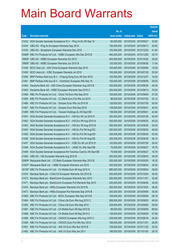|          |                                                                   |               |                            |            | <b>Amount</b> |
|----------|-------------------------------------------------------------------|---------------|----------------------------|------------|---------------|
|          |                                                                   | No. of        |                            |            | raised        |
| Code     | <b>Derivative warrants</b>                                        | issue (units) | <b>Listing date Expiry</b> |            | (HK\$ mil.)   |
| 21432    | SGA Societe Generale Acceptance N.V. - Ping An Eu Wt Sep 10       | 60,000,000    | 2010/03/05 2010/09/27      |            | 33.60         |
| 21434    | UBS AG - Ping An European Warrants Sep 2010                       | 100,000,000   | 2010/03/05 2010/09/13      |            | 25.00         |
| 21435    | UBS AG - Sinopharm European Warrants Dec 2010                     | 100,000,000   | 2010/03/05 2010/12/20      |            | 41.00         |
| $03489*$ | KBC Fin Products Int'l Ltd. - HSBC European Wts Dec 2010 B        | 482,000,000   | 2010/03/05 2010/12/06      |            | 33.74         |
|          | 19959# UBS AG - HSBC European Warrants Oct 2010                   | 400,000,000   | 2010/03/05 2010/10/25      |            | 28.00         |
| 19958#   | UBS AG - HSBC European Warrants Jun 2010 B                        | 120,000,000   | 2010/03/05 2010/06/28      |            | 11.64         |
| 21449    | BOCI Asia Ltd. - A50 China European Warrants Sep 2010             | 100,000,000   | 2010/03/08 2010/09/06      |            | 15.00         |
| 21450    | BOCI Asia Ltd. - ICBC European Warrants Jul 2010                  | 100,000,000   | 2010/03/08 2010/07/29      |            | 25.00         |
| 21460    | BNP Paribas Arbit Issu B.V. - Cheung Kong Euro Wt Dec 2010        | 100,000,000   | 2010/03/08 2010/12/07      |            | 16.00         |
| 21461    | BNP Paribas Arbit Issu B.V. - Hutchison European Wts Sep 10       | 100,000,000   | 2010/03/08 2010/09/09      |            | 29.00         |
| 21464    | Deutsche Bank AG - A50 China European Warrants Aug 2010 B         | 300,000,000   | 2010/03/08 2010/08/30      |            | 45.00         |
| 21463    | Deutsche Bank AG - HSBC European Warrants Sep 2010 C              | 200,000,000   | 2010/03/08 2010/09/13      |            | 70.00         |
| 21468    | KBC Fin Products Int'l Ltd. - China Tel Euro Wts Sep 2010         | 108,000,000   | 2010/03/08 2010/09/08      |            | 27.00         |
| 21465    | KBC Fin Products Int'l Ltd. - CC Bank Euro Put Wts Jul 2010       | 88,000,000    | 2010/03/08 2010/07/02      |            | 43.12         |
| 21466    | KBC Fin Products Int'l Ltd. - Sinopec Euro Wts Jul 2010 B         | 128,000,000   | 2010/03/08 2010/07/26      |            | 55.04         |
| 21467    | KBC Fin Products Int'l Ltd. - Sinopec Euro Wts Sep 2010           | 138,000,000   | 2010/03/08 2010/09/01      |            | 40.02         |
| 21469    | KBC Fin Products Int'l Ltd. - Tencent Holdings Eu Wt Sep10B       | 138,000,000   | 2010/03/08 2010/09/01      |            | 24.84         |
| 21451    | SGA Societe Generale Acceptance N.V. - HSI Eur Wt Jul 2010 E      | 300,000,000   | 2010/03/08 2010/07/29      |            | 45.00         |
| 21452    | SGA Societe Generale Acceptance N.V. - HSI Eur Wt Aug 2010 A      | 300,000,000   | 2010/03/08 2010/08/30      |            | 55.20         |
| 21453    | SGA Societe Generale Acceptance N.V. - HSI Eur Wt Aug 2010 B      | 300,000,000   | 2010/03/08 2010/08/30      |            | 54.00         |
| 21454    | SGA Societe Generale Acceptance N.V. - HSI Eu Put Wt Aug10C       | 300,000,000   | 2010/03/08 2010/08/30      |            | 48.00         |
| 21455    | SGA Societe Generale Acceptance N.V. - HSI Eu Put Wt Aug10D       | 300,000,000   | 2010/03/08 2010/08/30      |            | 53.40         |
| 21456    | SGA Societe Generale Acceptance N.V. - HSI Eu Put Wt Aug10E       | 300,000,000   | 2010/03/08 2010/08/30      |            | 56.10         |
| 21457    | SGA Societe Generale Acceptance N.V. - ICBC Eu Wt Jul 2010 D      | 120,000,000   | 2010/03/08 2010/07/28      |            | 26.40         |
| 21458    | SGA Societe Generale Acceptance N.V. - JIANC Eu Wts Sep10B        | 75,000,000    | 2010/03/08 2010/09/27      |            | 18.75         |
| 21459    | SGA Societe Generale Acceptance NV-Yanzhou Coal Eu Wt Sep10B      | 75,000,000    | 2010/03/08 2010/09/27      |            | 18.75         |
| 21462    | UBS AG - HSI European Warrants Aug 2010 B                         | 200,000,000   | 2010/03/08 2010/08/30      |            | 30.00         |
|          | 20909# Macquarie Bank Ltd. - CC Bank European Warrants May 2010 B | 200,000,000   | 2010/03/08 2010/05/05      |            | 16.20         |
| 21007#   | Macquarie Bank Ltd. - HSBC European Warrants Jun 2010             | 300,000,000   | 2010/03/08 2010/06/02      |            | 30.00         |
|          | 18135# KBC Fin Products Int'l Ltd. - Ch Mobile Euro Wt Aug 2010 A | 880,000,000   | 2010/03/08 2010/08/03      |            | 39.60         |
| 21470    | Barclays Bank plc - CHALCO European Warrants Oct 2010 B           | 200,000,000   | 2010/03/09                 | 2010/10/04 | 30.00         |
| 21472    | Barclays Bank plc - BankComm European Warrants Nov 2010           | 200,000,000   | 2010/03/09 2010/11/01      |            | 32.00         |
| 21471    | Barclays Bank plc - BankComm European Put Warrants Sep 2010       | 200,000,000   | 2010/03/09                 | 2010/09/06 | 30.00         |
| 21474    | Barclays Bank plc - HKEx European Warrants Oct 2010 B             | 200,000,000   | 2010/03/09 2010/10/04      |            | 38.00         |
| 21473    | Barclays Bank plc - HKEx European Put Warrants Sep 2010 B         | 200,000,000   | 2010/03/09                 | 2010/09/06 | 30.00         |
| 21483    | KBC Fin Products Int'l Ltd. - BOCL European Wts Sep 2010 B        | 108,000,000   | 2010/03/09 2010/09/09      |            | 29.16         |
| 21484    | KBC Fin Products Int'l Ltd. - China Life Euro Wts Aug 2010 C      | 268,000,000   | 2010/03/09                 | 2010/08/02 | 48.24         |
| 21485    | KBC Fin Products Int'l Ltd. - China Life Euro Wts Sep 2010        | 238,000,000   | 2010/03/09 2010/09/09      |            | 59.50         |
| 21487    | KBC Fin Products Int'l Ltd. - Ch Mobile Euro Wt Sep 2010 B        | 88,000,000    | 2010/03/09                 | 2010/09/09 | 68.64         |
| 21488    | KBC Fin Products Int'l Ltd. - Ch Mobile Euro Wt Sep 2010 C        | 138,000,000   | 2010/03/09 2010/09/09      |            | 57.96         |
| 21489    | KBC Fin Products Int'l Ltd. - CNOOC European Wts Aug 2010 C       | 228,000,000   | 2010/03/09                 | 2010/08/18 | 34.20         |
| 21490    | KBC Fin Products Int'l Ltd. - CNOOC Euro Put Wts Nov 2010         | 168,000,000   | 2010/03/09 2010/11/01      |            | 28.56         |
| 21491    | KBC Fin Products Int'l Ltd. - A50 Ch Euro Wts Nov 2010 B          | 158,000,000   | 2010/03/09                 | 2010/11/22 | 30.02         |
| 21492    | KBC Fin Products Int'l Ltd. - A50 Ch Euro Wts Jan 2011            | 198,000,000   | 2010/03/09 2011/01/05      |            | 29.70         |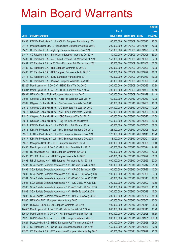|        |                                                               |               |                       |                       | <b>Amount</b> |
|--------|---------------------------------------------------------------|---------------|-----------------------|-----------------------|---------------|
|        |                                                               | No. of        |                       |                       | raised        |
| Code   | <b>Derivative warrants</b>                                    | issue (units) | Listing date Expiry   |                       | (HK\$ mil.)   |
| 21493  | KBC Fin Products Int'l Ltd. - A50 Ch European Put Wts Aug10D  | 100,000,000   | 2010/03/09            | 2010/08/23            | 20.00         |
| 21475  | Macquarie Bank Ltd. - C Transmission European Warrants Oct10  | 200,000,000   | 2010/03/09 2010/10/11 |                       | 50.20         |
| 21476  | CC Rabobank B.A. - Agile Ppt European Warrants Nov 2010       | 150,000,000   | 2010/03/09            | 2010/11/29            | 37.50         |
| 21477  | CC Rabobank B.A. - BankComm European Warrants Oct 2010        | 80,000,000    |                       | 2010/03/09 2010/10/06 | 39.20         |
| 21480  | CC Rabobank B.A. - A50 China European Put Warrants Oct 2010   | 150,000,000   |                       | 2010/03/09 2010/10/28 | 37.50         |
| 21481  | CC Rabobank B.A. - A50 China European Put Warrants Apr 2011   | 150,000,000   | 2010/03/09            | 2011/04/06            | 37.50         |
| 21482  | CC Rabobank B.A. - HSI European Warrants Jul 2010 B           | 200,000,000   | 2010/03/09            | 2010/07/29            | 30.00         |
| 21486  | CC Rabobank B.A. - HSI European Put Warrants Jul 2010 D       | 200,000,000   | 2010/03/09            | 2010/07/29            | 42.00         |
| 21478  | CC Rabobank B.A. - ICBC European Warrants Mar 2011            | 100,000,000   |                       | 2010/03/09 2011/03/30 | 30.00         |
| 21479  | CC Rabobank B.A. - Ping An European Warrants Sep 2010         | 80,000,000    |                       | 2010/03/09 2010/09/20 | 39.20         |
| 18325# | Merrill Lynch Int'l & Co. C.V. - HSBC Euro Wts Oct 2010       | 200,000,000   | 2010/03/09            | 2010/10/25            | 13.80         |
| 18581# | Merrill Lynch Int'l & Co. C.V. - HSBC Euro Wts Nov 2010 A     | 400,000,000   |                       | 2010/03/09 2010/11/29 | 16.40         |
|        | 18884# UBS AG - China Mobile European Warrants Nov 2010       | 300,000,000   |                       | 2010/03/09 2010/11/29 | 11.40         |
| 21508  | Citigroup Global Mkt H Inc. - Agile Ppt European Wts Dec 10   | 160,000,000   |                       | 2010/03/10 2010/12/30 | 40.00         |
| 21509  | Citigroup Global Mkt H Inc. - Ch Overseas Euro Wts Dec 2010   | 160,000,000   | 2010/03/10 2010/12/30 |                       | 40.00         |
| 21512  | Citigroup Global Mkt H Inc. - CC Bank Euro Put Wts Nov 2010   | 267,000,000   |                       | 2010/03/10 2010/11/02 | 40.05         |
| 21513  | Citigroup Global Mkt H Inc. - A50 China Eur Put Wts Dec 2010  | 160,000,000   |                       | 2010/03/10 2010/12/30 | 40.00         |
| 21510  | Citigroup Global Mkt H Inc. - ICBC European Wts Oct 2010      | 160,000,000   |                       | 2010/03/10 2010/10/25 | 40.00         |
| 21511  | Citigroup Global Mkt H Inc. - Poly HK Inv Euro Wts Dec10      | 160,000,000   |                       | 2010/03/10 2010/12/30 | 40.00         |
| 21514  | KBC Fin Products Int'l Ltd. - BOCL Euro Put Wts Aug 2010      | 100,000,000   |                       | 2010/03/10 2010/08/03 | 38.00         |
| 21515  | KBC Fin Products Int'l Ltd. - BYD European Warrants Oct 2010  | 128,000,000   |                       | 2010/03/10 2010/10/05 | 19.20         |
| 21516  | KBC Fin Products Int'l Ltd. - BYD European Warrants Nov 2010  | 128,000,000   |                       | 2010/03/10 2010/11/15 | 19.20         |
| 21517  | KBC Fin Products Int'l Ltd. - BYD European Warrants Dec 2010  | 118,000,000   | 2010/03/10 2010/12/01 |                       | 29.50         |
| 21518  | Macquarie Bank Ltd. - ICBC European Warrants Oct 2010         | 200,000,000   |                       | 2010/03/10 2010/10/05 | 50.40         |
| 21496  | Merrill Lynch Int'l & Co. C.V. - Hutchison Euro Wts Jun 2010  | 100,000,000   | 2010/03/10 2010/06/24 |                       | 24.90         |
| 21494  | RB of Scotland N.V. - HSI European Warrants Jun 2010          | 400,000,000   | 2010/03/10 2010/06/29 |                       | 60.00         |
| 21495  | RB of Scotland N.V. - HSI European Warrants Jul 2010          | 400,000,000   | 2010/03/10 2010/07/29 |                       | 60.00         |
| 21498  | RB of Scotland N.V. - HSI European Put Warrants Jun 2010 B    | 400,000,000   | 2010/03/10 2010/06/29 |                       | 67.20         |
| 21497  | SGA Societe Generale Acceptance N.V. - Ch Mob Eu Wt Jul 10B   | 100,000,000   | 2010/03/10 2010/07/12 |                       | 21.00         |
| 21499  | SGA Societe Generale Acceptance N.V. - CP&CC Eur Wt Jul 10D   | 100,000,000   | 2010/03/10 2010/07/26 |                       | 40.00         |
| 21500  | SGA Societe Generale Acceptance N.V. - CP&CC Eur Wt Aug 10D   | 100,000,000   | 2010/03/10 2010/08/30 |                       | 63.00         |
| 21501  | SGA Societe Generale Acceptance N.V. - CP&CC Eur Wt Oct 2010  | 100,000,000   | 2010/03/10            | 2010/10/11            | 47.00         |
| 21504  | SGA Societe Generale Acceptance N.V. - A50 Ch Eu Wt Aug 10B   | 300,000,000   | 2010/03/10            | 2010/08/02            | 49.50         |
| 21505  | SGA Societe Generale Acceptance N.V. - A50 Ch Eu Wt Sep 2010  | 300,000,000   | 2010/03/10            | 2010/09/06            | 45.00         |
| 21503  | SGA Societe Generale Acceptance N.V. - HKEx Eu Wt Oct 2010    | 300,000,000   | 2010/03/10 2010/10/18 |                       | 45.00         |
| 21502  | SGA Societe Generale Acceptance N.V. - HKEx Eu Wt Aug 2010 C  | 300,000,000   | 2010/03/10            | 2010/08/02            | 45.00         |
| 21506  | UBS AG - BOCL European Warrants Aug 2010                      | 100,000,000   | 2010/03/10            | 2010/08/02            | 15.00         |
| 21507  | UBS AG - China EB Ltd European Warrants Oct 2010              | 100,000,000   | 2010/03/10            | 2010/10/11            | 25.00         |
| 17446# | Merrill Lynch Int'l & Co. C.V. - Ch Mobile Eur Wt Oct 2010 A  | 600,000,000   | 2010/03/10 2010/10/11 |                       | 13.20         |
| 19940# | Merrill Lynch Int'l & Co. C.V. - HSI European Warrants May10E | 500,000,000   | 2010/03/10            | 2010/05/28            | 16.50         |
| 21525  | BNP Paribas Arbit Issu B.V. - BOCL European Wts Nov 2010 B    | 200,000,000   | 2010/03/11            | 2010/11/01            | 106.00        |
| 21524  | Deutsche Bank AG - HSBC European Put Warrants Jun 2010 F      | 200,000,000   | 2010/03/11            | 2010/06/28            | 98.00         |
| 21519  | CC Rabobank B.A. - China Coal European Warrants Dec 2010      | 150,000,000   | 2010/03/11            | 2010/12/30            | 37.50         |
| 21520  | CC Rabobank B.A. - C Transmission European Warrants Sep 2010  | 100,000,000   | 2010/03/11            | 2010/09/29            | 25.00         |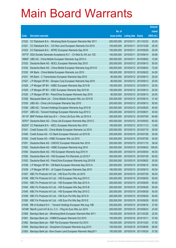|                |                                                                                                           |                            |                                                |            | <b>Amount</b>   |
|----------------|-----------------------------------------------------------------------------------------------------------|----------------------------|------------------------------------------------|------------|-----------------|
|                |                                                                                                           | No. of                     |                                                |            | raised          |
| Code           | <b>Derivative warrants</b>                                                                                | issue (units)              | <b>Listing date Expiry</b>                     |            | (HK\$ mil.)     |
| 21522          | CC Rabobank B.A. - Minsheng Bank European Warrants Mar 2011                                               | 200,000,000                | 2010/03/11                                     | 2011/03/23 | 30.00           |
| 21521          | CC Rabobank B.A. - Chi Res Land European Warrants Oct 2010                                                | 100,000,000                | 2010/03/11                                     | 2010/10/28 | 25.00           |
| 21523          | CC Rabobank B.A. - MTRC European Warrants Sep 2010                                                        | 100,000,000                | 2010/03/11                                     | 2010/09/29 | 25.00           |
| 19773#         | SGA Societe Generale Acceptance N.V. - Ch Mob Eu Wt Jun 10C                                               | 140,000,000                | 2010/03/11                                     | 2010/06/14 | 30.66           |
|                | 18883# UBS AG - China Mobile European Warrants Aug 2010 A                                                 | 300,000,000                | 2010/03/11                                     | 2010/08/02 | 12.90           |
| 21533          | Deutsche Bank AG - BOCL European Warrants Sep 2010                                                        | 200,000,000                | 2010/03/12 2010/09/13                          |            | 50.00           |
| 21534          | Deutsche Bank AG - China Mobile European Warrants Aug 2010 D                                              | 300,000,000                | 2010/03/12 2010/08/23                          |            | 72.00           |
| 21532          | HK Bank - China Mobile European Warrants Jun 2010                                                         | 160,000,000                | 2010/03/12 2010/06/22                          |            | 24.00           |
| 21531          | HK Bank - C Transmission European Warrants Sep 2010                                                       | 80,000,000                 | 2010/03/12 2010/09/13                          |            | 20.00           |
| 21527          | J P Morgan SP BV - Sinopec Corp European Warrants Sep 2010                                                | 80,000,000                 | 2010/03/12 2010/09/13                          |            | 20.00           |
| 21528          | J P Morgan SP BV - HSBC European Warrants Sep 2010 B                                                      | 100,000,000                | 2010/03/12 2010/09/13                          |            | 25.00           |
| 21529          | J P Morgan SP BV - ICBC European Warrants Sep 2010 B                                                      | 100,000,000                | 2010/03/12 2010/09/13                          |            | 25.00           |
| 21530          | J P Morgan SP BV - PetroChina European Warrants Sep 2010                                                  | 80,000,000                 | 2010/03/12 2010/09/13                          |            | 24.00           |
| 21526          | Macquarie Bank Ltd. - China Mobile European Wts Jun 2010 B                                                | 200,000,000                | 2010/03/12 2010/06/14                          |            | 31.40           |
| 21535          | UBS AG - China Life European Warrants Sep 2010                                                            | 200,000,000                | 2010/03/12 2010/09/13                          |            | 50.00           |
| 21536          | UBS AG - Tencent Holdings European Warrants Aug 2010 B                                                    | 200,000,000                | 2010/03/12 2010/08/25                          |            | 40.00           |
| 21537          | UBS AG - Tencent Holdings European Warrants Aug 2010 C                                                    | 200,000,000                | 2010/03/12 2010/08/31                          |            | 30.00           |
| 19115#         | BNP Paribas Arbit Issu B.V. - China Life Euro Wts Jul 2010 A                                              | 300,000,000                | 2010/03/12 2010/07/05                          |            | 64.80           |
|                | 19761# Deutsche Bank AG - China Life European Warrants May 2010 C                                         | 400,000,000                | 2010/03/12 2010/05/03                          |            | 60.00           |
| 20202#         | CC Rabobank B.A. - KECL European Warrants Nov 2010                                                        | 150,000,000                | 2010/03/12 2010/11/12                          |            | 13.65           |
| 21541          | Credit Suisse AG - China Mobile European Warrants Jul 2010                                                | 200,000,000                | 2010/03/15 2010/07/19                          |            | 30.00           |
| 21540          | Credit Suisse AG - CC Bank European Warrants Jul 2010 B                                                   | 200,000,000                | 2010/03/15 2010/07/26                          |            | 30.00           |
| 21542          | Credit Suisse AG - HSBC European Wts Jul 2010                                                             | 200,000,000                | 2010/03/15                                     | 2010/07/26 | 30.00           |
| 21551          | Deutsche Bank AG - CNOOC European Warrants Nov 2010                                                       | 200,000,000                | 2010/03/15 2010/11/15<br>2010/03/15 2010/08/23 |            | 36.00<br>158.00 |
| 21552<br>21554 | Deutsche Bank AG - HSBC European Warrants Aug 2010<br>Deutsche Bank AG - HSI European Warrants Aug 2010 H | 200,000,000<br>300,000,000 | 2010/03/15 2010/08/30                          |            | 45.00           |
| 21555          | Deutsche Bank AG - HSI European Put Warrants Jul 2010 F                                                   | 300,000,000                | 2010/03/15                                     | 2010/07/29 | 60.00           |
| 21553          | Deutsche Bank AG - PetroChina European Warrants Aug 2010 B                                                | 200,000,000                | 2010/03/15 2010/08/02                          |            | 30.00           |
| 21538          | J P Morgan SP BV - CM Bank European Warrants Sep 2010 A                                                   | 200,000,000                | 2010/03/15 2010/09/15                          |            | 50.60           |
| 21539          | J P Morgan SP BV - JX Copper European Warrants Sep 2010                                                   | 180,000,000                | 2010/03/15                                     | 2010/09/15 | 45.54           |
| 21547          | KBC Fin Products Int'l Ltd. - HSI Euro Put Wts Jul 2010                                                   | 200,000,000                | 2010/03/15                                     | 2010/07/29 | 46.00           |
| 21546          | KBC Fin Products Int'l Ltd. - HSI European Wts Aug 2010 C                                                 | 200,000,000                | 2010/03/15                                     | 2010/08/30 | 50.00           |
| 21543          | KBC Fin Products Int'l Ltd. - HSI European Wts Sep 2010 A                                                 | 200,000,000                | 2010/03/15                                     | 2010/09/29 | 50.00           |
| 21544          | KBC Fin Products Int'l Ltd. - HSI European Wts Sep 2010 B                                                 | 200,000,000                | 2010/03/15                                     | 2010/09/29 | 50.00           |
| 21545          | KBC Fin Products Int'l Ltd. - HSI European Wts Sep 2010 C                                                 | 200,000,000                | 2010/03/15                                     | 2010/09/29 | 50.00           |
| 21549          | KBC Fin Products Int'l Ltd. - HSI Euro Put Wts Sep 2010 D                                                 | 200,000,000                | 2010/03/15                                     | 2010/09/29 | 50.00           |
| 21550          | KBC Fin Products Int'l Ltd. - HSI Euro Put Wts Sep 2010 E                                                 | 200,000,000                | 2010/03/15                                     | 2010/09/29 | 50.00           |
| 21548          | RB of Scotland N.V. - Tencent Holdings European Wts Aug 10B                                               | 250,000,000                | 2010/03/15                                     | 2010/08/16 | 37.50           |
| 14748#         | Merrill Lynch Int'l & Co. C.V. - Ping An Euro Wts Jun 2010                                                | 200,000,000                | 2010/03/15 2010/06/23                          |            | 23.40           |
| 21560          | Barclays Bank plc - Minsheng Bank European Warrants Mar 2011                                              | 150,000,000                | 2010/03/16                                     | 2011/03/28 | 22.50           |
| 21561          | Barclays Bank plc - CNBM European Warrants Oct 2010                                                       | 150,000,000                | 2010/03/16 2010/10/11                          |            | 37.50           |
| 21562          | Barclays Bank plc - R&F Ppt European Warrants Oct 2010                                                    | 150,000,000                | 2010/03/16 2010/10/25                          |            | 37.50           |
| 21564          | Barclays Bank plc - Sinopharm European Warrants Aug 2010                                                  | 150,000,000                | 2010/03/16 2010/08/09                          |            | 69.00           |
| 21563          | Barclays Bank plc -Sino-Ocean Land European Warrants May2011                                              | 150,000,000                | 2010/03/16 2011/05/30                          |            | 37.50           |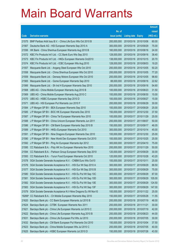|        |                                                              |               |                            |            | <b>Amount</b> |
|--------|--------------------------------------------------------------|---------------|----------------------------|------------|---------------|
|        |                                                              | No. of        |                            |            | raised        |
| Code   | <b>Derivative warrants</b>                                   | issue (units) | <b>Listing date Expiry</b> |            | (HK\$ mil.)   |
| 21575  | BNP Paribas Arbit Issu B.V. - China Life Euro Wts Oct 2010 B | 200,000,000   | 2010/03/16 2010/10/06      |            | 60.00         |
| 21567  | Deutsche Bank AG - HSI European Warrants Sep 2010 A          | 300,000,000   | 2010/03/16 2010/09/29      |            | 75.00         |
| 21556  | HK Bank - China Shenhua European Warrants Aug 2010 B         | 160,000,000   | 2010/03/16 2010/08/16      |            | 24.00         |
| 21572  | KBC Fin Products Int'l Ltd. - CC Bank Euro Wts Sep 2010      | 128,000,000   | 2010/03/16 2010/09/16      |            | 38.40         |
| 21573  | KBC Fin Products Int'l Ltd. - HKEx European Warrants Oct2010 | 138,000,000   | 2010/03/16 2010/10/15      |            | 20.70         |
| 21574  | KBC Fin Products Int'l Ltd. - ICBC European Wts Aug 2010     | 128,000,000   | 2010/03/16 2010/08/03      |            | 19.20         |
| 21557  | Macquarie Bank Ltd. - Angang Steel European Wts Oct 2010     | 200,000,000   | 2010/03/16                 | 2010/10/05 | 50.20         |
| 21558  | Macquarie Bank Ltd. - China Shenhua European Wts Oct 2010    | 200,000,000   | 2010/03/16 2010/10/05      |            | 77.20         |
| 21559  | Macquarie Bank Ltd. - Denway Motors European Wts Oct 2010    | 200,000,000   | 2010/03/16 2010/10/05      |            | 98.60         |
| 21565  | Macquarie Bank Ltd. - Gome European Warrants Sep 2010        | 88,000,000    | 2010/03/16 2010/09/16      |            | 22.62         |
| 21566  | Macquarie Bank Ltd. - Sh Ind H European Warrants Sep 2010    | 200,000,000   | 2010/03/16 2010/09/16      |            | 54.60         |
| 21568  | UBS AG - China Mobile European Warrants Aug 2010 B           | 100,000,000   | 2010/03/16 2010/08/23      |            | 31.50         |
| 21569  | UBS AG - China Mobile European Warrants Aug 2010 C           | 100,000,000   | 2010/03/16 2010/08/30      |            | 15.00         |
| 21570  | UBS AG - HSBC European Warrants Sep 2010 D                   | 100,000,000   | 2010/03/16 2010/09/27      |            | 15.00         |
| 21571  | UBS AG - HSI European Put Warrants Jun 2010 F                | 200,000,000   | 2010/03/16 2010/06/29      |            | 30.00         |
| 21584  | J P Morgan SP BV - BEA European Warrants Sep 2010            | 100,000,000   | 2010/03/17 2010/09/29      |            | 25.00         |
| 21585  | J P Morgan SP BV - BOC HK European Warrants Dec 2010         | 150,000,000   | 2010/03/17 2010/12/30      |            | 37.50         |
| 21587  | J P Morgan SP BV - China Tel European Warrants Nov 2010      | 100,000,000   | 2010/03/17 2010/11/29      |            | 25.00         |
| 21588  | J P Morgan SP BV - China Unicom European Warrants Jun 2011   | 200,000,000   | 2010/03/17 2011/06/07      |            | 50.00         |
| 21586  | J P Morgan SP BV - CM Bank European Warrants Sep 2010 B      | 150,000,000   | 2010/03/17 2010/09/17      |            | 46.05         |
| 21589  | J P Morgan SP BV - HKEx European Warrants Oct 2010           | 300,000,000   | 2010/03/17 2010/10/14      |            | 45.00         |
| 21591  | J P Morgan SP BV - Nine Dragons European Warrants Dec 2010   | 100,000,000   | 2010/03/17 2010/12/30      |            | 25.00         |
| 21590  | J P Morgan SP BV - New World Dev European Warrants Oct 2010  | 100,000,000   | 2010/03/17 2010/10/25      |            | 25.00         |
| 21592  | J P Morgan SP BV - Ping An European Warrants Apr 2012        | 300,000,000   | 2010/03/17 2012/04/10      |            | 75.00         |
| 21595  | CC Rabobank B.A. - Poly HK Inv European Warrants Nov 2010    | 200,000,000   | 2010/03/17 2010/11/29      |            | 50.00         |
| 21594  | CC Rabobank B.A. - Parkson Group European Warrants Sep 2010  | 120,000,000   | 2010/03/17 2010/09/29      |            | 30.00         |
| 21593  | CC Rabobank B.A. - Yurun Food European Warrants Oct 2010     | 120,000,000   | 2010/03/17 2010/10/28      |            | 43.20         |
| 21578  | SGA Societe Generale Acceptance N.V. - CNBM Euro Wts Oct10   | 100,000,000   | 2010/03/17 2010/10/11      |            | 25.00         |
| 21576  | SGA Societe Generale Acceptance N.V. - HSI Eur Wt Sep 2010 A | 300,000,000   | 2010/03/17                 | 2010/09/29 | 88.50         |
| 21577  | SGA Societe Generale Acceptance N.V. - HSI Eur Wt Sep 2010 B | 300,000,000   | 2010/03/17 2010/09/29      |            | 75.00         |
| 21580  | SGA Societe Generale Acceptance N.V. - HSI Eu Put Wt Sep 10C | 300,000,000   | 2010/03/17                 | 2010/09/29 | 87.00         |
| 21581  | SGA Societe Generale Acceptance N.V. - HSI Eu Put Wt Sep 10D | 300,000,000   | 2010/03/17                 | 2010/09/29 | 105.00        |
| 21582  | SGA Societe Generale Acceptance N.V. - HSI Eu Put Wt Sep 10E | 300,000,000   | 2010/03/17                 | 2010/09/29 | 124.50        |
| 21583  | SGA Societe Generale Acceptance N.V. - HSI Eu Put Wt Sep 10F | 300,000,000   | 2010/03/17                 | 2010/09/29 | 147.00        |
| 21579  | SGA Societe Generale Acceptance N.V-Nine Dragons Eu Wt Nov10 | 100,000,000   | 2010/03/17 2010/11/22      |            | 25.00         |
| 19266# | CC Rabobank B.A. - Ch Mobile European Warrants May 2010      | 150,000,000   | 2010/03/17                 | 2010/05/28 | 11.55         |
| 21620  | Barclays Bank plc - CC Bank European Warrants Jul 2010 B     | 200,000,000   | 2010/03/18 2010/07/19      |            | 46.00         |
| 21624  | Barclays Bank plc - CITBK European Warrants Nov 2011         | 200,000,000   | 2010/03/18                 | 2011/11/21 | 30.00         |
| 21621  | Barclays Bank plc - China Life European Warrants Jul 2010 C  | 200,000,000   | 2010/03/18                 | 2010/07/19 | 42.00         |
| 21622  | Barclays Bank plc - China Life European Warrants Aug 2010 B  | 200,000,000   | 2010/03/18                 | 2010/08/23 | 44.00         |
| 21631  | Barclays Bank plc - China Life European Put Wts Jul 2010     | 200,000,000   | 2010/03/18                 | 2010/07/05 | 30.00         |
| 21632  | Barclays Bank plc - CM Bank European Put Warrants Oct 2010   | 150,000,000   | 2010/03/18                 | 2010/10/04 | 37.50         |
| 21623  | Barclays Bank plc - China Mobile European Wts Jul 2010 C     | 200,000,000   | 2010/03/18 2010/07/05      |            | 40.00         |
| 21625  | Barclays Bank plc - HSBC European Warrants Jul 2010 D        | 150,000,000   | 2010/03/18 2010/07/26      |            | 43.50         |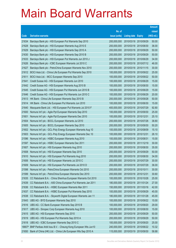|        |                                                              |               |                       | <b>Amount</b> |
|--------|--------------------------------------------------------------|---------------|-----------------------|---------------|
|        |                                                              | No. of        |                       | raised        |
| Code   | <b>Derivative warrants</b>                                   | issue (units) | Listing date Expiry   | (HK\$ mil.)   |
| 21634  | Barclays Bank plc - HSI European Put Warrants Sep 2010       | 200,000,000   | 2010/03/18 2010/09/29 | 50.00         |
| 21628  | Barclays Bank plc - HSI European Warrants Aug 2010 E         | 200,000,000   | 2010/03/18 2010/08/30 | 36.00         |
| 21629  | Barclays Bank plc - HSI European Warrants Sep 2010 A         | 200,000,000   | 2010/03/18 2010/09/29 | 50.00         |
| 21630  | Barclays Bank plc - HSI European Warrants Sep 2010 B         | 200,000,000   | 2010/03/18 2010/09/29 | 50.00         |
| 21633  | Barclays Bank plc - HSI European Put Warrants Jun 2010 J     | 200,000,000   | 2010/03/18 2010/06/29 | 34.00         |
| 21626  | Barclays Bank plc - ICBC European Warrants Jul 2010 C        | 200,000,000   | 2010/03/18 2010/07/12 | 46.00         |
| 21627  | Barclays Bank plc - PetroChina European Warrants Nov 2010    | 200,000,000   | 2010/03/18 2010/11/15 | 30.00         |
| 21612  | BOCI Asia Ltd. - China Life European Put Warrants Sep 2010   | 100,000,000   | 2010/03/18 2010/09/22 | 25.00         |
| 21611  | BOCI Asia Ltd. - MCC European Warrants Sep 2010              | 100,000,000   | 2010/03/18 2010/09/22 | 50.00         |
| 21641  | Credit Suisse AG - HSI European Warrants Jun 2010            | 100,000,000   | 2010/03/18 2010/06/29 | 15.00         |
| 21642  | Credit Suisse AG - HSI European Warrants Aug 2010 B          | 100,000,000   | 2010/03/18 2010/08/30 | 15.00         |
| 21645  | Credit Suisse AG - HSI European Put Warrants Jun 2010 B      | 100,000,000   | 2010/03/18 2010/06/29 | 15.00         |
| 21646  | Credit Suisse AG - HSI European Put Warrants Jun 2010 C      | 100,000,000   | 2010/03/18 2010/06/29 | 20.00         |
| 21613  | HK Bank - China Life European Warrants Sep 2010 B            | 200,000,000   | 2010/03/18 2010/09/28 | 50.00         |
| 21614  | HK Bank - China Life European Put Warrants Jun 2010          | 100,000,000   | 2010/03/18 2010/06/30 | 15.00         |
| 21640  | Macquarie Bank Ltd. - HSI European Put Warrants Jul 2010 F   | 400,000,000   | 2010/03/18 2010/07/29 | 92.80         |
| 21600  | Nomura Int'l plc - Agile Ppt European Warrants Sep 2010      | 100,000,000   | 2010/03/18 2010/09/30 | 25.00         |
| 21601  | Nomura Int'l plc - Agile Ppt European Warrants Dec 2010      | 100,000,000   | 2010/03/18 2010/12/31 | 25.10         |
| 21604  | Nomura Int'l plc - BOCL European Warrants Jul 2010           | 200,000,000   | 2010/03/18 2010/07/26 | 38.80         |
| 21605  | Nomura Int'l plc - BOCL European Warrants Sep 2010           | 200,000,000   | 2010/03/18 2010/09/30 | 50.20         |
| 21602  | Nomura Int'l plc - GCL-Poly Energy European Warrants Aug 10  | 100,000,000   | 2010/03/18 2010/08/09 | 15.10         |
| 21603  | Nomura Int'l plc - GCL-Poly Energy European Warrants Dec 10  | 100,000,000   | 2010/03/18 2010/12/31 | 26.10         |
| 21596  | Nomura Int'l plc - HSBC European Warrants Aug 2010           | 100,000,000   | 2010/03/18 2010/08/31 | 15.00         |
| 21597  | Nomura Int'l plc - HSBC European Warrants Dec 2011           | 200,000,000   | 2010/03/18 2011/12/19 | 30.00         |
| 21607  | Nomura Int'l plc - HSI European Warrants Aug 2010            | 200,000,000   | 2010/03/18 2010/08/30 | 35.00         |
| 21608  | Nomura Int'l plc - HSI European Warrants Sep 2010            | 200,000,000   | 2010/03/18 2010/09/29 | 50.00         |
| 21610  | Nomura Int'l plc - HSI European Put Warrants Aug 2010        | 200,000,000   | 2010/03/18 2010/08/30 | 34.00         |
| 21606  | Nomura Int'l plc - HSI European Warrants Jul 2010 C          | 200,000,000   | 2010/03/18 2010/07/29 | 30.00         |
| 21609  | Nomura Int'l plc - HSI European Put Warrants Jul 2010 D      | 200,000,000   | 2010/03/18 2010/07/29 | 36.00         |
| 21598  | Nomura Int'l plc - PetroChina European Warrants Oct 2010     | 200,000,000   | 2010/03/18 2010/10/11 | 30.00         |
| 21599  | Nomura Int'l plc - PetroChina European Warrants Dec 2010     | 200,000,000   | 2010/03/18 2010/12/31 | 30.60         |
| 21635  | CC Rabobank B.A. - China Shenhua European Warrants Oct 2010  | 100,000,000   | 2010/03/18 2010/10/28 | 25.00         |
| 21639  | CC Rabobank B.A. - A50 China European Put Warrants Jan 2011  | 180,000,000   | 2010/03/18 2011/01/24 | 27.00         |
| 21636  | CC Rabobank B.A. - HSBC European Warrants Mar 2011           | 150,000,000   | 2010/03/18 2011/03/16 | 42.00         |
| 21637  | CC Rabobank B.A. - HSBC European Put Warrants Sep 2010       | 100,000,000   | 2010/03/18 2010/09/29 | 45.00         |
| 21638  | CC Rabobank B.A. - Skyworth Digital European Warrants Jan 11 | 180,000,000   | 2010/03/18 2011/01/28 | 45.00         |
| 21643  | UBS AG - BYD European Warrants Sep 2010                      | 100,000,000   | 2010/03/18 2010/09/22 | 15.00         |
| 21616  | UBS AG - CC Bank European Warrants Sep 2010 B                | 100,000,000   | 2010/03/18 2010/09/20 | 29.00         |
| 21617  | UBS AG - Sinopec Corp European Warrants Aug 2010             | 100,000,000   | 2010/03/18 2010/08/30 | 15.00         |
| 21615  | UBS AG - HSI European Warrants Sep 2010                      | 200,000,000   | 2010/03/18 2010/09/29 | 50.00         |
| 21619  | UBS AG - HSI European Put Warrants Sep 2010 A                | 200,000,000   | 2010/03/18 2010/09/29 | 50.00         |
| 21618  | UBS AG - ICBC European Warrants Sep 2010 C                   | 100,000,000   | 2010/03/18 2010/09/20 | 25.00         |
| 18807# | BNP Paribas Arbit Issu B.V. - Cheung Kong European Wts Jun10 | 240,000,000   | 2010/03/18 2010/06/22 | 10.32         |
| 21650  | Bank of China (HK) Ltd. - China Life European Wts Sep 2010 A | 115,000,000   | 2010/03/19 2010/09/30 | 58.88         |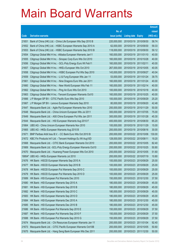|                |                                                                                                                              |                            |                                                |            | <b>Amount</b>  |
|----------------|------------------------------------------------------------------------------------------------------------------------------|----------------------------|------------------------------------------------|------------|----------------|
|                |                                                                                                                              | No. of                     |                                                |            | raised         |
| Code           | <b>Derivative warrants</b>                                                                                                   | issue (units)              | <b>Listing date Expiry</b>                     |            | (HK\$ mil.)    |
| 21651          | Bank of China (HK) Ltd. - China Life European Wts Sep 2010 B                                                                 | 220,000,000                | 2010/03/19 2010/09/30                          |            | 58.74          |
| 21652          | Bank of China (HK) Ltd. - HSBC European Warrants Sep 2010 A                                                                  | 62,000,000                 | 2010/03/19 2010/09/30                          |            | 59.33          |
| 21653          | Bank of China (HK) Ltd. - HSBC European Warrants Sep 2010 B                                                                  | 118,000,000                | 2010/03/19                                     | 2010/09/30 | 59.12          |
| 21654          | Citigroup Global Mkt H Inc. - Alibaba European Warrants Jan11                                                                | 160,000,000                | 2010/03/19 2011/01/10                          |            | 40.00          |
| 21655          | Citigroup Global Mkt H Inc. - Sinopec Corp Euro Wts Oct 2010                                                                 | 160,000,000                | 2010/03/19 2010/10/28                          |            | 40.00          |
| 21656          | Citigroup Global Mkt H Inc. - GCL-Poly Energy Euro Wt Feb11                                                                  | 160,000,000                | 2010/03/19 2011/02/11                          |            | 40.00          |
| 21657          | Citigroup Global Mkt H Inc. - HKEx European Wts Oct 2010                                                                     | 267,000,000                | 2010/03/19                                     | 2010/10/05 | 40.05          |
| 21658          | Citigroup Global Mkt H Inc. - HSBC European Put Wts Sep 2010                                                                 | 143,000,000                | 2010/03/19 2010/09/27                          |            | 40.04          |
| 21659          | Citigroup Global Mkt H Inc. - Li & Fung European Wts Jan 11                                                                  | 53,000,000                 | 2010/03/19 2011/01/24                          |            | 39.75          |
| 21661          | Citigroup Global Mkt H Inc. - Nine Dragons Euro Wts Jan 2011                                                                 | 160,000,000                | 2010/03/19 2011/01/24                          |            | 40.00          |
| 21660          | Citigroup Global Mkt H Inc. - New World European Wts Feb 11                                                                  | 160,000,000                | 2010/03/19                                     | 2011/02/14 | 40.00          |
| 21662          | Citigroup Global Mkt H Inc. - Ping An Euro Wts Oct 2010                                                                      | 100,000,000                | 2010/03/19 2010/10/18                          |            | 40.00          |
| 21663          | Citigroup Global Mkt H Inc. - Tencent European Warrants Oct10                                                                | 160,000,000                | 2010/03/19 2010/10/25                          |            | 40.00          |
| 21666          | J P Morgan SP BV - CITIC Pacific Euro Wts Sep 2010                                                                           | 100,000,000                | 2010/03/19 2010/09/29                          |            | 25.20          |
| 21667          | J P Morgan SP BV - Lenovo European Warrants Sep 2010                                                                         | 80,000,000                 | 2010/03/19 2010/09/20                          |            | 42.48          |
| 21647          | Macquarie Bank Ltd. - Agile Ppt European Warrants Nov 2010                                                                   | 200,000,000                | 2010/03/19 2010/11/29                          |            | 50.00          |
| 21648          | Macquarie Bank Ltd. - China Unicom European Wts Jul 2011                                                                     | 300,000,000                | 2010/03/19 2011/07/05                          |            | 75.00          |
| 21649          | Macquarie Bank Ltd. - A50 China European Put Wts Jan 2011                                                                    | 300,000,000                | 2010/03/19 2011/01/28                          |            | 45.30          |
| 21644          | Macquarie Bank Ltd. - HSI European Warrants Aug 2010 F                                                                       | 400,000,000                | 2010/03/19 2010/08/30                          |            | 65.20          |
| 21664          | UBS AG - China Unicom European Warrants Nov 2010                                                                             | 100,000,000                | 2010/03/19 2010/11/29                          |            | 15.00          |
| 21665          | UBS AG - HKEx European Warrants Aug 2010 B                                                                                   | 200,000,000                | 2010/03/19 2010/08/16                          |            | 30.00          |
| 21671          | BNP Paribas Arbit Issu B.V. - CC Bank Euro Wts Oct 2010 B                                                                    | 200,000,000                | 2010/03/22 2010/10/06                          |            | 130.00         |
| 21672<br>21668 | KBC Fin Products Int'l Ltd. - Tencent Holdings Eu Wt Aug10D                                                                  | 128,000,000                | 2010/03/22 2010/08/11<br>2010/03/22 2010/10/05 |            | 19.20<br>82.40 |
| 21669          | Macquarie Bank Ltd. - CITIC Bank European Warrants Oct 2010<br>Macquarie Bank Ltd. - GCL-Poly Energy European Warrants Oct10 | 200,000,000<br>200,000,000 | 2010/03/22 2010/10/25                          |            | 50.80          |
| 21670          | Macquarie Bank Ltd. - Huaneng Power European Wts Oct 2010                                                                    | 200,000,000                | 2010/03/22 2010/10/05                          |            | 51.60          |
|                | 19954# UBS AG - HKEx European Warrants Jul 2010                                                                              | 200,000,000                | 2010/03/22 2010/07/19                          |            | 10.80          |
| 21676          | HK Bank - HSCEI European Warrants Sep 2010 A                                                                                 | 100,000,000                | 2010/03/23 2010/09/29                          |            | 25.00          |
| 21677          | HK Bank - HSCEI European Warrants Sep 2010 B                                                                                 | 100,000,000                | 2010/03/23 2010/09/29                          |            | 25.00          |
| 21678          | HK Bank - HSCEI European Put Warrants Sep 2010 C                                                                             | 100,000,000                | 2010/03/23 2010/09/29                          |            | 25.00          |
| 21679          | HK Bank - HSCEI European Put Warrants Sep 2010 D                                                                             | 100,000,000                | 2010/03/23 2010/09/29                          |            | 25.00          |
| 21689          | HK Bank - HSI European Put Warrants Dec 2010                                                                                 | 150,000,000                | 2010/03/23 2010/12/30                          |            | 37.50          |
| 21680          | HK Bank - HSI European Warrants Sep 2010 A                                                                                   | 180,000,000                | 2010/03/23 2010/09/29                          |            | 45.00          |
| 21681          | HK Bank - HSI European Warrants Sep 2010 B                                                                                   | 180,000,000                | 2010/03/23 2010/09/29                          |            | 45.00          |
| 21682          | HK Bank - HSI European Warrants Sep 2010 C                                                                                   | 180,000,000                | 2010/03/23 2010/09/29                          |            | 45.00          |
| 21683          | HK Bank - HSI European Warrants Sep 2010 D                                                                                   | 180,000,000                | 2010/03/23 2010/09/29                          |            | 45.00          |
| 21684          | HK Bank - HSI European Warrants Dec 2010 A                                                                                   | 180,000,000                | 2010/03/23 2010/12/30                          |            | 45.00          |
| 21685          | HK Bank - HSI European Warrants Dec 2010 B                                                                                   | 180,000,000                | 2010/03/23 2010/12/30                          |            | 45.00          |
| 21686          | HK Bank - HSI European Put Warrants Sep 2010 E                                                                               | 150,000,000                | 2010/03/23 2010/09/29                          |            | 37.50          |
| 21687          | HK Bank - HSI European Put Warrants Sep 2010 F                                                                               | 150,000,000                | 2010/03/23 2010/09/29                          |            | 37.50          |
| 21688          | HK Bank - HSI European Put Warrants Sep 2010 G                                                                               | 150,000,000                | 2010/03/23 2010/09/29                          |            | 37.50          |
| 21674          | Macquarie Bank Ltd. - Chi Resources European Warrants Jan 11                                                                 | 200,000,000                | 2010/03/23 2011/01/04                          |            | 92.40          |
| 21673          | Macquarie Bank Ltd. - CITIC Pacific European Warrants Oct10B                                                                 | 200,000,000                | 2010/03/23 2010/10/05                          |            | 50.60          |
| 21675          | Macquarie Bank Ltd. - Hang Seng Bank European Wts Dec 2011                                                                   | 200,000,000                | 2010/03/23 2011/12/30                          |            | 50.00          |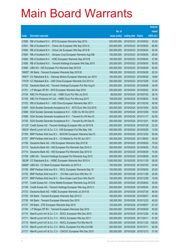|        |                                                                    |               |                            | <b>Amount</b> |
|--------|--------------------------------------------------------------------|---------------|----------------------------|---------------|
|        |                                                                    | No. of        |                            | raised        |
| Code   | <b>Derivative warrants</b>                                         | issue (units) | <b>Listing date Expiry</b> | (HK\$ mil.)   |
| 21690  | RB of Scotland N.V. - BYD European Warrants Sep 2010               | 200,000,000   | 2010/03/23 2010/09/22      | 30.00         |
| 21691  | RB of Scotland N.V. - China Life European Wts Sep 2010 A           | 200,000,000   | 2010/03/23 2010/09/02      | 66.80         |
| 21692  | RB of Scotland N.V. - China Life European Wts Sep 2010 B           | 200,000,000   | 2010/03/23 2010/09/24      | 50.00         |
| 21693  | RB of Scotland N.V. - Sinopec Corp European Warrants Aug10B        | 100,000,000   | 2010/03/23 2010/08/25      | 28.00         |
| 21694  | RB of Scotland N.V. - ICBC European Warrants Sep 2010 B            | 100,000,000   | 2010/03/23 2010/09/24      | 27.80         |
| 21695  | RB of Scotland N.V. - Tencent Holdings European Wts Sep 2010       | 200,000,000   | 2010/03/23 2010/09/30      | 50.00         |
| 21696  | UBS AG - HSI European Put Warrants Sep 2010 B                      | 200,000,000   | 2010/03/23 2010/09/29      | 50.00         |
|        | 19000# HK Bank - Tencent European Warrants Sep 2010 B              | 168,000,000   | 2010/03/23 2010/09/28      | 20.33         |
|        | 19301# CC Rabobank B.A. - Denway Motors European Warrants Jun 2010 | 100,000,000   | 2010/03/23 2010/06/29      | 18.80         |
|        | 17515# CC Rabobank B.A. - A50 China European Warrants Oct 2010 A   | 250,000,000   | 2010/03/23 2010/10/08      | 12.00         |
| 21702  | Deutsche Bank AG - Tencent Holdings European Put Wts Aug10         | 200,000,000   | 2010/03/24 2010/08/09      | 34.00         |
| 21701  | J P Morgan SP BV - BYD European Warrants Sep 2010                  | 200,000,000   | 2010/03/24 2010/09/22      | 30.00         |
| 21704  | KBC Fin Products Int'l Ltd. - HSBC Euro Put Wts Jul 2010           | 88,000,000    | 2010/03/24 2010/07/02      | 28.16         |
| 21705  | KBC Fin Products Int'l Ltd. - HSBC Euro Put Wts Aug 2010           | 108,000,000   | 2010/03/24 2010/08/02      | 18.36         |
| 21703  | RB of Scotland N.V. - A50 China European Warrants Mar 2011         | 300,000,000   | 2010/03/24 2011/03/30      | 45.00         |
| 21697  | SGA Societe Generale Acceptance N.V. - BYD Euro Wts Oct 2010       | 200,000,000   | 2010/03/24 2010/10/04      | 30.00         |
| 21698  | SGA Societe Generale Acceptance N.V. - ICBC Eu Wt Oct 2010         | 100,000,000   | 2010/03/24 2010/10/06      | 18.00         |
| 21699  | SGA Societe Generale Acceptance N.V. - Tencent Eu Wt Nov10         | 200,000,000   | 2010/03/24 2010/11/17      | 52.00         |
| 21700  | SGA Societe Generale Acceptance N.V. - Tencent Eu Wt Dec10         | 200,000,000   | 2010/03/24 2010/12/01      | 50.00         |
| 21122# | Credit Suisse AG - Tencent Holdings European Wts Jul 2010 B        | 200,000,000   | 2010/03/24 2010/07/26      | 23.20         |
| 18523# | Merrill Lynch Int'l & Co. C.V. - HSI European Put Wts May 10A      | 400,000,000   | 2010/03/24 2010/05/28      | 12.00         |
| 21706  | BNP Paribas Arbit Issu B.V. - BOCHK European Warrants Dec10        | 200,000,000   | 2010/03/25 2010/12/02      | 50.00         |
| 21707  | BNP Paribas Arbit Issu B.V. - Ch Mobile Eu Put Wt Jun 2011         | 200,000,000   | 2010/03/25 2011/06/03      | 30.00         |
| 21709  | Deutsche Bank AG - HSI European Warrants Sep 2010 B                | 300,000,000   | 2010/03/25 2010/09/29      | 75.00         |
| 21713  | Deutsche Bank AG - HSI European Put Warrants Sep 2010 C            | 300,000,000   | 2010/03/25 2010/09/29      | 75.00         |
| 21714  | Deutsche Bank AG - HSI European Put Warrants Sep 2010 D            | 300,000,000   | 2010/03/25 2010/09/29      | 75.00         |
| 21708  | UBS AG - Tencent Holdings European Put Warrants Aug 2010           | 200,000,000   | 2010/03/25 2010/08/09      | 30.00         |
|        | 18238# CC Rabobank B.A. - HSBC European Warrants Nov 2010 A        | 1,000,000,000 | 2010/03/25 2010/11/30      | 26.00         |
|        | 20682# UBS AG - CC Bank European Warrants Jul 2010 A               | 100,000,000   | 2010/03/25 2010/07/05      | 24.00         |
| 21736  | BNP Paribas Arbit Issu B.V. - KECL European Warrants Sep 10        | 100,000,000   | 2010/03/26 2010/09/30      | 25.00         |
| 21735  | BNP Paribas Arbit Issu B.V. - Chi Res Land Euro Wts Nov 10         | 100,000,000   | 2010/03/26 2010/11/08      | 25.00         |
| 21737  | BNP Paribas Arbit Issu B.V. - Sino-Ocean Land Euro Wts Dec10       | 100,000,000   | 2010/03/26 2010/12/29      | 15.00         |
| 21747  | Credit Suisse AG - China Mobile European Warrants Aug 2010 B       | 200,000,000   | 2010/03/26 2010/08/02      | 30.00         |
| 21748  | Credit Suisse AG - Tencent Holdings European Wts Aug 2010 C        | 200,000,000   | 2010/03/26 2010/08/30      | 30.00         |
| 21733  | Deutsche Bank AG - HSBC European Warrants Jul 2010 B               | 200,000,000   | 2010/03/26 2010/07/26      | 46.00         |
| 21725  | HK Bank - Tencent European Warrants Sep 2010 C                     | 160,000,000   | 2010/03/26 2010/09/27      | 40.00         |
| 21726  | HK Bank - Tencent European Warrants Dec 2010                       | 160,000,000   | 2010/03/26 2010/12/22      | 40.00         |
| 21727  | HK Bank - ZTE European Warrants Sep 2010                           | 120,000,000   | 2010/03/26 2010/09/27      | 67.20         |
| 21746  | J P Morgan SP BV - Tencent European Warrants Sep 2010              | 200,000,000   | 2010/03/26 2010/09/29      | 50.00         |
| 21710  | Merrill Lynch Int'l & Co. C.V. - BOCL European Wts Dec 2010        | 200,000,000   | 2010/03/26 2010/12/28      | 51.00         |
| 21711  | Merrill Lynch Int'l & Co. C.V. - BOCL European Wts Apr 2011        | 200,000,000   | 2010/03/26 2011/04/11      | 51.00         |
| 21715  | Merrill Lynch Int'l & Co. C.V. - BOCL European Put Wts Nov10       | 200,000,000   | 2010/03/26 2010/11/22      | 128.00        |
| 21712  | Merrill Lynch Int'l & Co. C.V. - BOCL European Put Wts Oct10B      | 200,000,000   | 2010/03/26 2010/10/11      | 62.00         |
| 21717  | Merrill Lynch Int'l & Co. C.V. - CNOOC European Wts Dec 2010       | 200,000,000   | 2010/03/26 2010/12/13      | 31.00         |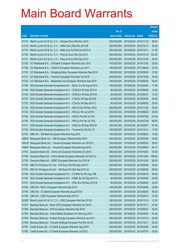|        |                                                              |               |                            |            | <b>Amount</b> |
|--------|--------------------------------------------------------------|---------------|----------------------------|------------|---------------|
|        |                                                              | No. of        |                            |            | raised        |
| Code   | <b>Derivative warrants</b>                                   | issue (units) | <b>Listing date Expiry</b> |            | (HK\$ mil.)   |
| 21716  | Merrill Lynch Int'l & Co. C.V. - Sinopec Euro Wts Nov 2010   | 200,000,000   | 2010/03/26 2010/11/15      |            | 58.00         |
| 21718  | Merrill Lynch Int'l & Co. C.V. - HKEx Euro Wts Dec 2010 B    | 200,000,000   | 2010/03/26 2010/12/13      |            | 30.20         |
| 21719  | Merrill Lynch Int'l & Co. C.V. - HKEx Eur Put Wts Oct 2010 D | 200,000,000   | 2010/03/26 2010/10/11      |            | 31.20         |
| 21720  | Merrill Lynch Int'l & Co. C.V. - Ping An Euro Wts Oct 2010   | 200,000,000   | 2010/03/26 2010/10/18      |            | 122.00        |
| 21721  | Merrill Lynch Int'l & Co. C.V. - Ping An Euro Wts Dec 2012   | 200,000,000   | 2010/03/26 2012/12/18      |            | 50.00         |
| 21728  | CC Rabobank B.A. - CM Bank European Warrants Dec 2010        | 100,000,000   | 2010/03/26 2010/12/30      |            | 25.00         |
| 21729  | CC Rabobank B.A. - CNOOC European Warrants Jun 2011          | 150,000,000   | 2010/03/26 2011/06/29      |            | 37.50         |
| 21730  | CC Rabobank B.A. - Dongfeng Motor European Warrants Sep 2010 | 150,000,000   | 2010/03/26 2010/09/29      |            | 37.50         |
| 21731  | CC Rabobank B.A. - Foxconn European Warrants Oct 2010        | 200,000,000   | 2010/03/26 2010/10/28      |            | 34.40         |
| 21732  | CC Rabobank B.A. - Maanshan Iron European Warrants Sep 2010  | 100,000,000   | 2010/03/26 2010/09/29      |            | 63.00         |
| 21738  | SGA Societe Generale Acceptance N.V. - BOCL Eu Wt Aug 2010 C | 100,000,000   | 2010/03/26 2010/08/04      |            | 17.00         |
| 21739  | SGA Societe Generale Acceptance N.V. - CCB Eur Wt Sep 2010 A | 80,000,000    | 2010/03/26 2010/09/06      |            | 12.48         |
| 21740  | SGA Societe Generale Acceptance N.V. - CCB Eur Wt Sep 2010 B | 80,000,000    | 2010/03/26 2010/09/27      |            | 13.76         |
| 21722  | SGA Societe Generale Acceptance N.V. - CTel Eu Wt Sep 2010 B | 80,000,000    | 2010/03/26 2010/09/29      |            | 36.00         |
| 21723  | SGA Societe Generale Acceptance N.V. - CTel Eu Wt Sep 2010 C | 80,000,000    | 2010/03/26 2010/09/29      |            | 20.00         |
| 21724  | SGA Societe Generale Acceptance N.V. - A50 Ch Eu Wt Nov 2010 | 200,000,000   | 2010/03/26 2010/11/22      |            | 34.00         |
| 21743  | SGA Societe Generale Acceptance N.V. - HSI Eur Wt Jun 2010 I | 300,000,000   | 2010/03/26 2010/06/29      |            | 45.00         |
| 21744  | SGA Societe Generale Acceptance N.V. - HSI Eu Put Wt Jul 10F | 300,000,000   | 2010/03/26 2010/07/29      |            | 51.00         |
| 21745  | SGA Societe Generale Acceptance N.V. - HSI Eu Put Wt Jul 10G | 300,000,000   | 2010/03/26 2010/07/29      |            | 69.00         |
| 21741  | SGA Societe Generale Acceptance N.V. - ICBC Eu Wt Sep 2010 B | 100,000,000   | 2010/03/26 2010/09/27      |            | 27.00         |
| 21742  | SGA Societe Generale Acceptance N.V. - Tencent Eu Wt Oct 10  | 100,000,000   | 2010/03/26 2010/10/13      |            | 17.00         |
| 21734  | UBS AG - CM Bank European Warrants Aug 2010                  | 100,000,000   | 2010/03/26 2010/08/23      |            | 15.00         |
| 19830# | Macquarie Bank Ltd. - HSI European Warrants May 2010         | 500,000,000   | 2010/03/26 2010/05/28      |            | 32.00         |
| 18518# | Macquarie Bank Ltd. - Tencent European Warrants Jun 2010 D   | 300,000,000   | 2010/03/26 2010/06/29      |            | 36.00         |
| 19404# | Macquarie Bank Ltd. - Tencent European Warrants Aug 2010     | 300,000,000   | 2010/03/26 2010/08/04      |            | 26.10         |
| 21757  | Deutsche Bank AG - China Life European Warrants Oct 2010     | 300,000,000   | 2010/03/29 2010/10/04      |            | 75.00         |
| 21758  | Deutsche Bank AG - China Mobile European Warrants Oct 2010 C | 300,000,000   | 2010/03/29 2010/10/04      |            | 156.00        |
| 21759  | Deutsche Bank AG - HSBC European Warrants Oct 2010 B         | 300,000,000   | 2010/03/29 2010/10/04      |            | 99.00         |
| 21752  | KBC Fin Products Int'l Ltd. - HSI Euro Put Wts Sep 2010 F    | 200,000,000   | 2010/03/29                 | 2010/09/29 | 50.00         |
| 21753  | KBC Fin Products Int'l Ltd. - HSI Euro Put Wts Sep 2010 G    | 200,000,000   | 2010/03/29 2010/09/29      |            | 50.00         |
| 21749  | SGA Societe Generale Acceptance N.V. - Ch Mob Eu Wt Aug 10B  | 200,000,000   | 2010/03/29                 | 2010/08/16 | 84.00         |
| 21750  | SGA Societe Generale Acceptance N.V. - HSBC Eu Wt Sep 2010 C | 80,000,000    | 2010/03/29 2010/09/29      |            | 20.80         |
| 21751  | SGA Societe Generale Acceptance N.V. - HWL Eur Wt Sep 2010 B | 80,000,000    | 2010/03/29                 | 2010/09/29 | 24.00         |
| 21754  | UBS AG - BOCL European Warrants Sep 2010                     | 100,000,000   | 2010/03/29 2010/09/06      |            | 25.00         |
| 21755  | UBS AG - CC Bank European Warrants Aug 2010 B                | 100,000,000   | 2010/03/29                 | 2010/08/30 | 40.00         |
| 21756  | UBS AG - ICBC European Warrants Sep 2010 D                   | 100,000,000   | 2010/03/29 2010/09/13      |            | 37.00         |
| 20322# | Merrill Lynch Int'l & Co. C.V. - ICBC European Wts Dec 2010C | 350,000,000   | 2010/03/29                 | 2010/12/14 | 12.25         |
| 21767  | Barclays Bank plc - Bank of EA European Warrants Oct 2010    | 150,000,000   | 2010/03/30 2010/10/11      |            | 37.50         |
| 21766  | Barclays Bank plc - BYD European Warrants Sep 2010           | 200,000,000   | 2010/03/30 2010/09/27      |            | 30.00         |
| 21765  | Barclays Bank plc - China Mobile European Put Wts Aug 2010   | 200,000,000   | 2010/03/30 2010/08/02      |            | 42.00         |
| 21769  | Barclays Bank plc - Fushan Energy European Warrants Jan 2011 | 200,000,000   | 2010/03/30                 | 2011/01/10 | 30.00         |
| 21768  | Barclays Bank plc - Tencent Holdings European Put Wts Oct10  | 200,000,000   | 2010/03/30 2010/10/11      |            | 50.00         |
| 21781  | Credit Suisse AG - CC Bank European Warrants Sep 2010        | 200,000,000   | 2010/03/30                 | 2010/09/06 | 30.00         |
| 21782  | Credit Suisse AG - CC Bank European Warrants Jul 2012        | 200,000,000   | 2010/03/30 2012/07/03      |            | 30.00         |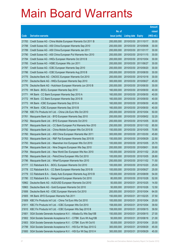|                |                                                                                                               |                            |                            |                       | <b>Amount</b>  |
|----------------|---------------------------------------------------------------------------------------------------------------|----------------------------|----------------------------|-----------------------|----------------|
|                |                                                                                                               | No. of                     |                            |                       | raised         |
| Code           | <b>Derivative warrants</b>                                                                                    | issue (units)              | <b>Listing date Expiry</b> |                       | (HK\$ mil.)    |
| 21783          | Credit Suisse AG - China Mobile European Warrants Oct 2011 B                                                  | 200,000,000                | 2010/03/30 2011/10/17      |                       | 30.00          |
| 21788          | Credit Suisse AG - A50 China European Warrants Sep 2010                                                       | 200,000,000                |                            | 2010/03/30 2010/09/06 | 30.00          |
| 21789          | Credit Suisse AG - A50 China European Warrants Jan 2011                                                       | 200,000,000                | 2010/03/30                 | 2011/01/17            | 30.00          |
| 21790          | Credit Suisse AG - A50 China European Put Warrants Nov 2010                                                   | 200,000,000                | 2010/03/30                 | 2010/11/15            | 30.00          |
| 21784          | Credit Suisse AG - HKEx European Warrants Oct 2010 B                                                          | 200,000,000                |                            | 2010/03/30 2010/10/04 | 30.00          |
| 21785          | Credit Suisse AG - HSBC European Wts Jun 2011                                                                 | 200,000,000                |                            | 2010/03/30 2011/06/27 | 30.00          |
| 21787          | Credit Suisse AG - ICBC European Warrants Sep 2010                                                            | 200,000,000                | 2010/03/30                 | 2010/09/20            | 30.00          |
| 21786          | Credit Suisse AG - ICBC European Warrants Aug 2010 B                                                          | 200,000,000                | 2010/03/30                 | 2010/08/30            | 30.00          |
| 21775          | Deutsche Bank AG - CNOOC European Warrants Oct 2010                                                           | 200,000,000                |                            | 2010/03/30 2010/10/18 | 30.00          |
| 21791          | Deutsche Bank AG - HKEx European Warrants Sep 2010                                                            | 300,000,000                |                            | 2010/03/30 2010/09/27 | 45.00          |
| 21776          | Deutsche Bank AG - Hutchison European Warrants Jun 2010 B                                                     | 200,000,000                | 2010/03/30                 | 2010/06/30            | 30.00          |
| 21770          | HK Bank - BOCL European Warrants Sep 2010                                                                     | 160,000,000                | 2010/03/30                 | 2010/09/30            | 40.00          |
| 21771          | HK Bank - CC Bank European Warrants Sep 2010 A                                                                | 160,000,000                |                            | 2010/03/30 2010/09/30 | 40.00          |
| 21772          | HK Bank - CC Bank European Warrants Sep 2010 B                                                                | 160,000,000                |                            | 2010/03/30 2010/09/30 | 40.00          |
| 21773          | HK Bank - ICBC European Warrants Sep 2010 A                                                                   | 160,000,000                | 2010/03/30                 | 2010/09/30            | 40.00          |
| 21774          | HK Bank - ICBC European Warrants Sep 2010 B                                                                   | 160,000,000                | 2010/03/30                 | 2010/09/30            | 40.00          |
| 21798          | KBC Fin Products Int'l Ltd. - China Life Euro Wts Oct 2010                                                    | 200,000,000                |                            | 2010/03/30 2010/10/04 | 50.00          |
| 21761          | Macquarie Bank Ltd. - BYD European Warrants Sep 2010                                                          | 200,000,000                |                            | 2010/03/30 2010/09/02 | 32.20          |
| 21762          | Macquarie Bank Ltd. - BYD European Warrants Oct 2010                                                          | 200,000,000                | 2010/03/30                 | 2010/10/05            | 30.00          |
| 21797          | Macquarie Bank Ltd. - CC Bank European Put Warrants Nov 2010                                                  | 250,000,000                |                            | 2010/03/30 2010/11/02 | 85.50          |
| 21792          | Macquarie Bank Ltd. - China Mobile European Wts Oct 2010 B                                                    | 150,000,000                |                            | 2010/03/30 2010/10/05 | 70.95          |
| 21760          | Macquarie Bank Ltd. - A50 China European Warrants Mar 2011                                                    | 300,000,000                | 2010/03/30                 | 2011/03/30            | 45.60          |
| 21763          | Macquarie Bank Ltd. - R&F Ppt European Warrants Sep 2010 B                                                    | 150,000,000                | 2010/03/30                 | 2010/09/29            | 22.50          |
| 21793          | Macquarie Bank Ltd. - Maanshan Iron European Wts Oct 2010                                                     | 100,000,000                |                            | 2010/03/30 2010/10/05 | 25.70          |
| 21794          | Macquarie Bank Ltd. - Nine Dragons European Wts Sep 2010                                                      | 200,000,000                | 2010/03/30 2010/09/01      |                       | 30.60          |
| 21764          | Macquarie Bank Ltd. - New World Dev European Wts Nov 2010                                                     | 100,000,000                |                            | 2010/03/30 2010/11/02 | 25.00          |
| 21795          | Macquarie Bank Ltd. - PetroChina European Wts Oct 2010                                                        | 100,000,000                |                            | 2010/03/30 2010/10/05 | 26.80          |
| 21796<br>21777 | Macquarie Bank Ltd. - Wharf European Warrants Nov 2010                                                        | 250,000,000<br>100,000,000 | 2010/03/30                 | 2010/03/30 2010/11/02 | 71.50<br>25.00 |
| 21778          | CC Rabobank B.A. - BOCL European Warrants Oct 2010<br>CC Rabobank B.A. - CC Bank European Warrants Sep 2010 B | 100,000,000                | 2010/03/30 2010/09/27      | 2010/10/20            | 25.00          |
| 21779          | CC Rabobank B.A. - Geely Auto European Warrants Aug 2010 B                                                    | 100,000,000                | 2010/03/30 2010/08/09      |                       | 54.00          |
| 21780          | CC Rabobank B.A. - Henganintl European Warrants Oct 2010                                                      | 80,000,000                 | 2010/03/30                 | 2010/10/28            | 52.00          |
| 10962          | Deutsche Bank AG - AUD/USD European Warrants Oct 2010                                                         | 50,000,000                 | 2010/03/31                 | 2010/10/25            | 14.50          |
| 10963          | Deutsche Bank AG - Gold European Warrants Oct 2010                                                            | 50,000,000                 | 2010/03/31                 | 2010/10/26            | 12.50          |
| 21806          | Deutsche Bank AG - ICBC European Warrants Oct 2010                                                            | 200,000,000                | 2010/03/31                 | 2010/10/04            | 64.00          |
| 21805          | HK Bank - BYD European Warrants Feb 2011                                                                      | 150,000,000                | 2010/03/31                 | 2011/02/25            | 37.50          |
| 21809          | KBC Fin Products Int'l Ltd. - China Tel Euro Wts Oct 2010                                                     | 100,000,000                | 2010/03/31                 | 2010/10/04            | 25.00          |
| 21811          | KBC Fin Products Int'l Ltd. - ICBC European Wts Oct 2010                                                      | 158,000,000                | 2010/03/31                 | 2010/10/04            | 39.50          |
| 21810          | KBC Fin Products Int'l Ltd. - ICBC European Wts Sep 2010 B                                                    | 158,000,000                | 2010/03/31                 | 2010/09/15            | 39.50          |
| 21801          | SGA Societe Generale Acceptance N.V. - Alibaba Eu Wts Sep10B                                                  | 150,000,000                | 2010/03/31                 | 2010/09/15            | 27.00          |
| 21802          | SGA Societe Generale Acceptance N.V. - CITBK Euro Wt Aug10B                                                   | 50,000,000                 | 2010/03/31                 | 2010/08/16            | 21.00          |
| 21803          | SGA Societe Generale Acceptance N.V. - CITBK Euro Wt Oct10                                                    | 50,000,000                 | 2010/03/31                 | 2010/10/04            | 20.00          |
| 21799          | SGA Societe Generale Acceptance N.V. - HSI Eur Wt Sep 2010 G                                                  | 300,000,000                | 2010/03/31                 | 2010/09/29            | 45.00          |
| 21800          | SGA Societe Generale Acceptance N.V. - HSI Eur Wt Sep 2010 H                                                  | 300,000,000                | 2010/03/31                 | 2010/09/29            | 45.00          |
|                |                                                                                                               |                            |                            |                       |                |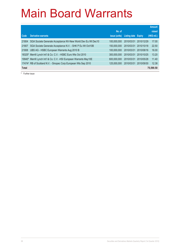|              |                                                                                  |               |              |               | <b>Amount</b> |
|--------------|----------------------------------------------------------------------------------|---------------|--------------|---------------|---------------|
|              |                                                                                  | No. of        |              |               | raised        |
| Code         | <b>Derivative warrants</b>                                                       | issue (units) | Listing date | <b>Expiry</b> | (HK\$ mil.)   |
| 21804        | SGA Societe Generale Acceptance NV-New World Dev Eu Wt Dec10                     | 100.000.000   | 2010/03/31   | 2010/12/29    | 17.00         |
| 21807        | SGA Societe Generale Acceptance N.V. - SHK P Eu Wt Oct10B                        | 150,000,000   | 2010/03/31   | 2010/10/18    | 22.50         |
| 21808        | UBS AG - HSBC European Warrants Aug 2010 B                                       | 100.000.000   | 2010/03/31   | 2010/08/16    | 16.00         |
|              | 18325# Merrill Lynch Int'l & Co. C.V. - HSBC Euro Wts Oct 2010                   | 300.000.000   | 2010/03/31   | 2010/10/25    | 13.20         |
|              | 19940 <sup>#</sup> Merrill Lynch Int'l & Co. C.V. - HSI European Warrants May10E | 600.000.000   | 2010/03/31   | 2010/05/28    | 11.40         |
|              | 17474# RB of Scotland N.V. - Sinopec Corp European Wts Sep 2010                  | 125,000,000   | 2010/03/31   | 2010/09/30    | 12.38         |
| <b>Total</b> |                                                                                  |               |              |               | 75,590.50     |

# Further issue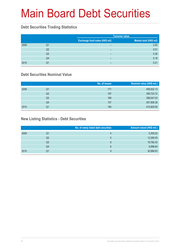# Main Board Debt Securities

#### **Debt Securities Trading Statistics**

|      |                |                                       | <b>Turnover value</b>   |  |  |
|------|----------------|---------------------------------------|-------------------------|--|--|
|      |                | <b>Exchange fund notes (HK\$ mil)</b> | Market total (HK\$ mil) |  |  |
| 2009 | Q1             | $\overline{\phantom{0}}$              | 2.93                    |  |  |
|      | Q2             | $\overline{\phantom{0}}$              | 0.51                    |  |  |
|      | Q <sub>3</sub> | $\overline{\phantom{0}}$              | 0.36                    |  |  |
|      | Q4             | $\overline{\phantom{0}}$              | 0.16                    |  |  |
| 2010 | Q1             | -                                     | 0.21                    |  |  |

#### **Debt Securities Nominal Value**

|      |    | No. of issues | Nominal value (HK\$ mil.) |
|------|----|---------------|---------------------------|
| 2009 | Q1 | 171           | 406,932.13                |
|      | Q2 | 167           | 395,723.72                |
|      | Q3 | 166           | 398,047.03                |
|      | Q4 | 157           | 391,908.38                |
| 2010 | Q1 | 160           | 410,829.55                |

### **New Listing Statistics - Debt Securities**

|      |    | No. of newly listed debt securities | Amount raised (HK\$ mil.) |
|------|----|-------------------------------------|---------------------------|
| 2009 | Q1 | 4                                   | 5,309.25                  |
|      | Q2 | $\mathbf b$                         | 12,295.05                 |
|      | Q3 | 8                                   | 19,782.43                 |
|      | Q4 | 6                                   | 9,996.64                  |
| 2010 | Q1 | 9                                   | 30,996.63                 |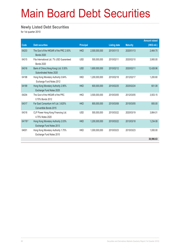# Main Board Debt Securities

#### **Newly Listed Debt Securities**

for 1st quarter 2010

|        |                                                                 |                  |               |                     |                 | <b>Amount raised</b> |
|--------|-----------------------------------------------------------------|------------------|---------------|---------------------|-----------------|----------------------|
| Code   | <b>Debt securities</b>                                          | <b>Principal</b> |               | <b>Listing date</b> | <b>Maturity</b> | (HK\$ mil.)          |
| 04203  | The Govt of the HKSAR of the PRC 2.93%<br><b>Bonds 2020</b>     | <b>HKD</b>       | 2,500,000,000 | 2010/01/13          | 2020/01/13      | 2.464.75             |
| 04315  | Fita International Ltd. 7% USD Guaranteed<br><b>Bonds 2020</b>  | <b>USD</b>       | 500,000,000   | 2010/02/11          | 2020/02/10      | 3,900.00             |
| 04316  | Bank of China (Hong Kong) Ltd. 5.55%<br>Subordinated Notes 2020 | <b>USD</b>       | 1,600,000,000 | 2010/02/12          | 2020/02/11      | 12,428.96            |
| 04198  | Hong Kong Monetary Authority 0.64%<br>Exchange Fund Notes 2012  | <b>HKD</b>       | 1,200,000,000 | 2010/02/18          | 2012/02/17      | 1,200.60             |
| 04199  | Hong Kong Monetary Authority 2.95%<br>Exchange Fund Notes 2025  | <b>HKD</b>       | 600,000,000   | 2010/02/25          | 2025/02/24      | 601.08               |
| 04204  | The Govt of the HKSAR of the PRC<br>0.70% Bonds 2012            | <b>HKD</b>       | 3,500,000,000 | 2010/03/05          | 2012/03/05      | 3,503.15             |
| 04317  | Far East Consortium Int'l Ltd. 3.625%<br>Convertible Bonds 2015 | <b>HKD</b>       | 800.000.000   | 2010/03/08          | 2015/03/05      | 800.00               |
| 04318  | CLP Power Hong Kong Financing Ltd.<br>4.75% Notes 2020          | <b>USD</b>       | 500,000,000   | 2010/03/22          | 2020/03/19      | 3,864.01             |
| 04176# | Hong Kong Monetary Authority 2.03%<br>Exchange Fund Notes 2013  | <b>HKD</b>       | 1,200,000,000 | 2010/03/22          | 2013/03/18      | 1.234.08             |
| 04001  | Hong Kong Monetary Authority 1.75%<br>Exchange Fund Notes 2015  | <b>HKD</b>       | 1,000,000,000 | 2010/03/23          | 2015/03/23      | 1,000.00             |
|        |                                                                 |                  |               |                     |                 | 30,996.63            |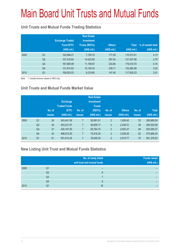# Main Board Unit Trusts and Mutual Funds

### **Unit Trusts and Mutual Funds Trading Statistics**

|      |                | <b>Exchange Traded</b><br>Fund (ETF)<br>(HK\$ mil.) | <b>Real Estate</b><br><b>Investment</b><br><b>Trusts (REITs)</b><br>(HK\$ mil.) | <b>Others</b><br>(HK\$ mil.) | <b>Total</b><br>(HK\$ mil.) | % of market total<br>(HK\$ mil.) |
|------|----------------|-----------------------------------------------------|---------------------------------------------------------------------------------|------------------------------|-----------------------------|----------------------------------|
| 2009 | Q <sub>1</sub> | 102,668.21                                          | 7,728.10                                                                        | 177.20                       | 110,573.51                  | 4.13                             |
|      | Q <sub>2</sub> | 107,216.84                                          | 14,023.80                                                                       | 297.04                       | 121,537.68                  | 2.79                             |
|      | Q <sub>3</sub> | 167,985.99                                          | 11,199.87                                                                       | 233.84                       | 179,419.70                  | 4.16                             |
|      | Q <sub>4</sub> | 121,814.83                                          | 10,126.33                                                                       | 339.11                       | 132,280.28                  | 3.23                             |
| 2010 | Q <sub>1</sub> | 108,553.03                                          | 9,219.80                                                                        | 147.40                       | 117,920.23                  | 3.01                             |

Note: 1. Include turnover values in HKD only.

### **Unit Trusts and Mutual Funds Market Value**

|      |                | No. of<br><b>issues</b> | <b>Exchange</b><br><b>Traded Funds</b><br>(ETF)<br>(HK\$ mil.) | No. of<br><b>issues</b> | <b>Real Estate</b><br><b>Investment</b><br><b>Trusts</b><br>(REITs)<br>(HK\$ mil.) | No. of<br><b>issues</b> | <b>Others</b><br>(HK\$ mil.) | No. of<br><b>issues</b> | <b>Total</b><br>(HK\$ mil.) |
|------|----------------|-------------------------|----------------------------------------------------------------|-------------------------|------------------------------------------------------------------------------------|-------------------------|------------------------------|-------------------------|-----------------------------|
| 2009 | Q <sub>1</sub> | 24                      | 343,441.56                                                     |                         | 50,891.61                                                                          | $\overline{2}$          | 1,636.40                     | 33                      | 395,969.58                  |
|      | Q2             | 30                      | 403,231.67                                                     | 7                       | 58,858.17                                                                          | $\overline{2}$          | 2,436.01                     | 39                      | 464,525.86                  |
|      | Q <sub>3</sub> | 37                      | 435,197.50                                                     | 7                       | 65,764.70                                                                          | $\overline{2}$          | 2,603.37                     | 46                      | 503,565.57                  |
|      | Q <sub>4</sub> | 43                      | 496,812.50                                                     | $\overline{7}$          | 73,818.20                                                                          | $\overline{2}$          | 3,038.50                     | 52                      | 573,669.20                  |
| 2010 | Q <sub>1</sub> | 61                      | 501,813.45                                                     | 7                       | 76,649.30                                                                          | $\overline{2}$          | 2,915.77                     | 70                      | 581,378.53                  |

#### **New Listing Unit Trust and Mutual Funds Statistics**

|      |                | No. of newly listed<br>unit trust and mutual funds | <b>Funds raised</b><br>(HK\$ mil.) |
|------|----------------|----------------------------------------------------|------------------------------------|
| 2009 | Q1             |                                                    |                                    |
|      | Q2             | հ                                                  |                                    |
|      | Q <sub>3</sub> |                                                    |                                    |
|      | Q4             | 6                                                  |                                    |
| 2010 | Q1             | 18                                                 |                                    |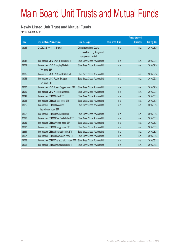# Main Board Unit Trusts and Mutual Funds

#### **Newly Listed Unit Trust and Mutual Funds**

for 1st quarter 2010

|       |                                               |                                   |                           | <b>Amount raised</b> |                     |
|-------|-----------------------------------------------|-----------------------------------|---------------------------|----------------------|---------------------|
| Code  | <b>Unit trust and Mutual funds</b>            | <b>Fund manager</b>               | <b>Issue price (HK\$)</b> | (HK\$ mil)           | <b>Listing date</b> |
| 03051 | CICCSZSE 100 Index Tracker                    | China International Capital       | n.a.                      | n.a.                 | 2010/01/29          |
|       |                                               | Corporation Hong Kong Asset       |                           |                      |                     |
|       |                                               | Management Limited                |                           |                      |                     |
| 03048 | db x-trackers MSCI Brazil TRN Index FTF       | State Street Global Advisors Ltd. | n.a.                      | n.a.                 | 2010/02/24          |
| 03009 | db x-trackers MSCI Emerging Markets           | State Street Global Advisors Ltd. | n.a.                      | n.a.                 | 2010/02/24          |
|       | <b>TRN Index ETF</b>                          |                                   |                           |                      |                     |
| 03035 | db x-trackers MSCI EM Asia TRN Index ETF      | State Street Global Advisors Ltd. | n.a.                      | n.a.                 | 2010/02/24          |
| 03043 | db x-trackers MSCI Pacific Ex Japan           | State Street Global Advisors Ltd. | n.a.                      | n.a.                 | 2010/02/24          |
|       | <b>TRN Index ETF</b>                          |                                   |                           |                      |                     |
| 03027 | db x-trackers MSCI Russia Capped Index ETF    | State Street Global Advisors Ltd. | n.a.                      | n.a.                 | 2010/02/24          |
| 03019 | db x-trackers MSCI World TRN Index ETF        | State Street Global Advisors Ltd. | n.a.                      | n.a.                 | 2010/02/24          |
| 03049 | db x-trackers CSI300 Index ETF                | State Street Global Advisors Ltd. | n.a.                      | n.a.                 | 2010/03/25          |
| 03061 | db x-trackers CSI300 Banks Index ETF          | State Street Global Advisors Ltd. | n.a.                      | n.a.                 | 2010/03/25          |
| 03025 | db x-trackers CSI300 Consumer                 | State Street Global Advisors Ltd. | n.a.                      | n.a.                 | 2010/03/25          |
|       | Discretionary Index ETF                       |                                   |                           |                      |                     |
| 03062 | db x-trackers CSI300 Materials Index ETF      | State Street Global Advisors Ltd. | n.a.                      | n.a.                 | 2010/03/25          |
| 02816 | db x-trackers CSI300 Real Estate Index ETF    | State Street Global Advisors Ltd. | n.a.                      | n.a.                 | 2010/03/25          |
| 03052 | db x-trackers CSI300 Utilities Index ETF      | State Street Global Advisors Ltd. | n.a.                      | n.a.                 | 2010/03/25          |
| 03017 | db x-trackers CSI300 Energy Index ETF         | State Street Global Advisors Ltd. | n.a.                      | n.a.                 | 2010/03/25          |
| 02844 | db x-trackers CSI300 Financials Index ETF     | State Street Global Advisors Ltd. | n.a.                      | n.a.                 | 2010/03/25          |
| 03057 | db x-trackers CSI300 Health Care Index ETF    | State Street Global Advisors Ltd. | n.a.                      | n.a.                 | 2010/03/25          |
| 03063 | db x-trackers CSI300 Transportation Index ETF | State Street Global Advisors Ltd. | n.a.                      | n.a.                 | 2010/03/25          |
| 03005 | db x-trackers CSI300 Industrials Index ETF    | State Street Global Advisors Ltd. | n.a.                      | n.a.                 | 2010/03/25          |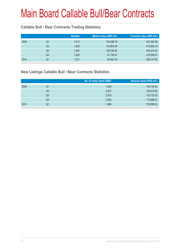### **Callable Bull / Bear Contracts Trading Statistics**

|      |    | <b>Number</b> | Market value (HK\$ mil.) | Turnover value (HK\$ mil.) |
|------|----|---------------|--------------------------|----------------------------|
| 2009 | Q1 | 1,513         | 152,386.79               | 351,364.58                 |
|      | Q2 | 1,620         | 153,963.94               | 470,890.15                 |
|      | Q3 | 1,893         | 145,788.56               | 434,251.62                 |
|      | Q4 | 1,692         | 91,190.57                | 419,558.61                 |
| 2010 | Q1 | 1,331         | 60,652.40                | 290,147.62                 |

#### **New Listings Callable Bull / Bear Contracts Statistics**

|      |    | No. of newly listed CBBC | Amount raised (HK\$ mil.) |
|------|----|--------------------------|---------------------------|
| 2009 | Q1 | 1,628                    | 129,192.54                |
|      | Q2 | 2,057                    | 140,519.83                |
|      | Q3 | 2,333                    | 133,733.23                |
|      | Q4 | 2,054                    | 115,888.51                |
| 2010 | Q1 | 1,886                    | 103,866.53                |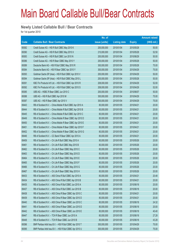#### **Newly Listed Callable Bull / Bear Contracts**

for 1st quarter 2010

|       |                                                           | No. of        |                     |               | <b>Amount raised</b> |
|-------|-----------------------------------------------------------|---------------|---------------------|---------------|----------------------|
| Code  | <b>Callable Bull / Bear Contracts</b>                     | issue (units) | <b>Listing date</b> | <b>Expiry</b> | (HK\$ mil.)          |
| 69382 | Credit Suisse AG - HSI R Bull CBBC May 2010 K             | 200,000,000   | 2010/01/04          | 2010/05/28    | 50.00                |
| 69390 | Credit Suisse AG - HSI R Bull CBBC May 2010 X             | 210,000,000   | 2010/01/04          | 2010/05/28    | 52.50                |
| 69383 | Credit Suisse AG - HSI R Bull CBBC Jun 2010 N             | 200,000,000   | 2010/01/04          | 2010/06/29    | 50.00                |
| 69386 | Credit Suisse AG - HSI R Bear CBBC May 2010 Y             | 200,000,000   | 2010/01/04          | 2010/05/28    | 50.00                |
| 69389 | Deutsche Bank AG - HSI R Bull CBBC May 2010 R             | 300,000,000   | 2010/01/04          | 2010/05/28    | 75.00                |
| 69384 | Deutsche Bank AG - HSI R Bear CBBC Apr 2010 Y             | 300,000,000   | 2010/01/04          | 2010/04/29    | 75.00                |
| 69393 | Goldman Sachs SP (Asia) - HSI R Bull CBBC Apr 2010 V      | 200,000,000   | 2010/01/04          | 2010/04/29    | 50.00                |
| 69394 | Goldman Sachs SP (Asia) - HSI R Bull CBBC May 2010 L      | 200,000,000   | 2010/01/04          | 2010/05/28    | 50.00                |
| 69391 | KBC Fin Products Int'l Ltd. - HSI R Bull CBBC Apr 2010 R  | 208,000,000   | 2010/01/04          | 2010/04/29    | 52.00                |
| 69392 | KBC Fin Products Int'l Ltd. - HSI R Bull CBBC Apr 2010 S  | 208,000,000   | 2010/01/04          | 2010/04/29    | 52.00                |
| 69385 | UBS AG - HSBC R Bear CBBC Jun 2010 C                      | 200,000,000   | 2010/01/04          | 2010/06/07    | 50.00                |
| 69388 | UBS AG - HSI R Bull CBBC Apr 2010 M                       | 300,000,000   | 2010/01/04          | 2010/04/29    | 75.00                |
| 69387 | UBS AG - HSI R Bear CBBC Apr 2010 V                       | 300,000,000   | 2010/01/04          | 2010/04/29    | 75.00                |
| 69443 | RB of Scotland N.V. - China Mobile R Bull CBBC Apr 2010 A | 80,000,000    | 2010/01/05          | 2010/04/21    | 20.00                |
| 69444 | RB of Scotland N.V. - China Mobile R Bull CBBC Apr 2010 B | 80,000,000    | 2010/01/05          | 2010/04/21    | 20.00                |
| 69445 | RB of Scotland N.V. - China Mobile R Bull CBBC Apr 2010 C | 80,000,000    | 2010/01/05          | 2010/04/21    | 20.00                |
| 69449 | RB of Scotland N.V. - China Mobile R Bear CBBC Apr 2010 D | 80,000,000    | 2010/01/05          | 2010/04/21    | 20.00                |
| 69450 | RB of Scotland N.V. - China Mobile R Bear CBBC Apr 2010 E | 80,000,000    | 2010/01/05          | 2010/04/21    | 20.00                |
| 69451 | RB of Scotland N.V. - China Mobile R Bear CBBC Apr 2010 F | 80,000,000    | 2010/01/05          | 2010/04/21    | 20.00                |
| 69452 | RB of Scotland N.V. - China Mobile R Bear CBBC Apr 2010 G | 80,000,000    | 2010/01/05          | 2010/04/21    | 20.00                |
| 69446 | RB of Scotland N.V. - CC Bank R Bear CBBC Apr 2010 A      | 80,000,000    | 2010/01/05          | 2010/04/21    | 20.00                |
| 69459 | RB of Scotland N.V. - Ch Life R Bull CBBC May 2010 A      | 80,000,000    | 2010/01/05          | 2010/05/26    | 20.00                |
| 69461 | RB of Scotland N.V. - Ch Life R Bull CBBC May 2010 B      | 80,000,000    | 2010/01/05          | 2010/05/26    | 20.00                |
| 69462 | RB of Scotland N.V. - Ch Life R Bear CBBC May 2010 C      | 80,000,000    | 2010/01/05          | 2010/05/26    | 20.00                |
| 69463 | RB of Scotland N.V. - Ch Life R Bear CBBC May 2010 D      | 80,000,000    | 2010/01/05          | 2010/05/26    | 20.00                |
| 69464 | RB of Scotland N.V. - Ch Life R Bear CBBC May 2010 E      | 80,000,000    | 2010/01/05          | 2010/05/26    | 20.00                |
| 69465 | RB of Scotland N.V. - Ch Life R Bear CBBC May 2010 F      | 80,000,000    | 2010/01/05          | 2010/05/26    | 20.00                |
| 69466 | RB of Scotland N.V. - Ch Life R Bear CBBC May 2010 G      | 80,000,000    | 2010/01/05          | 2010/05/26    | 20.00                |
| 69467 | RB of Scotland N.V. - Ch Life R Bear CBBC May 2010 H      | 80,000,000    | 2010/01/05          | 2010/05/26    | 20.00                |
| 69433 | RB of Scotland N.V. - A50 China R Bull CBBC Apr 2010 A    | 80,000,000    | 2010/01/05          | 2010/04/21    | 20.48                |
| 69434 | RB of Scotland N.V. - A50 China R Bull CBBC Apr 2010 B    | 80,000,000    | 2010/01/05          | 2010/04/21    | 20.00                |
| 69435 | RB of Scotland N.V. - A50 China R Bull CBBC Jun 2010 A    | 80,000,000    | 2010/01/05          | 2010/06/18    | 20.00                |
| 69437 | RB of Scotland N.V. - A50 China R Bull CBBC Jun 2010 B    | 80,000,000    | 2010/01/05          | 2010/06/18    | 20.00                |
| 69438 | RB of Scotland N.V. - A50 China R Bear CBBC Apr 2010 C    | 80,000,000    | 2010/01/05          | 2010/04/21    | 20.00                |
| 69439 | RB of Scotland N.V. - A50 China R Bear CBBC Apr 2010 D    | 80,000,000    | 2010/01/05          | 2010/04/21    | 20.00                |
| 69440 | RB of Scotland N.V. - A50 China R Bear CBBC Jun 2010 C    | 80,000,000    | 2010/01/05          | 2010/06/18    | 24.32                |
| 69441 | RB of Scotland N.V. - A50 China R Bear CBBC Jun 2010 D    | 80,000,000    | 2010/01/05          | 2010/06/18    | 20.00                |
| 69442 | RB of Scotland N.V. - A50 China R Bear CBBC Jun 2010 E    | 80,000,000    | 2010/01/05          | 2010/06/18    | 40.40                |
| 69447 | RB of Scotland N.V. - TCH R Bear CBBC Jun 2010 A          | 80,000,000    | 2010/01/05          | 2010/06/18    | 27.28                |
| 69448 | RB of Scotland N.V. - TCH R Bear CBBC Jun 2010 B          | 80,000,000    | 2010/01/05          | 2010/06/18    | 43.28                |
| 69396 | BNP Paribas Arbit Issu B.V. - HSI R Bull CBBC Apr 2010 T  | 300,000,000   | 2010/01/05          | 2010/04/29    | 75.00                |
| 69395 | BNP Paribas Arbit Issu B.V. - HSI R Bull CBBC Apr 2010 U  | 300,000,000   | 2010/01/05          | 2010/04/29    | 75.00                |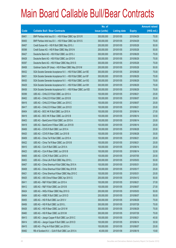|       |                                                               | No. of        |                     |               | <b>Amount raised</b> |
|-------|---------------------------------------------------------------|---------------|---------------------|---------------|----------------------|
| Code  | <b>Callable Bull / Bear Contracts</b>                         | issue (units) | <b>Listing date</b> | <b>Expiry</b> | (HK\$ mil.)          |
| 69401 | BNP Paribas Arbit Issu B.V. - HSI R Bear CBBC Apr 2010 R      | 300,000,000   | 2010/01/05          | 2010/04/29    | 75.00                |
| 69400 | BNP Paribas Arbit Issu B.V. - HSI R Bear CBBC Apr 2010 S      | 300,000,000   | 2010/01/05          | 2010/04/29    | 75.00                |
| 69457 | Credit Suisse AG - HSI R Bull CBBC May 2010 J                 | 200,000,000   | 2010/01/05          | 2010/05/28    | 50.00                |
| 69398 | Credit Suisse AG - HSI R Bear CBBC May 2010 N                 | 200,000,000   | 2010/01/05          | 2010/05/28    | 50.00                |
| 69427 | Deutsche Bank AG - HSI R Bull CBBC Jun 2010 J                 | 300,000,000   | 2010/01/05          | 2010/06/29    | 75.00                |
| 69428 | Deutsche Bank AG - HSI R Bull CBBC Jun 2010 K                 | 300,000,000   | 2010/01/05          | 2010/06/29    | 75.00                |
| 69397 | Deutsche Bank AG - HSI R Bear CBBC May 2010 S                 | 300,000,000   | 2010/01/05          | 2010/05/28    | 75.00                |
| 69458 | Goldman Sachs SP (Asia) - HSI R Bear CBBC May 2010 M          | 200,000,000   | 2010/01/05          | 2010/05/28    | 50.00                |
| 69432 | SGA Societe Generale Acceptance N.V. - HSI R Bull CBBC Jun10E | 300,000,000   | 2010/01/05          | 2010/06/29    | 75.00                |
| 69431 | SGA Societe Generale Acceptance N.V. - HSI R Bull CBBC Jun10F | 300,000,000   | 2010/01/05          | 2010/06/29    | 75.00                |
| 69430 | SGA Societe Generale Acceptance N.V. - HSI R Bull CBBC Jun10G | 300,000,000   | 2010/01/05          | 2010/06/29    | 75.00                |
| 69429 | SGA Societe Generale Acceptance N.V. - HSI R Bull CBBC Jun10H | 300,000,000   | 2010/01/05          | 2010/06/29    | 75.00                |
| 69436 | SGA Societe Generale Acceptance N.V. - HSI R Bear CBBC Jun10D | 300,000,000   | 2010/01/05          | 2010/06/29    | 75.00                |
| 69399 | UBS AG - CHALCO R Bull CBBC Jun 2010 A                        | 100,000,000   | 2010/01/05          | 2010/06/21    | 25.00                |
| 69402 | UBS AG - CHALCO R Bull CBBC Jun 2010 B                        | 100,000,000   | 2010/01/05          | 2010/06/07    | 25.00                |
| 69416 | UBS AG - CHALCO R Bear CBBC Jun 2010 C                        | 100,000,000   | 2010/01/05          | 2010/06/07    | 25.00                |
| 69417 | UBS AG - CHALCO R Bear CBBC Jun 2010 D                        | 100,000,000   | 2010/01/05          | 2010/06/21    | 25.00                |
| 69404 | UBS AG - BOC HK R Bull CBBC Jun 2010 A                        | 100,000,000   | 2010/01/05          | 2010/06/14    | 27.00                |
| 69419 | UBS AG - BOC HK R Bear CBBC Jun 2010 B                        | 100,000,000   | 2010/01/05          | 2010/06/14    | 33.50                |
| 69403 | UBS AG - BankComm R Bull CBBC Jun 2010 A                      | 100,000,000   | 2010/01/05          | 2010/06/14    | 25.00                |
| 69418 | UBS AG - BankComm R Bear CBBC Jun 2010 B                      | 100,000,000   | 2010/01/05          | 2010/06/14    | 25.00                |
| 69406 | UBS AG - COVS R Bull CBBC Jun 2010 A                          | 100,000,000   | 2010/01/05          | 2010/06/28    | 25.50                |
| 69420 | UBS AG - COVS R Bear CBBC Jun 2010 B                          | 100,000,000   | 2010/01/05          | 2010/06/28    | 35.00                |
| 69409 | UBS AG - China Tel R Bull CBBC Jun 2010 A                     | 100,000,000   | 2010/01/05          | 2010/06/21    | 25.00                |
| 69422 | UBS AG - China Tel R Bear CBBC Jun 2010 B                     | 100,000,000   | 2010/01/05          | 2010/06/21    | 25.00                |
| 69410 | UBS AG - CUni R Bull CBBC Jun 2010 A                          | 100,000,000   | 2010/01/05          | 2010/06/14    | 25.00                |
| 69423 | UBS AG - CUni R Bear CBBC Jun 2010 B                          | 100,000,000   | 2010/01/05          | 2010/06/14    | 32.50                |
| 69405 | UBS AG - CCHC R Bull CBBC Jul 2010 A                          | 100,000,000   | 2010/01/05          | 2010/07/05    | 25.50                |
| 69453 | UBS AG - China Life R Bull CBBC May 2010 L                    | 200,000,000   | 2010/01/05          | 2010/05/03    | 50.00                |
| 69407 | UBS AG - China Shenhua R Bull CBBC May 2010 A                 | 100,000,000   | 2010/01/05          | 2010/05/31    | 25.00                |
| 69408 | UBS AG - China Shenhua R Bull CBBC May 2010 B                 | 100,000,000   | 2010/01/05          | 2010/05/17    | 25.00                |
| 69421 | UBS AG - China Shenhua R Bear CBBC May 2010 C                 | 100,000,000   | 2010/01/05          | 2010/05/31    | 25.00                |
| 69425 | UBS AG - A50 China R Bear CBBC Apr 2010 G                     | 200,000,000   | 2010/01/05          | 2010/04/12    | 50.00                |
| 69411 | UBS AG - R&F R Bull CBBC Jun 2010 A                           | 100,000,000   | 2010/01/05          | 2010/06/21    | 37.00                |
| 69412 | UBS AG - R&F R Bull CBBC Jun 2010 B                           | 100,000,000   | 2010/01/05          | 2010/06/07    | 27.00                |
| 69424 | UBS AG - HKEx R Bear CBBC May 2010 G                          | 200,000,000   | 2010/01/05          | 2010/05/03    | 50.00                |
| 69454 | UBS AG - HSBC R Bull CBBC Jun 2010 D                          | 200,000,000   | 2010/01/05          | 2010/06/07    | 50.00                |
| 69455 | UBS AG - HSI R Bull CBBC Jun 2010 V                           | 300,000,000   | 2010/01/05          | 2010/06/29    | 75.00                |
| 69456 | UBS AG - HSI R Bull CBBC Jul 2010 L                           | 300,000,000   | 2010/01/05          | 2010/07/29    | 75.00                |
| 69426 | UBS AG - HSI R Bear CBBC Jun 2010 W                           | 300,000,000   | 2010/01/05          | 2010/06/29    | 75.00                |
| 69460 | UBS AG - HSI R Bear CBBC Jul 2010 M                           | 300,000,000   | 2010/01/05          | 2010/07/29    | 75.00                |
| 69413 | UBS AG - Jiangxi Copper R Bull CBBC Jun 2010 C                | 100,000,000   | 2010/01/05          | 2010/06/21    | 45.50                |
| 69414 | UBS AG - Jiangxi Copper R Bull CBBC Jun 2010 D                | 100,000,000   | 2010/01/05          | 2010/06/14    | 35.50                |
| 69415 | UBS AG - Ping An R Bull CBBC Jun 2010 A                       | 100,000,000   | 2010/01/05          | 2010/06/07    | 25.00                |
| 69482 | RB of Scotland N.V. - DJIA R Bull CBBC Jun 2010 A             | 40,000,000    | 2010/01/06          | 2010/06/18    | 15.60                |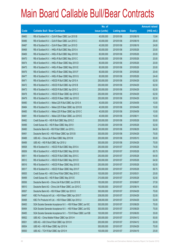|       |                                                               | No. of        |                     |               | <b>Amount raised</b> |
|-------|---------------------------------------------------------------|---------------|---------------------|---------------|----------------------|
| Code  | <b>Callable Bull / Bear Contracts</b>                         | issue (units) | <b>Listing date</b> | <b>Expiry</b> | (HK\$ mil.)          |
| 69483 | RB of Scotland N.V. - DJIA R Bear CBBC Jun 2010 B             | 40,000,000    | 2010/01/06          | 2010/06/18    | 13.84                |
| 69486 | RB of Scotland N.V. - DJIA R Bear CBBC Jun 2010 C             | 40,000,000    | 2010/01/06          | 2010/06/18    | 29.40                |
| 69487 | RB of Scotland N.V. - DJIA R Bear CBBC Jun 2010 D             | 40,000,000    | 2010/01/06          | 2010/06/18    | 24.80                |
| 69468 | RB of Scotland N.V. - HKEx R Bull CBBC May 2010 A             | 80,000,000    | 2010/01/06          | 2010/05/26    | 20.00                |
| 69469 | RB of Scotland N.V. - HKEx R Bull CBBC May 2010 B             | 80,000,000    | 2010/01/06          | 2010/05/26    | 20.00                |
| 69470 | RB of Scotland N.V. - HKEx R Bull CBBC May 2010 C             | 80,000,000    | 2010/01/06          | 2010/05/26    | 20.00                |
| 69474 | RB of Scotland N.V. - HKEx R Bear CBBC May 2010 D             | 80,000,000    | 2010/01/06          | 2010/05/26    | 20.00                |
| 69475 | RB of Scotland N.V. - HKEx R Bear CBBC May 2010 E             | 80,000,000    | 2010/01/06          | 2010/05/26    | 20.00                |
| 69476 | RB of Scotland N.V. - HKEx R Bear CBBC May 2010 F             | 80,000,000    | 2010/01/06          | 2010/05/26    | 20.40                |
| 69477 | RB of Scotland N.V. - HKEx R Bear CBBC May 2010 G             | 80,000,000    | 2010/01/06          | 2010/05/26    | 24.40                |
| 69471 | RB of Scotland N.V. - HSCEI R Bull CBBC Apr 2010 A            | 250,000,000   | 2010/01/06          | 2010/04/29    | 62.50                |
| 69472 | RB of Scotland N.V. - HSCEI R Bull CBBC Apr 2010 B            | 250,000,000   | 2010/01/06          | 2010/04/29    | 62.50                |
| 69473 | RB of Scotland N.V. - HSCEI R Bull CBBC Apr 2010 C            | 250,000,000   | 2010/01/06          | 2010/04/29    | 62.50                |
| 69478 | RB of Scotland N.V. - HSCEI R Bear CBBC Apr 2010 D            | 250,000,000   | 2010/01/06          | 2010/04/29    | 62.50                |
| 69479 | RB of Scotland N.V. - HSCEI R Bear CBBC Apr 2010 E            | 250,000,000   | 2010/01/06          | 2010/04/29    | 62.50                |
| 69480 | RB of Scotland N.V. - Nikkei 225 R Bull CBBC Apr 2010 A       | 40,000,000    | 2010/01/06          | 2010/04/09    | 10.00                |
| 69484 | RB of Scotland N.V. - Nikkei 225 R Bear CBBC Apr 2010 B       | 40,000,000    | 2010/01/06          | 2010/04/09    | 10.00                |
| 69485 | RB of Scotland N.V. - Nikkei 225 R Bear CBBC Apr 2010 C       | 40,000,000    | 2010/01/06          | 2010/04/09    | 10.00                |
| 69481 | RB of Scotland N.V. - Nikkei 225 R Bear CBBC Jun 2010 E       | 40,000,000    | 2010/01/06          | 2010/06/11    | 10.00                |
| 69492 | Credit Suisse AG - HSI R Bull CBBC May 2010 Z                 | 200,000,000   | 2010/01/06          | 2010/05/28    | 50.00                |
| 69496 | Credit Suisse AG - HSI R Bear CBBC May 2010 I                 | 210,000,000   | 2010/01/06          | 2010/05/28    | 52.50                |
| 69490 | Deutsche Bank AG - HSI R Bull CBBC Jun 2010 L                 | 300,000,000   | 2010/01/06          | 2010/06/29    | 84.00                |
| 69491 | Deutsche Bank AG - HSI R Bear CBBC Apr 2010 B                 | 300,000,000   | 2010/01/06          | 2010/04/29    | 75.00                |
| 69488 | UBS AG - China Life R Bear CBBC May 2010 M                    | 200,000,000   | 2010/01/06          | 2010/05/10    | 50.00                |
| 69489 | UBS AG - HSI R Bull CBBC Apr 2010 U                           | 300,000,000   | 2010/01/06          | 2010/04/29    | 75.00                |
| 69508 | RB of Scotland N.V. - HSCEI R Bull CBBC May 2010 A            | 250,000,000   | 2010/01/07          | 2010/05/28    | 74.00                |
| 69509 | RB of Scotland N.V. - HSCEI R Bull CBBC May 2010 B            | 250,000,000   | 2010/01/07          | 2010/05/28    | 65.75                |
| 69511 | RB of Scotland N.V. - HSCEI R Bull CBBC May 2010 C            | 250,000,000   | 2010/01/07          | 2010/05/28    | 64.50                |
| 69512 | RB of Scotland N.V. - HSCEI R Bull CBBC May 2010 D            | 250,000,000   | 2010/01/07          | 2010/05/28    | 64.50                |
| 69516 | RB of Scotland N.V. - HSCEI R Bear CBBC May 2010 E            | 250,000,000   | 2010/01/07          | 2010/05/28    | 62.50                |
| 69517 | RB of Scotland N.V. - HSCEI R Bear CBBC May 2010 F            | 250,000,000   | 2010/01/07          | 2010/05/28    | 69.75                |
| 69505 | Credit Suisse AG - A50 China R Bull CBBC May 2010 C           | 100,000,000   | 2010/01/07          | 2010/05/31    | 25.00                |
| 69499 | Credit Suisse AG - HSI R Bear CBBC May 2010 E                 | 210,000,000   | 2010/01/07          | 2010/05/28    | 52.50                |
| 69506 | Deutsche Bank AG - China Life R Bull CBBC Jun 2010 B          | 150,000,000   | 2010/01/07          | 2010/06/07    | 37.50                |
| 69510 | Deutsche Bank AG - China Life R Bear CBBC Jun 2010 C          | 150,000,000   | 2010/01/07          | 2010/06/14    | 45.00                |
| 69507 | Deutsche Bank AG - HSI R Bear CBBC Apr 2010 O                 | 300,000,000   | 2010/01/07          | 2010/04/29    | 75.00                |
| 69497 | KBC Fin Products Int'l Ltd. - HSI R Bear CBBC Apr 2010 T      | 208,000,000   | 2010/01/07          | 2010/04/29    | 52.00                |
| 69498 | KBC Fin Products Int'l Ltd. - HSI R Bear CBBC Apr 2010 U      | 208,000,000   | 2010/01/07          | 2010/04/29    | 52.00                |
| 69493 | SGA Societe Generale Acceptance N.V. - HSI R Bear CBBC Jun10C | 300,000,000   | 2010/01/07          | 2010/06/29    | 75.00                |
| 69494 | SGA Societe Generale Acceptance N.V. - HSI R Bear CBBC Jun10Q | 300,000,000   | 2010/01/07          | 2010/06/29    | 75.00                |
| 69495 | SGA Societe Generale Acceptance N.V. - TCH R Bear CBBC Jun10B | 100,000,000   | 2010/01/07          | 2010/06/30    | 35.00                |
| 69502 | UBS AG - China Mobile R Bear CBBC Apr 2010 H                  | 200,000,000   | 2010/01/07          | 2010/04/12    | 50.00                |
| 69501 | UBS AG - A50 China R Bull CBBC Apr 2010 H                     | 200,000,000   | 2010/01/07          | 2010/04/12    | 50.00                |
| 69504 | UBS AG - HSI R Bear CBBC Apr 2010 N                           | 300,000,000   | 2010/01/07          | 2010/04/29    | 75.00                |
| 69500 | UBS AG - TCH R Bull CBBC Apr 2010 H                           | 100,000,000   | 2010/01/07          | 2010/04/19    | 25.00                |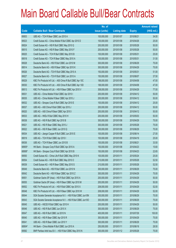|        |                                                               | No. of        |                     |               | <b>Amount raised</b> |
|--------|---------------------------------------------------------------|---------------|---------------------|---------------|----------------------|
| Code   | <b>Callable Bull / Bear Contracts</b>                         | issue (units) | <b>Listing date</b> | <b>Expiry</b> | $(HK$$ mil.)         |
| 69503  | UBS AG - TCH R Bear CBBC Jun 2010 A                           | 100,000,000   | 2010/01/07          | 2010/06/21    | 34.00                |
| 69523  | Credit Suisse AG - China Mobile R Bull CBBC Apr 2010 D        | 100,000,000   | 2010/01/08          | 2010/04/26    | 25.00                |
| 69524  | Credit Suisse AG - HSI R Bull CBBC May 2010 Q                 | 200,000,000   | 2010/01/08          | 2010/05/28    | 50.00                |
| 69515  | Credit Suisse AG - HSI R Bear CBBC May 2010 F                 | 200,000,000   | 2010/01/08          | 2010/05/28    | 50.00                |
| 69525  | Credit Suisse AG - TCH R Bull CBBC May 2010 B                 | 100,000,000   | 2010/01/08          | 2010/05/31    | 25.00                |
| 69518  | Credit Suisse AG - TCH R Bear CBBC May 2010 A                 | 100,000,000   | 2010/01/08          | 2010/05/31    | 31.50                |
| 69528  | Deutsche Bank AG - HSI R Bull CBBC Jun 2010 M                 | 300,000,000   | 2010/01/08          | 2010/06/29    | 75.00                |
| 69514  | Deutsche Bank AG - HSI R Bear CBBC Apr 2010 K                 | 300,000,000   | 2010/01/08          | 2010/04/29    | 75.00                |
| 69526  | Deutsche Bank AG - TCH R Bull CBBC May 2010 A                 | 150,000,000   | 2010/01/08          | 2010/05/31    | 51.00                |
| 69527  | Deutsche Bank AG - TCH R Bull CBBC Jun 2010 A                 | 150,000,000   | 2010/01/08          | 2010/06/07    | 37.50                |
| 69529  | KBC Fin Products Int'l Ltd. - A50 China R Bull CBBC Apr 10C   | 188,000,000   | 2010/01/08          | 2010/04/08    | 47.00                |
| 69530  | KBC Fin Products Int'l Ltd. - A50 China R Bull CBBC Apr 10D   | 188,000,000   | 2010/01/08          | 2010/04/08    | 47.00                |
| 69513  | KBC Fin Products Int'l Ltd. - HSI R Bear CBBC Apr 2010 V      | 308,000,000   | 2010/01/08          | 2010/04/29    | 77.00                |
| 69531  | UBS AG - China Mobile R Bull CBBC Apr 2010 I                  | 200,000,000   | 2010/01/08          | 2010/04/12    | 50.00                |
| 69535  | UBS AG - China Mobile R Bear CBBC Apr 2010 J                  | 200,000,000   | 2010/01/08          | 2010/04/12    | 50.00                |
| 69532  | UBS AG - Sinopec Corp R Bull CBBC Apr 2010 E                  | 100,000,000   | 2010/01/08          | 2010/04/12    | 25.00                |
| 69537  | UBS AG - A50 China R Bull CBBC Apr 2010 J                     | 200,000,000   | 2010/01/08          | 2010/04/12    | 50.00                |
| 69520  | UBS AG - A50 China R Bear CBBC Apr 2010 I                     | 200,000,000   | 2010/01/08          | 2010/04/12    | 50.00                |
| 69533  | UBS AG - HKEx R Bull CBBC May 2010 H                          | 200,000,000   | 2010/01/08          | 2010/05/03    | 50.00                |
| 69538  | UBS AG - HSI R Bull CBBC Apr 2010 B                           | 300,000,000   | 2010/01/08          | 2010/04/29    | 75.00                |
| 69521  | UBS AG - HSI R Bear CBBC May 2010 J                           | 300,000,000   | 2010/01/08          | 2010/05/28    | 75.00                |
| 69522  | UBS AG - HSI R Bear CBBC Jun 2010 Q                           | 300,000,000   | 2010/01/08          | 2010/06/29    | 75.00                |
| 69534  | UBS AG - Jiangxi Copper R Bull CBBC Jun 2010 E                | 100,000,000   | 2010/01/08          | 2010/06/14    | 27.00                |
| 69519  | UBS AG - TCH R Bull CBBC Apr 2010 I                           | 100,000,000   | 2010/01/08          | 2010/04/19    | 25.00                |
| 69536  | UBS AG - TCH R Bear CBBC Jun 2010 B                           | 100,000,000   | 2010/01/08          | 2010/06/21    | 33.50                |
| 68955# | HK Bank - Sinopec Corp R Bull CBBC Apr 2010 A                 | 150,000,000   | 2010/01/08          | 2010/04/23    | 15.60                |
| 68956# | HK Bank - Sinopec Corp R Bull CBBC Apr 2010 B                 | 150,000,000   | 2010/01/08          | 2010/04/23    | 22.65                |
| 69550  | Credit Suisse AG - China Life R Bull CBBC May 2010 K          | 100,000,000   | 2010/01/11          | 2010/05/24    | 25.00                |
| 69554  | Credit Suisse AG - HSI R Bull CBBC May 2010 O                 | 210,000,000   | 2010/01/11          | 2010/05/28    | 52.50                |
| 69539  | Credit Suisse AG - HSI R Bear CBBC May 2010 S                 | 210,000,000   | 2010/01/11          | 2010/05/28    | 52.50                |
| 69549  | Deutsche Bank AG - HSI R Bull CBBC Jun 2010 N                 | 300,000,000   | 2010/01/11          | 2010/06/29    | 75.00                |
| 69542  | Deutsche Bank AG - HSI R Bear CBBC Apr 2010 Z                 | 300,000,000   | 2010/01/11          | 2010/04/29    | 75.00                |
| 69551  | Goldman Sachs SP (Asia) - HSI R Bull CBBC Apr 2010 A          | 200,000,000   | 2010/01/11          | 2010/04/29    | 50.00                |
| 69555  | Goldman Sachs SP (Asia) - HSI R Bear CBBC Apr 2010 M          | 200,000,000   | 2010/01/11          | 2010/04/29    | 50.00                |
| 69552  | KBC Fin Products Int'l Ltd. - HSI R Bull CBBC Apr 2010 X      | 208,000,000   | 2010/01/11          | 2010/04/29    | 52.00                |
| 69548  | KBC Fin Products Int'l Ltd. - HSI R Bear CBBC Apr 2010 W      | 208,000,000   | 2010/01/11          | 2010/04/29    | 52.00                |
| 69544  | SGA Societe Generale Acceptance N.V. - HSI R Bull CBBC Jun10N | 300,000,000   | 2010/01/11          | 2010/06/29    | 75.00                |
| 69543  | SGA Societe Generale Acceptance N.V. - HSI R Bull CBBC Jun100 | 300,000,000   | 2010/01/11          | 2010/06/29    | 75.00                |
| 69545  | UBS AG - HSCEI R Bull CBBC Apr 2010 H                         | 200,000,000   | 2010/01/11          | 2010/04/29    | 50.00                |
| 69546  | UBS AG - HSI R Bull CBBC Jun 2010 X                           | 300,000,000   | 2010/01/11          | 2010/06/29    | 75.00                |
| 69547  | UBS AG - HSI R Bull CBBC Jul 2010 N                           | 400,000,000   | 2010/01/11          | 2010/07/29    | 100.00               |
| 69540  | UBS AG - HSI R Bear CBBC Apr 2010 R                           | 300,000,000   | 2010/01/11          | 2010/04/29    | 75.00                |
| 69541  | UBS AG - HSI R Bear CBBC Jun 2010 Y                           | 300,000,000   | 2010/01/11          | 2010/06/29    | 75.00                |
| 68954# | HK Bank - China Mobile R Bull CBBC Jun 2010 A                 | 250,000,000   | 2010/01/11          | 2010/06/18    | 28.50                |
| 69582  | BNP Paribas Arbit Issu B.V. - HSI R Bull CBBC May 2010 N      | 300,000,000   | 2010/01/12          | 2010/05/28    | 75.00                |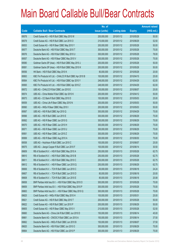|       |                                                             | No. of        |                     |               | <b>Amount raised</b> |
|-------|-------------------------------------------------------------|---------------|---------------------|---------------|----------------------|
| Code  | <b>Callable Bull / Bear Contracts</b>                       | issue (units) | <b>Listing date</b> | <b>Expiry</b> | (HK\$ mil.)          |
| 69578 | Credit Suisse AG - HSI R Bull CBBC May 2010 W               | 200,000,000   | 2010/01/12          | 2010/05/28    | 50.00                |
| 69579 | Credit Suisse AG - HSI R Bull CBBC Jun 2010 O               | 210,000,000   | 2010/01/12          | 2010/06/29    | 52.50                |
| 69553 | Credit Suisse AG - HSI R Bear CBBC May 2010 Y               | 200,000,000   | 2010/01/12          | 2010/05/28    | 50.00                |
| 69577 | Deutsche Bank AG - HSI R Bull CBBC May 2010 T               | 300,000,000   | 2010/01/12          | 2010/05/28    | 75.00                |
| 69576 | Deutsche Bank AG - HSI R Bull CBBC May 2010 U               | 300,000,000   | 2010/01/12          | 2010/05/28    | 78.00                |
| 69557 | Deutsche Bank AG - HSI R Bear CBBC May 2010 V               | 300,000,000   | 2010/01/12          | 2010/05/28    | 75.00                |
| 69580 | Goldman Sachs SP (Asia) - HSI R Bull CBBC May 2010 J        | 200,000,000   | 2010/01/12          | 2010/05/28    | 50.00                |
| 69581 | Goldman Sachs SP (Asia) - HSI R Bull CBBC May 2010 K        | 200,000,000   | 2010/01/12          | 2010/05/28    | 50.00                |
| 69556 | HK Bank - HSI R Bull CBBC May 2010 K                        | 80,000,000    | 2010/01/12          | 2010/05/28    | 20.00                |
| 69563 | KBC Fin Products Int'l Ltd. - CHALCO R Bull CBBC Apr 2010 B | 100,000,000   | 2010/01/12          | 2010/04/15    | 25.00                |
| 69564 | KBC Fin Products Int'l Ltd. - HSI R Bull CBBC Apr 2010 Y    | 248,000,000   | 2010/01/12          | 2010/04/29    | 62.00                |
| 69565 | KBC Fin Products Int'l Ltd. - HSI R Bull CBBC Apr 2010 Z    | 248,000,000   | 2010/01/12          | 2010/04/29    | 62.00                |
| 69572 | UBS AG - CHALCO R Bull CBBC Jun 2010 E                      | 100,000,000   | 2010/01/12          | 2010/06/07    | 25.00                |
| 69574 | UBS AG - China Mobile R Bull CBBC Apr 2010 K                | 200,000,000   | 2010/01/12          | 2010/04/12    | 50.00                |
| 69573 | UBS AG - CC Bank R Bull CBBC May 2010 D                     | 100,000,000   | 2010/01/12          | 2010/05/03    | 25.00                |
| 69559 | UBS AG - China Life R Bear CBBC May 2010 N                  | 200,000,000   | 2010/01/12          | 2010/05/03    | 50.00                |
| 69560 | UBS AG - HKEx R Bear CBBC May 2010 I                        | 200,000,000   | 2010/01/12          | 2010/05/03    | 50.00                |
| 69567 | UBS AG - HSI R Bull CBBC Apr 2010 Q                         | 300,000,000   | 2010/01/12          | 2010/04/29    | 75.00                |
| 69566 | UBS AG - HSI R Bull CBBC Jun 2010 E                         | 300,000,000   | 2010/01/12          | 2010/06/29    | 75.00                |
| 69562 | UBS AG - HSI R Bear CBBC Jun 2010 G                         | 300,000,000   | 2010/01/12          | 2010/06/29    | 75.00                |
| 69570 | UBS AG - HSI R Bear CBBC Jun 2010 H                         | 300,000,000   | 2010/01/12          | 2010/06/29    | 75.00                |
| 69571 | UBS AG - HSI R Bear CBBC Jun 2010 U                         | 300,000,000   | 2010/01/12          | 2010/06/29    | 75.00                |
| 69561 | UBS AG - HSI R Bear CBBC Jun 2010 Z                         | 300,000,000   | 2010/01/12          | 2010/06/29    | 75.00                |
| 69569 | UBS AG - HSI R Bear CBBC Aug 2010 A                         | 300,000,000   | 2010/01/12          | 2010/08/30    | 75.00                |
| 69558 | UBS AG - Hutchison R Bull CBBC Jun 2010 C                   | 100,000,000   | 2010/01/12          | 2010/06/07    | 25.00                |
| 69575 | UBS AG - Jiangxi Copper R Bull CBBC Jun 2010 F              | 100,000,000   | 2010/01/12          | 2010/06/14    | 30.50                |
| 69609 | RB of Scotland N.V. - HSI R Bull CBBC May 2010 A            | 250,000,000   | 2010/01/13          | 2010/05/28    | 62.75                |
| 69610 | RB of Scotland N.V. - HSI R Bull CBBC May 2010 B            | 250,000,000   | 2010/01/13          | 2010/05/28    | 62.75                |
| 69611 | RB of Scotland N.V. - HSI R Bull CBBC May 2010 C            | 250,000,000   | 2010/01/13          | 2010/05/28    | 62.75                |
| 69612 | RB of Scotland N.V. - HSI R Bear CBBC Jun 2010 Q            | 250,000,000   | 2010/01/13          | 2010/06/29    | 62.75                |
| 69606 | RB of Scotland N.V. - TCH R Bull CBBC Jun 2010 C            | 80,000,000    | 2010/01/13          | 2010/06/18    | 24.24                |
| 69607 | RB of Scotland N.V. - TCH R Bull CBBC Jun 2010 D            | 80,000,000    | 2010/01/13          | 2010/06/18    | 20.00                |
| 69608 | RB of Scotland N.V. - TCH R Bull CBBC Jun 2010 E            | 80,000,000    | 2010/01/13          | 2010/06/18    | 20.08                |
| 69658 | BNP Paribas Arbit Issu B.V. - HSI R Bull CBBC May 2010 O    | 300,000,000   | 2010/01/13          | 2010/05/28    | 75.00                |
| 69659 | BNP Paribas Arbit Issu B.V. - HSI R Bull CBBC May 2010 P    | 300,000,000   | 2010/01/13          | 2010/05/28    | 75.00                |
| 69663 | BNP Paribas Arbit Issu B.V. - HSI R Bear CBBC May 2010 Q    | 300,000,000   | 2010/01/13          | 2010/05/28    | 75.00                |
| 69625 | Credit Suisse AG - HKEx R Bull CBBC May 2010 H              | 100,000,000   | 2010/01/13          | 2010/05/31    | 25.00                |
| 69621 | Credit Suisse AG - HSI R Bull CBBC May 2010 T               | 200,000,000   | 2010/01/13          | 2010/05/28    | 50.00                |
| 69622 | Credit Suisse AG - HSI R Bull CBBC Jun 2010 P               | 200,000,000   | 2010/01/13          | 2010/06/29    | 50.00                |
| 69605 | Credit Suisse AG - HSI R Bear CBBC May 2010 V               | 210,000,000   | 2010/01/13          | 2010/05/28    | 52.50                |
| 69660 | Deutsche Bank AG - China Life R Bull CBBC Jun 2010 D        | 150,000,000   | 2010/01/13          | 2010/06/14    | 45.00                |
| 69661 | Deutsche Bank AG - CNOOC R Bull CBBC Jun 2010 A             | 150,000,000   | 2010/01/13          | 2010/06/14    | 37.50                |
| 69662 | Deutsche Bank AG - HKEx R Bull CBBC Jun 2010 B              | 150,000,000   | 2010/01/13          | 2010/06/07    | 37.50                |
| 69620 | Deutsche Bank AG - HSI R Bull CBBC Jun 2010 O               | 300,000,000   | 2010/01/13          | 2010/06/29    | 75.00                |
| 69664 | Deutsche Bank AG - HSI R Bull CBBC Jun 2010 P               | 300,000,000   | 2010/01/13          | 2010/06/29    | 75.00                |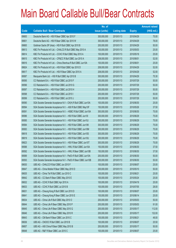|       |                                                                | No. of        |                     |               | <b>Amount raised</b> |
|-------|----------------------------------------------------------------|---------------|---------------------|---------------|----------------------|
| Code  | <b>Callable Bull / Bear Contracts</b>                          | issue (units) | <b>Listing date</b> | <b>Expiry</b> | $(HK$$ mil.)         |
| 69600 | Deutsche Bank AG - HSI R Bear CBBC Apr 2010 F                  | 300,000,000   | 2010/01/13          | 2010/04/29    | 75.00                |
| 69601 | Deutsche Bank AG - HSI R Bear CBBC Apr 2010 W                  | 300,000,000   | 2010/01/13          | 2010/04/29    | 78.00                |
| 69665 | Goldman Sachs SP (Asia) - HSI R Bull CBBC Apr 2010 B           | 200,000,000   | 2010/01/13          | 2010/04/29    | 50.00                |
| 69613 | KBC Fin Products Int'l Ltd. - CHALCO R Bull CBBC May 2010 A    | 100,000,000   | 2010/01/13          | 2010/05/03    | 25.00                |
| 69614 | KBC Fin Products Int'l Ltd. - CCHC R Bull CBBC May 2010 A      | 100,000,000   | 2010/01/13          | 2010/05/18    | 25.00                |
| 69615 | KBC Fin Products Int'l Ltd. - CP&CC R Bull CBBC Jun 2010 A     | 208,000,000   | 2010/01/13          | 2010/06/01    | 52.00                |
| 69616 | KBC Fin Products Int'l Ltd. - China Shenhua R Bull CBBC Jun10A | 100,000,000   | 2010/01/13          | 2010/06/01    | 25.00                |
| 69624 | KBC Fin Products Int'l Ltd. - HSI R Bull CBBC Apr 2010 D       | 208,000,000   | 2010/01/13          | 2010/04/29    | 52.00                |
| 69617 | KBC Fin Products Int'l Ltd. - HSI R Bear CBBC Apr 2010 A       | 208,000,000   | 2010/01/13          | 2010/04/29    | 52.00                |
| 69587 | Macquarie Bank Ltd. - HSI R Bull CBBC Apr 2010 B               | 300,000,000   | 2010/01/13          | 2010/04/29    | 75.30                |
| 69595 | CC Rabobank B.A. - HSI R Bull CBBC Jul 2010 F                  | 200,000,000   | 2010/01/13          | 2010/07/29    | 50.00                |
| 69596 | CC Rabobank B.A. - HSI R Bull CBBC Jul 2010 G                  | 200,000,000   | 2010/01/13          | 2010/07/29    | 50.00                |
| 69597 | CC Rabobank B.A. - HSI R Bull CBBC Jul 2010 H                  | 200,000,000   | 2010/01/13          | 2010/07/29    | 50.00                |
| 69598 | CC Rabobank B.A. - HSI R Bull CBBC Jul 2010 I                  | 200,000,000   | 2010/01/13          | 2010/07/29    | 50.00                |
| 69599 | CC Rabobank B.A. - HSI R Bull CBBC Jul 2010 J                  | 200,000,000   | 2010/01/13          | 2010/07/29    | 50.00                |
| 69590 | SGA Societe Generale Acceptance N.V - CK(H) R Bull CBBC Jun10A | 100,000,000   | 2010/01/13          | 2010/06/30    | 25.00                |
| 69594 | SGA Societe Generale Acceptance N.V. - A50 R Bull CBBC May10F  | 150,000,000   | 2010/01/13          | 2010/05/26    | 37.50                |
| 69591 | SGA Societe Generale Acceptance N.V. - HSBC R Bull CBBC Jun10A | 300,000,000   | 2010/01/13          | 2010/06/30    | 75.00                |
| 69586 | SGA Societe Generale Acceptance N.V. - HSI R Bull CBBC Jun101  | 300,000,000   | 2010/01/13          | 2010/06/29    | 75.00                |
| 69585 | SGA Societe Generale Acceptance N.V. - HSI R Bull CBBC Jun10J  | 300,000,000   | 2010/01/13          | 2010/06/29    | 75.00                |
| 69584 | SGA Societe Generale Acceptance N.V. - HSI R Bull CBBC Jun10K  | 300,000,000   | 2010/01/13          | 2010/06/29    | 75.00                |
| 69583 | SGA Societe Generale Acceptance N.V. - HSI R Bull CBBC Jun10M  | 300,000,000   | 2010/01/13          | 2010/06/29    | 75.00                |
| 69618 | SGA Societe Generale Acceptance N.V. - HSI R Bull CBBC Jun10S  | 300,000,000   | 2010/01/13          | 2010/06/29    | 75.00                |
| 69619 | SGA Societe Generale Acceptance N.V. - HSI R Bull CBBC Jun10U  | 300,000,000   | 2010/01/13          | 2010/06/29    | 75.00                |
| 69623 | SGA Societe Generale Acceptance N.V. - HSI R Bear CBBC Jun10T  | 300,000,000   | 2010/01/13          | 2010/06/29    | 75.00                |
| 69588 | SGA Societe Generale Acceptance N.V. - HWL R Bull CBBC Jun10A  | 150,000,000   | 2010/01/13          | 2010/06/30    | 37.50                |
| 69592 | SGA Societe Generale Acceptance N.V. - HWL R Bear CBBC Jun10B  | 150,000,000   | 2010/01/13          | 2010/06/30    | 37.50                |
| 69589 | SGA Societe Generale Acceptance N.V - PetCh R Bull CBBC Jun10A | 200,000,000   | 2010/01/13          | 2010/06/30    | 50.00                |
| 69593 | SGA Societe Generale Acceptance N.V - PetCh R Bear CBBC Jun10B | 200,000,000   | 2010/01/13          | 2010/06/30    | 50.00                |
| 69630 | UBS AG - CHALCO R Bull CBBC Jun 2010 F                         | 100,000,000   | 2010/01/13          | 2010/06/07    | 25.00                |
| 69647 | UBS AG - China Mobile R Bear CBBC May 2010 D                   | 200,000,000   | 2010/01/13          | 2010/05/10    | 50.00                |
| 69635 | UBS AG - China Tel R Bull CBBC Jun 2010 C                      | 100,000,000   | 2010/01/13          | 2010/06/21    | 25.00                |
| 69642 | UBS AG - CC Bank R Bear CBBC May 2010 E                        | 100,000,000   | 2010/01/13          | 2010/05/24    | 25.00                |
| 69632 | UBS AG - CCHC R Bull CBBC Apr 2010 A                           | 100,000,000   | 2010/01/13          | 2010/04/19    | 25.00                |
| 69633 | UBS AG - CCHC R Bull CBBC Jul 2010 B                           | 100,000,000   | 2010/01/13          | 2010/07/05    | 28.00                |
| 69631 | UBS AG - Cheung Kong R Bull CBBC Jun 2010 D                    | 100,000,000   | 2010/01/13          | 2010/06/07    | 25.00                |
| 69641 | UBS AG - Cheung Kong R Bear CBBC Jun 2010 E                    | 100,000,000   | 2010/01/13          | 2010/06/14    | 25.00                |
| 69634 | UBS AG - China Life R Bull CBBC May 2010 O                     | 200,000,000   | 2010/01/13          | 2010/05/03    | 50.00                |
| 69644 | UBS AG - China Life R Bear CBBC May 2010 P                     | 200,000,000   | 2010/01/13          | 2010/05/03    | 91.00                |
| 69645 | UBS AG - China Life R Bear CBBC May 2010 Q                     | 200,000,000   | 2010/01/13          | 2010/05/17    | 112.00               |
| 69646 | UBS AG - China Life R Bear CBBC May 2010 R                     | 200,000,000   | 2010/01/13          | 2010/05/17    | 132.00               |
| 69643 | UBS AG - CM Bank R Bear CBBC Jun 2010 C                        | 100,000,000   | 2010/01/13          | 2010/06/21    | 48.00                |
| 69636 | UBS AG - CNOOC R Bull CBBC Jun 2010 B                          | 100,000,000   | 2010/01/13          | 2010/06/07    | 25.50                |
| 69657 | UBS AG - A50 China R Bear CBBC May 2010 B                      | 200,000,000   | 2010/01/13          | 2010/05/17    | 50.00                |
| 69648 | UBS AG - R&F R Bear CBBC Jun 2010 C                            | 100,000,000   | 2010/01/13          | 2010/06/07    | 25.00                |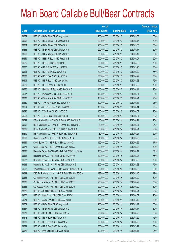|       |                                                           | No. of        |                     |               | <b>Amount raised</b> |
|-------|-----------------------------------------------------------|---------------|---------------------|---------------|----------------------|
| Code  | <b>Callable Bull / Bear Contracts</b>                     | issue (units) | <b>Listing date</b> | <b>Expiry</b> | $(HK$$ mil.)         |
| 69652 | UBS AG - HKEx R Bull CBBC May 2010 K                      | 200,000,000   | 2010/01/13          | 2010/05/03    | 50.00                |
| 69602 | UBS AG - HKEx R Bear CBBC May 2010 J                      | 200,000,000   | 2010/01/13          | 2010/05/17    | 50.00                |
| 69654 | UBS AG - HKEx R Bear CBBC May 2010 L                      | 200,000,000   | 2010/01/13          | 2010/05/03    | 50.00                |
| 69655 | UBS AG - HKEx R Bear CBBC May 2010 M                      | 200,000,000   | 2010/01/13          | 2010/05/17    | 50.00                |
| 69656 | UBS AG - HKEx R Bear CBBC May 2010 N                      | 200,000,000   | 2010/01/13          | 2010/05/17    | 50.00                |
| 69649 | UBS AG - HSBC R Bear CBBC Jun 2010 E                      | 200,000,000   | 2010/01/13          | 2010/06/07    | 50.00                |
| 69626 | UBS AG - HSI R Bull CBBC Apr 2010 H                       | 300,000,000   | 2010/01/13          | 2010/04/29    | 75.00                |
| 69627 | UBS AG - HSI R Bull CBBC May 2010 W                       | 300,000,000   | 2010/01/13          | 2010/05/28    | 75.00                |
| 69628 | UBS AG - HSI R Bull CBBC Jun 2010 J                       | 300,000,000   | 2010/01/13          | 2010/06/29    | 75.00                |
| 69603 | UBS AG - HSI R Bear CBBC Apr 2010 V                       | 300,000,000   | 2010/01/13          | 2010/04/29    | 75.00                |
| 69604 | UBS AG - HSI R Bear CBBC May 2010 A                       | 300,000,000   | 2010/01/13          | 2010/05/28    | 75.00                |
| 69629 | UBS AG - HSI R Bear CBBC Jul 2010 P                       | 300,000,000   | 2010/01/13          | 2010/07/29    | 75.00                |
| 69650 | UBS AG - Hutchison R Bear CBBC Jun 2010 D                 | 100,000,000   | 2010/01/13          | 2010/06/14    | 25.00                |
| 69637 | UBS AG - Petrochina R Bull CBBC Jun 2010 B                | 100,000,000   | 2010/01/13          | 2010/06/21    | 25.00                |
| 69638 | UBS AG - Petrochina R Bull CBBC Jun 2010 C                | 100,000,000   | 2010/01/13          | 2010/06/21    | 25.00                |
| 69639 | UBS AG - SHK Ppt R Bull CBBC Jun 2010 F                   | 100,000,000   | 2010/01/13          | 2010/06/14    | 25.00                |
| 69651 | UBS AG - SHK Ppt R Bear CBBC Jun 2010 G                   | 100,000,000   | 2010/01/13          | 2010/06/14    | 25.50                |
| 69640 | UBS AG - TCH R Bull CBBC Jun 2010 C                       | 100,000,000   | 2010/01/13          | 2010/06/07    | 25.00                |
| 69653 | UBS AG - TCH R Bear CBBC Jun 2010 D                       | 100,000,000   | 2010/01/13          | 2010/06/21    | 33.50                |
| 69691 | RB of Scotland N.V. - CNOOC R Bear CBBC Jun 2010 A        | 80,000,000    | 2010/01/14          | 2010/06/21    | 20.08                |
| 69692 | RB of Scotland N.V. - CNOOC R Bear CBBC Jun 2010 B        | 80,000,000    | 2010/01/14          | 2010/06/21    | 27.36                |
| 69689 | RB of Scotland N.V. - HKEx R Bull CBBC Jun 2010 A         | 80,000,000    | 2010/01/14          | 2010/06/21    | 20.08                |
| 69690 | RB of Scotland N.V. - HKEx R Bull CBBC Jun 2010 B         | 80,000,000    | 2010/01/14          | 2010/06/21    | 20.00                |
| 69668 | Credit Suisse AG - HSI R Bull CBBC May 2010 N             | 210,000,000   | 2010/01/14          | 2010/05/28    | 52.50                |
| 69669 | Credit Suisse AG - HSI R Bull CBBC Jun 2010 Q             | 190,000,000   | 2010/01/14          | 2010/06/29    | 47.50                |
| 69673 | Credit Suisse AG - HSI R Bear CBBC May 2010 A             | 200,000,000   | 2010/01/14          | 2010/05/28    | 50.00                |
| 69686 | Deutsche Bank AG - China Mobile R Bull CBBC Jun 2010 A    | 150,000,000   | 2010/01/14          | 2010/06/14    | 37.50                |
| 69666 | Deutsche Bank AG - HSI R Bull CBBC May 2010 Y             | 300,000,000   | 2010/01/14          | 2010/05/28    | 75.00                |
| 69687 | Deutsche Bank AG - HSI R Bull CBBC Jul 2010 A             | 300,000,000   | 2010/01/14          | 2010/07/29    | 75.00                |
| 69688 | Deutsche Bank AG - HSI R Bear CBBC May 2010 Z             | 300,000,000   | 2010/01/14          | 2010/05/28    | 75.00                |
| 69693 | Goldman Sachs SP (Asia) - HSI R Bear CBBC May 2010 S      | 200,000,000   | 2010/01/14          | 2010/05/28    | 50.00                |
| 69682 | KBC Fin Products Int'l Ltd. - HKEx R Bull CBBC May 2010 A | 188,000,000   | 2010/01/14          | 2010/05/10    | 47.00                |
| 69683 | CC Rabobank B.A. - HSI R Bull CBBC Jun 2010 B             | 200,000,000   | 2010/01/14          | 2010/06/29    | 50.00                |
| 69685 | CC Rabobank B.A. - HSI R Bull CBBC Jun 2010 T             | 200,000,000   | 2010/01/14          | 2010/06/29    | 50.00                |
| 69684 | CC Rabobank B.A. - HSI R Bull CBBC Jun 2010 U             | 200,000,000   | 2010/01/14          | 2010/06/29    | 50.00                |
| 69675 | UBS AG - CHALCO R Bear CBBC Jun 2010 G                    | 100,000,000   | 2010/01/14          | 2010/06/21    | 25.00                |
| 69670 | UBS AG - BankComm R Bull CBBC Jun 2010 C                  | 100,000,000   | 2010/01/14          | 2010/06/07    | 25.00                |
| 69674 | UBS AG - A50 China R Bull CBBC Apr 2010 K                 | 200,000,000   | 2010/01/14          | 2010/04/19    | 50.00                |
| 69671 | UBS AG - HKEx R Bull CBBC May 2010 P                      | 200,000,000   | 2010/01/14          | 2010/05/17    | 50.00                |
| 69667 | UBS AG - HKEx R Bear CBBC May 2010 O                      | 200,000,000   | 2010/01/14          | 2010/05/17    | 50.00                |
| 69679 | UBS AG - HSCEI R Bull CBBC Jun 2010 A                     | 200,000,000   | 2010/01/14          | 2010/06/29    | 50.00                |
| 69678 | UBS AG - HSI R Bull CBBC Apr 2010 P                       | 300,000,000   | 2010/01/14          | 2010/04/29    | 75.00                |
| 69680 | UBS AG - HSI R Bear CBBC Jun 2010 M                       | 300,000,000   | 2010/01/14          | 2010/06/29    | 75.00                |
| 69681 | UBS AG - HSI R Bear CBBC Jul 2010 Q                       | 300,000,000   | 2010/01/14          | 2010/07/29    | 75.00                |
| 69672 | UBS AG - Ping An R Bull CBBC Jun 2010 B                   | 100,000,000   | 2010/01/14          | 2010/06/14    | 25.00                |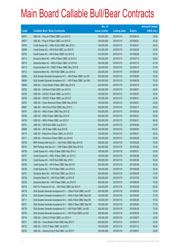|       |                                                                | No. of        |                     |               | <b>Amount raised</b> |
|-------|----------------------------------------------------------------|---------------|---------------------|---------------|----------------------|
| Code  | <b>Callable Bull / Bear Contracts</b>                          | issue (units) | <b>Listing date</b> | <b>Expiry</b> | (HK\$ mil.)          |
| 69676 | UBS AG - Ping An R Bear CBBC Jun 2010 C                        | 100,000,000   | 2010/01/14          | 2010/06/14    | 25.00                |
| 69677 | UBS AG - Ping An R Bear CBBC Jun 2010 D                        | 100,000,000   | 2010/01/14          | 2010/06/21    | 25.00                |
| 69700 | Credit Suisse AG - HKEx R Bull CBBC May 2010 I                 | 100,000,000   | 2010/01/15          | 2010/05/31    | 25.00                |
| 69699 | Credit Suisse AG - HSI R Bull CBBC Jun 2010 R                  | 210,000,000   | 2010/01/15          | 2010/06/29    | 52.50                |
| 69704 | Credit Suisse AG - HSI R Bear CBBC Jun 2010 S                  | 210,000,000   | 2010/01/15          | 2010/06/29    | 52.50                |
| 69714 | Deutsche Bank AG - HKEx R Bear CBBC Jul 2010 A                 | 150,000,000   | 2010/01/15          | 2010/07/12    | 45.00                |
| 69715 | Deutsche Bank AG - HKEx R Bear CBBC Jul 2010 B                 | 150,000,000   | 2010/01/15          | 2010/07/12    | 61.50                |
| 69713 | Deutsche Bank AG - HSBC R Bear CBBC May 2010 B                 | 150,000,000   | 2010/01/15          | 2010/05/10    | 37.50                |
| 69712 | Deutsche Bank AG - HSI R Bull CBBC Jun 2010 Q                  | 300,000,000   | 2010/01/15          | 2010/06/29    | 75.00                |
| 69695 | SGA Societe Generale Acceptance N.V. - HSI R Bear CBBC Jun10V  | 300,000,000   | 2010/01/15          | 2010/06/29    | 75.00                |
| 69694 | SGA Societe Generale Acceptance N.V. - HSI R Bear CBBC Jun10W  | 300,000,000   | 2010/01/15          | 2010/06/29    | 75.00                |
| 69696 | UBS AG - China Mobile R Bear CBBC May 2010 E                   | 200,000,000   | 2010/01/15          | 2010/05/10    | 50.00                |
| 69702 | UBS AG - CM Bank R Bull CBBC Jun 2010 D                        | 100,000,000   | 2010/01/15          | 2010/06/21    | 36.00                |
| 69705 | UBS AG - CNOOC R Bear CBBC Jun 2010 C                          | 100,000,000   | 2010/01/15          | 2010/06/07    | 25.00                |
| 69706 | UBS AG - CNOOC R Bear CBBC Jun 2010 D                          | 100,000,000   | 2010/01/15          | 2010/06/21    | 25.00                |
| 69703 | UBS AG - China Shenhua R Bear CBBC May 2010 D                  | 100,000,000   | 2010/01/15          | 2010/05/31    | 25.00                |
| 69697 | UBS AG - A50 China R Bull CBBC May 2010 C                      | 200,000,000   | 2010/01/15          | 2010/05/17    | 50.00                |
| 69707 | UBS AG - HKEx R Bear CBBC May 2010 Q                           | 200,000,000   | 2010/01/15          | 2010/05/24    | 50.00                |
| 69708 | UBS AG - HKEx R Bear CBBC May 2010 R                           | 200,000,000   | 2010/01/15          | 2010/05/31    | 59.00                |
| 69709 | UBS AG - HKEx R Bear CBBC Jun 2010 C                           | 200,000,000   | 2010/01/15          | 2010/06/21    | 89.00                |
| 69701 | UBS AG - HSI R Bull CBBC Aug 2010 C                            | 300,000,000   | 2010/01/15          | 2010/08/30    | 75.00                |
| 69698 | UBS AG - HSI R Bear CBBC Aug 2010 B                            | 400,000,000   | 2010/01/15          | 2010/08/30    | 100.00               |
| 69710 | UBS AG - Petrochina R Bear CBBC Jun 2010 D                     | 100,000,000   | 2010/01/15          | 2010/06/21    | 25.00                |
| 69711 | UBS AG - Petrochina R Bear CBBC Jun 2010 E                     | 100,000,000   | 2010/01/15          | 2010/06/28    | 25.00                |
| 69739 | BNP Paribas Arbit Issu B.V. - HSI R Bull CBBC May 2010 R       | 300,000,000   | 2010/01/18          | 2010/05/28    | 75.00                |
| 69743 | BNP Paribas Arbit Issu B.V. - HSI R Bear CBBC May 2010 S       | 300,000,000   | 2010/01/18          | 2010/05/28    | 75.00                |
| 69736 | Credit Suisse AG - HKEx R Bear CBBC May 2010 J                 | 100,000,000   | 2010/01/18          | 2010/05/31    | 25.00                |
| 69737 | Credit Suisse AG - HKEx R Bear CBBC Jun 2010 C                 | 100,000,000   | 2010/01/18          | 2010/06/28    | 42.00                |
| 69735 | Credit Suisse AG - HSI R Bull CBBC May 2010 I                  | 200,000,000   | 2010/01/18          | 2010/05/28    | 50.00                |
| 69726 | Credit Suisse AG - HSI R Bear CBBC May 2010 R                  | 200,000,000   | 2010/01/18          | 2010/05/28    | 50.00                |
| 69738 | Credit Suisse AG - TCH R Bear CBBC Jun 2010 A                  | 100,000,000   | 2010/01/18          | 2010/06/28    | 35.00                |
| 69727 | Deutsche Bank AG - HSI R Bull CBBC Jun 2010 S                  | 300,000,000   | 2010/01/18          | 2010/06/29    | 75.00                |
| 69728 | Deutsche Bank AG - HSI R Bull CBBC Jul 2010 B                  | 300,000,000   | 2010/01/18          | 2010/07/29    | 75.00                |
| 69725 | Deutsche Bank AG - HSI R Bear CBBC Jun 2010 R                  | 300,000,000   | 2010/01/18          | 2010/06/29    | 75.00                |
| 69734 | KBC Fin Products Int'l Ltd. - HSI R Bull CBBC Apr 2010 F       | 248,000,000   | 2010/01/18          | 2010/04/29    | 62.00                |
| 69718 | SGA Societe Generale Acceptance N.V. - CMob R Bull CBBC Jun10C | 300,000,000   | 2010/01/18          | 2010/06/30    | 75.00                |
| 69716 | SGA Societe Generale Acceptance N.V. - HKEx R Bull CBBC May10D | 150,000,000   | 2010/01/18          | 2010/05/26    | 37.50                |
| 69717 | SGA Societe Generale Acceptance N.V. - HKEx R Bull CBBC May10E | 150,000,000   | 2010/01/18          | 2010/05/26    | 37.50                |
| 69721 | SGA Societe Generale Acceptance N.V. - HKEx R Bear CBBC May10F | 150,000,000   | 2010/01/18          | 2010/05/26    | 37.50                |
| 69729 | SGA Societe Generale Acceptance N.V. - HSI R Bull CBBC Jun10D  | 300,000,000   | 2010/01/18          | 2010/06/29    | 75.00                |
| 69730 | SGA Societe Generale Acceptance N.V. - HSI R Bull CBBC Jun10Z  | 300,000,000   | 2010/01/18          | 2010/06/29    | 75.00                |
| 69719 | UBS AG - CHALCO R Bull CBBC Jun 2010 H                         | 100,000,000   | 2010/01/18          | 2010/06/07    | 25.00                |
| 69731 | UBS AG - China Mobile R Bull CBBC May 2010 F                   | 200,000,000   | 2010/01/18          | 2010/05/10    | 50.00                |
| 69723 | UBS AG - CCHC R Bear CBBC Jul 2010 C                           | 100,000,000   | 2010/01/18          | 2010/07/12    | 36.00                |
| 69720 | UBS AG - Cheung Kong R Bull CBBC Jun 2010 F                    | 100,000,000   | 2010/01/18          | 2010/06/07    | 25.00                |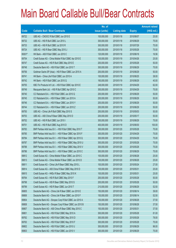|        |                                                          | No. of        |                     |               | <b>Amount raised</b> |
|--------|----------------------------------------------------------|---------------|---------------------|---------------|----------------------|
| Code   | <b>Callable Bull / Bear Contracts</b>                    | issue (units) | <b>Listing date</b> | <b>Expiry</b> | $(HK$$ mil.)         |
| 69722  | UBS AG - CNOOC R Bull CBBC Jun 2010 E                    | 100,000,000   | 2010/01/18          | 2010/06/07    | 25.00                |
| 69732  | UBS AG - HSI R Bull CBBC Jun 2010 L                      | 300,000,000   | 2010/01/18          | 2010/06/29    | 75.00                |
| 69733  | UBS AG - HSI R Bull CBBC Jul 2010 R                      | 300,000,000   | 2010/01/18          | 2010/07/29    | 75.00                |
| 69724  | UBS AG - HSI R Bear CBBC May 2010 J                      | 300,000,000   | 2010/01/18          | 2010/05/28    | 75.00                |
| 69301# | HK Bank - A50 R Bull CBBC Jun 2010 C                     | 120,000,000   | 2010/01/18          | 2010/06/18    | 16.56                |
| 69754  | Credit Suisse AG - China Mobile R Bull CBBC Apr 2010 E   | 100,000,000   | 2010/01/19          | 2010/04/26    | 25.00                |
| 69747  | Credit Suisse AG - HSI R Bull CBBC May 2010 E            | 200,000,000   | 2010/01/19          | 2010/05/28    | 50.00                |
| 69748  | Deutsche Bank AG - HSI R Bull CBBC Jun 2010 T            | 300,000,000   | 2010/01/19          | 2010/06/29    | 75.00                |
| 69756  | Goldman Sachs SP (Asia) - HSI R Bear CBBC Jun 2010 A     | 200,000,000   | 2010/01/19          | 2010/06/29    | 50.00                |
| 69741  | HK Bank - China Life R Bull CBBC Jun 2010 A              | 100,000,000   | 2010/01/19          | 2010/06/25    | 38.00                |
| 69742  | HK Bank - HSI R Bull CBBC Jun 2010 Q                     | 160,000,000   | 2010/01/19          | 2010/06/29    | 40.00                |
| 69755  | KBC Fin Products Int'l Ltd. - HSI R Bull CBBC Apr 2010 E | 248,000,000   | 2010/01/19          | 2010/04/29    | 62.00                |
| 69749  | Macquarie Bank Ltd. - HSI R Bull CBBC Apr 2010 C         | 300,000,000   | 2010/01/19          | 2010/04/29    | 75.00                |
| 69740  | CC Rabobank B.A. - HSI R Bull CBBC Jun 2010 Q            | 200,000,000   | 2010/01/19          | 2010/06/29    | 50.00                |
| 69745  | CC Rabobank B.A. - HSI R Bear CBBC Jun 2010 A            | 200,000,000   | 2010/01/19          | 2010/06/29    | 50.00                |
| 69746  | CC Rabobank B.A. - HSI R Bear CBBC Jun 2010 Y            | 200,000,000   | 2010/01/19          | 2010/06/29    | 50.00                |
| 69744  | CC Rabobank B.A. - HSI R Bear CBBC Jun 2010 Z            | 200,000,000   | 2010/01/19          | 2010/06/29    | 50.00                |
| 69750  | UBS AG - China Life R Bull CBBC May 2010 S               | 200,000,000   | 2010/01/19          | 2010/05/03    | 50.00                |
| 69753  | UBS AG - A50 China R Bear CBBC May 2010 D                | 200,000,000   | 2010/01/19          | 2010/05/17    | 50.00                |
| 69752  | UBS AG - HSI R Bull CBBC Jun 2010 I                      | 300,000,000   | 2010/01/19          | 2010/06/29    | 75.00                |
| 69751  | UBS AG - HSI R Bull CBBC Aug 2010 D                      | 400,000,000   | 2010/01/19          | 2010/08/30    | 100.00               |
| 69783  | BNP Paribas Arbit Issu B.V. - HSI R Bull CBBC May 2010 T | 300,000,000   | 2010/01/20          | 2010/05/28    | 75.00                |
| 69785  | BNP Paribas Arbit Issu B.V. - HSI R Bear CBBC Apr 2010 F | 300,000,000   | 2010/01/20          | 2010/04/29    | 75.00                |
| 69784  | BNP Paribas Arbit Issu B.V. - HSI R Bear CBBC Apr 2010 Q | 300,000,000   | 2010/01/20          | 2010/04/29    | 75.00                |
| 69787  | BNP Paribas Arbit Issu B.V. - HSI R Bear CBBC May 2010 U | 300,000,000   | 2010/01/20          | 2010/05/28    | 75.00                |
| 69788  | BNP Paribas Arbit Issu B.V. - HSI R Bear CBBC May 2010 V | 300,000,000   | 2010/01/20          | 2010/05/28    | 75.00                |
| 69786  | BNP Paribas Arbit Issu B.V. - HSI R Bear CBBC Jun 2010 C | 300,000,000   | 2010/01/20          | 2010/06/29    | 75.00                |
| 69812  | Credit Suisse AG - China Mobile R Bear CBBC Jun 2010 C   | 100,000,000   | 2010/01/20          | 2010/06/28    | 25.00                |
| 69813  | Credit Suisse AG - China Mobile R Bear CBBC Jun 2010 D   | 100,000,000   | 2010/01/20          | 2010/06/28    | 25.00                |
| 69811  | Credit Suisse AG - China Life R Bear CBBC May 2010 L     | 100,000,000   | 2010/01/20          | 2010/05/24    | 27.00                |
| 69814  | Credit Suisse AG - A50 China R Bear CBBC May 2010 D      | 100,000,000   | 2010/01/20          | 2010/05/31    | 25.00                |
| 69815  | Credit Suisse AG - HKEx R Bear CBBC May 2010 K           | 100,000,000   | 2010/01/20          | 2010/05/31    | 25.00                |
| 69764  | Credit Suisse AG - HSI R Bull CBBC May 2010 F            | 200,000,000   | 2010/01/20          | 2010/05/28    | 50.00                |
| 69798  | Credit Suisse AG - HSI R Bear CBBC May 2010 S            | 200,000,000   | 2010/01/20          | 2010/05/28    | 50.00                |
| 69799  | Credit Suisse AG - HSI R Bear CBBC Jun 2010 T            | 210,000,000   | 2010/01/20          | 2010/06/29    | 52.50                |
| 69805  | Deutsche Bank AG - China Life R Bear CBBC Jun 2010 E     | 150,000,000   | 2010/01/20          | 2010/06/14    | 39.00                |
| 69806  | Deutsche Bank AG - China Life R Bear CBBC Jun 2010 F     | 150,000,000   | 2010/01/20          | 2010/06/14    | 52.50                |
| 69804  | Deutsche Bank AG - Sinopec Corp R Bull CBBC Jun 2010 A   | 150,000,000   | 2010/01/20          | 2010/06/28    | 37.50                |
| 69808  | Deutsche Bank AG - Sinopec Corp R Bear CBBC Jun 2010 B   | 150,000,000   | 2010/01/20          | 2010/06/28    | 37.50                |
| 69807  | Deutsche Bank AG - A50 China R Bear CBBC May 2010 C      | 150,000,000   | 2010/01/20          | 2010/05/31    | 37.50                |
| 69801  | Deutsche Bank AG - HSI R Bull CBBC May 2010 A            | 300,000,000   | 2010/01/20          | 2010/05/28    | 81.00                |
| 69762  | Deutsche Bank AG - HSI R Bull CBBC May 2010 D            | 300,000,000   | 2010/01/20          | 2010/05/28    | 78.00                |
| 69763  | Deutsche Bank AG - HSI R Bull CBBC May 2010 F            | 300,000,000   | 2010/01/20          | 2010/05/28    | 75.00                |
| 69802  | Deutsche Bank AG - HSI R Bull CBBC Jun 2010 U            | 300,000,000   | 2010/01/20          | 2010/06/29    | 96.00                |
| 69803  | Deutsche Bank AG - HSI R Bull CBBC Jun 2010 V            | 300,000,000   | 2010/01/20          | 2010/06/29    | 75.00                |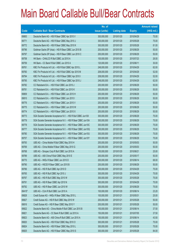|        |                                                               | No. of        |                     |               | <b>Amount raised</b> |
|--------|---------------------------------------------------------------|---------------|---------------------|---------------|----------------------|
| Code   | <b>Callable Bull / Bear Contracts</b>                         | issue (units) | <b>Listing date</b> | <b>Expiry</b> | $(HK$$ mil.)         |
| 69800  | Deutsche Bank AG - HSI R Bear CBBC Apr 2010 V                 | 300,000,000   | 2010/01/20          | 2010/04/29    | 75.00                |
| 69771  | Deutsche Bank AG - HSI R Bear CBBC May 2010 J                 | 300,000,000   | 2010/01/20          | 2010/05/28    | 75.00                |
| 69772  | Deutsche Bank AG - HSI R Bear CBBC May 2010 K                 | 300,000,000   | 2010/01/20          | 2010/05/28    | 81.00                |
| 69796  | Goldman Sachs SP (Asia) - HSI R Bear CBBC Jun 2010 B          | 200,000,000   | 2010/01/20          | 2010/06/29    | 50.00                |
| 69797  | Goldman Sachs SP (Asia) - HSI R Bear CBBC Jun 2010 C          | 200,000,000   | 2010/01/20          | 2010/06/29    | 50.00                |
| 69758  | HK Bank - CHALCO R Bull CBBC Jul 2010 A                       | 100,000,000   | 2010/01/20          | 2010/07/23    | 26.00                |
| 69759  | HK Bank - CC Bank R Bull CBBC Jun 2010 A                      | 120,000,000   | 2010/01/20          | 2010/06/11    | 30.00                |
| 69761  | KBC Fin Products Int'l Ltd. - HSI R Bull CBBC Apr 2010 L      | 248,000,000   | 2010/01/20          | 2010/04/29    | 62.00                |
| 69760  | KBC Fin Products Int'l Ltd. - HSI R Bull CBBC Apr 2010 M      | 208,000,000   | 2010/01/20          | 2010/04/29    | 52.00                |
| 69794  | KBC Fin Products Int'l Ltd. - HSI R Bear CBBC Apr 2010 I      | 208,000,000   | 2010/01/20          | 2010/04/29    | 52.00                |
| 69795  | KBC Fin Products Int'l Ltd. - HSI R Bear CBBC Apr 2010 J      | 248,000,000   | 2010/01/20          | 2010/04/29    | 62.00                |
| 69782  | CC Rabobank B.A. - HSI R Bull CBBC Jun 2010 J                 | 200,000,000   | 2010/01/20          | 2010/06/29    | 50.00                |
| 69781  | CC Rabobank B.A. - HSI R Bull CBBC Jun 2010 K                 | 200,000,000   | 2010/01/20          | 2010/06/29    | 50.00                |
| 69809  | CC Rabobank B.A. - HSI R Bear CBBC Jun 2010 H                 | 200,000,000   | 2010/01/20          | 2010/06/29    | 50.00                |
| 69810  | CC Rabobank B.A. - HSI R Bear CBBC Jun 2010 I                 | 200,000,000   | 2010/01/20          | 2010/06/29    | 50.00                |
| 69776  | CC Rabobank B.A. - HSI R Bear CBBC Jun 2010 V                 | 200,000,000   | 2010/01/20          | 2010/06/29    | 50.00                |
| 69775  | CC Rabobank B.A. - HSI R Bear CBBC Jun 2010 W                 | 200,000,000   | 2010/01/20          | 2010/06/29    | 50.00                |
| 69774  | CC Rabobank B.A. - HSI R Bear CBBC Jun 2010 X                 | 200,000,000   | 2010/01/20          | 2010/06/29    | 50.00                |
| 69773  | SGA Societe Generale Acceptance N.V. - HSI R Bull CBBC Jun10X | 300,000,000   | 2010/01/20          | 2010/06/29    | 75.00                |
| 69779  | SGA Societe Generale Acceptance N.V. - HSI R Bear CBBC Jun10A | 300,000,000   | 2010/01/20          | 2010/06/29    | 75.00                |
| 69778  | SGA Societe Generale Acceptance N.V. - HSI R Bear CBBC Jun10C | 300,000,000   | 2010/01/20          | 2010/06/29    | 75.00                |
| 69777  | SGA Societe Generale Acceptance N.V. - HSI R Bear CBBC Jun10Q | 300,000,000   | 2010/01/20          | 2010/06/29    | 75.00                |
| 69780  | SGA Societe Generale Acceptance N.V. - HSI R Bear CBBC Jun10U | 300,000,000   | 2010/01/20          | 2010/06/29    | 75.00                |
| 69757  | SGA Societe Generale Acceptance N.V. - HSI R Bear CBBC Jun10Y | 300,000,000   | 2010/01/20          | 2010/06/29    | 75.00                |
| 69793  | UBS AG - China Mobile R Bull CBBC May 2010 H                  | 200,000,000   | 2010/01/20          | 2010/05/03    | 50.00                |
| 69769  | UBS AG - China Mobile R Bear CBBC May 2010 G                  | 200,000,000   | 2010/01/20          | 2010/05/03    | 50.00                |
| 69768  | UBS AG - Sinopec Corp R Bull CBBC Jun 2010 A                  | 100,000,000   | 2010/01/20          | 2010/06/21    | 25.00                |
| 69789  | UBS AG - A50 China R Bull CBBC May 2010 E                     | 200,000,000   | 2010/01/20          | 2010/05/17    | 50.00                |
| 69770  | UBS AG - HKEx R Bear CBBC Jun 2010 D                          | 200,000,000   | 2010/01/20          | 2010/06/14    | 68.00                |
| 69790  | UBS AG - HSCEI R Bear CBBC Jun 2010 B                         | 200,000,000   | 2010/01/20          | 2010/06/29    | 50.00                |
| 69766  | UBS AG - HSI R Bull CBBC Apr 2010 D                           | 300,000,000   | 2010/01/20          | 2010/04/29    | 75.00                |
| 69765  | UBS AG - HSI R Bull CBBC Apr 2010 J                           | 300,000,000   | 2010/01/20          | 2010/04/29    | 75.00                |
| 69767  | UBS AG - HSI R Bull CBBC May 2010 W                           | 300,000,000   | 2010/01/20          | 2010/05/28    | 75.00                |
| 69791  | UBS AG - HSI R Bear CBBC Apr 2010 N                           | 300,000,000   | 2010/01/20          | 2010/04/29    | 75.00                |
| 69792  | UBS AG - HSI R Bear CBBC Jun 2010 W                           | 300,000,000   | 2010/01/20          | 2010/06/29    | 75.00                |
| 69410# | UBS AG - CUni R Bull CBBC Jun 2010 A                          | 100,000,000   | 2010/01/20          | 2010/06/14    | 23.20                |
| 69828  | Credit Suisse AG - HKEx R Bear CBBC May 2010 L                | 100,000,000   | 2010/01/21          | 2010/05/31    | 25.00                |
| 69827  | Credit Suisse AG - HSI R Bull CBBC May 2010 W                 | 200,000,000   | 2010/01/21          | 2010/05/28    | 50.00                |
| 69816  | Credit Suisse AG - HSI R Bear CBBC May 2010 Y                 | 200,000,000   | 2010/01/21          | 2010/05/28    | 50.00                |
| 69822  | Deutsche Bank AG - China Mobile R Bull CBBC Jun 2010 B        | 150,000,000   | 2010/01/21          | 2010/06/14    | 37.50                |
| 69821  | Deutsche Bank AG - CC Bank R Bull CBBC Jul 2010 A             | 150,000,000   | 2010/01/21          | 2010/07/05    | 37.50                |
| 69823  | Deutsche Bank AG - A50 China R Bull CBBC Jun 2010 A           | 150,000,000   | 2010/01/21          | 2010/06/14    | 43.50                |
| 69820  | Deutsche Bank AG - HSI R Bull CBBC May 2010 O                 | 300,000,000   | 2010/01/21          | 2010/05/28    | 75.00                |
| 69824  | Deutsche Bank AG - HSI R Bear CBBC May 2010 L                 | 300,000,000   | 2010/01/21          | 2010/05/28    | 75.00                |
| 69825  | Deutsche Bank AG - HSI R Bear CBBC May 2010 S                 | 300,000,000   | 2010/01/21          | 2010/05/28    | 84.00                |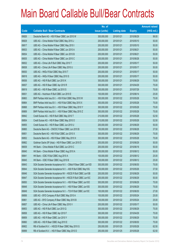|       |                                                                | No. of        |                     |               | <b>Amount raised</b> |
|-------|----------------------------------------------------------------|---------------|---------------------|---------------|----------------------|
| Code  | <b>Callable Bull / Bear Contracts</b>                          | issue (units) | <b>Listing date</b> | <b>Expiry</b> | $(HK$$ mil.)         |
| 69826 | Deutsche Bank AG - HSI R Bear CBBC Jun 2010 W                  | 300,000,000   | 2010/01/21          | 2010/06/29    | 99.00                |
| 69829 | UBS AG - China Mobile R Bull CBBC May 2010 J                   | 200,000,000   | 2010/01/21          | 2010/05/10    | 50.00                |
| 69817 | UBS AG - China Mobile R Bear CBBC May 2010 I                   | 200,000,000   | 2010/01/21          | 2010/05/10    | 50.00                |
| 69833 | UBS AG - China Mobile R Bear CBBC Jun 2010 A                   | 200,000,000   | 2010/01/21          | 2010/06/21    | 50.00                |
| 69834 | UBS AG - China Mobile R Bear CBBC Jun 2010 B                   | 200,000,000   | 2010/01/21          | 2010/06/21    | 50.00                |
| 69835 | UBS AG - China Mobile R Bear CBBC Jun 2010 C                   | 200,000,000   | 2010/01/21          | 2010/06/28    | 50.00                |
| 69832 | UBS AG - China Life R Bull CBBC May 2010 T                     | 200,000,000   | 2010/01/21          | 2010/05/17    | 50.00                |
| 69838 | UBS AG - China Life R Bear CBBC May 2010 U                     | 200,000,000   | 2010/01/21          | 2010/05/17    | 50.00                |
| 69830 | UBS AG - HKEx R Bull CBBC May 2010 T                           | 200,000,000   | 2010/01/21          | 2010/05/17    | 50.00                |
| 69818 | UBS AG - HKEx R Bear CBBC May 2010 S                           | 200,000,000   | 2010/01/21          | 2010/05/17    | 50.00                |
| 69836 | UBS AG - HSI R Bull CBBC Jun 2010 K                            | 300,000,000   | 2010/01/21          | 2010/06/29    | 75.00                |
| 69837 | UBS AG - HSI R Bear CBBC Apr 2010 R                            | 300,000,000   | 2010/01/21          | 2010/04/29    | 75.00                |
| 69819 | UBS AG - HSI R Bear CBBC Jul 2010 S                            | 300,000,000   | 2010/01/21          | 2010/07/29    | 75.00                |
| 69831 | UBS AG - Hutchison R Bull CBBC Jun 2010 E                      | 100,000,000   | 2010/01/21          | 2010/06/14    | 25.00                |
| 69863 | BNP Paribas Arbit Issu B.V. - HSI R Bull CBBC May 2010 W       | 300,000,000   | 2010/01/22          | 2010/05/28    | 75.00                |
| 69864 | BNP Paribas Arbit Issu B.V. - HSI R Bull CBBC May 2010 X       | 300,000,000   | 2010/01/22          | 2010/05/28    | 75.00                |
| 69868 | BNP Paribas Arbit Issu B.V. - HSI R Bear CBBC May 2010 Y       | 300,000,000   | 2010/01/22          | 2010/05/28    | 75.00                |
| 69869 | BNP Paribas Arbit Issu B.V. - HSI R Bear CBBC May 2010 Z       | 300,000,000   | 2010/01/22          | 2010/05/28    | 75.00                |
| 69842 | Credit Suisse AG - HSI R Bull CBBC May 2010 T                  | 210,000,000   | 2010/01/22          | 2010/05/28    | 52.50                |
| 69854 | Credit Suisse AG - HSI R Bear CBBC May 2010 O                  | 210,000,000   | 2010/01/22          | 2010/05/28    | 52.50                |
| 69855 | Credit Suisse AG - HSI R Bear CBBC Jun 2010 U                  | 200,000,000   | 2010/01/22          | 2010/06/29    | 50.00                |
| 69865 | Deutsche Bank AG - CNOOC R Bear CBBC Jun 2010 B                | 150,000,000   | 2010/01/22          | 2010/06/28    | 37.50                |
| 69851 | Deutsche Bank AG - HSI R Bull CBBC Jun 2010 X                  | 300,000,000   | 2010/01/22          | 2010/06/29    | 75.00                |
| 69852 | Deutsche Bank AG - HSI R Bear CBBC May 2010 X                  | 300,000,000   | 2010/01/22          | 2010/05/28    | 75.00                |
| 69862 | Goldman Sachs SP (Asia) - HSI R Bear CBBC Jun 2010 D           | 200,000,000   | 2010/01/22          | 2010/06/29    | 50.00                |
| 69839 | HK Bank - China Mobile R Bull CBBC Jun 2010 C                  | 200,000,000   | 2010/01/22          | 2010/06/18    | 50.00                |
| 69840 | HK Bank - China Mobile R Bear CBBC Aug 2010 A                  | 200,000,000   | 2010/01/22          | 2010/08/12    | 50.00                |
| 69841 | HK Bank - ICBC R Bull CBBC Aug 2010 A                          | 100,000,000   | 2010/01/22          | 2010/08/12    | 25.00                |
| 69845 | HK Bank - ICBC R Bear CBBC Aug 2010 B                          | 100,000,000   | 2010/01/22          | 2010/08/12    | 25.00                |
| 69843 | SGA Societe Generale Acceptance N.V. - CMob R Bear CBBC Jun10D | 300,000,000   | 2010/01/22          | 2010/06/30    | 75.00                |
| 69844 | SGA Societe Generale Acceptance N.V. - A50 R Bull CBBC May10G  | 150,000,000   | 2010/01/22          | 2010/05/26    | 37.50                |
| 69846 | SGA Societe Generale Acceptance NV - HSCEI R Bull CBBC Jun10B  | 200,000,000   | 2010/01/22          | 2010/06/29    | 50.00                |
| 69847 | SGA Societe Generale Acceptance NV - HSCEI R Bull CBBC Jun10C  | 200,000,000   | 2010/01/22          | 2010/06/29    | 50.00                |
| 69850 | SGA Societe Generale Acceptance N.V. - HSI R Bear CBBC Jun10O  | 300,000,000   | 2010/01/22          | 2010/06/29    | 75.00                |
| 69848 | SGA Societe Generale Acceptance N.V. - HSI R Bear CBBC Jun10S  | 300,000,000   | 2010/01/22          | 2010/06/29    | 75.00                |
| 69849 | SGA Societe Generale Acceptance N.V. - TCH R Bull CBBC Jun10C  | 100,000,000   | 2010/01/22          | 2010/06/30    | 27.00                |
| 69856 | UBS AG - BYD Company R Bull CBBC May 2010 A                    | 100,000,000   | 2010/01/22          | 2010/05/24    | 25.00                |
| 69861 | UBS AG - BYD Company R Bear CBBC May 2010 B                    | 100,000,000   | 2010/01/22          | 2010/05/24    | 25.00                |
| 69857 | UBS AG - China Life R Bear CBBC May 2010 V                     | 200,000,000   | 2010/01/22          | 2010/05/17    | 50.00                |
| 69853 | UBS AG - HSI R Bull CBBC Jun 2010 Q                            | 300,000,000   | 2010/01/22          | 2010/06/29    | 75.00                |
| 69858 | UBS AG - HSI R Bear CBBC Apr 2010 F                            | 300,000,000   | 2010/01/22          | 2010/04/29    | 75.00                |
| 69859 | UBS AG - HSI R Bear CBBC Jun 2010 Y                            | 300,000,000   | 2010/01/22          | 2010/06/29    | 75.00                |
| 69860 | UBS AG - HSI R Bear CBBC Aug 2010 E                            | 300,000,000   | 2010/01/22          | 2010/08/30    | 75.00                |
| 69902 | RB of Scotland N.V. - HSCEI R Bear CBBC May 2010 G             | 250,000,000   | 2010/01/25          | 2010/05/28    | 62.50                |
| 69899 | RB of Scotland N.V. - HSI R Bear CBBC May 2010 D               | 250,000,000   | 2010/01/25          | 2010/05/28    | 62.50                |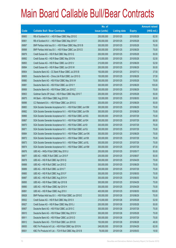|       |                                                               | No. of        |                     |               | <b>Amount raised</b> |
|-------|---------------------------------------------------------------|---------------|---------------------|---------------|----------------------|
| Code  | <b>Callable Bull / Bear Contracts</b>                         | issue (units) | <b>Listing date</b> | <b>Expiry</b> | $(HK$$ mil.)         |
| 69900 | RB of Scotland N.V. - HSI R Bear CBBC May 2010 E              | 250,000,000   | 2010/01/25          | 2010/05/28    | 62.50                |
| 69901 | RB of Scotland N.V. - HSI R Bear CBBC May 2010 F              | 250,000,000   | 2010/01/25          | 2010/05/28    | 62.50                |
| 69897 | BNP Paribas Arbit Issu B.V. - HSI R Bear CBBC May 2010 B      | 300,000,000   | 2010/01/25          | 2010/05/28    | 75.00                |
| 69898 | BNP Paribas Arbit Issu B.V. - HSI R Bear CBBC Jun 2010 D      | 300,000,000   | 2010/01/25          | 2010/06/29    | 75.00                |
| 69879 | Credit Suisse AG - HSI R Bull CBBC May 2010 Q                 | 200,000,000   | 2010/01/25          | 2010/05/28    | 50.00                |
| 69892 | Credit Suisse AG - HSI R Bear CBBC May 2010 N                 | 210,000,000   | 2010/01/25          | 2010/05/28    | 52.50                |
| 69893 | Credit Suisse AG - HSI R Bear CBBC Jun 2010 V                 | 210,000,000   | 2010/01/25          | 2010/06/29    | 52.50                |
| 69894 | Credit Suisse AG - HSI R Bear CBBC Jun 2010 W                 | 200,000,000   | 2010/01/25          | 2010/06/29    | 50.00                |
| 69904 | Deutsche Bank AG - CC Bank R Bear CBBC Jul 2010 B             | 150,000,000   | 2010/01/25          | 2010/07/12    | 37.50                |
| 69905 | Deutsche Bank AG - China Life R Bull CBBC Jun 2010 G          | 150,000,000   | 2010/01/25          | 2010/06/28    | 37.50                |
| 69880 | Deutsche Bank AG - HSI R Bull CBBC May 2010 W                 | 300,000,000   | 2010/01/25          | 2010/05/28    | 75.00                |
| 69881 | Deutsche Bank AG - HSI R Bull CBBC Jun 2010 Y                 | 300,000,000   | 2010/01/25          | 2010/06/29    | 105.00               |
| 69906 | Deutsche Bank AG - HSI R Bear CBBC Jun 2010 Z                 | 300,000,000   | 2010/01/25          | 2010/06/29    | 75.00                |
| 69903 | Goldman Sachs SP (Asia) - HSI R Bear CBBC May 2010 T          | 200,000,000   | 2010/01/25          | 2010/05/28    | 50.00                |
| 69875 | HK Bank - HSI R Bear CBBC Aug 2010 B                          | 120,000,000   | 2010/01/25          | 2010/08/30    | 30.00                |
| 69896 | CC Rabobank B.A. - HSI R Bear CBBC Jun 2010 G                 | 200,000,000   | 2010/01/25          | 2010/06/29    | 50.00                |
| 69883 | SGA Societe Generale Acceptance N.V. - HSI R Bull CBBC Jun10M | 300,000,000   | 2010/01/25          | 2010/06/29    | 75.00                |
| 69882 | SGA Societe Generale Acceptance N.V. - HSI R Bull CBBC Jun10N | 300,000,000   | 2010/01/25          | 2010/06/29    | 75.00                |
| 69866 | SGA Societe Generale Acceptance N.V. - HSI R Bull CBBC Jul10G | 300,000,000   | 2010/01/25          | 2010/07/29    | 75.00                |
| 69867 | SGA Societe Generale Acceptance N.V. - HSI R Bull CBBC Jul10H | 300,000,000   | 2010/01/25          | 2010/07/29    | 88.50                |
| 69870 | SGA Societe Generale Acceptance N.V. - HSI R Bull CBBC Jul10I | 300,000,000   | 2010/01/25          | 2010/07/29    | 75.00                |
| 69871 | SGA Societe Generale Acceptance N.V. - HSI R Bull CBBC Jul10J | 300,000,000   | 2010/01/25          | 2010/07/29    | 75.00                |
| 69884 | SGA Societe Generale Acceptance N.V. - HSI R Bear CBBC Jun10K | 300,000,000   | 2010/01/25          | 2010/06/29    | 75.00                |
| 69872 | SGA Societe Generale Acceptance N.V. - HSI R Bear CBBC Jul10K | 300,000,000   | 2010/01/25          | 2010/07/29    | 75.00                |
| 69873 | SGA Societe Generale Acceptance N.V. - HSI R Bear CBBC Jul10L | 300,000,000   | 2010/01/25          | 2010/07/29    | 75.00                |
| 69874 | SGA Societe Generale Acceptance N.V. - HSI R Bear CBBC Jul10M | 300,000,000   | 2010/01/25          | 2010/07/29    | 87.00                |
| 69876 | UBS AG - HKEx R Bull CBBC May 2010 U                          | 200,000,000   | 2010/01/25          | 2010/05/17    | 50.00                |
| 69877 | UBS AG - HSBC R Bull CBBC Jun 2010 F                          | 200,000,000   | 2010/01/25          | 2010/06/07    | 50.00                |
| 69878 | UBS AG - HSI R Bull CBBC Apr 2010 Q                           | 300,000,000   | 2010/01/25          | 2010/04/29    | 75.00                |
| 69888 | UBS AG - HSI R Bull CBBC Jun 2010 Z                           | 300,000,000   | 2010/01/25          | 2010/06/29    | 75.00                |
| 69889 | UBS AG - HSI R Bull CBBC Jul 2010 T                           | 300,000,000   | 2010/01/25          | 2010/07/29    | 75.00                |
| 69885 | UBS AG - HSI R Bull CBBC Aug 2010 F                           | 300,000,000   | 2010/01/25          | 2010/08/30    | 75.00                |
| 69887 | UBS AG - HSI R Bull CBBC Aug 2010 H                           | 300,000,000   | 2010/01/25          | 2010/08/30    | 75.00                |
| 69895 | UBS AG - HSI R Bear CBBC Apr 2010 B                           | 300,000,000   | 2010/01/25          | 2010/04/29    | 75.00                |
| 69890 | UBS AG - HSI R Bear CBBC Apr 2010 H                           | 300,000,000   | 2010/01/25          | 2010/04/29    | 75.00                |
| 69891 | UBS AG - HSI R Bear CBBC Aug 2010 I                           | 400,000,000   | 2010/01/25          | 2010/08/30    | 100.00               |
| 69928 | BNP Paribas Arbit Issu B.V. - HSI R Bull CBBC Jun 2010 E      | 300,000,000   | 2010/01/26          | 2010/06/29    | 75.00                |
| 69932 | Credit Suisse AG - HSI R Bull CBBC May 2010 X                 | 210,000,000   | 2010/01/26          | 2010/05/28    | 52.50                |
| 69927 | Credit Suisse AG - HSI R Bear CBBC May 2010 J                 | 200,000,000   | 2010/01/26          | 2010/05/28    | 50.00                |
| 69907 | Deutsche Bank AG - HSI R Bull CBBC Jul 2010 C                 | 300,000,000   | 2010/01/26          | 2010/07/29    | 75.00                |
| 69910 | Deutsche Bank AG - HSI R Bear CBBC May 2010 V                 | 300,000,000   | 2010/01/26          | 2010/05/28    | 75.00                |
| 69911 | Deutsche Bank AG - HSI R Bear CBBC Jul 2010 D                 | 300,000,000   | 2010/01/26          | 2010/07/29    | 75.00                |
| 69912 | Deutsche Bank AG - TCH R Bull CBBC Jun 2010 B                 | 150,000,000   | 2010/01/26          | 2010/06/28    | 48.00                |
| 69930 | KBC Fin Products Int'l Ltd. - HSI R Bull CBBC Apr 2010 N      | 248,000,000   | 2010/01/26          | 2010/04/29    | 62.00                |
| 69931 | KBC Fin Products Int'l Ltd. - TCH R Bull CBBC May 2010 B      | 78,000,000    | 2010/01/26          | 2010/05/03    | 19.50                |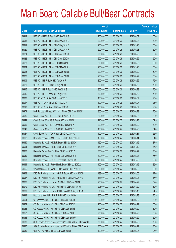|       |                                                               | No. of        |                     |               | <b>Amount raised</b> |
|-------|---------------------------------------------------------------|---------------|---------------------|---------------|----------------------|
| Code  | <b>Callable Bull / Bear Contracts</b>                         | issue (units) | <b>Listing date</b> | <b>Expiry</b> | (HK\$ mil.)          |
| 69914 | UBS AG - HSBC R Bear CBBC Jun 2010 G                          | 200,000,000   | 2010/01/26          | 2010/06/07    | 50.00                |
| 69918 | UBS AG - HSCEI R Bull CBBC May 2010 D                         | 200,000,000   | 2010/01/26          | 2010/05/28    | 50.00                |
| 69919 | UBS AG - HSCEI R Bull CBBC May 2010 E                         | 200,000,000   | 2010/01/26          | 2010/05/28    | 50.00                |
| 69920 | UBS AG - HSCEI R Bull CBBC May 2010 F                         | 200,000,000   | 2010/01/26          | 2010/05/28    | 50.00                |
| 69921 | UBS AG - HSCEI R Bull CBBC Jun 2010 C                         | 200,000,000   | 2010/01/26          | 2010/06/29    | 50.00                |
| 69922 | UBS AG - HSCEI R Bull CBBC Jun 2010 D                         | 200,000,000   | 2010/01/26          | 2010/06/29    | 50.00                |
| 69923 | UBS AG - HSCEI R Bear CBBC May 2010 G                         | 200,000,000   | 2010/01/26          | 2010/05/28    | 50.00                |
| 69924 | UBS AG - HSCEI R Bear CBBC May 2010 H                         | 200,000,000   | 2010/01/26          | 2010/05/28    | 50.00                |
| 69925 | UBS AG - HSCEI R Bear CBBC Jun 2010 E                         | 200,000,000   | 2010/01/26          | 2010/06/29    | 50.00                |
| 69926 | UBS AG - HSCEI R Bear CBBC Jun 2010 F                         | 200,000,000   | 2010/01/26          | 2010/06/29    | 50.00                |
| 69909 | UBS AG - HSI R Bull CBBC Apr 2010 P                           | 300,000,000   | 2010/01/26          | 2010/04/29    | 75.00                |
| 69929 | UBS AG - HSI R Bull CBBC Aug 2010 K                           | 300,000,000   | 2010/01/26          | 2010/08/30    | 75.00                |
| 69915 | UBS AG - HSI R Bear CBBC Jun 2010 G                           | 300,000,000   | 2010/01/26          | 2010/06/29    | 75.00                |
| 69916 | UBS AG - HSI R Bear CBBC Aug 2010 J                           | 300,000,000   | 2010/01/26          | 2010/08/30    | 75.00                |
| 69908 | UBS AG - TCH R Bull CBBC Jun 2010 E                           | 100,000,000   | 2010/01/26          | 2010/06/07    | 25.00                |
| 69917 | UBS AG - TCH R Bull CBBC Jun 2010 F                           | 100,000,000   | 2010/01/26          | 2010/06/07    | 25.00                |
| 69913 | UBS AG - TCH R Bear CBBC Jun 2010 G                           | 100,000,000   | 2010/01/26          | 2010/06/07    | 25.00                |
| 69971 | BNP Paribas Arbit Issu B.V. - HSI R Bear CBBC Jun 2010 F      | 300,000,000   | 2010/01/27          | 2010/06/29    | 75.00                |
| 69936 | Credit Suisse AG - HSI R Bull CBBC May 2010 Z                 | 200,000,000   | 2010/01/27          | 2010/05/28    | 50.00                |
| 69949 | Credit Suisse AG - HSI R Bear CBBC May 2010 I                 | 210,000,000   | 2010/01/27          | 2010/05/28    | 52.50                |
| 69950 | Credit Suisse AG - HSI R Bear CBBC Jun 2010 X                 | 200,000,000   | 2010/01/27          | 2010/06/29    | 50.00                |
| 69948 | Credit Suisse AG - TCH R Bull CBBC Jun 2010 B                 | 100,000,000   | 2010/01/27          | 2010/06/28    | 34.00                |
| 69947 | Credit Suisse AG - TCH R Bear CBBC May 2010 C                 | 100,000,000   | 2010/01/27          | 2010/05/31    | 25.00                |
| 69962 | Deutsche Bank AG - A50 China R Bull CBBC Jun 2010 B           | 150,000,000   | 2010/01/27          | 2010/06/14    | 51.00                |
| 69960 | Deutsche Bank AG - HKEx R Bear CBBC Jul 2010 C                | 150,000,000   | 2010/01/27          | 2010/07/19    | 37.50                |
| 69961 | Deutsche Bank AG - HSBC R Bull CBBC Jul 2010 A                | 150,000,000   | 2010/01/27          | 2010/07/19    | 37.50                |
| 69955 | Deutsche Bank AG - HSI R Bull CBBC Jun 2010 C                 | 300,000,000   | 2010/01/27          | 2010/06/29    | 78.00                |
| 69959 | Deutsche Bank AG - HSI R Bear CBBC May 2010 T                 | 300,000,000   | 2010/01/27          | 2010/05/28    | 75.00                |
| 69963 | Deutsche Bank AG - ICBC R Bear CBBC Jul 2010 A                | 100,000,000   | 2010/01/27          | 2010/07/26    | 25.00                |
| 69964 | Deutsche Bank AG - Petrochina R Bear CBBC Jul 2010 A          | 100,000,000   | 2010/01/27          | 2010/07/19    | 25.00                |
| 69965 | Goldman Sachs SP (Asia) - HSI R Bear CBBC Jun 2010 E          | 200,000,000   | 2010/01/27          | 2010/06/29    | 50.00                |
| 69968 | KBC Fin Products Int'l Ltd. - HKEx R Bear CBBC May 2010 B     | 188,000,000   | 2010/01/27          | 2010/05/05    | 47.00                |
| 69967 | KBC Fin Products Int'l Ltd. - HSBC R Bull CBBC May 2010 B     | 188,000,000   | 2010/01/27          | 2010/05/03    | 47.00                |
| 69966 | KBC Fin Products Int'l Ltd. - HSI R Bull CBBC Apr 2010 K      | 208,000,000   | 2010/01/27          | 2010/04/29    | 52.00                |
| 69970 | KBC Fin Products Int'l Ltd. - HSI R Bear CBBC Apr 2010 P      | 208,000,000   | 2010/01/27          | 2010/04/29    | 52.00                |
| 69969 | KBC Fin Products Int'l Ltd. - TCH R Bear CBBC May 2010 C      | 78,000,000    | 2010/01/27          | 2010/05/18    | 24.18                |
| 69933 | Macquarie Bank Ltd. - HSI R Bull CBBC May 2010 A              | 300,000,000   | 2010/01/27          | 2010/05/28    | 75.30                |
| 69951 | CC Rabobank B.A. - HSI R Bull CBBC Jun 2010 D                 | 200,000,000   | 2010/01/27          | 2010/06/29    | 50.00                |
| 69952 | CC Rabobank B.A. - HSI R Bull CBBC Jun 2010 R                 | 200,000,000   | 2010/01/27          | 2010/06/29    | 50.00                |
| 69958 | CC Rabobank B.A. - HSI R Bear CBBC Jun 2010 B                 | 200,000,000   | 2010/01/27          | 2010/06/29    | 50.00                |
| 69957 | CC Rabobank B.A. - HSI R Bear CBBC Jun 2010 T                 | 200,000,000   | 2010/01/27          | 2010/06/29    | 50.00                |
| 69956 | CC Rabobank B.A. - HSI R Bear CBBC Jun 2010 U                 | 200,000,000   | 2010/01/27          | 2010/06/29    | 50.00                |
| 69938 | SGA Societe Generale Acceptance N.V. - HSI R Bear CBBC Jun101 | 300,000,000   | 2010/01/27          | 2010/06/29    | 75.00                |
| 69937 | SGA Societe Generale Acceptance N.V. - HSI R Bear CBBC Jun10J | 300,000,000   | 2010/01/27          | 2010/06/29    | 75.00                |
| 69939 | UBS AG - CHALCO R Bear CBBC Jun 2010 I                        | 100,000,000   | 2010/01/27          | 2010/06/07    | 25.00                |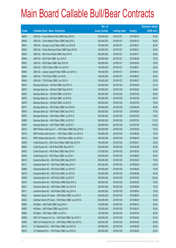|       |                                                          | No. of        |                     |               | <b>Amount raised</b> |
|-------|----------------------------------------------------------|---------------|---------------------|---------------|----------------------|
| Code  | <b>Callable Bull / Bear Contracts</b>                    | issue (units) | <b>Listing date</b> | <b>Expiry</b> | $(HK$$ mil.)         |
| 69934 | UBS AG - China Mobile R Bull CBBC May 2010 K             | 200,000,000   | 2010/01/27          | 2010/05/10    | 50.00                |
| 69940 | UBS AG - China Mobile R Bear CBBC May 2010 L             | 200,000,000   | 2010/01/27          | 2010/05/10    | 50.00                |
| 69941 | UBS AG - Sinopec Corp R Bear CBBC Jun 2010 B             | 100,000,000   | 2010/01/27          | 2010/06/21    | 25.00                |
| 69942 | UBS AG - China Shenhua R Bear CBBC May 2010 E            | 100,000,000   | 2010/01/27          | 2010/05/31    | 25.00                |
| 69935 | UBS AG - A50 China R Bull CBBC May 2010 F                | 200,000,000   | 2010/01/27          | 2010/05/17    | 50.00                |
| 69946 | UBS AG - HSI R Bull CBBC Jun 2010 E                      | 300,000,000   | 2010/01/27          | 2010/06/29    | 75.00                |
| 69953 | UBS AG - HSI R Bear CBBC May 2010 W                      | 300,000,000   | 2010/01/27          | 2010/05/28    | 75.00                |
| 69943 | UBS AG - ICBC R Bear CBBC Jun 2010 D                     | 100,000,000   | 2010/01/27          | 2010/06/21    | 25.00                |
| 69944 | UBS AG - Jiangxi Copper R Bear CBBC Jun 2010 G           | 100,000,000   | 2010/01/27          | 2010/06/14    | 34.50                |
| 69954 | UBS AG - TCH R Bull CBBC Jun 2010 I                      | 100,000,000   | 2010/01/27          | 2010/06/07    | 30.00                |
| 69945 | UBS AG - TCH R Bear CBBC Jun 2010 H                      | 100,000,000   | 2010/01/27          | 2010/06/07    | 25.00                |
| 69972 | Barclays Bank plc - HSI Bull CBBC Apr 2010 A             | 300,000,000   | 2010/01/28          | 2010/04/29    | 53.10                |
| 69973 | Barclays Bank plc - HSI Bull CBBC May 2010 A             | 300,000,000   | 2010/01/28          | 2010/05/28    | 45.90                |
| 69974 | Barclays Bank plc - HSI Bull CBBC Jul 2010 A             | 300,000,000   | 2010/01/28          | 2010/07/29    | 99.00                |
| 69975 | Barclays Bank plc - HSI Bull CBBC Jul 2010 B             | 300,000,000   | 2010/01/28          | 2010/07/29    | 89.70                |
| 69976 | Barclays Bank plc - HSI Bull CBBC Jul 2010 C             | 300,000,000   | 2010/01/28          | 2010/07/29    | 79.20                |
| 69977 | Barclays Bank plc - HSI R Bear CBBC Apr 2010 B           | 300,000,000   | 2010/01/28          | 2010/04/29    | 48.60                |
| 69978 | Barclays Bank plc - HSI R Bear CBBC Apr 2010 C           | 300,000,000   | 2010/01/28          | 2010/04/29    | 57.00                |
| 69979 | Barclays Bank plc - HSI R Bear CBBC Jul 2010 D           | 300,000,000   | 2010/01/28          | 2010/07/29    | 76.20                |
| 69980 | Barclays Bank plc - HSI R Bear CBBC Jul 2010 E           | 300,000,000   | 2010/01/28          | 2010/07/29    | 115.20               |
| 69981 | Barclays Bank plc - HSI R Bear CBBC Jul 2010 F           | 300,000,000   | 2010/01/28          | 2010/07/29    | 130.80               |
| 60014 | BNP Paribas Arbit Issu B.V. - HSI R Bear CBBC May 2010 D | 300,000,000   | 2010/01/28          | 2010/05/28    | 75.00                |
| 60015 | BNP Paribas Arbit Issu B.V. - HSI R Bear CBBC Jun 2010 G | 300,000,000   | 2010/01/28          | 2010/06/29    | 75.00                |
| 60016 | BNP Paribas Arbit Issu B.V. - HSI R Bear CBBC Jun 2010 H | 300,000,000   | 2010/01/28          | 2010/06/29    | 75.00                |
| 60009 | Credit Suisse AG - A50 China R Bear CBBC May 2010 E      | 100,000,000   | 2010/01/28          | 2010/05/31    | 25.00                |
| 69982 | Credit Suisse AG - HSI R Bull CBBC May 2010 E            | 200,000,000   | 2010/01/28          | 2010/05/28    | 50.00                |
| 60007 | Credit Suisse AG - HSI R Bear CBBC May 2010 K            | 210,000,000   | 2010/01/28          | 2010/05/28    | 52.50                |
| 60008 | Credit Suisse AG - HSI R Bear CBBC Jun 2010 Y            | 200,000,000   | 2010/01/28          | 2010/06/29    | 50.00                |
| 60018 | Deutsche Bank AG - HSI R Bull CBBC May 2010 R            | 300,000,000   | 2010/01/28          | 2010/05/28    | 75.00                |
| 60017 | Deutsche Bank AG - HSI R Bull CBBC May 2010 Y            | 300,000,000   | 2010/01/28          | 2010/05/28    | 84.00                |
| 69985 | Deutsche Bank AG - HSI R Bull CBBC Jun 2010 D            | 300,000,000   | 2010/01/28          | 2010/06/29    | 75.00                |
| 60019 | Deutsche Bank AG - HSI R Bull CBBC Jun 2010 E            | 300,000,000   | 2010/01/28          | 2010/06/29    | 93.00                |
| 60020 | Deutsche Bank AG - HSI R Bull CBBC Jul 2010 E            | 300,000,000   | 2010/01/28          | 2010/07/29    | 102.00               |
| 60010 | Deutsche Bank AG - HSI R Bear CBBC May 2010 U            | 300,000,000   | 2010/01/28          | 2010/05/28    | 75.00                |
| 60021 | Deutsche Bank AG - HSI R Bear CBBC Jun 2010 G            | 300,000,000   | 2010/01/28          | 2010/06/29    | 75.00                |
| 60011 | Deutsche Bank AG - HSI R Bear CBBC Aug 2010 A            | 300,000,000   | 2010/01/28          | 2010/08/30    | 75.00                |
| 60022 | Goldman Sachs SP (Asia) - HSI R Bear CBBC Jun 2010 F     | 200,000,000   | 2010/01/28          | 2010/06/29    | 50.00                |
| 60023 | Goldman Sachs SP (Asia) - HSI R Bear CBBC Jun 2010 G     | 200,000,000   | 2010/01/28          | 2010/06/29    | 50.00                |
| 69983 | HK Bank - A50 R Bull CBBC Aug 2010 A                     | 120,000,000   | 2010/01/28          | 2010/08/12    | 30.00                |
| 69987 | HK Bank - A50 R Bear CBBC Aug 2010 B                     | 120,000,000   | 2010/01/28          | 2010/08/12    | 30.00                |
| 69984 | HK Bank - HSI R Bear CBBC Jul 2010 J                     | 120,000,000   | 2010/01/28          | 2010/07/29    | 30.00                |
| 69995 | KBC Fin Products Int'l Ltd. - HSI R Bull CBBC Apr 2010 O | 208,000,000   | 2010/01/28          | 2010/04/29    | 52.00                |
| 60006 | KBC Fin Products Int'l Ltd. - HSI R Bear CBBC Apr 2010 U | 248,000,000   | 2010/01/28          | 2010/04/29    | 62.00                |
| 60013 | CC Rabobank B.A. - HSI R Bear CBBC Jun 2010 K            | 200,000,000   | 2010/01/28          | 2010/06/29    | 50.00                |
| 60012 | CC Rabobank B.A. - HSI R Bear CBBC Jun 2010 Q            | 200,000,000   | 2010/01/28          | 2010/06/29    | 50.00                |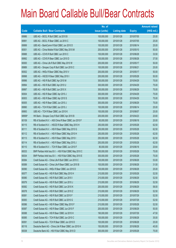|        |                                                          | No. of        |                     |               | <b>Amount raised</b> |
|--------|----------------------------------------------------------|---------------|---------------------|---------------|----------------------|
| Code   | <b>Callable Bull / Bear Contracts</b>                    | issue (units) | <b>Listing date</b> | <b>Expiry</b> | $(HK$$ mil.)         |
| 69986  | UBS AG - BOCL R Bull CBBC Jul 2010 B                     | 100,000,000   | 2010/01/28          | 2010/07/05    | 25.00                |
| 69991  | UBS AG - BOCL R Bear CBBC Jul 2010 C                     | 100,000,000   | 2010/01/28          | 2010/07/05    | 25.00                |
| 69999  | UBS AG - BankComm R Bull CBBC Jun 2010 D                 | 100,000,000   | 2010/01/28          | 2010/06/14    | 25.00                |
| 60001  | UBS AG - China Mobile R Bull CBBC May 2010 M             | 200,000,000   | 2010/01/28          | 2010/05/10    | 50.00                |
| 69988  | UBS AG - COVS R Bull CBBC Jun 2010 C                     | 100,000,000   | 2010/01/28          | 2010/06/28    | 33.50                |
| 69992  | UBS AG - COVS R Bear CBBC Jun 2010 D                     | 100,000,000   | 2010/01/28          | 2010/06/28    | 37.50                |
| 60000  | UBS AG - China Life R Bull CBBC May 2010 W               | 200,000,000   | 2010/01/28          | 2010/05/17    | 50.00                |
| 69989  | UBS AG - Sinopec Corp R Bull CBBC Jun 2010 C             | 100,000,000   | 2010/01/28          | 2010/06/21    | 25.00                |
| 60002  | UBS AG - HKEx R Bear CBBC May 2010 V                     | 200,000,000   | 2010/01/28          | 2010/05/17    | 50.00                |
| 69998  | UBS AG - HSCEI R Bear CBBC May 2010 I                    | 200,000,000   | 2010/01/28          | 2010/05/28    | 50.00                |
| 69996  | UBS AG - HSI R Bull CBBC Apr 2010 M                      | 300,000,000   | 2010/01/28          | 2010/04/29    | 75.00                |
| 69994  | UBS AG - HSI R Bull CBBC Apr 2010 U                      | 300,000,000   | 2010/01/28          | 2010/04/29    | 75.00                |
| 69997  | UBS AG - HSI R Bull CBBC Jun 2010 X                      | 300,000,000   | 2010/01/28          | 2010/06/29    | 75.00                |
| 60004  | UBS AG - HSI R Bear CBBC Apr 2010 J                      | 300,000,000   | 2010/01/28          | 2010/04/29    | 75.00                |
| 60003  | UBS AG - HSI R Bear CBBC Apr 2010 S                      | 300,000,000   | 2010/01/28          | 2010/04/29    | 75.00                |
| 60005  | UBS AG - HSI R Bear CBBC Jun 2010 J                      | 300,000,000   | 2010/01/28          | 2010/06/29    | 75.00                |
| 69990  | UBS AG - TCH R Bull CBBC Jun 2010 J                      | 100,000,000   | 2010/01/28          | 2010/06/14    | 25.00                |
| 69993  | UBS AG - TCH R Bear CBBC Jun 2010 K                      | 100,000,000   | 2010/01/28          | 2010/06/07    | 25.00                |
| 68956# | HK Bank - Sinopec Corp R Bull CBBC Apr 2010 B            | 200,000,000   | 2010/01/28          | 2010/04/23    | 20.60                |
| 60109  | RB of Scotland N.V. - A50 China R Bear CBBC Jun 2010 F   | 80,000,000    | 2010/01/29          | 2010/06/18    | 20.00                |
| 60115  | RB of Scotland N.V. - HSCEI R Bear CBBC May 2010 H       | 250,000,000   | 2010/01/29          | 2010/05/28    | 62.50                |
| 60111  | RB of Scotland N.V. - HSI R Bear CBBC May 2010 G         | 250,000,000   | 2010/01/29          | 2010/05/28    | 62.50                |
| 60112  | RB of Scotland N.V. - HSI R Bear CBBC May 2010 H         | 250,000,000   | 2010/01/29          | 2010/05/28    | 62.50                |
| 60113  | RB of Scotland N.V. - HSI R Bear CBBC May 2010 I         | 250,000,000   | 2010/01/29          | 2010/05/28    | 62.50                |
| 60114  | RB of Scotland N.V. - HSI R Bear CBBC May 2010 J         | 250,000,000   | 2010/01/29          | 2010/05/28    | 62.50                |
| 60110  | RB of Scotland N.V. - TCH R Bear CBBC Jun 2010 F         | 80,000,000    | 2010/01/29          | 2010/06/18    | 20.64                |
| 60033  | BNP Paribas Arbit Issu B.V. - HSI R Bull CBBC May 2010 C | 300,000,000   | 2010/01/29          | 2010/05/28    | 75.00                |
| 60034  | BNP Paribas Arbit Issu B.V. - HSI R Bull CBBC May 2010 E | 300,000,000   | 2010/01/29          | 2010/05/28    | 75.00                |
| 60084  | Credit Suisse AG - China Life R Bull CBBC Jun 2010 C     | 100,000,000   | 2010/01/29          | 2010/06/28    | 53.00                |
| 60089  | Credit Suisse AG - China Life R Bear CBBC Jun 2010 B     | 100,000,000   | 2010/01/29          | 2010/06/28    | 31.50                |
| 60090  | Credit Suisse AG - HKEx R Bear CBBC Jun 2010 D           | 100,000,000   | 2010/01/29          | 2010/06/28    | 25.00                |
| 60077  | Credit Suisse AG - HSI R Bull CBBC May 2010 H            | 210,000,000   | 2010/01/29          | 2010/05/28    | 52.50                |
| 60080  | Credit Suisse AG - HSI R Bull CBBC Jun 2010 I            | 210,000,000   | 2010/01/29          | 2010/06/29    | 52.50                |
| 60079  | Credit Suisse AG - HSI R Bull CBBC Jun 2010 J            | 210,000,000   | 2010/01/29          | 2010/06/29    | 52.50                |
| 60082  | Credit Suisse AG - HSI R Bull CBBC Jun 2010 K            | 200,000,000   | 2010/01/29          | 2010/06/29    | 58.00                |
| 60078  | Credit Suisse AG - HSI R Bull CBBC Jun 2010 Z            | 210,000,000   | 2010/01/29          | 2010/06/29    | 52.50                |
| 60081  | Credit Suisse AG - HSI R Bull CBBC Jul 2010 F            | 210,000,000   | 2010/01/29          | 2010/07/29    | 52.50                |
| 60083  | Credit Suisse AG - HSI R Bull CBBC Jul 2010 G            | 210,000,000   | 2010/01/29          | 2010/07/29    | 52.50                |
| 60086  | Credit Suisse AG - HSI R Bear CBBC May 2010 F            | 210,000,000   | 2010/01/29          | 2010/05/28    | 52.50                |
| 60087  | Credit Suisse AG - HSI R Bear CBBC Jun 2010 F            | 200,000,000   | 2010/01/29          | 2010/06/29    | 50.00                |
| 60088  | Credit Suisse AG - HSI R Bear CBBC Jul 2010 H            | 190,000,000   | 2010/01/29          | 2010/07/29    | 47.50                |
| 60085  | Credit Suisse AG - TCH R Bull CBBC Jun 2010 C            | 100,000,000   | 2010/01/29          | 2010/06/28    | 35.00                |
| 60091  | Credit Suisse AG - TCH R Bear CBBC Jun 2010 D            | 100,000,000   | 2010/01/29          | 2010/06/28    | 25.00                |
| 60116  | Deutsche Bank AG - China Life R Bear CBBC Jun 2010 H     | 150,000,000   | 2010/01/29          | 2010/06/28    | 45.00                |
| 60038  | Deutsche Bank AG - HSI R Bull CBBC May 2010 D            | 300,000,000   | 2010/01/29          | 2010/05/28    | 75.00                |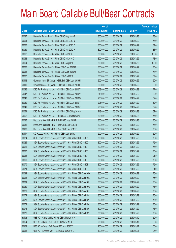|       |                                                               | No. of        |                     |               | <b>Amount raised</b> |
|-------|---------------------------------------------------------------|---------------|---------------------|---------------|----------------------|
| Code  | <b>Callable Bull / Bear Contracts</b>                         | issue (units) | <b>Listing date</b> | <b>Expiry</b> | (HK\$ mil.)          |
| 60037 | Deutsche Bank AG - HSI R Bull CBBC May 2010 F                 | 300,000,000   | 2010/01/29          | 2010/05/28    | 78.00                |
| 60061 | Deutsche Bank AG - HSI R Bull CBBC Jun 2010 N                 | 300,000,000   | 2010/01/29          | 2010/06/29    | 75.00                |
| 60060 | Deutsche Bank AG - HSI R Bull CBBC Jun 2010 O                 | 300,000,000   | 2010/01/29          | 2010/06/29    | 84.00                |
| 60039 | Deutsche Bank AG - HSI R Bull CBBC Jun 2010 P                 | 300,000,000   | 2010/01/29          | 2010/06/29    | 81.00                |
| 60062 | Deutsche Bank AG - HSI R Bull CBBC Jul 2010 F                 | 300,000,000   | 2010/01/29          | 2010/07/29    | 105.00               |
| 60063 | Deutsche Bank AG - HSI R Bull CBBC Jul 2010 G                 | 300,000,000   | 2010/01/29          | 2010/07/29    | 78.00                |
| 60064 | Deutsche Bank AG - HSI R Bull CBBC Aug 2010 B                 | 300,000,000   | 2010/01/29          | 2010/08/30    | 120.00               |
| 60065 | Deutsche Bank AG - HSI R Bear CBBC Jun 2010 M                 | 300,000,000   | 2010/01/29          | 2010/06/29    | 75.00                |
| 60066 | Deutsche Bank AG - HSI R Bear CBBC Jun 2010 Q                 | 300,000,000   | 2010/01/29          | 2010/06/29    | 78.00                |
| 60067 | Deutsche Bank AG - HSI R Bear CBBC Jul 2010 H                 | 300,000,000   | 2010/01/29          | 2010/07/29    | 87.00                |
| 60118 | Goldman Sachs SP (Asia) - HSI R Bull CBBC Jun 2010 H          | 200,000,000   | 2010/01/29          | 2010/06/29    | 50.00                |
| 60119 | Goldman Sachs SP (Asia) - HSI R Bull CBBC Jun 2010 I          | 200,000,000   | 2010/01/29          | 2010/06/29    | 50.00                |
| 60046 | KBC Fin Products Int'l Ltd. - HSI R Bull CBBC Apr 2010 T      | 308,000,000   | 2010/01/29          | 2010/04/29    | 77.00                |
| 60047 | KBC Fin Products Int'l Ltd. - HSI R Bull CBBC Apr 2010 V      | 248,000,000   | 2010/01/29          | 2010/04/29    | 62.00                |
| 60048 | KBC Fin Products Int'l Ltd. - HSI R Bull CBBC Apr 2010 W      | 208,000,000   | 2010/01/29          | 2010/04/29    | 52.00                |
| 60050 | KBC Fin Products Int'l Ltd. - HSI R Bull CBBC Apr 2010 Y      | 208,000,000   | 2010/01/29          | 2010/04/29    | 52.00                |
| 60049 | KBC Fin Products Int'l Ltd. - HSI R Bull CBBC Apr 2010 Z      | 208,000,000   | 2010/01/29          | 2010/04/29    | 52.00                |
| 60051 | KBC Fin Products Int'l Ltd. - HSI R Bull CBBC May 2010 H      | 248,000,000   | 2010/01/29          | 2010/05/28    | 62.00                |
| 60052 | KBC Fin Products Int'l Ltd. - HSI R Bear CBBC May 2010 I      | 308,000,000   | 2010/01/29          | 2010/05/28    | 77.00                |
| 60035 | Macquarie Bank Ltd. - HSI R Bull CBBC May 2010 B              | 300,000,000   | 2010/01/29          | 2010/05/28    | 75.00                |
| 60036 | Macquarie Bank Ltd. - HSI R Bear CBBC Apr 2010 D              | 300,000,000   | 2010/01/29          | 2010/04/29    | 75.00                |
| 60108 | Macquarie Bank Ltd. - HSI R Bear CBBC Apr 2010 E              | 300,000,000   | 2010/01/29          | 2010/04/29    | 75.00                |
| 60117 | CC Rabobank B.A. - HSI R Bear CBBC Jun 2010 J                 | 200,000,000   | 2010/01/29          | 2010/06/29    | 50.00                |
| 60024 | SGA Societe Generale Acceptance N.V. - HSI R Bull CBBC Jul10N | 300,000,000   | 2010/01/29          | 2010/07/29    | 75.00                |
| 60025 | SGA Societe Generale Acceptance N.V. - HSI R Bull CBBC Jul100 | 300,000,000   | 2010/01/29          | 2010/07/29    | 75.00                |
| 60026 | SGA Societe Generale Acceptance N.V. - HSI R Bull CBBC Jul10P | 300,000,000   | 2010/01/29          | 2010/07/29    | 75.00                |
| 60027 | SGA Societe Generale Acceptance N.V. - HSI R Bull CBBC Jul10Q | 300,000,000   | 2010/01/29          | 2010/07/29    | 75.00                |
| 60068 | SGA Societe Generale Acceptance N.V. - HSI R Bull CBBC Jul10R | 300,000,000   | 2010/01/29          | 2010/07/29    | 91.50                |
| 60069 | SGA Societe Generale Acceptance N.V. - HSI R Bull CBBC Jul10S | 300,000,000   | 2010/01/29          | 2010/07/29    | 75.00                |
| 60070 | SGA Societe Generale Acceptance N.V. - HSI R Bull CBBC Jul10T | 300,000,000   | 2010/01/29          | 2010/07/29    | 75.00                |
| 60071 | SGA Societe Generale Acceptance N.V. - HSI R Bull CBBC Jul10U | 300,000,000   | 2010/01/29          | 2010/07/29    | 81.00                |
| 60032 | SGA Societe Generale Acceptance N.V. - HSI R Bear CBBC Jun10D | 300,000,000   | 2010/01/29          | 2010/06/29    | 75.00                |
| 60028 | SGA Societe Generale Acceptance N.V. - HSI R Bear CBBC Jun10E | 300,000,000   | 2010/01/29          | 2010/06/29    | 75.00                |
| 60031 | SGA Societe Generale Acceptance N.V. - HSI R Bear CBBC Jun10F | 300,000,000   | 2010/01/29          | 2010/06/29    | 75.00                |
| 60030 | SGA Societe Generale Acceptance N.V. - HSI R Bear CBBC Jun10G | 300,000,000   | 2010/01/29          | 2010/06/29    | 75.00                |
| 60029 | SGA Societe Generale Acceptance N.V. - HSI R Bear CBBC Jun10Z | 300,000,000   | 2010/01/29          | 2010/06/29    | 75.00                |
| 60072 | SGA Societe Generale Acceptance N.V. - HSI R Bear CBBC Jul10V | 300,000,000   | 2010/01/29          | 2010/07/29    | 75.00                |
| 60073 | SGA Societe Generale Acceptance N.V. - HSI R Bear CBBC Jul10W | 300,000,000   | 2010/01/29          | 2010/07/29    | 75.00                |
| 60074 | SGA Societe Generale Acceptance N.V. - HSI R Bear CBBC Jul10X | 300,000,000   | 2010/01/29          | 2010/07/29    | 75.00                |
| 60075 | SGA Societe Generale Acceptance N.V. - HSI R Bear CBBC Jul10Y | 300,000,000   | 2010/01/29          | 2010/07/29    | 75.00                |
| 60076 | SGA Societe Generale Acceptance N.V. - HSI R Bear CBBC Jul10Z | 300,000,000   | 2010/01/29          | 2010/07/29    | 75.00                |
| 60103 | UBS AG - China Mobile R Bear CBBC May 2010 N                  | 200,000,000   | 2010/01/29          | 2010/05/10    | 50.00                |
| 60054 | UBS AG - China Life R Bull CBBC May 2010 X                    | 200,000,000   | 2010/01/29          | 2010/05/17    | 50.00                |
| 60102 | UBS AG - China Life R Bear CBBC May 2010 Y                    | 200,000,000   | 2010/01/29          | 2010/05/17    | 50.00                |
| 60055 | UBS AG - Sinopec Corp R Bull CBBC Jun 2010 D                  | 100,000,000   | 2010/01/29          | 2010/06/21    | 25.00                |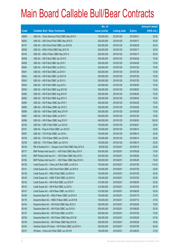|       |                                                           | No. of        |                     |               | <b>Amount raised</b> |
|-------|-----------------------------------------------------------|---------------|---------------------|---------------|----------------------|
| Code  | <b>Callable Bull / Bear Contracts</b>                     | issue (units) | <b>Listing date</b> | <b>Expiry</b> | $(HK$$ mil.)         |
| 60099 | UBS AG - China Shenhua R Bull CBBC May 2010 F             | 100,000,000   | 2010/01/29          | 2010/05/31    | 25.00                |
| 60053 | UBS AG - A50 China R Bull CBBC May 2010 G                 | 200,000,000   | 2010/01/29          | 2010/05/17    | 50.00                |
| 60107 | UBS AG - A50 China R Bull CBBC Jun 2010 B                 | 200,000,000   | 2010/01/29          | 2010/06/28    | 50.00                |
| 60056 | UBS AG - HKEx R Bull CBBC May 2010 W                      | 200,000,000   | 2010/01/29          | 2010/05/17    | 50.00                |
| 60104 | UBS AG - HKEx R Bear CBBC May 2010 X                      | 200,000,000   | 2010/01/29          | 2010/05/17    | 50.00                |
| 60058 | UBS AG - HSI R Bull CBBC Apr 2010 D                       | 300,000,000   | 2010/01/29          | 2010/04/29    | 75.00                |
| 60059 | UBS AG - HSI R Bull CBBC Apr 2010 I                       | 300,000,000   | 2010/01/29          | 2010/04/29    | 75.00                |
| 60040 | UBS AG - HSI R Bull CBBC Jul 2010 U                       | 300,000,000   | 2010/01/29          | 2010/07/29    | 75.00                |
| 60041 | UBS AG - HSI R Bull CBBC Jul 2010 V                       | 300,000,000   | 2010/01/29          | 2010/07/29    | 75.00                |
| 60042 | UBS AG - HSI R Bull CBBC Jul 2010 W                       | 300,000,000   | 2010/01/29          | 2010/07/29    | 75.00                |
| 60043 | UBS AG - HSI R Bull CBBC Jul 2010 X                       | 300,000,000   | 2010/01/29          | 2010/07/29    | 75.00                |
| 60044 | UBS AG - HSI R Bull CBBC Aug 2010 L                       | 300,000,000   | 2010/01/29          | 2010/08/30    | 75.00                |
| 60045 | UBS AG - HSI R Bull CBBC Aug 2010 M                       | 300,000,000   | 2010/01/29          | 2010/08/30    | 75.00                |
| 60092 | UBS AG - HSI R Bull CBBC Aug 2010 N                       | 300,000,000   | 2010/01/29          | 2010/08/30    | 75.00                |
| 60093 | UBS AG - HSI R Bull CBBC Aug 2010 O                       | 300,000,000   | 2010/01/29          | 2010/08/30    | 75.00                |
| 60094 | UBS AG - HSI R Bear CBBC Apr 2010 Y                       | 300,000,000   | 2010/01/29          | 2010/04/29    | 75.00                |
| 60095 | UBS AG - HSI R Bear CBBC Apr 2010 Z                       | 300,000,000   | 2010/01/29          | 2010/04/29    | 75.00                |
| 60096 | UBS AG - HSI R Bear CBBC May 2010 R                       | 300,000,000   | 2010/01/29          | 2010/05/28    | 75.00                |
| 60097 | UBS AG - HSI R Bear CBBC Jul 2010 Y                       | 300,000,000   | 2010/01/29          | 2010/07/29    | 75.00                |
| 60098 | UBS AG - HSI R Bear CBBC Aug 2010 P                       | 400,000,000   | 2010/01/29          | 2010/08/30    | 100.00               |
| 60100 | UBS AG - ICBC R Bull CBBC Jun 2010 E                      | 100,000,000   | 2010/01/29          | 2010/06/21    | 25.00                |
| 60101 | UBS AG - Ping An R Bull CBBC Jun 2010 E                   | 100,000,000   | 2010/01/29          | 2010/06/14    | 25.00                |
| 60057 | UBS AG - TCH R Bull CBBC Jun 2010 L                       | 100,000,000   | 2010/01/29          | 2010/06/14    | 25.00                |
| 60105 | UBS AG - TCH R Bear CBBC Jun 2010 M                       | 100,000,000   | 2010/01/29          | 2010/06/14    | 25.00                |
| 60106 | UBS AG - TCH R Bear CBBC Jun 2010 N                       | 100,000,000   | 2010/01/29          | 2010/06/14    | 25.00                |
| 60144 | RB of Scotland N.V. - Sinopec Corp R Bull CBBC May 2010 A | 80,000,000    | 2010/02/01          | 2010/05/18    | 20.00                |
| 60177 | BNP Paribas Arbit Issu B.V. - HSI R Bull CBBC May 2010 F  | 300,000,000   | 2010/02/01          | 2010/05/28    | 75.00                |
| 60181 | BNP Paribas Arbit Issu B.V. - HSI R Bear CBBC May 2010 I  | 300,000,000   | 2010/02/01          | 2010/05/28    | 75.00                |
| 60182 | BNP Paribas Arbit Issu B.V. - HSI R Bear CBBC May 2010 K  | 300,000,000   | 2010/02/01          | 2010/05/28    | 75.00                |
| 60139 | Credit Suisse AG - China Life R Bull CBBC Jul 2010 A      | 100,000,000   | 2010/02/01          | 2010/07/26    | 110.00               |
| 60141 | Credit Suisse AG - A50 China R Bull CBBC Jul 2010 A       | 100,000,000   | 2010/02/01          | 2010/07/26    | 34.00                |
| 60138 | Credit Suisse AG - HKEx R Bull CBBC Jul 2010 A            | 100,000,000   | 2010/02/01          | 2010/07/26    | 25.00                |
| 60140 | Credit Suisse AG - HSBC R Bull CBBC Jul 2010 A            | 100,000,000   | 2010/02/01          | 2010/07/26    | 25.00                |
| 60142 | Credit Suisse AG - HSI R Bull CBBC Jun 2010 P             | 210,000,000   | 2010/02/01          | 2010/06/29    | 52.50                |
| 60143 | Credit Suisse AG - HSI R Bull CBBC Jul 2010 I             | 210,000,000   | 2010/02/01          | 2010/07/29    | 56.70                |
| 60147 | Credit Suisse AG - HSI R Bear CBBC Jun 2010 O             | 210,000,000   | 2010/02/01          | 2010/06/29    | 52.50                |
| 60165 | Deutsche Bank AG - HKEx R Bear CBBC Jul 2010 D            | 150,000,000   | 2010/02/01          | 2010/07/19    | 37.50                |
| 60176 | Deutsche Bank AG - HSBC R Bear CBBC Jul 2010 B            | 150,000,000   | 2010/02/01          | 2010/07/12    | 37.50                |
| 60145 | Deutsche Bank AG - HSI R Bull CBBC May 2010 O             | 300,000,000   | 2010/02/01          | 2010/05/28    | 75.00                |
| 60146 | Deutsche Bank AG - HSI R Bull CBBC Jun 2010 K             | 300,000,000   | 2010/02/01          | 2010/06/29    | 93.00                |
| 60137 | Deutsche Bank AG - HSI R Bull CBBC Jul 2010 I             | 300,000,000   | 2010/02/01          | 2010/07/29    | 75.00                |
| 60150 | Deutsche Bank AG - HSI R Bear CBBC May 2010 M             | 300,000,000   | 2010/02/01          | 2010/05/28    | 87.00                |
| 60149 | Deutsche Bank AG - HSI R Bear CBBC May 2010 N             | 300,000,000   | 2010/02/01          | 2010/05/28    | 78.00                |
| 60164 | Goldman Sachs SP (Asia) - HSI R Bear CBBC Jul 2010 A      | 200,000,000   | 2010/02/01          | 2010/07/29    | 50.00                |
| 60127 | HK Bank - China Life R Bull CBBC Jun 2010 B               | 150,000,000   | 2010/02/01          | 2010/06/25    | 37.50                |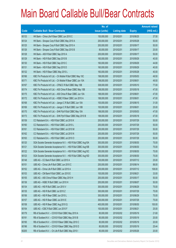|       |                                                               | No. of        |                     |               | <b>Amount raised</b> |
|-------|---------------------------------------------------------------|---------------|---------------------|---------------|----------------------|
| Code  | <b>Callable Bull / Bear Contracts</b>                         | issue (units) | <b>Listing date</b> | <b>Expiry</b> | $(HK$$ mil.)         |
| 60133 | HK Bank - China Life R Bear CBBC Jun 2010 C                   | 150,000,000   | 2010/02/01          | 2010/06/25    | 37.50                |
| 60124 | HK Bank - Sinopec Corp R Bull CBBC May 2010 A                 | 200,000,000   | 2010/02/01          | 2010/05/28    | 50.00                |
| 60125 | HK Bank - Sinopec Corp R Bull CBBC Sep 2010 A                 | 200,000,000   | 2010/02/01          | 2010/09/17    | 50.00                |
| 60126 | HK Bank - Sinopec Corp R Bull CBBC Sep 2010 B                 | 80,000,000    | 2010/02/01          | 2010/09/17    | 20.00                |
| 60128 | HK Bank - A50 R Bull CBBC Sep 2010 A                          | 200,000,000   | 2010/02/01          | 2010/09/17    | 50.00                |
| 60129 | HK Bank - HSI R Bull CBBC Sep 2010 B                          | 160,000,000   | 2010/02/01          | 2010/09/29    | 40.00                |
| 60130 | HK Bank - HSI R Bull CBBC Sep 2010 C                          | 160,000,000   | 2010/02/01          | 2010/09/29    | 44.80                |
| 60131 | HK Bank - HSI R Bull CBBC Sep 2010 D                          | 160,000,000   | 2010/02/01          | 2010/09/29    | 40.00                |
| 60132 | HK Bank - HSI R Bear CBBC May 2010 L                          | 160,000,000   | 2010/02/01          | 2010/05/28    | 40.00                |
| 60166 | KBC Fin Products Int'l Ltd. - Ch Mobile R Bull CBBC May 10C   | 198,000,000   | 2010/02/01          | 2010/05/03    | 49.50                |
| 60171 | KBC Fin Products Int'l Ltd. - Ch Mobile R Bear CBBC Jun 10A   | 198,000,000   | 2010/02/01          | 2010/06/01    | 49.50                |
| 60167 | KBC Fin Products Int'l Ltd. - CP&CC R Bull CBBC May 10B       | 308,000,000   | 2010/02/01          | 2010/05/10    | 77.00                |
| 60174 | KBC Fin Products Int'l Ltd. - A50 China R Bear CBBC May 10B   | 188,000,000   | 2010/02/01          | 2010/05/18    | 47.00                |
| 60175 | KBC Fin Products Int'l Ltd. - A50 China R Bear CBBC Jun 10A   | 188,000,000   | 2010/02/01          | 2010/06/01    | 47.00                |
| 60172 | KBC Fin Products Int'l Ltd. - HSBC R Bear CBBC Jun 2010 A     | 188,000,000   | 2010/02/01          | 2010/06/01    | 47.00                |
| 60168 | KBC Fin Products Int'l Ltd. - Jiangxi C R Bull CBBC Jun 10A   | 100,000,000   | 2010/02/01          | 2010/06/15    | 31.00                |
| 60169 | KBC Fin Products Int'l Ltd. - Jiangxi C R Bull CBBC Jun 10B   | 100,000,000   | 2010/02/01          | 2010/06/01    | 25.00                |
| 60170 | KBC Fin Products Int'l Ltd. - SHK Ppt R Bull CBBC May 10A     | 188,000,000   | 2010/02/01          | 2010/05/03    | 47.00                |
| 60173 | KBC Fin Products Int'l Ltd. - SHK Ppt R Bear CBBC May 2010 B  | 188,000,000   | 2010/02/01          | 2010/05/18    | 47.00                |
| 60159 | CC Rabobank B.A. - HSI R Bull CBBC Jul 2010 K                 | 200,000,000   | 2010/02/01          | 2010/07/29    | 50.00                |
| 60160 | CC Rabobank B.A. - HSI R Bull CBBC Jul 2010 L                 | 200,000,000   | 2010/02/01          | 2010/07/29    | 50.00                |
| 60161 | CC Rabobank B.A. - HSI R Bull CBBC Jul 2010 M                 | 200,000,000   | 2010/02/01          | 2010/07/29    | 50.00                |
| 60162 | CC Rabobank B.A. - HSI R Bull CBBC Jul 2010 N                 | 200,000,000   | 2010/02/01          | 2010/07/29    | 50.00                |
| 60163 | CC Rabobank B.A. - HSI R Bull CBBC Jul 2010 O                 | 200,000,000   | 2010/02/01          | 2010/07/29    | 50.00                |
| 60120 | SGA Societe Generale Acceptance N.V. - HSI R Bull CBBC Aug10A | 300,000,000   | 2010/02/01          | 2010/08/30    | 75.00                |
| 60121 | SGA Societe Generale Acceptance N.V. - HSI R Bull CBBC Aug10B | 300,000,000   | 2010/02/01          | 2010/08/30    | 75.00                |
| 60122 | SGA Societe Generale Acceptance N.V. - HSI R Bull CBBC Aug10C | 300,000,000   | 2010/02/01          | 2010/08/30    | 75.00                |
| 60123 | SGA Societe Generale Acceptance N.V. - HSI R Bull CBBC Aug10D | 300,000,000   | 2010/02/01          | 2010/08/30    | 75.00                |
| 60148 | UBS AG - CC Bank R Bull CBBC Jul 2010 A                       | 100,000,000   | 2010/02/01          | 2010/07/12    | 25.00                |
| 60151 | UBS AG - China Life R Bull CBBC Jun 2010 C                    | 200,000,000   | 2010/02/01          | 2010/06/14    | 88.00                |
| 60152 | UBS AG - China Life R Bull CBBC Jul 2010 A                    | 200,000,000   | 2010/02/01          | 2010/07/12    | 108.00               |
| 60153 | UBS AG - CM Bank R Bull CBBC Jun 2010 E                       | 100,000,000   | 2010/02/01          | 2010/06/21    | 33.00                |
| 60155 | UBS AG - A50 China R Bear CBBC May 2010 H                     | 200,000,000   | 2010/02/01          | 2010/05/17    | 50.00                |
| 60136 | UBS AG - HSBC R Bull CBBC Jun 2010 H                          | 200,000,000   | 2010/02/01          | 2010/06/07    | 50.00                |
| 60134 | UBS AG - HSI R Bull CBBC Jun 2010 V                           | 300,000,000   | 2010/02/01          | 2010/06/29    | 75.00                |
| 60135 | UBS AG - HSI R Bull CBBC Jul 2010 Z                           | 300,000,000   | 2010/02/01          | 2010/07/29    | 75.00                |
| 60156 | UBS AG - HSI R Bear CBBC Jun 2010 L                           | 300,000,000   | 2010/02/01          | 2010/06/29    | 75.00                |
| 60157 | UBS AG - HSI R Bear CBBC Jul 2010 E                           | 300,000,000   | 2010/02/01          | 2010/07/29    | 75.00                |
| 60158 | UBS AG - HSI R Bear CBBC Aug 2010 Q                           | 400,000,000   | 2010/02/01          | 2010/08/30    | 100.00               |
| 60154 | UBS AG - ICBC R Bull CBBC Jun 2010 F                          | 100,000,000   | 2010/02/01          | 2010/06/21    | 25.00                |
| 60179 | RB of Scotland N.V. - COVS R Bull CBBC May 2010 A             | 80,000,000    | 2010/02/02          | 2010/05/19    | 21.60                |
| 60191 | RB of Scotland N.V. - COVS R Bull CBBC May 2010 B             | 80,000,000    | 2010/02/02          | 2010/05/19    | 20.00                |
| 60195 | RB of Scotland N.V. - COVS R Bear CBBC May 2010 C             | 80,000,000    | 2010/02/02          | 2010/05/19    | 20.00                |
| 60196 | RB of Scotland N.V. - COVS R Bear CBBC May 2010 D             | 80,000,000    | 2010/02/02          | 2010/05/19    | 25.44                |
| 60205 | RB of Scotland N.V. - Ch Life R Bull CBBC May 2010 I          | 80,000,000    | 2010/02/02          | 2010/05/26    | 20.00                |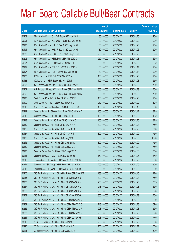|       |                                                             | No. of        |                     |               | <b>Amount raised</b> |
|-------|-------------------------------------------------------------|---------------|---------------------|---------------|----------------------|
| Code  | <b>Callable Bull / Bear Contracts</b>                       | issue (units) | <b>Listing date</b> | <b>Expiry</b> | $(HK$$ mil.)         |
| 60209 | RB of Scotland N.V. - Ch Life R Bear CBBC May 2010 J        | 80,000,000    | 2010/02/02          | 2010/05/26    | 20.00                |
| 60204 | RB of Scotland N.V. - A50 China R Bull CBBC May 2010 A      | 80,000,000    | 2010/02/02          | 2010/05/20    | 20.00                |
| 60193 | RB of Scotland N.V. - HKEx R Bear CBBC May 2010 H           | 80,000,000    | 2010/02/02          | 2010/05/26    | 20.00                |
| 60194 | RB of Scotland N.V. - HKEx R Bear CBBC May 2010 I           | 80,000,000    | 2010/02/02          | 2010/05/26    | 20.00                |
| 60208 | RB of Scotland N.V. - HSCEI R Bear CBBC May 2010 I          | 250,000,000   | 2010/02/02          | 2010/05/28    | 62.50                |
| 60206 | RB of Scotland N.V. - HSI R Bear CBBC May 2010 K            | 250,000,000   | 2010/02/02          | 2010/05/28    | 62.50                |
| 60207 | RB of Scotland N.V. - HSI R Bear CBBC May 2010 L            | 250,000,000   | 2010/02/02          | 2010/05/28    | 62.50                |
| 60192 | RB of Scotland N.V. - TCH R Bull CBBC May 2010 A            | 80,000,000    | 2010/02/02          | 2010/05/14    | 20.00                |
| 60197 | RB of Scotland N.V. - TCH R Bear CBBC May 2010 B            | 80,000,000    | 2010/02/02          | 2010/05/14    | 20.00                |
| 60178 | BOCI Asia Ltd. - HSI R Bull CBBC May 2010 A                 | 100,000,000   | 2010/02/02          | 2010/05/28    | 25.00                |
| 60183 | BOCI Asia Ltd. - HSI R Bear CBBC May 2010 B                 | 100,000,000   | 2010/02/02          | 2010/05/28    | 25.00                |
| 60203 | BNP Paribas Arbit Issu B.V. - HSI R Bull CBBC May 2010 J    | 300,000,000   | 2010/02/02          | 2010/05/28    | 75.00                |
| 60201 | BNP Paribas Arbit Issu B.V. - HSI R Bear CBBC Jun 2010 I    | 300,000,000   | 2010/02/02          | 2010/06/29    | 75.00                |
| 60202 | BNP Paribas Arbit Issu B.V. - HSI R Bear CBBC Jun 2010 J    | 300,000,000   | 2010/02/02          | 2010/06/29    | 75.00                |
| 60198 | Credit Suisse AG - HKEx R Bear CBBC Jun 2010 E              | 100,000,000   | 2010/02/02          | 2010/06/28    | 25.00                |
| 60199 | Credit Suisse AG - HSI R Bear CBBC Jun 2010 Q               | 210,000,000   | 2010/02/02          | 2010/06/29    | 52.50                |
| 60210 | Deutsche Bank AG - China Life R Bull CBBC Jul 2010 A        | 150,000,000   | 2010/02/02          | 2010/07/19    | 69.00                |
| 60211 | Deutsche Bank AG - Sinopec Corp R Bull CBBC Jul 2010 A      | 150,000,000   | 2010/02/02          | 2010/07/12    | 37.50                |
| 60212 | Deutsche Bank AG - HKEx R Bull CBBC Jul 2010 E              | 150,000,000   | 2010/02/02          | 2010/07/26    | 49.50                |
| 60213 | Deutsche Bank AG - HSBC R Bull CBBC Jul 2010 C              | 150,000,000   | 2010/02/02          | 2010/07/26    | 37.50                |
| 60180 | Deutsche Bank AG - HSI R Bull CBBC May 2010 A               | 300,000,000   | 2010/02/02          | 2010/05/28    | 75.00                |
| 60186 | Deutsche Bank AG - HSI R Bull CBBC Jun 2010 S               | 300,000,000   | 2010/02/02          | 2010/06/29    | 87.00                |
| 60187 | Deutsche Bank AG - HSI R Bull CBBC Jul 2010 J               | 300,000,000   | 2010/02/02          | 2010/07/29    | 75.00                |
| 60188 | Deutsche Bank AG - HSI R Bull CBBC Aug 2010 C               | 300,000,000   | 2010/02/02          | 2010/08/30    | 102.00               |
| 60215 | Deutsche Bank AG - HSI R Bear CBBC Jun 2010 J               | 300,000,000   | 2010/02/02          | 2010/06/29    | 75.00                |
| 60189 | Deutsche Bank AG - HSI R Bear CBBC Jul 2010 K               | 300,000,000   | 2010/02/02          | 2010/07/29    | 75.00                |
| 60190 | Deutsche Bank AG - HSI R Bear CBBC Aug 2010 D               | 300,000,000   | 2010/02/02          | 2010/08/30    | 75.00                |
| 60214 | Deutsche Bank AG - ICBC R Bull CBBC Jul 2010 B              | 150,000,000   | 2010/02/02          | 2010/07/26    | 37.50                |
| 60216 | Goldman Sachs SP (Asia) - HSI R Bear CBBC Jul 2010 B        | 200,000,000   | 2010/02/02          | 2010/07/29    | 50.00                |
| 60217 | Goldman Sachs SP (Asia) - HSI R Bear CBBC Jul 2010 C        | 200,000,000   | 2010/02/02          | 2010/07/29    | 50.00                |
| 60218 | Goldman Sachs SP (Asia) - HSI R Bear CBBC Jul 2010 D        | 200,000,000   | 2010/02/02          | 2010/07/29    | 50.00                |
| 60200 | KBC Fin Products Int'l Ltd. - Ch Mobile R Bear CBBC Jun 10B | 188,000,000   | 2010/02/02          | 2010/06/10    | 47.00                |
| 60255 | KBC Fin Products Int'l Ltd. - HSI R Bull CBBC May 2010 J    | 300,000,000   | 2010/02/02          | 2010/05/28    | 75.00                |
| 60256 | KBC Fin Products Int'l Ltd. - HSI R Bull CBBC May 2010 K    | 208,000,000   | 2010/02/02          | 2010/05/28    | 58.24                |
| 60257 | KBC Fin Products Int'l Ltd. - HSI R Bull CBBC May 2010 L    | 248,000,000   | 2010/02/02          | 2010/05/28    | 62.00                |
| 60258 | KBC Fin Products Int'l Ltd. - HSI R Bull CBBC May 2010 M    | 208,000,000   | 2010/02/02          | 2010/05/28    | 52.00                |
| 60259 | KBC Fin Products Int'l Ltd. - HSI R Bull CBBC Jun 2010 G    | 300,000,000   | 2010/02/02          | 2010/06/29    | 75.00                |
| 60260 | KBC Fin Products Int'l Ltd. - HSI R Bear CBBC May 2010 N    | 208,000,000   | 2010/02/02          | 2010/05/28    | 52.00                |
| 60261 | KBC Fin Products Int'l Ltd. - HSI R Bear CBBC May 2010 O    | 248,000,000   | 2010/02/02          | 2010/05/28    | 62.00                |
| 60262 | KBC Fin Products Int'l Ltd. - HSI R Bear CBBC May 2010 P    | 208,000,000   | 2010/02/02          | 2010/05/28    | 52.00                |
| 60263 | KBC Fin Products Int'l Ltd. - HSI R Bear CBBC May 2010 Q    | 208,000,000   | 2010/02/02          | 2010/05/28    | 52.00                |
| 60264 | KBC Fin Products Int'l Ltd. - HSI R Bear CBBC Jun 2010 H    | 308,000,000   | 2010/02/02          | 2010/06/29    | 77.00                |
| 60219 | CC Rabobank B.A. - HSI R Bull CBBC Jul 2010 P               | 200,000,000   | 2010/02/02          | 2010/07/29    | 50.00                |
| 60220 | CC Rabobank B.A. - HSI R Bull CBBC Jul 2010 Q               | 200,000,000   | 2010/02/02          | 2010/07/29    | 50.00                |
| 60221 | CC Rabobank B.A. - HSI R Bear CBBC Jul 2010 R               | 200,000,000   | 2010/02/02          | 2010/07/29    | 50.00                |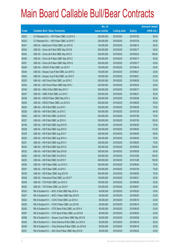|       |                                                            | No. of        |                     |               | <b>Amount raised</b> |
|-------|------------------------------------------------------------|---------------|---------------------|---------------|----------------------|
| Code  | <b>Callable Bull / Bear Contracts</b>                      | issue (units) | <b>Listing date</b> | <b>Expiry</b> | $(HK$$ mil.)         |
| 60222 | CC Rabobank B.A. - HSI R Bear CBBC Jul 2010 S              | 200,000,000   | 2010/02/02          | 2010/07/29    | 50.00                |
| 60223 | CC Rabobank B.A. - HSI R Bear CBBC Jul 2010 T              | 200,000,000   | 2010/02/02          | 2010/07/29    | 50.00                |
| 60241 | UBS AG - BankComm R Bull CBBC Jun 2010 E                   | 100,000,000   | 2010/02/02          | 2010/06/14    | 26.50                |
| 60243 | UBS AG - China Life R Bull CBBC May 2010 B                 | 200,000,000   | 2010/02/02          | 2010/05/17    | 50.00                |
| 60242 | UBS AG - China Life R Bull CBBC May 2010 Z                 | 200,000,000   | 2010/02/02          | 2010/05/24    | 108.00               |
| 60250 | UBS AG - China Life R Bear CBBC May 2010 C                 | 200,000,000   | 2010/02/02          | 2010/05/17    | 50.00                |
| 60251 | UBS AG - China Life R Bear CBBC May 2010 G                 | 200,000,000   | 2010/02/02          | 2010/05/17    | 50.00                |
| 60246 | UBS AG - CNOOC R Bull CBBC Jun 2010 F                      | 100,000,000   | 2010/02/02          | 2010/06/14    | 25.00                |
| 60244 | UBS AG - Sinopec Corp R Bull CBBC Jun 2010 E               | 100,000,000   | 2010/02/02          | 2010/06/21    | 25.00                |
| 60245 | UBS AG - Sinopec Corp R Bull CBBC Jun 2010 F               | 100,000,000   | 2010/02/02          | 2010/06/21    | 25.00                |
| 60253 | UBS AG - A50 China R Bull CBBC Jun 2010 C                  | 200,000,000   | 2010/02/02          | 2010/06/28    | 51.00                |
| 60254 | UBS AG - A50 China R Bear CBBC May 2010 I                  | 200,000,000   | 2010/02/02          | 2010/05/24    | 50.00                |
| 60184 | UBS AG - HKEx R Bull CBBC May 2010 Y                       | 200,000,000   | 2010/02/02          | 2010/05/17    | 50.00                |
| 60247 | UBS AG - HSBC R Bull CBBC Jun 2010 I                       | 200,000,000   | 2010/02/02          | 2010/06/21    | 50.00                |
| 60239 | UBS AG - HSCEI R Bear CBBC May 2010 J                      | 200,000,000   | 2010/02/02          | 2010/05/28    | 50.00                |
| 60240 | UBS AG - HSCEI R Bear CBBC Jun 2010 G                      | 200,000,000   | 2010/02/02          | 2010/06/29    | 50.00                |
| 60224 | UBS AG - HSI R Bull CBBC Jun 2010 I                        | 300,000,000   | 2010/02/02          | 2010/06/29    | 75.00                |
| 60226 | UBS AG - HSI R Bull CBBC Jul 2010 C                        | 300,000,000   | 2010/02/02          | 2010/07/29    | 84.00                |
| 60225 | UBS AG - HSI R Bull CBBC Jul 2010 D                        | 300,000,000   | 2010/02/02          | 2010/07/29    | 75.00                |
| 60227 | UBS AG - HSI R Bull CBBC Jul 2010 G                        | 300,000,000   | 2010/02/02          | 2010/07/29    | 129.00               |
| 60185 | UBS AG - HSI R Bull CBBC Aug 2010 R                        | 300,000,000   | 2010/02/02          | 2010/08/30    | 75.00                |
| 60228 | UBS AG - HSI R Bull CBBC Aug 2010 S                        | 300,000,000   | 2010/02/02          | 2010/08/30    | 114.00               |
| 60229 | UBS AG - HSI R Bull CBBC Aug 2010 T                        | 300,000,000   | 2010/02/02          | 2010/08/30    | 99.00                |
| 60230 | UBS AG - HSI R Bull CBBC Aug 2010 U                        | 300,000,000   | 2010/02/02          | 2010/08/30    | 75.00                |
| 60231 | UBS AG - HSI R Bull CBBC Aug 2010 V                        | 300,000,000   | 2010/02/02          | 2010/08/30    | 75.00                |
| 60232 | UBS AG - HSI R Bull CBBC Sep 2010 A                        | 300,000,000   | 2010/02/02          | 2010/09/29    | 129.00               |
| 60233 | UBS AG - HSI R Bull CBBC Sep 2010 B                        | 300,000,000   | 2010/02/02          | 2010/09/29    | 90.00                |
| 60234 | UBS AG - HSI R Bull CBBC Oct 2010 E                        | 300,000,000   | 2010/02/02          | 2010/10/28    | 100.50               |
| 60235 | UBS AG - HSI R Bull CBBC Oct 2010 F                        | 400,000,000   | 2010/02/02          | 2010/10/28    | 100.00               |
| 60236 | UBS AG - HSI R Bear CBBC Jun 2010 O                        | 300,000,000   | 2010/02/02          | 2010/06/29    | 75.00                |
| 60237 | UBS AG - HSI R Bear CBBC Jul 2010 I                        | 300,000,000   | 2010/02/02          | 2010/07/29    | 75.00                |
| 60238 | UBS AG - HSI R Bear CBBC Aug 2010 W                        | 300,000,000   | 2010/02/02          | 2010/08/30    | 75.00                |
| 60248 | UBS AG - Petrochina R Bull CBBC Jun 2010 F                 | 100,000,000   | 2010/02/02          | 2010/06/21    | 25.00                |
| 60249 | UBS AG - TCH R Bull CBBC Jun 2010 O                        | 100,000,000   | 2010/02/02          | 2010/06/28    | 25.00                |
| 60252 | UBS AG - TCH R Bear CBBC Jun 2010 P                        | 100,000,000   | 2010/02/02          | 2010/06/07    | 25.00                |
| 60323 | RB of Scotland N.V. - BOCL R Bull CBBC May 2010 A          | 80,000,000    | 2010/02/03          | 2010/05/20    | 20.00                |
| 60327 | RB of Scotland N.V. - BOCL R Bear CBBC May 2010 B          | 80,000,000    | 2010/02/03          | 2010/05/20    | 20.00                |
| 60324 | RB of Scotland N.V. - CCHC R Bull CBBC Jun 2010 A          | 80,000,000    | 2010/02/03          | 2010/06/18    | 20.00                |
| 60328 | RB of Scotland N.V. - CCHC R Bear CBBC Jun 2010 B          | 80,000,000    | 2010/02/03          | 2010/06/18    | 20.00                |
| 60293 | RB of Scotland N.V. - CITIC Bank R Bull CBBC Jun 2010 A    | 80,000,000    | 2010/02/03          | 2010/06/25    | 20.00                |
| 60297 | RB of Scotland N.V. - CITIC Bank R Bear CBBC Jun 2010 B    | 80,000,000    | 2010/02/03          | 2010/06/25    | 20.00                |
| 60298 | RB of Scotland N.V. - Sinopec Corp R Bear CBBC May 2010 B  | 80,000,000    | 2010/02/03          | 2010/05/06    | 20.00                |
| 60325 | RB of Scotland N.V. - China Shenhua R Bull CBBC Jun 2010 A | 80,000,000    | 2010/02/03          | 2010/06/18    | 20.00                |
| 60329 | RB of Scotland N.V. - China Shenhua R Bear CBBC Jun 2010 B | 80,000,000    | 2010/02/03          | 2010/06/18    | 20.00                |
| 60331 | RB of Scotland N.V. - A50 China R Bear CBBC May 2010 B     | 80,000,000    | 2010/02/03          | 2010/05/20    | 20.00                |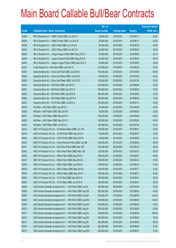|       |                                                                | No. of        |                     |               | <b>Amount raised</b> |
|-------|----------------------------------------------------------------|---------------|---------------------|---------------|----------------------|
| Code  | <b>Callable Bull / Bear Contracts</b>                          | issue (units) | <b>Listing date</b> | <b>Expiry</b> | (HK\$ mil.)          |
| 60294 | RB of Scotland N.V. - HSBC R Bull CBBC Jun 2010 A              | 80,000,000    | 2010/02/03          | 2010/06/11    | 20.00                |
| 60299 | RB of Scotland N.V. - HSBC R Bear CBBC Jun 2010 B              | 80,000,000    | 2010/02/03          | 2010/06/11    | 20.00                |
| 60326 | RB of Scotland N.V. - ICBC R Bull CBBC Jun 2010 A              | 80,000,000    | 2010/02/03          | 2010/06/18    | 20.00                |
| 60330 | RB of Scotland N.V. - ICBC R Bear CBBC Jun 2010 B              | 80,000,000    | 2010/02/03          | 2010/06/18    | 20.00                |
| 60295 | RB of Scotland N.V. - Jiangxi Copper R Bull CBBC May 2010 A    | 80,000,000    | 2010/02/03          | 2010/05/06    | 24.16                |
| 60296 | RB of Scotland N.V. - Jiangxi Copper R Bull CBBC May 2010 B    | 80,000,000    | 2010/02/03          | 2010/05/06    | 20.00                |
| 60300 | RB of Scotland N.V. - Jiangxi Copper R Bear CBBC May 2010 C    | 80,000,000    | 2010/02/03          | 2010/05/06    | 29.28                |
| 60301 | Credit Suisse AG - HSI R Bull CBBC Jun 2010 R                  | 210,000,000   | 2010/02/03          | 2010/06/29    | 52.50                |
| 60287 | Deutsche Bank AG - China Life R Bull CBBC Jul 2010 B           | 150,000,000   | 2010/02/03          | 2010/07/26    | 99.00                |
| 60288 | Deutsche Bank AG - China Life R Bear CBBC Jul 2010 C           | 150,000,000   | 2010/02/03          | 2010/07/26    | 40.50                |
| 60289 | Deutsche Bank AG - China Life R Bear CBBC Jul 2010 D           | 150,000,000   | 2010/02/03          | 2010/07/26    | 55.50                |
| 60284 | Deutsche Bank AG - HSI R Bull CBBC Jun 2010 T                  | 300,000,000   | 2010/02/03          | 2010/06/29    | 75.00                |
| 60291 | Deutsche Bank AG - HSI R Bull CBBC Sep 2010 A                  | 300,000,000   | 2010/02/03          | 2010/09/30    | 78.00                |
| 60292 | Deutsche Bank AG - HSI R Bull CBBC Sep 2010 B                  | 300,000,000   | 2010/02/03          | 2010/09/30    | 75.00                |
| 60285 | Deutsche Bank AG - HSI R Bear CBBC Aug 2010 E                  | 300,000,000   | 2010/02/03          | 2010/08/30    | 75.00                |
| 60322 | Deutsche Bank AG - TCH R Bull CBBC Jul 2010 A                  | 150,000,000   | 2010/02/03          | 2010/07/12    | 40.50                |
| 60279 | HK Bank - HSI R Bull CBBC Aug 2010 C                           | 80,000,000    | 2010/02/03          | 2010/08/30    | 20.00                |
| 60280 | HK Bank - HSI R Bear CBBC May 2010 M                           | 80,000,000    | 2010/02/03          | 2010/05/28    | 20.00                |
| 60281 | HK Bank - HSI R Bear CBBC May 2010 N                           | 160,000,000   | 2010/02/03          | 2010/05/28    | 40.00                |
| 60282 | HK Bank - HSI R Bear CBBC May 2010 O                           | 160,000,000   | 2010/02/03          | 2010/05/28    | 40.00                |
| 60283 | HK Bank - HSI R Bear CBBC Jul 2010 K                           | 160,000,000   | 2010/02/03          | 2010/07/29    | 40.00                |
| 60332 | KBC Fin Products Int'l Ltd. - Ch Mobile R Bear CBBC Jun 10C    | 188,000,000   | 2010/02/03          | 2010/06/01    | 47.00                |
| 60333 | KBC Fin Products Int'l Ltd. - COVS R Bull CBBC May 2010 A      | 40,000,000    | 2010/02/03          | 2010/05/27    | 10.00                |
| 60334 | KBC Fin Products Int'l Ltd. - COVS R Bull CBBC May 2010 B      | 38,000,000    | 2010/02/03          | 2010/05/28    | 12.16                |
| 60335 | KBC Fin Products Int'l Ltd. - China Shenhua R Bull CBBC Jun10B | 100,000,000   | 2010/02/03          | 2010/06/08    | 39.00                |
| 60341 | KBC Fin Products Int'l Ltd. - A50 China R Bull CBBC May 10C    | 120,000,000   | 2010/02/03          | 2010/05/10    | 30.00                |
| 60342 | KBC Fin Products Int'l Ltd. - A50 China R Bear CBBC May 10D    | 120,000,000   | 2010/02/03          | 2010/05/10    | 30.00                |
| 60336 | KBC Fin Products Int'l Ltd. - HKEx R Bull CBBC May 2010 C      | 188,000,000   | 2010/02/03          | 2010/05/07    | 48.88                |
| 60337 | KBC Fin Products Int'l Ltd. - HKEx R Bull CBBC May 2010 D      | 188,000,000   | 2010/02/03          | 2010/05/13    | 47.00                |
| 60338 | KBC Fin Products Int'l Ltd. - HKEx R Bull CBBC Jun 2010 B      | 188,000,000   | 2010/02/03          | 2010/06/15    | 47.00                |
| 60339 | KBC Fin Products Int'l Ltd. - HKEx R Bear CBBC May 2010 E      | 188,000,000   | 2010/02/03          | 2010/05/11    | 47.00                |
| 60340 | KBC Fin Products Int'l Ltd. - HKEx R Bear CBBC May 2010 F      | 188,000,000   | 2010/02/03          | 2010/05/17    | 52.64                |
| 60343 | KBC Fin Products Int'l Ltd. - TCH R Bull CBBC May 2010 D       | 100,000,000   | 2010/02/03          | 2010/05/03    | 25.00                |
| 60344 | KBC Fin Products Int'l Ltd. - TCH R Bear CBBC Jun 2010 A       | 100,000,000   | 2010/02/03          | 2010/06/01    | 35.00                |
| 60265 | SGA Societe Generale Acceptance N.V. - HSI R Bull CBBC Jul10J  | 300,000,000   | 2010/02/03          | 2010/07/29    | 75.00                |
| 60266 | SGA Societe Generale Acceptance N.V. - HSI R Bull CBBC Aug10E  | 300,000,000   | 2010/02/03          | 2010/08/30    | 85.50                |
| 60267 | SGA Societe Generale Acceptance N.V. - HSI R Bull CBBC Aug10F  | 300,000,000   | 2010/02/03          | 2010/08/30    | 103.50               |
| 60268 | SGA Societe Generale Acceptance N.V. - HSI R Bull CBBC Aug10G  | 300,000,000   | 2010/02/03          | 2010/08/30    | 120.00               |
| 60269 | SGA Societe Generale Acceptance N.V. - HSI R Bull CBBC Aug10H  | 300,000,000   | 2010/02/03          | 2010/08/30    | 78.00                |
| 60270 | SGA Societe Generale Acceptance N.V. - HSI R Bull CBBC Aug101  | 300,000,000   | 2010/02/03          | 2010/08/30    | 94.50                |
| 60271 | SGA Societe Generale Acceptance N.V. - HSI R Bull CBBC Aug10J  | 300,000,000   | 2010/02/03          | 2010/08/30    | 109.50               |
| 60272 | SGA Societe Generale Acceptance N.V. - HSI R Bull CBBC Aug10K  | 300,000,000   | 2010/02/03          | 2010/08/30    | 75.00                |
| 60273 | SGA Societe Generale Acceptance N.V. - HSI R Bull CBBC Aug10L  | 300,000,000   | 2010/02/03          | 2010/08/30    | 85.50                |
| 60274 | SGA Societe Generale Acceptance N.V. - HSI R Bull CBBC Aug10M  | 300,000,000   | 2010/02/03          | 2010/08/30    | 97.50                |
| 60275 | SGA Societe Generale Acceptance N.V. - HSI R Bull CBBC Aug10N  | 300,000,000   | 2010/02/03          | 2010/08/30    | 75.00                |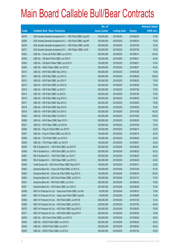|       |                                                               | No. of        |                     |               | <b>Amount raised</b> |
|-------|---------------------------------------------------------------|---------------|---------------------|---------------|----------------------|
| Code  | <b>Callable Bull / Bear Contracts</b>                         | issue (units) | <b>Listing date</b> | <b>Expiry</b> | $(HK$$ mil.)         |
| 60276 | SGA Societe Generale Acceptance N.V. - HSI R Bull CBBC Aug10O | 300,000,000   | 2010/02/03          | 2010/08/30    | 75.00                |
| 60290 | SGA Societe Generale Acceptance N.V. - HSI R Bull CBBC Aug10P | 300,000,000   | 2010/02/03          | 2010/08/30    | 75.00                |
| 60278 | SGA Societe Generale Acceptance N.V. - HSI R Bear CBBC Jul10H | 300,000,000   | 2010/02/03          | 2010/07/29    | 75.00                |
| 60277 | SGA Societe Generale Acceptance N.V. - HSI R Bear CBBC Jul101 | 300,000,000   | 2010/02/03          | 2010/07/29    | 75.00                |
| 60302 | UBS AG - China Life R Bull CBBC Jun 2010 D                    | 200,000,000   | 2010/02/03          | 2010/06/14    | 124.00               |
| 60303 | UBS AG - CM Bank R Bull CBBC Jun 2010 F                       | 100,000,000   | 2010/02/03          | 2010/06/21    | 44.50                |
| 60304 | UBS AG - CM Bank R Bear CBBC Jun 2010 G                       | 100,000,000   | 2010/02/03          | 2010/06/21    | 57.00                |
| 60305 | UBS AG - HKEx R Bear CBBC Jun 2010 E                          | 200,000,000   | 2010/02/03          | 2010/06/07    | 50.00                |
| 60310 | UBS AG - HSI R Bull CBBC May 2010 U                           | 300,000,000   | 2010/02/03          | 2010/05/28    | 75.00                |
| 60311 | UBS AG - HSI R Bull CBBC Jun 2010 K                           | 300,000,000   | 2010/02/03          | 2010/06/29    | 159.00               |
| 60313 | UBS AG - HSI R Bull CBBC Jun 2010 P                           | 300,000,000   | 2010/02/03          | 2010/06/29    | 75.00                |
| 60312 | UBS AG - HSI R Bull CBBC Jun 2010 Q                           | 300,000,000   | 2010/02/03          | 2010/06/29    | 75.00                |
| 60315 | UBS AG - HSI R Bull CBBC Jul 2010 F                           | 300,000,000   | 2010/02/03          | 2010/07/29    | 75.00                |
| 60314 | UBS AG - HSI R Bull CBBC Jul 2010 K                           | 300,000,000   | 2010/02/03          | 2010/07/29    | 75.00                |
| 60316 | UBS AG - HSI R Bull CBBC Aug 2010 X                           | 300,000,000   | 2010/02/03          | 2010/08/30    | 79.50                |
| 60317 | UBS AG - HSI R Bull CBBC Sep 2010 C                           | 300,000,000   | 2010/02/03          | 2010/09/29    | 79.50                |
| 60318 | UBS AG - HSI R Bull CBBC Sep 2010 D                           | 300,000,000   | 2010/02/03          | 2010/09/29    | 75.00                |
| 60319 | UBS AG - HSI R Bull CBBC Oct 2010 G                           | 300,000,000   | 2010/02/03          | 2010/10/28    | 142.50               |
| 60320 | UBS AG - HSI R Bull CBBC Oct 2010 H                           | 400,000,000   | 2010/02/03          | 2010/10/28    | 100.00               |
| 60286 | UBS AG - HSI R Bear CBBC May 2010 V                           | 300,000,000   | 2010/02/03          | 2010/05/28    | 75.00                |
| 60321 | UBS AG - HSI R Bear CBBC Jul 2010 M                           | 300,000,000   | 2010/02/03          | 2010/07/29    | 75.00                |
| 60306 | UBS AG - Ping An R Bull CBBC Jun 2010 F                       | 100,000,000   | 2010/02/03          | 2010/06/14    | 25.00                |
| 60307 | UBS AG - Ping An R Bear CBBC Jun 2010 G                       | 100,000,000   | 2010/02/03          | 2010/06/14    | 25.00                |
| 60308 | UBS AG - TCH R Bull CBBC Jun 2010 Q                           | 100,000,000   | 2010/02/03          | 2010/06/28    | 30.00                |
| 60309 | UBS AG - TCH R Bear CBBC Jun 2010 R                           | 100,000,000   | 2010/02/03          | 2010/06/07    | 25.00                |
| 60359 | RB of Scotland N.V. - HSI R Bull CBBC Jun 2010 R              | 250,000,000   | 2010/02/04          | 2010/06/29    | 68.25                |
| 60360 | RB of Scotland N.V. - HSI R Bull CBBC Jun 2010 S              | 250,000,000   | 2010/02/04          | 2010/06/29    | 64.25                |
| 60361 | RB of Scotland N.V. - HSI R Bull CBBC Jun 2010 T              | 250,000,000   | 2010/02/04          | 2010/06/29    | 62.50                |
| 60365 | RB of Scotland N.V. - HSI R Bear CBBC Jun 2010 U              | 250,000,000   | 2010/02/04          | 2010/06/29    | 62.50                |
| 60348 | Credit Suisse AG - A50 China R Bear CBBC May 2010 F           | 100,000,000   | 2010/02/04          | 2010/05/31    | 25.00                |
| 60362 | Deutsche Bank AG - China Life R Bull CBBC Jul 2010 E          | 150,000,000   | 2010/02/04          | 2010/07/26    | 87.00                |
| 60363 | Deutsche Bank AG - China Life R Bull CBBC Aug 2010 A          | 150,000,000   | 2010/02/04          | 2010/08/16    | 132.00               |
| 60364 | Deutsche Bank AG - A50 China R Bear CBBC Jul 2010 A           | 150,000,000   | 2010/02/04          | 2010/07/12    | 37.50                |
| 60347 | Deutsche Bank AG - HSI R Bull CBBC Jun 2010 I                 | 300,000,000   | 2010/02/04          | 2010/06/29    | 78.00                |
| 60351 | Deutsche Bank AG - HSI R Bear CBBC Jun 2010 H                 | 300,000,000   | 2010/02/04          | 2010/06/29    | 75.00                |
| 60366 | KBC Fin Products Int'l Ltd. - Geely Auto R Bull CBBC Jun10A   | 40,000,000    | 2010/02/04          | 2010/06/15    | 10.00                |
| 60367 | KBC Fin Products Int'l Ltd. - Geely Auto R Bull CBBC Aug10A   | 40,000,000    | 2010/02/04          | 2010/08/06    | 10.00                |
| 60368 | KBC Fin Products Int'l Ltd. - HSI R Bull CBBC Jul 2010 B      | 258,000,000   | 2010/02/04          | 2010/07/29    | 72.24                |
| 60369 | KBC Fin Products Int'l Ltd. - HSI R Bull CBBC Jul 2010 C      | 228,000,000   | 2010/02/04          | 2010/07/29    | 68.40                |
| 60370 | KBC Fin Products Int'l Ltd. - HSI R Bull CBBC Aug 2010 E      | 200,000,000   | 2010/02/04          | 2010/08/30    | 78.00                |
| 60371 | KBC Fin Products Int'l Ltd. - HSI R Bull CBBC Aug 2010 F      | 280,000,000   | 2010/02/04          | 2010/08/30    | 70.00                |
| 60358 | UBS AG - A50 China R Bull CBBC Jun 2010 D                     | 200,000,000   | 2010/02/04          | 2010/06/28    | 58.00                |
| 60353 | UBS AG - HSCEI R Bull CBBC Jun 2010 H                         | 200,000,000   | 2010/02/04          | 2010/06/29    | 50.00                |
| 60354 | UBS AG - HSCEI R Bull CBBC Jun 2010 I                         | 200,000,000   | 2010/02/04          | 2010/06/29    | 50.00                |
| 60355 | UBS AG - HSCEI R Bull CBBC Jul 2010 A                         | 200,000,000   | 2010/02/04          | 2010/07/29    | 50.00                |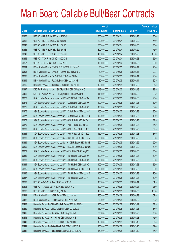|       |                                                                | No. of        |                     |               | <b>Amount raised</b> |
|-------|----------------------------------------------------------------|---------------|---------------------|---------------|----------------------|
| Code  | <b>Callable Bull / Bear Contracts</b>                          | issue (units) | <b>Listing date</b> | <b>Expiry</b> | $(HK$$ mil.)         |
| 60350 | UBS AG - HSI R Bull CBBC May 2010 Q                            | 300,000,000   | 2010/02/04          | 2010/05/28    | 75.00                |
| 60352 | UBS AG - HSI R Bull CBBC Jul 2010 O                            | 300,000,000   | 2010/02/04          | 2010/07/29    | 75.00                |
| 60346 | UBS AG - HSI R Bull CBBC Aug 2010 Y                            | 300,000,000   | 2010/02/04          | 2010/08/30    | 75.00                |
| 60345 | UBS AG - HSI R Bull CBBC Sep 2010 E                            | 300,000,000   | 2010/02/04          | 2010/09/29    | 75.00                |
| 60349 | UBS AG - HSI R Bear CBBC Sep 2010 F                            | 400,000,000   | 2010/02/04          | 2010/09/29    | 100.00               |
| 60356 | UBS AG - TCH R Bull CBBC Jun 2010 S                            | 100,000,000   | 2010/02/04          | 2010/06/28    | 25.00                |
| 60357 | UBS AG - TCH R Bull CBBC Jun 2010 T                            | 100,000,000   | 2010/02/04          | 2010/06/28    | 25.00                |
| 60394 | RB of Scotland N.V. - CNOOC R Bull CBBC Jun 2010 C             | 80,000,000    | 2010/02/05          | 2010/06/14    | 20.00                |
| 60398 | RB of Scotland N.V. - CNOOC R Bear CBBC Jun 2010 D             | 80,000,000    | 2010/02/05          | 2010/06/14    | 20.88                |
| 60395 | RB of Scotland N.V. - PetCh R Bull CBBC Jun 2010 A             | 80,000,000    | 2010/02/05          | 2010/06/14    | 20.00                |
| 60399 | RB of Scotland N.V. - PetCh R Bear CBBC Jun 2010 B             | 80,000,000    | 2010/02/05          | 2010/06/14    | 20.16                |
| 60396 | Deutsche Bank AG - China Life R Bull CBBC Jul 2010 F           | 150,000,000   | 2010/02/05          | 2010/07/26    | 37.50                |
| 60397 | KBC Fin Products Int'l Ltd. - SHK Ppt R Bull CBBC May 2010 C   | 118,000,000   | 2010/02/05          | 2010/05/18    | 29.50                |
| 60400 | KBC Fin Products Int'l Ltd. - SHK Ppt R Bull CBBC May 2010 D   | 118,000,000   | 2010/02/05          | 2010/05/05    | 29.50                |
| 60373 | SGA Societe Generale Acceptance N.V. - BYD R Bull CBBC Jun10A  | 100,000,000   | 2010/02/05          | 2010/06/30    | 25.00                |
| 60374 | SGA Societe Generale Acceptance N.V - CLife R Bull CBBC Jul10A | 100,000,000   | 2010/02/05          | 2010/07/28    | 42.00                |
| 60375 | SGA Societe Generale Acceptance N.V - CLife R Bull CBBC Jul10B | 100,000,000   | 2010/02/05          | 2010/07/28    | 32.00                |
| 60376 | SGA Societe Generale Acceptance N.V - CLife R Bear CBBC Jul10C | 100,000,000   | 2010/02/05          | 2010/07/28    | 30.00                |
| 60377 | SGA Societe Generale Acceptance N.V - CLife R Bear CBBC Jul10D | 100,000,000   | 2010/02/05          | 2010/07/28    | 40.00                |
| 60378 | SGA Societe Generale Acceptance N.V. - A50 R Bull CBBC Jul10A  | 150,000,000   | 2010/02/05          | 2010/07/28    | 37.50                |
| 60379 | SGA Societe Generale Acceptance N.V. - A50 R Bull CBBC Jul10B  | 150,000,000   | 2010/02/05          | 2010/07/28    | 37.50                |
| 60380 | SGA Societe Generale Acceptance N.V. - A50 R Bear CBBC Jul10C  | 150,000,000   | 2010/02/05          | 2010/07/28    | 37.50                |
| 60381 | SGA Societe Generale Acceptance N.V. - A50 R Bear CBBC Jul10D  | 150,000,000   | 2010/02/05          | 2010/07/28    | 37.50                |
| 60388 | SGA Societe Generale Acceptance NV - HSCEI R Bull CBBC Jul10A  | 200,000,000   | 2010/02/05          | 2010/07/29    | 50.00                |
| 60389 | SGA Societe Generale Acceptance NV - HSCEI R Bear CBBC Jul10B  | 200,000,000   | 2010/02/05          | 2010/07/29    | 50.00                |
| 60390 | SGA Societe Generale Acceptance NV - HSCEI R Bear CBBC Jul10C  | 200,000,000   | 2010/02/05          | 2010/07/29    | 50.00                |
| 60372 | SGA Societe Generale Acceptance N.V. - HSI R Bull CBBC Aug10Q  | 300,000,000   | 2010/02/05          | 2010/08/30    | 75.00                |
| 60382 | SGA Societe Generale Acceptance N.V. - TCH R Bull CBBC Jul10A  | 100,000,000   | 2010/02/05          | 2010/07/28    | 30.00                |
| 60383 | SGA Societe Generale Acceptance N.V. - TCH R Bull CBBC Jul10B  | 100,000,000   | 2010/02/05          | 2010/07/28    | 25.00                |
| 60384 | SGA Societe Generale Acceptance N.V. - TCH R Bull CBBC Jul10C  | 100,000,000   | 2010/02/05          | 2010/07/28    | 25.00                |
| 60385 | SGA Societe Generale Acceptance N.V. - TCH R Bear CBBC Jul10D  | 100,000,000   | 2010/02/05          | 2010/07/28    | 25.00                |
| 60386 | SGA Societe Generale Acceptance N.V. - TCH R Bear CBBC Jul10E  | 100,000,000   | 2010/02/05          | 2010/07/28    | 25.00                |
| 60387 | SGA Societe Generale Acceptance N.V. - TCH R Bear CBBC Jul10F  | 100,000,000   | 2010/02/05          | 2010/07/28    | 30.00                |
| 60393 | UBS AG - CNOOC R Bear CBBC Jun 2010 G                          | 100,000,000   | 2010/02/05          | 2010/06/14    | 31.50                |
| 60391 | UBS AG - Sinopec Corp R Bull CBBC Jun 2010 G                   | 100,000,000   | 2010/02/05          | 2010/06/21    | 25.00                |
| 60392 | UBS AG - HSI R Bull CBBC Aug 2010 Z                            | 400,000,000   | 2010/02/05          | 2010/08/30    | 100.00               |
| 60431 | RB of Scotland N.V. - HSI R Bear CBBC Jun 2010 V               | 250,000,000   | 2010/02/08          | 2010/06/29    | 62.50                |
| 60432 | RB of Scotland N.V. - HSI R Bear CBBC Jun 2010 W               | 250,000,000   | 2010/02/08          | 2010/06/29    | 62.50                |
| 60438 | Deutsche Bank AG - China Mobile R Bear CBBC Jul 2010 A         | 150,000,000   | 2010/02/08          | 2010/07/19    | 37.50                |
| 60439 | Deutsche Bank AG - CNOOC R Bear CBBC Jul 2010 A                | 150,000,000   | 2010/02/08          | 2010/07/26    | 37.50                |
| 60415 | Deutsche Bank AG - HSI R Bull CBBC May 2010 W                  | 300,000,000   | 2010/02/08          | 2010/05/28    | 75.00                |
| 60416 | Deutsche Bank AG - HSI R Bear CBBC May 2010 E                  | 300,000,000   | 2010/02/08          | 2010/05/28    | 75.00                |
| 60440 | Deutsche Bank AG - ICBC R Bull CBBC Jul 2010 C                 | 150,000,000   | 2010/02/08          | 2010/07/19    | 37.50                |
| 60441 | Deutsche Bank AG - Petrochina R Bull CBBC Jul 2010 B           | 150,000,000   | 2010/02/08          | 2010/07/26    | 39.00                |
| 60442 | Deutsche Bank AG - Petrochina R Bear CBBC Jul 2010 C           | 150,000,000   | 2010/02/08          | 2010/07/19    | 37.50                |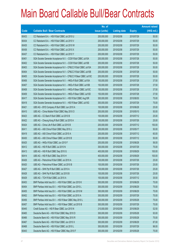|       |                                                                | No. of        |                     |               | <b>Amount raised</b> |
|-------|----------------------------------------------------------------|---------------|---------------------|---------------|----------------------|
| Code  | <b>Callable Bull / Bear Contracts</b>                          | issue (units) | <b>Listing date</b> | <b>Expiry</b> | (HK\$ mil.)          |
| 60433 | CC Rabobank B.A. - HSI R Bull CBBC Jul 2010 U                  | 200,000,000   | 2010/02/08          | 2010/07/29    | 50.00                |
| 60434 | CC Rabobank B.A. - HSI R Bull CBBC Jul 2010 V                  | 200,000,000   | 2010/02/08          | 2010/07/29    | 50.00                |
| 60435 | CC Rabobank B.A. - HSI R Bull CBBC Jul 2010 W                  | 200,000,000   | 2010/02/08          | 2010/07/29    | 50.00                |
| 60436 | CC Rabobank B.A. - HSI R Bull CBBC Jul 2010 X                  | 200,000,000   | 2010/02/08          | 2010/07/29    | 50.00                |
| 60437 | CC Rabobank B.A. - HSI R Bull CBBC Jul 2010 Y                  | 200,000,000   | 2010/02/08          | 2010/07/29    | 50.00                |
| 60401 | SGA Societe Generale Acceptance N.V. - CCB R Bull CBBC Jul10A  | 200,000,000   | 2010/02/08          | 2010/07/28    | 50.00                |
| 60402 | SGA Societe Generale Acceptance N.V. - CCB R Bull CBBC Jul10B  | 200,000,000   | 2010/02/08          | 2010/07/28    | 50.00                |
| 60403 | SGA Societe Generale Acceptance N.V - CP&CC R Bull CBBC Jul10A | 200,000,000   | 2010/02/08          | 2010/07/28    | 50.00                |
| 60404 | SGA Societe Generale Acceptance N.V - CP&CC R Bull CBBC Jul10B | 200,000,000   | 2010/02/08          | 2010/07/28    | 50.00                |
| 60405 | SGA Societe Generale Acceptance N.V - CP&CC R Bear CBBC Jul10C | 200,000,000   | 2010/02/08          | 2010/07/28    | 50.00                |
| 60406 | SGA Societe Generale Acceptance N.V. - HKEx R Bull CBBC Jul10A | 150,000,000   | 2010/02/08          | 2010/07/28    | 37.50                |
| 60407 | SGA Societe Generale Acceptance N.V. - HKEx R Bull CBBC Jul10B | 150,000,000   | 2010/02/08          | 2010/07/28    | 37.50                |
| 60408 | SGA Societe Generale Acceptance N.V. - HKEx R Bear CBBC Jul10C | 150,000,000   | 2010/02/08          | 2010/07/28    | 37.50                |
| 60409 | SGA Societe Generale Acceptance N.V. - HKEx R Bear CBBC Jul10D | 150,000,000   | 2010/02/08          | 2010/07/28    | 37.50                |
| 60417 | SGA Societe Generale Acceptance N.V. - HSI R Bull CBBC Aug10R  | 300,000,000   | 2010/02/08          | 2010/08/30    | 75.00                |
| 60418 | SGA Societe Generale Acceptance N.V. - HSI R Bear CBBC Jul10G  | 300,000,000   | 2010/02/08          | 2010/07/29    | 75.00                |
| 60421 | UBS AG - BYD Company R Bull CBBC Jun 2010 A                    | 100,000,000   | 2010/02/08          | 2010/06/28    | 25.00                |
| 60410 | UBS AG - China Mobile R Bull CBBC May 2010 O                   | 200,000,000   | 2010/02/08          | 2010/05/10    | 50.00                |
| 60423 | UBS AG - CC Bank R Bull CBBC Jul 2010 B                        | 100,000,000   | 2010/02/08          | 2010/07/12    | 25.00                |
| 60422 | UBS AG - Cheung Kong R Bull CBBC Jul 2010 A                    | 100,000,000   | 2010/02/08          | 2010/07/26    | 25.00                |
| 60424 | UBS AG - China Life R Bull CBBC Jul 2010 B                     | 200,000,000   | 2010/02/08          | 2010/07/12    | 150.00               |
| 60411 | UBS AG - A50 China R Bull CBBC May 2010 J                      | 200,000,000   | 2010/02/08          | 2010/05/17    | 50.00                |
| 60419 | UBS AG - A50 China R Bull CBBC Jul 2010 A                      | 200,000,000   | 2010/02/08          | 2010/07/12    | 60.00                |
| 60430 | UBS AG - A50 China R Bear CBBC Jul 2010 B                      | 200,000,000   | 2010/02/08          | 2010/07/12    | 50.00                |
| 60425 | UBS AG - HKEx R Bull CBBC Jun 2010 F                           | 200,000,000   | 2010/02/08          | 2010/06/28    | 56.00                |
| 60412 | UBS AG - HSI R Bull CBBC Jul 2010 N                            | 300,000,000   | 2010/02/08          | 2010/07/29    | 75.00                |
| 60413 | UBS AG - HSI R Bull CBBC Sep 2010 G                            | 400,000,000   | 2010/02/08          | 2010/09/29    | 100.00               |
| 60414 | UBS AG - HSI R Bull CBBC Sep 2010 H                            | 400,000,000   | 2010/02/08          | 2010/09/29    | 100.00               |
| 60426 | UBS AG - Petrochina R Bull CBBC Jul 2010 A                     | 100,000,000   | 2010/02/08          | 2010/07/26    | 25.00                |
| 60420 | UBS AG - Petrochina R Bear CBBC Jul 2010 B                     | 100,000,000   | 2010/02/08          | 2010/07/26    | 25.00                |
| 60427 | UBS AG - SHK Ppt R Bull CBBC Jul 2010 A                        | 100,000,000   | 2010/02/08          | 2010/07/26    | 25.00                |
| 60428 | UBS AG - SHK Ppt R Bull CBBC Jul 2010 B                        | 100,000,000   | 2010/02/08          | 2010/07/26    | 25.00                |
| 60429 | UBS AG - TCH R Bull CBBC Jul 2010 A                            | 100,000,000   | 2010/02/08          | 2010/07/12    | 35.50                |
| 60453 | BNP Paribas Arbit Issu B.V. - HSI R Bull CBBC Jun 2010 K       | 300,000,000   | 2010/02/09          | 2010/06/29    | 75.00                |
| 60454 | BNP Paribas Arbit Issu B.V. - HSI R Bull CBBC Jun 2010 L       | 300,000,000   | 2010/02/09          | 2010/06/29    | 75.00                |
| 60455 | BNP Paribas Arbit Issu B.V. - HSI R Bull CBBC Jun 2010 M       | 300,000,000   | 2010/02/09          | 2010/06/29    | 75.00                |
| 60452 | BNP Paribas Arbit Issu B.V. - HSI R Bull CBBC Jul 2010 A       | 300,000,000   | 2010/02/09          | 2010/07/29    | 75.00                |
| 60456 | BNP Paribas Arbit Issu B.V. - HSI R Bear CBBC May 2010 L       | 300,000,000   | 2010/02/09          | 2010/05/28    | 75.00                |
| 60457 | BNP Paribas Arbit Issu B.V. - HSI R Bear CBBC Jul 2010 B       | 300,000,000   | 2010/02/09          | 2010/07/29    | 75.00                |
| 60445 | Credit Suisse AG - HSI R Bear CBBC Jun 2010 N                  | 210,000,000   | 2010/02/09          | 2010/06/29    | 52.50                |
| 60465 | Deutsche Bank AG - HSI R Bull CBBC May 2010 D                  | 300,000,000   | 2010/02/09          | 2010/05/28    | 93.00                |
| 60466 | Deutsche Bank AG - HSI R Bull CBBC May 2010 R                  | 300,000,000   | 2010/02/09          | 2010/05/28    | 75.00                |
| 60467 | Deutsche Bank AG - HSI R Bull CBBC Jun 2010 X                  | 300,000,000   | 2010/02/09          | 2010/06/29    | 87.00                |
| 60468 | Deutsche Bank AG - HSI R Bull CBBC Jul 2010 L                  | 300,000,000   | 2010/02/09          | 2010/07/29    | 96.00                |
| 60443 | Deutsche Bank AG - HSI R Bear CBBC May 2010 F                  | 300,000,000   | 2010/02/09          | 2010/05/28    | 75.00                |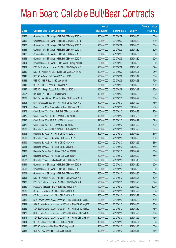|        |                                                               | No. of        |                     |               | <b>Amount raised</b> |
|--------|---------------------------------------------------------------|---------------|---------------------|---------------|----------------------|
| Code   | <b>Callable Bull / Bear Contracts</b>                         | issue (units) | <b>Listing date</b> | <b>Expiry</b> | $(HK$$ mil.)         |
| 60458  | Goldman Sachs SP (Asia) - HSI R Bull CBBC Aug 2010 A          | 200,000,000   | 2010/02/09          | 2010/08/30    | 50.00                |
| 60459  | Goldman Sachs SP (Asia) - HSI R Bull CBBC Aug 2010 B          | 200,000,000   | 2010/02/09          | 2010/08/30    | 50.00                |
| 60460  | Goldman Sachs SP (Asia) - HSI R Bull CBBC Aug 2010 C          | 200,000,000   | 2010/02/09          | 2010/08/30    | 50.00                |
| 60461  | Goldman Sachs SP (Asia) - HSI R Bull CBBC Aug 2010 D          | 200,000,000   | 2010/02/09          | 2010/08/30    | 50.00                |
| 60462  | Goldman Sachs SP (Asia) - HSI R Bull CBBC Aug 2010 E          | 200,000,000   | 2010/02/09          | 2010/08/30    | 50.00                |
| 60463  | Goldman Sachs SP (Asia) - HSI R Bull CBBC Aug 2010 F          | 200,000,000   | 2010/02/09          | 2010/08/30    | 50.00                |
| 60464  | Goldman Sachs SP (Asia) - HSI R Bear CBBC Aug 2010 G          | 200,000,000   | 2010/02/09          | 2010/08/30    | 50.00                |
| 60451  | KBC Fin Products Int'l Ltd. - HSI R Bull CBBC May 2010 R      | 208,000,000   | 2010/02/09          | 2010/05/28    | 52.00                |
| 60450  | KBC Fin Products Int'l Ltd. - TCH R Bull CBBC Jun 2010 B      | 100,000,000   | 2010/02/09          | 2010/06/01    | 25.00                |
| 60446  | UBS AG - China Life R Bear CBBC May 2010 J                    | 200,000,000   | 2010/02/09          | 2010/05/17    | 50.00                |
| 60448  | UBS AG - HSI R Bear CBBC May 2010 I                           | 300,000,000   | 2010/02/09          | 2010/05/28    | 75.00                |
| 60449  | UBS AG - HSI R Bear CBBC Jun 2010 Z                           | 300,000,000   | 2010/02/09          | 2010/06/29    | 75.00                |
| 60447  | UBS AG - Jiangxi Copper R Bull CBBC Jul 2010 A                | 100,000,000   | 2010/02/09          | 2010/07/12    | 36.00                |
| 68967# | HK Bank - A50 R Bear CBBC May 2010 B                          | 100,000,000   | 2010/02/09          | 2010/05/26    | 32.50                |
| 60502  | BNP Paribas Arbit Issu B.V. - HSI R Bull CBBC Jun 2010 N      | 300,000,000   | 2010/02/10          | 2010/06/29    | 75.00                |
| 60503  | BNP Paribas Arbit Issu B.V. - HSI R Bull CBBC Jul 2010 C      | 300,000,000   | 2010/02/10          | 2010/07/29    | 75.00                |
| 60474  | Credit Suisse AG - China Mobile R Bear CBBC Jun 2010 E        | 100,000,000   | 2010/02/10          | 2010/06/28    | 25.00                |
| 60473  | Credit Suisse AG - China Life R Bull CBBC Jun 2010 D          | 100,000,000   | 2010/02/10          | 2010/06/28    | 26.00                |
| 60475  | Credit Suisse AG - HSBC R Bear CBBC Jul 2010 B                | 100,000,000   | 2010/02/10          | 2010/07/26    | 25.00                |
| 60496  | Credit Suisse AG - HSI R Bull CBBC Jun 2010 H                 | 210,000,000   | 2010/02/10          | 2010/06/29    | 52.50                |
| 60472  | Credit Suisse AG - HSI R Bear CBBC Jul 2010 J                 | 210,000,000   | 2010/02/10          | 2010/07/29    | 52.50                |
| 60506  | Deutsche Bank AG - CNOOC R Bull CBBC Jul 2010 B               | 150,000,000   | 2010/02/10          | 2010/07/26    | 37.50                |
| 60508  | Deutsche Bank AG - HSI R Bull CBBC Jun 2010 L                 | 300,000,000   | 2010/02/10          | 2010/06/29    | 84.00                |
| 60509  | Deutsche Bank AG - HSI R Bull CBBC Jun 2010 Y                 | 300,000,000   | 2010/02/10          | 2010/06/29    | 78.00                |
| 60510  | Deutsche Bank AG - HSI R Bull CBBC Jul 2010 M                 | 300,000,000   | 2010/02/10          | 2010/07/29    | 81.00                |
| 60511  | Deutsche Bank AG - HSI R Bull CBBC Sep 2010 C                 | 300,000,000   | 2010/02/10          | 2010/09/29    | 75.00                |
| 60483  | Deutsche Bank AG - HSI R Bear CBBC Jun 2010 U                 | 300,000,000   | 2010/02/10          | 2010/06/29    | 75.00                |
| 60476  | Deutsche Bank AG - HSI R Bear CBBC Jun 2010 V                 | 300,000,000   | 2010/02/10          | 2010/06/29    | 75.00                |
| 60507  | Deutsche Bank AG - Petrochina R Bull CBBC Jul 2010 D          | 150,000,000   | 2010/02/10          | 2010/07/19    | 37.50                |
| 60499  | Goldman Sachs SP (Asia) - HSI R Bull CBBC Aug 2010 H          | 200,000,000   | 2010/02/10          | 2010/08/30    | 50.00                |
| 60500  | Goldman Sachs SP (Asia) - HSI R Bull CBBC Aug 2010 I          | 200,000,000   | 2010/02/10          | 2010/08/30    | 50.00                |
| 60501  | Goldman Sachs SP (Asia) - HSI R Bull CBBC Aug 2010 J          | 200,000,000   | 2010/02/10          | 2010/08/30    | 50.00                |
| 60494  | KBC Fin Products Int'l Ltd. - HSI R Bull CBBC May 2010 S      | 248,000,000   | 2010/02/10          | 2010/05/28    | 62.00                |
| 60495  | KBC Fin Products Int'l Ltd. - HSI R Bull CBBC May 2010 T      | 208,000,000   | 2010/02/10          | 2010/05/28    | 52.00                |
| 60469  | Macquarie Bank Ltd. - HSI R Bull CBBC Jun 2010 A              | 400,000,000   | 2010/02/10          | 2010/06/29    | 100.00               |
| 60505  | CC Rabobank B.A. - HSI R Bull CBBC Jul 2010 A                 | 200,000,000   | 2010/02/10          | 2010/07/29    | 50.00                |
| 60504  | CC Rabobank B.A. - HSI R Bull CBBC Jul 2010 Z                 | 200,000,000   | 2010/02/10          | 2010/07/29    | 50.00                |
| 60480  | SGA Societe Generale Acceptance N.V. - HSI R Bull CBBC Aug10S | 300,000,000   | 2010/02/10          | 2010/08/30    | 75.00                |
| 60481  | SGA Societe Generale Acceptance N.V. - HSI R Bull CBBC Aug10T | 300,000,000   | 2010/02/10          | 2010/08/30    | 75.00                |
| 60482  | SGA Societe Generale Acceptance N.V. - HSI R Bull CBBC Aug10U | 300,000,000   | 2010/02/10          | 2010/08/30    | 75.00                |
| 60470  | SGA Societe Generale Acceptance N.V. - HSI R Bear CBBC Jul10Q | 300,000,000   | 2010/02/10          | 2010/07/29    | 75.00                |
| 60471  | SGA Societe Generale Acceptance N.V. - HSI R Bear CBBC Jul10W | 300,000,000   | 2010/02/10          | 2010/07/29    | 75.00                |
| 60484  | UBS AG - BankComm R Bear CBBC Jun 2010 F                      | 100,000,000   | 2010/02/10          | 2010/06/07    | 25.00                |
| 60486  | UBS AG - China Mobile R Bull CBBC May 2010 P                  | 200,000,000   | 2010/02/10          | 2010/05/10    | 50.00                |
| 60485  | UBS AG - CM Bank R Bull CBBC Jun 2010 H                       | 100,000,000   | 2010/02/10          | 2010/06/14    | 34.00                |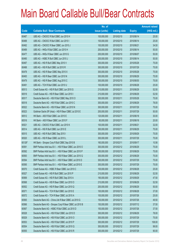|        |                                                          | No. of        |                     |               | <b>Amount raised</b> |
|--------|----------------------------------------------------------|---------------|---------------------|---------------|----------------------|
| Code   | <b>Callable Bull / Bear Contracts</b>                    | issue (units) | <b>Listing date</b> | <b>Expiry</b> | $(HK$$ mil.)         |
| 60487  | UBS AG - CNOOC R Bull CBBC Jun 2010 H                    | 100,000,000   | 2010/02/10          | 2010/06/14    | 25.00                |
| 60488  | UBS AG - CNOOC R Bull CBBC Jun 2010 I                    | 100,000,000   | 2010/02/10          | 2010/06/14    | 25.00                |
| 60492  | UBS AG - CNOOC R Bear CBBC Jun 2010 J                    | 100,000,000   | 2010/02/10          | 2010/06/21    | 34.50                |
| 60489  | UBS AG - HKEx R Bull CBBC Jun 2010 H                     | 200,000,000   | 2010/02/10          | 2010/06/14    | 50.00                |
| 60477  | UBS AG - HKEx R Bear CBBC Jun 2010 G                     | 200,000,000   | 2010/02/10          | 2010/06/07    | 50.00                |
| 60490  | UBS AG - HSBC R Bull CBBC Jun 2010 J                     | 200,000,000   | 2010/02/10          | 2010/06/14    | 50.00                |
| 60497  | UBS AG - HSI R Bull CBBC May 2010 V                      | 300,000,000   | 2010/02/10          | 2010/05/28    | 75.00                |
| 60498  | UBS AG - HSI R Bull CBBC Jul 2010 R                      | 300,000,000   | 2010/02/10          | 2010/07/29    | 75.00                |
| 60478  | UBS AG - HSI R Bear CBBC May 2010 X                      | 300,000,000   | 2010/02/10          | 2010/05/28    | 75.00                |
| 60493  | UBS AG - HSI R Bear CBBC Jun 2010 N                      | 300,000,000   | 2010/02/10          | 2010/06/29    | 75.00                |
| 60479  | UBS AG - HSI R Bear CBBC Aug 2010 C                      | 300,000,000   | 2010/02/10          | 2010/08/30    | 75.00                |
| 60491  | UBS AG - TCH R Bull CBBC Jun 2010 U                      | 100,000,000   | 2010/02/10          | 2010/06/28    | 25.00                |
| 60513  | Credit Suisse AG - HSI R Bull CBBC Jun 2010 G            | 210,000,000   | 2010/02/11          | 2010/06/29    | 52.50                |
| 60519  | Credit Suisse AG - HSI R Bear CBBC Jun 2010 I            | 210,000,000   | 2010/02/11          | 2010/06/29    | 52.50                |
| 60517  | Deutsche Bank AG - HSI R Bull CBBC May 2010 O            | 300,000,000   | 2010/02/11          | 2010/05/28    | 75.00                |
| 60518  | Deutsche Bank AG - HSI R Bull CBBC Jun 2010 C            | 300,000,000   | 2010/02/11          | 2010/06/29    | 78.00                |
| 60522  | Deutsche Bank AG - HSI R Bear CBBC Jul 2010 N            | 300,000,000   | 2010/02/11          | 2010/07/29    | 75.00                |
| 60523  | Goldman Sachs SP (Asia) - HSI R Bear CBBC Jul 2010 E     | 200,000,000   | 2010/02/11          | 2010/07/29    | 50.00                |
| 60512  | HK Bank - A50 R Bull CBBC Jun 2010 E                     | 120,000,000   | 2010/02/11          | 2010/06/18    | 30.00                |
| 60516  | HK Bank - A50 R Bear CBBC Jun 2010 F                     | 80,000,000    | 2010/02/11          | 2010/06/18    | 20.00                |
| 60521  | UBS AG - CNOOC R Bull CBBC Jun 2010 K                    | 100,000,000   | 2010/02/11          | 2010/06/21    | 32.00                |
| 60514  | UBS AG - HSI R Bull CBBC Jun 2010 E                      | 300,000,000   | 2010/02/11          | 2010/06/29    | 75.00                |
| 60515  | UBS AG - HSI R Bull CBBC Sep 2010 I                      | 300,000,000   | 2010/02/11          | 2010/09/29    | 75.00                |
| 60520  | UBS AG - HSI R Bear CBBC Jul 2010 L                      | 300,000,000   | 2010/02/11          | 2010/07/29    | 75.00                |
| 60126# | HK Bank - Sinopec Corp R Bull CBBC Sep 2010 B            | 160,000,000   | 2010/02/11          | 2010/09/17    | 10.56                |
| 60591  | BNP Paribas Arbit Issu B.V. - HSI R Bear CBBC Jun 2010 O | 300,000,000   | 2010/02/12          | 2010/06/29    | 75.00                |
| 60592  | BNP Paribas Arbit Issu B.V. - HSI R Bear CBBC Jun 2010 P | 300,000,000   | 2010/02/12          | 2010/06/29    | 75.00                |
| 60593  | BNP Paribas Arbit Issu B.V. - HSI R Bear CBBC Jun 2010 Q | 300,000,000   | 2010/02/12          | 2010/06/29    | 75.00                |
| 60594  | BNP Paribas Arbit Issu B.V. - HSI R Bear CBBC Jul 2010 D | 300,000,000   | 2010/02/12          | 2010/07/29    | 75.00                |
| 60595  | BNP Paribas Arbit Issu B.V. - HSI R Bear CBBC Jul 2010 E | 300,000,000   | 2010/02/12          | 2010/07/29    | 75.00                |
| 60570  | Credit Suisse AG - HSBC R Bear CBBC Jun 2010 C           | 100,000,000   | 2010/02/12          | 2010/06/28    | 25.00                |
| 60527  | Credit Suisse AG - HSI R Bull CBBC Jun 2010 P            | 210,000,000   | 2010/02/12          | 2010/06/29    | 52.50                |
| 60569  | Credit Suisse AG - HSI R Bull CBBC Sep 2010 A            | 190,000,000   | 2010/02/12          | 2010/09/29    | 47.50                |
| 60568  | Credit Suisse AG - HSI R Bear CBBC Jun 2010 O            | 210,000,000   | 2010/02/12          | 2010/06/29    | 52.50                |
| 60552  | Credit Suisse AG - HSI R Bear CBBC Jun 2010 Q            | 200,000,000   | 2010/02/12          | 2010/06/29    | 50.00                |
| 60571  | Credit Suisse AG - TCH R Bull CBBC Jun 2010 E            | 100,000,000   | 2010/02/12          | 2010/06/28    | 37.00                |
| 60572  | Credit Suisse AG - TCH R Bear CBBC Jul 2010 A            | 100,000,000   | 2010/02/12          | 2010/07/26    | 25.00                |
| 60565  | Deutsche Bank AG - China Life R Bear CBBC Jul 2010 G     | 150,000,000   | 2010/02/12          | 2010/07/26    | 49.50                |
| 60566  | Deutsche Bank AG - Sinopec Corp R Bear CBBC Jul 2010 B   | 150,000,000   | 2010/02/12          | 2010/07/12    | 37.50                |
| 60567  | Deutsche Bank AG - HSBC R Bull CBBC Jul 2010 D           | 150,000,000   | 2010/02/12          | 2010/07/26    | 37.50                |
| 60528  | Deutsche Bank AG - HSI R Bull CBBC Jun 2010 D            | 300,000,000   | 2010/02/12          | 2010/06/29    | 78.00                |
| 60529  | Deutsche Bank AG - HSI R Bull CBBC Jul 2010 O            | 300,000,000   | 2010/02/12          | 2010/07/29    | 75.00                |
| 60553  | Deutsche Bank AG - HSI R Bull CBBC Jul 2010 P            | 300,000,000   | 2010/02/12          | 2010/07/29    | 108.00               |
| 60554  | Deutsche Bank AG - HSI R Bull CBBC Jul 2010 Q            | 300,000,000   | 2010/02/12          | 2010/07/29    | 99.00                |
| 60555  | Deutsche Bank AG - HSI R Bull CBBC Jul 2010 R            | 300,000,000   | 2010/02/12          | 2010/07/29    | 90.00                |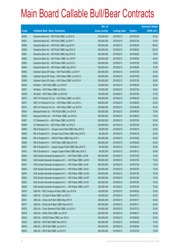|       |                                                               | No. of        |                     |               | <b>Amount raised</b> |
|-------|---------------------------------------------------------------|---------------|---------------------|---------------|----------------------|
| Code  | <b>Callable Bull / Bear Contracts</b>                         | issue (units) | <b>Listing date</b> | <b>Expiry</b> | $(HK$$ mil.)         |
| 60556 | Deutsche Bank AG - HSI R Bull CBBC Jul 2010 S                 | 300,000,000   | 2010/02/12          | 2010/07/29    | 87.00                |
| 60557 | Deutsche Bank AG - HSI R Bull CBBC Jul 2010 T                 | 300,000,000   | 2010/02/12          | 2010/07/29    | 81.00                |
| 60559 | Deutsche Bank AG - HSI R Bull CBBC Aug 2010 F                 | 300,000,000   | 2010/02/12          | 2010/08/30    | 138.00               |
| 60560 | Deutsche Bank AG - HSI R Bull CBBC Aug 2010 G                 | 300,000,000   | 2010/02/12          | 2010/08/30    | 120.00               |
| 60561 | Deutsche Bank AG - HSI R Bull CBBC Sep 2010 D                 | 300,000,000   | 2010/02/12          | 2010/09/29    | 75.00                |
| 60562 | Deutsche Bank AG - HSI R Bear CBBC Jun 2010 P                 | 300,000,000   | 2010/02/12          | 2010/06/29    | 84.00                |
| 60563 | Deutsche Bank AG - HSI R Bear CBBC Jul 2010 U                 | 300,000,000   | 2010/02/12          | 2010/07/29    | 78.00                |
| 60564 | Deutsche Bank AG - HSI R Bear CBBC Sep 2010 E                 | 300,000,000   | 2010/02/12          | 2010/09/29    | 75.00                |
| 60585 | Goldman Sachs SP (Asia) - HSI R Bull CBBC Jul 2010 F          | 200,000,000   | 2010/02/12          | 2010/07/29    | 50.00                |
| 60589 | Goldman Sachs SP (Asia) - HSI R Bear CBBC Jul 2010 G          | 200,000,000   | 2010/02/12          | 2010/07/29    | 50.00                |
| 60590 | Goldman Sachs SP (Asia) - HSI R Bear CBBC Jul 2010 H          | 200,000,000   | 2010/02/12          | 2010/07/29    | 50.00                |
| 60536 | HK Bank - HSI R Bull CBBC Jun 2010 R                          | 120,000,000   | 2010/02/12          | 2010/06/29    | 30.00                |
| 60537 | HK Bank - HSI R Bear CBBC Jul 2010 L                          | 120,000,000   | 2010/02/12          | 2010/07/29    | 30.00                |
| 60538 | HK Bank - HSI R Bear CBBC Jul 2010 M                          | 150,000,000   | 2010/02/12          | 2010/07/29    | 37.50                |
| 60573 | KBC Fin Products Int'l Ltd. - HSI R Bear CBBC Jun 2010 I      | 208,000,000   | 2010/02/12          | 2010/06/29    | 52.00                |
| 60574 | KBC Fin Products Int'l Ltd. - HSI R Bear CBBC Jun 2010 J      | 208,000,000   | 2010/02/12          | 2010/06/29    | 52.00                |
| 60575 | KBC Fin Products Int'l Ltd. - HSI R Bear CBBC Jun 2010 K      | 248,000,000   | 2010/02/12          | 2010/06/29    | 62.00                |
| 60524 | Macquarie Bank Ltd. - HSI R Bull CBBC Jun 2010 B              | 300,000,000   | 2010/02/12          | 2010/06/29    | 75.00                |
| 60539 | Macquarie Bank Ltd. - HSI R Bear CBBC Jun 2010 C              | 300,000,000   | 2010/02/12          | 2010/06/29    | 75.00                |
| 60587 | CC Rabobank B.A. - HSI R Bear CBBC Jul 2010 B                 | 200,000,000   | 2010/02/12          | 2010/07/29    | 50.00                |
| 60588 | CC Rabobank B.A. - HSI R Bear CBBC Jul 2010 C                 | 200,000,000   | 2010/02/12          | 2010/07/29    | 50.00                |
| 60546 | RB of Scotland N.V. - Sinopec Corp R Bull CBBC May 2010 C     | 80,000,000    | 2010/02/12          | 2010/05/18    | 20.00                |
| 60550 | RB of Scotland N.V. - Sinopec Corp R Bear CBBC May 2010 D     | 80,000,000    | 2010/02/12          | 2010/05/18    | 20.00                |
| 60549 | RB of Scotland N.V. - HSCEI R Bear CBBC May 2010 J            | 250,000,000   | 2010/02/12          | 2010/05/28    | 62.50                |
| 60548 | RB of Scotland N.V. - HSI R Bear CBBC May 2010 M              | 250,000,000   | 2010/02/12          | 2010/05/28    | 62.50                |
| 60547 | RB of Scotland N.V. - Jiangxi Copper R Bull CBBC May 2010 D   | 80,000,000    | 2010/02/12          | 2010/05/12    | 20.00                |
| 60551 | RB of Scotland N.V. - Jiangxi Copper R Bear CBBC May 2010 E   | 80,000,000    | 2010/02/12          | 2010/05/12    | 24.80                |
| 60540 | SGA Societe Generale Acceptance N.V. - HSI R Bull CBBC Jul10X | 300,000,000   | 2010/02/12          | 2010/07/29    | 75.00                |
| 60542 | SGA Societe Generale Acceptance N.V. - HSI R Bear CBBC Jul10H | 300,000,000   | 2010/02/12          | 2010/07/29    | 75.00                |
| 60541 | SGA Societe Generale Acceptance N.V. - HSI R Bear CBBC Jul10I | 300,000,000   | 2010/02/12          | 2010/07/29    | 75.00                |
| 60545 | SGA Societe Generale Acceptance N.V. - HSI R Bear CBBC Jul10J | 300,000,000   | 2010/02/12          | 2010/07/29    | 75.00                |
| 60544 | SGA Societe Generale Acceptance N.V. - HSI R Bear CBBC Jul100 | 300,000,000   | 2010/02/12          | 2010/07/29    | 75.00                |
| 60543 | SGA Societe Generale Acceptance N.V. - HSI R Bear CBBC Jul10P | 300,000,000   | 2010/02/12          | 2010/07/29    | 75.00                |
| 60525 | SGA Societe Generale Acceptance N.V. - HSI R Bear CBBC Jul10V | 300,000,000   | 2010/02/12          | 2010/07/29    | 75.00                |
| 60526 | SGA Societe Generale Acceptance N.V. - HSI R Bear CBBC Jul10Y | 300,000,000   | 2010/02/12          | 2010/07/29    | 75.00                |
| 60576 | UBS AG - BYD Company R Bear CBBC Jun 2010 B                   | 100,000,000   | 2010/02/12          | 2010/06/28    | 25.00                |
| 60530 | UBS AG - CC Bank R Bear CBBC Jul 2010 C                       | 100,000,000   | 2010/02/12          | 2010/07/12    | 25.00                |
| 60531 | UBS AG - China Life R Bull CBBC May 2010 K                    | 200,000,000   | 2010/02/12          | 2010/05/17    | 50.00                |
| 60577 | UBS AG - China Life R Bear CBBC May 2010 D                    | 200,000,000   | 2010/02/12          | 2010/05/17    | 50.00                |
| 60578 | UBS AG - China Shenhua R Bull CBBC Jul 2010 A                 | 100,000,000   | 2010/02/12          | 2010/07/12    | 25.00                |
| 60579 | UBS AG - HKEx R Bull CBBC Jun 2010 I                          | 200,000,000   | 2010/02/12          | 2010/06/14    | 50.00                |
| 60532 | UBS AG - HSCEI R Bear CBBC Jun 2010 J                         | 200,000,000   | 2010/02/12          | 2010/06/29    | 50.00                |
| 60533 | UBS AG - HSI R Bull CBBC May 2010 U                           | 300,000,000   | 2010/02/12          | 2010/05/28    | 75.00                |
| 60534 | UBS AG - HSI R Bull CBBC Jun 2010 V                           | 300,000,000   | 2010/02/12          | 2010/06/29    | 75.00                |
| 60535 | UBS AG - HSI R Bull CBBC Jul 2010 H                           | 300,000,000   | 2010/02/12          | 2010/07/29    | 75.00                |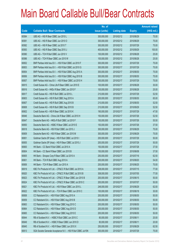|       |                                                               | No. of        |                     |               | <b>Amount raised</b> |
|-------|---------------------------------------------------------------|---------------|---------------------|---------------|----------------------|
| Code  | <b>Callable Bull / Bear Contracts</b>                         | issue (units) | <b>Listing date</b> | <b>Expiry</b> | (HK\$ mil.)          |
| 60584 | UBS AG - HSI R Bear CBBC Jun 2010 L                           | 300,000,000   | 2010/02/12          | 2010/06/29    | 75.00                |
| 60581 | UBS AG - HSI R Bear CBBC Jun 2010 O                           | 300,000,000   | 2010/02/12          | 2010/06/29    | 75.00                |
| 60582 | UBS AG - HSI R Bear CBBC Jul 2010 T                           | 300,000,000   | 2010/02/12          | 2010/07/29    | 75.00                |
| 60583 | UBS AG - HSI R Bear CBBC Sep 2010 J                           | 400,000,000   | 2010/02/12          | 2010/09/29    | 100.00               |
| 60580 | UBS AG - TCH R Bull CBBC Jun 2010 V                           | 100,000,000   | 2010/02/12          | 2010/06/28    | 25.00                |
| 60586 | UBS AG - TCH R Bear CBBC Jun 2010 W                           | 100,000,000   | 2010/02/12          | 2010/06/28    | 25.00                |
| 60652 | BNP Paribas Arbit Issu B.V. - HSI R Bull CBBC Jul 2010 F      | 300,000,000   | 2010/02/17          | 2010/07/29    | 75.00                |
| 60653 | BNP Paribas Arbit Issu B.V. - HSI R Bull CBBC Jul 2010 G      | 300,000,000   | 2010/02/17          | 2010/07/29    | 75.00                |
| 60654 | BNP Paribas Arbit Issu B.V. - HSI R Bull CBBC Aug 2010 A      | 300,000,000   | 2010/02/17          | 2010/08/30    | 75.00                |
| 60656 | BNP Paribas Arbit Issu B.V. - HSI R Bull CBBC Aug 2010 B      | 300,000,000   | 2010/02/17          | 2010/08/30    | 75.00                |
| 60657 | BNP Paribas Arbit Issu B.V. - HSI R Bear CBBC Jul 2010 H      | 300,000,000   | 2010/02/17          | 2010/07/29    | 75.00                |
| 60615 | Credit Suisse AG - China Life R Bear CBBC Jun 2010 E          | 100,000,000   | 2010/02/17          | 2010/06/28    | 30.00                |
| 60616 | Credit Suisse AG - HKEx R Bear CBBC Jun 2010 F                | 100,000,000   | 2010/02/17          | 2010/06/28    | 25.00                |
| 60617 | Credit Suisse AG - HSI R Bull CBBC Jul 2010 L                 | 210,000,000   | 2010/02/17          | 2010/07/29    | 52.50                |
| 60603 | Credit Suisse AG - HSI R Bull CBBC Aug 2010 A                 | 200,000,000   | 2010/02/17          | 2010/08/30    | 65.00                |
| 60607 | Credit Suisse AG - HSI R Bull CBBC Aug 2010 B                 | 210,000,000   | 2010/02/17          | 2010/08/30    | 52.50                |
| 60608 | Credit Suisse AG - HSI R Bull CBBC Sep 2010 B                 | 210,000,000   | 2010/02/17          | 2010/09/29    | 52.50                |
| 60602 | Credit Suisse AG - HSI R Bear CBBC Jul 2010 K                 | 190,000,000   | 2010/02/17          | 2010/07/29    | 47.50                |
| 60646 | Deutsche Bank AG - China Life R Bear CBBC Jul 2010 H          | 150,000,000   | 2010/02/17          | 2010/07/26    | 52.50                |
| 60647 | Deutsche Bank AG - HKEx R Bull CBBC Jul 2010 F                | 150,000,000   | 2010/02/17          | 2010/07/26    | 55.50                |
| 60650 | Deutsche Bank AG - HSBC R Bear CBBC Jul 2010 E                | 150,000,000   | 2010/02/17          | 2010/07/26    | 37.50                |
| 60618 | Deutsche Bank AG - HSI R Bull CBBC Jun 2010 J                 | 300,000,000   | 2010/02/17          | 2010/06/29    | 75.00                |
| 60609 | Deutsche Bank AG - HSI R Bear CBBC Jun 2010 M                 | 300,000,000   | 2010/02/17          | 2010/06/29    | 75.00                |
| 60651 | Goldman Sachs SP (Asia) - HSI R Bull CBBC Jul 2010 I          | 200,000,000   | 2010/02/17          | 2010/07/29    | 50.00                |
| 60655 | Goldman Sachs SP (Asia) - HSI R Bear CBBC Jul 2010 J          | 200,000,000   | 2010/02/17          | 2010/07/29    | 50.00                |
| 60600 | HK Bank - CC Bank R Bull CBBC Jul 2010 A                      | 150,000,000   | 2010/02/17          | 2010/07/28    | 37.50                |
| 60604 | HK Bank - CC Bank R Bear CBBC Jun 2010 B                      | 150,000,000   | 2010/02/17          | 2010/06/08    | 37.50                |
| 60605 | HK Bank - Sinopec Corp R Bear CBBC Jul 2010 A                 | 250,000,000   | 2010/02/17          | 2010/07/16    | 62.50                |
| 60601 | HK Bank - TCH R Bull CBBC Aug 2010 A                          | 200,000,000   | 2010/02/17          | 2010/08/20    | 54.00                |
| 60606 | HK Bank - TCH R Bear CBBC Jun 2010 A                          | 200,000,000   | 2010/02/17          | 2010/06/25    | 70.00                |
| 60619 | KBC Fin Products Int'l Ltd. - CP&CC R Bull CBBC Jul 2010 A    | 308,000,000   | 2010/02/17          | 2010/07/15    | 77.00                |
| 60620 | KBC Fin Products Int'l Ltd. - CP&CC R Bull CBBC Jul 2010 B    | 308,000,000   | 2010/02/17          | 2010/07/05    | 77.00                |
| 60623 | KBC Fin Products Int'l Ltd. - CP&CC R Bear CBBC Jun 2010 B    | 200,000,000   | 2010/02/17          | 2010/06/15    | 50.00                |
| 60624 | KBC Fin Products Int'l Ltd. - CP&CC R Bear CBBC Jul 2010 C    | 200,000,000   | 2010/02/17          | 2010/07/07    | 50.00                |
| 60621 | KBC Fin Products Int'l Ltd. - HSI R Bear CBBC Jun 2010 L      | 248,000,000   | 2010/02/17          | 2010/06/29    | 62.00                |
| 60622 | KBC Fin Products Int'l Ltd. - TCH R Bear CBBC Jun 2010 C      | 100,000,000   | 2010/02/17          | 2010/06/18    | 30.00                |
| 60658 | CC Rabobank B.A. - HSI R Bull CBBC Aug 2010 A                 | 200,000,000   | 2010/02/17          | 2010/08/30    | 50.00                |
| 60659 | CC Rabobank B.A. - HSI R Bull CBBC Aug 2010 B                 | 200,000,000   | 2010/02/17          | 2010/08/30    | 50.00                |
| 60663 | CC Rabobank B.A. - HSI R Bear CBBC Aug 2010 C                 | 200,000,000   | 2010/02/17          | 2010/08/30    | 50.00                |
| 60664 | CC Rabobank B.A. - HSI R Bear CBBC Aug 2010 D                 | 200,000,000   | 2010/02/17          | 2010/08/30    | 50.00                |
| 60665 | CC Rabobank B.A. - HSI R Bear CBBC Aug 2010 E                 | 200,000,000   | 2010/02/17          | 2010/08/30    | 50.00                |
| 60644 | RB of Scotland N.V. - HSBC R Bull CBBC Jun 2010 C             | 80,000,000    | 2010/02/17          | 2010/06/11    | 20.00                |
| 60649 | RB of Scotland N.V. - HSBC R Bear CBBC Jun 2010 D             | 80,000,000    | 2010/02/17          | 2010/06/11    | 20.00                |
| 60645 | RB of Scotland N.V. - HSI R Bear CBBC Jun 2010 X              | 250,000,000   | 2010/02/17          | 2010/06/29    | 62.50                |
| 60613 | SGA Societe Generale Acceptance N.V. - HSI R Bull CBBC Jul10N | 300,000,000   | 2010/02/17          | 2010/07/29    | 75.00                |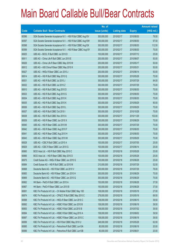|       |                                                               | No. of        |                     |               | <b>Amount raised</b> |
|-------|---------------------------------------------------------------|---------------|---------------------|---------------|----------------------|
| Code  | <b>Callable Bull / Bear Contracts</b>                         | issue (units) | <b>Listing date</b> | <b>Expiry</b> | (HK\$ mil.)          |
| 60596 | SGA Societe Generale Acceptance N.V. - HSI R Bull CBBC Aug10V | 300,000,000   | 2010/02/17          | 2010/08/30    | 79.50                |
| 60597 | SGA Societe Generale Acceptance N.V. - HSI R Bull CBBC Aug10W | 300,000,000   | 2010/02/17          | 2010/08/30    | 97.50                |
| 60598 | SGA Societe Generale Acceptance N.V. - HSI R Bull CBBC Aug10X | 300,000,000   | 2010/02/17          | 2010/08/30    | 112.50               |
| 60599 | SGA Societe Generale Acceptance N.V. - HSI R Bear CBBC Aug10Y | 300,000,000   | 2010/02/17          | 2010/08/30    | 75.00                |
| 60625 | UBS AG - BOCL R Bull CBBC Jul 2010 D                          | 100,000,000   | 2010/02/17          | 2010/07/12    | 25.00                |
| 60611 | UBS AG - China Life R Bull CBBC Jun 2010 E                    | 200,000,000   | 2010/02/17          | 2010/06/07    | 50.00                |
| 60626 | UBS AG - China Life R Bear CBBC May 2010 M                    | 200,000,000   | 2010/02/17          | 2010/05/17    | 50.00                |
| 60612 | UBS AG - A50 China R Bear CBBC May 2010 K                     | 200,000,000   | 2010/02/17          | 2010/05/31    | 50.00                |
| 60627 | UBS AG - HKEx R Bear CBBC Jun 2010 J                          | 200,000,000   | 2010/02/17          | 2010/06/14    | 50.00                |
| 60614 | UBS AG - HSI R Bull CBBC May 2010 Q                           | 300,000,000   | 2010/02/17          | 2010/05/28    | 75.00                |
| 60631 | UBS AG - HSI R Bull CBBC Jul 2010 J                           | 300,000,000   | 2010/02/17          | 2010/07/29    | 84.00                |
| 60632 | UBS AG - HSI R Bull CBBC Jul 2010 Z                           | 300,000,000   | 2010/02/17          | 2010/07/29    | 75.00                |
| 60610 | UBS AG - HSI R Bull CBBC Aug 2010 D                           | 300,000,000   | 2010/02/17          | 2010/08/30    | 75.00                |
| 60633 | UBS AG - HSI R Bull CBBC Aug 2010 G                           | 300,000,000   | 2010/02/17          | 2010/08/30    | 75.00                |
| 60634 | UBS AG - HSI R Bull CBBC Aug 2010 K                           | 300,000,000   | 2010/02/17          | 2010/08/30    | 75.00                |
| 60635 | UBS AG - HSI R Bull CBBC Sep 2010 K                           | 300,000,000   | 2010/02/17          | 2010/09/29    | 90.00                |
| 60636 | UBS AG - HSI R Bull CBBC Sep 2010 L                           | 300,000,000   | 2010/02/17          | 2010/09/29    | 75.00                |
| 60637 | UBS AG - HSI R Bull CBBC Oct 2010 I                           | 300,000,000   | 2010/02/17          | 2010/10/28    | 75.00                |
| 60638 | UBS AG - HSI R Bull CBBC Nov 2010 A                           | 300,000,000   | 2010/02/17          | 2010/11/29    | 153.00               |
| 60639 | UBS AG - HSI R Bear CBBC Jun 2010 X                           | 300,000,000   | 2010/02/17          | 2010/06/29    | 75.00                |
| 60640 | UBS AG - HSI R Bear CBBC Jul 2010 M                           | 300,000,000   | 2010/02/17          | 2010/07/29    | 75.00                |
| 60642 | UBS AG - HSI R Bear CBBC Aug 2010 F                           | 300,000,000   | 2010/02/17          | 2010/08/30    | 75.00                |
| 60641 | UBS AG - HSI R Bear CBBC Aug 2010 H                           | 300,000,000   | 2010/02/17          | 2010/08/30    | 75.00                |
| 60643 | UBS AG - HSI R Bear CBBC Sep 2010 M                           | 300,000,000   | 2010/02/17          | 2010/09/29    | 75.00                |
| 60628 | UBS AG - ICBC R Bull CBBC Jul 2010 A                          | 100,000,000   | 2010/02/17          | 2010/07/05    | 25.00                |
| 60629 | UBS AG - ICBC R Bear CBBC Jun 2010 G                          | 100,000,000   | 2010/02/17          | 2010/06/14    | 25.00                |
| 60660 | BOCI Asia Ltd. - HSI R Bull CBBC May 2010 C                   | 100,000,000   | 2010/02/18          | 2010/05/28    | 25.00                |
| 60666 | BOCI Asia Ltd. - HSI R Bear CBBC May 2010 D                   | 100,000,000   | 2010/02/18          | 2010/05/28    | 25.00                |
| 60675 | Credit Suisse AG - HKEx R Bear CBBC Jun 2010 G                | 100,000,000   | 2010/02/18          | 2010/06/28    | 25.00                |
| 60684 | Credit Suisse AG - HSI R Bull CBBC Jul 2010 M                 | 210,000,000   | 2010/02/18          | 2010/07/29    | 52.50                |
| 60668 | Deutsche Bank AG - HSI R Bull CBBC Jul 2010 V                 | 300,000,000   | 2010/02/18          | 2010/07/29    | 78.00                |
| 60683 | Deutsche Bank AG - HSI R Bear CBBC Jun 2010 H                 | 300,000,000   | 2010/02/18          | 2010/06/29    | 75.00                |
| 60669 | Deutsche Bank AG - HSI R Bear CBBC Jun 2010 Q                 | 300,000,000   | 2010/02/18          | 2010/06/29    | 75.00                |
| 60662 | HK Bank - PetCh R Bull CBBC Jun 2010 A                        | 150,000,000   | 2010/02/18          | 2010/06/28    | 37.50                |
| 60667 | HK Bank - PetCh R Bear CBBC Jun 2010 B                        | 150,000,000   | 2010/02/18          | 2010/06/28    | 37.50                |
| 60691 | KBC Fin Products Int'l Ltd. - Ch Mobile R Bull CBBC May 10D   | 108,000,000   | 2010/02/18          | 2010/05/18    | 27.00                |
| 60674 | KBC Fin Products Int'l Ltd. - CP&CC R Bull CBBC May 2010 C    | 278,000,000   | 2010/02/18          | 2010/05/18    | 69.50                |
| 60698 | KBC Fin Products Int'l Ltd. - HKEx R Bear CBBC Jun 2010 C     | 158,000,000   | 2010/02/18          | 2010/06/15    | 39.50                |
| 60692 | KBC Fin Products Int'l Ltd. - HSBC R Bull CBBC Jun 2010 B     | 158,000,000   | 2010/02/18          | 2010/06/18    | 39.50                |
| 60693 | KBC Fin Products Int'l Ltd. - HSBC R Bull CBBC Jul 2010 B     | 158,000,000   | 2010/02/18          | 2010/07/02    | 39.50                |
| 60694 | KBC Fin Products Int'l Ltd. - HSBC R Bull CBBC Aug 2010 A     | 158,000,000   | 2010/02/18          | 2010/08/02    | 39.50                |
| 60697 | KBC Fin Products Int'l Ltd. - HSBC R Bear CBBC Jun 2010 C     | 158,000,000   | 2010/02/18          | 2010/06/18    | 39.50                |
| 60699 | KBC Fin Products Int'l Ltd. - HSI R Bull CBBC May 2010 U      | 248,000,000   | 2010/02/18          | 2010/05/28    | 62.00                |
| 60695 | KBC Fin Products Int'l Ltd. - Petrochina R Bull CBBC Jun10A   | 80,000,000    | 2010/02/18          | 2010/06/18    | 20.00                |
| 60696 | KBC Fin Products Int'l Ltd. - Petrochina R Bull CBBC Jun10B   | 80,000,000    | 2010/02/18          | 2010/06/01    | 20.00                |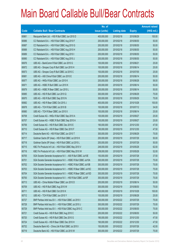|       |                                                                | No. of        |                     |               | <b>Amount raised</b> |
|-------|----------------------------------------------------------------|---------------|---------------------|---------------|----------------------|
| Code  | <b>Callable Bull / Bear Contracts</b>                          | issue (units) | <b>Listing date</b> | <b>Expiry</b> | (HK\$ mil.)          |
| 60661 | Macquarie Bank Ltd. - HSI R Bull CBBC Jun 2010 D               | 400,000,000   | 2010/02/18          | 2010/06/29    | 100.00               |
| 60686 | CC Rabobank B.A. - HSI R Bull CBBC Aug 2010 F                  | 200,000,000   | 2010/02/18          | 2010/08/30    | 50.00                |
| 60687 | CC Rabobank B.A. - HSI R Bull CBBC Aug 2010 G                  | 200,000,000   | 2010/02/18          | 2010/08/30    | 50.00                |
| 60688 | CC Rabobank B.A. - HSI R Bull CBBC Aug 2010 H                  | 200,000,000   | 2010/02/18          | 2010/08/30    | 50.00                |
| 60689 | CC Rabobank B.A. - HSI R Bull CBBC Aug 2010 I                  | 200,000,000   | 2010/02/18          | 2010/08/30    | 50.00                |
| 60690 | CC Rabobank B.A. - HSI R Bull CBBC Aug 2010 J                  | 200,000,000   | 2010/02/18          | 2010/08/30    | 50.00                |
| 60676 | UBS AG - BankComm R Bull CBBC Jun 2010 G                       | 100,000,000   | 2010/02/18          | 2010/06/21    | 25.00                |
| 60672 | UBS AG - Sinopec Corp R Bull CBBC Jun 2010 H                   | 100,000,000   | 2010/02/18          | 2010/06/14    | 25.00                |
| 60673 | UBS AG - Sinopec Corp R Bull CBBC Jul 2010 C                   | 100,000,000   | 2010/02/18          | 2010/07/05    | 25.00                |
| 60681 | UBS AG - A50 China R Bull CBBC Jun 2010 E                      | 200,000,000   | 2010/02/18          | 2010/06/14    | 50.00                |
| 60677 | UBS AG - HKEx R Bull CBBC Jun 2010 K                           | 200,000,000   | 2010/02/18          | 2010/06/28    | 56.00                |
| 60671 | UBS AG - HSBC R Bull CBBC Jun 2010 K                           | 200,000,000   | 2010/02/18          | 2010/06/14    | 50.00                |
| 60679 | UBS AG - HSBC R Bear CBBC Jun 2010 L                           | 200,000,000   | 2010/02/18          | 2010/06/14    | 50.00                |
| 60685 | UBS AG - HSI R Bull CBBC Jun 2010 Q                            | 300,000,000   | 2010/02/18          | 2010/06/29    | 75.00                |
| 60670 | UBS AG - HSI R Bull CBBC Sep 2010 N                            | 300,000,000   | 2010/02/18          | 2010/09/29    | 75.00                |
| 60682 | UBS AG - HSI R Bear CBBC Oct 2010 J                            | 400,000,000   | 2010/02/18          | 2010/10/28    | 100.00               |
| 60678 | UBS AG - TCH R Bull CBBC Jul 2010 B                            | 100,000,000   | 2010/02/18          | 2010/07/12    | 34.00                |
| 60680 | UBS AG - TCH R Bear CBBC Jun 2010 X                            | 100,000,000   | 2010/02/18          | 2010/06/14    | 25.00                |
| 60708 | Credit Suisse AG - HKEx R Bull CBBC Sep 2010 A                 | 100,000,000   | 2010/02/19          | 2010/09/27    | 25.00                |
| 60707 | Credit Suisse AG - HSBC R Bull CBBC Sep 2010 A                 | 100,000,000   | 2010/02/19          | 2010/09/27    | 25.00                |
| 60706 | Credit Suisse AG - HSI R Bull CBBC Dec 2010 E                  | 190,000,000   | 2010/02/19          | 2010/12/30    | 47.50                |
| 60710 | Credit Suisse AG - HSI R Bear CBBC Dec 2010 F                  | 190,000,000   | 2010/02/19          | 2010/12/30    | 47.50                |
| 60714 | Deutsche Bank AG - HSI R Bull CBBC Jun 2010 T                  | 300,000,000   | 2010/02/19          | 2010/06/29    | 75.00                |
| 60717 | Goldman Sachs SP (Asia) - HSI R Bull CBBC Jul 2010 K           | 200,000,000   | 2010/02/19          | 2010/07/29    | 50.00                |
| 60718 | Goldman Sachs SP (Asia) - HSI R Bull CBBC Jul 2010 L           | 200,000,000   | 2010/02/19          | 2010/07/29    | 50.00                |
| 60715 | KBC Fin Products Int'l Ltd. - HSI R Bull CBBC May 2010 V       | 248,000,000   | 2010/02/19          | 2010/05/28    | 62.00                |
| 60716 | KBC Fin Products Int'l Ltd. - HSI R Bull CBBC May 2010 W       | 208,000,000   | 2010/02/19          | 2010/05/28    | 52.00                |
| 60705 | SGA Societe Generale Acceptance N.V. - A50 R Bull CBBC Jul10E  | 150,000,000   | 2010/02/19          | 2010/07/28    | 37.50                |
| 60701 | SGA Societe Generale Acceptance N.V. - HSBC R Bull CBBC Jul10A | 300,000,000   | 2010/02/19          | 2010/07/28    | 75.00                |
| 60702 | SGA Societe Generale Acceptance N.V. - HSBC R Bull CBBC Jul10B | 300,000,000   | 2010/02/19          | 2010/07/28    | 75.00                |
| 60703 | SGA Societe Generale Acceptance N.V. - HSBC R Bear CBBC Jul10C | 300,000,000   | 2010/02/19          | 2010/07/28    | 75.00                |
| 60704 | SGA Societe Generale Acceptance N.V. - HSBC R Bear CBBC Jul10D | 300,000,000   | 2010/02/19          | 2010/07/28    | 75.00                |
| 60700 | SGA Societe Generale Acceptance N.V. - HSI R Bull CBBC Jul10F  | 300,000,000   | 2010/02/19          | 2010/07/29    | 75.00                |
| 60713 | UBS AG - China Mobile R Bear CBBC Jun 2010 D                   | 200,000,000   | 2010/02/19          | 2010/06/14    | 50.00                |
| 60709 | UBS AG - HSI R Bull CBBC Aug 2010 W                            | 300,000,000   | 2010/02/19          | 2010/08/30    | 75.00                |
| 60711 | UBS AG - HSI R Bull CBBC Oct 2010 K                            | 400,000,000   | 2010/02/19          | 2010/10/28    | 100.00               |
| 60712 | UBS AG - TCH R Bull CBBC Jun 2010 Y                            | 100,000,000   | 2010/02/19          | 2010/06/28    | 25.00                |
| 60727 | BNP Paribas Arbit Issu B.V. - HSI R Bull CBBC Jul 2010 I       | 300,000,000   | 2010/02/22          | 2010/07/29    | 75.00                |
| 60728 | BNP Paribas Arbit Issu B.V. - HSI R Bull CBBC Jul 2010 J       | 300,000,000   | 2010/02/22          | 2010/07/29    | 75.00                |
| 60729 | BNP Paribas Arbit Issu B.V. - HSI R Bull CBBC Aug 2010 C       | 300,000,000   | 2010/02/22          | 2010/08/30    | 75.00                |
| 60721 | Credit Suisse AG - HSI R Bull CBBC Aug 2010 C                  | 200,000,000   | 2010/02/22          | 2010/08/30    | 50.00                |
| 60720 | Credit Suisse AG - HSI R Bull CBBC Dec 2010 G                  | 190,000,000   | 2010/02/22          | 2010/12/30    | 47.50                |
| 60724 | Credit Suisse AG - HSI R Bear CBBC Dec 2010 H                  | 190,000,000   | 2010/02/22          | 2010/12/30    | 47.50                |
| 60732 | Deutsche Bank AG - China Life R Bull CBBC Jul 2010 I           | 150,000,000   | 2010/02/22          | 2010/07/26    | 42.00                |
| 60719 | Deutsche Bank AG - HSI R Bull CBBC Jul 2010 W                  | 300,000,000   | 2010/02/22          | 2010/07/29    | 75.00                |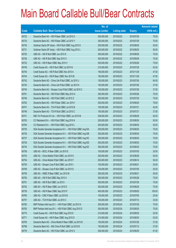|       |                                                               | No. of        |                     |               | <b>Amount raised</b> |
|-------|---------------------------------------------------------------|---------------|---------------------|---------------|----------------------|
| Code  | <b>Callable Bull / Bear Contracts</b>                         | issue (units) | <b>Listing date</b> | <b>Expiry</b> | $(HK$$ mil.)         |
| 60723 | Deutsche Bank AG - HSI R Bear CBBC Jul 2010 X                 | 300,000,000   | 2010/02/22          | 2010/07/29    | 75.00                |
| 60733 | Deutsche Bank AG - HSI R Bear CBBC Jul 2010 Y                 | 300,000,000   | 2010/02/22          | 2010/07/29    | 75.00                |
| 60730 | Goldman Sachs SP (Asia) - HSI R Bull CBBC Aug 2010 K          | 200,000,000   | 2010/02/22          | 2010/08/30    | 50.00                |
| 60731 | Goldman Sachs SP (Asia) - HSI R Bull CBBC Aug 2010 L          | 200,000,000   | 2010/02/22          | 2010/08/30    | 50.00                |
| 60725 | UBS AG - HSI R Bull CBBC Jun 2010 S                           | 300,000,000   | 2010/02/22          | 2010/06/29    | 75.00                |
| 60726 | UBS AG - HSI R Bull CBBC Sep 2010 O                           | 300,000,000   | 2010/02/22          | 2010/09/29    | 75.00                |
| 60722 | UBS AG - HSI R Bear CBBC May 2010 V                           | 300,000,000   | 2010/02/22          | 2010/05/28    | 75.00                |
| 60749 | Credit Suisse AG - HSI R Bull CBBC Jul 2010 N                 | 210,000,000   | 2010/02/23          | 2010/07/29    | 52.50                |
| 60740 | Credit Suisse AG - HSI R Bull CBBC Nov 2010 A                 | 190,000,000   | 2010/02/23          | 2010/11/29    | 47.50                |
| 60744 | Credit Suisse AG - HSI R Bear CBBC Nov 2010 B                 | 190,000,000   | 2010/02/23          | 2010/11/29    | 47.50                |
| 60742 | Deutsche Bank AG - China Life R Bull CBBC Jul 2010 J          | 150,000,000   | 2010/02/23          | 2010/07/26    | 64.50                |
| 60743 | Deutsche Bank AG - China Life R Bull CBBC Jul 2010 K          | 150,000,000   | 2010/02/23          | 2010/07/26    | 37.50                |
| 60745 | Deutsche Bank AG - Sinopec Corp R Bull CBBC Jul 2010 C        | 150,000,000   | 2010/02/23          | 2010/07/28    | 37.50                |
| 60761 | Deutsche Bank AG - HSI R Bull CBBC May 2010 A                 | 300,000,000   | 2010/02/23          | 2010/05/28    | 75.00                |
| 60746 | Deutsche Bank AG - HSI R Bull CBBC Jul 2010 Z                 | 300,000,000   | 2010/02/23          | 2010/07/29    | 75.00                |
| 60762 | Deutsche Bank AG - HSI R Bear CBBC Jun 2010 I                 | 300,000,000   | 2010/02/23          | 2010/06/29    | 78.00                |
| 60747 | Deutsche Bank AG - TCH R Bull CBBC Jul 2010 B                 | 150,000,000   | 2010/02/23          | 2010/07/21    | 42.00                |
| 60748 | Deutsche Bank AG - TCH R Bull CBBC Jul 2010 C                 | 150,000,000   | 2010/02/23          | 2010/07/21    | 37.50                |
| 60741 | KBC Fin Products Int'l Ltd. - HSI R Bull CBBC Jun 2010 M      | 208,000,000   | 2010/02/23          | 2010/06/29    | 52.00                |
| 60763 | CC Rabobank B.A. - HSI R Bull CBBC Aug 2010 K                 | 200,000,000   | 2010/02/23          | 2010/08/30    | 50.00                |
| 60764 | CC Rabobank B.A. - HSI R Bull CBBC Aug 2010 L                 | 200,000,000   | 2010/02/23          | 2010/08/30    | 50.00                |
| 60735 | SGA Societe Generale Acceptance N.V. - HSI R Bull CBBC Aug10A | 300,000,000   | 2010/02/23          | 2010/08/30    | 75.00                |
| 60736 | SGA Societe Generale Acceptance N.V. - HSI R Bull CBBC Aug10B | 300,000,000   | 2010/02/23          | 2010/08/30    | 75.00                |
| 60737 | SGA Societe Generale Acceptance N.V. - HSI R Bull CBBC Aug10C | 300,000,000   | 2010/02/23          | 2010/08/30    | 75.00                |
| 60738 | SGA Societe Generale Acceptance N.V. - HSI R Bull CBBC Aug10D | 300,000,000   | 2010/02/23          | 2010/08/30    | 75.00                |
| 60734 | SGA Societe Generale Acceptance N.V. - HSI R Bull CBBC Aug10Z | 300,000,000   | 2010/02/23          | 2010/08/30    | 75.00                |
| 60758 | UBS AG - BOCL R Bear CBBC Jul 2010 E                          | 100,000,000   | 2010/02/23          | 2010/07/05    | 25.00                |
| 60753 | UBS AG - China Mobile R Bull CBBC Jun 2010 E                  | 200,000,000   | 2010/02/23          | 2010/06/28    | 50.00                |
| 60754 | UBS AG - China Mobile R Bull CBBC Jun 2010 F                  | 200,000,000   | 2010/02/23          | 2010/06/14    | 50.00                |
| 60755 | UBS AG - Sinopec Corp R Bull CBBC Jun 2010 I                  | 100,000,000   | 2010/02/23          | 2010/06/21    | 25.00                |
| 60756 | UBS AG - Sinopec Corp R Bull CBBC Jul 2010 D                  | 100,000,000   | 2010/02/23          | 2010/07/05    | 25.00                |
| 60759 | UBS AG - HSBC R Bear CBBC Jun 2010 M                          | 200,000,000   | 2010/02/23          | 2010/06/21    | 50.00                |
| 60750 | UBS AG - HSI R Bull CBBC May 2010 X                           | 300,000,000   | 2010/02/23          | 2010/05/28    | 75.00                |
| 60751 | UBS AG - HSI R Bull CBBC Jul 2010 I                           | 300,000,000   | 2010/02/23          | 2010/07/29    | 75.00                |
| 60752 | UBS AG - HSI R Bear CBBC Jun 2010 E                           | 300,000,000   | 2010/02/23          | 2010/06/29    | 75.00                |
| 60739 | UBS AG - HSI R Bear CBBC Sep 2010 P                           | 400,000,000   | 2010/02/23          | 2010/09/29    | 100.00               |
| 60760 | UBS AG - ICBC R Bear CBBC Jul 2010 B                          | 100,000,000   | 2010/02/23          | 2010/07/05    | 25.00                |
| 60757 | UBS AG - TCH R Bull CBBC Jul 2010 C                           | 100,000,000   | 2010/02/23          | 2010/07/12    | 33.00                |
| 60782 | BNP Paribas Arbit Issu B.V. - HSI R Bull CBBC Jul 2010 K      | 300,000,000   | 2010/02/24          | 2010/07/29    | 75.00                |
| 60783 | BNP Paribas Arbit Issu B.V. - HSI R Bull CBBC Aug 2010 D      | 300,000,000   | 2010/02/24          | 2010/08/30    | 75.00                |
| 60775 | Credit Suisse AG - HSI R Bull CBBC Aug 2010 E                 | 210,000,000   | 2010/02/24          | 2010/08/30    | 52.50                |
| 60771 | Credit Suisse AG - HSI R Bear CBBC Aug 2010 D                 | 210,000,000   | 2010/02/24          | 2010/08/30    | 52.50                |
| 60795 | Deutsche Bank AG - China Mobile R Bear CBBC Jul 2010 B        | 150,000,000   | 2010/02/24          | 2010/07/26    | 37.50                |
| 60796 | Deutsche Bank AG - A50 China R Bull CBBC Jul 2010 B           | 150,000,000   | 2010/02/24          | 2010/07/12    | 37.50                |
| 60776 | Deutsche Bank AG - HSI R Bull CBBC Jun 2010 X                 | 300,000,000   | 2010/02/24          | 2010/06/29    | 81.00                |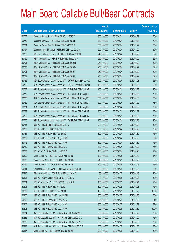|       |                                                                | No. of        |                     |               | <b>Amount raised</b> |
|-------|----------------------------------------------------------------|---------------|---------------------|---------------|----------------------|
| Code  | <b>Callable Bull / Bear Contracts</b>                          | issue (units) | <b>Listing date</b> | <b>Expiry</b> | (HK\$ mil.)          |
| 60777 | Deutsche Bank AG - HSI R Bull CBBC Jun 2010 Y                  | 300,000,000   | 2010/02/24          | 2010/06/29    | 75.00                |
| 60773 | Deutsche Bank AG - HSI R Bear CBBC Jun 2010 K                  | 300,000,000   | 2010/02/24          | 2010/06/29    | 75.00                |
| 60774 | Deutsche Bank AG - HSI R Bear CBBC Jul 2010 B                  | 300,000,000   | 2010/02/24          | 2010/07/29    | 75.00                |
| 60797 | Goldman Sachs SP (Asia) - HSI R Bull CBBC Jul 2010 M           | 200,000,000   | 2010/02/24          | 2010/07/29    | 50.00                |
| 60798 | KBC Fin Products Int'l Ltd. - HSI R Bull CBBC Jun 2010 N       | 248,000,000   | 2010/02/24          | 2010/06/29    | 62.00                |
| 60790 | RB of Scotland N.V. - HSCEI R Bull CBBC Jun 2010 A             | 250,000,000   | 2010/02/24          | 2010/06/29    | 62.50                |
| 60794 | RB of Scotland N.V. - HSI R Bull CBBC Jun 2010 M               | 250,000,000   | 2010/02/24          | 2010/06/29    | 62.50                |
| 60793 | RB of Scotland N.V. - HSI R Bull CBBC Jun 2010 O               | 250,000,000   | 2010/02/24          | 2010/06/29    | 62.50                |
| 60791 | RB of Scotland N.V. - HSI R Bull CBBC Jun 2010 Y               | 250,000,000   | 2010/02/24          | 2010/06/29    | 62.50                |
| 60792 | RB of Scotland N.V. - HSI R Bull CBBC Jun 2010 Z               | 250,000,000   | 2010/02/24          | 2010/06/29    | 62.50                |
| 60765 | SGA Societe Generale Acceptance N.V - CK(H) R Bull CBBC Jul10A | 100,000,000   | 2010/02/24          | 2010/07/28    | 25.00                |
| 60766 | SGA Societe Generale Acceptance N.V - CK(H) R Bear CBBC Jul10B | 100,000,000   | 2010/02/24          | 2010/07/28    | 25.00                |
| 60767 | SGA Societe Generale Acceptance N.V - CLife R Bull CBBC Jul10E | 100,000,000   | 2010/02/24          | 2010/07/28    | 25.00                |
| 60779 | SGA Societe Generale Acceptance N.V. - HSI R Bull CBBC Aug10P  | 300,000,000   | 2010/02/24          | 2010/08/30    | 75.00                |
| 60778 | SGA Societe Generale Acceptance N.V. - HSI R Bull CBBC Aug10Q  | 300,000,000   | 2010/02/24          | 2010/08/30    | 75.00                |
| 60780 | SGA Societe Generale Acceptance N.V. - HSI R Bull CBBC Aug10R  | 300,000,000   | 2010/02/24          | 2010/08/30    | 75.00                |
| 60781 | SGA Societe Generale Acceptance N.V. - HSI R Bull CBBC Aug10U  | 300,000,000   | 2010/02/24          | 2010/08/30    | 75.00                |
| 60768 | SGA Societe Generale Acceptance N.V. - HSI R Bear CBBC Jul10G  | 300,000,000   | 2010/02/24          | 2010/07/29    | 75.00                |
| 60769 | SGA Societe Generale Acceptance N.V. - HSI R Bear CBBC Jul10Q  | 300,000,000   | 2010/02/24          | 2010/07/29    | 75.00                |
| 60770 | SGA Societe Generale Acceptance N.V. - TCH R Bull CBBC Jul10G  | 100,000,000   | 2010/02/24          | 2010/07/28    | 25.00                |
| 60786 | UBS AG - HSCEI R Bull CBBC Jun 2010 K                          | 200,000,000   | 2010/02/24          | 2010/06/29    | 50.00                |
| 60785 | UBS AG - HSI R Bull CBBC Jun 2010 Z                            | 300,000,000   | 2010/02/24          | 2010/06/29    | 75.00                |
| 60784 | UBS AG - HSI R Bull CBBC Aug 2010 Z                            | 300,000,000   | 2010/02/24          | 2010/08/30    | 75.00                |
| 60788 | UBS AG - HSI R Bear CBBC Aug 2010 O                            | 300,000,000   | 2010/02/24          | 2010/08/30    | 87.00                |
| 60772 | UBS AG - HSI R Bear CBBC Aug 2010 R                            | 300,000,000   | 2010/02/24          | 2010/08/30    | 75.00                |
| 60789 | UBS AG - HSI R Bear CBBC Oct 2010 L                            | 300,000,000   | 2010/02/24          | 2010/10/28    | 75.00                |
| 60787 | UBS AG - TCH R Bull CBBC Jun 2010 Z                            | 100,000,000   | 2010/02/24          | 2010/06/28    | 25.00                |
| 60800 | Credit Suisse AG - HSI R Bull CBBC Aug 2010 F                  | 190,000,000   | 2010/02/25          | 2010/08/30    | 47.50                |
| 60809 | Credit Suisse AG - HSI R Bear CBBC Jul 2010 O                  | 210,000,000   | 2010/02/25          | 2010/07/29    | 52.50                |
| 60799 | Credit Suisse AG - TCH R Bull CBBC Jul 2010 B                  | 100,000,000   | 2010/02/25          | 2010/07/26    | 25.00                |
| 60811 | Goldman Sachs SP (Asia) - HSI R Bear CBBC Jul 2010 N           | 200,000,000   | 2010/02/25          | 2010/07/29    | 50.00                |
| 60810 | RB of Scotland N.V. - TCH R Bull CBBC Jun 2010 G               | 80,000,000    | 2010/02/25          | 2010/06/18    | 20.00                |
| 60803 | UBS AG - China Mobile R Bull CBBC Jun 2010 G                   | 200,000,000   | 2010/02/25          | 2010/06/28    | 50.00                |
| 60804 | UBS AG - Sinopec Corp R Bull CBBC Jun 2010 J                   | 100,000,000   | 2010/02/25          | 2010/06/21    | 25.00                |
| 60801 | UBS AG - HSI R Bull CBBC May 2010 I                            | 300,000,000   | 2010/02/25          | 2010/05/28    | 75.00                |
| 60802 | UBS AG - HSI R Bull CBBC Nov 2010 B                            | 400,000,000   | 2010/02/25          | 2010/11/29    | 100.00               |
| 60805 | UBS AG - HSI R Bear CBBC May 2010 U                            | 300,000,000   | 2010/02/25          | 2010/05/28    | 75.00                |
| 60806 | UBS AG - HSI R Bear CBBC Oct 2010 M                            | 300,000,000   | 2010/02/25          | 2010/10/28    | 81.00                |
| 60807 | UBS AG - HSI R Bear CBBC Nov 2010 C                            | 300,000,000   | 2010/02/25          | 2010/11/29    | 87.00                |
| 60808 | UBS AG - HSI R Bear CBBC Dec 2010 A                            | 400,000,000   | 2010/02/25          | 2010/12/30    | 100.00               |
| 60834 | BNP Paribas Arbit Issu B.V. - HSI R Bear CBBC Jul 2010 L       | 300,000,000   | 2010/02/26          | 2010/07/29    | 75.00                |
| 60835 | BNP Paribas Arbit Issu B.V. - HSI R Bear CBBC Jul 2010 M       | 300,000,000   | 2010/02/26          | 2010/07/29    | 75.00                |
| 60836 | BNP Paribas Arbit Issu B.V. - HSI R Bear CBBC Aug 2010 E       | 300,000,000   | 2010/02/26          | 2010/08/30    | 75.00                |
| 60837 | BNP Paribas Arbit Issu B.V. - HSI R Bear CBBC Aug 2010 F       | 300,000,000   | 2010/02/26          | 2010/08/30    | 75.00                |
| 60817 | Credit Suisse AG - HSI R Bear CBBC Jul 2010 P                  | 200,000,000   | 2010/02/26          | 2010/07/29    | 50.00                |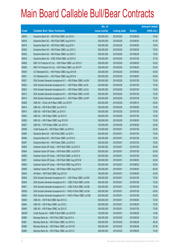|        |                                                                | No. of        |                     |               | <b>Amount raised</b> |
|--------|----------------------------------------------------------------|---------------|---------------------|---------------|----------------------|
| Code   | <b>Callable Bull / Bear Contracts</b>                          | issue (units) | <b>Listing date</b> | <b>Expiry</b> | $(HK$$ mil.)         |
| 60816  | Deutsche Bank AG - HSI R Bull CBBC Jun 2010 L                  | 300,000,000   | 2010/02/26          | 2010/06/29    | 75.00                |
| 60818  | Deutsche Bank AG - HSI R Bull CBBC Aug 2010 H                  | 300,000,000   | 2010/02/26          | 2010/08/30    | 81.00                |
| 60819  | Deutsche Bank AG - HSI R Bull CBBC Aug 2010 I                  | 300,000,000   | 2010/02/26          | 2010/08/30    | 78.00                |
| 60820  | Deutsche Bank AG - HSI R Bear CBBC Jun 2010 C                  | 300,000,000   | 2010/02/26          | 2010/06/29    | 75.00                |
| 60832  | Deutsche Bank AG - HSI R Bear CBBC Jun 2010 V                  | 300,000,000   | 2010/02/26          | 2010/06/29    | 75.00                |
| 60833  | Deutsche Bank AG - ICBC R Bull CBBC Jul 2010 D                 | 150,000,000   | 2010/02/26          | 2010/07/26    | 37.50                |
| 60828  | KBC Fin Products Int'l Ltd. - HSI R Bear CBBC Jun 2010 O       | 208,000,000   | 2010/02/26          | 2010/06/29    | 52.00                |
| 60829  | KBC Fin Products Int'l Ltd. - HSI R Bear CBBC Jun 2010 P       | 208,000,000   | 2010/02/26          | 2010/06/29    | 52.00                |
| 60830  | CC Rabobank B.A. - HSI R Bear CBBC Aug 2010 M                  | 200,000,000   | 2010/02/26          | 2010/08/30    | 50.00                |
| 60831  | CC Rabobank B.A. - HSI R Bear CBBC Aug 2010 N                  | 200,000,000   | 2010/02/26          | 2010/08/30    | 50.00                |
| 60821  | SGA Societe Generale Acceptance N.V. - HSI R Bear CBBC Jul10H  | 300,000,000   | 2010/02/26          | 2010/07/29    | 75.00                |
| 60822  | SGA Societe Generale Acceptance N.V. - HSI R Bear CBBC Jul101  | 300,000,000   | 2010/02/26          | 2010/07/29    | 75.00                |
| 60823  | SGA Societe Generale Acceptance N.V. - HSI R Bear CBBC Jul10J  | 300,000,000   | 2010/02/26          | 2010/07/29    | 75.00                |
| 60812  | SGA Societe Generale Acceptance N.V. - HSI R Bear CBBC Jul100  | 300,000,000   | 2010/02/26          | 2010/07/29    | 75.00                |
| 60813  | SGA Societe Generale Acceptance N.V. - HSI R Bear CBBC Jul10P  | 300,000,000   | 2010/02/26          | 2010/07/29    | 75.00                |
| 60826  | UBS AG - China Life R Bear CBBC Jun 2010 F                     | 200,000,000   | 2010/02/26          | 2010/06/14    | 50.00                |
| 60814  | UBS AG - HSI R Bull CBBC Jun 2010 O                            | 300,000,000   | 2010/02/26          | 2010/06/29    | 75.00                |
| 60815  | UBS AG - HSI R Bull CBBC Jul 2010 X                            | 300,000,000   | 2010/02/26          | 2010/07/29    | 75.00                |
| 60824  | UBS AG - HSI R Bear CBBC Jul 2010 O                            | 300,000,000   | 2010/02/26          | 2010/07/29    | 75.00                |
| 60825  | UBS AG - HSI R Bear CBBC Aug 2010 M                            | 300,000,000   | 2010/02/26          | 2010/08/30    | 75.00                |
| 60827  | UBS AG - TCH R Bear CBBC Jun 2010 C                            | 100,000,000   | 2010/02/26          | 2010/06/28    | 25.00                |
| 60848  | Credit Suisse AG - HSI R Bear CBBC Jul 2010 Q                  | 210,000,000   | 2010/03/01          | 2010/07/29    | 52.50                |
| 60850  | Deutsche Bank AG - HSI R Bull CBBC Jul 2010 I                  | 300,000,000   | 2010/03/01          | 2010/07/29    | 75.00                |
| 60846  | Deutsche Bank AG - HSI R Bear CBBC Jul 2010 A                  | 300,000,000   | 2010/03/01          | 2010/07/29    | 75.00                |
| 60847  | Deutsche Bank AG - HSI R Bear CBBC Jul 2010 C                  | 300,000,000   | 2010/03/01          | 2010/07/29    | 78.00                |
| 60853  | Goldman Sachs SP (Asia) - HSI R Bull CBBC Jul 2010 O           | 200,000,000   | 2010/03/01          | 2010/07/29    | 50.00                |
| 60854  | Goldman Sachs SP (Asia) - HSI R Bull CBBC Jul 2010 P           | 200,000,000   | 2010/03/01          | 2010/07/29    | 50.00                |
| 60855  | Goldman Sachs SP (Asia) - HSI R Bull CBBC Jul 2010 Q           | 200,000,000   | 2010/03/01          | 2010/07/29    | 50.00                |
| 60851  | Goldman Sachs SP (Asia) - HSI R Bull CBBC Aug 2010 M           | 200,000,000   | 2010/03/01          | 2010/08/30    | 50.00                |
| 60852  | Goldman Sachs SP (Asia) - HSI R Bull CBBC Aug 2010 N           | 200,000,000   | 2010/03/01          | 2010/08/30    | 50.00                |
| 60856  | Goldman Sachs SP (Asia) - HSI R Bear CBBC Aug 2010 O           | 200,000,000   | 2010/03/01          | 2010/08/30    | 60.00                |
| 60843  | HK Bank - HSI R Bull CBBC Aug 2010 D                           | 180,000,000   | 2010/03/01          | 2010/08/30    | 45.00                |
| 60839  | SGA Societe Generale Acceptance N.V. - HSI R Bear CBBC Jul10W  | 300,000,000   | 2010/03/01          | 2010/07/29    | 75.00                |
| 60840  | SGA Societe Generale Acceptance N.V. - ICBC R Bull CBBC Jul10A | 300,000,000   | 2010/03/01          | 2010/07/28    | 75.00                |
| 60841  | SGA Societe Generale Acceptance N.V. - ICBC R Bull CBBC Jul10B | 300,000,000   | 2010/03/01          | 2010/07/28    | 75.00                |
| 60838  | SGA Societe Generale Acceptance N.V - PetCh R Bull CBBC Jul10A | 200,000,000   | 2010/03/01          | 2010/07/28    | 50.00                |
| 60842  | SGA Societe Generale Acceptance N.V - PetCh R Bear CBBC Jul10B | 200,000,000   | 2010/03/01          | 2010/07/28    | 50.00                |
| 60849  | UBS AG - HSI R Bull CBBC Sep 2010 Q                            | 300,000,000   | 2010/03/01          | 2010/09/29    | 75.00                |
| 60844  | UBS AG - HSI R Bear CBBC Jun 2010 L                            | 300,000,000   | 2010/03/01          | 2010/06/29    | 75.00                |
| 60845  | UBS AG - HSI R Bear CBBC Jul 2010 G                            | 300,000,000   | 2010/03/01          | 2010/07/29    | 75.00                |
| 69226# | Credit Suisse AG - HSBC R Bull CBBC Jun 2010 B                 | 100,000,000   | 2010/03/01          | 2010/06/28    | 14.90                |
| 60880  | Barclays Bank plc - HSI R Bull CBBC Sep 2010 A                 | 300,000,000   | 2010/03/02          | 2010/09/29    | 75.30                |
| 60881  | Barclays Bank plc - HSI R Bear CBBC Jun 2010 A                 | 300,000,000   | 2010/03/02          | 2010/06/29    | 49.20                |
| 60882  | Barclays Bank plc - HSI R Bear CBBC Jun 2010 B                 | 300,000,000   | 2010/03/02          | 2010/06/29    | 57.90                |
| 60883  | Barclays Bank plc - HSI R Bear CBBC Jun 2010 C                 | 300,000,000   | 2010/03/02          | 2010/06/29    | 74.40                |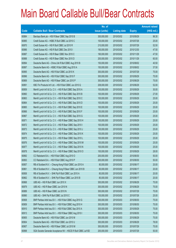|       |                                                               | No. of        |                     |               | <b>Amount raised</b> |
|-------|---------------------------------------------------------------|---------------|---------------------|---------------|----------------------|
| Code  | <b>Callable Bull / Bear Contracts</b>                         | issue (units) | <b>Listing date</b> | <b>Expiry</b> | $(HK$$ mil.)         |
| 60884 | Barclays Bank plc - HSI R Bear CBBC Sep 2010 B                | 300,000,000   | 2010/03/02          | 2010/09/29    | 96.30                |
| 60885 | Credit Suisse AG - HSBC R Bull CBBC Jul 2010 C                | 100,000,000   | 2010/03/02          | 2010/07/26    | 25.00                |
| 60870 | Credit Suisse AG - HSI R Bull CBBC Jul 2010 R                 | 210,000,000   | 2010/03/02          | 2010/07/29    | 52.50                |
| 60886 | Credit Suisse AG - HSI R Bull CBBC Dec 2010 I                 | 190,000,000   | 2010/03/02          | 2010/12/30    | 47.50                |
| 60887 | Credit Suisse AG - HSI R Bear CBBC Nov 2010 C                 | 190,000,000   | 2010/03/02          | 2010/11/29    | 47.50                |
| 60888 | Credit Suisse AG - HSI R Bear CBBC Nov 2010 D                 | 200,000,000   | 2010/03/02          | 2010/11/29    | 60.00                |
| 60894 | Deutsche Bank AG - China Life R Bull CBBC Aug 2010 B          | 150,000,000   | 2010/03/02          | 2010/08/02    | 40.50                |
| 60897 | Deutsche Bank AG - HSBC R Bull CBBC Aug 2010 A                | 150,000,000   | 2010/03/02          | 2010/08/02    | 37.50                |
| 60895 | Deutsche Bank AG - HSI R Bull CBBC Jul 2010 K                 | 300,000,000   | 2010/03/02          | 2010/07/29    | 75.00                |
| 60896 | Deutsche Bank AG - HSI R Bull CBBC Sep 2010 F                 | 300,000,000   | 2010/03/02          | 2010/09/29    | 75.00                |
| 60869 | Deutsche Bank AG - HSI R Bear CBBC Jun 2010 P                 | 300,000,000   | 2010/03/02          | 2010/06/29    | 75.00                |
| 60891 | KBC Fin Products Int'l Ltd. - HSI R Bull CBBC Jun 2010 Q      | 208,000,000   | 2010/03/02          | 2010/06/29    | 52.00                |
| 60859 | Merrill Lynch Int'l & Co. C.V. - HSI R Bull CBBC Sep 2010 A   | 100,000,000   | 2010/03/02          | 2010/09/29    | 30.00                |
| 60860 | Merrill Lynch Int'l & Co. C.V. - HSI R Bull CBBC Sep 2010 B   | 100,000,000   | 2010/03/02          | 2010/09/29    | 27.00                |
| 60863 | Merrill Lynch Int'l & Co. C.V. - HSI R Bull CBBC Sep 2010 C   | 100,000,000   | 2010/03/02          | 2010/09/29    | 25.00                |
| 60864 | Merrill Lynch Int'l & Co. C.V. - HSI R Bull CBBC Sep 2010 D   | 100,000,000   | 2010/03/02          | 2010/09/29    | 25.00                |
| 60865 | Merrill Lynch Int'l & Co. C.V. - HSI R Bull CBBC Sep 2010 E   | 100,000,000   | 2010/03/02          | 2010/09/29    | 25.00                |
| 60866 | Merrill Lynch Int'l & Co. C.V. - HSI R Bull CBBC Sep 2010 F   | 100,000,000   | 2010/03/02          | 2010/09/29    | 25.00                |
| 60867 | Merrill Lynch Int'l & Co. C.V. - HSI R Bull CBBC Sep 2010 G   | 100,000,000   | 2010/03/02          | 2010/09/29    | 25.00                |
| 60871 | Merrill Lynch Int'l & Co. C.V. - HSI R Bear CBBC Sep 2010 H   | 100,000,000   | 2010/03/02          | 2010/09/29    | 25.00                |
| 60872 | Merrill Lynch Int'l & Co. C.V. - HSI R Bear CBBC Sep 2010 I   | 100,000,000   | 2010/03/02          | 2010/09/29    | 25.00                |
| 60873 | Merrill Lynch Int'l & Co. C.V. - HSI R Bear CBBC Sep 2010 J   | 100,000,000   | 2010/03/02          | 2010/09/29    | 25.00                |
| 60874 | Merrill Lynch Int'l & Co. C.V. - HSI R Bear CBBC Sep 2010 K   | 100,000,000   | 2010/03/02          | 2010/09/29    | 25.00                |
| 60875 | Merrill Lynch Int'l & Co. C.V. - HSI R Bear CBBC Sep 2010 L   | 100,000,000   | 2010/03/02          | 2010/09/29    | 25.00                |
| 60876 | Merrill Lynch Int'l & Co. C.V. - HSI R Bear CBBC Sep 2010 M   | 100,000,000   | 2010/03/02          | 2010/09/29    | 25.00                |
| 60877 | Merrill Lynch Int'l & Co. C.V. - HSI R Bear CBBC Sep 2010 N   | 100,000,000   | 2010/03/02          | 2010/09/29    | 25.00                |
| 60878 | Merrill Lynch Int'l & Co. C.V. - HSI R Bear CBBC Sep 2010 O   | 100,000,000   | 2010/03/02          | 2010/09/29    | 28.00                |
| 60892 | CC Rabobank B.A. - HSI R Bull CBBC Aug 2010 O                 | 200,000,000   | 2010/03/02          | 2010/08/30    | 50.00                |
| 60893 | CC Rabobank B.A. - HSI R Bull CBBC Aug 2010 P                 | 200,000,000   | 2010/03/02          | 2010/08/30    | 50.00                |
| 60857 | RB of Scotland N.V. - Cheung Kong R Bull CBBC Jun 2010 A      | 80,000,000    | 2010/03/02          | 2010/06/17    | 20.00                |
| 60861 | RB of Scotland N.V. - Cheung Kong R Bear CBBC Jun 2010 B      | 80,000,000    | 2010/03/02          | 2010/06/17    | 20.00                |
| 60858 | RB of Scotland N.V. - SHK Ppt R Bull CBBC Jun 2010 A          | 80,000,000    | 2010/03/02          | 2010/06/17    | 20.00                |
| 60862 | RB of Scotland N.V. - SHK Ppt R Bear CBBC Jun 2010 B          | 80,000,000    | 2010/03/02          | 2010/06/17    | 20.00                |
| 60868 | UBS AG - HSI R Bull CBBC Jun 2010 X                           | 300,000,000   | 2010/03/02          | 2010/06/29    | 75.00                |
| 60879 | UBS AG - HSI R Bear CBBC Jun 2010 N                           | 300,000,000   | 2010/03/02          | 2010/06/29    | 75.00                |
| 60889 | UBS AG - HSI R Bear CBBC Jul 2010 N                           | 300,000,000   | 2010/03/02          | 2010/07/29    | 75.00                |
| 60890 | UBS AG - SHK Ppt R Bull CBBC Jul 2010 C                       | 100,000,000   | 2010/03/02          | 2010/07/26    | 25.00                |
| 60908 | BNP Paribas Arbit Issu B.V. - HSI R Bull CBBC Aug 2010 G      | 300,000,000   | 2010/03/03          | 2010/08/30    | 75.00                |
| 60909 | BNP Paribas Arbit Issu B.V. - HSI R Bull CBBC Aug 2010 H      | 300,000,000   | 2010/03/03          | 2010/08/30    | 75.00                |
| 60910 | BNP Paribas Arbit Issu B.V. - HSI R Bull CBBC Sep 2010 A      | 300,000,000   | 2010/03/03          | 2010/09/29    | 75.00                |
| 60913 | BNP Paribas Arbit Issu B.V. - HSI R Bear CBBC Aug 2010 I      | 300,000,000   | 2010/03/03          | 2010/08/30    | 75.00                |
| 60905 | Deutsche Bank AG - HSI R Bull CBBC Jun 2010 M                 | 300,000,000   | 2010/03/03          | 2010/06/29    | 75.00                |
| 60904 | Deutsche Bank AG - HSI R Bull CBBC Jun 2010 U                 | 300,000,000   | 2010/03/03          | 2010/06/29    | 78.00                |
| 60907 | Deutsche Bank AG - HSI R Bear CBBC Jul 2010 M                 | 300,000,000   | 2010/03/03          | 2010/07/29    | 75.00                |
| 60898 | SGA Societe Generale Acceptance NV - HSCEI R Bull CBBC Jul10D | 200,000,000   | 2010/03/03          | 2010/07/29    | 50.00                |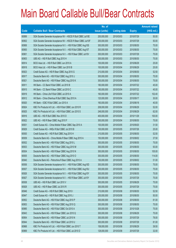|       |                                                               | No. of        |                     |               | <b>Amount raised</b> |
|-------|---------------------------------------------------------------|---------------|---------------------|---------------|----------------------|
| Code  | <b>Callable Bull / Bear Contracts</b>                         | issue (units) | <b>Listing date</b> | <b>Expiry</b> | $(HK$$ mil.)         |
| 60899 | SGA Societe Generale Acceptance NV - HSCEI R Bull CBBC Jul10E | 200,000,000   | 2010/03/03          | 2010/07/29    | 50.00                |
| 60902 | SGA Societe Generale Acceptance NV - HSCEI R Bear CBBC Jul10F | 200,000,000   | 2010/03/03          | 2010/07/29    | 50.00                |
| 60906 | SGA Societe Generale Acceptance N.V. - HSI R Bull CBBC Aug10S | 300,000,000   | 2010/03/03          | 2010/08/30    | 75.00                |
| 60900 | SGA Societe Generale Acceptance N.V. - HSI R Bull CBBC Aug10T | 300,000,000   | 2010/03/03          | 2010/08/30    | 75.00                |
| 60901 | SGA Societe Generale Acceptance N.V. - HSI R Bear CBBC Jul10V | 300,000,000   | 2010/03/03          | 2010/07/29    | 75.00                |
| 60903 | UBS AG - HSI R Bull CBBC Aug 2010 H                           | 300,000,000   | 2010/03/03          | 2010/08/30    | 75.00                |
| 60914 | BOCI Asia Ltd. - HSI R Bull CBBC Jun 2010 A                   | 100,000,000   | 2010/03/04          | 2010/06/29    | 25.00                |
| 60918 | BOCI Asia Ltd. - HSI R Bear CBBC Jun 2010 B                   | 100,000,000   | 2010/03/04          | 2010/06/29    | 25.00                |
| 60923 | Credit Suisse AG - HSI R Bear CBBC Aug 2010 G                 | 210,000,000   | 2010/03/04          | 2010/08/30    | 52.50                |
| 60917 | Deutsche Bank AG - HSI R Bull CBBC Aug 2010 J                 | 300,000,000   | 2010/03/04          | 2010/08/30    | 75.00                |
| 60921 | Deutsche Bank AG - HSI R Bear CBBC Aug 2010 K                 | 300,000,000   | 2010/03/04          | 2010/08/30    | 75.00                |
| 60911 | HK Bank - CC Bank R Bull CBBC Jul 2010 B                      | 180,000,000   | 2010/03/04          | 2010/07/22    | 45.00                |
| 60915 | HK Bank – CC Bank R Bear CBBC Jul 2010 C                      | 180,000,000   | 2010/03/04          | 2010/07/22    | 45.00                |
| 60919 | HK Bank - China Life R Bull CBBC Jul 2010 A                   | 160,000,000   | 2010/03/04          | 2010/07/22    | 102.40               |
| 60912 | HK Bank - China Shenhua R Bull CBBC Sep 2010 A                | 120,000,000   | 2010/03/04          | 2010/09/17    | 30.00                |
| 60920 | HK Bank - ICBC R Bull CBBC Jun 2010 A                         | 160,000,000   | 2010/03/04          | 2010/06/18    | 40.00                |
| 60924 | KBC Fin Products Int'l Ltd. - HSI R Bull CBBC Jun 2010 R      | 208,000,000   | 2010/03/04          | 2010/06/29    | 52.00                |
| 60925 | KBC Fin Products Int'l Ltd. - HSI R Bull CBBC Jun 2010 S      | 248,000,000   | 2010/03/04          | 2010/06/29    | 62.00                |
| 60916 | UBS AG - HSI R Bull CBBC Nov 2010 D                           | 400,000,000   | 2010/03/04          | 2010/11/29    | 100.00               |
| 60922 | UBS AG - HSI R Bear CBBC Aug 2010 F                           | 300,000,000   | 2010/03/04          | 2010/08/30    | 75.00                |
| 60931 | Credit Suisse AG - China Mobile R Bear CBBC Sep 2010 A        | 100,000,000   | 2010/03/05          | 2010/09/20    | 31.50                |
| 60929 | Credit Suisse AG - HKEx R Bull CBBC Jul 2010 B                | 100,000,000   | 2010/03/05          | 2010/07/26    | 25.00                |
| 60930 | Credit Suisse AG - HSI R Bull CBBC Aug 2010 H                 | 210,000,000   | 2010/03/05          | 2010/08/30    | 52.50                |
| 60939 | Deutsche Bank AG - China Mobile R Bear CBBC Aug 2010 A        | 150,000,000   | 2010/03/05          | 2010/08/02    | 37.50                |
| 60932 | Deutsche Bank AG - HSI R Bull CBBC Aug 2010 L                 | 300,000,000   | 2010/03/05          | 2010/08/30    | 75.00                |
| 60933 | Deutsche Bank AG - HSI R Bear CBBC Aug 2010 M                 | 300,000,000   | 2010/03/05          | 2010/08/30    | 93.00                |
| 60934 | Deutsche Bank AG - HSI R Bear CBBC Aug 2010 N                 | 300,000,000   | 2010/03/05          | 2010/08/30    | 105.00               |
| 60935 | Deutsche Bank AG - HSI R Bear CBBC Aug 2010 O                 | 300,000,000   | 2010/03/05          | 2010/08/30    | 114.00               |
| 60940 | Deutsche Bank AG - Petrochina R Bear CBBC Aug 2010 A          | 150,000,000   | 2010/03/05          | 2010/08/02    | 51.00                |
| 60936 | SGA Societe Generale Acceptance N.V. - HSI R Bull CBBC Aug10D | 300,000,000   | 2010/03/05          | 2010/08/30    | 75.00                |
| 60937 | SGA Societe Generale Acceptance N.V. - HSI R Bull CBBC Aug10U | 300,000,000   | 2010/03/05          | 2010/08/30    | 75.00                |
| 60926 | SGA Societe Generale Acceptance N.V. - HSI R Bull CBBC Aug10Y | 300,000,000   | 2010/03/05          | 2010/08/30    | 75.00                |
| 60927 | SGA Societe Generale Acceptance N.V. - HSI R Bear CBBC Jul10Y | 300,000,000   | 2010/03/05          | 2010/07/29    | 75.00                |
| 60938 | UBS AG - HSI R Bull CBBC Jun 2010 V                           | 300,000,000   | 2010/03/05          | 2010/06/29    | 75.00                |
| 60928 | UBS AG - HSI R Bear CBBC Jul 2010 R                           | 300,000,000   | 2010/03/05          | 2010/07/29    | 75.00                |
| 60946 | Credit Suisse AG - HSI R Bull CBBC Aug 2010 I                 | 210,000,000   | 2010/03/08          | 2010/08/30    | 52.50                |
| 60947 | Credit Suisse AG - HSI R Bull CBBC Aug 2010 J                 | 200,000,000   | 2010/03/08          | 2010/08/30    | 50.00                |
| 60952 | Deutsche Bank AG - HSI R Bull CBBC Aug 2010 P                 | 300,000,000   | 2010/03/08          | 2010/08/30    | 81.00                |
| 60953 | Deutsche Bank AG - HSI R Bull CBBC Aug 2010 Q                 | 300,000,000   | 2010/03/08          | 2010/08/30    | 75.00                |
| 60985 | Deutsche Bank AG - HSI R Bull CBBC Oct 2010 A                 | 300,000,000   | 2010/03/08          | 2010/10/28    | 75.00                |
| 60943 | Deutsche Bank AG - HSI R Bear CBBC Jun 2010 Q                 | 300,000,000   | 2010/03/08          | 2010/06/29    | 75.00                |
| 60954 | Deutsche Bank AG - HSI R Bear CBBC Jul 2010 N                 | 300,000,000   | 2010/03/08          | 2010/07/29    | 78.00                |
| 60944 | Deutsche Bank AG - HSI R Bear CBBC Jul 2010 U                 | 300,000,000   | 2010/03/08          | 2010/07/29    | 81.00                |
| 60968 | KBC Fin Products Int'l Ltd. - HSI R Bull CBBC Jun 2010 T      | 158,000,000   | 2010/03/08          | 2010/06/29    | 39.50                |
| 60969 | KBC Fin Products Int'l Ltd. - HSI R Bull CBBC Jul 2010 D      | 128,000,000   | 2010/03/08          | 2010/07/29    | 32.00                |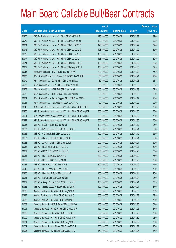|             |                                                               | No. of        |                     |               | <b>Amount raised</b> |
|-------------|---------------------------------------------------------------|---------------|---------------------|---------------|----------------------|
| <b>Code</b> | <b>Callable Bull / Bear Contracts</b>                         | issue (units) | <b>Listing date</b> | <b>Expiry</b> | (HK\$ mil.)          |
| 60970       | KBC Fin Products Int'l Ltd. - HSI R Bull CBBC Jul 2010 E      | 128,000,000   | 2010/03/08          | 2010/07/29    | 32.00                |
| 60973       | KBC Fin Products Int'l Ltd. - HSI R Bear CBBC Jun 2010 U      | 158,000,000   | 2010/03/08          | 2010/06/29    | 39.50                |
| 60974       | KBC Fin Products Int'l Ltd. - HSI R Bear CBBC Jul 2010 F      | 128,000,000   | 2010/03/08          | 2010/07/29    | 32.00                |
| 60975       | KBC Fin Products Int'l Ltd. - HSI R Bear CBBC Jul 2010 G      | 128,000,000   | 2010/03/08          | 2010/07/29    | 32.00                |
| 60976       | KBC Fin Products Int'l Ltd. - HSI R Bear CBBC Jul 2010 H      | 158,000,000   | 2010/03/08          | 2010/07/29    | 39.50                |
| 60977       | KBC Fin Products Int'l Ltd. - HSI R Bear CBBC Jul 2010 I      | 158,000,000   | 2010/03/08          | 2010/07/29    | 39.50                |
| 60971       | KBC Fin Products Int'l Ltd. - HSI R Bear CBBC Aug 2010 G      | 158,000,000   | 2010/03/08          | 2010/08/30    | 39.50                |
| 60972       | KBC Fin Products Int'l Ltd. - HSI R Bear CBBC Aug 2010 H      | 158,000,000   | 2010/03/08          | 2010/08/30    | 39.50                |
| 60945       | Macquarie Bank Ltd. - HSI R Bull CBBC Jul 2010 A              | 300,000,000   | 2010/03/08          | 2010/07/29    | 75.30                |
| 60980       | RB of Scotland N.V. - China Mobile R Bull CBBC Jun 2010 A     | 80,000,000    | 2010/03/08          | 2010/06/21    | 20.00                |
| 60979       | RB of Scotland N.V. - COVS R Bull CBBC Jun 2010 A             | 80,000,000    | 2010/03/08          | 2010/06/28    | 21.44                |
| 60983       | RB of Scotland N.V. - COVS R Bear CBBC Jun 2010 B             | 80,000,000    | 2010/03/08          | 2010/06/28    | 23.52                |
| 60978       | RB of Scotland N.V. - HSI R Bull CBBC Jun 2010 H              | 250,000,000   | 2010/03/08          | 2010/06/29    | 62.50                |
| 60982       | RB of Scotland N.V. - ICBC R Bear CBBC Jun 2010 C             | 80,000,000    | 2010/03/08          | 2010/06/23    | 20.00                |
| 60981       | RB of Scotland N.V. - Jiangxi Copper R Bull CBBC Jun 2010 A   | 80,000,000    | 2010/03/08          | 2010/06/17    | 20.08                |
| 60984       | RB of Scotland N.V. - PetCh R Bear CBBC Jun 2010 C            | 80,000,000    | 2010/03/08          | 2010/06/22    | 20.00                |
| 60948       | SGA Societe Generale Acceptance N.V. - HSI R Bull CBBC Jul10Q | 300,000,000   | 2010/03/08          | 2010/07/29    | 75.00                |
| 60950       | SGA Societe Generale Acceptance N.V. - HSI R Bull CBBC Aug10P | 300,000,000   | 2010/03/08          | 2010/08/30    | 75.00                |
| 60951       | SGA Societe Generale Acceptance N.V. - HSI R Bull CBBC Aug10Q | 300,000,000   | 2010/03/08          | 2010/08/30    | 75.00                |
| 60949       | SGA Societe Generale Acceptance N.V. - HSI R Bull CBBC Aug10R | 300,000,000   | 2010/03/08          | 2010/08/30    | 75.00                |
| 60955       | UBS AG - BOCL R Bull CBBC Jul 2010 F                          | 100,000,000   | 2010/03/08          | 2010/07/12    | 25.00                |
| 60967       | UBS AG - BYD Company R Bull CBBC Jun 2010 C                   | 100,000,000   | 2010/03/08          | 2010/06/21    | 25.00                |
| 60956       | UBS AG - CC Bank R Bull CBBC Jul 2010 D                       | 100,000,000   | 2010/03/08          | 2010/07/19    | 25.00                |
| 60957       | UBS AG - China Life R Bull CBBC Jun 2010 G                    | 200,000,000   | 2010/03/08          | 2010/06/21    | 50.00                |
| 60963       | UBS AG - A50 China R Bull CBBC Jun 2010 F                     | 200,000,000   | 2010/03/08          | 2010/06/21    | 50.00                |
| 60958       | UBS AG - HKEx R Bull CBBC Jun 2010 L                          | 200,000,000   | 2010/03/08          | 2010/06/21    | 50.00                |
| 60959       | UBS AG - HSBC R Bull CBBC Jun 2010 N                          | 200,000,000   | 2010/03/08          | 2010/06/28    | 50.00                |
| 60964       | UBS AG - HSI R Bull CBBC Jun 2010 E                           | 300,000,000   | 2010/03/08          | 2010/06/29    | 75.00                |
| 60965       | UBS AG - HSI R Bull CBBC Sep 2010 S                           | 300,000,000   | 2010/03/08          | 2010/09/29    | 75.00                |
| 60941       | UBS AG - HSI R Bear CBBC Jun 2010 S                           | 300,000,000   | 2010/03/08          | 2010/06/29    | 75.00                |
| 60942       | UBS AG - HSI R Bear CBBC Sep 2010 R                           | 300,000,000   | 2010/03/08          | 2010/09/29    | 75.00                |
| 60960       | UBS AG - Hutchison R Bull CBBC Jun 2010 F                     | 100,000,000   | 2010/03/08          | 2010/06/14    | 25.00                |
| 60961       | UBS AG - ICBC R Bull CBBC Jun 2010 H                          | 100,000,000   | 2010/03/08          | 2010/06/28    | 25.00                |
| 60962       | UBS AG - Jiangxi Copper R Bull CBBC Jun 2010 H                | 100,000,000   | 2010/03/08          | 2010/06/21    | 33.50                |
| 60966       | UBS AG - Jiangxi Copper R Bear CBBC Jun 2010 I                | 100,000,000   | 2010/03/08          | 2010/06/21    | 37.00                |
| 60986       | Barclays Bank plc - HSI R Bull CBBC Aug 2010 A                | 300,000,000   | 2010/03/09          | 2010/08/30    | 70.20                |
| 60987       | Barclays Bank plc - HSI R Bull CBBC Sep 2010 C                | 300,000,000   | 2010/03/09          | 2010/09/29    | 79.50                |
| 60988       | Barclays Bank plc - HSI R Bull CBBC Sep 2010 D                | 300,000,000   | 2010/03/09          | 2010/09/29    | 75.00                |
| 61003       | Deutsche Bank AG - HKEx R Bear CBBC Jul 2010 G                | 150,000,000   | 2010/03/09          | 2010/07/26    | 54.00                |
| 61004       | Deutsche Bank AG - HSBC R Bear CBBC Jul 2010 F                | 150,000,000   | 2010/03/09          | 2010/07/26    | 37.50                |
| 60999       | Deutsche Bank AG - HSI R Bull CBBC Jul 2010 O                 | 300,000,000   | 2010/03/09          | 2010/07/29    | 75.00                |
| 61000       | Deutsche Bank AG - HSI R Bull CBBC Aug 2010 R                 | 300,000,000   | 2010/03/09          | 2010/08/30    | 93.00                |
| 61001       | Deutsche Bank AG - HSI R Bull CBBC Aug 2010 S                 | 300,000,000   | 2010/03/09          | 2010/08/30    | 75.00                |
| 61002       | Deutsche Bank AG - HSI R Bear CBBC Sep 2010 G                 | 300,000,000   | 2010/03/09          | 2010/09/29    | 96.00                |
| 61005       | Deutsche Bank AG - TCH R Bull CBBC Jul 2010 D                 | 150,000,000   | 2010/03/09          | 2010/07/26    | 37.50                |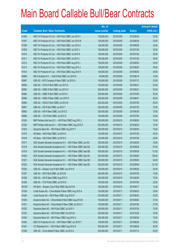|        |                                                               | No. of        |                     |               | <b>Amount raised</b> |
|--------|---------------------------------------------------------------|---------------|---------------------|---------------|----------------------|
| Code   | <b>Callable Bull / Bear Contracts</b>                         | issue (units) | <b>Listing date</b> | <b>Expiry</b> | (HK\$ mil.)          |
| 61006  | KBC Fin Products Int'l Ltd. - HSI R Bull CBBC Jun 2010 V      | 128,000,000   | 2010/03/09          | 2010/06/29    | 32.00                |
| 61007  | KBC Fin Products Int'l Ltd. - HSI R Bull CBBC Jun 2010 W      | 128,000,000   | 2010/03/09          | 2010/06/29    | 32.00                |
| 61008  | KBC Fin Products Int'l Ltd. - HSI R Bull CBBC Jun 2010 X      | 128,000,000   | 2010/03/09          | 2010/06/29    | 32.00                |
| 61009  | KBC Fin Products Int'l Ltd. - HSI R Bull CBBC Jul 2010 J      | 158,000,000   | 2010/03/09          | 2010/07/29    | 39.50                |
| 61010  | KBC Fin Products Int'l Ltd. - HSI R Bull CBBC Jul 2010 K      | 158,000,000   | 2010/03/09          | 2010/07/29    | 39.50                |
| 61011  | KBC Fin Products Int'l Ltd. - HSI R Bull CBBC Jul 2010 L      | 158,000,000   | 2010/03/09          | 2010/07/29    | 39.50                |
| 61012  | KBC Fin Products Int'l Ltd. - HSI R Bull CBBC Aug 2010 I      | 158,000,000   | 2010/03/09          | 2010/08/30    | 39.50                |
| 61013  | KBC Fin Products Int'l Ltd. - HSI R Bull CBBC Aug 2010 J      | 158,000,000   | 2010/03/09          | 2010/08/30    | 39.50                |
| 61014  | KBC Fin Products Int'l Ltd. - HSI R Bull CBBC Aug 2010 K      | 158,000,000   | 2010/03/09          | 2010/08/30    | 39.50                |
| 60989  | RB of Scotland N.V. - DJIA R Bull CBBC Jun 2010 E             | 40,000,000    | 2010/03/09          | 2010/06/18    | 13.84                |
| 60997  | UBS AG - BYD Company R Bear CBBC Jul 2010 A                   | 100,000,000   | 2010/03/09          | 2010/07/12    | 25.00                |
| 60995  | UBS AG - COVS R Bull CBBC Jun 2010 E                          | 100,000,000   | 2010/03/09          | 2010/06/21    | 25.00                |
| 60993  | UBS AG - HSBC R Bull CBBC Jun 2010 O                          | 200,000,000   | 2010/03/09          | 2010/06/21    | 50.00                |
| 60994  | UBS AG - HSBC R Bull CBBC Jul 2010 A                          | 200,000,000   | 2010/03/09          | 2010/07/05    | 50.00                |
| 60998  | UBS AG - HSBC R Bear CBBC Jun 2010 P                          | 200,000,000   | 2010/03/09          | 2010/06/21    | 50.00                |
| 60990  | UBS AG - HSCEI R Bull CBBC Jul 2010 B                         | 200,000,000   | 2010/03/09          | 2010/07/29    | 50.00                |
| 60991  | UBS AG - HSI R Bull CBBC Jul 2010 T                           | 300,000,000   | 2010/03/09          | 2010/07/29    | 75.00                |
| 60992  | UBS AG - HSI R Bear CBBC Jun 2010 Z                           | 300,000,000   | 2010/03/09          | 2010/06/29    | 75.00                |
| 60996  | UBS AG - TCH R Bull CBBC Jul 2010 D                           | 100,000,000   | 2010/03/09          | 2010/07/05    | 25.00                |
| 61024  | BNP Paribas Arbit Issu B.V. - HSI R Bull CBBC Aug 2010 J      | 300,000,000   | 2010/03/10          | 2010/08/30    | 75.00                |
| 61028  | BNP Paribas Arbit Issu B.V. - HSI R Bear CBBC Aug 2010 K      | 300,000,000   | 2010/03/10          | 2010/08/30    | 75.00                |
| 61023  | Deutsche Bank AG - HSI R Bear CBBC Aug 2010 T                 | 300,000,000   | 2010/03/10          | 2010/08/30    | 75.00                |
| 61015  | HK Bank - HSI R Bull CBBC Jul 2010 N                          | 120,000,000   | 2010/03/10          | 2010/07/29    | 30.00                |
| 61016  | HK Bank - HSI R Bull CBBC Jul 2010 O                          | 120,000,000   | 2010/03/10          | 2010/07/29    | 30.00                |
| 61017  | SGA Societe Generale Acceptance N.V. - HSI R Bear CBBC Jun10X | 300,000,000   | 2010/03/10          | 2010/06/29    | 75.00                |
| 61018  | SGA Societe Generale Acceptance N.V. - HSI R Bear CBBC Sep10A | 300,000,000   | 2010/03/10          | 2010/09/29    | 87.00                |
| 61019  | SGA Societe Generale Acceptance N.V. - HSI R Bear CBBC Sep10B | 300,000,000   | 2010/03/10          | 2010/09/29    | 112.50               |
| 61020  | SGA Societe Generale Acceptance N.V. - HSI R Bear CBBC Sep10C | 300,000,000   | 2010/03/10          | 2010/09/29    | 138.00               |
| 61021  | SGA Societe Generale Acceptance N.V. - HSI R Bear CBBC Sep10D | 300,000,000   | 2010/03/10          | 2010/09/29    | 94.50                |
| 61022  | SGA Societe Generale Acceptance N.V. - HSI R Bear CBBC Sep10E | 300,000,000   | 2010/03/10          | 2010/09/29    | 121.50               |
| 61025  | UBS AG - Sinopec Corp R Bull CBBC Jun 2010 K                  | 100,000,000   | 2010/03/10          | 2010/06/28    | 25.00                |
| 61027  | UBS AG - HSI R Bull CBBC Jul 2010 M                           | 300,000,000   | 2010/03/10          | 2010/07/29    | 75.00                |
| 61029  | UBS AG - HSI R Bear CBBC Aug 2010 C                           | 300,000,000   | 2010/03/10          | 2010/08/30    | 75.00                |
| 61026  | UBS AG - TCH R Bull CBBC Jul 2010 E                           | 100,000,000   | 2010/03/10          | 2010/07/05    | 25.00                |
| 60126# | HK Bank - Sinopec Corp R Bull CBBC Sep 2010 B                 | 160,000,000   | 2010/03/10          | 2010/09/17    | 13.28                |
| 61039  | Credit Suisse AG - China Mobile R Bear CBBC Aug 2010 A        | 100,000,000   | 2010/03/11          | 2010/08/23    | 25.00                |
| 61040  | Credit Suisse AG - HSI R Bear CBBC Aug 2010 K                 | 210,000,000   | 2010/03/11          | 2010/08/30    | 52.50                |
| 61030  | Deutsche Bank AG - China Mobile R Bull CBBC Aug 2010 B        | 150,000,000   | 2010/03/11          | 2010/08/02    | 37.50                |
| 61031  | Deutsche Bank AG - China Mobile R Bear CBBC Jul 2010 C        | 150,000,000   | 2010/03/11          | 2010/07/26    | 37.50                |
| 61032  | Deutsche Bank AG - HSI R Bull CBBC Jul 2010 Y                 | 300,000,000   | 2010/03/11          | 2010/07/29    | 75.00                |
| 61033  | Deutsche Bank AG - HSI R Bull CBBC Oct 2010 B                 | 300,000,000   | 2010/03/11          | 2010/10/28    | 75.00                |
| 61043  | Deutsche Bank AG - HSI R Bear CBBC Aug 2010 U                 | 300,000,000   | 2010/03/11          | 2010/08/30    | 75.00                |
| 61042  | KBC Fin Products Int'l Ltd. - HSI R Bear CBBC Jun 2010 Y      | 158,000,000   | 2010/03/11          | 2010/06/29    | 39.50                |
| 61041  | CC Rabobank B.A. - HSI R Bear CBBC Aug 2010 Q                 | 200,000,000   | 2010/03/11          | 2010/08/30    | 50.00                |
| 61038  | UBS AG - China Mobile R Bear CBBC Jul 2010 A                  | 200,000,000   | 2010/03/11          | 2010/07/12    | 50.00                |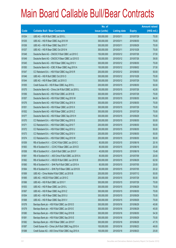|       |                                                        | No. of        |                     |               | <b>Amount raised</b> |
|-------|--------------------------------------------------------|---------------|---------------------|---------------|----------------------|
| Code  | <b>Callable Bull / Bear Contracts</b>                  | issue (units) | <b>Listing date</b> | <b>Expiry</b> | $(HK$$ mil.)         |
| 61034 | UBS AG - HSI R Bull CBBC Jul 2010 L                    | 300,000,000   | 2010/03/11          | 2010/07/29    | 75.00                |
| 61035 | UBS AG - HSI R Bear CBBC Aug 2010 W                    | 300,000,000   | 2010/03/11          | 2010/08/30    | 75.00                |
| 61036 | UBS AG - HSI R Bear CBBC Sep 2010 T                    | 300,000,000   | 2010/03/11          | 2010/09/29    | 75.00                |
| 61037 | UBS AG - HSI R Bear CBBC Oct 2010 N                    | 300,000,000   | 2010/03/11          | 2010/10/28    | 75.00                |
| 61048 | Deutsche Bank AG - CNOOC R Bull CBBC Jul 2010 C        | 150,000,000   | 2010/03/12          | 2010/07/26    | 37.50                |
| 61049 | Deutsche Bank AG - CNOOC R Bear CBBC Jul 2010 D        | 150,000,000   | 2010/03/12          | 2010/07/26    | 39.00                |
| 61045 | Deutsche Bank AG - HSI R Bear CBBC Aug 2010 V          | 300,000,000   | 2010/03/12          | 2010/08/30    | 75.00                |
| 61050 | Deutsche Bank AG - ICBC R Bear CBBC Aug 2010 A         | 150,000,000   | 2010/03/12          | 2010/08/02    | 37.50                |
| 61047 | CC Rabobank B.A. - HSI R Bull CBBC Aug 2010 R          | 200,000,000   | 2010/03/12          | 2010/08/30    | 50.00                |
| 61046 | UBS AG - HSI R Bull CBBC Oct 2010 O                    | 300,000,000   | 2010/03/12          | 2010/10/28    | 75.00                |
| 61044 | UBS AG - HSI R Bear CBBC Jul 2010 O                    | 300,000,000   | 2010/03/12          | 2010/07/29    | 75.00                |
| 61055 | Credit Suisse AG - HSI R Bear CBBC Aug 2010 L          | 200,000,000   | 2010/03/15          | 2010/08/30    | 50.00                |
| 61075 | Deutsche Bank AG - China Life R Bull CBBC Jul 2010 L   | 150,000,000   | 2010/03/15          | 2010/07/26    | 42.00                |
| 61056 | Deutsche Bank AG - HSI R Bull CBBC Jul 2010 B          | 300,000,000   | 2010/03/15          | 2010/07/29    | 75.00                |
| 61057 | Deutsche Bank AG - HSI R Bull CBBC Aug 2010 W          | 300,000,000   | 2010/03/15          | 2010/08/30    | 84.00                |
| 61076 | Deutsche Bank AG - HSI R Bull CBBC Aug 2010 X          | 300,000,000   | 2010/03/15          | 2010/08/30    | 75.00                |
| 61051 | Deutsche Bank AG - HSI R Bear CBBC Jul 2010 X          | 300,000,000   | 2010/03/15          | 2010/07/29    | 75.00                |
| 61052 | Deutsche Bank AG - HSI R Bear CBBC Jul 2010 Z          | 300,000,000   | 2010/03/15          | 2010/07/29    | 75.00                |
| 61077 | Deutsche Bank AG - HSI R Bear CBBC Sep 2010 H          | 300,000,000   | 2010/03/15          | 2010/09/29    | 75.00                |
| 61070 | CC Rabobank B.A. - HSI R Bull CBBC Aug 2010 S          | 200,000,000   | 2010/03/15          | 2010/08/30    | 50.00                |
| 61071 | CC Rabobank B.A. - HSI R Bull CBBC Aug 2010 T          | 200,000,000   | 2010/03/15          | 2010/08/30    | 50.00                |
| 61072 | CC Rabobank B.A. - HSI R Bull CBBC Aug 2010 U          | 200,000,000   | 2010/03/15          | 2010/08/30    | 50.00                |
| 61073 | CC Rabobank B.A. - HSI R Bull CBBC Aug 2010 V          | 200,000,000   | 2010/03/15          | 2010/08/30    | 50.00                |
| 61074 | CC Rabobank B.A. - HSI R Bull CBBC Aug 2010 W          | 200,000,000   | 2010/03/15          | 2010/08/30    | 50.00                |
| 61059 | RB of Scotland N.V. - CCHC R Bull CBBC Jun 2010 C      | 80,000,000    | 2010/03/15          | 2010/06/18    | 20.16                |
| 61063 | RB of Scotland N.V. - CCHC R Bear CBBC Jun 2010 D      | 80,000,000    | 2010/03/15          | 2010/06/18    | 20.00                |
| 61058 | RB of Scotland N.V. - DJIA R Bull CBBC Jun 2010 F      | 40,000,000    | 2010/03/15          | 2010/06/18    | 15.48                |
| 61061 | RB of Scotland N.V. - A50 China R Bull CBBC Jul 2010 A | 80,000,000    | 2010/03/15          | 2010/07/09    | 20.00                |
| 61062 | RB of Scotland N.V. - HSCEI R Bull CBBC Jun 2010 B     | 250,000,000   | 2010/03/15          | 2010/06/29    | 62.50                |
| 61060 | RB of Scotland N.V. - SHK Ppt R Bull CBBC Jul 2010 A   | 80,000,000    | 2010/03/15          | 2010/07/05    | 20.00                |
| 61064 | RB of Scotland N.V. - SHK Ppt R Bear CBBC Jul 2010 B   | 80,000,000    | 2010/03/15          | 2010/07/05    | 20.32                |
| 61069 | UBS AG - China Mobile R Bull CBBC Jul 2010 B           | 200,000,000   | 2010/03/15          | 2010/07/12    | 50.00                |
| 61065 | UBS AG - HSCEI R Bull CBBC Jul 2010 C                  | 200,000,000   | 2010/03/15          | 2010/07/29    | 50.00                |
| 61066 | UBS AG - HSI R Bull CBBC Jul 2010 Y                    | 300,000,000   | 2010/03/15          | 2010/07/29    | 75.00                |
| 61053 | UBS AG - HSI R Bear CBBC Jun 2010 L                    | 300,000,000   | 2010/03/15          | 2010/06/29    | 75.00                |
| 61067 | UBS AG - HSI R Bear CBBC Aug 2010 Z                    | 300,000,000   | 2010/03/15          | 2010/08/30    | 75.00                |
| 61054 | UBS AG - HSI R Bear CBBC Sep 2010 U                    | 300,000,000   | 2010/03/15          | 2010/09/29    | 75.00                |
| 61068 | UBS AG - HSI R Bear CBBC Sep 2010 V                    | 300,000,000   | 2010/03/15          | 2010/09/29    | 75.00                |
| 61078 | Barclays Bank plc - HSI R Bull CBBC Jun 2010 D         | 300,000,000   | 2010/03/16          | 2010/06/29    | 45.90                |
| 61079 | Barclays Bank plc - HSI R Bull CBBC Jun 2010 E         | 300,000,000   | 2010/03/16          | 2010/06/29    | 45.00                |
| 61080 | Barclays Bank plc - HSI R Bull CBBC Aug 2010 B         | 300,000,000   | 2010/03/16          | 2010/08/30    | 54.30                |
| 61081 | Barclays Bank plc - HSI R Bull CBBC Sep 2010 E         | 300,000,000   | 2010/03/16          | 2010/09/29    | 75.00                |
| 61082 | Barclays Bank plc - HSI R Bear CBBC Jun 2010 F         | 300,000,000   | 2010/03/16          | 2010/06/29    | 47.70                |
| 61087 | Credit Suisse AG - China Life R Bull CBBC Aug 2010 A   | 100,000,000   | 2010/03/16          | 2010/08/23    | 49.00                |
| 61088 | Credit Suisse AG - A50 China R Bull CBBC Aug 2010 A    | 100,000,000   | 2010/03/16          | 2010/08/23    | 25.00                |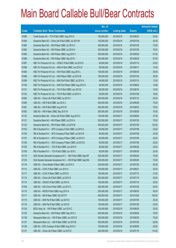|       |                                                               | No. of        |                     |               | <b>Amount raised</b> |
|-------|---------------------------------------------------------------|---------------|---------------------|---------------|----------------------|
| Code  | <b>Callable Bull / Bear Contracts</b>                         | issue (units) | <b>Listing date</b> | <b>Expiry</b> | (HK\$ mil.)          |
| 61089 | Credit Suisse AG - TCH R Bull CBBC Aug 2010 A                 | 100,000,000   | 2010/03/16          | 2010/08/23    | 25.00                |
| 61094 | Deutsche Bank AG - China Life R Bull CBBC Jul 2010 M          | 150,000,000   | 2010/03/16          | 2010/07/26    | 42.00                |
| 61084 | Deutsche Bank AG - HSI R Bear CBBC Jul 2010 C                 | 300,000,000   | 2010/03/16          | 2010/07/29    | 75.00                |
| 61083 | Deutsche Bank AG - HSI R Bear CBBC Jul 2010 H                 | 300,000,000   | 2010/03/16          | 2010/07/29    | 75.00                |
| 61085 | Deutsche Bank AG - HSI R Bear CBBC Aug 2010 Y                 | 300,000,000   | 2010/03/16          | 2010/08/30    | 81.00                |
| 61086 | Deutsche Bank AG - HSI R Bear CBBC Sep 2010 I                 | 300,000,000   | 2010/03/16          | 2010/09/29    | 87.00                |
| 61097 | KBC Fin Products Int'l Ltd. - CP&CC R Bull CBBC Jul 2010 D    | 80,000,000    | 2010/03/16          | 2010/07/15    | 20.00                |
| 61098 | KBC Fin Products Int'l Ltd. - HKEx R Bull CBBC Jun 2010 D     | 58,000,000    | 2010/03/16          | 2010/06/17    | 14.50                |
| 61095 | KBC Fin Products Int'l Ltd. - HSI R Bull CBBC Aug 2010 L      | 158,000,000   | 2010/03/16          | 2010/08/30    | 39.50                |
| 61096 | KBC Fin Products Int'l Ltd. - HSI R Bear CBBC Jul 2010 M      | 158,000,000   | 2010/03/16          | 2010/07/29    | 39.50                |
| 61099 | KBC Fin Products Int'l Ltd. - SHK Ppt R Bull CBBC Jul 2010 A  | 48,000,000    | 2010/03/16          | 2010/07/15    | 12.00                |
| 61100 | KBC Fin Products Int'l Ltd. - SHK Ppt R Bear CBBC Aug 2010 A  | 48,000,000    | 2010/03/16          | 2010/08/02    | 14.88                |
| 61101 | KBC Fin Products Int'l Ltd. - TCH R Bull CBBC Jun 2010 D      | 58,000,000    | 2010/03/16          | 2010/06/18    | 14.50                |
| 61102 | KBC Fin Products Int'l Ltd. - TCH R Bull CBBC Jul 2010 A      | 58,000,000    | 2010/03/16          | 2010/07/08    | 16.82                |
| 61093 | UBS AG - China Life R Bull CBBC Jul 2010 C                    | 200,000,000   | 2010/03/16          | 2010/07/12    | 55.00                |
| 61090 | UBS AG - HSI R Bull CBBC Jun 2010 J                           | 300,000,000   | 2010/03/16          | 2010/06/29    | 75.00                |
| 61091 | UBS AG - HSI R Bull CBBC Aug 2010 R                           | 300,000,000   | 2010/03/16          | 2010/08/30    | 75.00                |
| 61092 | UBS AG - HSI R Bear CBBC Sep 2010 W                           | 300,000,000   | 2010/03/16          | 2010/09/29    | 75.00                |
| 61123 | Deutsche Bank AG - China Life R Bull CBBC Aug 2010 C          | 150,000,000   | 2010/03/17          | 2010/08/09    | 37.50                |
| 61121 | Deutsche Bank AG - HSI R Bear CBBC Jul 2010 A                 | 300,000,000   | 2010/03/17          | 2010/07/29    | 75.00                |
| 61122 | Deutsche Bank AG - HSI R Bear CBBC Jul 2010 M                 | 300,000,000   | 2010/03/17          | 2010/07/29    | 123.00               |
| 61103 | RB of Scotland N.V. - BYD Company R Bull CBBC Jul 2010 A      | 80,000,000    | 2010/03/17          | 2010/07/08    | 20.00                |
| 61104 | RB of Scotland N.V. - BYD Company R Bull CBBC Jul 2010 B      | 80,000,000    | 2010/03/17          | 2010/07/08    | 20.08                |
| 61107 | RB of Scotland N.V. - BYD Company R Bear CBBC Jul 2010 C      | 80,000,000    | 2010/03/17          | 2010/07/08    | 20.00                |
| 61108 | RB of Scotland N.V. - BYD Company R Bear CBBC Jul 2010 D      | 80,000,000    | 2010/03/17          | 2010/07/08    | 20.00                |
| 61105 | RB of Scotland N.V. - TCH R Bull CBBC Jun 2010 H              | 80,000,000    | 2010/03/17          | 2010/06/28    | 20.00                |
| 61106 | RB of Scotland N.V. - TCH R Bull CBBC Jun 2010 I              | 80,000,000    | 2010/03/17          | 2010/06/28    | 20.00                |
| 61119 | SGA Societe Generale Acceptance N.V. - HSI R Bull CBBC Sep10F | 300,000,000   | 2010/03/17          | 2010/09/29    | 75.00                |
| 61120 | SGA Societe Generale Acceptance N.V. - HSI R Bull CBBC Sep10G | 300,000,000   | 2010/03/17          | 2010/09/29    | 75.00                |
| 61118 | UBS AG - China Mobile R Bear CBBC Jul 2010 C                  | 200,000,000   | 2010/03/17          | 2010/07/26    | 50.00                |
| 61112 | UBS AG - CCHC R Bull CBBC Jun 2010 A                          | 100,000,000   | 2010/03/17          | 2010/06/21    | 25.00                |
| 61117 | UBS AG - CCHC R Bear CBBC Jul 2010 D                          | 100,000,000   | 2010/03/17          | 2010/07/12    | 27.50                |
| 61113 | UBS AG - China Life R Bull CBBC Jul 2010 D                    | 200,000,000   | 2010/03/17          | 2010/07/19    | 50.00                |
| 61114 | UBS AG - CNOOC R Bull CBBC Jul 2010 A                         | 100,000,000   | 2010/03/17          | 2010/07/19    | 25.00                |
| 61109 | UBS AG - A50 China R Bull CBBC Jul 2010 C                     | 200,000,000   | 2010/03/17          | 2010/07/26    | 50.00                |
| 61110 | UBS AG - HSCEI R Bull CBBC Aug 2010 A                         | 200,000,000   | 2010/03/17          | 2010/08/30    | 50.00                |
| 61111 | UBS AG - HSI R Bear CBBC Oct 2010 P                           | 400,000,000   | 2010/03/17          | 2010/10/28    | 100.00               |
| 61115 | UBS AG - SHK Ppt R Bull CBBC Jul 2010 D                       | 100,000,000   | 2010/03/17          | 2010/07/05    | 25.00                |
| 61116 | UBS AG - SHK Ppt R Bull CBBC Jul 2010 E                       | 100,000,000   | 2010/03/17          | 2010/07/26    | 25.00                |
| 61124 | BOCI Asia Ltd. - HSI R Bear CBBC Jun 2010 C                   | 100,000,000   | 2010/03/18          | 2010/06/29    | 25.00                |
| 61125 | Deutsche Bank AG - HSI R Bear CBBC Sep 2010 J                 | 300,000,000   | 2010/03/18          | 2010/09/29    | 75.00                |
| 61126 | Macquarie Bank Ltd. - HSI R Bear CBBC Jun 2010 E              | 300,000,000   | 2010/03/18          | 2010/06/29    | 75.00                |
| 61127 | Macquarie Bank Ltd. - HSI R Bear CBBC Jul 2010 B              | 300,000,000   | 2010/03/18          | 2010/07/29    | 82.80                |
| 61128 | UBS AG - BYD Company R Bull CBBC Aug 2010 A                   | 100,000,000   | 2010/03/18          | 2010/08/09    | 25.00                |
| 61131 | UBS AG - China Life R Bear CBBC Jul 2010 E                    | 200,000,000   | 2010/03/18          | 2010/07/19    | 114.00               |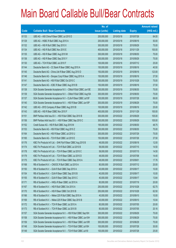|       |                                                                | No. of        |                     |               | <b>Amount raised</b> |
|-------|----------------------------------------------------------------|---------------|---------------------|---------------|----------------------|
| Code  | <b>Callable Bull / Bear Contracts</b>                          | issue (units) | <b>Listing date</b> | <b>Expiry</b> | $(HK$$ mil.)         |
| 61133 | UBS AG - A50 China R Bear CBBC Jul 2010 D                      | 200,000,000   | 2010/03/18          | 2010/07/26    | 64.00                |
| 61129 | UBS AG - HSBC R Bull CBBC Aug 2010 A                           | 200,000,000   | 2010/03/18          | 2010/08/16    | 50.00                |
| 61132 | UBS AG - HSI R Bull CBBC Sep 2010 X                            | 300,000,000   | 2010/03/18          | 2010/09/29    | 75.00                |
| 61134 | UBS AG - HSI R Bull CBBC Nov 2010 E                            | 400,000,000   | 2010/03/18          | 2010/11/29    | 100.00               |
| 61135 | UBS AG - HSI R Bear CBBC Aug 2010 M                            | 300,000,000   | 2010/03/18          | 2010/08/30    | 75.00                |
| 61136 | UBS AG - HSI R Bear CBBC Sep 2010 Y                            | 300,000,000   | 2010/03/18          | 2010/09/29    | 75.00                |
| 61130 | UBS AG - TCH R Bull CBBC Jul 2010 F                            | 100,000,000   | 2010/03/18          | 2010/07/12    | 25.00                |
| 61144 | Deutsche Bank AG - CC Bank R Bear CBBC Aug 2010 A              | 150,000,000   | 2010/03/19          | 2010/08/16    | 40.50                |
| 61145 | Deutsche Bank AG - China Life R Bear CBBC Aug 2010 D           | 150,000,000   | 2010/03/19          | 2010/08/16    | 123.00               |
| 61146 | Deutsche Bank AG - Sinopec Corp R Bear CBBC Aug 2010 A         | 150,000,000   | 2010/03/19          | 2010/08/16    | 37.50                |
| 61141 | Deutsche Bank AG - HSI R Bull CBBC Oct 2010 C                  | 300,000,000   | 2010/03/19          | 2010/10/28    | 75.00                |
| 61147 | Deutsche Bank AG - ICBC R Bear CBBC Aug 2010 B                 | 150,000,000   | 2010/03/19          | 2010/08/16    | 37.50                |
| 61138 | SGA Societe Generale Acceptance N.V. - CMob R Bull CBBC Jun10E | 300,000,000   | 2010/03/19          | 2010/06/30    | 75.00                |
| 61139 | SGA Societe Generale Acceptance N.V. - CMob R Bull CBBC Aug10A | 300,000,000   | 2010/03/19          | 2010/08/30    | 75.00                |
| 61137 | SGA Societe Generale Acceptance N.V - CLife R Bear CBBC Jul10F | 100,000,000   | 2010/03/19          | 2010/07/28    | 69.00                |
| 61140 | SGA Societe Generale Acceptance N.V. - HSI R Bear CBBC Jun10P  | 300,000,000   | 2010/03/19          | 2010/06/29    | 75.00                |
| 61142 | UBS AG - BYD Company R Bear CBBC Aug 2010 B                    | 100,000,000   | 2010/03/19          | 2010/08/16    | 25.00                |
| 61143 | UBS AG - HSI R Bear CBBC Nov 2010 F                            | 400,000,000   | 2010/03/19          | 2010/11/29    | 100.00               |
| 61151 | BNP Paribas Arbit Issu B.V. - HSI R Bull CBBC Sep 2010 B       | 300,000,000   | 2010/03/22          | 2010/09/29    | 105.00               |
| 61156 | BNP Paribas Arbit Issu B.V. - HSI R Bear CBBC Sep 2010 C       | 300,000,000   | 2010/03/22          | 2010/09/29    | 105.00               |
| 61152 | Credit Suisse AG - HSI R Bull CBBC Aug 2010 M                  | 195,000,000   | 2010/03/22          | 2010/08/30    | 48.75                |
| 61153 | Deutsche Bank AG - HSI R Bull CBBC Aug 2010 Z                  | 300,000,000   | 2010/03/22          | 2010/08/30    | 75.00                |
| 61164 | Deutsche Bank AG - HSI R Bear CBBC Jul 2010 U                  | 300,000,000   | 2010/03/22          | 2010/07/29    | 75.00                |
| 61165 | Deutsche Bank AG - TCH R Bull CBBC Jul 2010 E                  | 150,000,000   | 2010/03/22          | 2010/07/26    | 37.50                |
| 61176 | KBC Fin Products Int'l Ltd. - SHK Ppt R Bear CBBC Aug 2010 B   | 48,000,000    | 2010/03/22          | 2010/08/18    | 12.00                |
| 61174 | KBC Fin Products Int'l Ltd. - TCH R Bull CBBC Jul 2010 B       | 58,000,000    | 2010/03/22          | 2010/07/15    | 14.50                |
| 61178 | KBC Fin Products Int'l Ltd. - TCH R Bear CBBC Jul 2010 C       | 58,000,000    | 2010/03/22          | 2010/07/15    | 14.50                |
| 61179 | KBC Fin Products Int'l Ltd. - TCH R Bear CBBC Jul 2010 D       | 48,000,000    | 2010/03/22          | 2010/07/08    | 14.40                |
| 61175 | KBC Fin Products Int'l Ltd. - TCH R Bear CBBC Sep 2010 A       | 48,000,000    | 2010/03/22          | 2010/09/01    | 17.76                |
| 61168 | RB of Scotland N.V. - CNOOC R Bull CBBC Jul 2010 A             | 80,000,000    | 2010/03/22          | 2010/07/12    | 20.00                |
| 61150 | RB of Scotland N.V. - DJIA R Bull CBBC Sep 2010 A              | 40,000,000    | 2010/03/22          | 2010/09/17    | 10.00                |
| 61154 | RB of Scotland N.V. - DJIA R Bear CBBC Sep 2010 B              | 40,000,000    | 2010/03/22          | 2010/09/17    | 10.00                |
| 61155 | RB of Scotland N.V. - DJIA R Bear CBBC Sep 2010 C              | 40,000,000    | 2010/03/22          | 2010/09/17    | 13.64                |
| 61171 | RB of Scotland N.V. - HKEx R Bear CBBC Jul 2010 A              | 80,000,000    | 2010/03/22          | 2010/07/19    | 20.00                |
| 61167 | RB of Scotland N.V. - HSI R Bull CBBC Oct 2010 A               | 250,000,000   | 2010/03/22          | 2010/10/28    | 62.75                |
| 61170 | RB of Scotland N.V. - HSI R Bear CBBC Oct 2010 B               | 250,000,000   | 2010/03/22          | 2010/10/28    | 62.50                |
| 61166 | RB of Scotland N.V. - Nikkei 225 R Bull CBBC Sep 2010 A        | 40,000,000    | 2010/03/22          | 2010/09/10    | 10.00                |
| 61169 | RB of Scotland N.V. - Nikkei 225 R Bear CBBC Sep 2010 B        | 40,000,000    | 2010/03/22          | 2010/09/10    | 10.04                |
| 61172 | RB of Scotland N.V. - TCH R Bear CBBC Jul 2010 A               | 80,000,000    | 2010/03/22          | 2010/07/05    | 20.00                |
| 61173 | RB of Scotland N.V. - TCH R Bear CBBC Jul 2010 B               | 80,000,000    | 2010/03/22          | 2010/07/05    | 20.16                |
| 61157 | SGA Societe Generale Acceptance N.V. - HSI R Bull CBBC Sep10H  | 300,000,000   | 2010/03/22          | 2010/09/29    | 75.00                |
| 61158 | SGA Societe Generale Acceptance N.V. - HSI R Bear CBBC Jun10H  | 300,000,000   | 2010/03/22          | 2010/06/29    | 75.00                |
| 61159 | SGA Societe Generale Acceptance N.V. - HSI R Bear CBBC Jun10R  | 300,000,000   | 2010/03/22          | 2010/06/29    | 75.00                |
| 61148 | SGA Societe Generale Acceptance N.V. - TCH R Bull CBBC Jul10H  | 100,000,000   | 2010/03/22          | 2010/07/28    | 30.00                |
| 61149 | SGA Societe Generale Acceptance N.V. - TCH R Bull CBBC Jul10I  | 100,000,000   | 2010/03/22          | 2010/07/28    | 25.00                |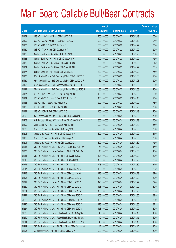|       |                                                              | No. of        |                     |               | <b>Amount raised</b> |
|-------|--------------------------------------------------------------|---------------|---------------------|---------------|----------------------|
| Code  | <b>Callable Bull / Bear Contracts</b>                        | issue (units) | <b>Listing date</b> | <b>Expiry</b> | (HK\$ mil.)          |
| 61161 | UBS AG - A50 China R Bear CBBC Jul 2010 E                    | 200,000,000   | 2010/03/22          | 2010/07/19    | 50.00                |
| 61162 | UBS AG - A50 China R Bear CBBC Aug 2010 A                    | 200,000,000   | 2010/03/22          | 2010/08/16    | 57.00                |
| 61163 | UBS AG - HSI R Bull CBBC Jun 2010 N                          | 300,000,000   | 2010/03/22          | 2010/06/29    | 75.00                |
| 61160 | UBS AG - TCH R Bear CBBC Aug 2010 A                          | 100,000,000   | 2010/03/22          | 2010/08/09    | 29.50                |
| 61182 | Barclays Bank plc - HSI R Bull CBBC Sep 2010 G               | 300,000,000   | 2010/03/23          | 2010/09/29    | 75.00                |
| 61183 | Barclays Bank plc - HSI R Bull CBBC Sep 2010 H               | 300,000,000   | 2010/03/23          | 2010/09/29    | 75.00                |
| 61180 | Barclays Bank plc - HSI R Bear CBBC Jun 2010 G               | 300,000,000   | 2010/03/23          | 2010/06/29    | 54.30                |
| 61181 | Barclays Bank plc - HSI R Bear CBBC Jun 2010 H               | 300,000,000   | 2010/03/23          | 2010/06/29    | 53.10                |
| 61177 | Barclays Bank plc - HSI R Bear CBBC Sep 2010 F               | 300,000,000   | 2010/03/23          | 2010/09/29    | 75.00                |
| 61188 | RB of Scotland N.V. - BYD Company R Bull CBBC Jul 2010 E     | 80,000,000    | 2010/03/23          | 2010/07/08    | 20.00                |
| 61189 | RB of Scotland N.V. - BYD Company R Bull CBBC Jul 2010 F     | 80,000,000    | 2010/03/23          | 2010/07/08    | 20.00                |
| 61193 | RB of Scotland N.V. - BYD Company R Bear CBBC Jul 2010 G     | 80,000,000    | 2010/03/23          | 2010/07/08    | 20.00                |
| 61194 | RB of Scotland N.V. - BYD Company R Bear CBBC Jul 2010 H     | 80,000,000    | 2010/03/23          | 2010/07/08    | 20.00                |
| 61187 | UBS AG - BYD Company R Bull CBBC Aug 2010 C                  | 100,000,000   | 2010/03/23          | 2010/08/09    | 25.00                |
| 61191 | UBS AG - BYD Company R Bear CBBC Aug 2010 D                  | 100,000,000   | 2010/03/23          | 2010/08/16    | 25.00                |
| 61185 | UBS AG - HSI R Bear CBBC Jun 2010 S                          | 300,000,000   | 2010/03/23          | 2010/06/29    | 75.00                |
| 61186 | UBS AG - HSI R Bear CBBC Jul 2010 G                          | 300,000,000   | 2010/03/23          | 2010/07/29    | 75.00                |
| 61184 | UBS AG - ICBC R Bull CBBC Jul 2010 C                         | 100,000,000   | 2010/03/23          | 2010/07/19    | 25.00                |
| 61202 | BNP Paribas Arbit Issu B.V. - HSI R Bull CBBC Aug 2010 L     | 300,000,000   | 2010/03/24          | 2010/08/30    | 75.00                |
| 61203 | BNP Paribas Arbit Issu B.V. - HSI R Bull CBBC Sep 2010 D     | 300,000,000   | 2010/03/24          | 2010/09/29    | 75.00                |
| 61199 | Credit Suisse AG - HSI R Bull CBBC Aug 2010 N                | 220,000,000   | 2010/03/24          | 2010/08/30    | 55.00                |
| 61200 | Deutsche Bank AG - HSI R Bull CBBC Aug 2010 D                | 300,000,000   | 2010/03/24          | 2010/08/30    | 75.00                |
| 61201 | Deutsche Bank AG - HSI R Bull CBBC Sep 2010 K                | 300,000,000   | 2010/03/24          | 2010/09/29    | 84.00                |
| 61192 | Deutsche Bank AG - HSI R Bear CBBC Aug 2010 E                | 300,000,000   | 2010/03/24          | 2010/08/30    | 75.00                |
| 61204 | Deutsche Bank AG - HSI R Bear CBBC Aug 2010 K                | 300,000,000   | 2010/03/24          | 2010/08/30    | 75.00                |
| 61213 | KBC Fin Products Int'l Ltd. - A50 China R Bull CBBC Aug 10A  | 68,000,000    | 2010/03/24          | 2010/08/02    | 17.00                |
| 61208 | KBC Fin Products Int'l Ltd. - Geely Auto R Bull CBBC Oct10A  | 40,000,000    | 2010/03/24          | 2010/10/08    | 10.00                |
| 61214 | KBC Fin Products Int'l Ltd. - HSI R Bull CBBC Jun 2010 Z     | 128,000,000   | 2010/03/24          | 2010/06/29    | 32.00                |
| 61215 | KBC Fin Products Int'l Ltd. - HSI R Bull CBBC Jul 2010 O     | 158,000,000   | 2010/03/24          | 2010/07/29    | 39.50                |
| 61216 | KBC Fin Products Int'l Ltd. - HSI R Bull CBBC Aug 2010 M     | 128,000,000   | 2010/03/24          | 2010/08/30    | 32.00                |
| 61217 | KBC Fin Products Int'l Ltd. - HSI R Bull CBBC Aug 2010 N     | 158,000,000   | 2010/03/24          | 2010/08/30    | 39.50                |
| 61218 | KBC Fin Products Int'l Ltd. - HSI R Bear CBBC Jun 2010 C     | 128,000,000   | 2010/03/24          | 2010/06/29    | 32.00                |
| 61198 | KBC Fin Products Int'l Ltd. - HSI R Bear CBBC Jul 2010 N     | 128,000,000   | 2010/03/24          | 2010/07/29    | 32.00                |
| 61219 | KBC Fin Products Int'l Ltd. - HSI R Bear CBBC Jul 2010 P     | 128,000,000   | 2010/03/24          | 2010/07/29    | 32.00                |
| 61220 | KBC Fin Products Int'l Ltd. - HSI R Bear CBBC Jul 2010 Q     | 158,000,000   | 2010/03/24          | 2010/07/29    | 39.50                |
| 61221 | KBC Fin Products Int'l Ltd. - HSI R Bear CBBC Jul 2010 R     | 158,000,000   | 2010/03/24          | 2010/07/29    | 39.50                |
| 61224 | KBC Fin Products Int'l Ltd. - HSI R Bear CBBC Aug 2010 O     | 158,000,000   | 2010/03/24          | 2010/08/30    | 39.50                |
| 61225 | KBC Fin Products Int'l Ltd. - HSI R Bear CBBC Aug 2010 P     | 128,000,000   | 2010/03/24          | 2010/08/30    | 32.00                |
| 61226 | KBC Fin Products Int'l Ltd. - HSI R Bear CBBC Aug 2010 Q     | 128,000,000   | 2010/03/24          | 2010/08/30    | 37.12                |
| 61227 | KBC Fin Products Int'l Ltd. - HSI R Bear CBBC Sep 2010 B     | 158,000,000   | 2010/03/24          | 2010/09/29    | 39.50                |
| 61209 | KBC Fin Products Int'l Ltd. - Petrochina R Bull CBBC Aug10A  | 40,000,000    | 2010/03/24          | 2010/08/18    | 10.00                |
| 61210 | KBC Fin Products Int'l Ltd. - Petrochina R Bear CBBC Jul10A  | 40,000,000    | 2010/03/24          | 2010/07/15    | 10.00                |
| 61211 | KBC Fin Products Int'l Ltd. - Petrochina R Bear CBBC Sep10A  | 40,000,000    | 2010/03/24          | 2010/09/16    | 10.00                |
| 61212 | KBC Fin Products Int'l Ltd. - SHK Ppt R Bear CBBC Oct 2010 A | 48,000,000    | 2010/03/24          | 2010/10/15    | 16.80                |
| 61206 | CC Rabobank B.A. - HSI R Bull CBBC Sep 2010 A                | 200,000,000   | 2010/03/24          | 2010/09/29    | 50.00                |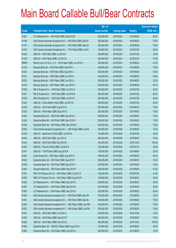|        |                                                               | No. of        |                     |               | <b>Amount raised</b> |
|--------|---------------------------------------------------------------|---------------|---------------------|---------------|----------------------|
| Code   | <b>Callable Bull / Bear Contracts</b>                         | issue (units) | <b>Listing date</b> | <b>Expiry</b> | $(HK$$ mil.)         |
| 61207  | CC Rabobank B.A. - HSI R Bull CBBC Sep 2010 B                 | 200,000,000   | 2010/03/24          | 2010/09/29    | 50.00                |
| 61196  | SGA Societe Generale Acceptance N.V. - HSI R Bull CBBC Sep10I | 300,000,000   | 2010/03/24          | 2010/09/29    | 75.00                |
| 61197  | SGA Societe Generale Acceptance N.V. - HSI R Bull CBBC Sep10J | 300,000,000   | 2010/03/24          | 2010/09/29    | 75.00                |
| 61190  | SGA Societe Generale Acceptance N.V. - TCH R Bull CBBC Jul10J | 100,000,000   | 2010/03/24          | 2010/07/28    | 25.00                |
| 61205  | UBS AG - HSI R Bull CBBC Jul 2010 R                           | 300,000,000   | 2010/03/24          | 2010/07/29    | 75.00                |
| 61195  | UBS AG - HSI R Bear CBBC Jul 2010 N                           | 300,000,000   | 2010/03/24          | 2010/07/29    | 75.00                |
| 68858# | Merrill Lynch Int'l & Co. C.V. - HSI R Bear CBBC Jun 2010 K   | 200,000,000   | 2010/03/24          | 2010/06/29    | 41.20                |
| 61229  | Barclays Bank plc - HSI R Bull CBBC Sep 2010 I                | 300,000,000   | 2010/03/25          | 2010/09/29    | 75.00                |
| 61230  | Barclays Bank plc - HSI R Bull CBBC Sep 2010 J                | 300,000,000   | 2010/03/25          | 2010/09/29    | 75.00                |
| 61231  | Barclays Bank plc - HSI R Bear CBBC Jun 2010 I                | 300,000,000   | 2010/03/25          | 2010/06/29    | 45.60                |
| 61232  | Barclays Bank plc - HSI R Bear CBBC Jun 2010 J                | 300,000,000   | 2010/03/25          | 2010/06/29    | 52.50                |
| 61233  | Barclays Bank plc - HSI R Bear CBBC Jun 2010 K                | 300,000,000   | 2010/03/25          | 2010/06/29    | 65.70                |
| 61236  | RB of Scotland N.V. - HSI R Bull CBBC Jul 2010 A              | 250,000,000   | 2010/03/25          | 2010/07/29    | 62.50                |
| 61237  | RB of Scotland N.V. - HSI R Bull CBBC Jul 2010 B              | 250,000,000   | 2010/03/25          | 2010/07/29    | 62.50                |
| 61238  | RB of Scotland N.V. - HSI R Bull CBBC Jul 2010 C              | 250,000,000   | 2010/03/25          | 2010/07/29    | 63.00                |
| 61234  | UBS AG - China Mobile R Bull CBBC Jul 2010 D                  | 200,000,000   | 2010/03/25          | 2010/07/26    | 50.00                |
| 61235  | UBS AG - HSI R Bull CBBC Aug 2010 Q                           | 300,000,000   | 2010/03/25          | 2010/08/30    | 75.00                |
| 61228  | UBS AG - HSI R Bear CBBC Sep 2010 Z                           | 300,000,000   | 2010/03/25          | 2010/09/29    | 75.00                |
| 61244  | Deutsche Bank AG - HSI R Bull CBBC Sep 2010 L                 | 300,000,000   | 2010/03/26          | 2010/09/29    | 75.00                |
| 61246  | Deutsche Bank AG - HSI R Bull CBBC Sep 2010 N                 | 300,000,000   | 2010/03/26          | 2010/09/29    | 75.00                |
| 61248  | Deutsche Bank AG - HSI R Bear CBBC Sep 2010 M                 | 300,000,000   | 2010/03/26          | 2010/09/29    | 78.00                |
| 61245  | SGA Societe Generale Acceptance N.V. - HSI R Bear CBBC Jun10L | 300,000,000   | 2010/03/26          | 2010/06/29    | 75.00                |
| 61239  | UBS AG - BankComm R Bull CBBC Jul 2010 A                      | 100,000,000   | 2010/03/26          | 2010/07/26    | 25.00                |
| 61242  | UBS AG - HSI R Bull CBBC Jun 2010 Z                           | 300,000,000   | 2010/03/26          | 2010/06/29    | 75.00                |
| 61243  | UBS AG - HSI R Bull CBBC Dec 2010 B                           | 400,000,000   | 2010/03/26          | 2010/12/30    | 100.00               |
| 61240  | UBS AG - Ping An R Bull CBBC Jul 2010 A                       | 100,000,000   | 2010/03/26          | 2010/07/19    | 25.00                |
| 61241  | UBS AG - TCH R Bear CBBC Aug 2010 B                           | 100,000,000   | 2010/03/26          | 2010/08/09    | 25.00                |
| 61254  | Credit Suisse AG - HSI R Bear CBBC Aug 2010 O                 | 195,000,000   | 2010/03/29          | 2010/08/30    | 48.75                |
| 61249  | Deutsche Bank AG - HSI R Bull CBBC Aug 2010 T                 | 300,000,000   | 2010/03/29          | 2010/08/30    | 75.00                |
| 61259  | Deutsche Bank AG - HSI R Bull CBBC Sep 2010 O                 | 300,000,000   | 2010/03/29          | 2010/09/29    | 75.00                |
| 61263  | Deutsche Bank AG - HSI R Bear CBBC Sep 2010 P                 | 300,000,000   | 2010/03/29          | 2010/09/29    | 81.00                |
| 61257  | KBC Fin Products Int'l Ltd. - HSI R Bear CBBC Jul 2010 S      | 128,000,000   | 2010/03/29          | 2010/07/29    | 32.00                |
| 61258  | KBC Fin Products Int'l Ltd. - HSI R Bear CBBC Aug 2010 R      | 128,000,000   | 2010/03/29          | 2010/08/30    | 32.00                |
| 61260  | CC Rabobank B.A. - HSI R Bear CBBC Sep 2010 C                 | 200,000,000   | 2010/03/29          | 2010/09/29    | 50.00                |
| 61261  | CC Rabobank B.A. - HSI R Bear CBBC Sep 2010 D                 | 200,000,000   | 2010/03/29          | 2010/09/29    | 50.00                |
| 61262  | CC Rabobank B.A. - HSI R Bear CBBC Sep 2010 E                 | 200,000,000   | 2010/03/29          | 2010/09/29    | 50.00                |
| 61250  | SGA Societe Generale Acceptance N.V. - HSI R Bull CBBC Sep10K | 300,000,000   | 2010/03/29          | 2010/09/29    | 75.00                |
| 61251  | SGA Societe Generale Acceptance N.V. - HSI R Bull CBBC Sep10L | 300,000,000   | 2010/03/29          | 2010/09/29    | 75.00                |
| 61252  | SGA Societe Generale Acceptance N.V. - HSI R Bear CBBC Jun10M | 300,000,000   | 2010/03/29          | 2010/06/29    | 75.00                |
| 61253  | SGA Societe Generale Acceptance N.V. - HSI R Bear CBBC Jun10N | 300,000,000   | 2010/03/29          | 2010/06/29    | 75.00                |
| 61247  | UBS AG - HSI R Bull CBBC Oct 2010 Q                           | 300,000,000   | 2010/03/29          | 2010/10/28    | 75.00                |
| 61255  | UBS AG - HSI R Bear CBBC Sep 2010 F                           | 300,000,000   | 2010/03/29          | 2010/09/29    | 75.00                |
| 61256  | UBS AG - HSI R Bear CBBC Dec 2010 C                           | 400,000,000   | 2010/03/29          | 2010/12/30    | 100.00               |
| 61266  | Deutsche Bank AG - CNOOC R Bear CBBC Aug 2010 A               | 150,000,000   | 2010/03/30          | 2010/08/02    | 40.50                |
| 61264  | Deutsche Bank AG - HSI R Bear CBBC Aug 2010 U                 | 300,000,000   | 2010/03/30          | 2010/08/30    | 75.00                |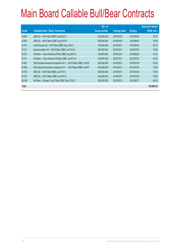|        |                                                               | No. of        |                     |               | <b>Amount raised</b> |
|--------|---------------------------------------------------------------|---------------|---------------------|---------------|----------------------|
| Code   | <b>Callable Bull / Bear Contracts</b>                         | issue (units) | <b>Listing date</b> | <b>Expiry</b> | (HK\$ mil.)          |
| 61269  | UBS AG - HSI R Bull CBBC Aug 2010 C                           | 300,000,000   | 2010/03/30          | 2010/08/30    | 75.00                |
| 61265  | UBS AG - HSI R Bear CBBC Aug 2010 F                           | 300,000,000   | 2010/03/30          | 2010/08/30    | 75.00                |
| 61274  | Credit Suisse AG - HSI R Bull CBBC Sep 2010 C                 | 195,000,000   | 2010/03/31          | 2010/09/29    | 48.75                |
| 61273  | Deutsche Bank AG - HSI R Bear CBBC Jul 2010 N                 | 300,000,000   | 2010/03/31          | 2010/07/29    | 75.00                |
| 61270  | HK Bank - China Shenhua R Bull CBBC Aug 2010 A                | 150,000,000   | 2010/03/31          | 2010/08/23    | 37.50                |
| 61271  | HK Bank - China Shenhua R Bear CBBC Jul 2010 A                | 100,000,000   | 2010/03/31          | 2010/07/22    | 25.00                |
| 61267  | SGA Societe Generale Acceptance N.V. - HSI R Bear CBBC Jul10G | 300,000,000   | 2010/03/31          | 2010/07/29    | 75.00                |
| 61268  | SGA Societe Generale Acceptance N.V. - HSI R Bear CBBC Jul10P | 300,000,000   | 2010/03/31          | 2010/07/29    | 75.00                |
| 61276  | UBS AG - HSI R Bull CBBC Jul 2010 O                           | 300,000,000   | 2010/03/31          | 2010/07/29    | 75.00                |
| 61272  | UBS AG - HSI R Bear CBBC Jul 2010 E                           | 300,000,000   | 2010/03/31          | 2010/07/29    | 75.00                |
| 60126# | HK Bank - Sinopec Corp R Bull CBBC Sep 2010 B                 | 300,000,000   | 2010/03/31          | 2010/09/17    | 28.50                |
| Total  |                                                               |               |                     |               | 103,866.53           |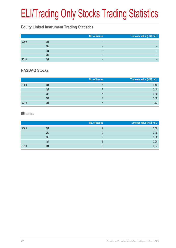# ELI/Trading Only Stocks Trading Statistics

#### **Equity Linked Instrument Trading Statistics**

|      |    | No. of issues | Turnover value (HK\$ mil.) |
|------|----|---------------|----------------------------|
| 2009 | Q1 | -             |                            |
|      | Q2 | -             |                            |
|      | Q3 | -             |                            |
|      | Q4 | -             |                            |
| 2010 | O1 | -             |                            |

#### **NASDAQ Stocks**

|      |                | No. of issues | Turnover value (HK\$ mil.) |
|------|----------------|---------------|----------------------------|
| 2009 | Q1             |               | 0.42                       |
|      | Q2             |               | 0.45                       |
|      | Q <sub>3</sub> |               | 0.90                       |
|      | Q4             |               | 0.30                       |
| 2010 | Q1             |               | 1.33                       |

#### **iShares**

|      |    | No. of issues | Turnover value (HK\$ mil.) |
|------|----|---------------|----------------------------|
| 2009 | Q1 |               | 0.00                       |
|      | Q2 |               | 0.00                       |
|      | Q3 |               | 0.00                       |
|      | Q4 |               | 0.00                       |
| 2010 | Q1 |               | 0.04                       |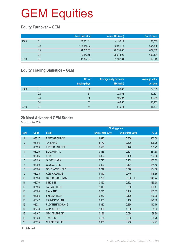### **Equity Turnover – GEM**

|      |                | Share (Mil. shs) | Value (HK\$ mil.) | No. of deals |
|------|----------------|------------------|-------------------|--------------|
| 2009 | Q1             | 23,051.11        | 4,192.12          | 153,505      |
|      | Q <sub>2</sub> | 116,455.92       | 19,561.73         | 605,615      |
|      | Q3             | 84,235.17        | 26,394.60         | 677,639      |
|      | Q4             | 72,473.65        | 25,613.02         | 669,404      |
| 2010 | Q1             | 97,877.07        | 31,502.84         | 762,645      |

### **Equity Trading Statistics – GEM**

|      |                | No. of<br>trading days | <b>Average daily turnover</b><br>(HK\$ mil.) | <b>Average value</b><br>per deal |
|------|----------------|------------------------|----------------------------------------------|----------------------------------|
| 2009 | Q1             | 60                     | 69.87                                        | 27,309                           |
|      | Q <sub>2</sub> | 61                     | 320.68                                       | 32,301                           |
|      | Q <sub>3</sub> | 65                     | 406.07                                       | 38,951                           |
|      | Q4             | 63                     | 406.56                                       | 38,262                           |
| 2010 | Q <sub>1</sub> | 61                     | 516.44                                       | 41,307                           |

#### **20 Most Advanced GEM Stocks**

for 1st quarter 2010

|                |       |                        |                 | <b>Closing price</b>    |        |
|----------------|-------|------------------------|-----------------|-------------------------|--------|
| <b>Rank</b>    | Code  | <b>Stock</b>           | End of Mar 2010 | End of Dec 2009         | $%$ up |
| 1              | 08317 | <b>FINET GROUP-2K</b>  | 1.620           | 0.360                   | 350.00 |
| $\overline{2}$ | 08103 | <b>TAI SHING</b>       | 3.170           | 0.800                   | 296.25 |
| 3              | 08123 | <b>FIRST CHINA NET</b> | 0.570           | 0.170                   | 235.29 |
| 4              | 08220 | <b>EMCOM INT'L</b>     | 0.335           | 0.101                   | 231.68 |
| 5              | 08086 | <b>EPRO</b>            | 0.390           | 0.130                   | 200.00 |
| 6              | 08159 | <b>GLORY MARK</b>      | 0.720           | 0.255                   | 182.35 |
| $\overline{7}$ | 08060 | <b>GLOBAL LINK</b>     | 0.320           | 0.121                   | 164.46 |
| 8              | 08190 | <b>GOLDMOND HOLD</b>   | 0.249           | 0.098                   | 154.08 |
| 9              | 08025 | <b>ACR HOLDINGS</b>    | 1.840           | 0.740                   | 148.65 |
| 10             | 08128 | C G SOURCE ENGY        | 0.720           | 0.296<br>$\overline{A}$ | 143.24 |
| 11             | 08076 | <b>SING LEE</b>        | 0.460           | 0.192                   | 139.58 |
| 12             | 08196 | <b>LAUNCH TECH</b>     | 2.010           | 0.850                   | 136.47 |
| 13             | 08108 | <b>FAVA INT'L</b>      | 0.275           | 0.118                   | 133.05 |
| 14             | 08083 | <b>SYSCAN TECH</b>     | 0.230           | 0.100                   | 130.00 |
| 15             | 08047 | <b>PALMPAY CHINA</b>   | 0.330           | 0.150                   | 120.00 |
| 16             | 08231 | <b>FUDANZHANGJIANG</b> | 1.830           | 0.860                   | 112.79 |
| 17             | 08273 | <b>ZJ PROSPECT</b>     | 2.350           | 1.200                   | 95.83  |
| 18             | 08167 | <b>NEO TELEMEDIA</b>   | 0.186           | 0.098                   | 89.80  |
| 19             | 08028 | <b>TIMELESS</b>        | 0.185           | 0.098                   | 88.78  |
| 20             | 08175 | <b>CHI DIGITAL LIC</b> | 0.380           | 0.206                   | 84.47  |
|                |       |                        |                 |                         |        |

A Adjusted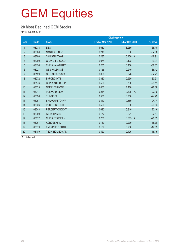#### **20 Most Declined GEM Stocks**

for 1st quarter 2010

|                |       |                        |                 | <b>Closing price</b>    |          |
|----------------|-------|------------------------|-----------------|-------------------------|----------|
| <b>Rank</b>    | Code  | <b>Stock</b>           | End of Mar 2010 | End of Dec 2009         | % down   |
| 1              | 08078 | <b>EEG</b>             | 1.030           | 3.260                   | $-68.40$ |
| $\overline{2}$ | 08080 | <b>NAS HOLDINGS</b>    | 0.216           | 0.600                   | $-64.00$ |
| 3              | 08200 | <b>SAU SAN TONG</b>    | 0.235           | 0.460<br>$\overline{A}$ | $-48.91$ |
| 4              | 08299 | <b>GRAND T G GOLD</b>  | 0.074           | 0.122                   | $-39.34$ |
| $\overline{5}$ | 08156 | <b>CHINA VANGUARD</b>  | 0.265           | 0.430                   | $-38.37$ |
| 6              | 08021 | <b>WLS HOLDINGS</b>    | 0.155           | 0.240                   | $-35.42$ |
| $\overline{7}$ | 08129 | CH BIO CASSAVA         | 0.050           | 0.076                   | $-34.21$ |
| $\,8\,$        | 08272 | <b>BYFORD INT'L</b>    | 0.380           | 0.550                   | $-30.91$ |
| 9              | 08176 | <b>CHINA AU GROUP</b>  | 0.560           | 0.790                   | $-29.11$ |
| 10             | 08329 | <b>NEP INTERLONG</b>   | 1.060           | 1.480                   | $-28.38$ |
| 11             | 08011 | POLYARD-NEW            | 0.244           | 0.335<br>$\overline{A}$ | $-27.16$ |
| 12             | 08096 | <b>THINSOFT</b>        | 0.530           | 0.700                   | $-24.29$ |
| 13             | 08251 | <b>SHANGHAI TONVA</b>  | 0.440           | 0.580                   | $-24.14$ |
| 14             | 08026 | PROSTEN TECH           | 0.520           | 0.680                   | $-23.53$ |
| 15             | 08248 | <b>PERCEPTIONDIGIT</b> | 0.620           | 0.810                   | $-23.46$ |
| 16             | 08009 | <b>IMERCHANTS</b>      | 0.172           | 0.221                   | $-22.17$ |
| 17             | 08172 | <b>CHINA STAR FILM</b> | 0.250           | 0.315<br>$\overline{A}$ | $-20.63$ |
| 18             | 08061 | <b>ACROSSASIA</b>      | 0.187           | 0.230                   | $-18.70$ |
| 19             | 08019 | <b>EVERPRIDE PHAR</b>  | 0.189           | 0.230                   | $-17.83$ |
| 20             | 08189 | <b>TEDA BIOMEDICAL</b> | 0.420           | 0.495                   | $-15.15$ |

A Adjusted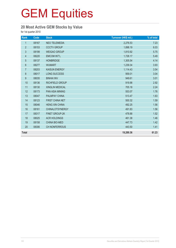### **20 Most Active GEM Stocks by Value**

| Rank             | Code  | <b>Stock</b>           | Turnover (HK\$ mil.) | % of total |
|------------------|-------|------------------------|----------------------|------------|
| $\mathbf{1}$     | 08167 | <b>NEO TELEMEDIA</b>   | 2,276.53             | 7.23       |
| $\overline{2}$   | 08153 | <b>CCCTV GROUP</b>     | 1,898.19             | 6.03       |
| $\mathfrak{S}$   | 08199 | <b>WEIGAO GROUP</b>    | 1,810.92             | 5.75       |
| $\overline{4}$   | 08220 | <b>EMCOM INT'L</b>     | 1,728.17             | 5.49       |
| 5                | 08137 | <b>HONBRIDGE</b>       | 1,305.54             | 4.14       |
| 6                | 08277 | <b>WUMART</b>          | 1,239.34             | 3.93       |
| $\overline{7}$   | 08203 | <b>KAISUN ENERGY</b>   | 1,114.43             | 3.54       |
| 8                | 08017 | <b>LONG SUCCESS</b>    | 959.01               | 3.04       |
| $\boldsymbol{9}$ | 08035 | <b>BINHAI INV</b>      | 949.61               | 3.01       |
| 10               | 08136 | RICHFIELD GROUP        | 919.98               | 2.92       |
| 11               | 08130 | <b>XINGLIN MEDICAL</b> | 705.18               | 2.24       |
| 12               | 08173 | <b>PAN ASIA MINING</b> | 553.07               | 1.76       |
| 13               | 08047 | PALMPAY CHINA          | 513.47               | 1.63       |
| 14               | 08123 | FIRST CHINA NET        | 500.32               | 1.59       |
| 15               | 08046 | <b>HENG XIN CHINA</b>  | 492.25               | 1.56       |
| 16               | 08161 | <b>CHINALOTSYNERGY</b> | 491.83               | 1.56       |
| 17               | 08317 | <b>FINET GROUP-2K</b>  | 478.88               | 1.52       |
| 18               | 08025 | <b>ACR HOLDINGS</b>    | 461.38               | 1.46       |
| 19               | 08158 | <b>CHINA BIO-MED</b>   | 447.73               | 1.42       |
| 20               | 08306 | <b>CH NONFERROUS</b>   | 443.50               | 1.41       |
| <b>Total</b>     |       |                        | 19,289.36            | 61.23      |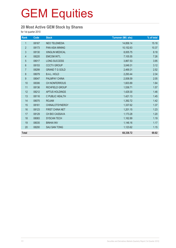### **20 Most Active GEM Stock by Shares**

| Rank           | Code  | <b>Stock</b>           | <b>Turnover (Mil. shs)</b> | % of total |
|----------------|-------|------------------------|----------------------------|------------|
| $\mathbf{1}$   | 08167 | <b>NEO TELEMEDIA</b>   | 14,858.14                  | 15.18      |
| $\overline{2}$ | 08173 | <b>PAN ASIA MINING</b> | 10,152.63                  | 10.37      |
| $\mathfrak{Z}$ | 08130 | <b>XINGLIN MEDICAL</b> | 8,005.75                   | 8.18       |
| 4              | 08220 | <b>EMCOM INT'L</b>     | 7,105.55                   | 7.26       |
| $\overline{5}$ | 08017 | <b>LONG SUCCESS</b>    | 3,867.53                   | 3.95       |
| 6              | 08153 | <b>CCCTV GROUP</b>     | 3,049.31                   | 3.12       |
| $\overline{7}$ | 08299 | <b>GRAND T G GOLD</b>  | 2,469.31                   | 2.52       |
| $\bf 8$        | 08079 | <b>B.A.L. HOLD</b>     | 2,293.44                   | 2.34       |
| 9              | 08047 | PALMPAY CHINA          | 2,008.59                   | 2.05       |
| 10             | 08306 | <b>CH NONFERROUS</b>   | 1,603.89                   | 1.64       |
| 11             | 08136 | RICHFIELD GROUP        | 1,536.71                   | 1.57       |
| 12             | 08212 | <b>APTUS HOLDINGS</b>  | 1,429.30                   | 1.46       |
| 13             | 08116 | C PUBLIC HEALTH        | 1,421.13                   | 1.45       |
| 14             | 08075 | <b>ROJAM</b>           | 1,392.72                   | 1.42       |
| 15             | 08161 | <b>CHINALOTSYNERGY</b> | 1,337.62                   | 1.37       |
| 16             | 08123 | FIRST CHINA NET        | 1,201.15                   | 1.23       |
| 17             | 08129 | CH BIO CASSAVA         | 1,173.28                   | 1.20       |
| 18             | 08083 | <b>SYSCAN TECH</b>     | 1,162.89                   | 1.19       |
| 19             | 08035 | <b>BINHAI INV</b>      | 1,146.16                   | 1.17       |
| 20             | 08200 | <b>SAU SAN TONG</b>    | 1,123.62                   | 1.15       |
| <b>Total</b>   |       |                        | 68,338.72                  | 69.82      |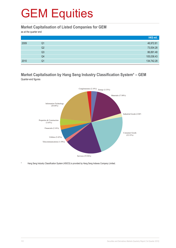#### **Market Capitalisation of Listed Companies for GEM**

as at the quarter end

|      |    | HK\$ mil.  |
|------|----|------------|
| 2009 | Q1 | 46,972.81  |
|      | Q2 | 73,004.28  |
|      | Q3 | 86,891.48  |
|      | Q4 | 105,036.43 |
| 2010 | Q1 | 134,742.28 |

#### **Market Capitalisation by Hang Seng Industry Classification System\* – GEM** Quarter-end figures



Hang Seng Industry Classification System (HSICS) is provided by Hang Seng Indexes Company Limited.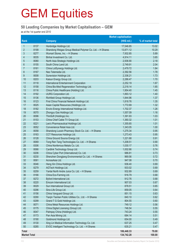#### **50 Leading Companies by Market Capitalisation – GEM**

as at the 1st quarter end 2010

|                     |              |                                                           | <b>Market capitalisation</b> |                   |
|---------------------|--------------|-----------------------------------------------------------|------------------------------|-------------------|
| Rank                |              | <b>Company</b>                                            | (HK\$ mil.)                  | % of market total |
| $\mathbf{1}$        | 8137         | Honbridge Holdings Ltd.                                   | 17,546.85                    | 13.02             |
| $\overline{2}$      | 8199         | Shandong Weigao Group Medical Polymer Co. Ltd. - H Shares | 13,871.12                    | 10.29             |
| 3                   | 8277         | Wumart Stores, Inc. - H Shares                            | 7,932.85                     | 5.89              |
| 4                   | 8035         | Binhai Investment Co. Ltd.                                | 4,914.11                     | 3.65              |
| $\overline{5}$      | 8080         | North Asia Strategic Holdings Ltd.                        | 2,936.90                     | 2.18              |
| 6                   | 8155         | South China Land Ltd.                                     | 2,749.91                     | 2.04              |
| 7                   | 8161         | China LotSynergy Holdings Ltd.                            | 2,479.72                     | 1.84              |
| $\bf 8$             | 8167         | Neo Telemedia Ltd.                                        | 2,392.56                     | 1.78              |
| $9\,$               | 8008         | Sunevision Holdings Ltd.                                  | 2,336.21                     | 1.73              |
| 10                  | 8203         | Kaisun Energy Group Ltd.                                  | 2,286.47                     | 1.70              |
| 11                  | 8118         | <b>International Entertainment Corporation</b>            | 2,252.19                     | 1.67              |
| 12                  | 8158         | China Bio-Med Regeneration Technology Ltd.                | 2,218.14                     | 1.65              |
| 13                  | 8116         | China Public Healthcare (Holding) Ltd.                    | 1,954.40                     | 1.45              |
| 14                  | 8192         | <b>UURG Corporation Ltd.</b>                              | 1,893.12                     | 1.40              |
| 15                  | 8136         | Richfield Group Holdings Ltd.                             | 1,844.96                     | 1.37              |
| 16                  | 8123         | First China Financial Network Holdings Ltd.               | 1,818.76                     | 1.35              |
| 17                  | 8025         | Asian Capital Resources (Holdings) Ltd.                   | 1,772.69                     | 1.32              |
| 18                  | 8182         | Enviro Energy International Holdings Ltd.                 | 1,702.37                     | 1.26              |
| 19                  | 8070         | Zhongyu Gas Holdings Ltd.                                 | 1,557.09                     | 1.16              |
| 20                  | 8096         | ThinSoft (Holdings) Inc.                                  | 1,391.93                     | 1.03              |
| 21                  | 8153         | China Chief Cable TV Group Ltd.                           | 1,360.32                     | 1.01              |
| 22                  | 8221         | Lee's Pharmaceutical Holdings Ltd.                        | 1,355.65                     | 1.01              |
| 23                  | 8052         | Convenience Retail Asia Ltd.                              | 1,343.05                     | 1.00              |
| 24                  | 8058         | Shandong Luoxin Pharmacy Stock Co. Ltd. - H Shares        | 1,275.34                     | 0.95              |
| 25                  | 8163         | CCT Resources Holdings Ltd.                               | 1,273.43                     | 0.95              |
| 26                  | 8128         | China Ground Source Energy Ltd.                           | 1,221.68                     | 0.91              |
| 27                  | 8069         | Tong Ren Tang Technologies Co. Ltd. - H Shares            | 1,208.51                     | 0.90              |
| 28                  | 8306         | China Nonferrous Metals Co. Ltd.                          | 1,030.17                     | 0.76              |
| 29                  | 8066         | Cardlink Technology Group Ltd.                            | 1,002.66                     | 0.74              |
| 30                  | 8206         | China Cyber Port (International) Co. Ltd.                 | 986.81                       | 0.73              |
| 31                  | 8230         | Shenzhen Dongjiang Environmental Co. Ltd. - H Shares      | 969.56                       | 0.72              |
| 32                  | 8061         | AcrossAsia Ltd.                                           | 947.08                       | 0.70              |
| 33                  | 8046         | Heng Xin China Holdings Ltd.                              | 936.40                       | 0.69              |
| 34                  | 8279         | <b>AGTech Holdings Ltd.</b>                               | 933.02                       | 0.69              |
| 35                  | 8259         | Yantai North Andre Juice Co. Ltd. - H Shares              | 932.89                       | 0.69              |
| 36                  | 8166         | China Eco-Farming Ltd.                                    | 916.79                       | 0.68              |
| 37                  | 8272         | Byford International Ltd.                                 | 912.76                       | 0.68              |
| 38                  | 8220         | Emcom International Ltd.                                  | 907.03                       | 0.67              |
| 39                  | 8029         | Sun International Group Ltd.                              | 878.51                       | 0.65              |
| 40                  | 8296         | Sino-Life Group Ltd.                                      | 859.05                       | 0.64              |
| 41                  | 8156         | China Vanguard Group Ltd.                                 | 851.15                       | 0.63              |
| 42                  | 8290         | Tianjin Tianlian Public Utilities Co., Ltd. - H Shares    | 840.10                       | 0.62              |
| 43                  | 8299         | Grand T G Gold Holdings Ltd.                              | 804.55                       | 0.60              |
| 44                  | 8071         | China Metal Resources Holdings Ltd.                       | 749.12                       | 0.56              |
| 45<br>46            | 8175         | China Digital Licensing (Group) Ltd.                      | 746.54<br>743.24             | 0.55              |
| 47                  | 8047<br>8173 | Palmpay China (Holdings) Ltd.<br>Pan Asia Mining Ltd.     | 684.14                       | 0.55<br>0.51      |
| 48                  | 8190         | Goldmond Holdings Ltd.                                    | 654.00                       |                   |
| 49                  | 8130         | Xing Lin Medical Information Technology Co. Ltd.          | 637.25                       | 0.49<br>0.47      |
| 50                  | 8285         | EVOC Intelligent Technology Co. Ltd. - H Shares           | 635.21                       | 0.47              |
|                     |              |                                                           |                              |                   |
| Total               |              |                                                           | 106,448.33                   | 79.00             |
| <b>Market Total</b> |              |                                                           | 134,742.28                   | 100.00            |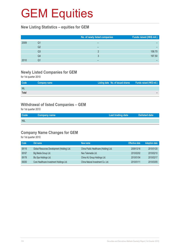#### **New Listing Statistics – equities for GEM**

|      |    | No. of newly listed companies | Funds raised (HK\$ mil.) |
|------|----|-------------------------------|--------------------------|
| 2009 | Q1 | -                             |                          |
|      | Q2 |                               |                          |
|      | Q3 |                               | 158.70                   |
|      | Q4 |                               | 197.50                   |
| 2010 | Q1 |                               |                          |

### **Newly Listed Companies for GEM**

for 1st quarter 2010

| Code       | Company name | Listing date No. of issued shares Funds raised (HK\$ mil.) |  |
|------------|--------------|------------------------------------------------------------|--|
| <b>NIL</b> |              |                                                            |  |
| Total      |              |                                                            |  |

#### **Withdrawal of listed Companies – GEM**

for 1st quarter 2010

| Code       | <b>Company name</b> | Last trading date | Delisted date |
|------------|---------------------|-------------------|---------------|
| <b>NIL</b> |                     |                   |               |

### **Company Name Changes for GEM**

| <b>Code</b> | Old name                                    | New name                               | <b>Effective date</b> | <b>Adoption date</b> |
|-------------|---------------------------------------------|----------------------------------------|-----------------------|----------------------|
| 08116       | Global Resources Development (Holding) Ltd. | China Public Healthcare (Holding) Ltd. | 2009/12/16            | 2010/01/20           |
| 08167       | Big Media Group Ltd.                        | Neo Telemedia Ltd.                     | 2010/02/02            | 2010/02/10           |
| 08176       | Blu Spa Holdings Ltd.                       | China AU Group Holdings Ltd.           | 2010/01/04            | 2010/02/17           |
| 08250       | Core Healthcare Investment Holdings Ltd.    | China Natural Investment Co. Ltd.      | 2010/01/11            | 2010/03/05           |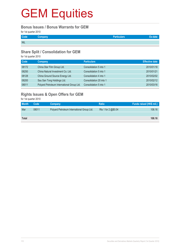#### **Bonus Issues / Bonus Warrants for GEM**

for 1st quarter 2010

| Code       | <b>Company</b> | <b>Particulars</b> |  |
|------------|----------------|--------------------|--|
| <b>NIL</b> |                |                    |  |

#### **Share Split / Consolidation for GEM**

for 1st quarter 2010

| Code  | Company                                    | <b>Particulars</b>      | <b>Effective date</b> |
|-------|--------------------------------------------|-------------------------|-----------------------|
| 08172 | China Star Film Group Ltd.                 | Consolidation 5 into 1  | 2010/01/18            |
| 08250 | China Natural Investment Co. Ltd.          | Consolidation 5 into 1  | 2010/01/21            |
| 08128 | China Ground Source Energy Ltd.            | Consolidation 4 into 1  | 2010/02/02            |
| 08200 | Sau San Tong Holdings Ltd.                 | Consolidation 20 into 1 | 2010/02/12            |
| 08011 | Polyard Petroleum International Group Ltd. | Consolidation 5 into 1  | 2010/03/16            |

### **Rights Issues & Open Offers for GEM**

| <b>Month</b> | Code  | <b>Company</b>                             | <b>Ratio</b>        | Funds raised (HK\$ mil.) |
|--------------|-------|--------------------------------------------|---------------------|--------------------------|
| Mar          | 08011 | Polyard Petroleum International Group Ltd. | Rts 1 for 2 @\$0.04 | 108.16                   |
|              |       |                                            |                     |                          |
| Total        |       |                                            |                     | 108.16                   |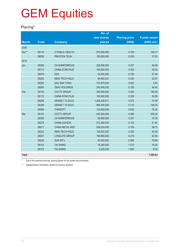### **Placing\***

|              |             |                        | No. of        |                      |                     |
|--------------|-------------|------------------------|---------------|----------------------|---------------------|
|              |             |                        | new shares    | <b>Placing price</b> | <b>Funds raised</b> |
| <b>Month</b> | <b>Code</b> | <b>Company</b>         | placed        | (HK\$)               | (HK\$ mil.)         |
| 2009         |             |                        |               |                      |                     |
| Dec**        | 08116       | C PUBLIC HEALTH        | 570,000,000   | 0.183                | 104.31              |
|              | 08026       | PROSTEN TECH           | 150,000,000   | 0.250                | 37.50               |
| 2010         |             |                        |               |                      |                     |
| Jan          | 08306       | CH NONFERROUS          | 229,556,000   | 0.247                | 56.59               |
|              | 08172       | <b>CHINA STAR FILM</b> | 100,000,000   | 0.300                | 30.00               |
|              | 08078       | <b>EEG</b>             | 52,000,000    | 0.720                | 37.44               |
|              | 08202       | <b>INNO-TECH HOLD</b>  | 94,465,427    | 0.240                | 22.67               |
|              | 08200       | <b>SAU SAN TONG</b>    | 191,970,000   | 0.020                | 3.84                |
|              | 08085       | <b>ZMAY HOLDINGS</b>   | 240,000,000   | 0.185                | 44.40               |
| Feb          | 08153       | <b>CCCTV GROUP</b>     | 300,000,000   | 0.520                | 156.00              |
|              | 08172       | <b>CHINA STAR FILM</b> | 100,000,000   | 0.300                | 30.00               |
|              | 08299       | <b>GRAND T G GOLD</b>  | 1,065,428,571 | 0.070                | 74.58               |
|              | 08299       | <b>GRAND T G GOLD</b>  | 984,000,000   | 0.110                | 108.24              |
|              | 08096       | <b>THINSOFT</b>        | 120,000,000   | 0.635                | 76.20               |
| Mar          | 08153       | <b>CCCTV GROUP</b>     | 440,000,000   | 0.580                | 255.20              |
|              | 08306       | CH NONFERROUS          | 59,880,000    | 0.257                | 15.39               |
|              | 08270       | <b>CHINA LEASON</b>    | 272,360,000   | 0.152                | 41.40               |
|              | 08071       | CHINA METAL RES        | 559,200,000   | 0.105                | 58.72               |
|              | 08202       | <b>INNO-TECH HOLD</b>  | 120,000,000   | 0.250                | 30.00               |
|              | 08037       | LONGLIFE GROUP         | 106,680,000   | 0.215                | 22.94               |
|              | 08029       | <b>SUN INT'L</b>       | 83,000,000    | 0.960                | 79.68               |
|              | 08103       | <b>TAI SHING</b>       | 16,380,000    | 1.010                | 16.54               |
|              | 08103       | <b>TAI SHING</b>       | 5,000,000     | 1.600                | 8.00                |
| <b>Total</b> |             |                        |               |                      | 1,309.63            |

Due to the reporting time-lag, placing figures for the quarter are provisional.

\*\* Supplementary information update for previous quarters.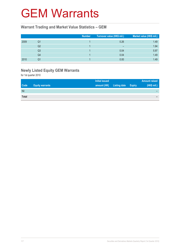### GEM Warrants

#### **Warrant Trading and Market Value Statistics – GEM**

|      |    | <b>Number</b> | Turnover value (HK\$ mil.) | Market value (HK\$ mil.) |
|------|----|---------------|----------------------------|--------------------------|
| 2009 | Q1 |               | 0.26                       | 1.49                     |
|      | Q2 |               | $\overline{\phantom{0}}$   | 1.94                     |
|      | Q3 |               | 0.04                       | 5.97                     |
|      | Q4 |               | 0.04                       | 1.49                     |
| 2010 | Q1 |               | 0.00                       | 1.49                     |

### **Newly Listed Equity GEM Warrants**

|              |                        | <b>Initial issued</b> |                     | <b>Amount raised</b> |
|--------------|------------------------|-----------------------|---------------------|----------------------|
| <b>Code</b>  | <b>Equity warrants</b> | amount (HK)           | Listing date Expiry | (HK\$ mil.)          |
| Nil          |                        |                       |                     |                      |
| <b>Total</b> |                        |                       |                     | -                    |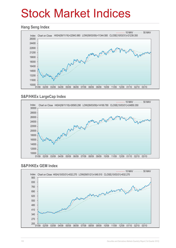## Stock Market Indices

#### **Hang Seng Index**



#### **S&P/HKEx LargeCap Index**



#### **S&P/HKEx GEM Index**

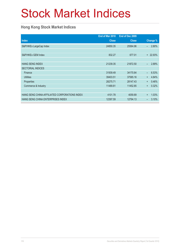# Stock Market Indices

### **Hong Kong Stock Market Indices**

|                                               | End of Mar 2010 | End of Dec 2009 |                                   |
|-----------------------------------------------|-----------------|-----------------|-----------------------------------|
| <b>Index</b>                                  | <b>Close</b>    | <b>Close</b>    | Change %                          |
| S&P/HKEx LargeCap Index                       | 24850.35        | 25564.96        | 2.80%<br>$\overline{\phantom{0}}$ |
|                                               |                 |                 |                                   |
| S&P/HKEx GEM Index                            | 832.27          | 677.01          | + 22.93%                          |
|                                               |                 |                 |                                   |
| <b>HANG SENG INDEX</b>                        | 21239.35        | 21872.50        | 2.89%<br>$\overline{\phantom{0}}$ |
| <b>SECTORIAL INDICES</b>                      |                 |                 |                                   |
| Finance                                       | 31939.49        | 34170.84        | 6.53%<br>$\equiv$                 |
| <b>Utilities</b>                              | 39403.51        | 37585.16        | 4.84%<br>$\ddot{}$                |
| Properties                                    | 28275.71        | 28147.43        | 0.46%<br>$\ddot{}$                |
| Commerce & Industry                           | 11489.81        | 11452.85        | 0.32%<br>$\ddot{}$                |
|                                               |                 |                 |                                   |
| HANG SENG CHINA-AFFILIATED CORPORATIONS INDEX | 4101.78         | 4059.89         | 1.03%<br>$+$                      |
| HANG SENG CHINA ENTERPRISES INDEX             | 12397.59        | 12794.13        | 3.10%<br>$\overline{\phantom{0}}$ |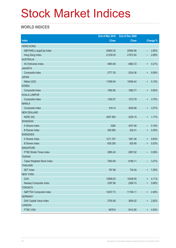# Stock Market Indices

### **WORLD INDICES**

|                                 | End of Mar 2010 | End of Dec 2009 |                          |                 |
|---------------------------------|-----------------|-----------------|--------------------------|-----------------|
| <b>Index</b>                    | <b>Close</b>    | <b>Close</b>    |                          | <b>Change %</b> |
| <b>HONG KONG</b>                |                 |                 |                          |                 |
| S&P/HKEx LargeCap Index         | 24850.35        | 25564.96        | $\overline{\phantom{0}}$ | 2.80%           |
| Hang Seng Index                 | 21239.35        | 21872.50        |                          | 2.89%           |
| <b>AUSTRALIA</b>                |                 |                 |                          |                 |
| All Ordinaries Index            | 4893.06         | 4882.72         | $\ddot{}$                | 0.21%           |
| <b>JAKARTA</b>                  |                 |                 |                          |                 |
| Composite Index                 | 2777.30         | 2534.36         | $\ddot{}$                | 9.59%           |
| <b>JAPAN</b>                    |                 |                 |                          |                 |
| Nikkei (225)                    | 11089.94        | 10546.44        | $\ddot{}$                | 5.15%           |
| <b>KOREA</b>                    |                 |                 |                          |                 |
| Composite Index                 | 1692.85         | 1682.77         | $\ddot{}$                | 0.60%           |
| <b>KUALA LUMPUR</b>             |                 |                 |                          |                 |
| Composite Index                 | 1320.57         | 1272.78         | $\ddot{}$                | 3.75%           |
| <b>MANILA</b>                   |                 |                 |                          |                 |
| Composite Index                 | 3161.8          | 3052.68         | $\ddot{}$                | 3.57%           |
| <b>NEW ZEALAND</b>              |                 |                 |                          |                 |
| <b>NZSE (50)</b>                | 3267.993        | 3230.15         | $\ddot{}$                | 1.17%           |
| <b>SHANGHAI</b>                 |                 |                 |                          |                 |
| A Shares Index                  | 3260            | 3437.46         | -                        | 5.16%           |
| <b>B</b> Shares Index           | 258.585         | 252.41          | $\ddot{}$                | 2.45%           |
| <b>SHENZHEN</b>                 |                 |                 |                          |                 |
| A Shares Index                  | 1271.707        | 1261.26         | $\ddot{}$                | 0.83%           |
| <b>B</b> Shares Index           | 629.255         | 625.95          | $\ddot{}$                | 0.53%           |
| <b>SINGAPORE</b>                |                 |                 |                          |                 |
| <b>FTSE Straits Times Index</b> | 2895.24         | 2897.62         | $\qquad \qquad -$        | 0.08%           |
| <b>TAIWAN</b>                   |                 |                 |                          |                 |
| Taipei Weighted Stock Index     | 7920.06         | 8188.11         | -                        | 3.27%           |
| <b>THAILAND</b>                 |                 |                 |                          |                 |
| <b>SET Index</b>                | 787.98          | 734.54          | $\ddot{}$                | 7.28%           |
| <b>NEW YORK</b>                 |                 |                 |                          |                 |
| <b>DJIA</b>                     | 10856.63        | 10428.05        | $\ddagger$               | 4.11%           |
| Nasdaq Composite Index          | 2397.96         | 2269.15         | $\ddot{}$                | 5.68%           |
| <b>TORONTO</b>                  |                 |                 |                          |                 |
| S&P/TSX Composite Index         | 12037.73        | 11746.11        | $\boldsymbol{+}$         | 2.48%           |
| <b>GERMANY</b>                  |                 |                 |                          |                 |
| DAX Capital Value Index         | 3705.48         | 3604.02         | $\ddot{}$                | 2.82%           |
| <b>LONDON</b>                   |                 |                 |                          |                 |
| FTSE (100)                      | 5679.6          | 5412.90         | $\ddot{}$                | 4.93%           |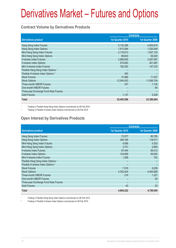#### **Contract Volume by Derivatives Products**

|                                               | <b>Contracts</b> |                  |  |
|-----------------------------------------------|------------------|------------------|--|
| <b>Derivatives product</b>                    | 1st Quarter 2010 | 1st Quarter 2009 |  |
| Hang Seng Index Futures                       | 5,132,388        | 4,805,616        |  |
| Hang Seng Index Options                       | 1,813,584        | 1,030,049        |  |
| Mini-Hang Seng Index Futures                  | 2,116,913        | 1,927,153        |  |
| Mini-Hang Seng Index Options                  | 88,643           | 56,520           |  |
| <b>H-shares Index Futures</b>                 | 2,965,655        | 3,287,097        |  |
| H-shares Index Options                        | 575,920          | 401,487          |  |
| Mini H-shares Index Futures                   | 182,350          | 147,233          |  |
| Flexible Hang Seng Index Options <sup>1</sup> |                  |                  |  |
| Flexible H-shares Index Options <sup>2</sup>  | 350              |                  |  |
| <b>Stock Futures</b>                          | 37,866           | 71,537           |  |
| <b>Stock Options</b>                          | 12,540,453       | 11,656,754       |  |
| <b>Three-month HIBOR Futures</b>              | 337              | 1.126            |  |
| One-month HIBOR Futures                       |                  | 84               |  |
| Three-year Exchange Fund Note Futures         |                  |                  |  |
| <b>Gold Futures</b>                           | 1,137            | 2,028            |  |
| <b>Total</b>                                  | 25,455,596       | 23,386,684       |  |

1 Trading in Flexible Hang Seng Index Options commenced on 08 Feb 2010

<sup>2</sup> Trading in Flexible H-shares Index Options commenced on 08 Feb 2010

#### **Open Interest by Derivatives Products**

|                                               | <b>Contracts</b> |                  |  |
|-----------------------------------------------|------------------|------------------|--|
| <b>Derivatives product</b>                    | 1st Quarter 2010 | 1st Quarter 2009 |  |
| Hang Seng Index Futures                       | 73,577           | 80,785           |  |
| Hang Seng Index Options                       | 208,189          | 118,571          |  |
| Mini-Hang Seng Index Futures                  | 4,956            | 4,303            |  |
| Mini-Hang Seng Index Options                  | 3,751            | 2,865            |  |
| H-shares Index Futures                        | 87,444           | 85,412           |  |
| H-shares Index Options                        | 124,858          | 95,652           |  |
| Mini H-shares Index Futures                   | 1,268            | 702              |  |
| Flexible Hang Seng Index Options <sup>1</sup> |                  |                  |  |
| Flexible H-shares Index Options <sup>2</sup>  |                  |                  |  |
| <b>Stock Futures</b>                          | 7,516            | 9,208            |  |
| <b>Stock Options</b>                          | 4,352,404        | 4,400,699        |  |
| <b>Three-month HIBOR Futures</b>              | 219              | 1,327            |  |
| One-month HIBOR Futures                       | -                | 50               |  |
| Three-year Exchange Fund Note Futures         |                  |                  |  |
| <b>Gold Futures</b>                           | 40               | 20               |  |
| <b>Total</b>                                  | 4,864,222        | 4,799,594        |  |

1 Trading in Flexible Hang Seng Index Options commenced on 08 Feb 2010

2 Trading in Flexible H-shares Index Options commenced on 08 Feb 2010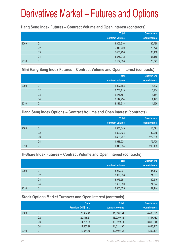#### **Hang Seng Index Futures – Contract Volume and Open Interest (contracts)**

|      |                | <b>Total</b><br>contract volume | <b>Quarter-end</b><br>open interest |
|------|----------------|---------------------------------|-------------------------------------|
| 2009 | Q <sub>1</sub> | 4,805,616                       | 80,785                              |
|      | Q <sub>2</sub> | 5,816,700                       | 79,772                              |
|      | Q <sub>3</sub> | 5,430,706                       | 83,150                              |
|      | Q4             | 4,675,012                       | 68,456                              |
| 2010 | Q1             | 5,132,388                       | 73,577                              |

#### **Mini Hang Seng Index Futures – Contract Volume and Open Interest (contracts)**

|      |                | <b>Total</b><br>contract volume | Quarter-end<br>open interest |
|------|----------------|---------------------------------|------------------------------|
| 2009 | Q <sub>1</sub> | 1,927,153                       | 4,303                        |
|      | Q <sub>2</sub> | 2,758,113                       | 5,914                        |
|      | Q3             | 2,476,657                       | 4,164                        |
|      | Q4             | 2,117,954                       | 4,447                        |
| 2010 | Q1             | 2,116,913                       | 4,956                        |

#### **Hang Seng Index Options – Contract Volume and Open Interest (contracts)**

|      |                | <b>Total</b>    | <b>Quarter-end</b> |
|------|----------------|-----------------|--------------------|
|      |                | contract volume | open interest      |
| 2009 | Q1             | 1,030,049       | 118,571            |
|      | Q <sub>2</sub> | 1,309,363       | 182,288            |
|      | Q <sub>3</sub> | 1,409,767       | 222,382            |
|      | Q4             | 1,618,224       | 175,720            |
| 2010 | Q1             | 1,813,584       | 208,189            |

#### **H-Share Index Futures – Contract Volume and Open Interest (contracts)**

|      |                | <b>Total</b>    | <b>Quarter-end</b> |
|------|----------------|-----------------|--------------------|
|      |                | contract volume | open interest      |
| 2009 | Q1             | 3,287,097       | 85,412             |
|      | Q <sub>2</sub> | 3,376,088       | 71,607             |
|      | Q <sub>3</sub> | 3,075,581       | 80,516             |
|      | Q4             | 2,655,350       | 74,324             |
| 2010 | Q1             | 2,965,655       | 87,444             |

#### **Stock Options Market Turnover and Open Interest (contracts)**

|      |                | <b>Total</b>        | <b>Total</b>    | Quarter-end   |
|------|----------------|---------------------|-----------------|---------------|
|      |                | Premium (HK\$ mil.) | contract volume | open interest |
| 2009 | Q1             | 25,464.43           | 11,656,754      | 4,400,699     |
|      | Q <sub>2</sub> | 20,116.61           | 13,279,436      | 3,847,782     |
|      | Q3             | 14,205.33           | 10,892,511      | 3,663,846     |
|      | Q4             | 14,852.98           | 11,611,195      | 3,848,117     |
| 2010 | Q1             | 12,951.69           | 12,540,453      | 4,352,404     |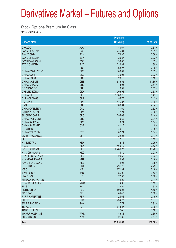#### **Stock Options Premium by Class**

|                           |                          | Premium     |                |
|---------------------------|--------------------------|-------------|----------------|
| <b>Options class</b>      |                          | (HK\$ mil.) | % of total     |
| <b>CHALCO</b>             | <b>ALC</b>               | 40.67       | 0.31%          |
| <b>BANK OF CHINA</b>      | <b>BCL</b>               | 246.81      | 1.91%          |
| <b>BANKCOMM</b>           | <b>BCM</b>               | 74.87       | 0.58%          |
| <b>BANK OF E ASIA</b>     | <b>BEA</b>               | 29.87       | 0.23%          |
| <b>BOC HONG KONG</b>      | <b>BOC</b>               | 133.88      | 1.03%          |
| <b>BYD COMPANY</b>        | <b>BYD</b>               | 232.81      | 1.80%          |
| <b>CCB</b>                | <b>CCB</b>               | 363.27      | 2.80%          |
| <b>CHINA COMM CONS</b>    | CCC                      | 106.89      | 0.83%          |
| <b>CHINA COAL</b>         | <b>CCE</b>               | 30.03       | 0.23%          |
| <b>CHINA COSCO</b>        | <b>CCS</b>               | 23.18       | 0.18%          |
| <b>CHINA MOBILE</b>       | <b>CHT</b>               | 1,536.55    | 11.86%         |
| <b>CHINA UNICOM</b>       | <b>CHU</b>               | 78.95       | 0.61%          |
| <b>CITIC PACIFIC</b>      | <b>CIT</b>               | 19.32       | 0.15%          |
| <b>CHEUNG KONG</b>        | <b>CKH</b>               | 306.94      | 2.37%          |
| <b>CHINA LIFE</b>         | <b>CLI</b>               | 1,088.72    | 8.41%          |
| <b>CLP HOLDINGS</b>       | <b>CLP</b>               | 55.77       | 0.43%          |
| <b>CM BANK</b>            | <b>CMB</b>               | 115.87      | 0.89%          |
| <b>CNOOC</b>              | <b>CNC</b>               | 368.04      | 2.84%          |
| <b>CHINA OVERSEAS</b>     | COL                      | 41.69       | 0.32%          |
| <b>CATHAY PAC AIR</b>     | <b>CPA</b>               | 7.21        | 0.06%          |
| <b>SINOPEC CORP</b>       | <b>CPC</b>               | 795.63      | 6.14%          |
| <b>CHINA RAIL CONS</b>    | <b>CRC</b>               | 5.52        | 0.04%          |
|                           |                          |             |                |
| <b>CHINA RAILWAY</b>      | <b>CRG</b><br><b>CSE</b> | 18.24       | 0.14%<br>1.40% |
| <b>CHINA SHENHUA</b>      |                          | 181.47      |                |
| <b>CITIC BANK</b>         | <b>CTB</b>               | 49.76       | 0.38%          |
| <b>CHINA TELECOM</b>      | <b>CTC</b>               | 82.74       | 0.64%          |
| <b>ESPRIT HOLDINGS</b>    | <b>ESP</b>               | 22.23       | 0.17%          |
| <b>FIH</b>                | <b>FIH</b>               | 17.16       | 0.13%          |
| <b>HK ELECTRIC</b>        | <b>HEH</b>               | 32.14       | 0.25%          |
| <b>HKEX</b>               | <b>HEX</b>               | 469.70      | 3.63%          |
| <b>HSBC HOLDINGS</b>      | <b>HKB</b>               | 2,486.27    | 19.20%         |
| <b>HK &amp; CHINA GAS</b> | <b>HKG</b>               | 34.40       | 0.27%          |
| <b>HENDERSON LAND</b>     | <b>HLD</b>               | 29.58       | 0.23%          |
| <b>HUANENG POWER</b>      | <b>HNP</b>               | 22.93       | 0.18%          |
| <b>HANG SENG BANK</b>     | <b>HSB</b>               | 174.98      | 1.35%          |
| <b>HUTCHISON</b>          | <b>HWL</b>               | 291.70      | 2.25%          |
| <b>ICBC</b>               | <b>ICB</b>               | 671.82      | 5.19%          |
| <b>JIANGXI COPPER</b>     | <b>JXC</b>               | 55.09       | 0.43%          |
| LI & FUNG                 | <b>LIF</b>               | 72.57       | 0.56%          |
| <b>MTR CORPORATION</b>    | <b>MTR</b>               | 14.22       | 0.11%          |
| <b>NEW WORLD DEV</b>      | <b>NWD</b>               | 14.92       | 0.12%          |
| <b>PING AN</b>            | PAI                      | 376.37      | 2.91%          |
| <b>PETROCHINA</b>         | PEC                      | 595.28      | 4.60%          |
| PICC P&C                  | <b>PIC</b>               | 64.45       | 0.50%          |
| <b>R&amp;F PROPERTIES</b> | <b>RFP</b>               | 24.61       | 0.19%          |
| <b>SHK PPT</b>            | <b>SHK</b>               | 734.77      | 5.67%          |
| <b>SWIRE PACIFIC A</b>    | <b>SWA</b>               | 117.74      | 0.91%          |
| <b>TENCENT</b>            | <b>TCH</b>               | 513.37      | 3.96%          |
| <b>TRACKER FUND</b>       | <b>TRF</b>               | 12.45       | 0.10%          |
| <b>WHARF HOLDINGS</b>     | <b>WHL</b>               | 46.84       | 0.36%          |
| <b>ZIJIN MINING</b>       | <b>ZJM</b>               | 21.39       | 0.17%          |
| <b>Total</b>              |                          | 12,951.69   | 100.00%        |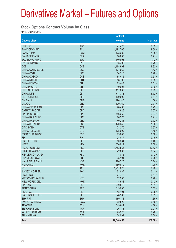#### **Stock Options Contract Volume by Class**

|                           |            | <b>Contract</b> |            |
|---------------------------|------------|-----------------|------------|
| <b>Options class</b>      |            | volume          | % of total |
| <b>CHALCO</b>             | <b>ALC</b> | 41,470          | 0.33%      |
| <b>BANK OF CHINA</b>      | <b>BCL</b> | 1,191,765       | 9.50%      |
| <b>BANKCOMM</b>           | <b>BCM</b> | 173,239         | 1.38%      |
| <b>BANK OF E ASIA</b>     | <b>BEA</b> | 88,895          | 0.71%      |
| <b>BOC HONG KONG</b>      | <b>BOC</b> | 140,005         | 1.12%      |
| <b>BYD COMPANY</b>        | <b>BYD</b> | 93,495          | 0.75%      |
| <b>CCB</b>                | <b>CCB</b> | 1,168,994       | 9.32%      |
| <b>CHINA COMM CONS</b>    | CCC        | 177,962         | 1.42%      |
| <b>CHINA COAL</b>         | <b>CCE</b> | 34,518          | 0.28%      |
| CHINA COSCO               | <b>CCS</b> | 64,445          | 0.51%      |
| <b>CHINA MOBILE</b>       | <b>CHT</b> | 858,798         | 6.85%      |
| <b>CHINA UNICOM</b>       | <b>CHU</b> | 63,448          | 0.51%      |
| <b>CITIC PACIFIC</b>      | <b>CIT</b> | 19,608          | 0.16%      |
| <b>CHEUNG KONG</b>        | <b>CKH</b> | 117,035         | 0.93%      |
| <b>CHINA LIFE</b>         | <b>CLI</b> | 717,313         | 5.72%      |
| <b>CLP HOLDINGS</b>       | <b>CLP</b> | 109,099         | 0.87%      |
| <b>CM BANK</b>            | <b>CMB</b> | 196,140         | 1.56%      |
| <b>CNOOC</b>              | <b>CNC</b> | 339,769         | 2.71%      |
| <b>CHINA OVERSEAS</b>     | COL        | 28,498          | 0.23%      |
| <b>CATHAY PAC AIR</b>     | <b>CPA</b> | 8,826           | 0.07%      |
| SINOPEC CORP              | <b>CPC</b> | 456,260         | 3.64%      |
| <b>CHINA RAIL CONS</b>    | <b>CRC</b> | 26,370          | 0.21%      |
| <b>CHINA RAILWAY</b>      | <b>CRG</b> | 40,256          | 0.32%      |
| <b>CHINA SHENHUA</b>      | <b>CSE</b> | 170,240         | 1.36%      |
| <b>CITIC BANK</b>         | <b>CTB</b> | 71,270          | 0.57%      |
| <b>CHINA TELECOM</b>      | <b>CTC</b> | 175,690         | 1.40%      |
| <b>ESPRIT HOLDINGS</b>    | <b>ESP</b> | 73,006          | 0.58%      |
| <b>FIH</b>                | <b>FIH</b> |                 |            |
|                           |            | 24,047          | 0.19%      |
| <b>HK ELECTRIC</b>        | <b>HEH</b> | 50,364          | 0.40%      |
| <b>HKEX</b>               | <b>HEX</b> | 826,912         | 6.59%      |
| <b>HSBC HOLDINGS</b>      | <b>HKB</b> | 1,583,555       | 12.63%     |
| <b>HK &amp; CHINA GAS</b> | <b>HKG</b> | 42,099          | 0.34%      |
| <b>HENDERSON LAND</b>     | <b>HLD</b> | 14,845          | 0.12%      |
| <b>HUANENG POWER</b>      | <b>HNP</b> | 35,191          | 0.28%      |
| <b>HANG SENG BANK</b>     | <b>HSB</b> | 280,727         | 2.24%      |
| <b>HUTCHISON</b>          | <b>HWL</b> | 150,649         | 1.20%      |
| <b>ICBC</b>               | <b>ICB</b> | 1,251,075       | 9.98%      |
| <b>JIANGXI COPPER</b>     | <b>JXC</b> | 51,087          | 0.41%      |
| LI & FUNG                 | LIF        | 21,478          | 0.17%      |
| <b>MTR CORPORATION</b>    | <b>MTR</b> | 32,958          | 0.26%      |
| <b>NEW WORLD DEV</b>      | <b>NWD</b> | 14,934          | 0.12%      |
| <b>PING AN</b>            | PAI        | 239,615         | 1.91%      |
| <b>PETROCHINA</b>         | <b>PEC</b> | 319,996         | 2.55%      |
| PICC P&C                  | <b>PIC</b> | 48,194          | 0.38%      |
| <b>R&amp;F PROPERTIES</b> | <b>RFP</b> | 48,968          | 0.39%      |
| <b>SHK PPT</b>            | <b>SHK</b> | 169,144         | 1.35%      |
| <b>SWIRE PACIFIC A</b>    | <b>SWA</b> | 62,520          | 0.50%      |
| <b>TENCENT</b>            | <b>TCH</b> | 549,644         | 4.38%      |
| <b>TRACKER FUND</b>       | <b>TRF</b> | 26,173          | 0.21%      |
| <b>WHARF HOLDINGS</b>     | <b>WHL</b> | 25,273          | 0.20%      |
| <b>ZIJIN MINING</b>       | <b>ZJM</b> | 24,591          | 0.20%      |
| <b>Total</b>              |            | 12,540,453      | 100.00%    |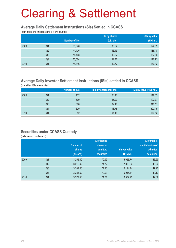#### **Average Daily Settlement Instructions (SIs) Settled in CCASS**

(both delivering and receiving SIs are counted)

|                        |                      | Sis by shares | Sis by value |
|------------------------|----------------------|---------------|--------------|
|                        | <b>Number of SIs</b> | (bil. shs)    | (HK\$bil.)   |
| 2009<br>Q <sub>1</sub> | 55,676               | 33.62         | 122.39       |
| Q2                     | 74,476               | 46.43         | 188.18       |
| Q <sub>3</sub>         | 71,468               | 40.37         | 167.89       |
| Q4                     | 76,664               | 41.72         | 176.73       |
| 2010<br>Q1             | 75,816               | 42.77         | 170.12       |

#### **Average Daily Investor Settlement Instructions (ISIs) settled in CCASS**

(one sided ISIs are counted)

|      |    | Number of ISIs | ISIs by shares (Mil shs) | ISIs by value (HK\$ mil.) |
|------|----|----------------|--------------------------|---------------------------|
| 2009 | Q1 | 432            | 68.40                    | 119.55                    |
|      | Q2 | 609            | 125.20                   | 197.77                    |
|      | Q3 | 568            | 132.46                   | 318.17                    |
|      | Q4 | 629            | 118.78                   | 527.19                    |
| 2010 | Q1 | 542            | 104.15                   | 176.12                    |

#### **Securities under CCASS Custody**

(balances at quarter end)

|      |                |               | % of issued       |                     | % of market       |
|------|----------------|---------------|-------------------|---------------------|-------------------|
|      |                | Number of     | shares of         |                     | capitalisation of |
|      |                | <b>shares</b> | admitted          | <b>Market value</b> | admitted          |
|      |                | (bil. shs)    | <b>securities</b> | (HK\$ bil.)         | <b>securities</b> |
| 2009 | Q <sub>1</sub> | 3,255.40      | 70.99             | 5,026.74            | 46.29             |
|      | Q <sub>2</sub> | 3,215.42      | 71.72             | 7,306.94            | 48.24             |
|      | Q <sub>3</sub> | 3,282.06      | 71.26             | 8,194.14            | 47.96             |
|      | Q4             | 3,286.62      | 70.93             | 9,245.11            | 49.19             |
| 2010 | Q <sub>1</sub> | 3,379.40      | 71.01             | 9,509.70            | 49.89             |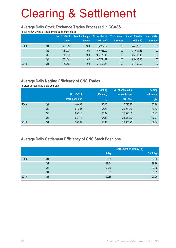#### **Average Daily Stock Exchange Trades Processed in CCASS**

(including CNS trades, isolated trades and cross trades)

|      |                | No. of CCASS<br>trades | % of Exchange<br>trades | No. of shares<br>(Mil. shs) | % of market<br>turnover | Value of trades<br>(HK\$ mil.) | % of market<br>turnover |
|------|----------------|------------------------|-------------------------|-----------------------------|-------------------------|--------------------------------|-------------------------|
| 2009 | Q1             | 533.958                | 100                     | 75.262.87                   | 100                     | 44.720.95                      | 100                     |
|      | Q <sub>2</sub> | 811.938                | 100                     | 109.528.00                  | 100                     | 71.684.42                      | 100                     |
|      | Q <sub>3</sub> | 749.546                | 100                     | 104.773.19                  | 100                     | 66.746.40                      | 100                     |
|      | Q <sub>4</sub> | 751.643                | 100                     | 107,724.27                  | 100                     | 65,408.35                      | 100                     |
| 2010 | Q1             | 760.565                | 100                     | 121,800.63                  | 100                     | 64,759.92                      | 100                     |

### **Average Daily Netting Efficiency of CNS Trades**

(in stock positions and share quantity)

|      |                |                 | <b>Netting</b> | No. of shares due | <b>Netting</b> |
|------|----------------|-----------------|----------------|-------------------|----------------|
|      |                | No. of CNS      | efficiency     | for settlement    | efficiency     |
|      |                | stock positions | $(\%)$         | (Mil. shs)        | (%)            |
| 2009 | Q <sub>1</sub> | 46,433          | 95.46          | 17,715.25         | 87.98          |
|      | Q <sub>2</sub> | 67,305          | 95.68          | 29,281.89         | 86.43          |
|      | Q <sub>3</sub> | 65,718          | 95.42          | 25,921.00         | 87.47          |
|      | Q4             | 68,773          | 95.18          | 25,589.10         | 87.77          |
| 2010 | Q <sub>1</sub> | 70,369          | 95.15          | 26,008.26         | 89.04          |

#### **Average Daily Settlement Efficiency of CNS Stock Positions**

|      |                | <b>Settlement efficiency (%)</b> |             |
|------|----------------|----------------------------------|-------------|
|      |                | S day                            | $S + 1$ day |
| 2009 | Q1             | 99.84                            | 99.99       |
|      | Q2             | 99.84                            | 99.99       |
|      | Q <sub>3</sub> | 99.86                            | 99.99       |
|      | Q4             | 99.86                            | 99.99       |
| 2010 | Q <sub>1</sub> | 99.88                            | 99.99       |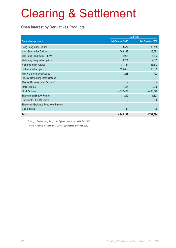### **Open Interest by Derivatives Products**

| <b>Contracts</b>                              |                  |                  |
|-----------------------------------------------|------------------|------------------|
| <b>Derivatives product</b>                    | 1st Quarter 2010 | 1st Quarter 2009 |
| Hang Seng Index Futures                       | 73,577           | 80,785           |
| Hang Seng Index Options                       | 208,189          | 118,571          |
| Mini-Hang Seng Index Futures                  | 4,956            | 4,303            |
| Mini-Hang Seng Index Options                  | 3,751            | 2,865            |
| <b>H-shares Index Futures</b>                 | 87,444           | 85,412           |
| H-shares Index Options                        | 124,858          | 95,652           |
| Mini H-shares Index Futures                   | 1,268            | 702              |
| Flexible Hang Seng Index Options <sup>1</sup> |                  |                  |
| Flexible H-shares Index Options <sup>2</sup>  |                  |                  |
| <b>Stock Futures</b>                          | 7,516            | 9,208            |
| <b>Stock Options</b>                          | 4,352,404        | 4,400,699        |
| <b>Three-month HIBOR Futures</b>              | 219              | 1,327            |
| One-month HIBOR Futures                       |                  | 50               |
| Three-year Exchange Fund Note Futures         |                  |                  |
| <b>Gold Futures</b>                           | 40               | 20               |
| <b>Total</b>                                  | 4,864,222        | 4,799,594        |

1 Trading in Flexible Hang Seng Index Options commenced on 08 Feb 2010

2 Trading in Flexible H-shares Index Options commenced on 08 Feb 2010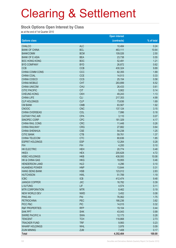#### **Stock Options Open Interest by Class**

as at the end of 1st Quarter 2010

|                           |            | <b>Open interest</b> |            |
|---------------------------|------------|----------------------|------------|
| <b>Options class</b>      |            | (contracts)          | % of total |
| <b>CHALCO</b>             | <b>ALC</b> | 10,484               | 0.24       |
| <b>BANK OF CHINA</b>      | <b>BCL</b> | 463,111              | 10.64      |
| <b>BANKCOMM</b>           | <b>BCM</b> | 109,026              | 2.50       |
| <b>BANK OF E ASIA</b>     | <b>BEA</b> | 23,738               | 0.55       |
| <b>BOC HONG KONG</b>      | <b>BOC</b> | 52,491               | 1.21       |
| <b>BYD COMPANY</b>        | <b>BYD</b> | 26,872               | 0.62       |
| <b>CCB</b>                | <b>CCB</b> | 430,324              | 9.89       |
| CHINA COMM CONS           | CCC        | 82,355               | 1.89       |
| CHINA COAL                | <b>CCE</b> | 14,513               | 0.33       |
| CHINA COSCO               | <b>CCS</b> | 25,154               | 0.58       |
| <b>CHINA MOBILE</b>       | <b>CHT</b> | 283,899              | 6.52       |
| <b>CHINA UNICOM</b>       | <b>CHU</b> | 26,433               | 0.61       |
| <b>CITIC PACIFIC</b>      | <b>CIT</b> | 5,902                | 0.14       |
| <b>CHEUNG KONG</b>        | <b>CKH</b> | 49,243               | 1.13       |
| <b>CHINA LIFE</b>         | <b>CLI</b> | 217,353              | 4.99       |
| <b>CLP HOLDINGS</b>       | <b>CLP</b> | 73,636               | 1.69       |
| <b>CM BANK</b>            | <b>CMB</b> | 83,567               | 1.92       |
| <b>CNOOC</b>              | <b>CNC</b> | 137,124              | 3.15       |
| <b>CHINA OVERSEAS</b>     | COL        | 7,996                | 0.18       |
| <b>CATHAY PAC AIR</b>     | <b>CPA</b> | 3,110                | 0.07       |
| SINOPEC CORP              | <b>CPC</b> | 181,329              | 4.17       |
| CHINA RAIL CONS           | <b>CRC</b> | 11,448               | 0.26       |
| <b>CHINA RAILWAY</b>      | <b>CRG</b> | 27,882               | 0.64       |
| <b>CHINA SHENHUA</b>      | <b>CSE</b> | 54,238               | 1.25       |
| <b>CITIC BANK</b>         | <b>CTB</b> | 59,761               | 1.37       |
| CHINA TELECOM             | <b>CTC</b> | 80,636               | 1.85       |
| <b>ESPRIT HOLDINGS</b>    | <b>ESP</b> | 12,264               | 0.28       |
| <b>FIH</b>                | <b>FIH</b> | 4,200                | 0.10       |
| <b>HK ELECTRIC</b>        | <b>HEH</b> | 20,774               | 0.48       |
| <b>HKEX</b>               | <b>HEX</b> | 205,628              | 4.72       |
| <b>HSBC HOLDINGS</b>      | <b>HKB</b> | 438,593              | 10.08      |
| <b>HK &amp; CHINA GAS</b> | <b>HKG</b> | 19,955               | 0.46       |
| <b>HENDERSON LAND</b>     | <b>HLD</b> | 4,296                | 0.10       |
| <b>HUANENG POWER</b>      | <b>HNP</b> | 13,644               | 0.31       |
| <b>HANG SENG BANK</b>     | <b>HSB</b> | 123,012              | 2.83       |
| <b>HUTCHISON</b>          | <b>HWL</b> | 51,789               | 1.19       |
| <b>ICBC</b>               | <b>ICB</b> | 412,474              | 9.48       |
| <b>JIANGXI COPPER</b>     | <b>JXC</b> | 16,782               | 0.39       |
| LI & FUNG                 | LIF        | 4,574                | 0.11       |
| <b>MTR CORPORATION</b>    | <b>MTR</b> | 8,462                | 0.19       |
| <b>NEW WORLD DEV</b>      | <b>NWD</b> | 3,452                | 0.08       |
| <b>PING AN</b>            | PAI        | 76,062               | 1.75       |
| <b>PETROCHINA</b>         | PEC        | 166,236              | 3.82       |
| PICC P&C                  | <b>PIC</b> | 14,015               | 0.32       |
| <b>R&amp;F PROPERTIES</b> | <b>RFP</b> | 19,104               | 0.44       |
| <b>SHK PPT</b>            | <b>SHK</b> | 43,043               | 0.99       |
| <b>SWIRE PACIFIC A</b>    | <b>SWA</b> | 12,173               | 0.28       |
| <b>TENCENT</b>            | <b>TCH</b> | 118,868              | 2.73       |
| <b>TRACKER FUND</b>       | <b>TRF</b> | 9,993                | 0.23       |
| <b>WHARF HOLDINGS</b>     | <b>WHL</b> | 3,978                | 0.09       |
| <b>ZIJIN MINING</b>       | <b>ZJM</b> | 7,408                | 0.17       |
| <b>Total</b>              |            | 4,352,404            | 100.00     |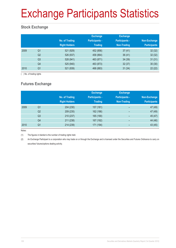# Exchange Participants Statistics

### **Stock Exchange**

|      |                | No. of Trading<br><b>Right Holders</b> | <b>Exchange</b><br><b>Participants -</b><br><b>Trading</b> | <b>Exchange</b><br><b>Participants -</b><br><b>Non-Trading</b> | Non-Exchange<br><b>Participants</b> |
|------|----------------|----------------------------------------|------------------------------------------------------------|----------------------------------------------------------------|-------------------------------------|
| 2009 | Q <sub>1</sub> | 521 (929)                              | 452 (856)                                                  | 37(41)                                                         | 32(32)                              |
|      | Q <sub>2</sub> | 526 (937)                              | 458 (864)                                                  | 36(41)                                                         | 32(32)                              |
|      | Q <sub>3</sub> | 528 (941)                              | 463 (871)                                                  | 34 (39)                                                        | 31(31)                              |
|      | Q4             | 525 (940)                              | 463 (873)                                                  | 32(37)                                                         | 30(30)                              |
| 2010 | Q1             | 521 (939)                              | 468 (883)                                                  | 31(34)                                                         | 22(22)                              |

( ) No. of trading rights

### **Futures Exchange**

|      |                | No. of Trading<br><b>Right Holders</b> | <b>Exchange</b><br><b>Participants -</b><br><b>Trading</b> | <b>Exchange</b><br><b>Participants -</b><br><b>Non-Trading</b> | Non-Exchange<br><b>Participants</b> |
|------|----------------|----------------------------------------|------------------------------------------------------------|----------------------------------------------------------------|-------------------------------------|
| 2009 | Q <sub>1</sub> | 204 (230)                              | 157 (181)                                                  | $\overline{\phantom{0}}$                                       | 47 (49)                             |
|      | Q <sub>2</sub> | 209 (235)                              | 162 (186)                                                  | -                                                              | 47 (49)                             |
|      | Q <sub>3</sub> | 210 (237)                              | 165 (190)                                                  | $\qquad \qquad$                                                | 45 (47)                             |
|      | Q4             | 211 (238)                              | 167 (192)                                                  | $\overline{\phantom{0}}$                                       | 44 (46)                             |
| 2010 | Q <sub>1</sub> | 214 (239)                              | 171 (194)                                                  |                                                                | 43(45)                              |

Notes:

(1) The figures in blanket is the number of trading rights held.

(2) An Exchange Participant is a corporation who may trade on or through the Exchange and is licensed under the Securities and Futures Ordinance to carry on securities/ futures/options dealing activity.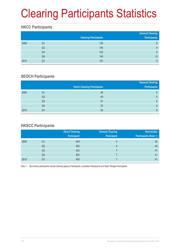# Clearing Participants Statistics

### **HKCC Participants**

|      |    | <b>Clearing Participants</b> | <b>General Clearing</b><br>Participants |
|------|----|------------------------------|-----------------------------------------|
| 2009 | Q1 | 139                          | 8                                       |
|      | Q2 | 140                          | 9                                       |
|      | Q3 | 142                          | 9                                       |
|      | Q4 | 144                          | 10                                      |
| 2010 | Q1 | 147                          | 9                                       |

### **SEOCH Participants**

|      |    |                                     | <b>General Clearing</b> |
|------|----|-------------------------------------|-------------------------|
|      |    | <b>Direct Clearing Participants</b> | <b>Participants</b>     |
| 2009 | Q1 | 48                                  | 6                       |
|      | Q2 | 49                                  | 6                       |
|      | Q3 | 51                                  | 6                       |
|      | Q4 | 53                                  | 6                       |
| 2010 | Q1 | 54                                  | $6\phantom{1}6$         |

### **HKSCC Participants**

|      |    | <b>Direct Clearing</b> | <b>General Clearing</b> | Non-broker                   |
|------|----|------------------------|-------------------------|------------------------------|
|      |    | Participant            | <b>Participant</b>      | <b>Participants (Note 1)</b> |
| 2009 | Q1 | 454                    | 5                       | 42                           |
|      | Q2 | 450                    | 6                       | 40                           |
|      | Q3 | 453                    |                         | 41                           |
|      | Q4 | 452                    |                         | 41                           |
| 2010 | Q1 | 455                    |                         | 41                           |

Note 1: Non-broker participants include Clearing Agency Participants, Custodian Participants and Stock Pledgee Participants.